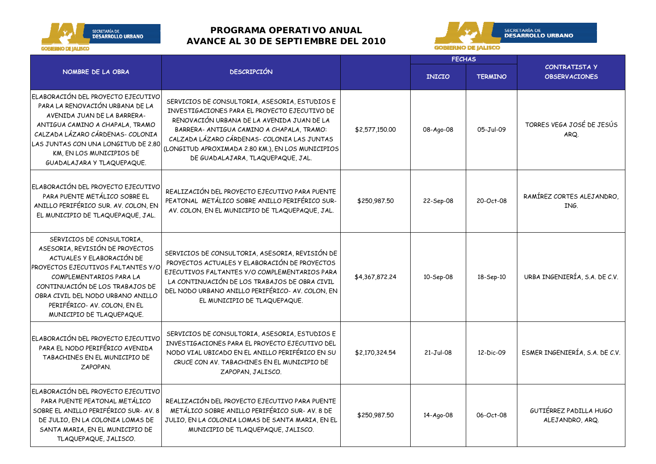

## **PROGRAMA OPERATIVO ANUAL AVANCE AL 30 DE SEPTIEMBRE DEL 2010**



|                                                                                                                                                                                                                                                                                                        |                                                                                                                                                                                                                                                                                                                                     |                | <b>FECHAS</b> |                |                                              |
|--------------------------------------------------------------------------------------------------------------------------------------------------------------------------------------------------------------------------------------------------------------------------------------------------------|-------------------------------------------------------------------------------------------------------------------------------------------------------------------------------------------------------------------------------------------------------------------------------------------------------------------------------------|----------------|---------------|----------------|----------------------------------------------|
| NOMBRE DE LA OBRA                                                                                                                                                                                                                                                                                      | <b>DESCRIPCIÓN</b>                                                                                                                                                                                                                                                                                                                  |                | <b>INICIO</b> | <b>TERMINO</b> | <b>CONTRATISTA Y</b><br><b>OBSERVACIONES</b> |
| ELABORACIÓN DEL PROYECTO EJECUTIVO<br>PARA LA RENOVACIÓN URBANA DE LA<br>AVENIDA JUAN DE LA BARRERA-<br>ANTIGUA CAMINO A CHAPALA, TRAMO<br>CALZADA LÁZARO CÁRDENAS- COLONIA<br>LAS JUNTAS CON UNA LONGITUD DE 2.80<br>KM, EN LOS MUNICIPIOS DE<br>GUADALAJARA Y TLAQUEPAQUE.                           | SERVICIOS DE CONSULTORIA, ASESORIA, ESTUDIOS E<br>INVESTIGACIONES PARA EL PROYECTO EJECUTIVO DE<br>RENOVACIÓN URBANA DE LA AVENIDA JUAN DE LA<br>BARRERA- ANTIGUA CAMINO A CHAPALA, TRAMO:<br>CALZADA LÁZARO CÁRDENAS- COLONIA LAS JUNTAS<br>(LONGITUD APROXIMADA 2.80 KM.), EN LOS MUNICIPIOS<br>DE GUADALAJARA, TLAQUEPAQUE, JAL. | \$2,577,150.00 | 08-Ago-08     | 05-Jul-09      | TORRES VEGA JOSÉ DE JESÚS<br>ARQ.            |
| ELABORACIÓN DEL PROYECTO EJECUTIVO<br>PARA PUENTE METÁLICO SOBRE EL<br>ANILLO PERIFÉRICO SUR. AV. COLON, EN<br>EL MUNICIPIO DE TLAQUEPAQUE, JAL.                                                                                                                                                       | REALIZACIÓN DEL PROYECTO EJECUTIVO PARA PUENTE<br>PEATONAL METÁLICO SOBRE ANILLO PERIFÉRICO SUR-<br>AV. COLON, EN EL MUNICIPIO DE TLAQUEPAQUE, JAL.                                                                                                                                                                                 | \$250,987.50   | 22-Sep-08     | 20-Oct-08      | RAMÍREZ CORTES ALEJANDRO,<br>ING.            |
| SERVICIOS DE CONSULTORIA,<br>ASESORIA, REVISIÓN DE PROYECTOS<br>ACTUALES Y ELABORACIÓN DE<br><b>PROYECTOS EJECUTIVOS FALTANTES Y/C</b><br>COMPLEMENTARIOS PARA LA<br>CONTINUACIÓN DE LOS TRABAJOS DE<br>OBRA CIVIL DEL NODO URBANO ANILLO<br>PERIFÉRICO- AV. COLON, EN EL<br>MUNICIPIO DE TLAQUEPAQUE. | SERVICIOS DE CONSULTORIA, ASESORIA, REVISIÓN DE<br>PROYECTOS ACTUALES Y ELABORACIÓN DE PROYECTOS<br>EJECUTIVOS FALTANTES Y/O COMPLEMENTARIOS PARA<br>LA CONTINUACIÓN DE LOS TRABAJOS DE OBRA CIVIL<br>DEL NODO URBANO ANILLO PERIFÉRICO- AV. COLON, EN<br>EL MUNICIPIO DE TLAQUEPAQUE.                                              | \$4,367,872.24 | 10-Sep-08     | 18-Sep-10      | URBA INGENIERÍA, S.A. DE C.V.                |
| ELABORACIÓN DEL PROYECTO EJECUTIVO<br>PARA EL NODO PERIFÉRICO AVENIDA<br>TABACHINES EN EL MUNICIPIO DE<br>ZAPOPAN.                                                                                                                                                                                     | SERVICIOS DE CONSULTORIA, ASESORIA, ESTUDIOS E<br>INVESTIGACIONES PARA EL PROYECTO EJECUTIVO DEL<br>NODO VIAL UBICADO EN EL ANILLO PERIFÉRICO EN SU<br>CRUCE CON AV. TABACHINES EN EL MUNICIPIO DE<br>ZAPOPAN, JALISCO.                                                                                                             | \$2,170,324.54 | $21-Jul-08$   | 12-Dic-09      | ESMER INGENIERÍA, S.A. DE C.V.               |
| ELABORACIÓN DEL PROYECTO EJECUTIVO<br>PARA PUENTE PEATONAL METÁLICO<br>SOBRE EL ANILLO PERIFÉRICO SUR-AV. 8<br>DE JULIO, EN LA COLONIA LOMAS DE<br>SANTA MARIA, EN EL MUNICIPIO DE<br>TLAQUEPAQUE, JALISCO.                                                                                            | REALIZACIÓN DEL PROYECTO EJECUTIVO PARA PUENTE<br>METÁLICO SOBRE ANILLO PERIFÉRICO SUR- AV. 8 DE<br>JULIO, EN LA COLONIA LOMAS DE SANTA MARIA, EN EL<br>MUNICIPIO DE TLAQUEPAQUE, JALISCO.                                                                                                                                          | \$250,987.50   | 14-Ago-08     | 06-Oct-08      | GUTIÉRREZ PADILLA HUGO<br>ALEJANDRO, ARQ.    |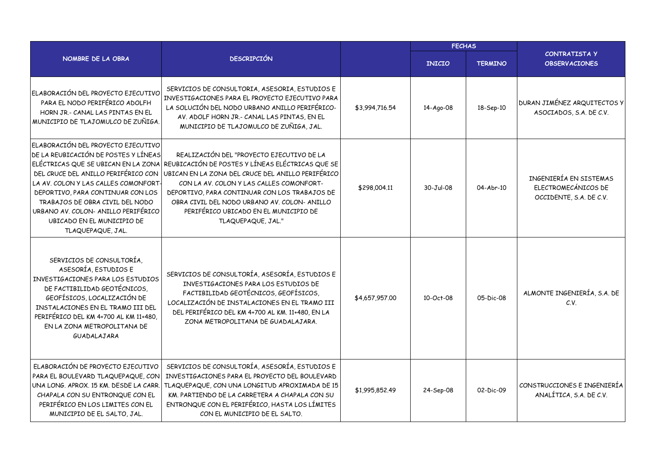|                                                                                                                                                                                                                                                                                                                                                                    |                                                                                                                                                                                                                                                                                                                                                               |                | <b>FECHAS</b> |                |                                                                          |
|--------------------------------------------------------------------------------------------------------------------------------------------------------------------------------------------------------------------------------------------------------------------------------------------------------------------------------------------------------------------|---------------------------------------------------------------------------------------------------------------------------------------------------------------------------------------------------------------------------------------------------------------------------------------------------------------------------------------------------------------|----------------|---------------|----------------|--------------------------------------------------------------------------|
| NOMBRE DE LA OBRA                                                                                                                                                                                                                                                                                                                                                  | <b>DESCRIPCIÓN</b>                                                                                                                                                                                                                                                                                                                                            |                | <b>INICIO</b> | <b>TERMINO</b> | <b>CONTRATISTA Y</b><br><b>OBSERVACIONES</b>                             |
| ELABORACIÓN DEL PROYECTO EJECUTIVO<br>PARA EL NODO PERIFÉRICO ADOLFH<br>HORN JR.- CANAL LAS PINTAS EN EL<br>MUNICIPIO DE TLAJOMULCO DE ZUÑIGA.                                                                                                                                                                                                                     | SERVICIOS DE CONSULTORIA, ASESORIA, ESTUDIOS E<br>INVESTIGACIONES PARA EL PROYECTO EJECUTIVO PARA<br>LA SOLUCIÓN DEL NODO URBANO ANILLO PERIFÉRICO-<br>AV. ADOLF HORN JR.- CANAL LAS PINTAS, EN EL<br>MUNICIPIO DE TLAJOMULCO DE ZUÑIGA, JAL.                                                                                                                 | \$3,994,716.54 | 14-Ago-08     | 18-Sep-10      | DURAN JIMÉNEZ ARQUITECTOS Y<br>ASOCIADOS, S.A. DE C.V.                   |
| ELABORACIÓN DEL PROYECTO EJECUTIVO<br>DE LA REUBICACIÓN DE POSTES Y LÍNEAS<br>ELÉCTRICAS QUE SE UBICAN EN LA ZONA<br>DEL CRUCE DEL ANILLO PERIFÉRICO CON<br>LA AV. COLON Y LAS CALLES COMONFORT-<br>DEPORTIVO, PARA CONTINUAR CON LOS<br>TRABAJOS DE OBRA CIVIL DEL NODO<br>URBANO AV. COLON- ANILLO PERIFÉRICO<br>UBICADO EN EL MUNICIPIO DE<br>TLAQUEPAQUE, JAL. | REALIZACIÓN DEL "PROYECTO EJECUTIVO DE LA<br>REUBICACIÓN DE POSTES Y LÍNEAS ELÉCTRICAS QUE SE<br>UBICAN EN LA ZONA DEL CRUCE DEL ANILLO PERIFÉRICO<br>CON LA AV. COLON Y LAS CALLES COMONFORT-<br>DEPORTIVO, PARA CONTINUAR CON LOS TRABAJOS DE<br>OBRA CIVIL DEL NODO URBANO AV. COLON-ANILLO<br>PERIFÉRICO UBICADO EN EL MUNICIPIO DE<br>TLAQUEPAQUE, JAL." | \$298,004.11   | 30-Jul-08     | 04-Abr-10      | INGENIERÍA EN SISTEMAS<br>ELECTROMECÁNICOS DE<br>OCCIDENTE, S.A. DE C.V. |
| SERVICIOS DE CONSULTORÍA,<br>ASESORÍA, ESTUDIOS E<br>INVESTIGACIONES PARA LOS ESTUDIOS<br>DE FACTIBILIDAD GEOTÉCNICOS,<br>GEOFÍSICOS, LOCALIZACIÓN DE<br>INSTALACIONES EN EL TRAMO III DEL<br>PERIFÉRICO DEL KM 4+700 AL KM 11+480,<br>EN LA ZONA METROPOLITANA DE<br>GUADALAJARA                                                                                  | SERVICIOS DE CONSULTORÍA, ASESORÍA, ESTUDIOS E<br>INVESTIGACIONES PARA LOS ESTUDIOS DE<br>FACTIBILIDAD GEOTÉCNICOS, GEOFÍSICOS,<br>LOCALIZACIÓN DE INSTALACIONES EN EL TRAMO III<br>DEL PERIFÉRICO DEL KM 4+700 AL KM. 11+480, EN LA<br>ZONA METROPOLITANA DE GUADALAJARA.                                                                                    | \$4,657,957.00 | 10-Oct-08     | 05-Dic-08      | ALMONTE INGENIERÍA, S.A. DE<br>C.V.                                      |
| ELABORACIÓN DE PROYECTO EJECUTIVO<br>PARA EL BOULEVARD TLAQUEPAQUE, CON<br>UNA LONG, APROX, 15 KM, DESDE LA CARR,<br>CHAPALA CON SU ENTRONQUE CON EL<br>PERIFÉRICO EN LOS LIMITES CON EL<br>MUNICIPIO DE EL SALTO, JAL.                                                                                                                                            | SERVICIOS DE CONSULTORÍA, ASESORÍA, ESTUDIOS E<br>INVESTIGACIONES PARA EL PROYECTO DEL BOULEVARD<br>TLAQUEPAQUE, CON UNA LONGITUD APROXIMADA DE 15<br>KM. PARTIENDO DE LA CARRETERA A CHAPALA CON SU<br>ENTRONQUE CON EL PERIFÉRICO, HASTA LOS LÍMITES<br>CON EL MUNICIPIO DE EL SALTO.                                                                       | \$1,995,852.49 | 24-Sep-08     | 02-Dic-09      | CONSTRUCCIONES E INGENIERÍA<br>ANALÍTICA, S.A. DE C.V.                   |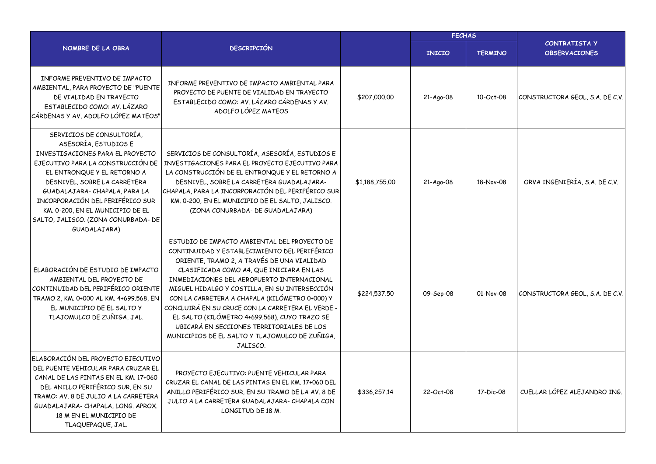|                                                                                                                                                                                                                                                                                                                                                          |                                                                                                                                                                                                                                                                                                                                                                                                                                                                                                                                                          |                | <b>FECHAS</b> |                |                                              |  |  |
|----------------------------------------------------------------------------------------------------------------------------------------------------------------------------------------------------------------------------------------------------------------------------------------------------------------------------------------------------------|----------------------------------------------------------------------------------------------------------------------------------------------------------------------------------------------------------------------------------------------------------------------------------------------------------------------------------------------------------------------------------------------------------------------------------------------------------------------------------------------------------------------------------------------------------|----------------|---------------|----------------|----------------------------------------------|--|--|
| NOMBRE DE LA OBRA                                                                                                                                                                                                                                                                                                                                        | <b>DESCRIPCIÓN</b>                                                                                                                                                                                                                                                                                                                                                                                                                                                                                                                                       |                | <b>INICIO</b> | <b>TERMINO</b> | <b>CONTRATISTA Y</b><br><b>OBSERVACIONES</b> |  |  |
| INFORME PREVENTIVO DE IMPACTO<br>AMBIENTAL, PARA PROYECTO DE "PUENTE<br>DE VIALIDAD EN TRAYECTO<br>ESTABLECIDO COMO: AV. LÁZARO<br>CÁRDENAS Y AV, ADOLFO LÓPEZ MATEOS"                                                                                                                                                                                   | INFORME PREVENTIVO DE IMPACTO AMBIENTAL PARA<br>PROYECTO DE PUENTE DE VIALIDAD EN TRAYECTO<br>ESTABLECIDO COMO: AV. LÁZARO CÁRDENAS Y AV.<br>ADOLFO LÓPEZ MATEOS                                                                                                                                                                                                                                                                                                                                                                                         | \$207,000.00   | 21-Ago-08     | 10-Oct-08      | CONSTRUCTORA GEOL, S.A. DE C.V.              |  |  |
| SERVICIOS DE CONSULTORÍA,<br>ASESORÍA, ESTUDIOS E<br>INVESTIGACIONES PARA EL PROYECTO<br>EJECUTIVO PARA LA CONSTRUCCIÓN DE<br>EL ENTRONQUE Y EL RETORNO A<br>DESNIVEL, SOBRE LA CARRETERA<br>GUADALAJARA-CHAPALA, PARA LA<br>INCORPORACIÓN DEL PERIFÉRICO SUR<br>KM. 0-200, EN EL MUNICIPIO DE EL<br>SALTO, JALISCO. (ZONA CONURBADA- DE<br>GUADALAJARA) | SERVICIOS DE CONSULTORÍA, ASESORÍA, ESTUDIOS E<br>INVESTIGACIONES PARA EL PROYECTO EJECUTIVO PARA<br>LA CONSTRUCCIÓN DE EL ENTRONQUE Y EL RETORNO A<br>DESNIVEL, SOBRE LA CARRETERA GUADALAJARA-<br>CHAPALA, PARA LA INCORPORACIÓN DEL PERIFÉRICO SUR<br>KM. 0-200, EN EL MUNICIPIO DE EL SALTO, JALISCO.<br>(ZONA CONURBADA- DE GUADALAJARA)                                                                                                                                                                                                            | \$1,188,755,00 | 21-Ago-08     | 18-Nov-08      | ORVA INGENIERÍA, S.A. DE C.V.                |  |  |
| ELABORACIÓN DE ESTUDIO DE IMPACTO<br>AMBIENTAL DEL PROYECTO DE<br>CONTINUIDAD DEL PERIFÉRICO ORIENTE<br>TRAMO 2, KM. 0+000 AL KM. 4+699.568, EN<br>EL MUNICIPIO DE EL SALTO Y<br>TLAJOMULCO DE ZUÑIGA, JAL.                                                                                                                                              | ESTUDIO DE IMPACTO AMBIENTAL DEL PROYECTO DE<br>CONTINUIDAD Y ESTABLECIMIENTO DEL PERIFÉRICO<br>ORIENTE, TRAMO 2, A TRAVÉS DE UNA VIALIDAD<br>CLASIFICADA COMO A4, QUE INICIARA EN LAS<br>INMEDIACIONES DEL AEROPUERTO INTERNACIONAL<br>MIGUEL HIDALGO Y COSTILLA, EN SU INTERSECCIÓN<br>CON LA CARRETERA A CHAPALA (KILÓMETRO 0+000) Y<br>CONCLUIRÁ EN SU CRUCE CON LA CARRETERA EL VERDE -<br>EL SALTO (KILÓMETRO 4+699.568), CUYO TRAZO SE<br>UBICARÁ EN SECCIONES TERRITORIALES DE LOS<br>MUNICIPIOS DE EL SALTO Y TLAJOMULCO DE ZUÑIGA,<br>JALISCO. | \$224,537.50   | 09-Sep-08     | 01-Nov-08      | CONSTRUCTORA GEOL, S.A. DE C.V.              |  |  |
| ELABORACIÓN DEL PROYECTO EJECUTIVO<br>DEL PUENTE VEHICULAR PARA CRUZAR EL<br>CANAL DE LAS PINTAS EN EL KM. 17+060<br>DEL ANILLO PERIFÉRICO SUR, EN SU<br>TRAMO: AV. 8 DE JULIO A LA CARRETERA<br>GUADALAJARA-CHAPALA, LONG. APROX.<br>18 M EN EL MUNICIPIO DE<br>TLAQUEPAQUE, JAL.                                                                       | PROYECTO EJECUTIVO: PUENTE VEHICULAR PARA<br>CRUZAR EL CANAL DE LAS PINTAS EN EL KM. 17+060 DEL<br>ANILLO PERIFÉRICO SUR, EN SU TRAMO DE LA AV. 8 DE<br>JULIO A LA CARRETERA GUADALAJARA-CHAPALA CON<br>LONGITUD DE 18 M.                                                                                                                                                                                                                                                                                                                                | \$336,257.14   | 22-Oct-08     | 17-Dic-08      | CUELLAR LÓPEZ ALEJANDRO ING.                 |  |  |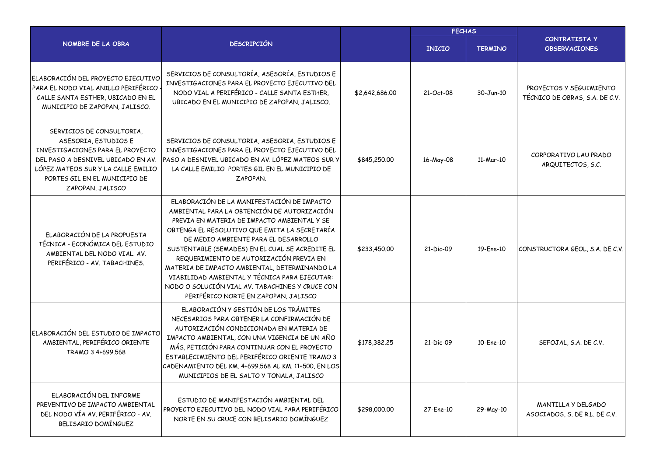|                                                                                                                                                                                                                        |                                                                                                                                                                                                                                                                                                                                                                                                                                                                                                                              |                | <b>FECHAS</b> |                |                                                           |  |  |
|------------------------------------------------------------------------------------------------------------------------------------------------------------------------------------------------------------------------|------------------------------------------------------------------------------------------------------------------------------------------------------------------------------------------------------------------------------------------------------------------------------------------------------------------------------------------------------------------------------------------------------------------------------------------------------------------------------------------------------------------------------|----------------|---------------|----------------|-----------------------------------------------------------|--|--|
| NOMBRE DE LA OBRA                                                                                                                                                                                                      | <b>DESCRIPCIÓN</b>                                                                                                                                                                                                                                                                                                                                                                                                                                                                                                           |                | <b>INICIO</b> | <b>TERMINO</b> | <b>CONTRATISTA Y</b><br><b>OBSERVACIONES</b>              |  |  |
| ELABORACIÓN DEL PROYECTO EJECUTIVO<br>PARA EL NODO VIAL ANILLO PERIFÉRICO<br>CALLE SANTA ESTHER, UBICADO EN EL<br>MUNICIPIO DE ZAPOPAN, JALISCO.                                                                       | SERVICIOS DE CONSULTORÍA, ASESORÍA, ESTUDIOS E<br>INVESTIGACIONES PARA EL PROYECTO EJECUTIVO DEL<br>NODO VIAL A PERIFÉRICO - CALLE SANTA ESTHER,<br>UBICADO EN EL MUNICIPIO DE ZAPOPAN, JALISCO.                                                                                                                                                                                                                                                                                                                             | \$2,642,686.00 | 21-Oct-08     | 30-Jun-10      | PROYECTOS Y SEGUIMIENTO<br>TÉCNICO DE OBRAS, S.A. DE C.V. |  |  |
| SERVICIOS DE CONSULTORIA,<br>ASESORIA, ESTUDIOS E<br>INVESTIGACIONES PARA EL PROYECTO<br>DEL PASO A DESNIVEL UBICADO EN AV.<br>LÓPEZ MATEOS SUR Y LA CALLE EMILIO<br>PORTES GIL EN EL MUNICIPIO DE<br>ZAPOPAN, JALISCO | SERVICIOS DE CONSULTORIA, ASESORIA, ESTUDIOS E<br>INVESTIGACIONES PARA EL PROYECTO EJECUTIVO DEL<br>PASO A DESNIVEL UBICADO EN AV. LÓPEZ MATEOS SUR Y<br>LA CALLE EMILIO PORTES GIL EN EL MUNICIPIO DE<br>ZAPOPAN.                                                                                                                                                                                                                                                                                                           | \$845,250.00   | 16-May-08     | 11-Mar-10      | CORPORATIVO LAU PRADO<br>ARQUITECTOS, S.C.                |  |  |
| ELABORACIÓN DE LA PROPUESTA<br>TÉCNICA - ECONÓMICA DEL ESTUDIO<br>AMBIENTAL DEL NODO VIAL. AV.<br>PERIFÉRICO - AV. TABACHINES.                                                                                         | ELABORACIÓN DE LA MANIFESTACIÓN DE IMPACTO<br>AMBIENTAL PARA LA OBTENCIÓN DE AUTORIZACIÓN<br>PREVIA EN MATERIA DE IMPACTO AMBIENTAL Y SE<br>OBTENGA EL RESOLUTIVO QUE EMITA LA SECRETARÍA<br>DE MEDIO AMBIENTE PARA EL DESARROLLO<br>SUSTENTABLE (SEMADES) EN EL CUAL SE ACREDITE EL<br>REQUERIMIENTO DE AUTORIZACIÓN PREVIA EN<br>MATERIA DE IMPACTO AMBIENTAL, DETERMINANDO LA<br>VIABILIDAD AMBIENTAL Y TÉCNICA PARA EJECUTAR:<br>NODO O SOLUCIÓN VIAL AV. TABACHINES Y CRUCE CON<br>PERIFÉRICO NORTE EN ZAPOPAN, JALISCO | \$233,450.00   | 21-Dic-09     | 19-Ene-10      | CONSTRUCTORA GEOL, S.A. DE C.V.                           |  |  |
| ELABORACIÓN DEL ESTUDIO DE IMPACTO<br>AMBIENTAL, PERIFÉRICO ORIENTE<br>TRAMO 3 4+699.568                                                                                                                               | ELABORACIÓN Y GESTIÓN DE LOS TRÁMITES<br>NECESARIOS PARA OBTENER LA CONFIRMACIÓN DE<br>AUTORIZACIÓN CONDICIONADA EN MATERIA DE<br>IMPACTO AMBIENTAL, CON UNA VIGENCIA DE UN AÑO<br>MÁS, PETICIÓN PARA CONTINUAR CON EL PROYECTO<br>ESTABLECIMIENTO DEL PERIFÉRICO ORIENTE TRAMO 3<br>CADENAMIENTO DEL KM. 4+699.568 AL KM. 11+500, EN LOS<br>MUNICIPIOS DE EL SALTO Y TONALA, JALISCO                                                                                                                                        | \$178,382.25   | 21-Dic-09     | 10-Ene-10      | SEFOJAL, S.A. DE C.V.                                     |  |  |
| ELABORACIÓN DEL INFORME<br>PREVENTIVO DE IMPACTO AMBIENTAL<br>DEL NODO VÍA AV. PERIFÉRICO - AV.<br>BELISARIO DOMÍNGUEZ                                                                                                 | ESTUDIO DE MANIFESTACIÓN AMBIENTAL DEL<br>PROYECTO EJECUTIVO DEL NODO VIAL PARA PERIFÉRICO<br>NORTE EN SU CRUCE CON BELISARIO DOMÍNGUEZ                                                                                                                                                                                                                                                                                                                                                                                      | \$298,000.00   | 27-Ene-10     | 29-May-10      | MANTILLA Y DELGADO<br>ASOCIADOS, S. DE R.L. DE C.V.       |  |  |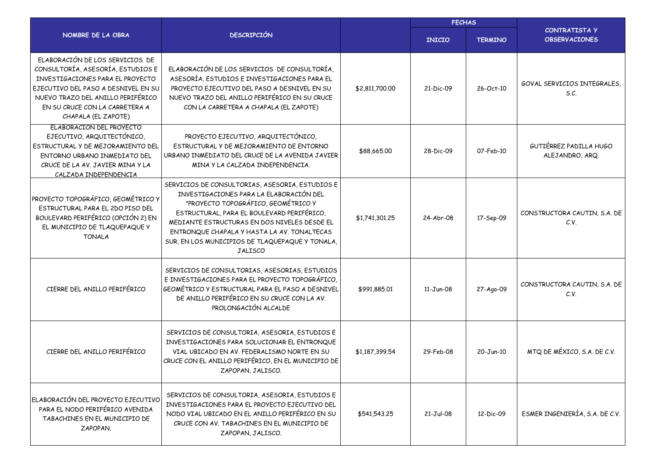|                                                                                                                                                                                                                                               |                                                                                                                                                                                                                                                                                                                                                     |                | <b>FECHAS</b> |                |                                              |
|-----------------------------------------------------------------------------------------------------------------------------------------------------------------------------------------------------------------------------------------------|-----------------------------------------------------------------------------------------------------------------------------------------------------------------------------------------------------------------------------------------------------------------------------------------------------------------------------------------------------|----------------|---------------|----------------|----------------------------------------------|
| NOMBRE DE LA OBRA                                                                                                                                                                                                                             | <b>DESCRIPCIÓN</b>                                                                                                                                                                                                                                                                                                                                  |                | <b>INICIO</b> | <b>TERMINO</b> | <b>CONTRATISTA Y</b><br><b>OBSERVACIONES</b> |
| ELABORACIÓN DE LOS SERVICIOS DE<br>CONSULTORÍA, ASESORÍA, ESTUDIOS E<br>INVESTIGACIONES PARA EL PROYECTO<br>EJECUTIVO DEL PASO A DESNIVEL EN SU<br>NUEVO TRAZO DEL ANILLO PERIFÉRICO<br>EN SU CRUCE CON LA CARRETERA A<br>CHAPALA (EL ZAPOTE) | ELABORACIÓN DE LOS SERVICIOS DE CONSULTORÍA,<br>ASESORÍA, ESTUDIOS E INVESTIGACIONES PARA EL<br>PROYECTO EJECUTIVO DEL PASO A DESNIVEL EN SU<br>NUEVO TRAZO DEL ANILLO PERIFÉRICO EN SU CRUCE<br>CON LA CARRETERA A CHAPALA (EL ZAPOTE)                                                                                                             | \$2,811,700.00 | 21-Dic-09     | 26-Oct-10      | GOVAL SERVICIOS INTEGRALES,<br>S.C.          |
| ELABORACIÓN DEL PROYECTO<br>EJECUTIVO, ARQUITECTÓNICO,<br>ESTRUCTURAL Y DE MEJORAMIENTO DEL<br>ENTORNO URBANO INMEDIATO DEL<br>CRUCE DE LA AV. JAVIER MINA Y LA<br>CALZADA INDEPENDENCIA                                                      | PROYECTO EJECUTIVO, ARQUITECTÓNICO,<br>ESTRUCTURAL Y DE MEJORAMIENTO DE ENTORNO<br>URBANO INMEDIATO DEL CRUCE DE LA AVENIDA JAVIER<br>MINA Y LA CALZADA INDEPENDENCIA.                                                                                                                                                                              | \$88,665.00    | 28-Dic-09     | 07-Feb-10      | GUTIÉRREZ PADILLA HUGO<br>ALEJANDRO, ARQ.    |
| PROYECTO TOPOGRÁFICO, GEOMÉTRICO Y<br>ESTRUCTURAL PARA EL 2DO PISO DEL<br>BOULEVARD PERIFÉRICO (OPCIÓN 2) EN<br>EL MUNICIPIO DE TLAQUEPAQUE Y<br><b>TONALA</b>                                                                                | SERVICIOS DE CONSULTORIAS, ASESORIA, ESTUDIOS E<br>INVESTIGACIONES PARA LA ELABORACIÓN DEL<br>"PROYECTO TOPOGRÁFICO, GEOMÉTRICO Y<br>ESTRUCTURAL, PARA EL BOULEVARD PERIFÉRICO,<br>MEDIANTE ESTRUCTURAS EN DOS NIVELES DESDE EL<br>ENTRONQUE CHAPALA Y HASTA LA AV. TONALTECAS<br>SUR, EN LOS MUNICIPIOS DE TLAQUEPAQUE Y TONALA,<br><b>JALISCO</b> | \$1,741,301.25 | 24-Abr-08     | 17-Sep-09      | CONSTRUCTORA CAUTIN, S.A. DE<br>C.V.         |
| CIERRE DEL ANILLO PERIFÉRICO                                                                                                                                                                                                                  | SERVICIOS DE CONSULTORIAS, ASESORIAS, ESTUDIOS<br>E INVESTIGACIONES PARA EL PROYECTO TOPOGRÁFICO,<br>GEOMÉTRICO Y ESTRUCTURAL PARA EL PASO A DESNIVEL<br>DE ANILLO PERIFÉRICO EN SU CRUCE CON LA AV.<br>PROLONGACIÓN ALCALDE                                                                                                                        | \$991,885.01   | $11-Jun-08$   | 27-Ago-09      | CONSTRUCTORA CAUTIN, S.A. DE<br>C.V.         |
| CIERRE DEL ANILLO PERIFÉRICO                                                                                                                                                                                                                  | SERVICIOS DE CONSULTORIA, ASESORIA, ESTUDIOS E<br>INVESTIGACIONES PARA SOLUCIONAR EL ENTRONQUE<br>VIAL UBICADO EN AV. FEDERALISMO NORTE EN SU<br>CRUCE CON EL ANILLO PERIFÉRICO, EN EL MUNICIPIO DE<br>ZAPOPAN, JALISCO.                                                                                                                            | \$1,187,399.54 | 29-Feb-08     | 20-Jun-10      | MTQ DE MÉXICO, S.A. DE C.V.                  |
| ELABORACIÓN DEL PROYECTO EJECUTIVO<br>PARA EL NODO PERIFÉRICO AVENIDA<br>TABACHINES EN EL MUNICIPIO DE<br>ZAPOPAN.                                                                                                                            | SERVICIOS DE CONSULTORIA, ASESORIA, ESTUDIOS E<br>INVESTIGACIONES PARA EL PROYECTO EJECUTIVO DEL<br>NODO VIAL UBICADO EN EL ANILLO PERIFÉRICO EN SU<br>CRUCE CON AV. TABACHINES EN EL MUNICIPIO DE<br>ZAPOPAN, JALISCO.                                                                                                                             | \$541,543.25   | $21-Jul-08$   | 12-Dic-09      | ESMER INGENIERÍA, S.A. DE C.V.               |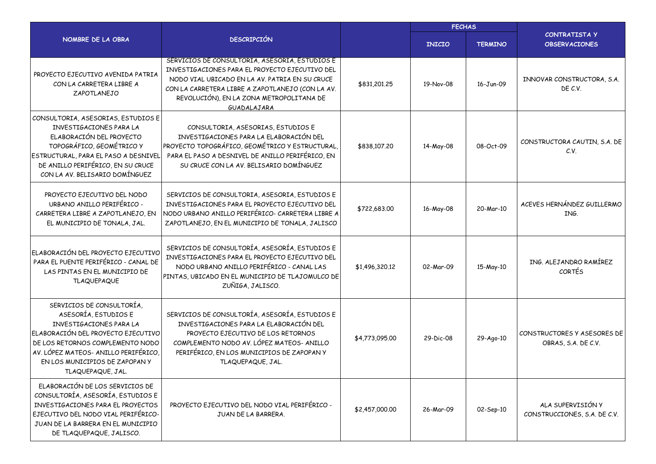|                                                                                                                                                                                                                                                      |                                                                                                                                                                                                                                                                   |                | <b>FECHAS</b> |                |                                                    |
|------------------------------------------------------------------------------------------------------------------------------------------------------------------------------------------------------------------------------------------------------|-------------------------------------------------------------------------------------------------------------------------------------------------------------------------------------------------------------------------------------------------------------------|----------------|---------------|----------------|----------------------------------------------------|
| NOMBRE DE LA OBRA                                                                                                                                                                                                                                    | <b>DESCRIPCIÓN</b>                                                                                                                                                                                                                                                |                | <b>INICIO</b> | <b>TERMINO</b> | <b>CONTRATISTA Y</b><br><b>OBSERVACIONES</b>       |
| PROYECTO EJECUTIVO AVENIDA PATRIA<br>CON LA CARRETERA LIBRE A<br>ZAPOTLANEJO                                                                                                                                                                         | SERVICIOS DE CONSULTORÍA, ASESORÍA, ESTUDIOS E<br>INVESTIGACIONES PARA EL PROYECTO EJECUTIVO DEL<br>NODO VIAL UBICADO EN LA AV. PATRIA EN SU CRUCE<br>CON LA CARRETERA LIBRE A ZAPOTLANEJO (CON LA AV.<br>REVOLUCIÓN), EN LA ZONA METROPOLITANA DE<br>GUADALAJARA | \$831,201.25   | 19-Nov-08     | 16-Jun-09      | INNOVAR CONSTRUCTORA, S.A.<br>DE C.V.              |
| CONSULTORIA, ASESORIAS, ESTUDIOS E<br>INVESTIGACIONES PARA LA<br>ELABORACIÓN DEL PROYECTO<br>TOPOGRÁFICO, GEOMÉTRICO Y<br>ESTRUCTURAL, PARA EL PASO A DESNIVEL<br>DE ANILLO PERIFÉRICO, EN SU CRUCE<br>CON LA AV. BELISARIO DOMÍNGUEZ                | CONSULTORIA, ASESORIAS, ESTUDIOS E<br>INVESTIGACIONES PARA LA ELABORACIÓN DEL<br>PROYECTO TOPOGRÁFICO, GEOMÉTRICO Y ESTRUCTURAL,<br>PARA EL PASO A DESNIVEL DE ANILLO PERIFÉRICO, EN<br>SU CRUCE CON LA AV. BELISARIO DOMÍNGUEZ                                   | \$838,107.20   | 14-May-08     | 08-Oct-09      | CONSTRUCTORA CAUTIN, S.A. DE<br>C.V.               |
| PROYECTO EJECUTIVO DEL NODO<br>URBANO ANILLO PERIFÉRICO -<br>CARRETERA LIBRE A ZAPOTLANEJO, EN<br>EL MUNICIPIO DE TONALA, JAL.                                                                                                                       | SERVICIOS DE CONSULTORIA, ASESORIA, ESTUDIOS E<br>INVESTIGACIONES PARA EL PROYECTO EJECUTIVO DEL<br>NODO URBANO ANILLO PERIFÉRICO- CARRETERA LIBRE A<br>ZAPOTLANEJO, EN EL MUNICIPIO DE TONALA, JALISCO                                                           | \$722,683.00   | 16-May-08     | 20-Mar-10      | ACEVES HERNÁNDEZ GUILLERMO<br>ING.                 |
| ELABORACIÓN DEL PROYECTO EJECUTIVO<br>PARA EL PUENTE PERIFÉRICO - CANAL DE<br>LAS PINTAS EN EL MUNICIPIO DE<br><b>TLAQUEPAQUE</b>                                                                                                                    | SERVICIOS DE CONSULTORÍA, ASESORÍA, ESTUDIOS E<br>INVESTIGACIONES PARA EL PROYECTO EJECUTIVO DEL<br>NODO URBANO ANILLO PERIFÉRICO - CANAL LAS<br>PINTAS, UBICADO EN EL MUNICIPIO DE TLAJOMULCO DE<br>ZUÑIGA, JALISCO.                                             | \$1,496,320.12 | 02-Mar-09     | 15-May-10      | ING. ALEJANDRO RAMÍREZ<br>CORTÉS                   |
| SERVICIOS DE CONSULTORÍA,<br>ASESORÍA, ESTUDIOS E<br>INVESTIGACIONES PARA LA<br>ELABORACIÓN DEL PROYECTO EJECUTIVO<br>DE LOS RETORNOS COMPLEMENTO NODO<br>AV. LÓPEZ MATEOS- ANILLO PERIFÉRICO,<br>EN LOS MUNICIPIOS DE ZAPOPANY<br>TLAQUEPAQUE, JAL. | SERVICIOS DE CONSULTORÍA, ASESORÍA, ESTUDIOS E<br>INVESTIGACIONES PARA LA ELABORACIÓN DEL<br>PROYECTO EJECUTIVO DE LOS RETORNOS<br>COMPLEMENTO NODO AV. LÓPEZ MATEOS- ANILLO<br>PERIFÉRICO, EN LOS MUNICIPIOS DE ZAPOPAN Y<br>TLAQUEPAQUE, JAL.                   | \$4,773,095.00 | 29-Dic-08     | 29-Ago-10      | CONSTRUCTORES Y ASESORES DE<br>OBRAS, S.A. DE C.V. |
| ELABORACIÓN DE LOS SERVICIOS DE<br>CONSULTORÍA, ASESORÍA, ESTUDIOS E<br>INVESTIGACIONES PARA EL PROYECTOS<br>EJECUTIVO DEL NODO VIAL PERIFÉRICO-<br>JUAN DE LA BARRERA EN EL MUNICIPIO<br>DE TLAQUEPAQUE, JALISCO.                                   | PROYECTO EJECUTIVO DEL NODO VIAL PERIFÉRICO -<br>JUAN DE LA BARRERA.                                                                                                                                                                                              | \$2,457,000.00 | 26-Mar-09     | 02-Sep-10      | ALA SUPERVISIÓN Y<br>CONSTRUCCIONES, S.A. DE C.V.  |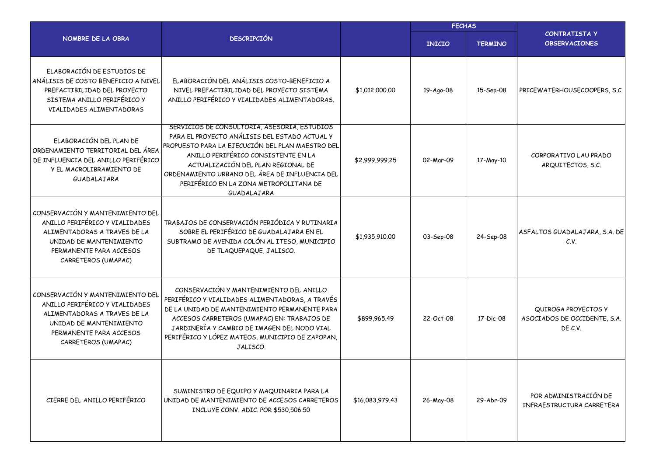|                                                                                                                                                                                 |                                                                                                                                                                                                                                                                                                                                           |                 | <b>FECHAS</b> |                |                                                                |  |
|---------------------------------------------------------------------------------------------------------------------------------------------------------------------------------|-------------------------------------------------------------------------------------------------------------------------------------------------------------------------------------------------------------------------------------------------------------------------------------------------------------------------------------------|-----------------|---------------|----------------|----------------------------------------------------------------|--|
| NOMBRE DE LA OBRA                                                                                                                                                               | <b>DESCRIPCIÓN</b>                                                                                                                                                                                                                                                                                                                        |                 | <b>INICIO</b> | <b>TERMINO</b> | <b>CONTRATISTA Y</b><br><b>OBSERVACIONES</b>                   |  |
| ELABORACIÓN DE ESTUDIOS DE<br>ANÁLISIS DE COSTO BENEFICIO A NIVEL<br>PREFACTIBILIDAD DEL PROYECTO<br>SISTEMA ANILLO PERIFÉRICO Y<br>VIALIDADES ALIMENTADORAS                    | ELABORACIÓN DEL ANÁLISIS COSTO-BENEFICIO A<br>NIVEL PREFACTIBILIDAD DEL PROYECTO SISTEMA<br>ANILLO PERIFÉRICO Y VIALIDADES ALIMENTADORAS.                                                                                                                                                                                                 | \$1,012,000.00  | 19-Ago-08     | 15-Sep-08      | PRICEWATERHOUSECOOPERS, S.C.                                   |  |
| ELABORACIÓN DEL PLAN DE<br>ORDENAMIENTO TERRITORIAL DEL ÁREA<br>DE INFLUENCIA DEL ANILLO PERIFÉRICO<br>Y EL MACROLIBRAMIENTO DE<br>GUADALAJARA                                  | SERVICIOS DE CONSULTORIA, ASESORIA, ESTUDIOS<br>PARA EL PROYECTO ANÁLISIS DEL ESTADO ACTUAL Y<br>PROPUESTO PARA LA EJECUCIÓN DEL PLAN MAESTRO DEL<br>ANILLO PERIFÉRICO CONSISTENTE EN LA<br>ACTUALIZACIÓN DEL PLAN REGIONAL DE<br>ORDENAMIENTO URBANO DEL ÁREA DE INFLUENCIA DEL<br>PERIFÉRICO EN LA ZONA METROPOLITANA DE<br>GUADALAJARA | \$2,999,999.25  | 02-Mar-09     | 17-May-10      | CORPORATIVO LAU PRADO<br>ARQUITECTOS, S.C.                     |  |
| CONSERVACIÓN Y MANTENIMIENTO DEL<br>ANILLO PERIFÉRICO Y VIALIDADES<br>ALIMENTADORAS A TRAVES DE LA<br>UNIDAD DE MANTENIMIENTO<br>PERMANENTE PARA ACCESOS<br>CARRETEROS (UMAPAC) | TRABAJOS DE CONSERVACIÓN PERIÓDICA Y RUTINARIA<br>SOBRE EL PERIFÉRICO DE GUADALAJARA EN EL<br>SUBTRAMO DE AVENIDA COLÓN AL ITESO, MUNICIPIO<br>DE TLAQUEPAQUE, JALISCO.                                                                                                                                                                   | \$1,935,910.00  | 03-Sep-08     | 24-Sep-08      | ASFALTOS GUADALAJARA, S.A. DE<br>C.V.                          |  |
| CONSERVACIÓN Y MANTENIMIENTO DEL<br>ANILLO PERIFÉRICO Y VIALIDADES<br>ALIMENTADORAS A TRAVES DE LA<br>UNIDAD DE MANTENIMIENTO<br>PERMANENTE PARA ACCESOS<br>CARRETEROS (UMAPAC) | CONSERVACIÓN Y MANTENIMIENTO DEL ANILLO<br>PERIFÉRICO Y VIALIDADES ALIMENTADORAS, A TRAVÉS<br>DE LA UNIDAD DE MANTENIMIENTO PERMANENTE PARA<br>ACCESOS CARRETEROS (UMAPAC) EN: TRABAJOS DE<br>JARDINERÍA Y CAMBIO DE IMAGEN DEL NODO VIAL<br>PERIFÉRICO Y LÓPEZ MATEOS, MUNICIPIO DE ZAPOPAN,<br>JALISCO.                                 | \$899,965.49    | 22-Oct-08     | 17-Dic-08      | QUIROGA PROYECTOS Y<br>ASOCIADOS DE OCCIDENTE, S.A.<br>DE C.V. |  |
| CIERRE DEL ANILLO PERIFÉRICO                                                                                                                                                    | SUMINISTRO DE EQUIPO Y MAQUINARIA PARA LA<br>UNIDAD DE MANTENIMIENTO DE ACCESOS CARRETEROS<br>INCLUYE CONV. ADIC. POR \$530,506.50                                                                                                                                                                                                        | \$16,083,979.43 | 26-May-08     | 29-Abr-09      | POR ADMINISTRACIÓN DE<br>INFRAESTRUCTURA CARRETERA             |  |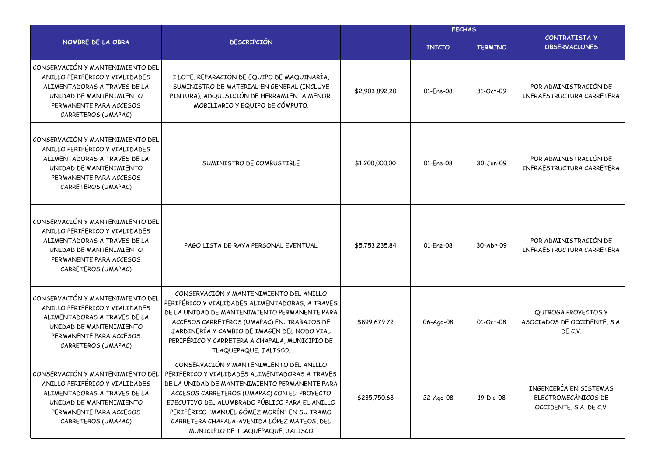|                                                                                                                                                                                 |                                                                                                                                                                                                                                                                                                                                                                                 |                | <b>FECHAS</b> |                |                                                                          |  |  |  |
|---------------------------------------------------------------------------------------------------------------------------------------------------------------------------------|---------------------------------------------------------------------------------------------------------------------------------------------------------------------------------------------------------------------------------------------------------------------------------------------------------------------------------------------------------------------------------|----------------|---------------|----------------|--------------------------------------------------------------------------|--|--|--|
| NOMBRE DE LA OBRA                                                                                                                                                               | <b>DESCRIPCIÓN</b>                                                                                                                                                                                                                                                                                                                                                              |                | <b>INICIO</b> | <b>TERMINO</b> | CONTRATISTA Y<br><b>OBSERVACIONES</b>                                    |  |  |  |
| CONSERVACIÓN Y MANTENIMIENTO DEL<br>ANILLO PERIFÉRICO Y VIALIDADES<br>ALIMENTADORAS A TRAVES DE LA<br>UNIDAD DE MANTENIMIENTO<br>PERMANENTE PARA ACCESOS<br>CARRETEROS (UMAPAC) | I LOTE, REPARACIÓN DE EQUIPO DE MAQUINARÍA,<br>SUMINISTRO DE MATERIAL EN GENERAL (INCLUYE<br>PINTURA), ADQUISICIÓN DE HERRAMIENTA MENOR,<br>MOBILIARIO Y EQUIPO DE CÓMPUTO.                                                                                                                                                                                                     | \$2,903,892.20 | 01-Ene-08     | 31-Oct-09      | POR ADMINISTRACIÓN DE<br>INFRAESTRUCTURA CARRETERA                       |  |  |  |
| CONSERVACIÓN Y MANTENIMIENTO DEL<br>ANILLO PERIFÉRICO Y VIALIDADES<br>ALIMENTADORAS A TRAVES DE LA<br>UNIDAD DE MANTENIMIENTO<br>PERMANENTE PARA ACCESOS<br>CARRETEROS (UMAPAC) | SUMINISTRO DE COMBUSTIBLE                                                                                                                                                                                                                                                                                                                                                       | \$1,200,000.00 | 01-Ene-08     | 30-Jun-09      | POR ADMINISTRACIÓN DE<br>INFRAESTRUCTURA CARRETERA                       |  |  |  |
| CONSERVACIÓN Y MANTENIMIENTO DEL<br>ANILLO PERIFÉRICO Y VIALIDADES<br>ALIMENTADORAS A TRAVES DE LA<br>UNIDAD DE MANTENIMIENTO<br>PERMANENTE PARA ACCESOS<br>CARRETEROS (UMAPAC) | PAGO LISTA DE RAYA PERSONAL EVENTUAL                                                                                                                                                                                                                                                                                                                                            | \$5,753,235.84 | 01-Ene-08     | 30-Abr-09      | POR ADMINISTRACIÓN DE<br>INFRAESTRUCTURA CARRETERA                       |  |  |  |
| CONSERVACIÓN Y MANTENIMIENTO DEL<br>ANILLO PERIFÉRICO Y VIALIDADES<br>ALIMENTADORAS A TRAVES DE LA<br>UNIDAD DE MANTENIMIENTO<br>PERMANENTE PARA ACCESOS<br>CARRETEROS (UMAPAC) | CONSERVACIÓN Y MANTENIMIENTO DEL ANILLO<br>PERIFÉRICO Y VIALIDADES ALIMENTADORAS, A TRAVES<br>DE LA UNIDAD DE MANTENIMIENTO PERMANENTE PARA<br>ACCESOS CARRETEROS (UMAPAC) EN: TRABAJOS DE<br>JARDINERÍA Y CAMBIO DE IMAGEN DEL NODO VIAL<br>PERIFÉRICO Y CARRETERA A CHAPALA, MUNICIPIO DE<br>TLAQUEPAQUE, JALISCO.                                                            | \$899,679.72   | 06-Ago-08     | 01-Oct-08      | QUIROGA PROYECTOS Y<br>ASOCIADOS DE OCCIDENTE, S.A.<br>DE C.V.           |  |  |  |
| CONSERVACIÓN Y MANTENIMIENTO DEL<br>ANILLO PERIFÉRICO Y VIALIDADES<br>ALIMENTADORAS A TRAVES DE LA<br>UNIDAD DE MANTENIMIENTO<br>PERMANENTE PARA ACCESOS<br>CARRETEROS (UMAPAC) | CONSERVACIÓN Y MANTENIMIENTO DEL ANILLO<br>PERIFÉRICO Y VIALIDADES ALIMENTADORAS A TRAVES<br>DE LA UNIDAD DE MANTENIMIENTO PERMANENTE PARA<br>ACCESOS CARRETEROS (UMAPAC) CON EL: PROYECTO<br>EJECUTIVO DEL ALUMBRADO PÚBLICO PARA EL ANILLO<br>PERIFÉRICO "MANUEL GÓMEZ MORÍN" EN SU TRAMO<br>CARRETERA CHAPALA-AVENIDA LÓPEZ MATEOS, DEL<br>MUNICIPIO DE TLAQUEPAQUE, JALISCO | \$235,750.68   | 22-Ago-08     | 19-Dic-08      | INGENIERÍA EN SISTEMAS<br>ELECTROMECÁNICOS DE<br>OCCIDENTE, S.A. DE C.V. |  |  |  |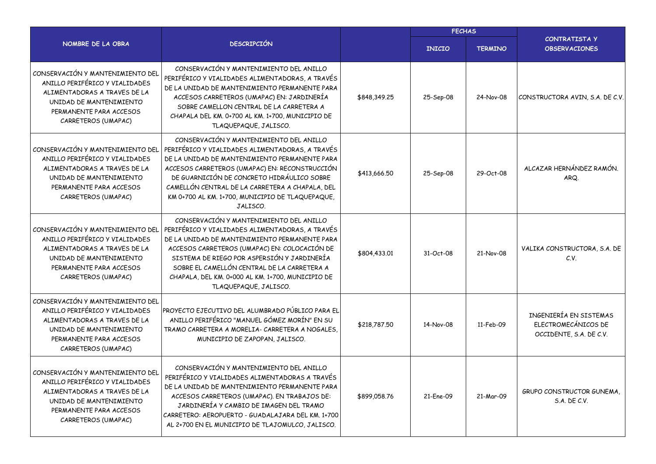|                                                                                                                                                                                 |                                                                                                                                                                                                                                                                                                                                                                          |              | <b>FECHAS</b> |                |                                                                          |  |  |
|---------------------------------------------------------------------------------------------------------------------------------------------------------------------------------|--------------------------------------------------------------------------------------------------------------------------------------------------------------------------------------------------------------------------------------------------------------------------------------------------------------------------------------------------------------------------|--------------|---------------|----------------|--------------------------------------------------------------------------|--|--|
| NOMBRE DE LA OBRA                                                                                                                                                               | <b>DESCRIPCIÓN</b>                                                                                                                                                                                                                                                                                                                                                       |              | <b>INICIO</b> | <b>TERMINO</b> | <b>CONTRATISTA Y</b><br><b>OBSERVACIONES</b>                             |  |  |
| CONSERVACIÓN Y MANTENIMIENTO DEL<br>ANILLO PERIFÉRICO Y VIALIDADES<br>ALIMENTADORAS A TRAVES DE LA<br>UNIDAD DE MANTENIMIENTO<br>PERMANENTE PARA ACCESOS<br>CARRETEROS (UMAPAC) | CONSERVACIÓN Y MANTENIMIENTO DEL ANILLO<br>PERIFÉRICO Y VIALIDADES ALIMENTADORAS, A TRAVÉS<br>DE LA UNIDAD DE MANTENIMIENTO PERMANENTE PARA<br>ACCESOS CARRETEROS (UMAPAC) EN: JARDINERÍA<br>SOBRE CAMELLON CENTRAL DE LA CARRETERA A<br>CHAPALA DEL KM. 0+700 AL KM. 1+700, MUNICIPIO DE<br>TLAQUEPAQUE, JALISCO.                                                       | \$848,349.25 | 25-Sep-08     | 24-Nov-08      | CONSTRUCTORA AVIN, S.A. DE C.V.                                          |  |  |
| CONSERVACIÓN Y MANTENIMIENTO DEL<br>ANILLO PERIFÉRICO Y VIALIDADES<br>ALIMENTADORAS A TRAVES DE LA<br>UNIDAD DE MANTENIMIENTO<br>PERMANENTE PARA ACCESOS<br>CARRETEROS (UMAPAC) | CONSERVACIÓN Y MANTENIMIENTO DEL ANILLO<br>PERIFÉRICO Y VIALIDADES ALIMENTADORAS, A TRAVÉS<br>DE LA UNIDAD DE MANTENIMIENTO PERMANENTE PARA<br>ACCESOS CARRETEROS (UMAPAC) EN: RECONSTRUCCIÓN<br>DE GUARNICIÓN DE CONCRETO HIDRÁULICO SOBRE<br>CAMELLÓN CENTRAL DE LA CARRETERA A CHAPALA, DEL<br>KM 0+700 AL KM. 1+700, MUNICIPIO DE TLAQUEPAQUE,<br>JALISCO.           | \$413,666.50 | 25-Sep-08     | 29-Oct-08      | ALCAZAR HERNÁNDEZ RAMÓN.<br>ARQ.                                         |  |  |
| CONSERVACIÓN Y MANTENIMIENTO DEL<br>ANILLO PERIFÉRICO Y VIALIDADES<br>ALIMENTADORAS A TRAVES DE LA<br>UNIDAD DE MANTENIMIENTO<br>PERMANENTE PARA ACCESOS<br>CARRETEROS (UMAPAC) | CONSERVACIÓN Y MANTENIMIENTO DEL ANILLO<br>PERIFÉRICO Y VIALIDADES ALIMENTADORAS, A TRAVÉS<br>DE LA UNIDAD DE MANTENIMIENTO PERMANENTE PARA<br>ACCESOS CARRETEROS (UMAPAC) EN: COLOCACIÓN DE<br>SISTEMA DE RIEGO POR ASPERSIÓN Y JARDINERÍA<br>SOBRE EL CAMELLÓN CENTRAL DE LA CARRETERA A<br>CHAPALA, DEL KM. 0+000 AL KM. 1+700, MUNICIPIO DE<br>TLAQUEPAQUE, JALISCO. | \$804,433.01 | 31-Oct-08     | 21-Nov-08      | VALIKA CONSTRUCTORA, S.A. DE<br>C.V.                                     |  |  |
| CONSERVACIÓN Y MANTENIMIENTO DEL<br>ANILLO PERIFÉRICO Y VIALIDADES<br>ALIMENTADORAS A TRAVES DE LA<br>UNIDAD DE MANTENIMIENTO<br>PERMANENTE PARA ACCESOS<br>CARRETEROS (UMAPAC) | PROYECTO EJECUTIVO DEL ALUMBRADO PÚBLICO PARA EL<br>ANILLO PERIFÉRICO "MANUEL GÓMEZ MORÍN" EN SU<br>TRAMO CARRETERA A MORELIA- CARRETERA A NOGALES,<br>MUNICIPIO DE ZAPOPAN, JALISCO.                                                                                                                                                                                    | \$218,787.50 | 14-Nov-08     | 11-Feb-09      | INGENIERÍA EN SISTEMAS<br>ELECTROMECÁNICOS DE<br>OCCIDENTE, S.A. DE C.V. |  |  |
| CONSERVACIÓN Y MANTENIMIENTO DEL<br>ANILLO PERIFÉRICO Y VIALIDADES<br>ALIMENTADORAS A TRAVES DE LA<br>UNIDAD DE MANTENIMIENTO<br>PERMANENTE PARA ACCESOS<br>CARRETEROS (UMAPAC) | CONSERVACIÓN Y MANTENIMIENTO DEL ANILLO<br>PERIFÉRICO Y VIALIDADES ALIMENTADORAS A TRAVÉS<br>DE LA UNIDAD DE MANTENIMIENTO PERMANENTE PARA<br>ACCESOS CARRETEROS (UMAPAC). EN TRABAJOS DE:<br>JARDINERÍA Y CAMBIO DE IMAGEN DEL TRAMO<br>CARRETERO: AEROPUERTO - GUADALAJARA DEL KM. 1+700<br>AL 2+700 EN EL MUNICIPIO DE TLAJOMULCO, JALISCO.                           | \$899,058.76 | 21-Ene-09     | 21-Mar-09      | GRUPO CONSTRUCTOR GUNEMA,<br>S.A. DE C.V.                                |  |  |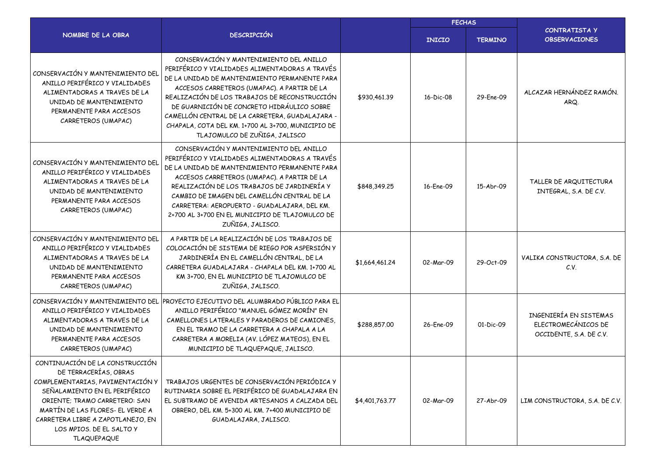|                                                                                                                                                                                                                                                                                           |                                                                                                                                                                                                                                                                                                                                                                                                                                    |                | <b>FECHAS</b> |                |                                                                          |
|-------------------------------------------------------------------------------------------------------------------------------------------------------------------------------------------------------------------------------------------------------------------------------------------|------------------------------------------------------------------------------------------------------------------------------------------------------------------------------------------------------------------------------------------------------------------------------------------------------------------------------------------------------------------------------------------------------------------------------------|----------------|---------------|----------------|--------------------------------------------------------------------------|
| NOMBRE DE LA OBRA                                                                                                                                                                                                                                                                         | <b>DESCRIPCIÓN</b>                                                                                                                                                                                                                                                                                                                                                                                                                 |                | <b>INICIO</b> | <b>TERMINO</b> | <b>CONTRATISTA Y</b><br><b>OBSERVACIONES</b>                             |
| CONSERVACIÓN Y MANTENIMIENTO DEL<br>ANILLO PERIFÉRICO Y VIALIDADES<br>ALIMENTADORAS A TRAVES DE LA<br>UNIDAD DE MANTENIMIENTO<br>PERMANENTE PARA ACCESOS<br>CARRETEROS (UMAPAC)                                                                                                           | CONSERVACIÓN Y MANTENIMIENTO DEL ANILLO<br>PERIFÉRICO Y VIALIDADES ALIMENTADORAS A TRAVÉS<br>DE LA UNIDAD DE MANTENIMIENTO PERMANENTE PARA<br>ACCESOS CARRETEROS (UMAPAC). A PARTIR DE LA<br>REALIZACIÓN DE LOS TRABAJOS DE RECONSTRUCCIÓN<br>DE GUARNICIÓN DE CONCRETO HIDRÁULICO SOBRE<br>CAMELLÓN CENTRAL DE LA CARRETERA, GUADALAJARA -<br>CHAPALA, COTA DEL KM. 1+700 AL 3+700, MUNICIPIO DE<br>TLAJOMULCO DE ZUÑIGA, JALISCO | \$930,461.39   | 16-Dic-08     | 29-Ene-09      | ALCAZAR HERNÁNDEZ RAMÓN.<br>ARQ.                                         |
| CONSERVACIÓN Y MANTENIMIENTO DEL<br>ANILLO PERIFÉRICO Y VIALIDADES<br>ALIMENTADORAS A TRAVES DE LA<br>UNIDAD DE MANTENIMIENTO<br>PERMANENTE PARA ACCESOS<br>CARRETEROS (UMAPAC)                                                                                                           | CONSERVACIÓN Y MANTENIMIENTO DEL ANILLO<br>PERIFÉRICO Y VIALIDADES ALIMENTADORAS A TRAVÉS<br>DE LA UNIDAD DE MANTENIMIENTO PERMANENTE PARA<br>ACCESOS CARRETEROS (UMAPAC). A PARTIR DE LA<br>REALIZACIÓN DE LOS TRABAJOS DE JARDINERÍA Y<br>CAMBIO DE IMAGEN DEL CAMELLÓN CENTRAL DE LA<br>CARRETERA: AEROPUERTO - GUADALAJARA, DEL KM.<br>2+700 AL 3+700 EN EL MUNICIPIO DE TLAJOMULCO DE<br>ZUÑIGA, JALISCO.                     | \$848,349.25   | 16-Ene-09     | 15-Abr-09      | TALLER DE ARQUITECTURA<br>INTEGRAL, S.A. DE C.V.                         |
| CONSERVACIÓN Y MANTENIMIENTO DEL<br>ANILLO PERIFÉRICO Y VIALIDADES<br>ALIMENTADORAS A TRAVES DE LA<br>UNIDAD DE MANTENIMIENTO<br>PERMANENTE PARA ACCESOS<br>CARRETEROS (UMAPAC)                                                                                                           | A PARTIR DE LA REALIZACIÓN DE LOS TRABAJOS DE<br>COLOCACIÓN DE SISTEMA DE RIEGO POR ASPERSIÓN Y<br>JARDINERÍA EN EL CAMELLÓN CENTRAL, DE LA<br>CARRETERA GUADALAJARA - CHAPALA DEL KM. 1+700 AL<br>KM 3+700, EN EL MUNICIPIO DE TLAJOMULCO DE<br>ZUÑIGA, JALISCO.                                                                                                                                                                  | \$1,664,461.24 | 02-Mar-09     | 29-Oct-09      | VALIKA CONSTRUCTORA, S.A. DE<br>C.V.                                     |
| ANILLO PERIFÉRICO Y VIALIDADES<br>ALIMENTADORAS A TRAVES DE LA<br>UNIDAD DE MANTENIMIENTO<br>PERMANENTE PARA ACCESOS<br>CARRETEROS (UMAPAC)                                                                                                                                               | CONSERVACIÓN Y MANTENIMIENTO DEL PROYECTO EJECUTIVO DEL ALUMBRADO PÚBLICO PARA EL<br>ANILLO PERIFÉRICO "MANUEL GÓMEZ MORÍN" EN<br>CAMELLONES LATERALES Y PARADEROS DE CAMIONES.<br>EN EL TRAMO DE LA CARRETERA A CHAPALA A LA<br>CARRETERA A MORELIA (AV. LÓPEZ MATEOS), EN EL<br>MUNICIPIO DE TLAQUEPAQUE, JALISCO.                                                                                                               | \$288,857.00   | 26-Fne-09     | 01-Dic-09      | INGENIERÍA EN SISTEMAS<br>ELECTROMECÁNICOS DE<br>OCCIDENTE, S.A. DE C.V. |
| CONTINUACIÓN DE LA CONSTRUCCIÓN<br>DE TERRACERÍAS, OBRAS<br>COMPLEMENTARIAS, PAVIMENTACIÓN Y<br>SEÑALAMIENTO EN EL PERIFÉRICO<br>ORIENTE; TRAMO CARRETERO: SAN<br>MARTÍN DE LAS FLORES- EL VERDE A<br>CARRETERA LIBRE A ZAPOTLANEJO, EN<br>LOS MPIOS. DE EL SALTO Y<br><b>TLAQUEPAQUE</b> | TRABAJOS URGENTES DE CONSERVACIÓN PERIÓDICA Y<br>RUTINARIA SOBRE EL PERIFÉRICO DE GUADALAJARA EN<br>EL SUBTRAMO DE AVENIDA ARTESANOS A CALZADA DEL<br>OBRERO, DEL KM. 5+300 AL KM. 7+400 MUNICIPIO DE<br>GUADALAJARA, JALISCO.                                                                                                                                                                                                     | \$4,401,763.77 | 02-Mar-09     | 27-Abr-09      | LIM CONSTRUCTORA, S.A. DE C.V.                                           |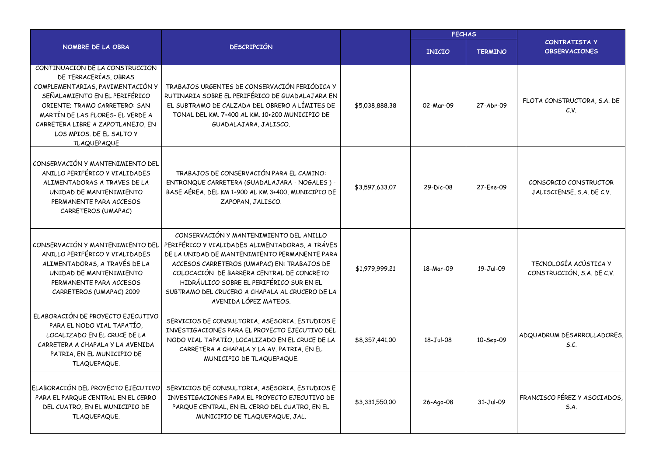|                                                                                                                                                                                                                                                                                           |                                                                                                                                                                                                                                                                                                                                                                 |                | <b>FECHAS</b> |                |                                                     |  |  |
|-------------------------------------------------------------------------------------------------------------------------------------------------------------------------------------------------------------------------------------------------------------------------------------------|-----------------------------------------------------------------------------------------------------------------------------------------------------------------------------------------------------------------------------------------------------------------------------------------------------------------------------------------------------------------|----------------|---------------|----------------|-----------------------------------------------------|--|--|
| NOMBRE DE LA OBRA                                                                                                                                                                                                                                                                         | <b>DESCRIPCIÓN</b>                                                                                                                                                                                                                                                                                                                                              |                | <b>INICIO</b> | <b>TERMINO</b> | <b>CONTRATISTA Y</b><br><b>OBSERVACIONES</b>        |  |  |
| CONTINUACIÓN DE LA CONSTRUCCIÓN<br>DE TERRACERÍAS, OBRAS<br>COMPLEMENTARIAS, PAVIMENTACIÓN Y<br>SEÑALAMIENTO EN EL PERIFÉRICO<br>ORIENTE; TRAMO CARRETERO: SAN<br>MARTÍN DE LAS FLORES- EL VERDE A<br>CARRETERA LIBRE A ZAPOTLANEJO, EN<br>LOS MPIOS. DE EL SALTO Y<br><b>TLAQUEPAQUE</b> | TRABAJOS URGENTES DE CONSERVACIÓN PERIÓDICA Y<br>RUTINARIA SOBRE EL PERIFÉRICO DE GUADALAJARA EN<br>EL SUBTRAMO DE CALZADA DEL OBRERO A LÍMITES DE<br>TONAL DEL KM. 7+400 AL KM. 10+200 MUNICIPIO DE<br>GUADALAJARA, JALISCO.                                                                                                                                   | \$5,038,888.38 | 02-Mar-09     | 27-Abr-09      | FLOTA CONSTRUCTORA, S.A. DE<br>C.V.                 |  |  |
| CONSERVACIÓN Y MANTENIMIENTO DEL<br>ANILLO PERIFÉRICO Y VIALIDADES<br>ALIMENTADORAS A TRAVES DE LA<br>UNIDAD DE MANTENIMIENTO<br>PERMANENTE PARA ACCESOS<br>CARRETEROS (UMAPAC)                                                                                                           | TRABAJOS DE CONSERVACIÓN PARA EL CAMINO:<br>ENTRONQUE CARRETERA (GUADALAJARA - NOGALES) -<br>BASE AÉREA, DEL KM 1+900 AL KM 3+400, MUNICIPIO DE<br>ZAPOPAN, JALISCO.                                                                                                                                                                                            | \$3,597,633.07 | 29-Dic-08     | 27-Ene-09      | CONSORCIO CONSTRUCTOR<br>JALISCIENSE, S.A. DE C.V.  |  |  |
| CONSERVACIÓN Y MANTENIMIENTO DEL<br>ANILLO PERIFÉRICO Y VIALIDADES<br>ALIMENTADORAS, A TRAVÉS DE LA<br>UNIDAD DE MANTENIMIENTO<br>PERMANENTE PARA ACCESOS<br>CARRETEROS (UMAPAC) 2009                                                                                                     | CONSERVACIÓN Y MANTENIMIENTO DEL ANILLO<br>PERIFÉRICO Y VIALIDADES ALIMENTADORAS, A TRÁVES<br>DE LA UNIDAD DE MANTENIMIENTO PERMANENTE PARA<br>ACCESOS CARRETEROS (UMAPAC) EN: TRABAJOS DE<br>COLOCACIÓN DE BARRERA CENTRAL DE CONCRETO<br>HIDRÁULICO SOBRE EL PERIFÉRICO SUR EN EL<br>SUBTRAMO DEL CRUCERO A CHAPALA AL CRUCERO DE LA<br>AVENIDA LÓPEZ MATEOS. | \$1,979,999.21 | 18-Mar-09     | 19-Jul-09      | TECNOLOGÍA ACÚSTICA Y<br>CONSTRUCCIÓN, S.A. DE C.V. |  |  |
| ELABORACIÓN DE PROYECTO EJECUTIVO<br>PARA EL NODO VIAL TAPATÍO,<br>LOCALIZADO EN EL CRUCE DE LA<br>CARRETERA A CHAPALA Y LA AVENIDA<br>PATRIA, EN EL MUNICIPIO DE<br>TLAQUEPAQUE.                                                                                                         | SERVICIOS DE CONSULTORIA, ASESORIA, ESTUDIOS E<br>INVESTIGACIONES PARA EL PROYECTO EJECUTIVO DEL<br>NODO VIAL TAPATÍO, LOCALIZADO EN EL CRUCE DE LA<br>CARRETERA A CHAPALA Y LA AV. PATRIA, EN EL<br>MUNICIPIO DE TLAQUEPAQUE.                                                                                                                                  | \$8,357,441.00 | 18-Jul-08     | 10-Sep-09      | ADQUADRUM DESARROLLADORES.<br>S.C.                  |  |  |
| ELABORACIÓN DEL PROYECTO EJECUTIVO<br>PARA EL PARQUE CENTRAL EN EL CERRO<br>DEL CUATRO, EN EL MUNICIPIO DE<br>TLAQUEPAQUE.                                                                                                                                                                | SERVICIOS DE CONSULTORIA, ASESORIA, ESTUDIOS E<br>INVESTIGACIONES PARA EL PROYECTO EJECUTIVO DE<br>PARQUE CENTRAL, EN EL CERRO DEL CUATRO, EN EL<br>MUNICIPIO DE TLAQUEPAQUE, JAL.                                                                                                                                                                              | \$3,331,550.00 | 26-Ago-08     | 31-Jul-09      | FRANCISCO PÉREZ Y ASOCIADOS,<br>S.A.                |  |  |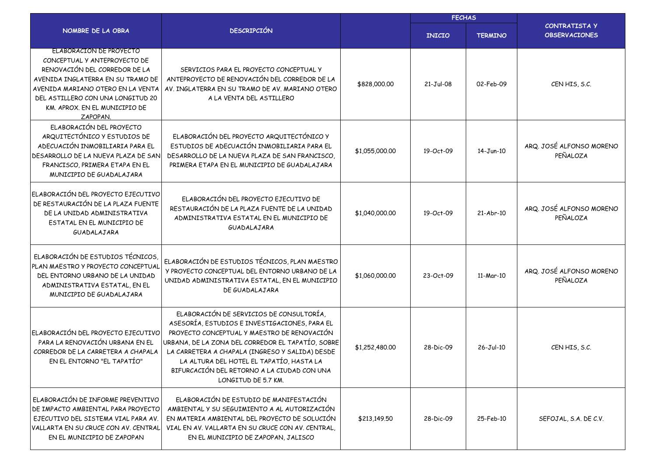|                                                                                                                                                                                                                                                      |                                                                                                                                                                                                                                                                                                                                                                    |                | <b>FECHAS</b> |                |                                              |  |
|------------------------------------------------------------------------------------------------------------------------------------------------------------------------------------------------------------------------------------------------------|--------------------------------------------------------------------------------------------------------------------------------------------------------------------------------------------------------------------------------------------------------------------------------------------------------------------------------------------------------------------|----------------|---------------|----------------|----------------------------------------------|--|
| NOMBRE DE LA OBRA                                                                                                                                                                                                                                    | <b>DESCRIPCIÓN</b>                                                                                                                                                                                                                                                                                                                                                 |                | <b>INICIO</b> | <b>TERMINO</b> | <b>CONTRATISTA Y</b><br><b>OBSERVACIONES</b> |  |
| ELABORACION DE PROYECTO<br>CONCEPTUAL Y ANTEPROYECTO DE<br>RENOVACIÓN DEL CORREDOR DE LA<br>AVENIDA INGLATERRA EN SU TRAMO DE<br>AVENIDA MARIANO OTERO EN LA VENTA<br>DEL ASTILLERO CON UNA LONGITUD 20<br>KM. APROX. EN EL MUNICIPIO DE<br>ZAPOPAN. | SERVICIOS PARA EL PROYECTO CONCEPTUAL Y<br>ANTEPROYECTO DE RENOVACIÓN DEL CORREDOR DE LA<br>AV. INGLATERRA EN SU TRAMO DE AV. MARIANO OTERO<br>A LA VENTA DEL ASTILLERO                                                                                                                                                                                            | \$828,000.00   | $21-Jul-08$   | 02-Feb-09      | CENHIS, S.C.                                 |  |
| ELABORACIÓN DEL PROYECTO<br>ARQUITECTÓNICO Y ESTUDIOS DE<br>ADECUACIÓN INMOBILIARIA PARA EL<br>DESARROLLO DE LA NUEVA PLAZA DE SAN<br>FRANCISCO, PRIMERA ETAPA EN EL<br>MUNICIPIO DE GUADALAJARA                                                     | ELABORACIÓN DEL PROYECTO ARQUITECTÓNICO Y<br>ESTUDIOS DE ADECUACIÓN INMOBILIARIA PARA EL<br>DESARROLLO DE LA NUEVA PLAZA DE SAN FRANCISCO.<br>PRIMERA ETAPA EN EL MUNICIPIO DE GUADALAJARA                                                                                                                                                                         | \$1,055,000.00 | 19-Oct-09     | 14-Jun-10      | ARQ. JOSÉ ALFONSO MORENO<br>PEÑALOZA         |  |
| ELABORACIÓN DEL PROYECTO EJECUTIVO<br>DE RESTAURACIÓN DE LA PLAZA FUENTE<br>DE LA UNIDAD ADMINISTRATIVA<br>ESTATAL EN EL MUNICIPIO DE<br>GUADALAJARA                                                                                                 | ELABORACIÓN DEL PROYECTO EJECUTIVO DE<br>RESTAURACIÓN DE LA PLAZA FUENTE DE LA UNIDAD<br>ADMINISTRATIVA ESTATAL EN EL MUNICIPIO DE<br>GUADALAJARA                                                                                                                                                                                                                  | \$1,040,000.00 | 19-Oct-09     | 21-Abr-10      | ARQ. JOSÉ ALFONSO MORENO<br>PEÑALOZA         |  |
| ELABORACIÓN DE ESTUDIOS TÉCNICOS<br>PLAN MAESTRO Y PROYECTO CONCEPTUAL<br>DEL ENTORNO URBANO DE LA UNIDAD<br>ADMINISTRATIVA ESTATAL, EN EL<br>MUNICIPIO DE GUADALAJARA                                                                               | ELABORACIÓN DE ESTUDIOS TÉCNICOS, PLAN MAESTRO<br>Y PROYECTO CONCEPTUAL DEL ENTORNO URBANO DE LA<br>UNIDAD ADMINISTRATIVA ESTATAL, EN EL MUNICIPIO<br>DE GUADALAJARA                                                                                                                                                                                               | \$1,060,000.00 | 23-Oct-09     | 11-Mar-10      | ARQ. JOSÉ ALFONSO MORENO<br>PEÑALOZA         |  |
| ELABORACIÓN DEL PROYECTO EJECUTIVO<br>PARA LA RENOVACIÓN URBANA EN EL<br>CORREDOR DE LA CARRETERA A CHAPALA<br>EN EL ENTORNO "EL TAPATÍO"                                                                                                            | ELABORACIÓN DE SERVICIOS DE CONSULTORÍA,<br>ASESORÍA, ESTUDIOS E INVESTIGACIONES, PARA EL<br>PROYECTO CONCEPTUAL Y MAESTRO DE RENOVACIÓN<br>URBANA, DE LA ZONA DEL CORREDOR EL TAPATÍO, SOBRE<br>LA CARRETERA A CHAPALA (INGRESO Y SALIDA) DESDE<br>LA ALTURA DEL HOTEL EL TAPATÍO, HASTA LA<br>BIFURCACIÓN DEL RETORNO A LA CIUDAD CON UNA<br>LONGITUD DE 5.7 KM. | \$1,252,480.00 | 28-Dic-09     | 26-Jul-10      | CEN HIS, S.C.                                |  |
| ELABORACIÓN DE INFORME PREVENTIVO<br>DE IMPACTO AMBIENTAL PARA PROYECTO<br>EJECUTIVO DEL SISTEMA VIAL PARA AV.<br>VALLARTA EN SU CRUCE CON AV. CENTRAL <br>EN EL MUNICIPIO DE ZAPOPAN                                                                | ELABORACIÓN DE ESTUDIO DE MANIFESTACIÓN<br>AMBIENTAL Y SU SEGUIMIENTO A AL AUTORIZACIÓN<br>EN MATERIA AMBIENTAL DEL PROYECTO DE SOLUCIÓN<br>VIAL EN AV. VALLARTA EN SU CRUCE CON AV. CENTRAL.<br>EN EL MUNICIPIO DE ZAPOPAN, JALISCO                                                                                                                               | \$213,149.50   | 28-Dic-09     | 25-Feb-10      | SEFOJAL, S.A. DE C.V.                        |  |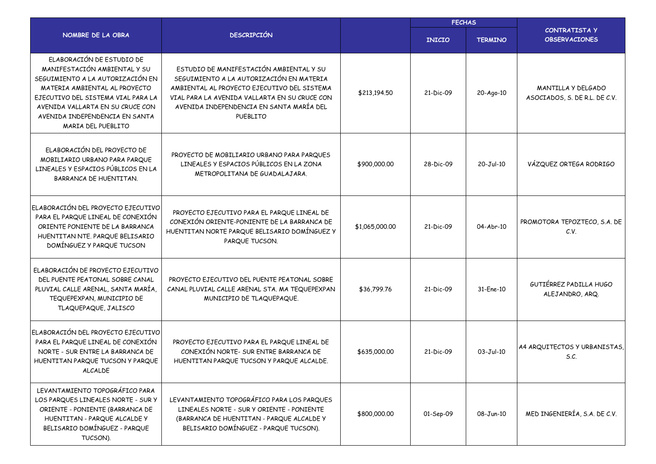|                                                                                                                                                                                                                                                                  |                                                                                                                                                                                                                                             |                | <b>FECHAS</b> |                |                                                     |  |
|------------------------------------------------------------------------------------------------------------------------------------------------------------------------------------------------------------------------------------------------------------------|---------------------------------------------------------------------------------------------------------------------------------------------------------------------------------------------------------------------------------------------|----------------|---------------|----------------|-----------------------------------------------------|--|
| NOMBRE DE LA OBRA                                                                                                                                                                                                                                                | <b>DESCRIPCIÓN</b>                                                                                                                                                                                                                          |                | <b>INICIO</b> | <b>TERMINO</b> | <b>CONTRATISTA Y</b><br><b>OBSERVACIONES</b>        |  |
| ELABORACIÓN DE ESTUDIO DE<br>MANIFESTACIÓN AMBIENTAL Y SU<br>SEGUIMIENTO A LA AUTORIZACIÓN EN<br>MATERIA AMBIENTAL AL PROYECTO<br>EJECUTIVO DEL SISTEMA VIAL PARA LA<br>AVENIDA VALLARTA EN SU CRUCE CON<br>AVENIDA INDEPENDENCIA EN SANTA<br>MARIA DEL PUEBLITO | ESTUDIO DE MANIFESTACIÓN AMBIENTAL Y SU<br>SEGUIMIENTO A LA AUTORIZACIÓN EN MATERIA<br>AMBIENTAL AL PROYECTO EJECUTIVO DEL SISTEMA<br>VIAL PARA LA AVENIDA VALLARTA EN SU CRUCE CON<br>AVENIDA INDEPENDENCIA EN SANTA MARÍA DEL<br>PUEBLITO | \$213,194.50   | 21-Dic-09     | 20-Ago-10      | MANTILLA Y DELGADO<br>ASOCIADOS, S. DE R.L. DE C.V. |  |
| ELABORACIÓN DEL PROYECTO DE<br>MOBILIARIO URBANO PARA PARQUE<br>LINEALES Y ESPACIOS PÚBLICOS EN LA<br>BARRANCA DE HUENTITAN.                                                                                                                                     | PROYECTO DE MOBILIARIO URBANO PARA PARQUES<br>LINEALES Y ESPACIOS PÚBLICOS EN LA ZONA<br>METROPOLITANA DE GUADALAJARA.                                                                                                                      | \$900,000.00   | 28-Dic-09     | 20-Jul-10      | VÁZQUEZ ORTEGA RODRIGO                              |  |
| ELABORACIÓN DEL PROYECTO EJECUTIVO<br>PARA EL PARQUE LINEAL DE CONEXIÓN<br>ORIENTE PONIENTE DE LA BARRANCA<br>HUENTITAN NTE. PARQUE BELISARIO<br>DOMÍNGUEZ Y PARQUE TUCSON                                                                                       | PROYECTO EJECUTIVO PARA EL PARQUE LINEAL DE<br>CONEXIÓN ORIENTE-PONIENTE DE LA BARRANCA DE<br>HUENTITAN NORTE PARQUE BELISARIO DOMÍNGUEZ Y<br>PARQUE TUCSON.                                                                                | \$1,065,000.00 | 21-Dic-09     | 04-Abr-10      | PROMOTORA TEPOZTECO, S.A. DE<br>C.V.                |  |
| ELABORACIÓN DE PROYECTO EJECUTIVO<br>DEL PUENTE PEATONAL SOBRE CANAL<br>PLUVIAL CALLE ARENAL, SANTA MARÍA,<br>TEQUEPEXPAN, MUNICIPIO DE<br>TLAQUEPAQUE, JALISCO                                                                                                  | PROYECTO EJECUTIVO DEL PUENTE PEATONAL SOBRE<br>CANAL PLUVIAL CALLE ARENAL STA. MA TEQUEPEXPAN<br>MUNICIPIO DE TLAQUEPAQUE.                                                                                                                 | \$36,799.76    | 21-Dic-09     | 31-Ene-10      | GUTIÉRREZ PADILLA HUGO<br>ALEJANDRO, ARQ.           |  |
| ELABORACIÓN DEL PROYECTO EJECUTIVO<br>PARA EL PARQUE LINEAL DE CONEXIÓN<br>NORTE - SUR ENTRE LA BARRANCA DE<br>HUENTITAN PARQUE TUCSON Y PARQUE<br><b>ALCALDE</b>                                                                                                | PROYECTO EJECUTIVO PARA EL PARQUE LINEAL DE<br>CONEXIÓN NORTE- SUR ENTRE BARRANCA DE<br>HUENTITAN PARQUE TUCSON Y PARQUE ALCALDE.                                                                                                           | \$635,000.00   | 21-Dic-09     | $03-Jul-10$    | A4 ARQUITECTOS Y URBANISTAS,<br>S.C.                |  |
| LEVANTAMIENTO TOPOGRÁFICO PARA<br>LOS PARQUES LINEALES NORTE - SUR Y<br>ORIENTE - PONIENTE (BARRANCA DE<br>HUENTITAN - PARQUE ALCALDE Y<br>BELISARIO DOMÍNGUEZ - PARQUE<br>TUCSON).                                                                              | LEVANTAMIENTO TOPOGRÁFICO PARA LOS PARQUES<br>LINEALES NORTE - SUR Y ORIENTE - PONIENTE<br>(BARRANCA DE HUENTITAN - PARQUE ALCALDE Y<br>BELISARIO DOMÍNGUEZ - PARQUE TUCSON).                                                               | \$800,000.00   | 01-Sep-09     | 08-Jun-10      | MED INGENIERÍA, S.A. DE C.V.                        |  |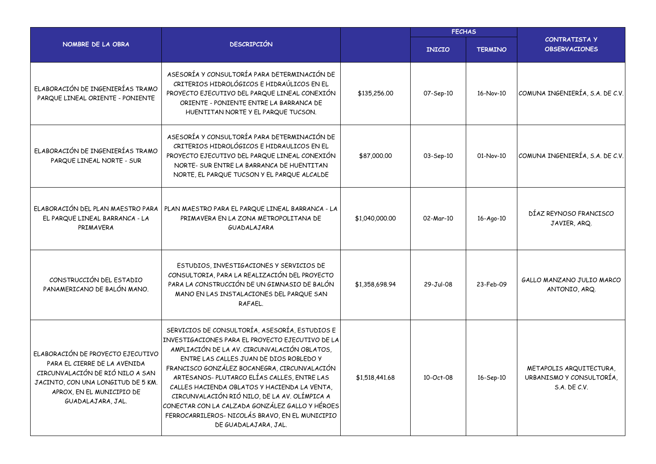|                                                                                                                                                                                               |                                                                                                                                                                                                                                                                                                                                                                                                                                                                                                                            | <b>FECHAS</b>  |               |                |                                                                     |
|-----------------------------------------------------------------------------------------------------------------------------------------------------------------------------------------------|----------------------------------------------------------------------------------------------------------------------------------------------------------------------------------------------------------------------------------------------------------------------------------------------------------------------------------------------------------------------------------------------------------------------------------------------------------------------------------------------------------------------------|----------------|---------------|----------------|---------------------------------------------------------------------|
| NOMBRE DE LA OBRA                                                                                                                                                                             | <b>DESCRIPCIÓN</b>                                                                                                                                                                                                                                                                                                                                                                                                                                                                                                         |                | <b>INICIO</b> | <b>TERMINO</b> | <b>CONTRATISTA Y</b><br><b>OBSERVACIONES</b>                        |
| ELABORACIÓN DE INGENIERÍAS TRAMO<br>PARQUE LINEAL ORIENTE - PONIENTE                                                                                                                          | ASESORÍA Y CONSULTORÍA PARA DETERMINACIÓN DE<br>CRITERIOS HIDROLÓGICOS E HIDRAÚLICOS EN EL<br>PROYECTO EJECUTIVO DEL PARQUE LINEAL CONEXIÓN<br>ORIENTE - PONIENTE ENTRE LA BARRANCA DE<br>HUENTITAN NORTE Y EL PARQUE TUCSON.                                                                                                                                                                                                                                                                                              | \$135,256.00   | 07-Sep-10     | 16-Nov-10      | COMUNA INGENIERÍA, S.A. DE C.V.                                     |
| ELABORACIÓN DE INGENIERÍAS TRAMO<br>PARQUE LINEAL NORTE - SUR                                                                                                                                 | ASESORÍA Y CONSULTORÍA PARA DETERMINACIÓN DE<br>CRITERIOS HIDROLÓGICOS E HIDRAULICOS EN EL<br>PROYECTO EJECUTIVO DEL PARQUE LINEAL CONEXIÓN<br>NORTE- SUR ENTRE LA BARRANCA DE HUENTITAN<br>NORTE, EL PARQUE TUCSON Y EL PARQUE ALCALDE                                                                                                                                                                                                                                                                                    | \$87,000.00    | 03-Sep-10     | 01-Nov-10      | COMUNA INGENIERÍA, S.A. DE C.V.                                     |
| ELABORACIÓN DEL PLAN MAESTRO PARA<br>EL PARQUE LINEAL BARRANCA - LA<br>PRIMAVERA                                                                                                              | PLAN MAESTRO PARA EL PARQUE LINEAL BARRANCA - LA<br>PRIMAVERA EN LA ZONA METROPOLITANA DE<br>GUADALAJARA                                                                                                                                                                                                                                                                                                                                                                                                                   | \$1,040,000.00 | 02-Mar-10     | 16-Ago-10      | DÍAZ REYNOSO FRANCISCO<br>JAVIER, ARQ.                              |
| CONSTRUCCIÓN DEL ESTADIO<br>PANAMERICANO DE BALÓN MANO.                                                                                                                                       | ESTUDIOS, INVESTIGACIONES Y SERVICIOS DE<br>CONSULTORIA, PARA LA REALIZACIÓN DEL PROYECTO<br>PARA LA CONSTRUCCIÓN DE UN GIMNASIO DE BALÓN<br>MANO EN LAS INSTALACIONES DEL PARQUE SAN<br>RAFAEL.                                                                                                                                                                                                                                                                                                                           | \$1,358,698.94 | 29-Jul-08     | 23-Feb-09      | GALLO MANZANO JULIO MARCO<br>ANTONIO, ARQ.                          |
| ELABORACIÓN DE PROYECTO EJECUTIVO<br>PARA EL CIERRE DE LA AVENIDA<br>CIRCUNVALACIÓN DE RIÓ NILO A SAN<br>JACINTO, CON UNA LONGITUD DE 5 KM.<br>APROX, EN EL MUNICIPIO DE<br>GUADALAJARA, JAL. | SERVICIOS DE CONSULTORÍA, ASESORÍA, ESTUDIOS E<br>INVESTIGACIONES PARA EL PROYECTO EJECUTIVO DE LA<br>AMPLIACIÓN DE LA AV. CIRCUNVALACIÓN OBLATOS,<br>ENTRE LAS CALLES JUAN DE DIOS ROBLEDO Y<br>FRANCISCO GONZÁLEZ BOCANEGRA, CIRCUNVALACIÓN<br>ARTESANOS-PLUTARCO ELÍAS CALLES, ENTRE LAS<br>CALLES HACIENDA OBLATOS Y HACIENDA LA VENTA,<br>CIRCUNVALACIÓN RIÓ NILO, DE LA AV. OLÍMPICA A<br>CONECTAR CON LA CALZADA GONZÁLEZ GALLO Y HÉROES<br>FERROCARRILEROS- NICOLÁS BRAVO, EN EL MUNICIPIO<br>DE GUADALAJARA, JAL. | \$1,518,441.68 | 10-Oct-08     | 16-Sep-10      | METAPOLIS ARQUITECTURA,<br>URBANISMO Y CONSULTORÍA,<br>S.A. DE C.V. |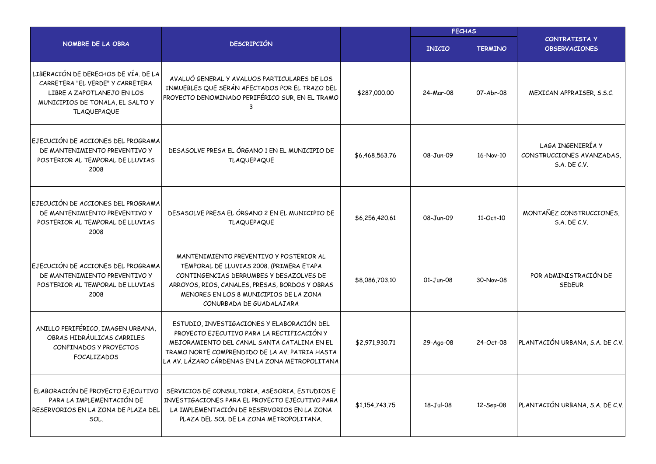|                                                                                                                                                                  |                                                                                                                                                                                                                                                        |                | <b>FECHAS</b> |                |                                                                       |  |
|------------------------------------------------------------------------------------------------------------------------------------------------------------------|--------------------------------------------------------------------------------------------------------------------------------------------------------------------------------------------------------------------------------------------------------|----------------|---------------|----------------|-----------------------------------------------------------------------|--|
| NOMBRE DE LA OBRA                                                                                                                                                | <b>DESCRIPCIÓN</b>                                                                                                                                                                                                                                     |                | <b>INICIO</b> | <b>TERMINO</b> | CONTRATISTA Y<br><b>OBSERVACIONES</b>                                 |  |
| LIBERACIÓN DE DERECHOS DE VÍA. DE LA<br>CARRETERA "EL VERDE" Y CARRETERA<br>LIBRE A ZAPOTLANEJO EN LOS<br>MUNICIPIOS DE TONALA, EL SALTO Y<br><b>TLAQUEPAQUE</b> | AVALUÓ GENERAL Y AVALUOS PARTICULARES DE LOS<br>INMUEBLES QUE SERÁN AFECTADOS POR EL TRAZO DEL<br>PROYECTO DENOMINADO PERIFÉRICO SUR, EN EL TRAMO                                                                                                      | \$287,000.00   | 24-Mar-08     | 07-Abr-08      | MEXICAN APPRAISER, S.S.C.                                             |  |
| EJECUCIÓN DE ACCIONES DEL PROGRAMA<br>DE MANTENIMIENTO PREVENTIVO Y<br>POSTERIOR AL TEMPORAL DE LLUVIAS<br>2008                                                  | DESASOLVE PRESA EL ÓRGANO 1 EN EL MUNICIPIO DE<br><b>TLAQUEPAQUE</b>                                                                                                                                                                                   | \$6,468,563.76 | 08-Jun-09     | 16-Nov-10      | LAGA INGENIERÍA Y<br>CONSTRUCCIONES AVANZADAS,<br><b>S.A. DE C.V.</b> |  |
| EJECUCIÓN DE ACCIONES DEL PROGRAMA<br>DE MANTENIMIENTO PREVENTIVO Y<br>POSTERIOR AL TEMPORAL DE LLUVIAS<br>2008                                                  | DESASOLVE PRESA EL ÓRGANO 2 EN EL MUNICIPIO DE<br><b>TLAQUEPAQUE</b>                                                                                                                                                                                   | \$6,256,420.61 | 08-Jun-09     | 11-Oct-10      | MONTAÑEZ CONSTRUCCIONES,<br><b>S.A. DE C.V.</b>                       |  |
| EJECUCIÓN DE ACCIONES DEL PROGRAMA<br>DE MANTENIMIENTO PREVENTIVO Y<br>POSTERIOR AL TEMPORAL DE LLUVIAS<br>2008                                                  | MANTENIMIENTO PREVENTIVO Y POSTERIOR AL<br>TEMPORAL DE LLUVIAS 2008. (PRIMERA ETAPA<br>CONTINGENCIAS DERRUMBES Y DESAZOLVES DE<br>ARROYOS, RIOS, CANALES, PRESAS, BORDOS Y OBRAS<br>MENORES EN LOS 8 MUNICIPIOS DE LA ZONA<br>CONURBADA DE GUADALAJARA | \$8,086,703.10 | $01-Jun-08$   | 30-Nov-08      | POR ADMINISTRACIÓN DE<br><b>SEDEUR</b>                                |  |
| ANILLO PERIFÉRICO, IMAGEN URBANA,<br>OBRAS HIDRÁULICAS CARRILES<br>CONFINADOS Y PROYECTOS<br><b>FOCALIZADOS</b>                                                  | ESTUDIO, INVESTIGACIONES Y ELABORACIÓN DEL<br>PROYECTO EJECUTIVO PARA LA RECTIFICACIÓN Y<br>MEJORAMIENTO DEL CANAL SANTA CATALINA EN EL<br>TRAMO NORTE COMPRENDIDO DE LA AV. PATRIA HASTA<br>LA AV. LÁZARO CÁRDENAS EN LA ZONA METROPOLITANA           | \$2,971,930.71 | 29-Ago-08     | 24-Oct-08      | PLANTACIÓN URBANA, S.A. DE C.V.                                       |  |
| ELABORACIÓN DE PROYECTO EJECUTIVO<br>PARA LA IMPLEMENTACIÓN DE<br>RESERVORIOS EN LA ZONA DE PLAZA DEL<br>SOL.                                                    | SERVICIOS DE CONSULTORIA, ASESORIA, ESTUDIOS E<br>INVESTIGACIONES PARA EL PROYECTO EJECUTIVO PARA<br>LA IMPLEMENTACIÓN DE RESERVORIOS EN LA ZONA<br>PLAZA DEL SOL DE LA ZONA METROPOLITANA.                                                            | \$1,154,743.75 | 18-Jul-08     | 12-Sep-08      | PLANTACIÓN URBANA, S.A. DE C.V.                                       |  |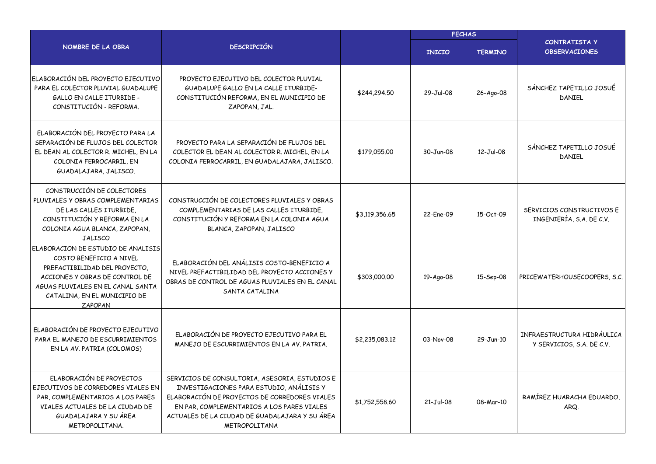|                                                                                                                                                                                                                  |                                                                                                                                                                                                                                                                     |                | <b>FECHAS</b> |                |                                                         |  |
|------------------------------------------------------------------------------------------------------------------------------------------------------------------------------------------------------------------|---------------------------------------------------------------------------------------------------------------------------------------------------------------------------------------------------------------------------------------------------------------------|----------------|---------------|----------------|---------------------------------------------------------|--|
| NOMBRE DE LA OBRA                                                                                                                                                                                                | <b>DESCRIPCIÓN</b>                                                                                                                                                                                                                                                  |                | <b>INICIO</b> | <b>TERMINO</b> | <b>CONTRATISTA Y</b><br><b>OBSERVACIONES</b>            |  |
| ELABORACIÓN DEL PROYECTO EJECUTIVO<br>PARA EL COLECTOR PLUVIAL GUADALUPE<br><b>GALLO EN CALLE ITURBIDE -</b><br>CONSTITUCIÓN - REFORMA.                                                                          | PROYECTO EJECUTIVO DEL COLECTOR PLUVIAL<br>GUADALUPE GALLO EN LA CALLE ITURBIDE-<br>CONSTITUCIÓN REFORMA, EN EL MUNICIPIO DE<br>ZAPOPAN, JAL.                                                                                                                       | \$244,294.50   | 29-Jul-08     | 26-Ago-08      | SÁNCHEZ TAPETILLO JOSUÉ<br>DANIEL                       |  |
| ELABORACIÓN DEL PROYECTO PARA LA<br>SEPARACIÓN DE FLUJOS DEL COLECTOR<br>EL DEAN AL COLECTOR R. MICHEL, EN LA<br>COLONIA FERROCARRIL, EN<br>GUADALAJARA, JALISCO.                                                | PROYECTO PARA LA SEPARACIÓN DE FLUJOS DEL<br>COLECTOR EL DEAN AL COLECTOR R. MICHEL, EN LA<br>COLONIA FERROCARRIL, EN GUADALAJARA, JALISCO.                                                                                                                         | \$179,055.00   | 30-Jun-08     | 12-Jul-08      | SÁNCHEZ TAPETILLO JOSUÉ<br>DANIEL                       |  |
| CONSTRUCCIÓN DE COLECTORES<br>PLUVIALES Y OBRAS COMPLEMENTARIAS<br>DE LAS CALLES ITURBIDE.<br>CONSTITUCIÓN Y REFORMA EN LA<br>COLONIA AGUA BLANCA, ZAPOPAN,<br><b>JALISCO</b>                                    | CONSTRUCCIÓN DE COLECTORES PLUVIALES Y OBRAS<br>COMPLEMENTARIAS DE LAS CALLES ITURBIDE.<br>CONSTITUCIÓN Y REFORMA EN LA COLONIA AGUA<br>BLANCA, ZAPOPAN, JALISCO                                                                                                    | \$3,119,356.65 | 22-Fne-09     | 15-Oct-09      | SERVICIOS CONSTRUCTIVOS E<br>INGENIERÍA, S.A. DE C.V.   |  |
| ELABORACIÓN DE ESTUDIO DE ANÁLISIS<br>COSTO BENEFICIO A NIVEL<br>PREFACTIBILIDAD DEL PROYECTO.<br>ACCIONES Y OBRAS DE CONTROL DE<br>AGUAS PLUVIALES EN EL CANAL SANTA<br>CATALINA, EN EL MUNICIPIO DE<br>ZAPOPAN | ELABORACIÓN DEL ANÁLISIS COSTO-BENEFICIO A<br>NIVEL PREFACTIBILIDAD DEL PROYECTO ACCIONES Y<br>OBRAS DE CONTROL DE AGUAS PLUVIALES EN EL CANAL<br>SANTA CATALINA                                                                                                    | \$303,000.00   | 19-Ago-08     | 15-Sep-08      | PRICEWATERHOUSECOOPERS, S.C.                            |  |
| ELABORACIÓN DE PROYECTO EJECUTIVO<br>PARA EL MANEJO DE ESCURRIMIENTOS<br>EN LA AV. PATRIA (COLOMOS)                                                                                                              | ELABORACIÓN DE PROYECTO EJECUTIVO PARA EL<br>MANEJO DE ESCURRIMIENTOS EN LA AV. PATRIA.                                                                                                                                                                             | \$2,235,083.12 | 03-Nov-08     | 29-Jun-10      | INFRAESTRUCTURA HIDRÁULICA<br>Y SERVICIOS, S.A. DE C.V. |  |
| ELABORACIÓN DE PROYECTOS<br>EJECUTIVOS DE CORREDORES VIALES EN<br>PAR, COMPLEMENTARIOS A LOS PARES<br>VIALES ACTUALES DE LA CIUDAD DE<br>GUADALAJARA Y SU ÁREA<br>METROPOLITANA.                                 | SERVICIOS DE CONSULTORIA, ASESORIA, ESTUDIOS E<br>INVESTIGACIONES PARA ESTUDIO, ANÁLISIS Y<br>ELABORACIÓN DE PROYECTOS DE CORREDORES VIALES<br>EN PAR, COMPLEMENTARIOS A LOS PARES VIALES<br>ACTUALES DE LA CIUDAD DE GUADALAJARA Y SU ÁREA<br><b>MFTROPOLITANA</b> | \$1,752,558.60 | $21-Jul-08$   | 08-Mar-10      | RAMÍREZ HUARACHA EDUARDO,<br>ARQ.                       |  |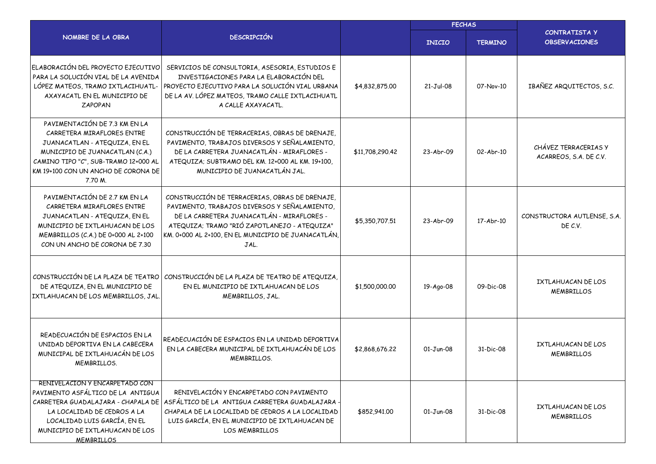|                                                                                                                                                                                                                           |                                                                                                                                                                                                                                                             | <b>FECHAS</b>   |               |                |                                                |
|---------------------------------------------------------------------------------------------------------------------------------------------------------------------------------------------------------------------------|-------------------------------------------------------------------------------------------------------------------------------------------------------------------------------------------------------------------------------------------------------------|-----------------|---------------|----------------|------------------------------------------------|
| NOMBRE DE LA OBRA                                                                                                                                                                                                         | <b>DESCRIPCIÓN</b>                                                                                                                                                                                                                                          |                 | <b>INICIO</b> | <b>TERMINO</b> | <b>CONTRATISTA Y</b><br><b>OBSERVACIONES</b>   |
| ELABORACIÓN DEL PROYECTO EJECUTIVO<br>PARA LA SOLUCIÓN VIAL DE LA AVENIDA<br>LÓPEZ MATEOS, TRAMO IXTLACIHUATL-<br>AXAYACATL EN EL MUNICIPIO DE<br><b>ZAPOPAN</b>                                                          | SERVICIOS DE CONSULTORIA, ASESORIA, ESTUDIOS E<br>INVESTIGACIONES PARA LA ELABORACIÓN DEL<br>PROYECTO EJECUTIVO PARA LA SOLUCIÓN VIAL URBANA<br>DE LA AV. LÓPEZ MATEOS, TRAMO CALLE IXTLACIHUATL<br>A CALLE AXAYACATL.                                      | \$4,832,875.00  | $21-Jul-08$   | 07-Nov-10      | IBAÑEZ ARQUITECTOS, S.C.                       |
| PAVIMENTACIÓN DE 7.3 KM EN LA<br>CARRETERA MIRAFLORES ENTRE<br>JUANACATLAN - ATEQUIZA, EN EL<br>MUNICIPIO DE JUANACATLAN (C.A.)<br>CAMINO TIPO "C", SUB-TRAMO 12+000 AL<br>KM 19+100 CON UN ANCHO DE CORONA DE<br>7.70 M. | CONSTRUCCIÓN DE TERRACERIAS, OBRAS DE DRENAJE,<br>PAVIMENTO, TRABAJOS DIVERSOS Y SEÑALAMIENTO,<br>DE LA CARRETERA JUANACATLÁN - MIRAFLORES -<br>ATEQUIZA; SUBTRAMO DEL KM. 12+000 AL KM. 19+100,<br>MUNICIPIO DE JUANACATLÁN JAL.                           | \$11,708,290.42 | 23-Abr-09     | 02-Abr-10      | CHÁVEZ TERRACERIAS Y<br>ACARREOS, S.A. DE C.V. |
| PAVIMENTACIÓN DE 2.7 KM EN LA<br>CARRETERA MIRAFLORES ENTRE<br>JUANACATLAN - ATEQUIZA, EN EL<br>MUNICIPIO DE IXTLAHUACAN DE LOS<br>MEMBRILLOS (C.A.) DE 0+000 AL 2+100<br>CON UN ANCHO DE CORONA DE 7.30                  | CONSTRUCCIÓN DE TERRACERIAS, OBRAS DE DRENAJE,<br>PAVIMENTO, TRABAJOS DIVERSOS Y SEÑALAMIENTO,<br>DE LA CARRETERA JUANACATLÁN - MIRAFLORES -<br>ATEQUIZA; TRAMO "RIÓ ZAPOTLANEJO - ATEQUIZA"<br>KM. 0+000 AL 2+100, EN EL MUNICIPIO DE JUANACATLÁN,<br>JAL. | \$5,350,707.51  | 23-Abr-09     | 17-Abr-10      | CONSTRUCTORA AUTLENSE, S.A.<br>DE C.V.         |
| DE ATEQUIZA, EN EL MUNICIPIO DE<br>IXTLAHUACAN DE LOS MEMBRILLOS, JAL.                                                                                                                                                    | CONSTRUCCIÓN DE LA PLAZA DE TEATRO CONSTRUCCIÓN DE LA PLAZA DE TEATRO DE ATEQUIZA,<br>EN EL MUNICIPIO DE IXTLAHUACAN DE LOS<br>MEMBRILLOS, JAL.                                                                                                             | \$1,500,000.00  | 19-Ago-08     | 09-Dic-08      | IXTLAHUACAN DE LOS<br><b>MEMBRILLOS</b>        |
| READECUACIÓN DE ESPACIOS EN LA<br>UNIDAD DEPORTIVA EN LA CABECERA<br>MUNICIPAL DE IXTLAHUACÁN DE LOS<br>MEMBRILLOS.                                                                                                       | READECUACIÓN DE ESPACIOS EN LA UNIDAD DEPORTIVA<br>EN LA CABECERA MUNICIPAL DE IXTLAHUACÁN DE LOS<br>MEMBRILLOS.                                                                                                                                            | \$2,868,676,22  | $01-Jun-08$   | 31-Dic-08      | IXTLAHUACAN DE LOS<br><b>MEMBRILLOS</b>        |
| RENIVELACION Y ENCARPETADO CON<br>PAVIMENTO ASFÁLTICO DE LA ANTIGUA<br>LA LOCALIDAD DE CEDROS A LA<br>LOCALIDAD LUIS GARCÍA, EN EL<br>MUNICIPIO DE IXTLAHUACAN DE LOS<br>MEMBRILLOS                                       | RENIVELACIÓN Y ENCARPETADO CON PAVIMENTO<br>CARRETERA GUADALAJARA - CHAPALA DE ASFÁLTICO DE LA ANTIGUA CARRETERA GUADALAJARA<br>CHAPALA DE LA LOCALIDAD DE CEDROS A LA LOCALIDAD<br>LUIS GARCÍA, EN EL MUNICIPIO DE IXTLAHUACAN DE<br><b>LOS MEMBRILLOS</b> | \$852,941.00    | 01-Jun-08     | 31-Dic-08      | IXTLAHUACAN DE LOS<br><b>MEMBRILLOS</b>        |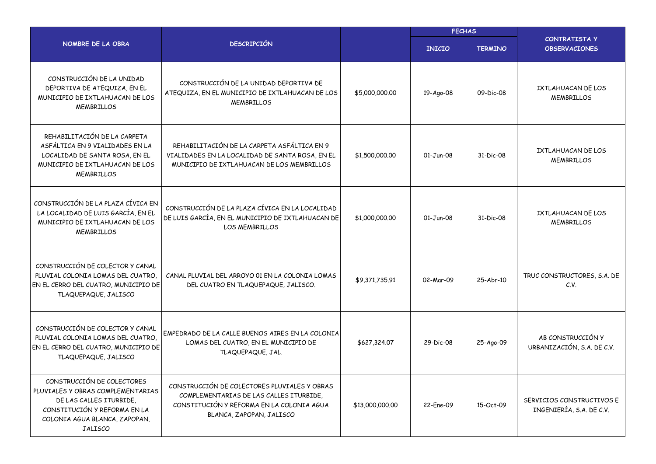|                                                                                                                                                                               |                                                                                                                                                                  |                 | <b>FECHAS</b> |                |                                                       |
|-------------------------------------------------------------------------------------------------------------------------------------------------------------------------------|------------------------------------------------------------------------------------------------------------------------------------------------------------------|-----------------|---------------|----------------|-------------------------------------------------------|
| NOMBRE DE LA OBRA                                                                                                                                                             | <b>DESCRIPCIÓN</b>                                                                                                                                               |                 | <b>INICIO</b> | <b>TERMINO</b> | <b>CONTRATISTA Y</b><br><b>OBSERVACIONES</b>          |
| CONSTRUCCIÓN DE LA UNIDAD<br>DEPORTIVA DE ATEQUIZA, EN EL<br>MUNICIPIO DE IXTLAHUACAN DE LOS<br><b>MEMBRILLOS</b>                                                             | CONSTRUCCIÓN DE LA UNIDAD DEPORTIVA DE<br>ATEQUIZA, EN EL MUNICIPIO DE IXTLAHUACAN DE LOS<br><b>MEMBRILLOS</b>                                                   | \$5,000,000.00  | 19-Ago-08     | 09-Dic-08      | IXTLAHUACAN DE LOS<br><b>MEMBRILLOS</b>               |
| REHABILITACIÓN DE LA CARPETA<br>ASFÁLTICA EN 9 VIALIDADES EN LA<br>LOCALIDAD DE SANTA ROSA, EN EL<br>MUNICIPIO DE IXTLAHUACAN DE LOS<br><b>MEMBRILLOS</b>                     | REHABILITACIÓN DE LA CARPETA ASFÁLTICA EN 9<br>VIALIDADES EN LA LOCALIDAD DE SANTA ROSA, EN EL<br>MUNICIPIO DE IXTLAHUACAN DE LOS MEMBRILLOS                     | \$1,500,000.00  | $01-Jun-08$   | 31-Dic-08      | IXTLAHUACAN DE LOS<br><b>MEMBRILLOS</b>               |
| CONSTRUCCIÓN DE LA PLAZA CÍVICA EN<br>LA LOCALIDAD DE LUIS GARCÍA, EN EL<br>MUNICIPIO DE IXTLAHUACAN DE LOS<br><b>MEMBRILLOS</b>                                              | CONSTRUCCIÓN DE LA PLAZA CÍVICA EN LA LOCALIDAD<br>DE LUIS GARCÍA, EN EL MUNICIPIO DE IXTLAHUACAN DE<br><b>LOS MEMBRILLOS</b>                                    | \$1,000,000.00  | $01-Jun-08$   | 31-Dic-08      | IXTLAHUACAN DE LOS<br><b>MEMBRILLOS</b>               |
| CONSTRUCCIÓN DE COLECTOR Y CANAL<br>PLUVIAL COLONIA LOMAS DEL CUATRO.<br>EN EL CERRO DEL CUATRO, MUNICIPIO DE<br>TLAQUEPAQUE, JALISCO                                         | CANAL PLUVIAL DEL ARROYO 01 EN LA COLONIA LOMAS<br>DEL CUATRO EN TLAQUEPAQUE, JALISCO.                                                                           | \$9,371,735.91  | 02-Mar-09     | 25-Abr-10      | TRUC CONSTRUCTORES, S.A. DE<br>C.V.                   |
| CONSTRUCCIÓN DE COLECTOR Y CANAL<br>PLUVIAL COLONIA LOMAS DEL CUATRO,<br>EN EL CERRO DEL CUATRO, MUNICIPIO DE<br>TLAQUEPAQUE, JALISCO                                         | EMPEDRADO DE LA CALLE BUENOS AIRES EN LA COLONIA<br>LOMAS DEL CUATRO, EN EL MUNICIPIO DE<br>TLAQUEPAQUE, JAL.                                                    | \$627,324.07    | 29-Dic-08     | 25-Ago-09      | AB CONSTRUCCIÓN Y<br>URBANIZACIÓN, S.A. DE C.V.       |
| CONSTRUCCIÓN DE COLECTORES<br>PLUVIALES Y OBRAS COMPLEMENTARIAS<br>DE LAS CALLES ITURBIDE,<br>CONSTITUCIÓN Y REFORMA EN LA<br>COLONIA AGUA BLANCA, ZAPOPAN,<br><b>JALISCO</b> | CONSTRUCCIÓN DE COLECTORES PLUVIALES Y OBRAS<br>COMPLEMENTARIAS DE LAS CALLES ITURBIDE,<br>CONSTITUCIÓN Y REFORMA EN LA COLONIA AGUA<br>BLANCA, ZAPOPAN, JALISCO | \$13,000,000.00 | 22-Ene-09     | 15-Oct-09      | SERVICIOS CONSTRUCTIVOS E<br>INGENIERÍA, S.A. DE C.V. |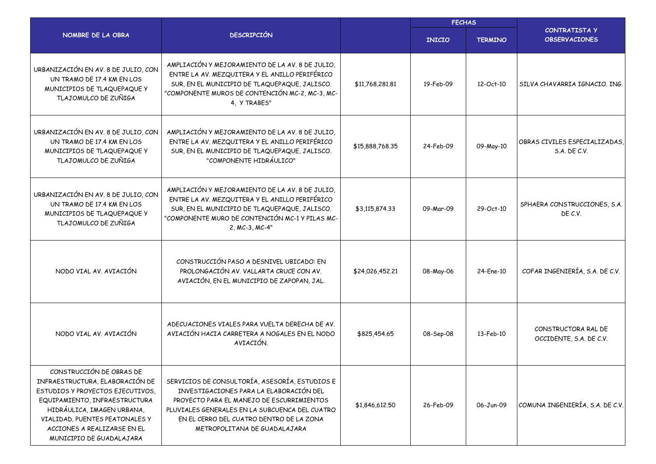|                                                                                                                                                                                                                                                             |                                                                                                                                                                                                                                                                      |                 | <b>FECHAS</b> |                |                                                |  |
|-------------------------------------------------------------------------------------------------------------------------------------------------------------------------------------------------------------------------------------------------------------|----------------------------------------------------------------------------------------------------------------------------------------------------------------------------------------------------------------------------------------------------------------------|-----------------|---------------|----------------|------------------------------------------------|--|
| NOMBRE DE LA OBRA                                                                                                                                                                                                                                           | <b>DESCRIPCIÓN</b>                                                                                                                                                                                                                                                   |                 | <b>INICIO</b> | <b>TERMINO</b> | CONTRATISTA Y<br><b>OBSERVACIONES</b>          |  |
| URBANIZACIÓN EN AV. 8 DE JULIO, CON<br>UN TRAMO DE 17.4 KM EN LOS<br>MUNICIPIOS DE TLAQUEPAQUE Y<br>TLAJOMULCO DE ZUÑIGA                                                                                                                                    | AMPLIACIÓN Y MEJORAMIENTO DE LA AV. 8 DE JULIO,<br>ENTRE LA AV. MEZQUITERA Y EL ANILLO PERIFÉRICO<br>SUR, EN EL MUNICIPIO DE TLAQUEPAQUE, JALISCO.<br>"COMPONENTE MUROS DE CONTENCIÓN MC-2, MC-3, MC-<br>4, Y TRABES"                                                | \$11,768,281.81 | 19-Feb-09     | 12-Oct-10      | SILVA CHAVARRIA IGNACIO. ING.                  |  |
| URBANIZACIÓN EN AV. 8 DE JULIO, CON<br>UN TRAMO DE 17.4 KM EN LOS<br>MUNICIPIOS DE TLAQUEPAQUE Y<br>TLAJOMULCO DE ZUÑIGA                                                                                                                                    | AMPLIACIÓN Y MEJORAMIENTO DE LA AV. 8 DE JULIO,<br>ENTRE LA AV. MEZQUITERA Y EL ANILLO PERIFÉRICO<br>SUR, EN EL MUNICIPIO DE TLAQUEPAQUE, JALISCO.<br>"COMPONENTE HIDRÁULICO"                                                                                        | \$15,888,768.35 | 24-Feb-09     | 09-May-10      | OBRAS CIVILES ESPECIALIZADAS<br>S.A. DE C.V.   |  |
| URBANIZACIÓN EN AV. 8 DE JULIO, CON<br>UN TRAMO DE 17.4 KM EN LOS<br>MUNICIPIOS DE TLAQUEPAQUE Y<br>TLAJOMULCO DE ZUÑIGA                                                                                                                                    | AMPLIACIÓN Y MEJORAMIENTO DE LA AV. 8 DE JULIO,<br>ENTRE LA AV. MEZQUITERA Y EL ANILLO PERIFÉRICO<br>SUR, EN EL MUNICIPIO DE TLAQUEPAQUE, JALISCO.<br>"COMPONENTE MURO DE CONTENCIÓN MC-1 Y PILAS MC-<br>2, MC-3, MC-4"                                              | \$3,115,874.33  | 09-Mar-09     | 29-Oct-10      | SPHAERA CONSTRUCCIONES, S.A.<br>DE C.V.        |  |
| NODO VIAL AV. AVIACIÓN                                                                                                                                                                                                                                      | CONSTRUCCIÓN PASO A DESNIVEL UBICADO: EN<br>PROLONGACIÓN AV. VALLARTA CRUCE CON AV.<br>AVIACIÓN, EN EL MUNICIPIO DE ZAPOPAN, JAL.                                                                                                                                    | \$24,026,452.21 | 08-May-06     | 24-Ene-10      | COFAR INGENIERÍA, S.A. DE C.V.                 |  |
| NODO VIAL AV. AVIACIÓN                                                                                                                                                                                                                                      | ADECUACIONES VIALES PARA VUELTA DERECHA DE AV.<br>AVIACIÓN HACIA CARRETERA A NOGALES EN EL NODO<br>AVIACIÓN.                                                                                                                                                         | \$825,454.65    | 08-Sep-08     | 13-Feb-10      | CONSTRUCTORA RAL DE<br>OCCIDENTE, S.A. DE C.V. |  |
| CONSTRUCCIÓN DE OBRAS DE<br>INFRAESTRUCTURA, ELABORACIÓN DE<br>ESTUDIOS Y PROYECTOS EJECUTIVOS,<br>EQUIPAMIENTO, INFRAESTRUCTURA<br>HIDRÁULICA, IMAGEN URBANA,<br>VIALIDAD, PUENTES PEATONALES Y<br>ACCIONES A REALIZARSE EN EL<br>MUNICIPIO DE GUADALAJARA | SERVICIOS DE CONSULTORÍA, ASESORÍA, ESTUDIOS E<br>INVESTIGACIONES PARA LA ELABORACIÓN DEL<br>PROYECTO PARA EL MANEJO DE ESCURRIMIENTOS<br>PLUVIALES GENERALES EN LA SUBCUENCA DEL CUATRO<br>EN EL CERRO DEL CUATRO DENTRO DE LA ZONA<br>METROPOLITANA DE GUADALAJARA | \$1,846,612.50  | 26-Feb-09     | 06-Jun-09      | COMUNA INGENIERÍA, S.A. DE C.V.                |  |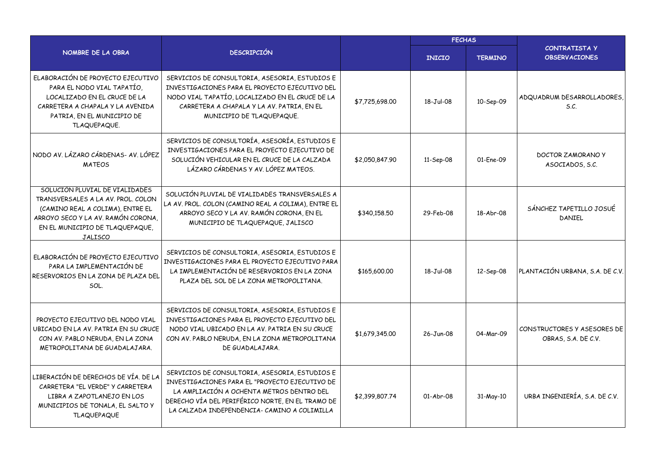|                                                                                                                                                                                                     |                                                                                                                                                                                                                                                   | <b>FECHAS</b>  |               |                |                                                    |
|-----------------------------------------------------------------------------------------------------------------------------------------------------------------------------------------------------|---------------------------------------------------------------------------------------------------------------------------------------------------------------------------------------------------------------------------------------------------|----------------|---------------|----------------|----------------------------------------------------|
| NOMBRE DE LA OBRA                                                                                                                                                                                   | <b>DESCRIPCIÓN</b>                                                                                                                                                                                                                                |                | <b>INICIO</b> | <b>TERMINO</b> | CONTRATISTA Y<br><b>OBSERVACIONES</b>              |
| ELABORACIÓN DE PROYECTO EJECUTIVO<br>PARA EL NODO VIAL TAPATÍO,<br>LOCALIZADO EN EL CRUCE DE LA<br>CARRETERA A CHAPALA Y LA AVENIDA<br>PATRIA, EN EL MUNICIPIO DE<br>TLAQUEPAQUE.                   | SERVICIOS DE CONSULTORIA, ASESORIA, ESTUDIOS E<br>INVESTIGACIONES PARA EL PROYECTO EJECUTIVO DEL<br>NODO VIAL TAPATÍO, LOCALIZADO EN EL CRUCE DE LA<br>CARRETERA A CHAPALA Y LA AV. PATRIA, EN EL<br>MUNICIPIO DE TLAQUEPAQUE.                    | \$7,725,698.00 | 18-Jul-08     | 10-Sep-09      | ADQUADRUM DESARROLLADORES,<br>S.C.                 |
| NODO AV. LÁZARO CÁRDENAS- AV. LÓPEZ<br><b>MATFOS</b>                                                                                                                                                | SERVICIOS DE CONSULTORÍA, ASESORÍA, ESTUDIOS E<br>INVESTIGACIONES PARA EL PROYECTO EJECUTIVO DE<br>SOLUCIÓN VEHICULAR EN EL CRUCE DE LA CALZADA<br>LÁZARO CÁRDENAS Y AV. LÓPEZ MATEOS.                                                            | \$2,050,847.90 | 11-Sep-08     | 01-Ene-09      | <b>DOCTOR ZAMORANO Y</b><br>ASOCIADOS, S.C.        |
| SOLUCIÓN PLUVIAL DE VIALIDADES<br>TRANSVERSALES A LA AV. PROL. COLON<br>(CAMINO REAL A COLIMA), ENTRE EL<br>ARROYO SECO Y LA AV. RAMÓN CORONA,<br>EN EL MUNICIPIO DE TLAQUEPAQUE,<br><b>JALISCO</b> | SOLUCIÓN PLUVIAL DE VIALIDADES TRANSVERSALES A<br>LA AV. PROL. COLON (CAMINO REAL A COLIMA), ENTRE EL<br>ARROYO SECO Y LA AV. RAMÓN CORONA, EN EL<br>MUNICIPIO DE TLAQUEPAQUE, JALISCO                                                            | \$340,158.50   | 29-Feb-08     | 18-Abr-08      | SÁNCHEZ TAPETILLO JOSUÉ<br>DANIFL                  |
| ELABORACIÓN DE PROYECTO EJECUTIVO<br>PARA LA IMPLEMENTACIÓN DE<br>RESERVORIOS EN LA ZONA DE PLAZA DEL<br>SOL.                                                                                       | SERVICIOS DE CONSULTORIA, ASESORIA, ESTUDIOS E<br>INVESTIGACIONES PARA EL PROYECTO EJECUTIVO PARA<br>LA IMPLEMENTACIÓN DE RESERVORIOS EN LA ZONA<br>PLAZA DEL SOL DE LA ZONA METROPOLITANA.                                                       | \$165,600,00   | 18-Jul-08     | 12-Sep-08      | PLANTACIÓN URBANA, S.A. DE C.V.                    |
| PROYECTO EJECUTIVO DEL NODO VIAL<br>UBICADO EN LA AV. PATRIA EN SU CRUCE<br>CON AV. PABLO NERUDA, EN LA ZONA<br>METROPOLITANA DE GUADALAJARA.                                                       | SERVICIOS DE CONSULTORIA, ASESORIA, ESTUDIOS E<br>INVESTIGACIONES PARA EL PROYECTO EJECUTIVO DEL<br>NODO VIAL UBICADO EN LA AV. PATRIA EN SU CRUCE<br>CON AV. PABLO NERUDA, EN LA ZONA METROPOLITANA<br>DE GUADALAJARA.                           | \$1,679,345.00 | 26-Jun-08     | 04-Mar-09      | CONSTRUCTORES Y ASESORES DE<br>OBRAS, S.A. DE C.V. |
| LIBERACIÓN DE DERECHOS DE VÍA. DE LA<br>CARRETERA "EL VERDE" Y CARRETERA<br>LIBRA A ZAPOTLANEJO EN LOS<br>MUNICIPIOS DE TONALA, EL SALTO Y<br><b>TLAQUEPAQUE</b>                                    | SERVICIOS DE CONSULTORIA, ASESORIA, ESTUDIOS E<br>INVESTIGACIONES PARA EL "PROYECTO EJECUTIVO DE<br>LA AMPLIACIÓN A OCHENTA METROS DENTRO DEL<br>DERECHO VÍA DEL PERIFÉRICO NORTE, EN EL TRAMO DE<br>LA CALZADA INDEPENDENCIA- CAMINO A COLIMILLA | \$2,399,807.74 | 01-Abr-08     | 31-May-10      | URBA INGENIERÍA, S.A. DE C.V.                      |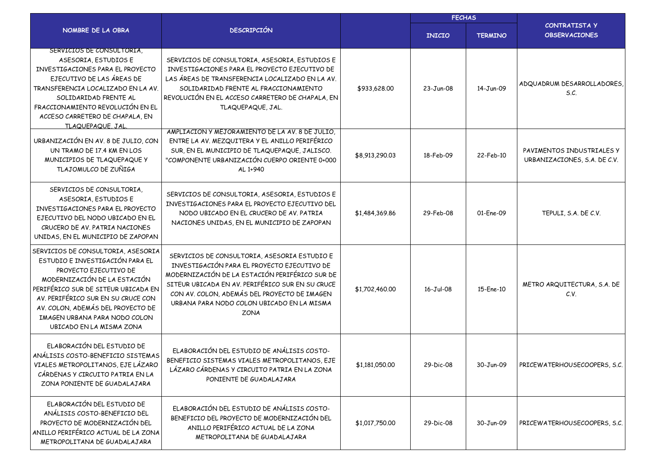|                                                                                                                                                                                                                                                                                                               |                                                                                                                                                                                                                                                                                                                |                | <b>FECHAS</b> |                |                                                           |  |
|---------------------------------------------------------------------------------------------------------------------------------------------------------------------------------------------------------------------------------------------------------------------------------------------------------------|----------------------------------------------------------------------------------------------------------------------------------------------------------------------------------------------------------------------------------------------------------------------------------------------------------------|----------------|---------------|----------------|-----------------------------------------------------------|--|
| NOMBRE DE LA OBRA                                                                                                                                                                                                                                                                                             | <b>DESCRIPCIÓN</b>                                                                                                                                                                                                                                                                                             |                | <b>INICIO</b> | <b>TERMINO</b> | <b>CONTRATISTA Y</b><br><b>OBSERVACIONES</b>              |  |
| SERVICIOS DE CONSULTORIA,<br>ASESORIA, ESTUDIOS E<br>INVESTIGACIONES PARA EL PROYECTO<br>EJECUTIVO DE LAS ÁREAS DE<br>TRANSFERENCIA LOCALIZADO EN LA AV.<br>SOLIDARIDAD FRENTE AL<br>FRACCIONAMIENTO REVOLUCIÓN EN EL<br>ACCESO CARRETERO DE CHAPALA, EN<br><b>TLAQUEPAQUE, JAL</b>                           | SERVICIOS DE CONSULTORIA, ASESORIA, ESTUDIOS E<br>INVESTIGACIONES PARA EL PROYECTO EJECUTIVO DE<br>LAS ÁREAS DE TRANSFERENCIA LOCALIZADO EN LA AV.<br>SOLIDARIDAD FRENTE AL FRACCIONAMIENTO<br>REVOLUCIÓN EN EL ACCESO CARRETERO DE CHAPALA, EN<br>TLAQUEPAQUE, JAL.                                           | \$933,628.00   | 23-Jun-08     | 14-Jun-09      | ADQUADRUM DESARROLLADORES,<br>S.C.                        |  |
| URBANIZACIÓN EN AV. 8 DE JULIO, CON<br>UN TRAMO DE 17.4 KM EN LOS<br>MUNICIPIOS DE TLAQUEPAQUE Y<br>TLAJOMULCO DE ZUÑIGA                                                                                                                                                                                      | AMPLIACIÓN Y MEJORAMIENTO DE LA AV. 8 DE JULIO,<br>ENTRE LA AV. MEZQUITERA Y EL ANILLO PERIFÉRICO<br>SUR, EN EL MUNICIPIO DE TLAQUEPAQUE, JALISCO.<br>"COMPONENTE URBANIZACIÓN CUERPO ORIENTE 0+000<br>AL 1+940                                                                                                | \$8,913,290.03 | 18-Feb-09     | 22-Feb-10      | PAVIMENTOS INDUSTRIALES Y<br>URBANIZACIONES, S.A. DE C.V. |  |
| SERVICIOS DE CONSULTORIA,<br>ASESORIA, ESTUDIOS E<br>INVESTIGACIONES PARA EL PROYECTO<br>EJECUTIVO DEL NODO UBICADO EN EL<br>CRUCERO DE AV. PATRIA NACIONES<br>UNIDAS, EN EL MUNICIPIO DE ZAPOPAN                                                                                                             | SERVICIOS DE CONSULTORIA, ASESORIA, ESTUDIOS E<br>INVESTIGACIONES PARA EL PROYECTO EJECUTIVO DEL<br>NODO UBICADO EN EL CRUCERO DE AV. PATRIA<br>NACIONES UNIDAS, EN EL MUNICIPIO DE ZAPOPAN                                                                                                                    | \$1,484,369.86 | 29-Feb-08     | 01-Ene-09      | TEPULI, S.A. DE C.V.                                      |  |
| SERVICIOS DE CONSULTORIA, ASESORIA<br>ESTUDIO E INVESTIGACIÓN PARA EL<br>PROYECTO EJECUTIVO DE<br>MODERNIZACIÓN DE LA ESTACIÓN<br>PERIFÉRICO SUR DE SITEUR UBICADA EN<br>AV. PERIFÉRICO SUR EN SU CRUCE CON<br>AV. COLON, ADEMÁS DEL PROYECTO DE<br>IMAGEN URBANA PARA NODO COLON<br>UBICADO EN LA MISMA ZONA | SERVICIOS DE CONSULTORIA, ASESORIA ESTUDIO E<br>INVESTIGACIÓN PARA EL PROYECTO EJECUTIVO DE<br>MODERNIZACIÓN DE LA ESTACIÓN PERIFÉRICO SUR DE<br>SITEUR UBICADA EN AV. PERIFÉRICO SUR EN SU CRUCE<br>CON AV. COLON, ADEMÁS DEL PROYECTO DE IMAGEN<br>URBANA PARA NODO COLON UBICADO EN LA MISMA<br><b>ZONA</b> | \$1,702,460.00 | 16-Jul-08     | 15-Ene-10      | METRO ARQUITECTURA, S.A. DE<br>C.V.                       |  |
| ELABORACIÓN DEL ESTUDIO DE<br>ANÁLISIS COSTO-BENEFICIO SISTEMAS<br>VIALES METROPOLITANOS, EJE LÁZARO<br>CÁRDENAS Y CIRCUITO PATRIA EN LA<br>ZONA PONIENTE DE GUADALAJARA                                                                                                                                      | ELABORACIÓN DEL ESTUDIO DE ANÁLISIS COSTO-<br>BENEFICIO SISTEMAS VIALES METROPOLITANOS, EJE<br>LÁZARO CÁRDENAS Y CIRCUITO PATRIA EN LA ZONA<br>PONIENTE DE GUADALAJARA                                                                                                                                         | \$1,181,050.00 | 29-Dic-08     | 30-Jun-09      | PRICEWATERHOUSECOOPERS, S.C.                              |  |
| ELABORACIÓN DEL ESTUDIO DE<br>ANÁLISIS COSTO-BENEFICIO DEL<br>PROYECTO DE MODERNIZACIÓN DEL<br>ANILLO PERIFÉRICO ACTUAL DE LA ZONA<br>METROPOLITANA DE GUADALAJARA                                                                                                                                            | ELABORACIÓN DEL ESTUDIO DE ANÁLISIS COSTO-<br>BENEFICIO DEL PROYECTO DE MODERNIZACIÓN DEL<br>ANILLO PERIFÉRICO ACTUAL DE LA ZONA<br>METROPOLITANA DE GUADALAJARA                                                                                                                                               | \$1,017,750.00 | 29-Dic-08     | 30-Jun-09      | PRICEWATERHOUSECOOPERS, S.C.                              |  |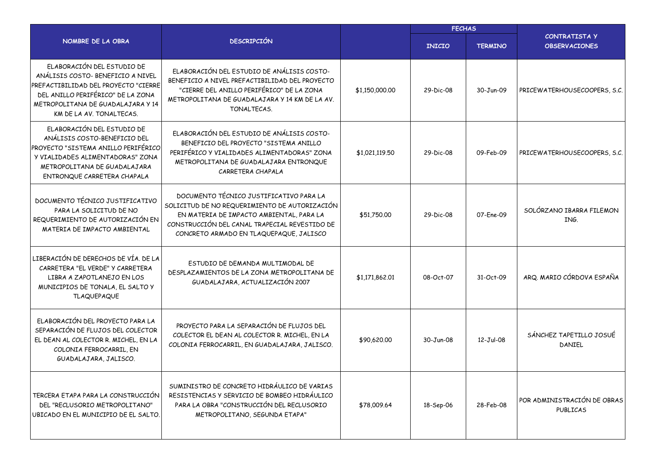|                                                                                                                                                                                                               |                                                                                                                                                                                                                                  | <b>FECHAS</b>  |               |                |                                                |
|---------------------------------------------------------------------------------------------------------------------------------------------------------------------------------------------------------------|----------------------------------------------------------------------------------------------------------------------------------------------------------------------------------------------------------------------------------|----------------|---------------|----------------|------------------------------------------------|
| NOMBRE DE LA OBRA                                                                                                                                                                                             | <b>DESCRIPCIÓN</b>                                                                                                                                                                                                               |                | <b>INICIO</b> | <b>TERMINO</b> | <b>CONTRATISTA Y</b><br><b>OBSERVACIONES</b>   |
| ELABORACIÓN DEL ESTUDIO DE<br>ANÁLISIS COSTO- BENEFICIO A NIVEL<br>PREFACTIBILIDAD DEL PROYECTO "CIERRE<br>DEL ANILLO PERIFÉRICO" DE LA ZONA<br>METROPOLITANA DE GUADALAJARA Y 14<br>KM DE LA AV. TONALTECAS. | ELABORACIÓN DEL ESTUDIO DE ANÁLISIS COSTO-<br>BENEFICIO A NIVEL PREFACTIBILIDAD DEL PROYECTO<br>"CIERRE DEL ANILLO PERIFÉRICO" DE LA ZONA<br>METROPOLITANA DE GUADALAJARA Y 14 KM DE LA AV.<br>TONALTECAS.                       | \$1,150,000.00 | 29-Dic-08     | 30-Jun-09      | PRICEWATERHOUSECOOPERS, S.C.                   |
| ELABORACIÓN DEL ESTUDIO DE<br>ANÁLISIS COSTO-BENEFICIO DEL<br>PROYECTO "SISTEMA ANILLO PERIFÉRICO<br>Y VIALIDADES ALIMENTADORAS" ZONA<br>METROPOLITANA DE GUADALAJARA<br>ENTRONQUE CARRETERA CHAPALA          | ELABORACIÓN DEL ESTUDIO DE ANÁLISIS COSTO-<br>BENEFICIO DEL PROYECTO "SISTEMA ANILLO<br>PERIFÉRICO Y VIALIDADES ALIMENTADORAS" ZONA<br>METROPOLITANA DE GUADALAJARA ENTRONQUE<br>CARRETERA CHAPALA                               | \$1,021,119.50 | 29-Dic-08     | 09-Feb-09      | PRICEWATERHOUSECOOPERS, S.C.                   |
| DOCUMENTO TÉCNICO JUSTIFICATIVO<br>PARA LA SOLICITUD DE NO<br>REQUERIMIENTO DE AUTORIZACIÓN EN<br>MATERIA DE IMPACTO AMBIENTAL                                                                                | DOCUMENTO TÉCNICO JUSTIFICATIVO PARA LA<br>SOLICITUD DE NO REQUERIMIENTO DE AUTORIZACIÓN<br>EN MATERIA DE IMPACTO AMBIENTAL, PARA LA<br>CONSTRUCCIÓN DEL CANAL TRAPECIAL REVESTIDO DE<br>CONCRETO ARMADO EN TLAQUEPAQUE, JALISCO | \$51,750.00    | 29-Dic-08     | 07-Ene-09      | SOLÓRZANO IBARRA FILEMON<br>ING.               |
| LIBERACIÓN DE DERECHOS DE VÍA. DE LA<br>CARRETERA "EL VERDE" Y CARRETERA<br>LIBRA A ZAPOTLANEJO EN LOS<br>MUNICIPIOS DE TONALA, EL SALTO Y<br><b>TLAQUEPAQUE</b>                                              | ESTUDIO DE DEMANDA MULTIMODAL DE<br>DESPLAZAMIENTOS DE LA ZONA METROPOLITANA DE<br>GUADALAJARA, ACTUALIZACIÓN 2007                                                                                                               | \$1,171,862.01 | 08-Oct-07     | 31-Oct-09      | ARQ. MARIO CÓRDOVA ESPAÑA                      |
| ELABORACIÓN DEL PROYECTO PARA LA<br>SEPARACIÓN DE FLUJOS DEL COLECTOR<br>EL DEAN AL COLECTOR R. MICHEL, EN LA<br>COLONIA FERROCARRIL, EN<br>GUADALAJARA, JALISCO.                                             | PROYECTO PARA LA SEPARACIÓN DE FLUJOS DEL<br>COLECTOR EL DEAN AL COLECTOR R. MICHEL, EN LA<br>COLONIA FERROCARRIL, EN GUADALAJARA, JALISCO.                                                                                      | \$90,620.00    | $30 - Jun-08$ | 12-Jul-08      | SÁNCHEZ TAPETILLO JOSUÉ<br>DANIEL              |
| TERCERA ETAPA PARA LA CONSTRUCCIÓN<br>DEL "RECLUSORIO METROPOLITANO"<br>UBICADO EN EL MUNICIPIO DE EL SALTO.                                                                                                  | SUMINISTRO DE CONCRETO HIDRÁULICO DE VARIAS<br>RESISTENCIAS Y SERVICIO DE BOMBEO HIDRÁULICO<br>PARA LA OBRA "CONSTRUCCIÓN DEL RECLUSORIO<br>METROPOLITANO, SEGUNDA ETAPA"                                                        | \$78,009.64    | 18-Sep-06     | 28-Feb-08      | POR ADMINISTRACIÓN DE OBRAS<br><b>PUBLICAS</b> |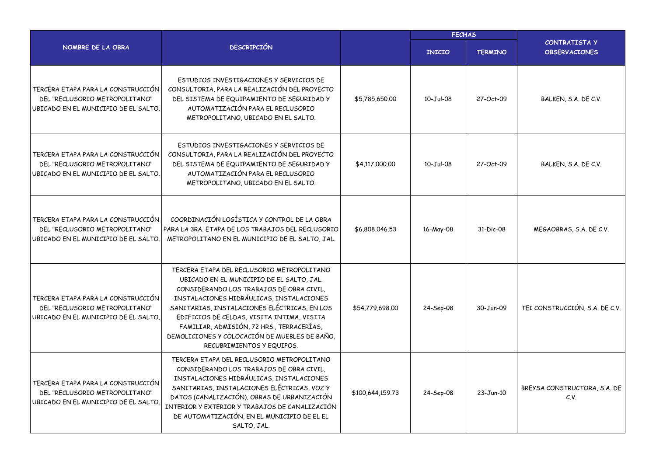|                                                                                                              |                                                                                                                                                                                                                                                                                                                                                                                                          | <b>FECHAS</b>    |                 |                |                                              |
|--------------------------------------------------------------------------------------------------------------|----------------------------------------------------------------------------------------------------------------------------------------------------------------------------------------------------------------------------------------------------------------------------------------------------------------------------------------------------------------------------------------------------------|------------------|-----------------|----------------|----------------------------------------------|
| NOMBRE DE LA OBRA                                                                                            | <b>DESCRIPCIÓN</b>                                                                                                                                                                                                                                                                                                                                                                                       |                  | <b>INICIO</b>   | <b>TERMINO</b> | <b>CONTRATISTA Y</b><br><b>OBSERVACIONES</b> |
| TERCERA ETAPA PARA LA CONSTRUCCIÓN<br>DEL "RECLUSORIO METROPOLITANO"<br>UBICADO EN EL MUNICIPIO DE EL SALTO. | ESTUDIOS INVESTIGACIONES Y SERVICIOS DE<br>CONSULTORIA, PARA LA REALIZACIÓN DEL PROYECTO<br>DEL SISTEMA DE EQUIPAMIENTO DE SEGURIDAD Y<br>AUTOMATIZACIÓN PARA EL RECLUSORIO<br>METROPOLITANO, UBICADO EN EL SALTO.                                                                                                                                                                                       | \$5,785,650.00   | 10-Jul-08       | 27-Oct-09      | BALKEN, S.A. DE C.V.                         |
| TERCERA ETAPA PARA LA CONSTRUCCIÓN<br>DEL "RECLUSORIO METROPOLITANO"<br>UBICADO EN EL MUNICIPIO DE EL SALTO. | ESTUDIOS INVESTIGACIONES Y SERVICIOS DE<br>CONSULTORIA, PARA LA REALIZACIÓN DEL PROYECTO<br>DEL SISTEMA DE EQUIPAMIENTO DE SEGURIDAD Y<br>AUTOMATIZACIÓN PARA EL RECLUSORIO<br>METROPOLITANO, UBICADO EN EL SALTO.                                                                                                                                                                                       | \$4,117,000.00   | $10 - Jul - 08$ | 27-Oct-09      | BALKEN, S.A. DE C.V.                         |
| TERCERA ETAPA PARA LA CONSTRUCCIÓN<br>DEL "RECLUSORIO METROPOLITANO"<br>UBICADO EN EL MUNICIPIO DE EL SALTO. | COORDINACIÓN LOGÍSTICA Y CONTROL DE LA OBRA<br>PARA LA 3RA. ETAPA DE LOS TRABAJOS DEL RECLUSORIO<br>METROPOLITANO EN EL MUNICIPIO DE EL SALTO, JAL.                                                                                                                                                                                                                                                      | \$6,808,046.53   | 16-May-08       | 31-Dic-08      | MEGAOBRAS, S.A. DE C.V.                      |
| TERCERA ETAPA PARA LA CONSTRUCCIÓN<br>DEL "RECLUSORIO METROPOLITANO"<br>UBICADO EN EL MUNICIPIO DE EL SALTO. | TERCERA ETAPA DEL RECLUSORIO METROPOLITANO<br>UBICADO EN EL MUNICIPIO DE EL SALTO, JAL.<br>CONSIDERANDO LOS TRABAJOS DE OBRA CIVIL,<br>INSTALACIONES HIDRÁULICAS, INSTALACIONES<br>SANITARIAS, INSTALACIONES ELÉCTRICAS, EN LOS<br>EDIFICIOS DE CELDAS, VISITA INTIMA, VISITA<br>FAMILIAR, ADMISIÓN, 72 HRS., TERRACERÍAS,<br>DEMOLICIONES Y COLOCACIÓN DE MUEBLES DE BAÑO,<br>RECUBRIMIENTOS Y EQUIPOS. | \$54,779,698,00  | 24-Sep-08       | 30-Jun-09      | TEI CONSTRUCCIÓN, S.A. DE C.V.               |
| TERCERA ETAPA PARA LA CONSTRUCCIÓN<br>DEL "RECLUSORIO METROPOLITANO"<br>UBICADO EN EL MUNICIPIO DE EL SALTO. | TERCERA ETAPA DEL RECLUSORIO METROPOLITANO<br>CONSIDERANDO LOS TRABAJOS DE OBRA CIVIL.<br>INSTALACIONES HIDRÁULICAS, INSTALACIONES<br>SANITARIAS, INSTALACIONES ELÉCTRICAS, VOZ Y<br>DATOS (CANALIZACIÓN), OBRAS DE URBANIZACIÓN<br>INTERIOR Y EXTERIOR Y TRABAJOS DE CANALIZACIÓN<br>DE AUTOMATIZACIÓN, EN EL MUNICIPIO DE EL EL<br>SALTO, JAL.                                                         | \$100,644,159.73 | 24-Sep-08       | 23-Jun-10      | BREYSA CONSTRUCTORA, S.A. DE<br>C.V.         |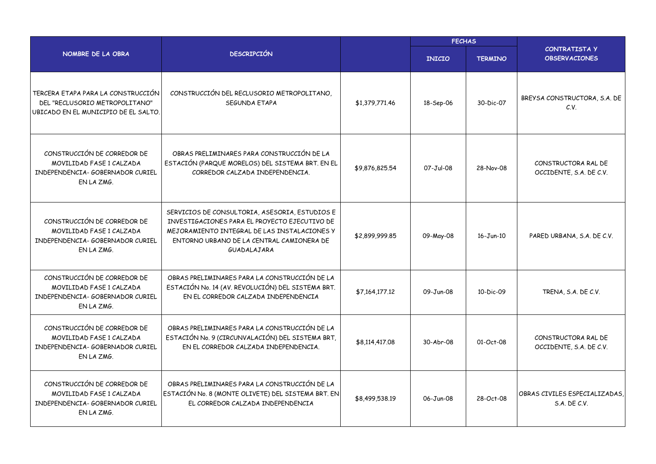|                                                                                                              |                                                                                                                                                                                                             |                | <b>FECHAS</b> |                |                                                |
|--------------------------------------------------------------------------------------------------------------|-------------------------------------------------------------------------------------------------------------------------------------------------------------------------------------------------------------|----------------|---------------|----------------|------------------------------------------------|
| NOMBRE DE LA OBRA                                                                                            | <b>DESCRIPCIÓN</b>                                                                                                                                                                                          |                | <b>INICIO</b> | <b>TERMINO</b> | CONTRATISTA Y<br><b>OBSERVACIONES</b>          |
| TERCERA ETAPA PARA LA CONSTRUCCIÓN<br>DEL "RECLUSORIO METROPOLITANO"<br>UBICADO EN EL MUNICIPIO DE EL SALTO. | CONSTRUCCIÓN DEL RECLUSORIO METROPOLITANO,<br>SEGUNDA ETAPA                                                                                                                                                 | \$1,379,771.46 | 18-Sep-06     | 30-Dic-07      | BREYSA CONSTRUCTORA, S.A. DE<br>C.V.           |
| CONSTRUCCIÓN DE CORREDOR DE<br>MOVILIDAD FASE 1 CALZADA<br>INDEPENDENCIA- GOBERNADOR CURIEL<br>EN LA ZMG.    | OBRAS PRELIMINARES PARA CONSTRUCCIÓN DE LA<br>ESTACIÓN (PARQUE MORELOS) DEL SISTEMA BRT. EN EL<br>CORREDOR CALZADA INDEPENDENCIA.                                                                           | \$9,876,825.54 | 07-Jul-08     | 28-Nov-08      | CONSTRUCTORA RAL DE<br>OCCIDENTE, S.A. DE C.V. |
| CONSTRUCCIÓN DE CORREDOR DE<br>MOVILIDAD FASE 1 CALZADA<br>INDEPENDENCIA- GOBERNADOR CURIEL<br>EN LA ZMG.    | SERVICIOS DE CONSULTORIA, ASESORIA, ESTUDIOS E<br>INVESTIGACIONES PARA EL PROYECTO EJECUTIVO DE<br>MEJORAMIENTO INTEGRAL DE LAS INSTALACIONES Y<br>ENTORNO URBANO DE LA CENTRAL CAMIONERA DE<br>GUADALAJARA | \$2,899,999.85 | 09-May-08     | 16-Jun-10      | PARED URBANA, S.A. DE C.V.                     |
| CONSTRUCCIÓN DE CORREDOR DE<br>MOVILIDAD FASE 1 CALZADA<br>INDEPENDENCIA- GOBERNADOR CURIEL<br>EN LA ZMG.    | OBRAS PRELIMINARES PARA LA CONSTRUCCIÓN DE LA<br>ESTACIÓN No. 14 (AV. REVOLUCIÓN) DEL SISTEMA BRT.<br>EN EL CORREDOR CALZADA INDEPENDENCIA                                                                  | \$7,164,177.12 | 09-Jun-08     | 10-Dic-09      | TRENA, S.A. DE C.V.                            |
| CONSTRUCCIÓN DE CORREDOR DE<br>MOVILIDAD FASE 1 CALZADA<br>INDEPENDENCIA- GOBERNADOR CURIEL<br>EN LA ZMG.    | OBRAS PRELIMINARES PARA LA CONSTRUCCIÓN DE LA<br>ESTACIÓN No. 9 (CIRCUNVALACIÓN) DEL SISTEMA BRT,<br>EN EL CORREDOR CALZADA INDEPENDENCIA.                                                                  | \$8,114,417.08 | 30-Abr-08     | 01-Oct-08      | CONSTRUCTORA RAL DE<br>OCCIDENTE, S.A. DE C.V. |
| CONSTRUCCIÓN DE CORREDOR DE<br>MOVILIDAD FASE 1 CALZADA<br>INDEPENDENCIA- GOBERNADOR CURIEL<br>EN LA ZMG.    | OBRAS PRELIMINARES PARA LA CONSTRUCCIÓN DE LA<br>ESTACIÓN No. 8 (MONTE OLIVETE) DEL SISTEMA BRT. EN<br>EL CORREDOR CALZADA INDEPENDENCIA                                                                    | \$8,499,538.19 | 06-Jun-08     | 28-Oct-08      | OBRAS CIVILES ESPECIALIZADAS.<br>S.A. DE C.V.  |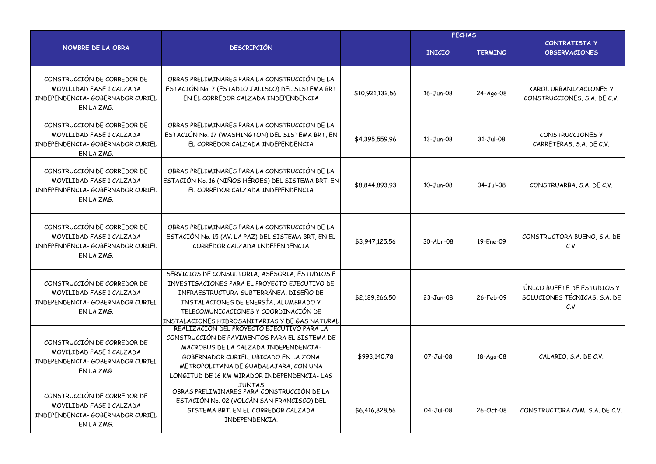|                                                                                                           |                                                                                                                                                                                                                                                                              |                 | <b>FECHAS</b>   |                |                                                                    |  |
|-----------------------------------------------------------------------------------------------------------|------------------------------------------------------------------------------------------------------------------------------------------------------------------------------------------------------------------------------------------------------------------------------|-----------------|-----------------|----------------|--------------------------------------------------------------------|--|
| NOMBRE DE LA OBRA                                                                                         | <b>DESCRIPCIÓN</b>                                                                                                                                                                                                                                                           |                 | <b>INICIO</b>   | <b>TERMINO</b> | <b>CONTRATISTA Y</b><br><b>OBSERVACIONES</b>                       |  |
| CONSTRUCCIÓN DE CORREDOR DE<br>MOVILIDAD FASE 1 CALZADA<br>INDEPENDENCIA- GOBERNADOR CURIEL<br>EN LA ZMG. | OBRAS PRELIMINARES PARA LA CONSTRUCCIÓN DE LA<br>ESTACIÓN No. 7 (ESTADIO JALISCO) DEL SISTEMA BRT<br>EN EL CORREDOR CALZADA INDEPENDENCIA                                                                                                                                    | \$10,921,132.56 | 16-Jun-08       | 24-Ago-08      | KAROL URBANIZACIONES Y<br>CONSTRUCCIONES, S.A. DE C.V.             |  |
| CONSTRUCCIÓN DE CORREDOR DE<br>MOVILIDAD FASE 1 CALZADA<br>INDEPENDENCIA- GOBERNADOR CURIEL<br>EN LA ZMG. | OBRAS PRELIMINARES PARA LA CONSTRUCCIÓN DE LA<br>ESTACIÓN No. 17 (WASHINGTON) DEL SISTEMA BRT, EN<br>EL CORREDOR CALZADA INDEPENDENCIA                                                                                                                                       | \$4,395,559.96  | $13 - Jun-08$   | 31-Jul-08      | CONSTRUCCIONES Y<br>CARRETERAS, S.A. DE C.V.                       |  |
| CONSTRUCCIÓN DE CORREDOR DE<br>MOVILIDAD FASE 1 CALZADA<br>INDEPENDENCIA- GOBERNADOR CURIEL<br>EN LA ZMG. | OBRAS PRELIMINARES PARA LA CONSTRUCCIÓN DE LA<br>ESTACIÓN No. 16 (NIÑOS HÉROES) DEL SISTEMA BRT, EN<br>EL CORREDOR CALZADA INDEPENDENCIA                                                                                                                                     | \$8,844,893.93  | 10-Jun-08       | 04-Jul-08      | CONSTRUARBA, S.A. DE C.V.                                          |  |
| CONSTRUCCIÓN DE CORREDOR DE<br>MOVILIDAD FASE 1 CALZADA<br>INDEPENDENCIA- GOBERNADOR CURIEL<br>EN LA ZMG. | OBRAS PRELIMINARES PARA LA CONSTRUCCIÓN DE LA<br>ESTACIÓN No. 15 (AV. LA PAZ) DEL SISTEMA BRT, EN EL<br>CORREDOR CALZADA INDEPENDENCIA                                                                                                                                       | \$3,947,125.56  | 30-Abr-08       | 19-Ene-09      | CONSTRUCTORA BUENO, S.A. DE<br>C.V.                                |  |
| CONSTRUCCIÓN DE CORREDOR DE<br>MOVILIDAD FASE 1 CALZADA<br>INDEPENDENCIA- GOBERNADOR CURIEL<br>EN LA ZMG. | SERVICIOS DE CONSULTORIA, ASESORIA, ESTUDIOS E<br>INVESTIGACIONES PARA EL PROYECTO EJECUTIVO DE<br>INFRAESTRUCTURA SUBTERRÁNEA, DISEÑO DE<br>INSTALACIONES DE ENERGÍA, ALUMBRADO Y<br>TELECOMUNICACIONES Y COORDINACIÓN DE<br>INSTALACIONES HIDROSANITARIAS Y DE GAS NATURAL | \$2,189,266.50  | $23 - Jun-08$   | 26-Feb-09      | ÚNICO BUFETE DE ESTUDIOS Y<br>SOLUCIONES TÉCNICAS, S.A. DE<br>C.V. |  |
| CONSTRUCCIÓN DE CORREDOR DE<br>MOVILIDAD FASE 1 CALZADA<br>INDEPENDENCIA- GOBERNADOR CURIEL<br>EN LA ZMG. | REALIZACIÓN DEL PROYECTO EJECUTIVO PARA LA<br>CONSTRUCCIÓN DE PAVIMENTOS PARA EL SISTEMA DE<br>MACROBUS DE LA CALZADA INDEPENDENCIA-<br>GOBERNADOR CURIEL, UBICADO EN LA ZONA<br>METROPOLITANA DE GUADALAJARA, CON UNA<br>LONGITUD DE 16 KM MIRADOR INDEPENDENCIA-LAS        | \$993,140.78    | 07-Jul-08       | 18-Ago-08      | CALARIO, S.A. DE C.V.                                              |  |
| CONSTRUCCIÓN DE CORREDOR DE<br>MOVILIDAD FASE 1 CALZADA<br>INDEPENDENCIA- GOBERNADOR CURIEL<br>EN LA ZMG. | <u>JUNTAS<br/>OBRAS PRELIMINARES PARA CONSTRUCCIÓN DE LA</u><br>ESTACIÓN No. 02 (VOLCÁN SAN FRANCISCO) DEL<br>SISTEMA BRT. EN EL CORREDOR CALZADA<br>INDEPENDENCIA.                                                                                                          | \$6,416,828.56  | $04 - Jul - 08$ | 26-Oct-08      | CONSTRUCTORA CVM, S.A. DE C.V.                                     |  |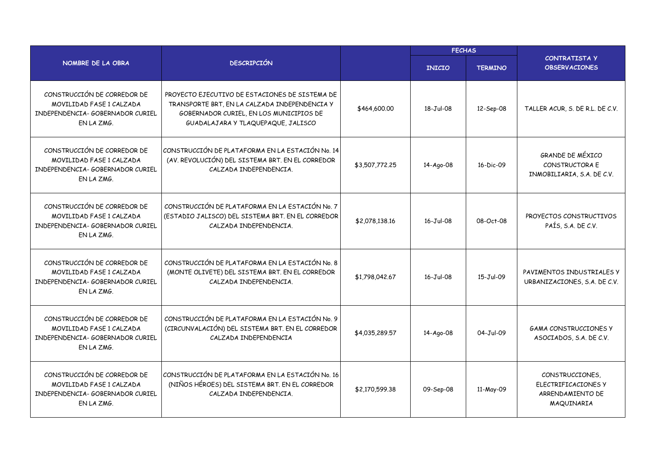|                                                                                                           |                                                                                                                                                                                  |                | <b>FECHAS</b>   |                |                                                                          |  |
|-----------------------------------------------------------------------------------------------------------|----------------------------------------------------------------------------------------------------------------------------------------------------------------------------------|----------------|-----------------|----------------|--------------------------------------------------------------------------|--|
| NOMBRE DE LA OBRA                                                                                         | <b>DESCRIPCIÓN</b>                                                                                                                                                               |                | <b>INICIO</b>   | <b>TERMINO</b> | <b>CONTRATISTA Y</b><br><b>OBSERVACIONES</b>                             |  |
| CONSTRUCCIÓN DE CORREDOR DE<br>MOVILIDAD FASE 1 CALZADA<br>INDEPENDENCIA- GOBERNADOR CURIEL<br>EN LA ZMG. | PROYECTO EJECUTIVO DE ESTACIONES DE SISTEMA DE<br>TRANSPORTE BRT, EN LA CALZADA INDEPENDENCIA Y<br>GOBERNADOR CURIEL, EN LOS MUNICIPIOS DE<br>GUADALAJARA Y TLAQUEPAQUE, JALISCO | \$464,600.00   | 18-Jul-08       | 12-Sep-08      | TALLER ACUR, S. DE R.L. DE C.V.                                          |  |
| CONSTRUCCIÓN DE CORREDOR DE<br>MOVILIDAD FASE 1 CALZADA<br>INDEPENDENCIA- GOBERNADOR CURIEL<br>EN LA ZMG. | CONSTRUCCIÓN DE PLATAFORMA EN LA ESTACIÓN No. 14<br>(AV. REVOLUCIÓN) DEL SISTEMA BRT. EN EL CORREDOR<br>CALZADA INDEPENDENCIA.                                                   | \$3,507,772.25 | 14-Ago-08       | 16-Dic-09      | GRANDE DE MÉXICO<br>CONSTRUCTORA E<br>INMOBILIARIA, S.A. DE C.V.         |  |
| CONSTRUCCIÓN DE CORREDOR DE<br>MOVILIDAD FASE 1 CALZADA<br>INDEPENDENCIA- GOBERNADOR CURIEL<br>EN LA ZMG. | CONSTRUCCIÓN DE PLATAFORMA EN LA ESTACIÓN No. 7<br>(ESTADIO JALISCO) DEL SISTEMA BRT. EN EL CORREDOR<br>CALZADA INDEPENDENCIA.                                                   | \$2,078,138.16 | 16-Jul-08       | 08-Oct-08      | PROYECTOS CONSTRUCTIVOS<br>PAÍS, S.A. DE C.V.                            |  |
| CONSTRUCCIÓN DE CORREDOR DE<br>MOVILIDAD FASE 1 CALZADA<br>INDEPENDENCIA- GOBERNADOR CURIEL<br>EN LA ZMG. | CONSTRUCCIÓN DE PLATAFORMA EN LA ESTACIÓN No. 8<br>(MONTE OLIVETE) DEL SISTEMA BRT. EN EL CORREDOR<br>CALZADA INDEPENDENCIA.                                                     | \$1,798,042.67 | $16 - Jul - 08$ | 15-Jul-09      | PAVIMENTOS INDUSTRIALES Y<br>URBANIZACIONES, S.A. DE C.V.                |  |
| CONSTRUCCIÓN DE CORREDOR DE<br>MOVILIDAD FASE 1 CALZADA<br>INDEPENDENCIA- GOBERNADOR CURIEL<br>EN LA ZMG. | CONSTRUCCIÓN DE PLATAFORMA EN LA ESTACIÓN No. 9<br>(CIRCUNVALACIÓN) DEL SISTEMA BRT. EN EL CORREDOR<br>CALZADA INDEPENDENCIA                                                     | \$4,035,289.57 | 14-Ago-08       | 04-Jul-09      | <b>GAMA CONSTRUCCIONES Y</b><br>ASOCIADOS, S.A. DE C.V.                  |  |
| CONSTRUCCIÓN DE CORREDOR DE<br>MOVILIDAD FASE 1 CALZADA<br>INDEPENDENCIA- GOBERNADOR CURIEL<br>EN LA ZMG. | CONSTRUCCIÓN DE PLATAFORMA EN LA ESTACIÓN No. 16<br>(NIÑOS HÉROES) DEL SISTEMA BRT. EN EL CORREDOR<br>CALZADA INDEPENDENCIA.                                                     | \$2,170,599.38 | 09-Sep-08       | 11-May-09      | CONSTRUCCIONES,<br>ELECTRIFICACIONES Y<br>ARRENDAMIENTO DE<br>MAQUINARIA |  |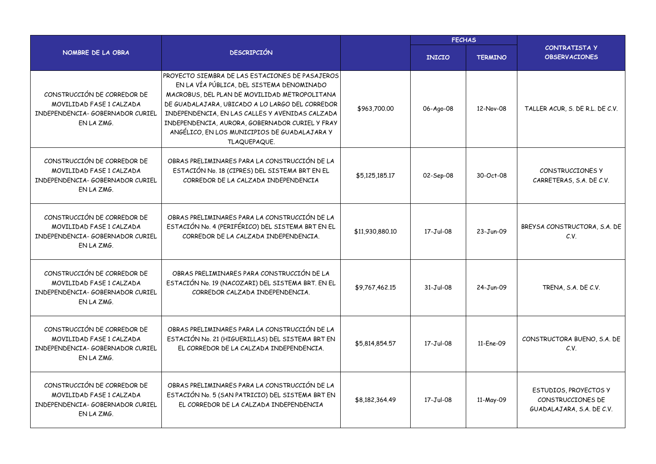|                                                                                                           |                                                                                                                                                                                                                                                                                                                                                                        |                 | <b>FECHAS</b>   |                |                                                                         |  |
|-----------------------------------------------------------------------------------------------------------|------------------------------------------------------------------------------------------------------------------------------------------------------------------------------------------------------------------------------------------------------------------------------------------------------------------------------------------------------------------------|-----------------|-----------------|----------------|-------------------------------------------------------------------------|--|
| NOMBRE DE LA OBRA                                                                                         | <b>DESCRIPCIÓN</b>                                                                                                                                                                                                                                                                                                                                                     |                 | <b>INICIO</b>   | <b>TERMINO</b> | <b>CONTRATISTA Y</b><br><b>OBSERVACIONES</b>                            |  |
| CONSTRUCCIÓN DE CORREDOR DE<br>MOVILIDAD FASE 1 CALZADA<br>INDEPENDENCIA- GOBERNADOR CURIEL<br>EN LA ZMG. | PROYECTO SIEMBRA DE LAS ESTACIONES DE PASAJEROS<br>EN LA VÍA PÚBLICA, DEL SISTEMA DENOMINADO<br>MACROBUS, DEL PLAN DE MOVILIDAD METROPOLITANA<br>DE GUADALAJARA, UBICADO A LO LARGO DEL CORREDOR<br>INDEPENDENCIA, EN LAS CALLES Y AVENIDAS CALZADA<br>INDEPENDENCIA, AURORA, GOBERNADOR CURIEL Y FRAY<br>ANGÉLICO, EN LOS MUNICIPIOS DE GUADALAJARA Y<br>TLAQUEPAQUE. | \$963,700.00    | 06-Ago-08       | 12-Nov-08      | TALLER ACUR, S. DE R.L. DE C.V.                                         |  |
| CONSTRUCCIÓN DE CORREDOR DE<br>MOVILIDAD FASE 1 CALZADA<br>INDEPENDENCIA- GOBERNADOR CURIEL<br>EN LA ZMG. | OBRAS PRELIMINARES PARA LA CONSTRUCCIÓN DE LA<br>ESTACIÓN No. 18 (CIPRES) DEL SISTEMA BRT EN EL<br>CORREDOR DE LA CALZADA INDEPENDENCIA                                                                                                                                                                                                                                | \$5,125,185,17  | 02-Sep-08       | 30-Oct-08      | CONSTRUCCIONES Y<br>CARRETERAS, S.A. DE C.V.                            |  |
| CONSTRUCCIÓN DE CORREDOR DE<br>MOVILIDAD FASE 1 CALZADA<br>INDEPENDENCIA- GOBERNADOR CURIEL<br>EN LA ZMG. | OBRAS PRELIMINARES PARA LA CONSTRUCCIÓN DE LA<br>ESTACIÓN No. 4 (PERIFÉRICO) DEL SISTEMA BRT EN EL<br>CORREDOR DE LA CALZADA INDEPENDENCIA.                                                                                                                                                                                                                            | \$11,930,880.10 | 17-Jul-08       | 23-Jun-09      | BREYSA CONSTRUCTORA, S.A. DE<br>C.V.                                    |  |
| CONSTRUCCIÓN DE CORREDOR DE<br>MOVILIDAD FASE 1 CALZADA<br>INDEPENDENCIA- GOBERNADOR CURIEL<br>EN LA ZMG. | OBRAS PRELIMINARES PARA CONSTRUCCIÓN DE LA<br>ESTACIÓN No. 19 (NACOZARI) DEL SISTEMA BRT. EN EL<br>CORREDOR CALZADA INDEPENDENCIA.                                                                                                                                                                                                                                     | \$9,767,462.15  | $31 - Jul - 08$ | 24-Jun-09      | TRENA, S.A. DE C.V.                                                     |  |
| CONSTRUCCIÓN DE CORREDOR DE<br>MOVILIDAD FASE 1 CALZADA<br>INDEPENDENCIA- GOBERNADOR CURIEL<br>FN LA ZMG. | OBRAS PRELIMINARES PARA LA CONSTRUCCIÓN DE LA<br>ESTACIÓN No. 21 (HIGUERILLAS) DEL SISTEMA BRT EN<br>EL CORREDOR DE LA CALZADA INDEPENDENCIA.                                                                                                                                                                                                                          | \$5,814,854.57  | $17 - Jul - 08$ | 11-Ene-09      | CONSTRUCTORA BUENO, S.A. DE<br>C.V.                                     |  |
| CONSTRUCCIÓN DE CORREDOR DE<br>MOVILIDAD FASE 1 CALZADA<br>INDEPENDENCIA- GOBERNADOR CURIEL<br>EN LA ZMG. | OBRAS PRELIMINARES PARA LA CONSTRUCCIÓN DE LA<br>ESTACIÓN No. 5 (SAN PATRICIO) DEL SISTEMA BRT EN<br>EL CORREDOR DE LA CALZADA INDEPENDENCIA                                                                                                                                                                                                                           | \$8,182,364.49  | 17-Jul-08       | 11-May-09      | ESTUDIOS, PROYECTOS Y<br>CONSTRUCCIONES DE<br>GUADALAJARA, S.A. DE C.V. |  |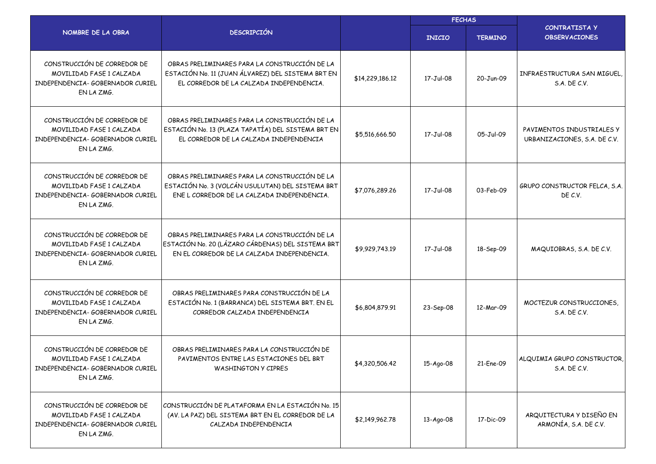|                                                                                                           |                                                                                                                                                   |                 | <b>FECHAS</b> |                |                                                           |
|-----------------------------------------------------------------------------------------------------------|---------------------------------------------------------------------------------------------------------------------------------------------------|-----------------|---------------|----------------|-----------------------------------------------------------|
| NOMBRE DE LA OBRA                                                                                         | <b>DESCRIPCIÓN</b>                                                                                                                                |                 | <b>INICIO</b> | <b>TERMINO</b> | <b>CONTRATISTA Y</b><br><b>OBSERVACIONES</b>              |
| CONSTRUCCIÓN DE CORREDOR DE<br>MOVILIDAD FASE 1 CALZADA<br>INDEPENDENCIA- GOBERNADOR CURIEL<br>EN LA ZMG. | OBRAS PRELIMINARES PARA LA CONSTRUCCIÓN DE LA<br>ESTACIÓN No. 11 (JUAN ÁLVAREZ) DEL SISTEMA BRT EN<br>EL CORREDOR DE LA CALZADA INDEPENDENCIA.    | \$14,229,186.12 | 17-Jul-08     | 20-Jun-09      | INFRAESTRUCTURA SAN MIGUEL,<br>S.A. DE C.V.               |
| CONSTRUCCIÓN DE CORREDOR DE<br>MOVILIDAD FASE 1 CALZADA<br>INDEPENDENCIA- GOBERNADOR CURIEL<br>EN LA ZMG. | OBRAS PRELIMINARES PARA LA CONSTRUCCIÓN DE LA<br>ESTACIÓN No. 13 (PLAZA TAPATÍA) DEL SISTEMA BRT EN<br>EL CORREDOR DE LA CALZADA INDEPENDENCIA    | \$5,516,666.50  | 17-Jul-08     | 05-Jul-09      | PAVIMENTOS INDUSTRIALES Y<br>URBANIZACIONES, S.A. DE C.V. |
| CONSTRUCCIÓN DE CORREDOR DE<br>MOVILIDAD FASE 1 CALZADA<br>INDEPENDENCIA- GOBERNADOR CURIEL<br>EN LA ZMG. | OBRAS PRELIMINARES PARA LA CONSTRUCCIÓN DE LA<br>ESTACIÓN No. 3 (VOLCÁN USULUTAN) DEL SISTEMA BRT<br>ENE L CORREDOR DE LA CALZADA INDEPENDENCIA.  | \$7,076,289.26  | 17-Jul-08     | 03-Feb-09      | GRUPO CONSTRUCTOR FELCA, S.A.<br>DE C.V.                  |
| CONSTRUCCIÓN DE CORREDOR DE<br>MOVILIDAD FASE 1 CALZADA<br>INDEPENDENCIA- GOBERNADOR CURIEL<br>EN LA ZMG. | OBRAS PRELIMINARES PARA LA CONSTRUCCIÓN DE LA<br>ESTACIÓN No. 20 (LÁZARO CÁRDENAS) DEL SISTEMA BRT<br>EN EL CORREDOR DE LA CALZADA INDEPENDENCIA. | \$9,929,743.19  | 17-Jul-08     | 18-Sep-09      | MAQUIOBRAS, S.A. DE C.V.                                  |
| CONSTRUCCIÓN DE CORREDOR DE<br>MOVILIDAD FASE 1 CALZADA<br>INDEPENDENCIA- GOBERNADOR CURIEL<br>EN LA ZMG. | OBRAS PRELIMINARES PARA CONSTRUCCIÓN DE LA<br>ESTACIÓN No. 1 (BARRANCA) DEL SISTEMA BRT. EN EL<br>CORREDOR CALZADA INDEPENDENCIA                  | \$6,804,879.91  | 23-Sep-08     | 12-Mar-09      | MOCTEZUR CONSTRUCCIONES.<br>S.A. DE C.V.                  |
| CONSTRUCCIÓN DE CORREDOR DE<br>MOVILIDAD FASE 1 CALZADA<br>INDEPENDENCIA- GOBERNADOR CURIEL<br>EN LA ZMG. | OBRAS PRELIMINARES PARA LA CONSTRUCCIÓN DE<br>PAVIMENTOS ENTRE LAS ESTACIONES DEL BRT<br>WASHINGTON Y CIPRES                                      | \$4,320,506.42  | 15-Ago-08     | 21-Ene-09      | ALQUIMIA GRUPO CONSTRUCTOR,<br>S.A. DE C.V.               |
| CONSTRUCCIÓN DE CORREDOR DE<br>MOVILIDAD FASE 1 CALZADA<br>INDEPENDENCIA- GOBERNADOR CURIEL<br>EN LA ZMG. | CONSTRUCCIÓN DE PLATAFORMA EN LA ESTACIÓN No. 15<br>(AV. LA PAZ) DEL SISTEMA BRT EN EL CORREDOR DE LA<br>CALZADA INDEPENDENCIA                    | \$2,149,962.78  | 13-Ago-08     | 17-Dic-09      | ARQUITECTURA Y DISEÑO EN<br>ARMONÍA, S.A. DE C.V.         |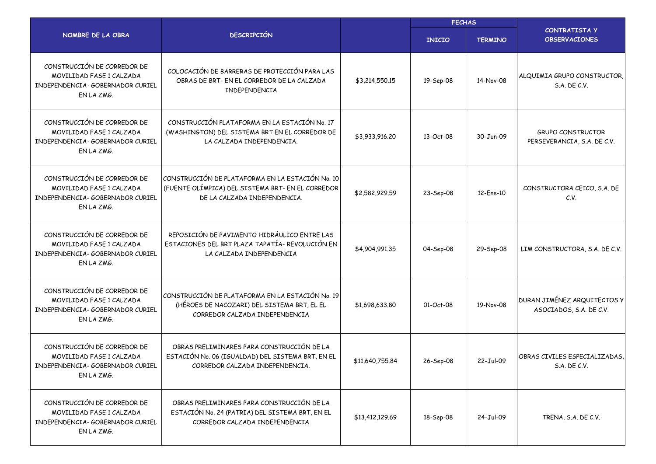|                                                                                                                 |                                                                                                                                       |                 | <b>FECHAS</b> |                |                                                         |  |
|-----------------------------------------------------------------------------------------------------------------|---------------------------------------------------------------------------------------------------------------------------------------|-----------------|---------------|----------------|---------------------------------------------------------|--|
| NOMBRE DE LA OBRA                                                                                               | <b>DESCRIPCIÓN</b>                                                                                                                    |                 | <b>INICIO</b> | <b>TERMINO</b> | <b>CONTRATISTA Y</b><br><b>OBSERVACIONES</b>            |  |
| CONSTRUCCIÓN DE CORREDOR DE<br>MOVILIDAD FASE 1 CALZADA<br>INDEPENDENCIA- GOBERNADOR CURIEL<br>EN LA ZMG.       | COLOCACIÓN DE BARRERAS DE PROTECCIÓN PARA LAS<br>OBRAS DE BRT- EN EL CORREDOR DE LA CALZADA<br>INDEPENDENCIA                          | \$3,214,550.15  | 19-Sep-08     | 14-Nov-08      | ALQUIMIA GRUPO CONSTRUCTOR,<br>S.A. DE C.V.             |  |
| CONSTRUCCIÓN DE CORREDOR DE<br>MOVILIDAD FASE 1 CALZADA<br>INDEPENDENCIA- GOBERNADOR CURIEL<br>EN LA ZMG.       | CONSTRUCCIÓN PLATAFORMA EN LA ESTACIÓN No. 17<br>(WASHINGTON) DEL SISTEMA BRT EN EL CORREDOR DE<br>LA CALZADA INDEPENDENCIA.          | \$3,933,916.20  | 13-Oct-08     | 30-Jun-09      | <b>GRUPO CONSTRUCTOR</b><br>PERSEVERANCIA, S.A. DE C.V. |  |
| CONSTRUCCIÓN DE CORREDOR DE<br>MOVILIDAD FASE 1 CALZADA<br>INDEPENDENCIA- GOBERNADOR CURIEL<br>EN LA ZMG.       | CONSTRUCCIÓN DE PLATAFORMA EN LA ESTACIÓN No. 10<br>(FUENTE OLÍMPICA) DEL SISTEMA BRT- EN EL CORREDOR<br>DE LA CALZADA INDEPENDENCIA. | \$2,582,929.59  | 23-Sep-08     | 12-Ene-10      | CONSTRUCTORA CEICO, S.A. DE<br>C.V.                     |  |
| CONSTRUCCIÓN DE CORREDOR DE<br>MOVILIDAD FASE 1 CALZADA<br>INDEPENDENCIA- GOBERNADOR CURIEL<br>EN LA ZMG.       | REPOSICIÓN DE PAVIMENTO HIDRÁULICO ENTRE LAS<br>ESTACIONES DEL BRT PLAZA TAPATÍA- REVOLUCIÓN EN<br>LA CALZADA INDEPENDENCIA           | \$4,904,991.35  | 04-Sep-08     | 29-Sep-08      | LIM CONSTRUCTORA, S.A. DE C.V.                          |  |
| CONSTRUCCIÓN DE CORREDOR DE<br>MOVILIDAD FASE 1 CALZADA<br>INDEPENDENCIA- GOBERNADOR CURIEL<br>EN LA ZMG.       | CONSTRUCCIÓN DE PLATAFORMA EN LA ESTACIÓN No. 19<br>(HÉROES DE NACOZARI) DEL SISTEMA BRT, EL EL<br>CORREDOR CALZADA INDEPENDENCIA     | \$1,698,633.80  | 01-Oct-08     | 19-Nov-08      | DURAN JIMÉNEZ ARQUITECTOS Y<br>ASOCIADOS, S.A. DE C.V.  |  |
| CONSTRUCCIÓN DE CORREDOR DE<br>MOVILIDAD FASE 1 CALZADA<br><b>TNDEPENDENCTA-GOBERNADOR CURTEL</b><br>EN LA ZMG. | OBRAS PRELIMINARES PARA CONSTRUCCIÓN DE LA<br>ESTACIÓN No. 06 (IGUALDAD) DEL SISTEMA BRT, EN EL<br>CORREDOR CALZADA INDEPENDENCIA.    | \$11,640,755.84 | 26-Sep-08     | 22-Jul-09      | OBRAS CIVILES ESPECIALIZADAS,<br>S.A. DE C.V.           |  |
| CONSTRUCCIÓN DE CORREDOR DE<br>MOVILIDAD FASE 1 CALZADA<br>INDEPENDENCIA- GOBERNADOR CURIEL<br>EN LA ZMG.       | OBRAS PRELIMINARES PARA CONSTRUCCIÓN DE LA<br>ESTACIÓN No. 24 (PATRIA) DEL SISTEMA BRT, EN EL<br>CORREDOR CALZADA INDEPENDENCIA       | \$13,412,129.69 | 18-Sep-08     | 24-Jul-09      | TRENA, S.A. DE C.V.                                     |  |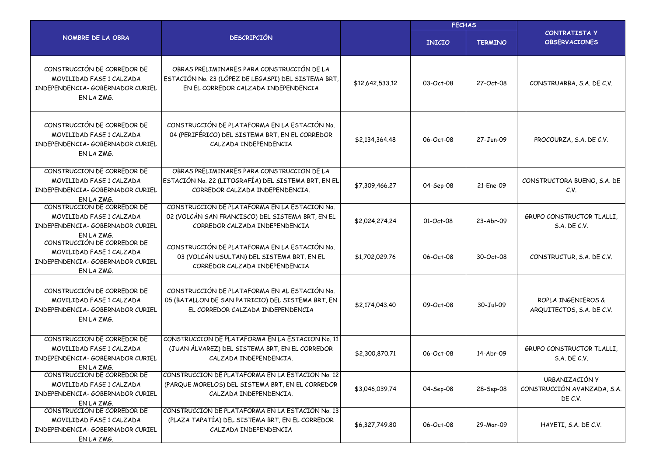|                                                                                                           |                                                                                                                                           | <b>FECHAS</b>   |               |                |                                                          |
|-----------------------------------------------------------------------------------------------------------|-------------------------------------------------------------------------------------------------------------------------------------------|-----------------|---------------|----------------|----------------------------------------------------------|
| NOMBRE DE LA OBRA                                                                                         | <b>DESCRIPCIÓN</b>                                                                                                                        |                 | <b>INICIO</b> | <b>TERMINO</b> | <b>CONTRATISTA Y</b><br><b>OBSERVACIONES</b>             |
| CONSTRUCCIÓN DE CORREDOR DE<br>MOVILIDAD FASE 1 CALZADA<br>INDEPENDENCIA- GOBERNADOR CURIEL<br>EN LA ZMG. | OBRAS PRELIMINARES PARA CONSTRUCCIÓN DE LA<br>ESTACIÓN No. 23 (LÓPEZ DE LEGASPI) DEL SISTEMA BRT,<br>EN EL CORREDOR CALZADA INDEPENDENCIA | \$12,642,533.12 | 03-Oct-08     | 27-Oct-08      | CONSTRUARBA, S.A. DE C.V.                                |
| CONSTRUCCIÓN DE CORREDOR DE<br>MOVILIDAD FASE 1 CALZADA<br>INDEPENDENCIA- GOBERNADOR CURIEL<br>EN LA ZMG. | CONSTRUCCIÓN DE PLATAFORMA EN LA ESTACIÓN No.<br>04 (PERIFÉRICO) DEL SISTEMA BRT, EN EL CORREDOR<br>CALZADA INDEPENDENCIA                 | \$2,134,364.48  | 06-Oct-08     | 27-Jun-09      | PROCOURZA, S.A. DE C.V.                                  |
| CONSTRUCCIÓN DE CORREDOR DE<br>MOVILIDAD FASE 1 CALZADA<br>INDEPENDENCIA- GOBERNADOR CURIEL<br>EN LA ZMG. | OBRAS PRELIMINARES PARA CONSTRUCCIÓN DE LA<br>ESTACIÓN No. 22 (LITOGRAFÍA) DEL SISTEMA BRT, EN EL<br>CORREDOR CALZADA INDEPENDENCIA.      | \$7,309,466.27  | 04-Sep-08     | 21-Ene-09      | CONSTRUCTORA BUENO, S.A. DE<br>C.V.                      |
| CONSTRUCCIÓN DE CORREDOR DE<br>MOVILIDAD FASE 1 CALZADA<br>INDEPENDENCIA- GOBERNADOR CURIEL<br>EN LA ZMG. | CONSTRUCCIÓN DE PLATAFORMA EN LA ESTACIÓN No.<br>02 (VOLCÁN SAN FRANCISCO) DEL SISTEMA BRT, EN EL<br>CORREDOR CALZADA INDEPENDENCIA       | \$2,024,274.24  | 01-Oct-08     | 23-Abr-09      | GRUPO CONSTRUCTOR TLALLI.<br>S.A. DE C.V.                |
| CONSTRUCCIÓN DE CORREDOR DE<br>MOVILIDAD FASE 1 CALZADA<br>INDEPENDENCIA- GOBERNADOR CURIEL<br>EN LA ZMG. | CONSTRUCCIÓN DE PLATAFORMA EN LA ESTACIÓN No.<br>03 (VOLCÁN USULTAN) DEL SISTEMA BRT, EN EL<br>CORREDOR CALZADA INDEPENDENCIA             | \$1,702,029.76  | 06-Oct-08     | 30-Oct-08      | CONSTRUCTUR, S.A. DE C.V.                                |
| CONSTRUCCIÓN DE CORREDOR DE<br>MOVILIDAD FASE 1 CALZADA<br>INDEPENDENCIA- GOBERNADOR CURIEL<br>EN LA ZMG. | CONSTRUCCIÓN DE PLATAFORMA EN AL ESTACIÓN No.<br>05 (BATALLON DE SAN PATRICIO) DEL SISTEMA BRT, EN<br>EL CORREDOR CALZADA INDEPENDENCIA   | \$2,174,043.40  | 09-Oct-08     | 30-Jul-09      | ROPLA INGENIEROS &<br>ARQUITECTOS, S.A. DE C.V.          |
| CONSTRUCCIÓN DE CORREDOR DE<br>MOVILIDAD FASE 1 CALZADA<br>INDEPENDENCIA- GOBERNADOR CURIEL<br>EN LA ZMG. | CONSTRUCCIÓN DE PLATAFORMA EN LA ESTACIÓN No. 11<br>(JUAN ÁLVAREZ) DEL SISTEMA BRT, EN EL CORREDOR<br>CALZADA INDEPENDENCIA.              | \$2,300,870.71  | 06-Oct-08     | 14-Abr-09      | GRUPO CONSTRUCTOR TLALLI.<br>S.A. DE C.V.                |
| CONSTRUCCIÓN DE CORREDOR DE<br>MOVILIDAD FASE 1 CALZADA<br>INDEPENDENCIA- GOBERNADOR CURIEL<br>EN LA ZMG. | CONSTRUCCIÓN DE PLATAFORMA EN LA ESTACIÓN No. 12<br>(PARQUE MORELOS) DEL SISTEMA BRT, EN EL CORREDOR<br>CALZADA INDEPENDENCIA.            | \$3,046,039.74  | 04-Sep-08     | 28-Sep-08      | URBANIZACIÓN Y<br>CONSTRUCCIÓN AVANZADA, S.A.<br>DE C.V. |
| CONSTRUCCIÓN DE CORREDOR DE<br>MOVILIDAD FASE 1 CALZADA<br>INDEPENDENCIA- GOBERNADOR CURIEL<br>EN LA ZMG. | CONSTRUCCIÓN DE PLATAFORMA EN LA ESTACIÓN No. 13<br>(PLAZA TAPATÍA) DEL SISTEMA BRT, EN EL CORREDOR<br>CALZADA INDEPENDENCIA              | \$6,327,749.80  | 06-Oct-08     | 29-Mar-09      | HAYETI, S.A. DE C.V.                                     |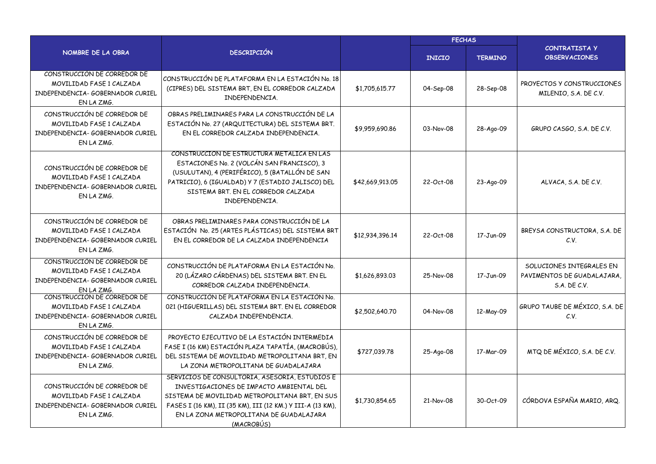|                                                                                                           | <b>DESCRIPCIÓN</b>                                                                                                                                                                                                                                                  |                 | <b>FECHAS</b> |                |                                                                        |  |
|-----------------------------------------------------------------------------------------------------------|---------------------------------------------------------------------------------------------------------------------------------------------------------------------------------------------------------------------------------------------------------------------|-----------------|---------------|----------------|------------------------------------------------------------------------|--|
| NOMBRE DE LA OBRA                                                                                         |                                                                                                                                                                                                                                                                     |                 | <b>INICIO</b> | <b>TERMINO</b> | <b>CONTRATISTA Y</b><br><b>OBSERVACIONES</b>                           |  |
| CONSTRUCCIÓN DE CORREDOR DE<br>MOVILIDAD FASE 1 CALZADA<br>INDEPENDENCIA- GOBERNADOR CURIEL<br>EN LA ZMG. | CONSTRUCCIÓN DE PLATAFORMA EN LA ESTACIÓN No. 18<br>(CIPRES) DEL SISTEMA BRT, EN EL CORREDOR CALZADA<br>INDEPENDENCIA.                                                                                                                                              | \$1,705,615.77  | 04-Sep-08     | 28-Sep-08      | PROYECTOS Y CONSTRUCCIONES<br>MILENIO, S.A. DE C.V.                    |  |
| CONSTRUCCIÓN DE CORREDOR DE<br>MOVILIDAD FASE 1 CALZADA<br>INDEPENDENCIA- GOBERNADOR CURIEL<br>EN LA ZMG. | OBRAS PRELIMINARES PARA LA CONSTRUCCIÓN DE LA<br>ESTACIÓN No. 27 (ARQUITECTURA) DEL SISTEMA BRT.<br>EN EL CORREDOR CALZADA INDEPENDENCIA.                                                                                                                           | \$9,959,690.86  | 03-Nov-08     | 28-Ago-09      | GRUPO CASGO, S.A. DE C.V.                                              |  |
| CONSTRUCCIÓN DE CORREDOR DE<br>MOVILIDAD FASE 1 CALZADA<br>INDEPENDENCIA- GOBERNADOR CURIEL<br>EN LA ZMG. | CONSTRUCCION DE ESTRUCTURA METALICA EN LAS<br>ESTACIONES No. 2 (VOLCÁN SAN FRANCISCO), 3<br>(USULUTAN), 4 (PERIFÉRICO), 5 (BATALLÓN DE SAN<br>PATRICIO), 6 (IGUALDAD) Y 7 (ESTADIO JALISCO) DEL<br>SISTEMA BRT. EN EL CORREDOR CALZADA<br>INDEPENDENCIA.            | \$42,669,913.05 | 22-Oct-08     | 23-Ago-09      | ALVACA, S.A. DE C.V.                                                   |  |
| CONSTRUCCIÓN DE CORREDOR DE<br>MOVILIDAD FASE 1 CALZADA<br>INDEPENDENCIA- GOBERNADOR CURIEL<br>EN LA ZMG. | OBRAS PRELIMINARES PARA CONSTRUCCIÓN DE LA<br>ESTACIÓN No. 25 (ARTES PLÁSTICAS) DEL SISTEMA BRT<br>EN EL CORREDOR DE LA CALZADA INDEPENDENCIA                                                                                                                       | \$12,934,396.14 | 22-Oct-08     | 17-Jun-09      | BREYSA CONSTRUCTORA, S.A. DE<br>C.V.                                   |  |
| CONSTRUCCIÓN DE CORREDOR DE<br>MOVILIDAD FASE 1 CALZADA<br>INDEPENDENCIA- GOBERNADOR CURIEL<br>EN LA ZMG. | CONSTRUCCIÓN DE PLATAFORMA EN LA ESTACIÓN No.<br>20 (LÁZARO CÁRDENAS) DEL SISTEMA BRT. EN EL<br>CORREDOR CALZADA INDEPENDENCIA.                                                                                                                                     | \$1,626,893.03  | 25-Nov-08     | 17-Jun-09      | SOLUCIONES INTEGRALES EN<br>PAVIMENTOS DE GUADALAJARA.<br>S.A. DE C.V. |  |
| CONSTRUCCIÓN DE CORREDOR DE<br>MOVILIDAD FASE 1 CALZADA<br>INDEPENDENCIA- GOBERNADOR CURIEL<br>EN LA ZMG. | CONSTRUCCIÓN DE PLATAFORMA EN LA ESTACIÓN No.<br>021 (HIGUERILLAS) DEL SISTEMA BRT. EN EL CORREDOR<br>CALZADA INDEPENDENCIA.                                                                                                                                        | \$2,502,640.70  | 04-Nov-08     | 12-May-09      | GRUPO TAUBE DE MÉXICO, S.A. DE<br>C.V.                                 |  |
| CONSTRUCCIÓN DE CORREDOR DE<br>MOVILIDAD FASE 1 CALZADA<br>INDEPENDENCIA- GOBERNADOR CURIEL<br>EN LA ZMG. | PROYECTO EJECUTIVO DE LA ESTACIÓN INTERMEDIA<br>FASE I (16 KM) ESTACIÓN PLAZA TAPATÍA, (MACROBÚS),<br>DEL SISTEMA DE MOVILIDAD METROPOLITANA BRT, EN<br>LA ZONA METROPOLITANA DE GUADALAJARA                                                                        | \$727,039.78    | 25-Ago-08     | 17-Mar-09      | MTQ DE MÉXICO, S.A. DE C.V.                                            |  |
| CONSTRUCCIÓN DE CORREDOR DE<br>MOVILIDAD FASE 1 CALZADA<br>INDEPENDENCIA- GOBERNADOR CURIEL<br>EN LA ZMG. | SERVICIOS DE CONSULTORIA, ASESORIA, ESTUDIOS E<br>INVESTIGACIONES DE IMPACTO AMBIENTAL DEL<br>SISTEMA DE MOVILIDAD METROPOLITANA BRT, EN SUS<br>FASES I (16 KM), II (35 KM), III (12 KM.) Y III-A (13 KM),<br>EN LA ZONA METROPOLITANA DE GUADALAJARA<br>(MACROBÚS) | \$1,730,854.65  | 21-Nov-08     | 30-Oct-09      | CÓRDOVA ESPAÑA MARIO, ARQ.                                             |  |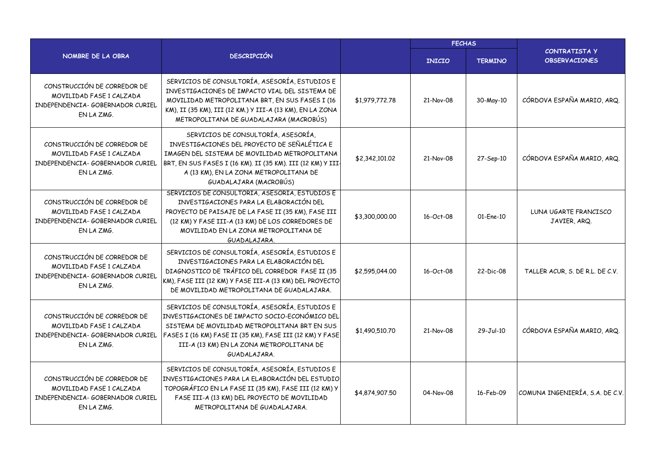|                                                                                                           |                                                                                                                                                                                                                                                                            | <b>FECHAS</b>  |               |                |                                              |
|-----------------------------------------------------------------------------------------------------------|----------------------------------------------------------------------------------------------------------------------------------------------------------------------------------------------------------------------------------------------------------------------------|----------------|---------------|----------------|----------------------------------------------|
| NOMBRE DE LA OBRA                                                                                         | <b>DESCRIPCIÓN</b>                                                                                                                                                                                                                                                         |                | <b>INICIO</b> | <b>TERMINO</b> | <b>CONTRATISTA Y</b><br><b>OBSERVACIONES</b> |
| CONSTRUCCIÓN DE CORREDOR DE<br>MOVILIDAD FASE 1 CALZADA<br>INDEPENDENCIA- GOBERNADOR CURIEL<br>EN LA ZMG. | SERVICIOS DE CONSULTORÍA, ASESORÍA, ESTUDIOS E<br>INVESTIGACIONES DE IMPACTO VIAL DEL SISTEMA DE<br>MOVILIDAD METROPOLITANA BRT, EN SUS FASES I (16<br>KM), II (35 KM), III (12 KM.) Y III-A (13 KM), EN LA ZONA<br>METROPOLITANA DE GUADALAJARA (MACROBÚS)                | \$1,979,772.78 | 21-Nov-08     | 30-May-10      | CÓRDOVA ESPAÑA MARIO, ARQ.                   |
| CONSTRUCCIÓN DE CORREDOR DE<br>MOVILIDAD FASE 1 CALZADA<br>INDEPENDENCIA- GOBERNADOR CURIEL<br>EN LA ZMG. | SERVICIOS DE CONSULTORÍA, ASESORÍA,<br>INVESTIGACIONES DEL PROYECTO DE SEÑALÉTICA E<br>IMAGEN DEL SISTEMA DE MOVILIDAD METROPOLITANA<br>BRT, EN SUS FASES I (16 KM). II (35 KM). III (12 KM) Y III-<br>A (13 KM), EN LA ZONA METROPOLITANA DE<br>GUADALAJARA (MACROBÚS)    | \$2,342,101.02 | 21-Nov-08     | 27-Sep-10      | CÓRDOVA ESPAÑA MARIO, ARQ.                   |
| CONSTRUCCIÓN DE CORREDOR DE<br>MOVILIDAD FASE 1 CALZADA<br>INDEPENDENCIA- GOBERNADOR CURIEL<br>EN LA ZMG. | SERVICIOS DE CONSULTORIA, ASESORIA, ESTUDIOS E<br>INVESTIGACIONES PARA LA ELABORACIÓN DEL<br>PROYECTO DE PAISAJE DE LA FASE II (35 KM), FASE III<br>(12 KM) Y FASE III-A (13 KM) DE LOS CORREDORES DE<br>MOVILIDAD EN LA ZONA METROPOLITANA DE<br>GUADALAJARA.             | \$3,300,000.00 | 16-Oct-08     | 01-Ene-10      | LUNA UGARTE FRANCISCO<br>JAVIER, ARQ.        |
| CONSTRUCCIÓN DE CORREDOR DE<br>MOVILIDAD FASE 1 CALZADA<br>INDEPENDENCIA- GOBERNADOR CURIEL<br>EN LA ZMG. | SERVICIOS DE CONSULTORÍA, ASESORÍA, ESTUDIOS E<br>INVESTIGACIONES PARA LA ELABORACIÓN DEL<br>DIAGNOSTICO DE TRÁFICO DEL CORREDOR FASE II (35<br>KM), FASE III (12 KM) Y FASE III-A (13 KM) DEL PROYECTO<br>DE MOVILIDAD METROPOLITANA DE GUADALAJARA.                      | \$2,595,044,00 | 16-Oct-08     | 22-Dic-08      | TALLER ACUR, S. DE R.L. DE C.V.              |
| CONSTRUCCIÓN DE CORREDOR DE<br>MOVILIDAD FASE 1 CALZADA<br>INDEPENDENCIA- GOBERNADOR CURIEL<br>EN LA ZMG. | SERVICIOS DE CONSULTORÍA, ASESORÍA, ESTUDIOS E<br>INVESTIGACIONES DE IMPACTO SOCIO-ECONÓMICO DEL<br>SISTEMA DE MOVILIDAD METROPOLITANA BRT EN SUS<br>FASES I (16 KM) FASE II (35 KM), FASE III (12 KM) Y FASE<br>III-A (13 KM) EN LA ZONA METROPOLITANA DE<br>GUADALAJARA. | \$1,490,510.70 | 21-Nov-08     | 29-Jul-10      | CÓRDOVA ESPAÑA MARIO, ARQ.                   |
| CONSTRUCCIÓN DE CORREDOR DE<br>MOVILIDAD FASE 1 CALZADA<br>INDEPENDENCIA- GOBERNADOR CURIEL<br>EN LA ZMG. | SERVICIOS DE CONSULTORÍA, ASESORÍA, ESTUDIOS E<br>INVESTIGACIONES PARA LA ELABORACIÓN DEL ESTUDIO<br>TOPOGRÁFICO EN LA FASE II (35 KM), FASE III (12 KM) Y<br>FASE III-A (13 KM) DEL PROYECTO DE MOVILIDAD<br>METROPOLITANA DE GUADALAJARA.                                | \$4,874,907.50 | 04-Nov-08     | 16-Feb-09      | COMUNA INGENIERÍA, S.A. DE C.V.              |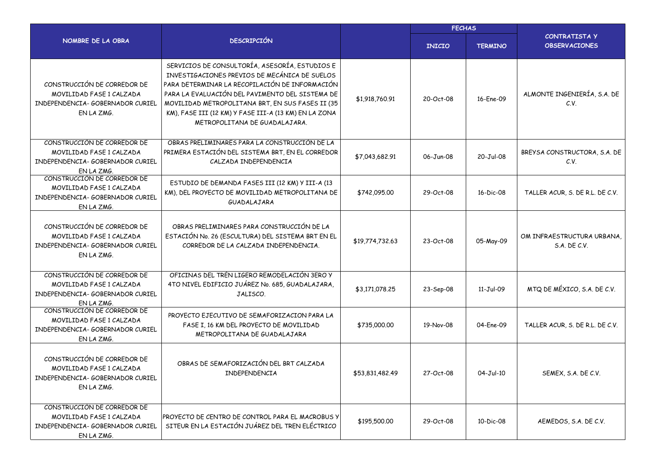|                                                                                                           |                                                                                                                                                                                                                                                                                                                                                    |                 | <b>FECHAS</b> |                |                                                   |  |
|-----------------------------------------------------------------------------------------------------------|----------------------------------------------------------------------------------------------------------------------------------------------------------------------------------------------------------------------------------------------------------------------------------------------------------------------------------------------------|-----------------|---------------|----------------|---------------------------------------------------|--|
| NOMBRE DE LA OBRA                                                                                         | <b>DESCRIPCIÓN</b>                                                                                                                                                                                                                                                                                                                                 |                 | <b>INICIO</b> | <b>TERMINO</b> | <b>CONTRATISTA Y</b><br><b>OBSERVACIONES</b>      |  |
| CONSTRUCCIÓN DE CORREDOR DE<br>MOVILIDAD FASE 1 CALZADA<br>INDEPENDENCIA- GOBERNADOR CURIEL<br>EN LA ZMG. | SERVICIOS DE CONSULTORÍA, ASESORÍA, ESTUDIOS E<br>INVESTIGACIONES PREVIOS DE MECÁNICA DE SUELOS<br>PARA DETERMINAR LA RECOPILACIÓN DE INFORMACIÓN<br>PARA LA EVALUACIÓN DEL PAVIMENTO DEL SISTEMA DE<br>MOVILIDAD METROPOLITANA BRT, EN SUS FASES II (35<br>KM), FASE III (12 KM) Y FASE III-A (13 KM) EN LA ZONA<br>METROPOLITANA DE GUADALAJARA. | \$1,918,760.91  | 20-Oct-08     | 16-Ene-09      | ALMONTE INGENIERÍA, S.A. DE<br>C.V.               |  |
| CONSTRUCCIÓN DE CORREDOR DE<br>MOVILIDAD FASE 1 CALZADA<br>INDEPENDENCIA- GOBERNADOR CURIEL<br>EN LA ZMG. | OBRAS PRELIMINARES PARA LA CONSTRUCCIÓN DE LA<br>PRIMERA ESTACIÓN DEL SISTEMA BRT, EN EL CORREDOR<br>CALZADA INDEPENDENCIA                                                                                                                                                                                                                         | \$7,043,682.91  | 06-Jun-08     | 20-Jul-08      | BREYSA CONSTRUCTORA, S.A. DE<br>C.V.              |  |
| CONSTRUCCIÓN DE CORREDOR DE<br>MOVILIDAD FASE 1 CALZADA<br>INDEPENDENCIA- GOBERNADOR CURIEL<br>EN LA ZMG. | ESTUDIO DE DEMANDA FASES III (12 KM) Y III-A (13<br>KM), DEL PROYECTO DE MOVILIDAD METROPOLITANA DE<br>GUADALAJARA                                                                                                                                                                                                                                 | \$742,095,00    | 29-Oct-08     | 16-Dic-08      | TALLER ACUR, S. DE R.L. DE C.V.                   |  |
| CONSTRUCCIÓN DE CORREDOR DE<br>MOVILIDAD FASE 1 CALZADA<br>INDEPENDENCIA- GOBERNADOR CURIEL<br>EN LA ZMG. | OBRAS PRELIMINARES PARA CONSTRUCCIÓN DE LA<br>ESTACIÓN No. 26 (ESCULTURA) DEL SISTEMA BRT EN EL<br>CORREDOR DE LA CALZADA INDEPENDENCIA.                                                                                                                                                                                                           | \$19,774,732.63 | 23-Oct-08     | 05-May-09      | OM INFRAESTRUCTURA URBANA,<br><b>S.A. DE C.V.</b> |  |
| CONSTRUCCIÓN DE CORREDOR DE<br>MOVILIDAD FASE 1 CALZADA<br>INDEPENDENCIA- GOBERNADOR CURIEL<br>EN LA ZMG. | OFICINAS DEL TRÉN LIGERO REMODELACIÓN 3ERO Y<br>4TO NIVEL EDIFICIO JUÁREZ No. 685, GUADALAJARA,<br>JALISCO.                                                                                                                                                                                                                                        | \$3,171,078.25  | 23-Sep-08     | 11-Jul-09      | MTQ DE MÉXICO, S.A. DE C.V.                       |  |
| CONSTRUCCIÓN DE CORREDOR DE<br>MOVILIDAD FASE 1 CALZADA<br>INDEPENDENCIA- GOBERNADOR CURIEL<br>EN LA ZMG. | PROYECTO EJECUTIVO DE SEMAFORIZACION PARA LA<br>FASE I, 16 KM DEL PROYECTO DE MOVILIDAD<br>METROPOLITANA DE GUADALAJARA                                                                                                                                                                                                                            | \$735,000.00    | 19-Nov-08     | 04-Ene-09      | TALLER ACUR, S. DE R.L. DE C.V.                   |  |
| CONSTRUCCIÓN DE CORREDOR DE<br>MOVILIDAD FASE 1 CALZADA<br>INDEPENDENCIA- GOBERNADOR CURIEL<br>EN LA ZMG. | OBRAS DE SEMAFORIZACIÓN DEL BRT CALZADA<br>INDEPENDENCIA                                                                                                                                                                                                                                                                                           | \$53,831,482.49 | 27-Oct-08     | 04-Jul-10      | SEMEX, S.A. DE C.V.                               |  |
| CONSTRUCCIÓN DE CORREDOR DE<br>MOVILIDAD FASE 1 CALZADA<br>INDEPENDENCIA- GOBERNADOR CURIEL<br>EN LA ZMG. | PROYECTO DE CENTRO DE CONTROL PARA EL MACROBUS Y<br>SITEUR EN LA ESTACIÓN JUÁREZ DEL TREN ELÉCTRICO                                                                                                                                                                                                                                                | \$195,500.00    | 29-Oct-08     | 10-Dic-08      | AEMEDOS, S.A. DE C.V.                             |  |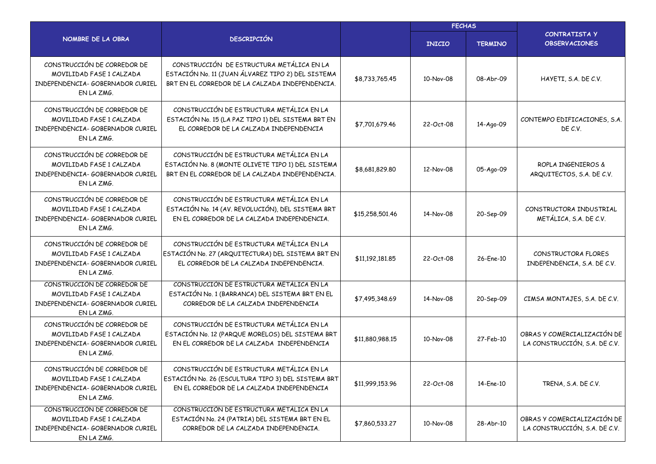|                                                                                                           |                                                                                                                                                   |                 | <b>FECHAS</b> |                |                                                              |  |
|-----------------------------------------------------------------------------------------------------------|---------------------------------------------------------------------------------------------------------------------------------------------------|-----------------|---------------|----------------|--------------------------------------------------------------|--|
| NOMBRE DE LA OBRA                                                                                         | <b>DESCRIPCIÓN</b>                                                                                                                                |                 | <b>INICIO</b> | <b>TERMINO</b> | <b>CONTRATISTA Y</b><br><b>OBSERVACIONES</b>                 |  |
| CONSTRUCCIÓN DE CORREDOR DE<br>MOVILIDAD FASE 1 CALZADA<br>INDEPENDENCIA- GOBERNADOR CURIEL<br>EN LA ZMG. | CONSTRUCCIÓN DE ESTRUCTURA METÁLICA EN LA<br>ESTACIÓN No. 11 (JUAN ÁLVAREZ TIPO 2) DEL SISTEMA<br>BRT EN EL CORREDOR DE LA CALZADA INDEPENDENCIA. | \$8,733,765.45  | 10-Nov-08     | 08-Abr-09      | HAYETI, S.A. DE C.V.                                         |  |
| CONSTRUCCIÓN DE CORREDOR DE<br>MOVILIDAD FASE 1 CALZADA<br>INDEPENDENCIA- GOBERNADOR CURIEL<br>EN LA ZMG. | CONSTRUCCIÓN DE ESTRUCTURA METÁLICA EN LA<br>ESTACIÓN No. 15 (LA PAZ TIPO 1) DEL SISTEMA BRT EN<br>EL CORREDOR DE LA CALZADA INDEPENDENCIA        | \$7,701,679.46  | 22-Oct-08     | 14-Ago-09      | CONTEMPO EDIFICACIONES, S.A.<br>DE C.V.                      |  |
| CONSTRUCCIÓN DE CORREDOR DE<br>MOVILIDAD FASE 1 CALZADA<br>INDEPENDENCIA- GOBERNADOR CURIEL<br>EN LA ZMG. | CONSTRUCCIÓN DE ESTRUCTURA METÁLICA EN LA<br>ESTACIÓN No. 8 (MONTE OLIVETE TIPO 1) DEL SISTEMA<br>BRT EN EL CORREDOR DE LA CALZADA INDEPENDENCIA. | \$8,681,829.80  | 12-Nov-08     | 05-Ago-09      | ROPLA INGENIEROS &<br>ARQUITECTOS, S.A. DE C.V.              |  |
| CONSTRUCCIÓN DE CORREDOR DE<br>MOVILIDAD FASE 1 CALZADA<br>INDEPENDENCIA- GOBERNADOR CURIEL<br>EN LA ZMG. | CONSTRUCCIÓN DE ESTRUCTURA METÁLICA EN LA<br>ESTACIÓN No. 14 (AV. REVOLUCIÓN), DEL SISTEMA BRT<br>EN EL CORREDOR DE LA CALZADA INDEPENDENCIA.     | \$15,258,501.46 | 14-Nov-08     | 20-Sep-09      | CONSTRUCTORA INDUSTRIAL<br>METÁLICA, S.A. DE C.V.            |  |
| CONSTRUCCIÓN DE CORREDOR DE<br>MOVILIDAD FASE 1 CALZADA<br>INDEPENDENCIA- GOBERNADOR CURIEL<br>EN LA ZMG. | CONSTRUCCIÓN DE ESTRUCTURA METÁLICA EN LA<br>ESTACIÓN No. 27 (ARQUITECTURA) DEL SISTEMA BRT EN<br>EL CORREDOR DE LA CALZADA INDEPENDENCIA.        | \$11,192,181.85 | 22-Oct-08     | 26-Ene-10      | CONSTRUCTORA FLORES<br>INDEPENDENCIA, S.A. DE C.V.           |  |
| CONSTRUCCIÓN DE CORREDOR DE<br>MOVILIDAD FASE 1 CALZADA<br>INDEPENDENCIA- GOBERNADOR CURIEL<br>EN LA ZMG. | CONSTRUCCIÓN DE ESTRUCTURA METÁLICA EN LA<br>ESTACIÓN No. 1 (BARRANCA) DEL SISTEMA BRT EN EL<br>CORREDOR DE LA CALZADA INDEPENDENCIA              | \$7,495,348.69  | 14-Nov-08     | 20-Sep-09      | CIMSA MONTAJES, S.A. DE C.V.                                 |  |
| CONSTRUCCIÓN DE CORREDOR DE<br>MOVILIDAD FASE 1 CALZADA<br>INDEPENDENCIA- GOBERNADOR CURIEL<br>EN LA ZMG. | CONSTRUCCIÓN DE ESTRUCTURA METÁLICA EN LA<br>ESTACIÓN No. 12 (PARQUE MORELOS) DEL SISTEMA BRT<br>EN EL CORREDOR DE LA CALZADA INDEPENDENCIA       | \$11,880,988.15 | 10-Nov-08     | 27-Feb-10      | OBRAS Y COMERCIALIZACIÓN DE<br>LA CONSTRUCCIÓN, S.A. DE C.V. |  |
| CONSTRUCCIÓN DE CORREDOR DE<br>MOVILIDAD FASE 1 CALZADA<br>INDEPENDENCIA- GOBERNADOR CURIEL<br>EN LA ZMG. | CONSTRUCCIÓN DE ESTRUCTURA METÁLICA EN LA<br>ESTACIÓN No. 26 (ESCULTURA TIPO 3) DEL SISTEMA BRT<br>EN EL CORREDOR DE LA CALZADA INDEPENDENCIA     | \$11,999,153.96 | 22-Oct-08     | 14-Ene-10      | TRENA, S.A. DE C.V.                                          |  |
| CONSTRUCCIÓN DE CORREDOR DE<br>MOVILIDAD FASE 1 CALZADA<br>INDEPENDENCIA- GOBERNADOR CURIEL<br>EN LA ZMG. | CONSTRUCCIÓN DE ESTRUCTURA METÁLICA EN LA<br>ESTACIÓN No. 24 (PATRIA) DEL SISTEMA BRT EN EL<br>CORREDOR DE LA CALZADA INDEPENDENCIA.              | \$7,860,533.27  | 10-Nov-08     | 28-Abr-10      | OBRAS Y COMERCIALIZACIÓN DE<br>LA CONSTRUCCIÓN, S.A. DE C.V. |  |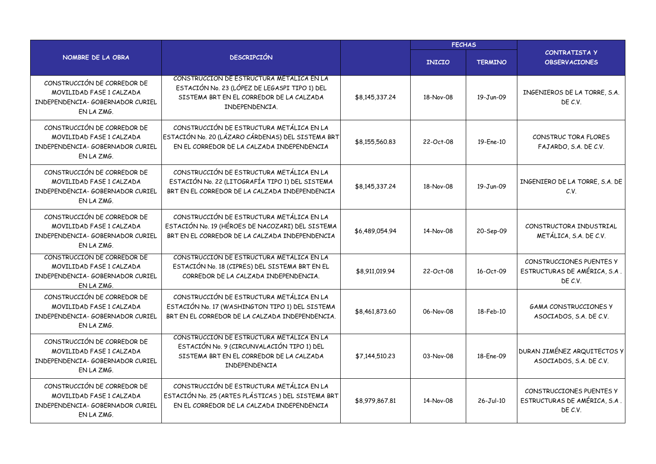|                                                                                                           |                                                                                                                                                             |                | <b>FECHAS</b> |                |                                                                     |  |
|-----------------------------------------------------------------------------------------------------------|-------------------------------------------------------------------------------------------------------------------------------------------------------------|----------------|---------------|----------------|---------------------------------------------------------------------|--|
| NOMBRE DE LA OBRA                                                                                         | <b>DESCRIPCIÓN</b>                                                                                                                                          |                | <b>INICIO</b> | <b>TERMINO</b> | <b>CONTRATISTA Y</b><br><b>OBSERVACIONES</b>                        |  |
| CONSTRUCCIÓN DE CORREDOR DE<br>MOVILIDAD FASE 1 CALZADA<br>INDEPENDENCIA- GOBERNADOR CURIEL<br>EN LA ZMG. | CONSTRUCCIÓN DE ESTRUCTURA METÁLICA EN LA<br>ESTACIÓN No. 23 (LÓPEZ DE LEGASPI TIPO 1) DEL<br>SISTEMA BRT EN EL CORREDOR DE LA CALZADA<br>INDEPENDENCIA.    | \$8,145,337.24 | 18-Nov-08     | 19-Jun-09      | INGENIEROS DE LA TORRE, S.A.<br>DE C.V.                             |  |
| CONSTRUCCIÓN DE CORREDOR DE<br>MOVILIDAD FASE 1 CALZADA<br>INDEPENDENCIA- GOBERNADOR CURIEL<br>EN LA ZMG. | CONSTRUCCIÓN DE ESTRUCTURA METÁLICA EN LA<br>ESTACIÓN No. 20 (LÁZARO CÁRDENAS) DEL SISTEMA BRT<br>EN EL CORREDOR DE LA CALZADA INDEPENDENCIA                | \$8,155,560.83 | 22-Oct-08     | 19-Ene-10      | CONSTRUC TORA FLORES<br>FAJARDO, S.A. DE C.V.                       |  |
| CONSTRUCCIÓN DE CORREDOR DE<br>MOVILIDAD FASE 1 CALZADA<br>INDEPENDENCIA- GOBERNADOR CURIEL<br>EN LA ZMG. | CONSTRUCCIÓN DE ESTRUCTURA METÁLICA EN LA<br>ESTACIÓN No. 22 (LITOGRAFÍA TIPO 1) DEL SISTEMA<br>BRT EN EL CORREDOR DE LA CALZADA INDEPENDENCIA              | \$8,145,337.24 | 18-Nov-08     | 19-Jun-09      | INGENIERO DE LA TORRE, S.A. DE<br>C.V.                              |  |
| CONSTRUCCIÓN DE CORREDOR DE<br>MOVILIDAD FASE 1 CALZADA<br>INDEPENDENCIA- GOBERNADOR CURIEL<br>EN LA ZMG. | CONSTRUCCIÓN DE ESTRUCTURA METÁLICA EN LA<br>ESTACIÓN No. 19 (HÉROES DE NACOZARI) DEL SISTEMA<br>BRT EN EL CORREDOR DE LA CALZADA INDEPENDENCIA             | \$6,489,054.94 | 14-Nov-08     | 20-Sep-09      | CONSTRUCTORA INDUSTRIAL<br>METÁLICA, S.A. DE C.V.                   |  |
| CONSTRUCCIÓN DE CORREDOR DE<br>MOVILIDAD FASE 1 CALZADA<br>INDEPENDENCIA- GOBERNADOR CURIEL<br>EN LA ZMG. | CONSTRUCCIÓN DE ESTRUCTURA METÁLICA EN LA<br>ESTACIÓN No. 18 (CIPRES) DEL SISTEMA BRT EN EL<br>CORREDOR DE LA CALZADA INDEPENDENCIA.                        | \$8,911,019.94 | 22-Oct-08     | 16-Oct-09      | CONSTRUCCIONES PUENTES Y<br>ESTRUCTURAS DE AMÉRICA, S.A.<br>DE C.V. |  |
| CONSTRUCCIÓN DE CORREDOR DE<br>MOVILIDAD FASE 1 CALZADA<br>INDEPENDENCIA- GOBERNADOR CURIEL<br>EN LA ZMG. | CONSTRUCCIÓN DE ESTRUCTURA METÁLICA EN LA<br>ESTACIÓN No. 17 (WASHINGTON TIPO 1) DEL SISTEMA<br>BRT EN EL CORREDOR DE LA CALZADA INDEPENDENCIA.             | \$8,461,873.60 | 06-Nov-08     | 18-Feb-10      | <b>GAMA CONSTRUCCIONES Y</b><br>ASOCIADOS, S.A. DE C.V.             |  |
| CONSTRUCCIÓN DE CORREDOR DE<br>MOVILIDAD FASE 1 CALZADA<br>INDEPENDENCIA- GOBERNADOR CURIEL<br>EN LA ZMG. | CONSTRUCCIÓN DE ESTRUCTURA METALICA EN LA<br>ESTACIÓN No. 9 (CIRCUNVALACIÓN TIPO 1) DEL<br>SISTEMA BRT EN EL CORREDOR DE LA CALZADA<br><b>INDEPENDENCIA</b> | \$7,144,510.23 | 03-Nov-08     | 18-Ene-09      | DURAN JIMÉNEZ ARQUITECTOS Y<br>ASOCIADOS, S.A. DE C.V.              |  |
| CONSTRUCCIÓN DE CORREDOR DE<br>MOVILIDAD FASE 1 CALZADA<br>INDEPENDENCIA- GOBERNADOR CURIEL<br>EN LA ZMG. | CONSTRUCCIÓN DE ESTRUCTURA METÁLICA EN LA<br>ESTACIÓN No. 25 (ARTES PLÁSTICAS) DEL SISTEMA BRT<br>EN EL CORREDOR DE LA CALZADA INDEPENDENCIA                | \$8,979,867.81 | 14-Nov-08     | 26-Jul-10      | CONSTRUCCIONES PUENTES Y<br>ESTRUCTURAS DE AMÉRICA, S.A.<br>DE C.V. |  |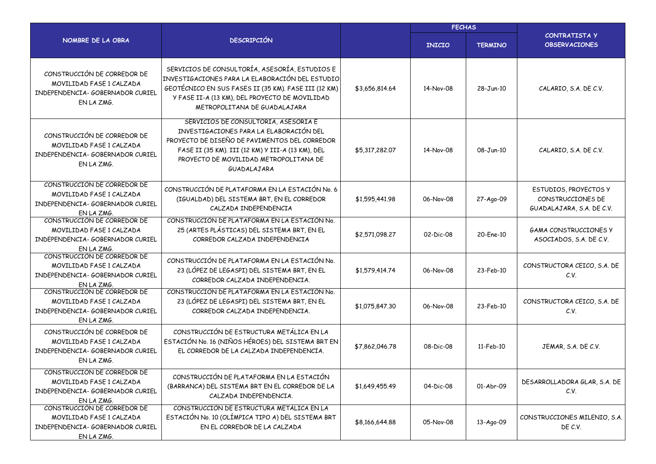|                                                                                                           |                                                                                                                                                                                                                                                |                | <b>FECHAS</b> |                |                                                                         |  |  |
|-----------------------------------------------------------------------------------------------------------|------------------------------------------------------------------------------------------------------------------------------------------------------------------------------------------------------------------------------------------------|----------------|---------------|----------------|-------------------------------------------------------------------------|--|--|
| NOMBRE DE LA OBRA                                                                                         | <b>DESCRIPCIÓN</b>                                                                                                                                                                                                                             |                | <b>INICIO</b> | <b>TERMINO</b> | <b>CONTRATISTA Y</b><br><b>OBSERVACIONES</b>                            |  |  |
| CONSTRUCCIÓN DE CORREDOR DE<br>MOVILIDAD FASE 1 CALZADA<br>INDEPENDENCIA- GOBERNADOR CURIEL<br>EN LA ZMG. | SERVICIOS DE CONSULTORÍA, ASESORÍA, ESTUDIOS E<br>INVESTIGACIONES PARA LA ELABORACIÓN DEL ESTUDIO<br>GEOTÉCNICO EN SUS FASES II (35 KM). FASE III (12 KM)<br>Y FASE II-A (13 KM), DEL PROYECTO DE MOVILIDAD<br>METROPOLITANA DE GUADALAJARA    | \$3,656,814.64 | 14-Nov-08     | 28-Jun-10      | CALARIO, S.A. DE C.V.                                                   |  |  |
| CONSTRUCCIÓN DE CORREDOR DE<br>MOVILIDAD FASE 1 CALZADA<br>INDEPENDENCIA- GOBERNADOR CURIEL<br>EN LA ZMG. | SERVICIOS DE CONSULTORIA, ASESORIA E<br>INVESTIGACIONES PARA LA ELABORACIÓN DEL<br>PROYECTO DE DISEÑO DE PAVIMENTOS DEL CORREDOR<br>FASE II (35 KM). III (12 KM) Y III-A (13 KM), DEL<br>PROYECTO DE MOVILIDAD METROPOLITANA DE<br>GUADALAJARA | \$5,317,282.07 | 14-Nov-08     | 08-Jun-10      | CALARIO, S.A. DE C.V.                                                   |  |  |
| CONSTRUCCIÓN DE CORREDOR DE<br>MOVILIDAD FASE 1 CALZADA<br>INDEPENDENCIA- GOBERNADOR CURIEL<br>EN LA ZMG. | CONSTRUCCIÓN DE PLATAFORMA EN LA ESTACIÓN No. 6<br>(IGUALDAD) DEL SISTEMA BRT, EN EL CORREDOR<br>CALZADA INDEPENDENCIA                                                                                                                         | \$1,595,441.98 | 06-Nov-08     | 27-Ago-09      | ESTUDIOS, PROYECTOS Y<br>CONSTRUCCIONES DE<br>GUADALAJARA, S.A. DE C.V. |  |  |
| CONSTRUCCIÓN DE CORREDOR DE<br>MOVILIDAD FASE 1 CALZADA<br>INDEPENDENCIA- GOBERNADOR CURIEL<br>EN LA ZMG. | CONSTRUCCIÓN DE PLATAFORMA EN LA ESTACIÓN No.<br>25 (ARTES PLÁSTICAS) DEL SISTEMA BRT, EN EL<br>CORREDOR CALZADA INDEPENDENCIA                                                                                                                 | \$2,571,098.27 | 02-Dic-08     | 20-Ene-10      | <b>GAMA CONSTRUCCIONES Y</b><br>ASOCIADOS, S.A. DE C.V.                 |  |  |
| CONSTRUCCIÓN DE CORREDOR DE<br>MOVILIDAD FASE 1 CALZADA<br>INDEPENDENCIA- GOBERNADOR CURIEL<br>EN LA ZMG. | CONSTRUCCIÓN DE PLATAFORMA EN LA ESTACIÓN No.<br>23 (LÓPEZ DE LEGASPI) DEL SISTEMA BRT, EN EL<br>CORREDOR CALZADA INDEPENDENCIA.                                                                                                               | \$1,579,414.74 | 06-Nov-08     | 23-Feb-10      | CONSTRUCTORA CEICO, S.A. DE<br>C.V.                                     |  |  |
| CONSTRUCCIÓN DE CORREDOR DE<br>MOVILIDAD FASE 1 CALZADA<br>INDEPENDENCIA- GOBERNADOR CURIEL<br>EN LA ZMG. | CONSTRUCCIÓN DE PLATAFORMA EN LA ESTACIÓN No.<br>23 (LÓPEZ DE LEGASPI) DEL SISTEMA BRT, EN EL<br>CORREDOR CALZADA INDEPENDENCIA.                                                                                                               | \$1,075,847.30 | 06-Nov-08     | 23-Feb-10      | CONSTRUCTORA CEICO, S.A. DE<br>C.V.                                     |  |  |
| CONSTRUCCIÓN DE CORREDOR DE<br>MOVILIDAD FASE 1 CALZADA<br>INDEPENDENCIA- GOBERNADOR CURIEL<br>EN LA ZMG. | CONSTRUCCIÓN DE ESTRUCTURA METÁLICA EN LA<br>ESTACIÓN No. 16 (NIÑOS HÉROES) DEL SISTEMA BRT EN<br>EL CORREDOR DE LA CALZADA INDEPENDENCIA.                                                                                                     | \$7,862,046.78 | 08-Dic-08     | 11-Feb-10      | JEMAR, S.A. DE C.V.                                                     |  |  |
| CONSTRUCCIÓN DE CORREDOR DE<br>MOVILIDAD FASE 1 CALZADA<br>INDEPENDENCIA- GOBERNADOR CURIEL<br>EN LA ZMG. | CONSTRUCCIÓN DE PLATAFORMA EN LA ESTACIÓN<br>(BARRANCA) DEL SISTEMA BRT EN EL CORREDOR DE LA<br>CALZADA INDEPENDENCIA.                                                                                                                         | \$1,649,455.49 | 04-Dic-08     | 01-Abr-09      | DESARROLLADORA GLAR, S.A. DE<br>C.V.                                    |  |  |
| CONSTRUCCIÓN DE CORREDOR DE<br>MOVILIDAD FASE 1 CALZADA<br>INDEPENDENCIA- GOBERNADOR CURIEL<br>EN LA ZMG. | CONSTRUCCIÓN DE ESTRUCTURA METÁLICA EN LA<br>ESTACIÓN No. 10 (OLÍMPICA TIPO A) DEL SISTEMA BRT<br>EN EL CORREDOR DE LA CALZADA                                                                                                                 | \$8,166,644.88 | 05-Nov-08     | 13-Ago-09      | CONSTRUCCIONES MILENIO, S.A.<br>DE C.V.                                 |  |  |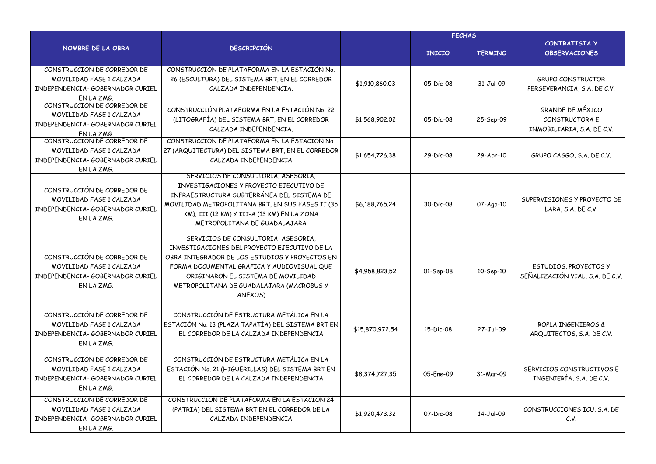|                                                                                                           |                                                                                                                                                                                                                                                                                  |                 | <b>FECHAS</b> |                |                                                                         |
|-----------------------------------------------------------------------------------------------------------|----------------------------------------------------------------------------------------------------------------------------------------------------------------------------------------------------------------------------------------------------------------------------------|-----------------|---------------|----------------|-------------------------------------------------------------------------|
| NOMBRE DE LA OBRA                                                                                         | <b>DESCRIPCIÓN</b>                                                                                                                                                                                                                                                               |                 | <b>INICIO</b> | <b>TERMINO</b> | CONTRATISTA Y<br><b>OBSERVACIONES</b>                                   |
| CONSTRUCCIÓN DE CORREDOR DE<br>MOVILIDAD FASE 1 CALZADA<br>INDEPENDENCIA- GOBERNADOR CURIEL<br>EN LA ZMG. | CONSTRUCCIÓN DE PLATAFORMA EN LA ESTACIÓN No.<br>26 (ESCULTURA) DEL SISTEMA BRT, EN EL CORREDOR<br>CALZADA INDEPENDENCIA.                                                                                                                                                        | \$1,910,860.03  | $05-Dic-08$   | 31-Jul-09      | <b>GRUPO CONSTRUCTOR</b><br>PERSEVERANCIA, S.A. DE C.V.                 |
| CONSTRUCCIÓN DE CORREDOR DE<br>MOVILIDAD FASE 1 CALZADA<br>INDEPENDENCIA- GOBERNADOR CURIEL<br>EN LA ZMG. | CONSTRUCCIÓN PLATAFORMA EN LA ESTACIÓN No. 22<br>(LITOGRAFÍA) DEL SISTEMA BRT, EN EL CORREDOR<br>CALZADA INDEPENDENCIA.                                                                                                                                                          | \$1,568,902.02  | 05-Dic-08     | 25-Sep-09      | <b>GRANDE DE MÉXICO</b><br>CONSTRUCTORA E<br>INMOBILIARIA, S.A. DE C.V. |
| CONSTRUCCIÓN DE CORREDOR DE<br>MOVILIDAD FASE 1 CALZADA<br>INDEPENDENCIA- GOBERNADOR CURIEL<br>EN LA ZMG. | CONSTRUCCIÓN DE PLATAFORMA EN LA ESTACIÓN No.<br>27 (ARQUITECTURA) DEL SISTEMA BRT, EN EL CORREDOR<br>CALZADA INDEPENDENCIA                                                                                                                                                      | \$1,654,726,38  | 29-Dic-08     | 29-Abr-10      | GRUPO CASGO, S.A. DE C.V.                                               |
| CONSTRUCCIÓN DE CORREDOR DE<br>MOVILIDAD FASE 1 CALZADA<br>INDEPENDENCIA- GOBERNADOR CURIEL<br>EN LA ZMG. | SERVICIOS DE CONSULTORIA, ASESORIA,<br>INVESTIGACIONES Y PROYECTO EJECUTIVO DE<br>INFRAESTRUCTURA SUBTERRÁNEA DEL SISTEMA DE<br>MOVILIDAD METROPOLITANA BRT, EN SUS FASES II (35<br>KM), III (12 KM) Y III-A (13 KM) EN LA ZONA<br>METROPOLITANA DE GUADALAJARA                  | \$6,188,765,24  | 30-Dic-08     | 07-Ago-10      | SUPERVISIONES Y PROYECTO DE<br>LARA, S.A. DE C.V.                       |
| CONSTRUCCIÓN DE CORREDOR DE<br>MOVILIDAD FASE 1 CALZADA<br>INDEPENDENCIA- GOBERNADOR CURIEL<br>EN LA ZMG. | SERVICIOS DE CONSULTORIA, ASESORIA,<br>INVESTIGACIONES DEL PROYECTO EJECUTIVO DE LA<br>OBRA INTEGRADOR DE LOS ESTUDIOS Y PROYECTOS EN<br>FORMA DOCUMENTAL GRAFICA Y AUDIOVISUAL QUE<br>ORIGINARON EL SISTEMA DE MOVILIDAD<br>METROPOLITANA DE GUADALAJARA (MACROBUS Y<br>ANEXOS) | \$4,958,823.52  | 01-Sep-08     | 10-Sep-10      | ESTUDIOS, PROYECTOS Y<br>SEÑALIZACIÓN VIAL, S.A. DE C.V.                |
| CONSTRUCCIÓN DE CORREDOR DE<br>MOVILIDAD FASE 1 CALZADA<br>INDEPENDENCIA- GOBERNADOR CURIEL<br>EN LA ZMG. | CONSTRUCCIÓN DE ESTRUCTURA METÁLICA EN LA<br>ESTACIÓN No. 13 (PLAZA TAPATÍA) DEL SISTEMA BRT EN<br>EL CORREDOR DE LA CALZADA INDEPENDENCIA                                                                                                                                       | \$15,870,972.54 | 15-Dic-08     | 27-Jul-09      | ROPLA INGENIEROS &<br>ARQUITECTOS, S.A. DE C.V.                         |
| CONSTRUCCIÓN DE CORREDOR DE<br>MOVILIDAD FASE 1 CALZADA<br>INDEPENDENCIA- GOBERNADOR CURIEL<br>EN LA ZMG. | CONSTRUCCIÓN DE ESTRUCTURA METÁLICA EN LA<br>ESTACIÓN No. 21 (HIGUERILLAS) DEL SISTEMA BRT EN<br>EL CORREDOR DE LA CALZADA INDEPENDENCIA                                                                                                                                         | \$8,374,727.35  | 05-Fne-09     | 31-Mar-09      | SERVICIOS CONSTRUCTIVOS E<br>INGENIERÍA, S.A. DE C.V.                   |
| CONSTRUCCIÓN DE CORREDOR DE<br>MOVILIDAD FASE 1 CALZADA<br>INDEPENDENCIA- GOBERNADOR CURIEL<br>EN LA ZMG. | CONSTRUCCIÓN DE PLATAFORMA EN LA ESTACIÓN 24<br>(PATRIA) DEL SISTEMA BRT EN EL CORREDOR DE LA<br>CALZADA INDEPENDENCIA                                                                                                                                                           | \$1,920,473,32  | 07-Dic-08     | 14-Jul-09      | CONSTRUCCIONES ICU, S.A. DE<br>C.V.                                     |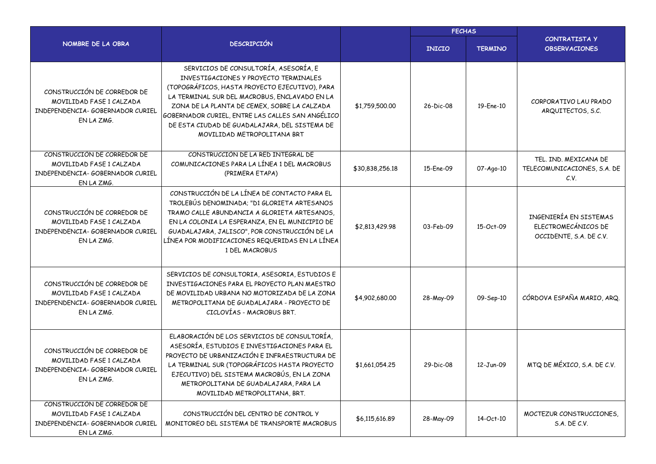|                                                                                                           |                                                                                                                                                                                                                                                                                                                                                                       | <b>FECHAS</b>   |                        |                |                                                                          |
|-----------------------------------------------------------------------------------------------------------|-----------------------------------------------------------------------------------------------------------------------------------------------------------------------------------------------------------------------------------------------------------------------------------------------------------------------------------------------------------------------|-----------------|------------------------|----------------|--------------------------------------------------------------------------|
| NOMBRE DE LA OBRA                                                                                         | <b>DESCRIPCIÓN</b>                                                                                                                                                                                                                                                                                                                                                    |                 | <b>INICIO</b>          | <b>TERMINO</b> | <b>CONTRATISTA Y</b><br><b>OBSERVACIONES</b>                             |
| CONSTRUCCIÓN DE CORREDOR DE<br>MOVILIDAD FASE 1 CALZADA<br>INDEPENDENCIA- GOBERNADOR CURIEL<br>EN LA ZMG. | SERVICIOS DE CONSULTORÍA, ASESORÍA, E<br>INVESTIGACIONES Y PROYECTO TERMINALES<br>(TOPOGRÁFICOS, HASTA PROYECTO EJECUTIVO), PARA<br>LA TERMINAL SUR DEL MACROBUS, ENCLAVADO EN LA<br>ZONA DE LA PLANTA DE CEMEX, SOBRE LA CALZADA<br>GOBERNADOR CURIEL, ENTRE LAS CALLES SAN ANGÉLICO<br>DE ESTA CIUDAD DE GUADALAJARA, DEL SISTEMA DE<br>MOVILIDAD METROPOLITANA BRT | \$1,759,500.00  | $26 - \text{Dic} - 08$ | 19-Ene-10      | CORPORATIVO LAU PRADO<br>ARQUITECTOS, S.C.                               |
| CONSTRUCCIÓN DE CORREDOR DE<br>MOVILIDAD FASE 1 CALZADA<br>INDEPENDENCIA- GOBERNADOR CURIEL<br>EN LA ZMG. | CONSTRUCCIÓN DE LA RED INTEGRAL DE<br>COMUNICACIONES PARA LA LÍNEA 1 DEL MACROBUS<br>(PRIMERA ETAPA)                                                                                                                                                                                                                                                                  | \$30,838,256.18 | 15-Ene-09              | 07-Ago-10      | TEL. IND. MEXICANA DE<br>TELECOMUNICACIONES, S.A. DE<br>C.V.             |
| CONSTRUCCIÓN DE CORREDOR DE<br>MOVILIDAD FASE 1 CALZADA<br>INDEPENDENCIA- GOBERNADOR CURIEL<br>EN LA ZMG. | CONSTRUCCIÓN DE LA LÍNEA DE CONTACTO PARA EL<br>TROLEBÚS DENOMINADA; "DI GLORIETA ARTESANOS<br>TRAMO CALLE ABUNDANCIA A GLORIETA ARTESANOS.<br>EN LA COLONIA LA ESPERANZA, EN EL MUNICIPIO DE<br>GUADALAJARA, JALISCO", POR CONSTRUCCIÓN DE LA<br>LÍNEA POR MODIFICACIONES REQUERIDAS EN LA LÍNEA<br>1 DEL MACROBUS                                                   | \$2,813,429.98  | 03-Feb-09              | 15-Oct-09      | INGENIERÍA EN SISTEMAS<br>ELECTROMECÁNICOS DE<br>OCCIDENTE, S.A. DE C.V. |
| CONSTRUCCIÓN DE CORREDOR DE<br>MOVILIDAD FASE 1 CALZADA<br>INDEPENDENCIA- GOBERNADOR CURIEL<br>EN LA ZMG. | SERVICIOS DE CONSULTORIA, ASESORIA, ESTUDIOS E<br>INVESTIGACIONES PARA EL PROYECTO PLAN MAESTRO<br>DE MOVILIDAD URBANA NO MOTORIZADA DE LA ZONA<br>METROPOLITANA DE GUADALAJARA - PROYECTO DE<br>CICLOVÍAS - MACROBUS BRT.                                                                                                                                            | \$4,902,680.00  | 28-May-09              | 09-Sep-10      | CÓRDOVA ESPAÑA MARIO, ARQ.                                               |
| CONSTRUCCIÓN DE CORREDOR DE<br>MOVILIDAD FASE 1 CALZADA<br>INDEPENDENCIA- GOBERNADOR CURIEL<br>EN LA ZMG. | ELABORACIÓN DE LOS SERVICIOS DE CONSULTORÍA,<br>ASESORÍA, ESTUDIOS E INVESTIGACIONES PARA EL<br>PROYECTO DE URBANIZACIÓN E INFRAESTRUCTURA DE<br>LA TERMINAL SUR (TOPOGRÁFICOS HASTA PROYECTO<br>EJECUTIVO) DEL SISTEMA MACROBÚS, EN LA ZONA<br>METROPOLITANA DE GUADALAJARA, PARA LA<br>MOVILIDAD METROPOLITANA, BRT.                                                | \$1,661,054.25  | 29-Dic-08              | 12-Jun-09      | MTQ DE MÉXICO, S.A. DE C.V.                                              |
| CONSTRUCCIÓN DE CORREDOR DE<br>MOVILIDAD FASE 1 CALZADA<br>INDEPENDENCIA- GOBERNADOR CURIEL<br>EN LA ZMG. | CONSTRUCCIÓN DEL CENTRO DE CONTROL Y<br>MONITOREO DEL SISTEMA DE TRANSPORTE MACROBUS                                                                                                                                                                                                                                                                                  | \$6,115,616.89  | 28-May-09              | 14-Oct-10      | MOCTEZUR CONSTRUCCIONES.<br>S.A. DE C.V.                                 |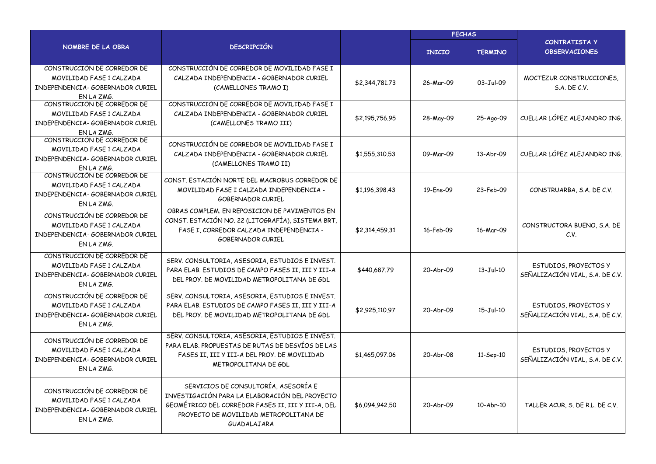|                                                                                                           |                                                                                                                                                                                                       | <b>FECHAS</b>  |               |                 |                                                          |
|-----------------------------------------------------------------------------------------------------------|-------------------------------------------------------------------------------------------------------------------------------------------------------------------------------------------------------|----------------|---------------|-----------------|----------------------------------------------------------|
| <b>NOMBRE DE LA OBRA</b>                                                                                  | <b>DESCRIPCIÓN</b>                                                                                                                                                                                    |                | <b>INICIO</b> | <b>TERMINO</b>  | <b>CONTRATISTA Y</b><br><b>OBSERVACIONES</b>             |
| CONSTRUCCIÓN DE CORREDOR DE<br>MOVILIDAD FASE 1 CALZADA<br>INDEPENDENCIA- GOBERNADOR CURIEL<br>EN LA ZMG. | CONSTRUCCIÓN DE CORREDOR DE MOVILIDAD FASE I<br>CALZADA INDEPENDENCIA - GOBERNADOR CURIEL<br>(CAMELLONES TRAMO I)                                                                                     | \$2,344,781.73 | 26-Mar-09     | 03-Jul-09       | MOCTEZUR CONSTRUCCIONES.<br>S.A. DE C.V.                 |
| CONSTRUCCIÓN DE CORREDOR DE<br>MOVILIDAD FASE 1 CALZADA<br>INDEPENDENCIA- GOBERNADOR CURIEL<br>EN LA ZMG. | CONSTRUCCIÓN DE CORREDOR DE MOVILIDAD FASE I<br>CALZADA INDEPENDENCIA - GOBERNADOR CURIEL<br>(CAMELLONES TRAMO III)                                                                                   | \$2,195,756.95 | 28-May-09     | 25-Ago-09       | CUELLAR LÓPEZ ALEJANDRO ING.                             |
| CONSTRUCCIÓN DE CORREDOR DE<br>MOVILIDAD FASE 1 CALZADA<br>INDEPENDENCIA- GOBERNADOR CURIEL<br>EN LA ZMG. | CONSTRUCCIÓN DE CORREDOR DE MOVILIDAD FASE I<br>CALZADA INDEPENDENCIA - GOBERNADOR CURIEL<br>(CAMELLONES TRAMO II)                                                                                    | \$1,555,310.53 | 09-Mar-09     | 13-Abr-09       | CUELLAR LÓPEZ ALEJANDRO ING.                             |
| CONSTRUCCIÓN DE CORREDOR DE<br>MOVILIDAD FASE 1 CALZADA<br>INDEPENDENCIA- GOBERNADOR CURIEL<br>EN LA ZMG. | CONST. ESTACIÓN NORTE DEL MACROBUS CORREDOR DE<br>MOVILIDAD FASE I CALZADA INDEPENDENCIA -<br><b>GOBERNADOR CURIEL</b>                                                                                | \$1,196,398.43 | 19-Ene-09     | 23-Feb-09       | CONSTRUARBA, S.A. DE C.V.                                |
| CONSTRUCCIÓN DE CORREDOR DE<br>MOVILIDAD FASE 1 CALZADA<br>INDEPENDENCIA- GOBERNADOR CURIEL<br>EN LA ZMG. | OBRAS COMPLEM. EN REPOSICIÓN DE PAVIMENTOS EN<br>CONST. ESTACIÓN NO. 22 (LITOGRAFÍA), SISTEMA BRT,<br>FASE I, CORREDOR CALZADA INDEPENDENCIA -<br><b>GOBERNADOR CURIEL</b>                            | \$2,314,459.31 | 16-Feb-09     | 16-Mar-09       | CONSTRUCTORA BUENO, S.A. DE<br>C.V.                      |
| CONSTRUCCIÓN DE CORREDOR DE<br>MOVILIDAD FASE 1 CALZADA<br>INDEPENDENCIA- GOBERNADOR CURIEL<br>EN LA ZMG. | SERV. CONSULTORIA, ASESORIA, ESTUDIOS E INVEST.<br>PARA ELAB. ESTUDIOS DE CAMPO FASES II, III Y III-A<br>DEL PROY. DE MOVILIDAD METROPOLITANA DE GDL                                                  | \$440,687.79   | 20-Abr-09     | $13-Jul-10$     | ESTUDIOS, PROYECTOS Y<br>SEÑALIZACIÓN VIAL, S.A. DE C.V. |
| CONSTRUCCIÓN DE CORREDOR DE<br>MOVILIDAD FASE 1 CALZADA<br>INDEPENDENCIA- GOBERNADOR CURIEL<br>EN LA ZMG. | SERV. CONSULTORIA, ASESORIA, ESTUDIOS E INVEST.<br>PARA ELAB. ESTUDIOS DE CAMPO FASES II, III Y III-A<br>DEL PROY. DE MOVILIDAD METROPOLITANA DE GDL                                                  | \$2,925,110.97 | 20-Abr-09     | $15 - Jul - 10$ | ESTUDIOS, PROYECTOS Y<br>SEÑALIZACIÓN VIAL, S.A. DE C.V. |
| CONSTRUCCIÓN DE CORREDOR DE<br>MOVILIDAD FASE 1 CALZADA<br>INDEPENDENCIA- GOBERNADOR CURIEL<br>EN LA ZMG. | SERV. CONSULTORIA, ASESORIA, ESTUDIOS E INVEST.<br>PARA ELAB. PROPUESTAS DE RUTAS DE DESVÍOS DE LAS<br>FASES II, III Y III-A DEL PROY. DE MOVILIDAD<br>METROPOLITANA DE GDL                           | \$1,465,097.06 | 20-Abr-08     | 11-Sep-10       | ESTUDIOS, PROYECTOS Y<br>SEÑALIZACIÓN VIAL, S.A. DE C.V. |
| CONSTRUCCIÓN DE CORREDOR DE<br>MOVILIDAD FASE 1 CALZADA<br>INDEPENDENCIA- GOBERNADOR CURIEL<br>EN LA ZMG. | SERVICIOS DE CONSULTORÍA, ASESORÍA E<br>INVESTIGACIÓN PARA LA ELABORACIÓN DEL PROYECTO<br>GEOMÉTRICO DEL CORREDOR FASES II, III Y III-A, DEL<br>PROYECTO DE MOVILIDAD METROPOLITANA DE<br>GUADALAJARA | \$6,094,942.50 | 20-Abr-09     | 10-Abr-10       | TALLER ACUR, S. DE R.L. DE C.V.                          |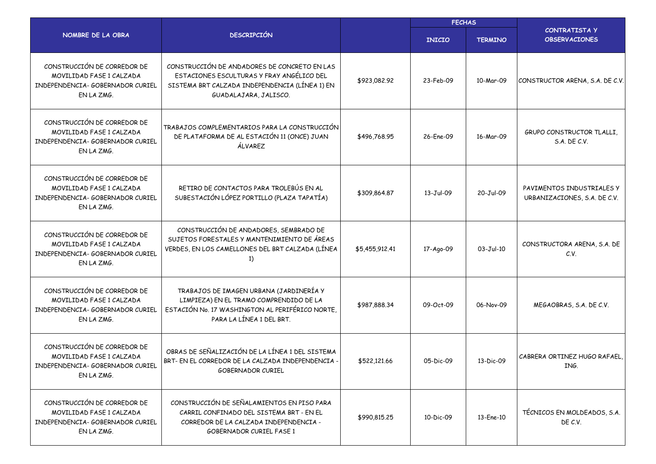|                                                                                                           |                                                                                                                                                                      | <b>FECHAS</b>  |               |                |                                                           |
|-----------------------------------------------------------------------------------------------------------|----------------------------------------------------------------------------------------------------------------------------------------------------------------------|----------------|---------------|----------------|-----------------------------------------------------------|
| NOMBRE DE LA OBRA                                                                                         | <b>DESCRIPCIÓN</b>                                                                                                                                                   |                | <b>INICIO</b> | <b>TERMINO</b> | <b>CONTRATISTA Y</b><br><b>OBSERVACIONES</b>              |
| CONSTRUCCIÓN DE CORREDOR DE<br>MOVILIDAD FASE 1 CALZADA<br>INDEPENDENCIA- GOBERNADOR CURIEL<br>EN LA ZMG. | CONSTRUCCIÓN DE ANDADORES DE CONCRETO EN LAS<br>ESTACIONES ESCULTURAS Y FRAY ANGÉLICO DEL<br>SISTEMA BRT CALZADA INDEPENDENCIA (LÍNEA 1) EN<br>GUADALAJARA, JALISCO. | \$923,082.92   | 23-Feb-09     | 10-Mar-09      | CONSTRUCTOR ARENA, S.A. DE C.V.                           |
| CONSTRUCCIÓN DE CORREDOR DE<br>MOVILIDAD FASE 1 CALZADA<br>INDEPENDENCIA- GOBERNADOR CURIEL<br>EN LA ZMG. | TRABAJOS COMPLEMENTARIOS PARA LA CONSTRUCCIÓN<br>DE PLATAFORMA DE AL ESTACIÓN 11 (ONCE) JUAN<br>ÁLVAREZ                                                              | \$496,768.95   | 26-Ene-09     | 16-Mar-09      | GRUPO CONSTRUCTOR TLALLI.<br>S.A. DE C.V.                 |
| CONSTRUCCIÓN DE CORREDOR DE<br>MOVILIDAD FASE 1 CALZADA<br>INDEPENDENCIA- GOBERNADOR CURIEL<br>EN LA ZMG. | RETIRO DE CONTACTOS PARA TROLEBÚS EN AL<br>SUBESTACIÓN LÓPEZ PORTILLO (PLAZA TAPATÍA)                                                                                | \$309,864.87   | 13-Jul-09     | 20-Jul-09      | PAVIMENTOS INDUSTRIALES Y<br>URBANIZACIONES, S.A. DE C.V. |
| CONSTRUCCIÓN DE CORREDOR DE<br>MOVILIDAD FASE 1 CALZADA<br>INDEPENDENCIA- GOBERNADOR CURIEL<br>EN LA ZMG. | CONSTRUCCIÓN DE ANDADORES, SEMBRADO DE<br>SUJETOS FORESTALES Y MANTENIMIENTO DE ÁREAS<br>VERDES, EN LOS CAMELLONES DEL BRT CALZADA (LÍNEA<br>1)                      | \$5,455,912.41 | 17-Ago-09     | 03-Jul-10      | CONSTRUCTORA ARENA, S.A. DE<br>C.V.                       |
| CONSTRUCCIÓN DE CORREDOR DE<br>MOVILIDAD FASE 1 CALZADA<br>INDEPENDENCIA- GOBERNADOR CURIEL<br>EN LA ZMG. | TRABAJOS DE IMAGEN URBANA (JARDINERÍA Y<br>LIMPIEZA) EN EL TRAMO COMPRENDIDO DE LA<br>ESTACIÓN No. 17 WASHINGTON AL PERIFÉRICO NORTE,<br>PARA LA LÍNEA 1 DEL BRT.    | \$987,888.34   | 09-Oct-09     | 06-Nov-09      | MEGAOBRAS, S.A. DE C.V.                                   |
| CONSTRUCCIÓN DE CORREDOR DE<br>MOVILIDAD FASE 1 CALZADA<br>INDEPENDENCIA- GOBERNADOR CURIFI<br>EN LA ZMG. | OBRAS DE SEÑALIZACIÓN DE LA LÍNEA 1 DEL SISTEMA<br>BRT- EN EL CORREDOR DE LA CALZADA INDEPENDENCIA -<br><b>GOBERNADOR CURIEL</b>                                     | \$522,121.66   | 05-Dic-09     | 13-Dic-09      | CABRERA ORTINEZ HUGO RAFAEL,<br>ING.                      |
| CONSTRUCCIÓN DE CORREDOR DE<br>MOVILIDAD FASE 1 CALZADA<br>INDEPENDENCIA- GOBERNADOR CURIEL<br>EN LA ZMG. | CONSTRUCCIÓN DE SEÑALAMIENTOS EN PISO PARA<br>CARRIL CONFINADO DEL SISTEMA BRT - EN EL<br>CORREDOR DE LA CALZADA INDEPENDENCIA -<br><b>GOBERNADOR CURTEL FASE 1</b>  | \$990,815.25   | 10-Dic-09     | 13-Ene-10      | TÉCNICOS EN MOLDEADOS, S.A.<br>DE C.V.                    |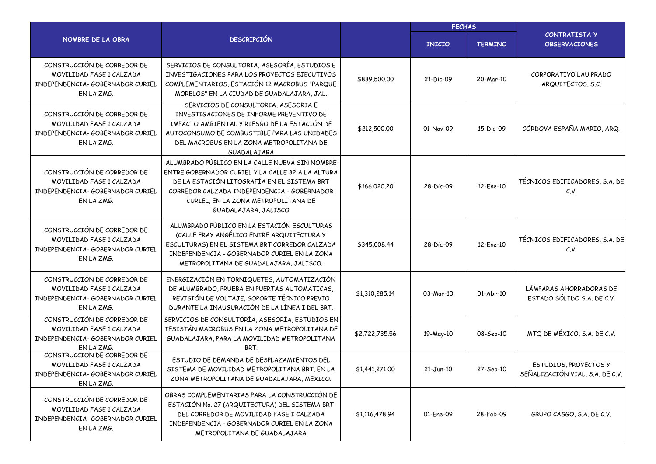|                                                                                                           |                                                                                                                                                                                                                                                                  |                |               | <b>FECHAS</b>  |                                                          |
|-----------------------------------------------------------------------------------------------------------|------------------------------------------------------------------------------------------------------------------------------------------------------------------------------------------------------------------------------------------------------------------|----------------|---------------|----------------|----------------------------------------------------------|
| NOMBRE DE LA OBRA                                                                                         | <b>DESCRIPCIÓN</b>                                                                                                                                                                                                                                               |                | <b>INICIO</b> | <b>TERMINO</b> | <b>CONTRATISTA Y</b><br><b>OBSERVACIONES</b>             |
| CONSTRUCCIÓN DE CORREDOR DE<br>MOVILIDAD FASE 1 CALZADA<br>INDEPENDENCIA- GOBERNADOR CURIEL<br>EN LA ZMG. | SERVICIOS DE CONSULTORIA, ASESORÍA, ESTUDIOS E<br>INVESTIGACIONES PARA LOS PROYECTOS EJECUTIVOS<br>COMPLEMENTARIOS, ESTACIÓN 12 MACROBUS "PARQUE<br>MORELOS" EN LA CIUDAD DE GUADALAJARA, JAL.                                                                   | \$839,500.00   | 21-Dic-09     | 20-Mar-10      | CORPORATIVO LAU PRADO<br>ARQUITECTOS, S.C.               |
| CONSTRUCCIÓN DE CORREDOR DE<br>MOVILIDAD FASE 1 CALZADA<br>INDEPENDENCIA- GOBERNADOR CURIEL<br>EN LA ZMG. | SERVICIOS DE CONSULTORIA, ASESORIA E<br>INVESTIGACIONES DE INFORME PREVENTIVO DE<br>IMPACTO AMBIENTAL Y RIESGO DE LA ESTACIÓN DE<br>AUTOCONSUMO DE COMBUSTIBLE PARA LAS UNIDADES<br>DEL MACROBUS EN LA ZONA METROPOLITANA DE<br>GUADALAJARA                      | \$212,500.00   | 01-Nov-09     | 15-Dic-09      | CÓRDOVA ESPAÑA MARIO, ARQ.                               |
| CONSTRUCCIÓN DE CORREDOR DE<br>MOVILIDAD FASE 1 CALZADA<br>INDEPENDENCIA- GOBERNADOR CURIEL<br>EN LA ZMG. | ALUMBRADO PÚBLICO EN LA CALLE NUEVA SIN NOMBRE<br>ENTRE GOBERNADOR CURIEL Y LA CALLE 32 A LA ALTURA<br>DE LA ESTACIÓN LITOGRAFÍA EN EL SISTEMA BRT<br>CORREDOR CALZADA INDEPENDENCIA - GOBERNADOR<br>CURIEL, EN LA ZONA METROPOLITANA DE<br>GUADALAJARA, JALISCO | \$166,020.20   | 28-Dic-09     | 12-Ene-10      | TÉCNICOS EDIFICADORES, S.A. DE<br>C.V.                   |
| CONSTRUCCIÓN DE CORREDOR DE<br>MOVILIDAD FASE 1 CALZADA<br>INDEPENDENCIA- GOBERNADOR CURIEL<br>EN LA ZMG. | ALUMBRADO PÚBLICO EN LA ESTACIÓN ESCULTURAS<br>(CALLE FRAY ANGÉLICO ENTRE ARQUITECTURA Y<br>ESCULTURAS) EN EL SISTEMA BRT CORREDOR CALZADA<br>INDEPENDENCIA - GOBERNADOR CURIEL EN LA ZONA<br>METROPOLITANA DE GUADALAJARA, JALISCO.                             | \$345,008.44   | 28-Dic-09     | 12-Ene-10      | TÉCNICOS EDIFICADORES, S.A. DE<br>C.V.                   |
| CONSTRUCCIÓN DE CORREDOR DE<br>MOVILIDAD FASE 1 CALZADA<br>INDEPENDENCIA- GOBERNADOR CURIEL<br>EN LA ZMG. | ENERGIZACIÓN EN TORNIQUETES, AUTOMATIZACIÓN<br>DE ALUMBRADO, PRUEBA EN PUERTAS AUTOMÁTICAS,<br>REVISIÓN DE VOLTAJE, SOPORTE TÉCNICO PREVIO<br>DURANTE LA INAUGURACIÓN DE LA LÍNEA I DEL BRT.                                                                     | \$1,310,285.14 | 03-Mar-10     | 01-Abr-10      | LÁMPARAS AHORRADORAS DE<br>ESTADO SÓLIDO S.A. DE C.V.    |
| CONSTRUCCIÓN DE CORREDOR DE<br>MOVILIDAD FASE 1 CALZADA<br>INDEPENDENCIA- GOBERNADOR CURIEL<br>EN LA ZMG. | SERVICIOS DE CONSULTORÍA, ASESORÍA, ESTUDIOS EN<br>TESISTÁN MACROBUS EN LA ZONA METROPOLITANA DE<br>GUADALAJARA, PARA LA MOVILIDAD METROPOLITANA<br>BRT.                                                                                                         | \$2,722,735.56 | 19-May-10     | 08-Sep-10      | MTQ DE MÉXICO, S.A. DE C.V.                              |
| CONSTRUCCIÓN DE CORREDOR DE<br>MOVILIDAD FASE 1 CALZADA<br>INDEPENDENCIA- GOBERNADOR CURIEL<br>EN LA ZMG. | ESTUDIO DE DEMANDA DE DESPLAZAMIENTOS DEL<br>SISTEMA DE MOVILIDAD METROPOLITANA BRT, EN LA<br>ZONA METROPOLITANA DE GUADALAJARA, MEXICO.                                                                                                                         | \$1,441,271.00 | $21 - Jun-10$ | 27-Sep-10      | ESTUDIOS, PROYECTOS Y<br>SEÑALIZACIÓN VIAL, S.A. DE C.V. |
| CONSTRUCCIÓN DE CORREDOR DE<br>MOVILIDAD FASE 1 CALZADA<br>INDEPENDENCIA- GOBERNADOR CURIEL<br>EN LA ZMG. | OBRAS COMPLEMENTARIAS PARA LA CONSTRUCCIÓN DE<br>ESTACIÓN No. 27 (ARQUITECTURA) DEL SISTEMA BRT<br>DEL CORREDOR DE MOVILIDAD FASE I CALZADA<br>INDEPENDENCIA - GOBERNADOR CURIEL EN LA ZONA<br>METROPOLITANA DE GUADALAJARA                                      | \$1,116,478.94 | 01-Ene-09     | 28-Feb-09      | GRUPO CASGO, S.A. DE C.V.                                |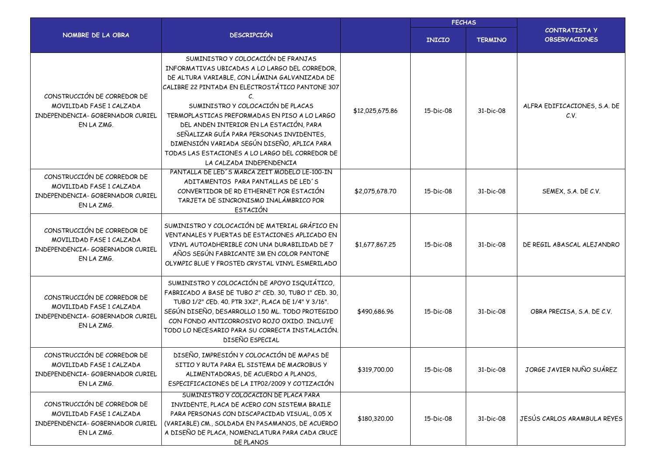|                                                                                                           |                                                                                                                                                                                                                                                                                                                                                                                                                                                                                                                    |                 | <b>FECHAS</b> |                |                                              |
|-----------------------------------------------------------------------------------------------------------|--------------------------------------------------------------------------------------------------------------------------------------------------------------------------------------------------------------------------------------------------------------------------------------------------------------------------------------------------------------------------------------------------------------------------------------------------------------------------------------------------------------------|-----------------|---------------|----------------|----------------------------------------------|
| NOMBRE DE LA OBRA                                                                                         | <b>DESCRIPCIÓN</b>                                                                                                                                                                                                                                                                                                                                                                                                                                                                                                 |                 | <b>INICIO</b> | <b>TERMINO</b> | <b>CONTRATISTA Y</b><br><b>OBSERVACIONES</b> |
| CONSTRUCCIÓN DE CORREDOR DE<br>MOVILIDAD FASE 1 CALZADA<br>INDEPENDENCIA- GOBERNADOR CURIEL<br>EN LA ZMG. | SUMINISTRO Y COLOCACIÓN DE FRANJAS<br>INFORMATIVAS UBICADAS A LO LARGO DEL CORREDOR.<br>DE ALTURA VARIABLE, CON LÁMINA GALVANIZADA DE<br>CALIBRE 22 PINTADA EN ELECTROSTÁTICO PANTONE 307<br>$\epsilon$<br>SUMINISTRO Y COLOCACIÓN DE PLACAS<br>TERMOPLASTICAS PREFORMADAS EN PISO A LO LARGO<br>DEL ANDEN INTERIOR EN LA ESTACIÓN, PARA<br>SEÑALIZAR GUÍA PARA PERSONAS INVIDENTES,<br>DIMENSIÓN VARIADA SEGÚN DISEÑO, APLICA PARA<br>TODAS LAS ESTACIONES A LO LARGO DEL CORREDOR DE<br>LA CALZADA INDEPENDENCIA | \$12,025,675.86 | 15-Dic-08     | 31-Dic-08      | ALFRA EDIFICACIONES, S.A. DE<br>C.V.         |
| CONSTRUCCIÓN DE CORREDOR DE<br>MOVILIDAD FASE 1 CALZADA<br>INDEPENDENCIA- GOBERNADOR CURIEL<br>EN LA ZMG. | PANTALLA DE LED'S MARCA ZEIT MODELO LE-100-IN<br>ADITAMENTOS PARA PANTALLAS DE LED'S<br>CONVERTIDOR DE RD ETHERNET POR ESTACIÓN<br>TARJETA DE SINCRONISMO INALÁMBRICO POR<br><b>ESTACIÓN</b>                                                                                                                                                                                                                                                                                                                       | \$2,075,678.70  | 15-Dic-08     | 31-Dic-08      | SEMEX, S.A. DE C.V.                          |
| CONSTRUCCIÓN DE CORREDOR DE<br>MOVILIDAD FASE 1 CALZADA<br>INDEPENDENCIA- GOBERNADOR CURIEL<br>EN LA ZMG. | SUMINISTRO Y COLOCACIÓN DE MATERIAL GRÁFICO EN<br>VENTANALES Y PUERTAS DE ESTACIONES APLICADO EN<br>VINYL AUTOADHERIBLE CON UNA DURABILIDAD DE 7<br>AÑOS SEGÚN FABRICANTE 3M EN COLOR PANTONE<br>OLYMPIC BLUE Y FROSTED CRYSTAL VINYL ESMERILADO                                                                                                                                                                                                                                                                   | \$1,677,867.25  | 15-Dic-08     | 31-Dic-08      | DE REGIL ABASCAL ALEJANDRO                   |
| CONSTRUCCIÓN DE CORREDOR DE<br>MOVILIDAD FASE 1 CALZADA<br>INDEPENDENCIA- GOBERNADOR CURIEL<br>EN LA ZMG. | SUMINISTRO Y COLOCACIÓN DE APOYO ISQUIÁTICO,<br>FABRICADO A BASE DE TUBO 2" CED. 30, TUBO 1" CED. 30,<br>TUBO 1/2" CED. 40. PTR 3X2", PLACA DE 1/4" Y 3/16".<br>SEGÚN DISEÑO, DESARROLLO 1.50 ML. TODO PROTEGIDO<br>CON FONDO ANTICORROSIVO ROJO OXIDO. INCLUYE<br>TODO LO NECESARIO PARA SU CORRECTA INSTALACIÓN.<br>DISEÑO ESPECIAL                                                                                                                                                                              | \$490,686.96    | 15-Dic-08     | 31-Dic-08      | OBRA PRECISA, S.A. DE C.V.                   |
| CONSTRUCCIÓN DE CORREDOR DE<br>MOVILIDAD FASE 1 CALZADA<br>INDEPENDENCIA- GOBERNADOR CURIEL<br>EN LA ZMG. | DISEÑO, IMPRESIÓN Y COLOCACIÓN DE MAPAS DE<br>SITIO Y RUTA PARA EL SISTEMA DE MACROBUS Y<br>ALIMENTADORAS, DE ACUERDO A PLANOS,<br>ESPECIFICACIONES DE LA ITP02/2009 Y COTIZACIÓN                                                                                                                                                                                                                                                                                                                                  | \$319,700.00    | 15-Dic-08     | 31-Dic-08      | JORGE JAVIER NUÑO SUÁREZ                     |
| CONSTRUCCIÓN DE CORREDOR DE<br>MOVILIDAD FASE 1 CALZADA<br>INDEPENDENCIA- GOBERNADOR CURIEL<br>EN LA ZMG. | SUMINISTRO Y COLOCACIÓN DE PLACA PARA<br>INVIDENTE, PLACA DE ACERO CON SISTEMA BRAILE<br>PARA PERSONAS CON DISCAPACIDAD VISUAL, 0.05 X<br>(VARIABLE) CM., SOLDADA EN PASAMANOS, DE ACUERDO<br>A DISEÑO DE PLACA, NOMENCLATURA PARA CADA CRUCE<br>DE PLANOS                                                                                                                                                                                                                                                         | \$180,320.00    | 15-Dic-08     | 31-Dic-08      | JESÚS CARLOS ARAMBULA REYES                  |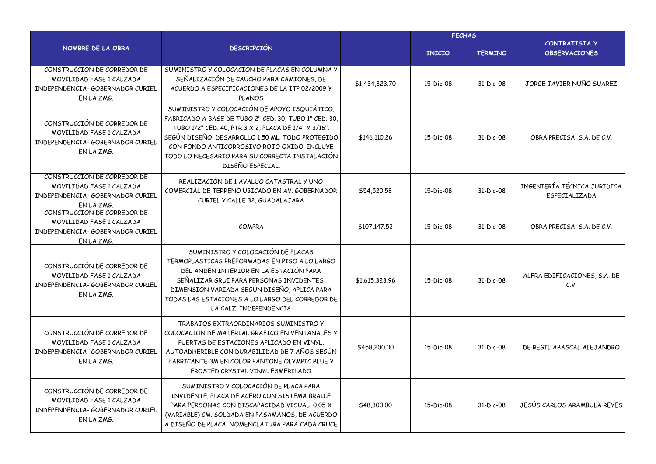|                                                                                                           |                                                                                                                                                                                                                                                                                                                                        |                | <b>FECHAS</b> |                |                                              |  |
|-----------------------------------------------------------------------------------------------------------|----------------------------------------------------------------------------------------------------------------------------------------------------------------------------------------------------------------------------------------------------------------------------------------------------------------------------------------|----------------|---------------|----------------|----------------------------------------------|--|
| NOMBRE DE LA OBRA                                                                                         | <b>DESCRIPCIÓN</b>                                                                                                                                                                                                                                                                                                                     |                | <b>INICIO</b> | <b>TERMINO</b> | <b>CONTRATISTA Y</b><br><b>OBSERVACIONES</b> |  |
| CONSTRUCCIÓN DE CORREDOR DE<br>MOVILIDAD FASE 1 CALZADA<br>INDEPENDENCIA- GOBERNADOR CURIEL<br>EN LA ZMG. | SUMINISTRO Y COLOCACIÓN DE PLACAS EN COLUMNA Y<br>SEÑALIZACIÓN DE CAUCHO PARA CAMIONES, DE<br>ACUERDO A ESPECIFICACIONES DE LA ITP 02/2009 Y<br><b>PLANOS</b>                                                                                                                                                                          | \$1,434,323.70 | 15-Dic-08     | 31-Dic-08      | JORGE JAVIER NUÑO SUÁREZ                     |  |
| CONSTRUCCIÓN DE CORREDOR DE<br>MOVILIDAD FASE 1 CALZADA<br>INDEPENDENCIA- GOBERNADOR CURIEL<br>EN LA ZMG. | SUMINISTRO Y COLOCACIÓN DE APOYO ISQUIÁTICO.<br>FABRICADO A BASE DE TUBO 2" CED. 30, TUBO 1" CED. 30,<br>TUBO 1/2" CED. 40, PTR 3 X 2, PLACA DE 1/4" Y 3/16".<br>SEGÚN DISEÑO, DESARROLLO 1.50 ML. TODO PROTEGIDO<br>CON FONDO ANTICORROSIVO ROJO OXIDO. INCLUYE<br>TODO LO NECESARIO PARA SU CORRECTA INSTALACIÓN<br>DISEÑO ESPECIAL. | \$146,110.26   | 15-Dic-08     | 31-Dic-08      | OBRA PRECISA, S.A. DE C.V.                   |  |
| CONSTRUCCIÓN DE CORREDOR DE<br>MOVILIDAD FASE 1 CALZADA<br>INDEPENDENCIA- GOBERNADOR CURIEL<br>EN LA ZMG. | REALIZACIÓN DE 1 AVALUO CATASTRAL Y UNO<br>COMERCIAL DE TERRENO UBICADO EN AV. GOBERNADOR<br>CURIEL Y CALLE 32, GUADALAJARA                                                                                                                                                                                                            | \$54,520.58    | 15-Dic-08     | 31-Dic-08      | INGENIERÍA TÉCNICA JURIDICA<br>ESPECIALIZADA |  |
| CONSTRUCCIÓN DE CORREDOR DE<br>MOVILIDAD FASE 1 CALZADA<br>INDEPENDENCIA- GOBERNADOR CURIEL<br>EN LA ZMG. | <b>COMPRA</b>                                                                                                                                                                                                                                                                                                                          | \$107,147.52   | 15-Dic-08     | 31-Dic-08      | OBRA PRECISA, S.A. DE C.V.                   |  |
| CONSTRUCCIÓN DE CORREDOR DE<br>MOVILIDAD FASE 1 CALZADA<br>INDEPENDENCIA- GOBERNADOR CURIEL<br>EN LA ZMG. | SUMINISTRO Y COLOCACIÓN DE PLACAS<br>TERMOPLASTICAS PREFORMADAS EN PISO A LO LARGO<br>DEL ANDEN INTERIOR EN LA ESTACIÓN PARA<br>SEÑALIZAR GRUI PARA PERSONAS INVIDENTES,<br>DIMENSIÓN VARIADA SEGÚN DISEÑO, APLICA PARA<br>TODAS LAS ESTACIONES A LO LARGO DEL CORREDOR DE<br>LA CALZ. INDEPENDENCIA                                   | \$1,615,323.96 | 15-Dic-08     | 31-Dic-08      | ALFRA EDIFICACIONES, S.A. DE<br>C.V.         |  |
| CONSTRUCCIÓN DE CORREDOR DE<br>MOVILIDAD FASE 1 CALZADA<br>INDEPENDENCIA- GOBERNADOR CURIEL<br>EN LA ZMG. | TRABAJOS EXTRAORDINARIOS SUMINISTRO Y<br>COLOCACIÓN DE MATERIAL GRAFICO EN VENTANALES Y<br>PUERTAS DE ESTACIONES APLICADO EN VINYL,<br>AUTOADHERIBLE CON DURABILIDAD DE 7 AÑOS SEGÚN<br>FABRICANTE 3M EN COLOR PANTONE OLYMPIC BLUE Y<br>FROSTED CRYSTAL VINYL ESMERILADO                                                              | \$458,200.00   | 15-Dic-08     | 31-Dic-08      | DE REGIL ABASCAL ALEJANDRO                   |  |
| CONSTRUCCIÓN DE CORREDOR DE<br>MOVILIDAD FASE 1 CALZADA<br>INDEPENDENCIA- GOBERNADOR CURIEL<br>EN LA ZMG. | SUMINISTRO Y COLOCACIÓN DE PLACA PARA<br>INVIDENTE, PLACA DE ACERO CON SISTEMA BRAILE<br>PARA PERSONAS CON DISCAPACIDAD VISUAL, 0.05 X<br>(VARIABLE) CM. SOLDADA EN PASAMANOS, DE ACUERDO<br>A DISEÑO DE PLACA, NOMENCLATURA PARA CADA CRUCE                                                                                           | \$48,300.00    | 15-Dic-08     | 31-Dic-08      | JESÚS CARLOS ARAMBULA REYES                  |  |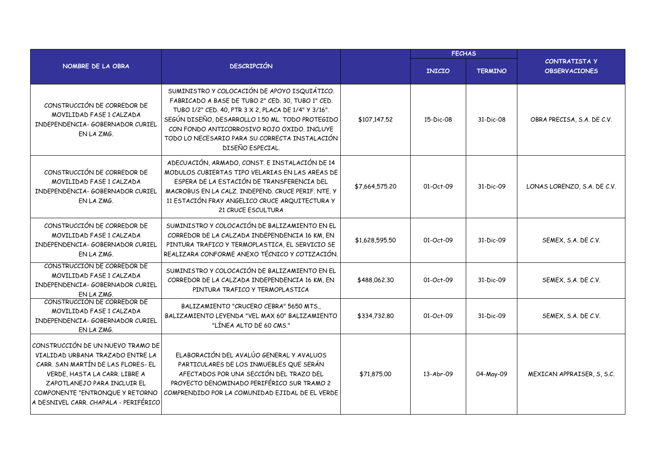|                                                                                                                                                                                                                                                         |                                                                                                                                                                                                                                                                                                                                    | <b>FECHAS</b>  |                 |                |                                             |
|---------------------------------------------------------------------------------------------------------------------------------------------------------------------------------------------------------------------------------------------------------|------------------------------------------------------------------------------------------------------------------------------------------------------------------------------------------------------------------------------------------------------------------------------------------------------------------------------------|----------------|-----------------|----------------|---------------------------------------------|
| NOMBRE DE LA OBRA                                                                                                                                                                                                                                       | <b>DESCRIPCIÓN</b>                                                                                                                                                                                                                                                                                                                 |                | <b>INICIO</b>   | <b>TERMINO</b> | <b>CONTRATISTAY</b><br><b>OBSERVACIONES</b> |
| CONSTRUCCIÓN DE CORREDOR DE<br>MOVILIDAD FASE 1 CALZADA<br>INDEPENDENCIA- GOBERNADOR CURIEL<br>EN LA ZMG.                                                                                                                                               | SUMINISTRO Y COLOCACIÓN DE APOYO ISQUIÁTICO.<br>FABRICADO A BASE DE TUBO 2" CED. 30, TUBO 1" CED.<br>TUBO 1/2" CED. 40, PTR 3 X 2, PLACA DE 1/4" Y 3/16".<br>SEGÚN DISEÑO, DESARROLLO 1.50 ML. TODO PROTEGIDO<br>CON FONDO ANTICORROSIVO ROJO OXIDO, INCLUYE<br>TODO LO NECESARIO PARA SU CORRECTA INSTALACIÓN<br>DISEÑO ESPECIAL. | \$107,147.52   | 15-Dic-08       | 31-Dic-08      | OBRA PRECISA, S.A. DE C.V.                  |
| CONSTRUCCIÓN DE CORREDOR DE<br>MOVILIDAD FASE 1 CALZADA<br>INDEPENDENCIA- GOBERNADOR CURIEL<br>EN LA ZMG.                                                                                                                                               | ADECUACIÓN, ARMADO, CONST. E INSTALACIÓN DE 14<br>MODULOS CUBIERTAS TIPO VELARIAS EN LAS AREAS DE<br>ESPERA DE LA ESTACIÓN DE TRANSFERENCIA DEL<br>MACROBUS EN LA CALZ. INDEPEND. CRUCE PERIF. NTE. Y<br>11 ESTACIÓN FRAY ANGELICO CRUCE ARQUITECTURA Y<br>21 CRUCE ESCULTURA                                                      | \$7,664,575.20 | 01-Oct-09       | 31-Dic-09      | LONAS LORENZO, S.A. DE C.V.                 |
| CONSTRUCCIÓN DE CORREDOR DE<br>MOVILIDAD FASE 1 CALZADA<br>INDEPENDENCIA- GOBERNADOR CURIEL<br>EN LA ZMG.                                                                                                                                               | SUMINISTRO Y COLOCACIÓN DE BALIZAMIENTO EN EL<br>CORREDOR DE LA CALZADA INDEPENDENCIA 16 KM, EN<br>PINTURA TRAFICO Y TERMOPLASTICA, EL SERVICIO SE<br>REALIZARA CONFORME ANEXO TÉCNICO Y COTIZACIÓN.                                                                                                                               | \$1,628,595.50 | $01 - Oct - 09$ | 31-Dic-09      | SEMEX, S.A. DE C.V.                         |
| CONSTRUCCIÓN DE CORREDOR DE<br>MOVILIDAD FASE 1 CALZADA<br>INDEPENDENCIA- GOBERNADOR CURIEL<br>EN LA ZMG.                                                                                                                                               | SUMINISTRO Y COLOCACIÓN DE BALIZAMIENTO EN EL<br>CORREDOR DE LA CALZADA INDEPENDENCIA 16 KM, EN<br>PINTURA TRAFICO Y TERMOPLASTICA                                                                                                                                                                                                 | \$488,062,30   | 01-Oct-09       | 31-Dic-09      | SEMEX, S.A. DE C.V.                         |
| CONSTRUCCIÓN DE CORREDOR DE<br>MOVILIDAD FASE 1 CALZADA<br>INDEPENDENCIA- GOBERNADOR CURIEL<br>EN LA ZMG.                                                                                                                                               | BALIZAMIENTO "CRUCERO CEBRA" 5650 MTS.,<br>BALIZAMIENTO LEYENDA "VEL MAX 60" BALIZAMIENTO<br>"LÍNEA ALTO DE 60 CMS."                                                                                                                                                                                                               | \$334,732.80   | 01-Oct-09       | 31-Dic-09      | SEMEX, S.A. DE C.V.                         |
| CONSTRUCCIÓN DE UN NUEVO TRAMO DE<br>VIALIDAD URBANA TRAZADO ENTRE LA<br>CARR. SAN MARTÍN DE LAS FLORES- EL<br>VERDE, HASTA LA CARR. LIBRE A<br>ZAPOTLANEJO PARA INCLUIR EL<br>COMPONENTE "ENTRONQUE Y RETORNO<br>A DESNIVEL CARR. CHAPALA - PERIFÉRICO | ELABORACIÓN DEL AVALÚO GENERAL Y AVALUOS<br>PARTICULARES DE LOS INMUEBLES QUE SERÁN<br>AFECTADOS POR UNA SECCIÓN DEL TRAZO DEL<br>PROYECTO DENOMINADO PERIFÉRICO SUR TRAMO 2<br>COMPRENDIDO POR LA COMUNIDAD EJIDAL DE EL VERDE                                                                                                    | \$71,875.00    | 13-Abr-09       | 04-May-09      | MEXICAN APPRAISER, S, S.C.                  |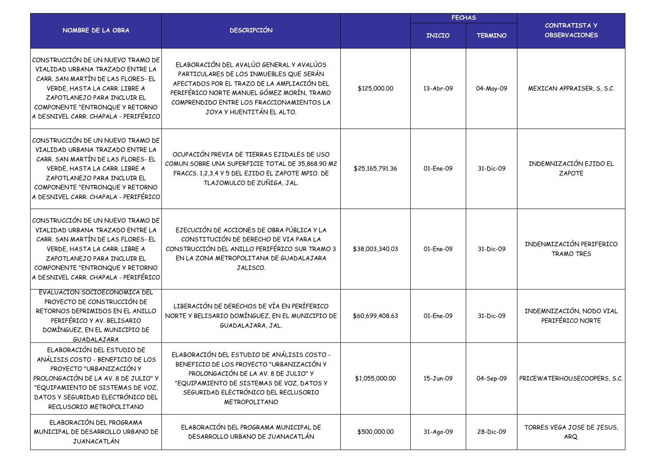|                                                                                                                                                                                                                                                         |                                                                                                                                                                                                                                                            |                 | <b>FECHAS</b> |                |                                               |
|---------------------------------------------------------------------------------------------------------------------------------------------------------------------------------------------------------------------------------------------------------|------------------------------------------------------------------------------------------------------------------------------------------------------------------------------------------------------------------------------------------------------------|-----------------|---------------|----------------|-----------------------------------------------|
| NOMBRE DE LA OBRA                                                                                                                                                                                                                                       | <b>DESCRIPCIÓN</b>                                                                                                                                                                                                                                         |                 | <b>INICIO</b> | <b>TERMINO</b> | <b>CONTRATISTA Y</b><br><b>OBSERVACIONES</b>  |
| CONSTRUCCIÓN DE UN NUEVO TRAMO DE<br>VIALIDAD URBANA TRAZADO ENTRE LA<br>CARR. SAN MARTÍN DE LAS FLORES- EL<br>VERDE, HASTA LA CARR. LIBRE A<br>ZAPOTLANEJO PARA INCLUIR EL<br>COMPONENTE "ENTRONQUE Y RETORNO<br>A DESNIVEL CARR. CHAPALA - PERIFÉRICO | ELABORACIÓN DEL AVALÚO GENERAL Y AVALÚOS<br>PARTICULARES DE LOS INMUEBLES QUE SERÁN<br>AFECTADOS POR EL TRAZO DE LA AMPLIACIÓN DEL<br>PERIFÉRICO NORTE MANUEL GÓMEZ MORÍN, TRAMO<br>COMPRENDIDO ENTRE LOS FRACCIONAMIENTOS LA<br>JOYA Y HUENTITÁN EL ALTO. | \$125,000.00    | 13-Abr-09     | 04-May-09      | MEXICAN APPRAISER, S, S.C.                    |
| CONSTRUCCIÓN DE UN NUEVO TRAMO DE<br>VIALIDAD URBANA TRAZADO ENTRE LA<br>CARR. SAN MARTÍN DE LAS FLORES- EL<br>VERDE, HASTA LA CARR. LIBRE A<br>ZAPOTLANEJO PARA INCLUIR EL<br>COMPONENTE "ENTRONQUE Y RETORNO<br>A DESNIVEL CARR, CHAPALA - PERIFÉRICO | OCUPACIÓN PREVIA DE TIERRAS EJIDALES DE USO<br>COMUN SOBRE UNA SUPERFICIE TOTAL DE 35,868.90 M2<br>FRACCS. 1,2,3,4 Y 5 DEL EJIDO EL ZAPOTE MPIO. DE<br>TLAJOMULCO DE ZUÑIGA, JAL.                                                                          | \$25,165,791.36 | 01-Ene-09     | 31-Dic-09      | INDEMNIZACIÓN EJIDO EL<br><b>ZAPOTE</b>       |
| CONSTRUCCIÓN DE UN NUEVO TRAMO DE<br>VIALIDAD URBANA TRAZADO ENTRE LA<br>CARR. SAN MARTÍN DE LAS FLORES- EL<br>VERDE, HASTA LA CARR. LIBRE A<br>ZAPOTLANEJO PARA INCLUIR EL<br>COMPONENTE "ENTRONQUE Y RETORNO<br>A DESNIVEL CARR. CHAPALA - PERIFÉRICO | EJECUCIÓN DE ACCIONES DE OBRA PÚBLICA Y LA<br>CONSTITUCIÓN DE DERECHO DE VIA PARA LA<br>CONSTRUCCIÓN DEL ANILLO PERIFÉRICO SUR TRAMO 3<br>EN LA ZONA METROPOLITANA DE GUADALAJARA<br>JALISCO.                                                              | \$38,003,340.03 | 01-Ene-09     | 31-Dic-09      | INDENMIZACIÓN PERIFERICO<br><b>TRAMO TRES</b> |
| EVALUACIÓN SOCIOECONOMICA DEL<br>PROYECTO DE CONSTRUCCIÓN DE<br>RETORNOS DEPRIMIDOS EN EL ANILLO<br>PERIFÉRICO Y AV. BELISARIO<br>DOMÍNGUEZ, EN EL MUNICIPIO DE<br>GUADALAJARA                                                                          | LIBERACIÓN DE DERECHOS DE VÍA EN PERÍFERICO<br>NORTE Y BELISARIO DOMÍNGUEZ, EN EL MUNICIPIO DE<br>GUADALAJARA, JAL.                                                                                                                                        | \$60,699,408.63 | 01-Ene-09     | 31-Dic-09      | INDEMNIZACIÓN, NODO VIAL<br>PERIFÉRICO NORTE  |
| ELABORACIÓN DEL ESTUDIO DE<br>ANÁLISIS COSTO - BENEFICIO DE LOS<br>PROYECTO "URBANIZACIÓN Y<br>PROLONGACIÓN DE LA AV. 8 DE JULIO" Y<br>"EQUIPAMIENTO DE SISTEMAS DE VOZ,<br>DATOS Y SEGURIDAD ELECTRÓNICO DEL<br>RECLUSORIO METROPOLITANO               | ELABORACIÓN DEL ESTUDIO DE ANÁLISIS COSTO -<br>BENEFICIO DE LOS PROYECTO "URBANIZACIÓN Y<br>PROLONGACIÓN DE LA AV. 8 DE JULIO" Y<br>"EQUIPAMIENTO DE SISTEMAS DE VOZ, DATOS Y<br>SEGURIDAD ELECTRÓNICO DEL RECLUSORIO<br>METROPOLITANO                     | \$1,055,000.00  | 15-Jun-09     | 04-Sep-09      | PRICEWATERHOUSECOOPERS, S.C.                  |
| ELABORACIÓN DEL PROGRAMA<br>MUNICIPAL DE DESARROLLO URBANO DE<br>JUANACATLÁN                                                                                                                                                                            | ELABORACIÓN DEL PROGRAMA MUNICIPAL DE<br>DESARROLLO URBANO DE JUANACATLÁN                                                                                                                                                                                  | \$500,000.00    | 31-Ago-09     | 28-Dic-09      | TORRES VEGA JOSE DE JESUS,<br>ARQ.            |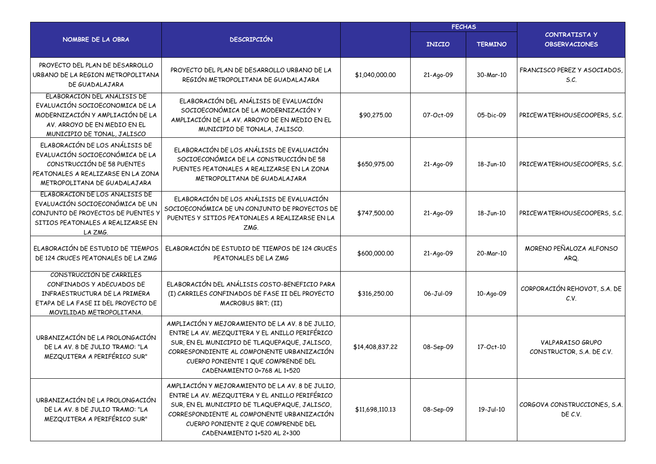|                                                                                                                                                                       |                                                                                                                                                                                                                                                                        |                 | <b>FECHAS</b> |                |                                                      |  |
|-----------------------------------------------------------------------------------------------------------------------------------------------------------------------|------------------------------------------------------------------------------------------------------------------------------------------------------------------------------------------------------------------------------------------------------------------------|-----------------|---------------|----------------|------------------------------------------------------|--|
| NOMBRE DE LA OBRA                                                                                                                                                     | <b>DESCRIPCIÓN</b>                                                                                                                                                                                                                                                     |                 | <b>INICIO</b> | <b>TERMINO</b> | CONTRATISTA Y<br><b>OBSERVACIONES</b>                |  |
| PROYECTO DEL PLAN DE DESARROLLO<br>URBANO DE LA REGION METROPOLITANA<br>DE GUADALAJARA                                                                                | PROYECTO DEL PLAN DE DESARROLLO URBANO DE LA<br>REGIÓN METROPOLITANA DE GUADALAJARA                                                                                                                                                                                    | \$1,040,000.00  | 21-Ago-09     | 30-Mar-10      | FRANCISCO PEREZ Y ASOCIADOS<br>S.C.                  |  |
| ELABORACIÓN DEL ANALISIS DE<br>EVALUACIÓN SOCIOECONOMICA DE LA<br>MODERNIZACIÓN Y AMPLIACIÓN DE LA<br>AV. ARROYO DE EN MEDIO EN EL<br>MUNICIPIO DE TONAL, JALISCO     | ELABORACIÓN DEL ANÁLISIS DE EVALUACIÓN<br>SOCIOECONÓMICA DE LA MODERNIZACIÓN Y<br>AMPLIACIÓN DE LA AV. ARROYO DE EN MEDIO EN EL<br>MUNICIPIO DE TONALA, JALISCO.                                                                                                       | \$90,275.00     | 07-Oct-09     | 05-Dic-09      | PRICEWATERHOUSECOOPERS, S.C.                         |  |
| ELABORACIÓN DE LOS ANÁLISIS DE<br>EVALUACIÓN SOCIOECONÓMICA DE LA<br>CONSTRUCCIÓN DE 58 PUENTES<br>PEATONALES A REALIZARSE EN LA ZONA<br>METROPOLITANA DE GUADALAJARA | ELABORACIÓN DE LOS ANÁLISIS DE EVALUACIÓN<br>SOCIOECONÓMICA DE LA CONSTRUCCIÓN DE 58<br>PUENTES PEATONALES A REALIZARSE EN LA ZONA<br>METROPOLITANA DE GUADALAJARA                                                                                                     | \$650,975.00    | 21-Ago-09     | 18-Jun-10      | PRICEWATERHOUSECOOPERS, S.C.                         |  |
| ELABORACIÓN DE LOS ANÁLISIS DE<br>EVALUACIÓN SOCIOECONÓMICA DE UN<br>CONJUNTO DE PROYECTOS DE PUENTES Y<br>SITIOS PEATONALES A REALIZARSE EN<br>LA ZMG.               | ELABORACIÓN DE LOS ANÁLISIS DE EVALUACIÓN<br>SOCIOECONÓMICA DE UN CONJUNTO DE PROYECTOS DE<br>PUENTES Y SITIOS PEATONALES A REALIZARSE EN LA<br>ZMG.                                                                                                                   | \$747,500.00    | 21-Ago-09     | 18-Jun-10      | PRICEWATERHOUSECOOPERS, S.C.                         |  |
| ELABORACIÓN DE ESTUDIO DE TIEMPOS<br>DE 124 CRUCES PEATONALES DE LA ZMG                                                                                               | ELABORACIÓN DE ESTUDIO DE TIEMPOS DE 124 CRUCES<br>PEATONALES DE LA ZMG                                                                                                                                                                                                | \$600,000.00    | 21-Ago-09     | 20-Mar-10      | MORENO PEÑALOZA ALFONSO<br>ARQ.                      |  |
| CONSTRUCCIÓN DE CARRILES<br>CONFINADOS Y ADECUADOS DE<br>INFRAESTRUCTURA DE LA PRIMERA<br>ETAPA DE LA FASE II DEL PROYECTO DE<br>MOVILIDAD METROPOLITANA.             | ELABORACIÓN DEL ANÁLISIS COSTO-BENEFICIO PARA<br>(I) CARRILES CONFINADOS DE FASE II DEL PROYECTO<br>MACROBUS BRT; (II)                                                                                                                                                 | \$316,250.00    | 06-Jul-09     | 10-Ago-09      | CORPORACIÓN REHOVOT, S.A. DE<br>C.V.                 |  |
| URBANIZACIÓN DE LA PROLONGACIÓN<br>DE LA AV. 8 DE JULIO TRAMO: "LA<br>MEZQUITERA A PERIFÉRICO SUR"                                                                    | AMPLIACIÓN Y MEJORAMIENTO DE LA AV. 8 DE JULIO,<br>ENTRE LA AV. MEZQUITERA Y EL ANILLO PERIFÉRICO<br>SUR, EN EL MUNICIPIO DE TLAQUEPAQUE, JALISCO,<br>CORRESPONDIENTE AL COMPONENTE URBANIZACIÓN<br>CUERPO PONIENTE 1 QUE COMPRENDE DEL<br>CADENAMIENTO 0+768 AL 1+520 | \$14,408,837.22 | 08-Sep-09     | 17-Oct-10      | <b>VALPARAISO GRUPO</b><br>CONSTRUCTOR, S.A. DE C.V. |  |
| URBANIZACIÓN DE LA PROLONGACIÓN<br>DE LA AV. 8 DE JULIO TRAMO: "LA<br>MEZQUITERA A PERIFÉRICO SUR"                                                                    | AMPLIACIÓN Y MEJORAMIENTO DE LA AV. 8 DE JULIO,<br>ENTRE LA AV. MEZQUITERA Y EL ANILLO PERIFÉRICO<br>SUR, EN EL MUNICIPIO DE TLAQUEPAQUE, JALISCO,<br>CORRESPONDIENTE AL COMPONENTE URBANIZACIÓN<br>CUERPO PONIENTE 2 QUE COMPRENDE DEL<br>CADENAMIENTO 1+520 AL 2+300 | \$11,698,110.13 | 08-Sep-09     | 19-Jul-10      | CORGOVA CONSTRUCCIONES, S.A.<br>DE C.V.              |  |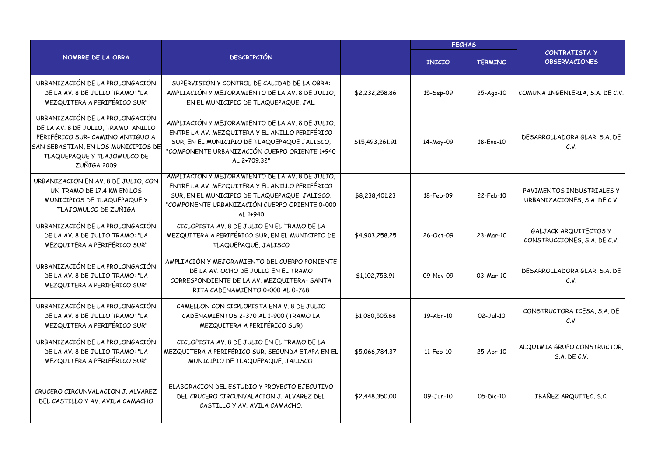|                                                                                                                                                                                                 |                                                                                                                                                                                                                    |                 | <b>FECHAS</b> |                |                                                              |
|-------------------------------------------------------------------------------------------------------------------------------------------------------------------------------------------------|--------------------------------------------------------------------------------------------------------------------------------------------------------------------------------------------------------------------|-----------------|---------------|----------------|--------------------------------------------------------------|
| NOMBRE DE LA OBRA                                                                                                                                                                               | <b>DESCRIPCIÓN</b>                                                                                                                                                                                                 |                 | <b>INICIO</b> | <b>TERMINO</b> | <b>CONTRATISTA Y</b><br><b>OBSERVACIONES</b>                 |
| URBANIZACIÓN DE LA PROLONGACIÓN<br>DE LA AV. 8 DE JULIO TRAMO: "LA<br>MEZQUITERA A PERIFÉRICO SUR"                                                                                              | SUPERVISIÓN Y CONTROL DE CALIDAD DE LA OBRA:<br>AMPLIACIÓN Y MEJORAMIENTO DE LA AV. 8 DE JULIO,<br>EN EL MUNICIPIO DE TLAQUEPAQUE, JAL.                                                                            | \$2,232,258.86  | 15-Sep-09     | 25-Ago-10      | COMUNA INGENIERIA, S.A. DE C.V.                              |
| URBANIZACIÓN DE LA PROLONGACIÓN<br>DE LA AV. 8 DE JULIO, TRAMO: ANILLO<br>PERIFÉRICO SUR- CAMINO ANTIGUO A<br>SAN SEBASTIAN, EN LOS MUNICIPIOS DE<br>TLAQUEPAQUE Y TLAJOMULCO DE<br>ZUÑIGA 2009 | AMPLIACIÓN Y MEJORAMIENTO DE LA AV. 8 DE JULIO.<br>ENTRE LA AV. MEZQUITERA Y EL ANILLO PERIFÉRICO<br>SUR, EN EL MUNICIPIO DE TLAQUEPAQUE JALISCO,<br>"COMPONENTE URBANIZACIÓN CUERPO ORIENTE 1+940<br>AL 2+709.32" | \$15,493,261.91 | 14-May-09     | 18-Ene-10      | DESARROLLADORA GLAR, S.A. DE<br>C.V.                         |
| URBANIZACIÓN EN AV. 8 DE JULIO, CON<br>UN TRAMO DE 17.4 KM EN LOS<br>MUNICIPIOS DE TLAQUEPAQUE Y<br>TLAJOMULCO DE ZUÑIGA                                                                        | AMPLIACIÓN Y MEJORAMIENTO DE LA AV. 8 DE JULIO.<br>ENTRE LA AV. MEZQUITERA Y EL ANILLO PERIFÉRICO<br>SUR, EN EL MUNICIPIO DE TLAQUEPAQUE, JALISCO.<br>"COMPONENTE URBANIZACIÓN CUERPO ORIENTE 0+000<br>AL 1+940    | \$8,238,401.23  | 18-Feb-09     | 22-Feb-10      | PAVIMENTOS INDUSTRIALES Y<br>URBANIZACIONES, S.A. DE C.V.    |
| URBANIZACIÓN DE LA PROLONGACIÓN<br>DE LA AV. 8 DE JULIO TRAMO: "LA<br>MEZQUITERA A PERIFÉRICO SUR"                                                                                              | CICLOPISTA AV. 8 DE JULIO EN EL TRAMO DE LA<br>MEZQUITERA A PERIFÉRICO SUR, EN EL MUNICIPIO DE<br>TLAQUEPAQUE, JALISCO                                                                                             | \$4,903,258.25  | 26-Oct-09     | 23-Mar-10      | <b>GALJACK ARQUITECTOS Y</b><br>CONSTRUCCIONES, S.A. DE C.V. |
| URBANIZACIÓN DE LA PROLONGACIÓN<br>DE LA AV. 8 DE JULIO TRAMO: "LA<br>MEZQUITERA A PERIFÉRICO SUR"                                                                                              | AMPLIACIÓN Y MEJORAMIENTO DEL CUERPO PONIENTE<br>DE LA AV. OCHO DE JULIO EN EL TRAMO<br>CORRESPONDIENTE DE LA AV. MEZQUITERA- SANTA<br>RITA CADENAMIENTO 0+000 AL 0+768                                            | \$1,102,753.91  | 09-Nov-09     | 03-Mar-10      | DESARROLLADORA GLAR, S.A. DE<br>C.V.                         |
| URBANIZACIÓN DE LA PROLONGACIÓN<br>DE LA AV. 8 DE JULIO TRAMO: "LA<br>MEZQUITERA A PERIFÉRICO SUR"                                                                                              | CAMELLON CON CICPLOPISTA ENA V. 8 DE JULIO<br>CADENAMIENTOS 2+370 AL 1+900 (TRAMO LA<br>MEZQUITERA A PERIFÉRICO SUR)                                                                                               | \$1,080,505.68  | 19-Abr-10     | $02-Jul-10$    | CONSTRUCTORA ICESA, S.A. DE<br>C.V.                          |
| URBANIZACIÓN DE LA PROLONGACIÓN<br>DE LA AV. 8 DE JULIO TRAMO: "LA<br>MEZQUITERA A PERIFÉRICO SUR"                                                                                              | CICLOPISTA AV. 8 DE JULIO EN EL TRAMO DE LA<br>MEZQUITERA A PERIFÉRICO SUR, SEGUNDA ETAPA EN EL<br>MUNICIPIO DE TLAQUEPAQUE, JALISCO.                                                                              | \$5,066,784.37  | $11-Feb-10$   | 25-Abr-10      | ALQUIMIA GRUPO CONSTRUCTOR,<br>S.A. DE C.V.                  |
| CRUCERO CIRCUNVALACION J. ALVAREZ<br>DEL CASTILLO Y AV. AVILA CAMACHO                                                                                                                           | ELABORACION DEL ESTUDIO Y PROYECTO EJECUTIVO<br>DEL CRUCERO CIRCUNVALACION J. ALVAREZ DEL<br>CASTILLO Y AV. AVILA CAMACHO.                                                                                         | \$2,448,350.00  | 09-Jun-10     | $05-Dic-10$    | IBAÑEZ ARQUITEC, S.C.                                        |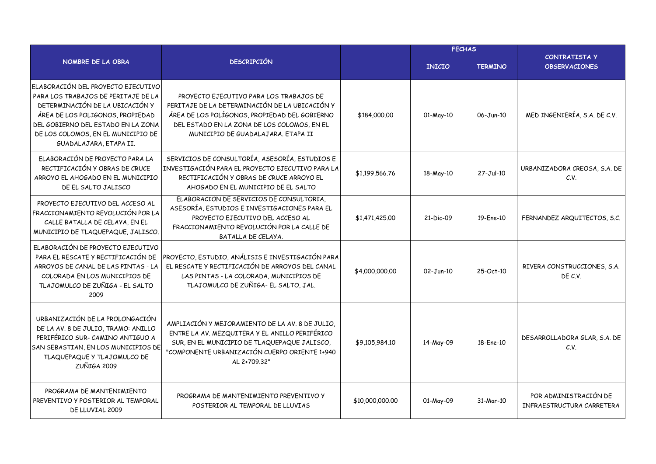|                                                                                                                                                                                                                                                        |                                                                                                                                                                                                                                 |                 | <b>FECHAS</b> |                 |                                                    |
|--------------------------------------------------------------------------------------------------------------------------------------------------------------------------------------------------------------------------------------------------------|---------------------------------------------------------------------------------------------------------------------------------------------------------------------------------------------------------------------------------|-----------------|---------------|-----------------|----------------------------------------------------|
| NOMBRE DE LA OBRA                                                                                                                                                                                                                                      | <b>DESCRIPCIÓN</b>                                                                                                                                                                                                              |                 | <b>INICIO</b> | <b>TERMINO</b>  | <b>CONTRATISTA Y</b><br><b>OBSERVACIONES</b>       |
| ELABORACIÓN DEL PROYECTO EJECUTIVO<br>PARA LOS TRABAJOS DE PERITAJE DE LA<br>DETERMINACIÓN DE LA UBICACIÓN Y<br>ÁREA DE LOS POLIGONOS, PROPIEDAD<br>DEL GOBIERNO DEL ESTADO EN LA ZONA<br>DE LOS COLOMOS, EN EL MUNICIPIO DE<br>GUADALAJARA, ETAPA II. | PROYECTO EJECUTIVO PARA LOS TRABAJOS DE<br>PERITAJE DE LA DETERMINACIÓN DE LA UBICACIÓN Y<br>ÁREA DE LOS POLÍGONOS, PROPIEDAD DEL GOBIERNO<br>DEL ESTADO EN LA ZONA DE LOS COLOMOS, EN EL<br>MUNICIPIO DE GUADALAJARA, ETAPA II | \$184,000.00    | 01-May-10     | 06-Jun-10       | MED INGENIERÍA, S.A. DE C.V.                       |
| ELABORACIÓN DE PROYECTO PARA LA<br>RECTIFICACIÓN Y OBRAS DE CRUCE<br>ARROYO EL AHOGADO EN EL MUNICIPIO<br>DE EL SALTO JALISCO                                                                                                                          | SERVICIOS DE CONSULTORÍA, ASESORÍA, ESTUDIOS E<br>INVESTIGACIÓN PARA EL PROYECTO EJECUTIVO PARA LA<br>RECTIFICACIÓN Y OBRAS DE CRUCE ARROYO EL<br>AHOGADO EN EL MUNICIPIO DE EL SALTO                                           | \$1,199,566,76  | 18-May-10     | $27 - Jul - 10$ | URBANIZADORA CREOSA, S.A. DE<br>C.V.               |
| PROYECTO EJECUTIVO DEL ACCESO AL<br>FRACCIONAMIENTO REVOLUCIÓN POR LA<br>CALLE BATALLA DE CELAYA, EN EL<br>MUNICIPIO DE TLAQUEPAQUE, JALISCO.                                                                                                          | ELABORACIÓN DE SERVICIOS DE CONSULTORÍA,<br>ASESORÍA, ESTUDIOS E INVESTIGACIONES PARA EL<br>PROYECTO EJECUTIVO DEL ACCESO AL<br>FRACCIONAMIENTO REVOLUCIÓN POR LA CALLE DE<br>BATALLA DE CELAYA.                                | \$1,471,425.00  | 21-Dic-09     | 19-Ene-10       | FERNANDEZ ARQUITECTOS, S.C.                        |
| ELABORACIÓN DE PROYECTO EJECUTIVO<br>PARA EL RESCATE Y RECTIFICACIÓN DE<br>ARROYOS DE CANAL DE LAS PINTAS - LA<br>COLORADA EN LOS MUNICIPIOS DE<br>TLAJOMULCO DE ZUÑIGA - EL SALTO<br>2009                                                             | PROYECTO, ESTUDIO, ANÁLISIS E INVESTIGACIÓN PARA<br>EL RESCATE Y RECTIFICACIÓN DE ARROYOS DEL CANAL<br>LAS PINTAS - LA COLORADA, MUNICIPIOS DE<br>TLAJOMULCO DE ZUÑIGA- EL SALTO, JAL.                                          | \$4,000,000.00  | $02 - Jun-10$ | 25-Oct-10       | RIVERA CONSTRUCCIONES, S.A.<br>DE C.V.             |
| URBANIZACIÓN DE LA PROLONGACIÓN<br>DE LA AV. 8 DE JULIO, TRAMO: ANILLO<br>PERIFÉRICO SUR- CAMINO ANTIGUO A<br>SAN SEBASTIAN, EN LOS MUNICIPIOS DE<br>TLAQUEPAQUE Y TLAJOMULCO DE<br>ZUÑIGA 2009                                                        | AMPLIACIÓN Y MEJORAMIENTO DE LA AV. 8 DE JULIO.<br>ENTRE LA AV. MEZQUITERA Y EL ANILLO PERIFÉRICO<br>SUR, EN EL MUNICIPIO DE TLAQUEPAQUE JALISCO,<br>"COMPONENTE URBANIZACIÓN CUERPO ORIENTE 1+940<br>AL 2+709.32"              | \$9,105,984.10  | 14-May-09     | 18-Ene-10       | DESARROLLADORA GLAR, S.A. DE<br>C.V.               |
| PROGRAMA DE MANTENIMIENTO<br>PREVENTIVO Y POSTERIOR AL TEMPORAL<br>DE LLUVIAL 2009                                                                                                                                                                     | PROGRAMA DE MANTENIMIENTO PREVENTIVO Y<br>POSTERIOR AL TEMPORAL DE LLUVIAS                                                                                                                                                      | \$10,000,000.00 | 01-May-09     | 31-Mar-10       | POR ADMINISTRACIÓN DE<br>INFRAESTRUCTURA CARRETERA |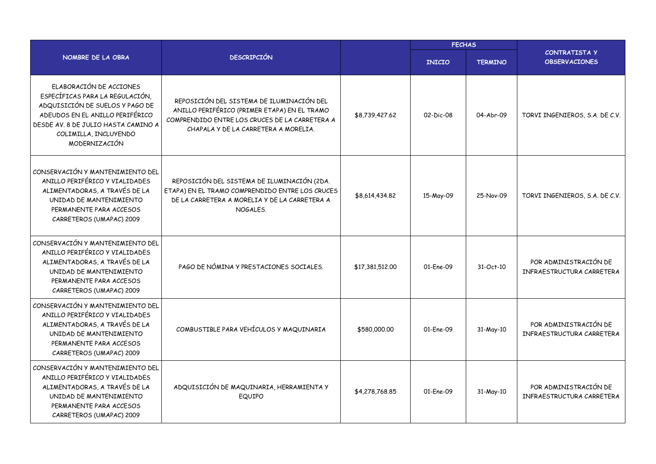|                                                                                                                                                                                                                   |                                                                                                                                                                                     |                 | <b>FECHAS</b> |                |                                                    |
|-------------------------------------------------------------------------------------------------------------------------------------------------------------------------------------------------------------------|-------------------------------------------------------------------------------------------------------------------------------------------------------------------------------------|-----------------|---------------|----------------|----------------------------------------------------|
| NOMBRE DE LA OBRA                                                                                                                                                                                                 | <b>DESCRIPCIÓN</b>                                                                                                                                                                  |                 | <b>INICIO</b> | <b>TERMINO</b> | <b>CONTRATISTA Y</b><br><b>OBSERVACIONES</b>       |
| ELABORACIÓN DE ACCIONES<br>ESPECÍFICAS PARA LA REGULACIÓN,<br>ADQUISICIÓN DE SUELOS Y PAGO DE<br>ADEUDOS EN EL ANILLO PERIFÉRICO<br>DESDE AV. 8 DE JULIO HASTA CAMINO A<br>COLIMILLA, INCLUYENDO<br>MODERNIZACIÓN | REPOSICIÓN DEL SISTEMA DE ILUMINACIÓN DEL<br>ANILLO PERIFÉRICO (PRIMER ETAPA) EN EL TRAMO<br>COMPRENDIDO ENTRE LOS CRUCES DE LA CARRETERA A<br>CHAPALA Y DE LA CARRETERA A MORELIA. | \$8,739,427.62  | 02-Dic-08     | 04-Abr-09      | TORVI INGENIEROS, S.A. DE C.V.                     |
| CONSERVACIÓN Y MANTENIMIENTO DEL<br>ANILLO PERIFÉRICO Y VIALIDADES<br>ALIMENTADORAS, A TRAVÉS DE LA<br>UNIDAD DE MANTENIMIENTO<br>PERMANENTE PARA ACCESOS<br>CARRETEROS (UMAPAC) 2009                             | REPOSICIÓN DEL SISTEMA DE ILUMINACIÓN (2DA.<br>ETAPA) EN EL TRAMO COMPRENDIDO ENTRE LOS CRUCES<br>DE LA CARRETERA A MORELIA Y DE LA CARRETERA A<br>NOGALES.                         | \$8,614,434.82  | 15-May-09     | 25-Nov-09      | TORVI INGENIEROS, S.A. DE C.V.                     |
| CONSERVACIÓN Y MANTENIMIENTO DEL<br>ANILLO PERIFÉRICO Y VIALIDADES<br>ALIMENTADORAS, A TRAVÉS DE LA<br>UNIDAD DE MANTENIMIENTO<br>PERMANENTE PARA ACCESOS<br>CARRETEROS (UMAPAC) 2009                             | PAGO DE NÓMINA Y PRESTACIONES SOCIALES.                                                                                                                                             | \$17,381,512.00 | 01-Ene-09     | 31-Oct-10      | POR ADMINISTRACIÓN DE<br>INFRAESTRUCTURA CARRETERA |
| CONSERVACIÓN Y MANTENIMIENTO DEL<br>ANILLO PERIFÉRICO Y VIALIDADES<br>ALIMENTADORAS, A TRAVÉS DE LA<br>UNIDAD DE MANTENIMIENTO<br>PERMANENTE PARA ACCESOS<br>CARRETEROS (UMAPAC) 2009                             | COMBUSTIBLE PARA VEHÍCULOS Y MAQUINARIA                                                                                                                                             | \$580,000.00    | 01-Ene-09     | 31-May-10      | POR ADMINISTRACIÓN DE<br>INFRAESTRUCTURA CARRETERA |
| CONSERVACIÓN Y MANTENIMIENTO DEL<br>ANILLO PERIFÉRICO Y VIALIDADES<br>ALIMENTADORAS, A TRAVÉS DE LA<br>UNIDAD DE MANTENIMIENTO<br>PERMANENTE PARA ACCESOS<br>CARRETEROS (UMAPAC) 2009                             | ADQUISICIÓN DE MAQUINARIA, HERRAMIENTA Y<br>EQUIPO                                                                                                                                  | \$4,278,768.85  | 01-Ene-09     | 31-May-10      | POR ADMINISTRACIÓN DE<br>INFRAESTRUCTURA CARRETERA |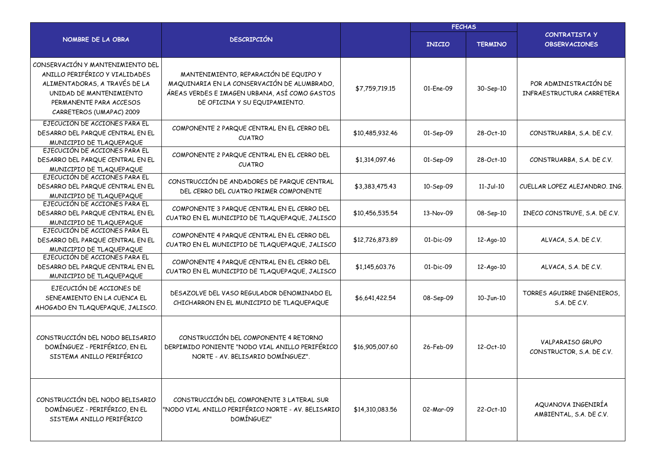|                                                                                                                                                                                       |                                                                                                                                                                        |                 | <b>FECHAS</b> |                |                                                      |  |
|---------------------------------------------------------------------------------------------------------------------------------------------------------------------------------------|------------------------------------------------------------------------------------------------------------------------------------------------------------------------|-----------------|---------------|----------------|------------------------------------------------------|--|
| NOMBRE DE LA OBRA                                                                                                                                                                     | <b>DESCRIPCIÓN</b>                                                                                                                                                     |                 | <b>INICIO</b> | <b>TERMINO</b> | <b>CONTRATISTA Y</b><br><b>OBSERVACIONES</b>         |  |
| CONSERVACIÓN Y MANTENIMIENTO DEL<br>ANILLO PERIFÉRICO Y VIALIDADES<br>ALIMENTADORAS, A TRAVÉS DE LA<br>UNIDAD DE MANTENIMIENTO<br>PERMANENTE PARA ACCESOS<br>CARRETEROS (UMAPAC) 2009 | MANTENIMIENTO, REPARACIÓN DE EQUIPO Y<br>MAQUINARIA EN LA CONSERVACIÓN DE ALUMBRADO,<br>ÁREAS VERDES E IMAGEN URBANA, ASÍ COMO GASTOS<br>DE OFICINA Y SU EQUIPAMIENTO. | \$7,759,719.15  | 01-Ene-09     | 30-Sep-10      | POR ADMINISTRACIÓN DE<br>INFRAESTRUCTURA CARRETERA   |  |
| EJECUCIÓN DE ACCIONES PARA EL<br>DESARRO DEL PARQUE CENTRAL EN EL<br>MUNICIPIO DE TLAQUEPAQUE                                                                                         | COMPONENTE 2 PARQUE CENTRAL EN EL CERRO DEL<br><b>CUATRO</b>                                                                                                           | \$10,485,932.46 | 01-Sep-09     | 28-Oct-10      | CONSTRUARBA, S.A. DE C.V.                            |  |
| EJECUCIÓN DE ACCIONES PARA EL<br>DESARRO DEL PARQUE CENTRAL EN EL<br>MUNICIPIO DE TLAQUEPAQUE                                                                                         | COMPONENTE 2 PARQUE CENTRAL EN EL CERRO DEL<br><b>CUATRO</b>                                                                                                           | \$1,314,097.46  | 01-Sep-09     | 28-Oct-10      | CONSTRUARBA, S.A. DE C.V.                            |  |
| EJECUCIÓN DE ACCIONES PARA EL<br>DESARRO DEL PARQUE CENTRAL EN EL<br>MUNICIPIO DE TLAQUEPAQUE                                                                                         | CONSTRUCCIÓN DE ANDADORES DE PARQUE CENTRAL<br>DEL CERRO DEL CUATRO PRIMER COMPONENTE                                                                                  | \$3,383,475.43  | 10-Sep-09     | $11-Jul-10$    | CUELLAR LOPEZ ALEJANDRO. ING.                        |  |
| EJECUCIÓN DE ACCIONES PARA EL<br>DESARRO DEL PARQUE CENTRAL EN EL<br>MUNICIPIO DE TLAQUEPAQUE                                                                                         | COMPONENTE 3 PARQUE CENTRAL EN EL CERRO DEL<br>CUATRO EN EL MUNICIPIO DE TLAQUEPAQUE, JALISCO                                                                          | \$10,456,535.54 | 13-Nov-09     | 08-Sep-10      | INECO CONSTRUYE, S.A. DE C.V.                        |  |
| EJECUCIÓN DE ACCIONES PARA EL<br>DESARRO DEL PARQUE CENTRAL EN EL<br>MUNICIPIO DE TLAQUEPAQUE                                                                                         | COMPONENTE 4 PARQUE CENTRAL EN EL CERRO DEL<br>CUATRO EN EL MUNICIPIO DE TLAQUEPAQUE, JALISCO                                                                          | \$12,726,873,89 | 01-Dic-09     | 12-Ago-10      | ALVACA, S.A. DE C.V.                                 |  |
| EJECUCIÓN DE ACCIONES PARA EL<br>DESARRO DEL PARQUE CENTRAL EN EL<br>MUNICIPIO DE TLAQUEPAQUE                                                                                         | COMPONENTE 4 PARQUE CENTRAL EN EL CERRO DEL<br>CUATRO EN EL MUNICIPIO DE TLAQUEPAQUE, JALISCO                                                                          | \$1,145,603.76  | 01-Dic-09     | 12-Ago-10      | ALVACA, S.A. DE C.V.                                 |  |
| EJECUCIÓN DE ACCIONES DE<br>SENEAMIENTO EN LA CUENCA EL<br>AHOGADO EN TLAQUEPAQUE, JALISCO.                                                                                           | DESAZOLVE DEL VASO REGULADOR DENOMINADO EL<br>CHICHARRON EN EL MUNICIPIO DE TLAQUEPAQUE                                                                                | \$6,641,422.54  | 08-Sep-09     | $10 - Jun-10$  | TORRES AGUIRRE INGENIEROS.<br>$S.A.$ DE $C.V.$       |  |
| CONSTRUCCIÓN DEL NODO BELISARIO<br>DOMÍNGUEZ - PERIFÉRICO, EN EL<br>SISTEMA ANILLO PERIFÉRICO                                                                                         | CONSTRUCCIÓN DEL COMPONENTE 4 RETORNO<br>DERPIMIDO PONIENTE "NODO VIAL ANILLO PERIFÉRICO<br>NORTE - AV. BELISARIO DOMÍNGUEZ".                                          | \$16,905,007.60 | 26-Feb-09     | 12-Oct-10      | <b>VALPARAISO GRUPO</b><br>CONSTRUCTOR, S.A. DE C.V. |  |
| CONSTRUCCIÓN DEL NODO BELISARIO<br>DOMÍNGUEZ - PERIFÉRICO, EN EL<br>SISTEMA ANILLO PERIFÉRICO                                                                                         | CONSTRUCCIÓN DEL COMPONENTE 3 LATERAL SUR<br>"NODO VIAL ANILLO PERIFÉRICO NORTE - AV. BELISARIO<br>DOMÍNGUEZ"                                                          | \$14,310,083.56 | 02-Mar-09     | 22-Oct-10      | AQUANOVA INGENIRÍA<br>AMBIENTAL, S.A. DE C.V.        |  |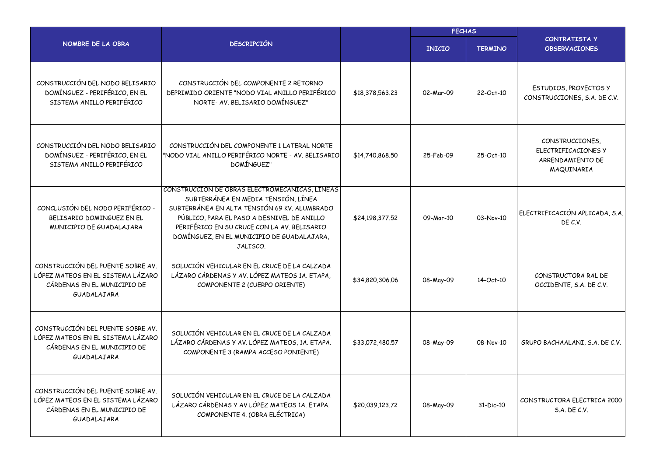|                                                                                                                      |                                                                                                                                                                                                                                                                                              |                 | <b>FECHAS</b> |                |                                                                          |
|----------------------------------------------------------------------------------------------------------------------|----------------------------------------------------------------------------------------------------------------------------------------------------------------------------------------------------------------------------------------------------------------------------------------------|-----------------|---------------|----------------|--------------------------------------------------------------------------|
| NOMBRE DE LA OBRA                                                                                                    | <b>DESCRIPCIÓN</b>                                                                                                                                                                                                                                                                           |                 | <b>INICIO</b> | <b>TERMINO</b> | <b>CONTRATISTA Y</b><br><b>OBSERVACIONES</b>                             |
| CONSTRUCCIÓN DEL NODO BELISARIO<br>DOMÍNGUEZ - PERIFÉRICO, EN EL<br>SISTEMA ANILLO PERIFÉRICO                        | CONSTRUCCIÓN DEL COMPONENTE 2 RETORNO<br>DEPRIMIDO ORIENTE "NODO VIAL ANILLO PERIFÉRICO<br>NORTE- AV. BELISARIO DOMÍNGUEZ"                                                                                                                                                                   | \$18,378,563.23 | 02-Mar-09     | 22-Oct-10      | ESTUDIOS, PROYECTOS Y<br>CONSTRUCCIONES, S.A. DE C.V.                    |
| CONSTRUCCIÓN DEL NODO BELISARIO<br>DOMÍNGUEZ - PERIFÉRICO, EN EL<br>SISTEMA ANILLO PERIFÉRICO                        | CONSTRUCCIÓN DEL COMPONENTE 1 LATERAL NORTE<br>"NODO VIAL ANILLO PERIFÉRICO NORTE - AV. BELISARIO<br>DOMÍNGUEZ"                                                                                                                                                                              | \$14,740,868.50 | 25-Feb-09     | 25-Oct-10      | CONSTRUCCIONES,<br>ELECTRIFICACIONES Y<br>ARRENDAMIENTO DE<br>MAQUINARIA |
| CONCLUSIÓN DEL NODO PERIFÉRICO -<br>BELISARIO DOMINGUEZ EN EL<br>MUNICIPIO DE GUADALAJARA                            | CONSTRUCCIÓN DE OBRAS ELECTROMECANICAS, LINEAS<br>SUBTERRÁNEA EN MEDIA TENSIÓN, LÍNEA<br>SUBTERRÁNEA EN ALTA TENSIÓN 69 KV. ALUMBRADO<br>PÚBLICO, PARA EL PASO A DESNIVEL DE ANILLO<br>PERIFÉRICO EN SU CRUCE CON LA AV. BELISARIO<br>DOMÍNGUEZ, EN EL MUNICIPIO DE GUADALAJARA,<br>JALISCO. | \$24,198,377.52 | 09-Mar-10     | 03-Nov-10      | ELECTRIFICACIÓN APLICADA, S.A.<br>DE C.V.                                |
| CONSTRUCCIÓN DEL PUENTE SOBRE AV.<br>LÓPEZ MATEOS EN EL SISTEMA LÁZARO<br>CÁRDENAS EN EL MUNICIPIO DE<br>GUADALAJARA | SOLUCIÓN VEHICULAR EN EL CRUCE DE LA CALZADA<br>LÁZARO CÁRDENAS Y AV. LÓPEZ MATEOS 1A. ETAPA,<br>COMPONENTE 2 (CUERPO ORIENTE)                                                                                                                                                               | \$34,820,306.06 | 08-May-09     | 14-Oct-10      | CONSTRUCTORA RAL DE<br>OCCIDENTE, S.A. DE C.V.                           |
| CONSTRUCCIÓN DEL PUENTE SOBRE AV.<br>LÓPEZ MATEOS EN EL SISTEMA LÁZARO<br>CÁRDENAS EN EL MUNICIPIO DE<br>GUADALAJARA | SOLUCIÓN VEHICULAR EN EL CRUCE DE LA CALZADA<br>LÁZARO CÁRDENAS Y AV. LÓPEZ MATEOS, 1A. ETAPA.<br>COMPONENTE 3 (RAMPA ACCESO PONIENTE)                                                                                                                                                       | \$33,072,480.57 | 08-May-09     | 08-Nov-10      | GRUPO BACHAALANI, S.A. DE C.V.                                           |
| CONSTRUCCIÓN DEL PUENTE SOBRE AV.<br>LÓPEZ MATEOS EN EL SISTEMA LÁZARO<br>CÁRDENAS EN EL MUNICIPIO DE<br>GUADALAJARA | SOLUCIÓN VEHICULAR EN EL CRUCE DE LA CALZADA<br>LÁZARO CÁRDENAS Y AV LÓPEZ MATEOS 1A. ETAPA.<br>COMPONENTE 4. (OBRA ELÉCTRICA)                                                                                                                                                               | \$20,039,123.72 | 08-May-09     | 31-Dic-10      | CONSTRUCTORA ELECTRICA 2000<br>S.A. DE C.V.                              |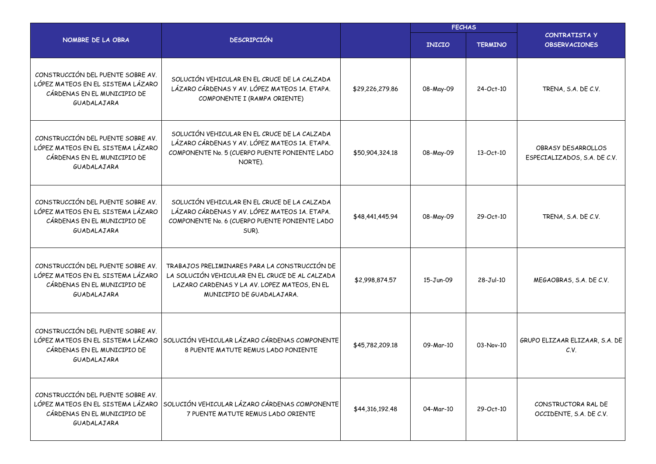|                                                                                                                      | <b>FECHAS</b>                                                                                                                                                                 |                 |               |                |                                                    |
|----------------------------------------------------------------------------------------------------------------------|-------------------------------------------------------------------------------------------------------------------------------------------------------------------------------|-----------------|---------------|----------------|----------------------------------------------------|
| NOMBRE DE LA OBRA                                                                                                    | <b>DESCRIPCIÓN</b>                                                                                                                                                            |                 | <b>INICIO</b> | <b>TERMINO</b> | <b>CONTRATISTA Y</b><br><b>OBSERVACIONES</b>       |
| CONSTRUCCIÓN DEL PUENTE SOBRE AV.<br>LÓPEZ MATEOS EN EL SISTEMA LÁZARO<br>CÁRDENAS EN EL MUNICIPIO DE<br>GUADALAJARA | SOLUCIÓN VEHICULAR EN EL CRUCE DE LA CALZADA<br>LÁZARO CÁRDENAS Y AV. LÓPEZ MATEOS 1A. ETAPA.<br>COMPONENTE I (RAMPA ORIENTE)                                                 | \$29,226,279.86 | 08-May-09     | 24-Oct-10      | TRENA, S.A. DE C.V.                                |
| CONSTRUCCIÓN DEL PUENTE SOBRE AV.<br>LÓPEZ MATEOS EN EL SISTEMA LÁZARO<br>CÁRDENAS EN EL MUNICIPIO DE<br>GUADALAJARA | SOLUCIÓN VEHICULAR EN EL CRUCE DE LA CALZADA<br>LÁZARO CÁRDENAS Y AV. LÓPEZ MATEOS 1A. ETAPA.<br>COMPONENTE No. 5 (CUERPO PUENTE PONIENTE LADO<br>NORTE).                     | \$50,904,324.18 | 08-May-09     | 13-Oct-10      | OBRASY DESARROLLOS<br>ESPECIALIZADOS, S.A. DE C.V. |
| CONSTRUCCIÓN DEL PUENTE SOBRE AV.<br>LÓPEZ MATEOS EN EL SISTEMA LÁZARO<br>CÁRDENAS EN EL MUNICIPIO DE<br>GUADALAJARA | SOLUCIÓN VEHICULAR EN EL CRUCE DE LA CALZADA<br>LÁZARO CÁRDENAS Y AV. LÓPEZ MATEOS 1A. ETAPA.<br>COMPONENTE No. 6 (CUERPO PUENTE PONIENTE LADO<br>SUR).                       | \$48,441,445.94 | 08-May-09     | 29-Oct-10      | TRENA, S.A. DE C.V.                                |
| CONSTRUCCIÓN DEL PUENTE SOBRE AV.<br>LÓPEZ MATEOS EN EL SISTEMA LÁZARO<br>CÁRDENAS EN EL MUNICIPIO DE<br>GUADALAJARA | TRABAJOS PRELIMINARES PARA LA CONSTRUCCIÓN DE<br>LA SOLUCIÓN VEHICULAR EN EL CRUCE DE AL CALZADA<br>LAZARO CARDENAS Y LA AV. LOPEZ MATEOS, EN EL<br>MUNICIPIO DE GUADALAJARA. | \$2,998,874.57  | 15-Jun-09     | $28-Jul-10$    | MEGAOBRAS, S.A. DE C.V.                            |
| CONSTRUCCIÓN DEL PUENTE SOBRE AV.<br>LÓPEZ MATEOS EN EL SISTEMA LÁZARO<br>CÁRDENAS EN EL MUNICIPIO DE<br>GUADALAJARA | SOLUCIÓN VEHICULAR LÁZARO CÁRDENAS COMPONENTE<br>8 PUENTE MATUTE REMUS LADO PONIENTE                                                                                          | \$45,782,209.18 | 09-Mar-10     | 03-Nov-10      | GRUPO ELIZAAR ELIZAAR, S.A. DE<br>C.V.             |
| CONSTRUCCIÓN DEL PUENTE SOBRE AV.<br>LÓPEZ MATEOS EN EL SISTEMA LÁZARO<br>CÁRDENAS EN EL MUNICIPIO DE<br>GUADALAJARA | SOLUCIÓN VEHICULAR LÁZARO CÁRDENAS COMPONENTE<br>7 PUENTE MATUTE REMUS LADO ORIENTE                                                                                           | \$44,316,192.48 | 04-Mar-10     | 29-Oct-10      | CONSTRUCTORA RAL DE<br>OCCIDENTE, S.A. DE C.V.     |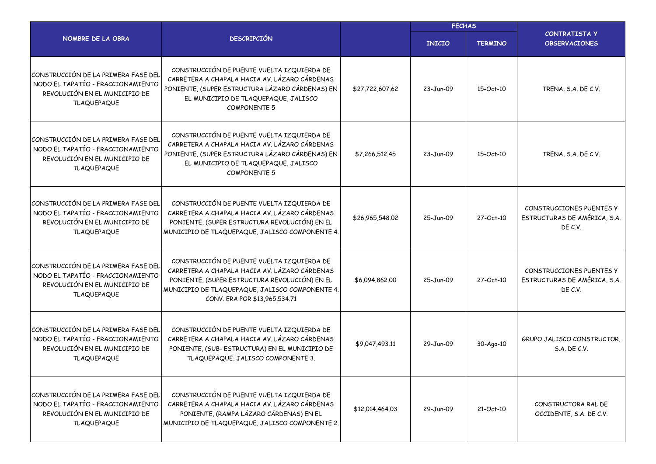|                                                                                                                                 |                                                                                                                                                                                                                                  | <b>FECHAS</b>   |               |                |                                                                     |
|---------------------------------------------------------------------------------------------------------------------------------|----------------------------------------------------------------------------------------------------------------------------------------------------------------------------------------------------------------------------------|-----------------|---------------|----------------|---------------------------------------------------------------------|
| NOMBRE DE LA OBRA                                                                                                               | <b>DESCRIPCIÓN</b>                                                                                                                                                                                                               |                 | <b>INICIO</b> | <b>TERMINO</b> | <b>CONTRATISTA Y</b><br><b>OBSERVACIONES</b>                        |
| CONSTRUCCIÓN DE LA PRIMERA FASE DEL<br>NODO EL TAPATÍO - FRACCIONAMIENTO<br>REVOLUCIÓN EN EL MUNICIPIO DE<br><b>TLAQUEPAQUE</b> | CONSTRUCCIÓN DE PUENTE VUELTA IZQUIERDA DE<br>CARRETERA A CHAPALA HACIA AV. LÁZARO CÁRDENAS<br>PONIENTE, (SUPER ESTRUCTURA LÁZARO CÁRDENAS) EN<br>EL MUNICIPIO DE TLAQUEPAQUE, JALISCO<br><b>COMPONENTE 5</b>                    | \$27,722,607.62 | 23-Jun-09     | 15-Oct-10      | TRENA, S.A. DE C.V.                                                 |
| CONSTRUCCIÓN DE LA PRIMERA FASE DEL<br>NODO EL TAPATÍO - FRACCIONAMIENTO<br>REVOLUCIÓN EN EL MUNICIPIO DE<br><b>TLAQUEPAQUE</b> | CONSTRUCCIÓN DE PUENTE VUELTA IZQUIERDA DE<br>CARRETERA A CHAPALA HACIA AV. LÁZARO CÁRDENAS<br>PONIENTE, (SUPER ESTRUCTURA LÁZARO CÁRDENAS) EN<br>EL MUNICIPIO DE TLAQUEPAQUE, JALISCO<br><b>COMPONENTE 5</b>                    | \$7,266,512.45  | 23-Jun-09     | 15-Oct-10      | TRENA, S.A. DE C.V.                                                 |
| CONSTRUCCIÓN DE LA PRIMERA FASE DEL<br>NODO EL TAPATÍO - FRACCIONAMIENTO<br>REVOLUCIÓN EN EL MUNICIPIO DE<br><b>TLAQUEPAQUE</b> | CONSTRUCCIÓN DE PUENTE VUELTA IZQUIERDA DE<br>CARRETERA A CHAPALA HACIA AV. LÁZARO CÁRDENAS<br>PONIENTE, (SUPER ESTRUCTURA REVOLUCIÓN) EN EL<br>MUNICIPIO DE TLAQUEPAQUE, JALISCO COMPONENTE 4.                                  | \$26,965,548.02 | 25-Jun-09     | 27-Oct-10      | CONSTRUCCIONES PUENTES Y<br>ESTRUCTURAS DE AMÉRICA, S.A.<br>DE C.V. |
| CONSTRUCCIÓN DE LA PRIMERA FASE DEL<br>NODO EL TAPATÍO - FRACCIONAMIENTO<br>REVOLUCIÓN EN EL MUNICIPIO DE<br><b>TLAQUEPAQUE</b> | CONSTRUCCIÓN DE PUENTE VUELTA IZQUIERDA DE<br>CARRETERA A CHAPALA HACIA AV. LÁZARO CÁRDENAS<br>PONIENTE, (SUPER ESTRUCTURA REVOLUCIÓN) EN EL<br>MUNICIPIO DE TLAQUEPAQUE, JALISCO COMPONENTE 4.<br>CONV. ERA POR \$13,965,534.71 | \$6,094,862.00  | 25-Jun-09     | 27-Oct-10      | CONSTRUCCIONES PUENTES Y<br>ESTRUCTURAS DE AMÉRICA, S.A.<br>DE C.V. |
| CONSTRUCCIÓN DE LA PRIMERA FASE DEL<br>NODO EL TAPATÍO - FRACCIONAMIENTO<br>REVOLUCIÓN EN EL MUNICIPIO DE<br><b>TLAQUEPAQUE</b> | CONSTRUCCIÓN DE PUENTE VUELTA IZQUIERDA DE<br>CARRETERA A CHAPALA HACIA AV. LÁZARO CÁRDENAS<br>PONIENTE, (SUB-ESTRUCTURA) EN EL MUNICIPIO DE<br>TLAQUEPAQUE, JALISCO COMPONENTE 3.                                               | \$9,047,493.11  | 29-Jun-09     | 30-Ago-10      | GRUPO JALISCO CONSTRUCTOR,<br>S.A. DE C.V.                          |
| CONSTRUCCIÓN DE LA PRIMERA FASE DEL<br>NODO EL TAPATÍO - FRACCIONAMIENTO<br>REVOLUCIÓN EN EL MUNICIPIO DE<br><b>TLAQUEPAQUE</b> | CONSTRUCCIÓN DE PUENTE VUELTA IZQUIERDA DE<br>CARRETERA A CHAPALA HACIA AV. LÁZARO CÁRDENAS<br>PONIENTE, (RAMPA LÁZARO CÁRDENAS) EN EL<br>MUNICIPIO DE TLAQUEPAQUE, JALISCO COMPONENTE 2.                                        | \$12,014,464.03 | 29-Jun-09     | 21-Oct-10      | CONSTRUCTORA RAL DE<br>OCCIDENTE, S.A. DE C.V.                      |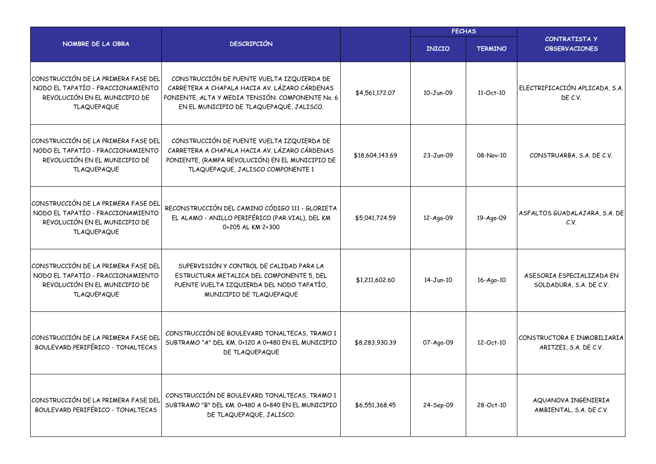|                                                                                                                                 |                                                                                                                                                                                             | <b>FECHAS</b>   |               |                |                                                      |
|---------------------------------------------------------------------------------------------------------------------------------|---------------------------------------------------------------------------------------------------------------------------------------------------------------------------------------------|-----------------|---------------|----------------|------------------------------------------------------|
| NOMBRE DE LA OBRA                                                                                                               | <b>DESCRIPCIÓN</b>                                                                                                                                                                          |                 | <b>INICIO</b> | <b>TERMINO</b> | <b>CONTRATISTA Y</b><br><b>OBSERVACIONES</b>         |
| CONSTRUCCIÓN DE LA PRIMERA FASE DEL<br>NODO EL TAPATÍO - FRACCIONAMIENTO<br>REVOLUCIÓN EN EL MUNICIPIO DE<br><b>TLAQUEPAQUE</b> | CONSTRUCCIÓN DE PUENTE VUELTA IZQUIERDA DE<br>CARRETERA A CHAPALA HACIA AV. LÁZARO CÁRDENAS<br>PONIENTE, ALTA Y MEDIA TENSIÓN: COMPONENTE No. 6<br>EN EL MUNICIPIO DE TLAQUEPAQUE, JALISCO. | \$4,561,172.07  | 10-Jun-09     | $11-Oct-10$    | ELECTRIFICACIÓN APLICADA, S.A.<br>DE C.V.            |
| CONSTRUCCIÓN DE LA PRIMERA FASE DEL<br>NODO EL TAPATÍO - FRACCIONAMIENTO<br>REVOLUCIÓN EN EL MUNICIPIO DE<br><b>TLAQUEPAQUE</b> | CONSTRUCCIÓN DE PUENTE VUELTA IZQUIERDA DE<br>CARRETERA A CHAPALA HACIA AV. LÁZARO CÁRDENAS<br>PONIENTE, (RAMPA REVOLUCIÓN) EN EL MUNICIPIO DE<br>TLAQUEPAQUE, JALISCO COMPONENTE 1         | \$18,604,143.69 | 23-Jun-09     | 08-Nov-10      | CONSTRUARBA, S.A. DE C.V.                            |
| CONSTRUCCIÓN DE LA PRIMERA FASE DEL<br>NODO EL TAPATÍO - FRACCIONAMIENTO<br>REVOLUCIÓN EN EL MUNICIPIO DE<br><b>TLAQUEPAQUE</b> | RECONSTRUCCIÓN DEL CAMINO CÓDIGO 111 - GLORIETA<br>EL ALAMO - ANILLO PERIFÉRICO (PAR VIAL), DEL KM<br>0+205 AL KM 2+300                                                                     | \$5,041,724.59  | 12-Ago-09     | 19-Ago-09      | ASFALTOS GUADALAJARA, S.A. DE<br>C.V.                |
| CONSTRUCCIÓN DE LA PRIMERA FASE DEL<br>NODO EL TAPATÍO - FRACCIONAMIENTO<br>REVOLUCIÓN EN EL MUNICIPIO DE<br><b>TLAQUEPAQUE</b> | SUPERVISIÓN Y CONTROL DE CALIDAD PARA LA<br>ESTRUCTURA METALICA DEL COMPONENTE 5, DEL<br>PUENTE VUELTA IZQUIERDA DEL NODO TAPATÍO,<br>MUNICIPIO DE TLAQUEPAQUE                              | \$1,211,602.60  | $14 - Jun-10$ | 16-Ago-10      | ASESORIA ESPECIALIZADA EN<br>SOLDADURA, S.A. DE C.V. |
| CONSTRUCCIÓN DE LA PRIMERA FASE DEL<br>BOULEVARD PERIFÉRICO - TONALTECAS                                                        | CONSTRUCCIÓN DE BOULEVARD TONALTECAS, TRAMO 1<br>SUBTRAMO "A" DEL KM. 0+120 A 0+480 EN EL MUNICIPIO<br>DE TLAQUEPAQUE                                                                       | \$8,283,930.39  | 07-Ago-09     | 12-Oct-10      | CONSTRUCTORA E INMOBILIARIA<br>ARITZEI, S.A. DE C.V. |
| CONSTRUCCIÓN DE LA PRIMERA FASE DEL<br>BOULEVARD PERIFÉRICO - TONALTECAS                                                        | CONSTRUCCIÓN DE BOULEVARD TONALTECAS, TRAMO 1<br>SUBTRAMO "B" DEL KM. 0+480 A 0+840 EN EL MUNICIPIO<br>DE TLAQUEPAQUE, JALISCO.                                                             | \$6,551,368.45  | 24-Sep-09     | 28-Oct-10      | AQUANOVA INGENIERIA<br>AMBIENTAL, S.A. DE C.V.       |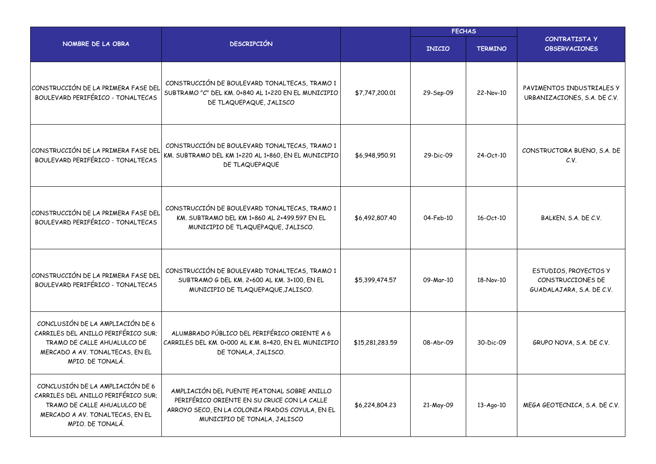|                                                                                                                                                               | <b>DESCRIPCIÓN</b>                                                                                                                                                            |                 | <b>FECHAS</b> |                |                                                                         |  |
|---------------------------------------------------------------------------------------------------------------------------------------------------------------|-------------------------------------------------------------------------------------------------------------------------------------------------------------------------------|-----------------|---------------|----------------|-------------------------------------------------------------------------|--|
| NOMBRE DE LA OBRA                                                                                                                                             |                                                                                                                                                                               |                 | <b>INICIO</b> | <b>TERMINO</b> | <b>CONTRATISTA Y</b><br><b>OBSERVACIONES</b>                            |  |
| CONSTRUCCIÓN DE LA PRIMERA FASE DEL<br>BOULEVARD PERIFÉRICO - TONALTECAS                                                                                      | CONSTRUCCIÓN DE BOULEVARD TONALTECAS, TRAMO 1<br>SUBTRAMO "C" DEL KM. 0+840 AL 1+220 EN EL MUNICIPIO<br>DE TLAQUEPAQUE, JALISCO                                               | \$7,747,200.01  | 29-Sep-09     | 22-Nov-10      | PAVIMENTOS INDUSTRIALES Y<br>URBANIZACIONES, S.A. DE C.V.               |  |
| CONSTRUCCIÓN DE LA PRIMERA FASE DEL<br>BOULEVARD PERIFÉRICO - TONALTECAS                                                                                      | CONSTRUCCIÓN DE BOULEVARD TONALTECAS, TRAMO 1<br>KM. SUBTRAMO DEL KM 1+220 AL 1+860, EN EL MUNICIPIO<br>DE TLAQUEPAQUE                                                        | \$6,948,950.91  | 29-Dic-09     | 24-Oct-10      | CONSTRUCTORA BUENO, S.A. DE<br>C.V.                                     |  |
| CONSTRUCCIÓN DE LA PRIMERA FASE DEL<br>BOULEVARD PERIFÉRICO - TONALTECAS                                                                                      | CONSTRUCCIÓN DE BOULEVARD TONALTECAS, TRAMO 1<br>KM. SUBTRAMO DEL KM 1+860 AL 2+499.597 EN EL<br>MUNICIPIO DE TLAQUEPAQUE, JALISCO.                                           | \$6,492,807.40  | 04-Feb-10     | 16-Oct-10      | BALKEN, S.A. DE C.V.                                                    |  |
| CONSTRUCCIÓN DE LA PRIMERA FASE DEL<br>BOULEVARD PERIFÉRICO - TONALTECAS                                                                                      | CONSTRUCCIÓN DE BOULEVARD TONALTECAS, TRAMO 1<br>SUBTRAMO G DEL KM. 2+600 AL KM. 3+100, EN EL<br>MUNICIPIO DE TLAQUEPAQUE, JALISCO.                                           | \$5,399,474.57  | 09-Mar-10     | 18-Nov-10      | ESTUDIOS, PROYECTOS Y<br>CONSTRUCCIONES DE<br>GUADALAJARA, S.A. DE C.V. |  |
| CONCLUSIÓN DE LA AMPLIACIÓN DE 6<br>CARRILES DEL ANILLO PERIFÉRICO SUR;<br>TRAMO DE CALLE AHUALULCO DE<br>MERCADO A AV. TONALTECAS, EN EL<br>MPIO. DE TONALÁ. | ALUMBRADO PÚBLICO DEL PERIFÉRICO ORIENTE A 6<br>CARRILES DEL KM. 0+000 AL K.M. 8+420, EN EL MUNICIPIO<br>DE TONALA, JALISCO.                                                  | \$15,281,283.59 | 08-Abr-09     | 30-Dic-09      | GRUPO NOVA, S.A. DE C.V.                                                |  |
| CONCLUSIÓN DE LA AMPLIACIÓN DE 6<br>CARRILES DEL ANILLO PERIFÉRICO SUR;<br>TRAMO DE CALLE AHUALULCO DE<br>MERCADO A AV. TONALTECAS, EN EL<br>MPIO. DE TONALÁ. | AMPLIACIÓN DEL PUENTE PEATONAL SOBRE ANILLO<br>PERIFÉRICO ORIENTE EN SU CRUCE CON LA CALLE<br>ARROYO SECO, EN LA COLONIA PRADOS COYULA, EN EL<br>MUNICIPIO DE TONALA, JALISCO | \$6,224,804.23  | 21-May-09     | 13-Ago-10      | MEGA GEOTECNICA, S.A. DE C.V.                                           |  |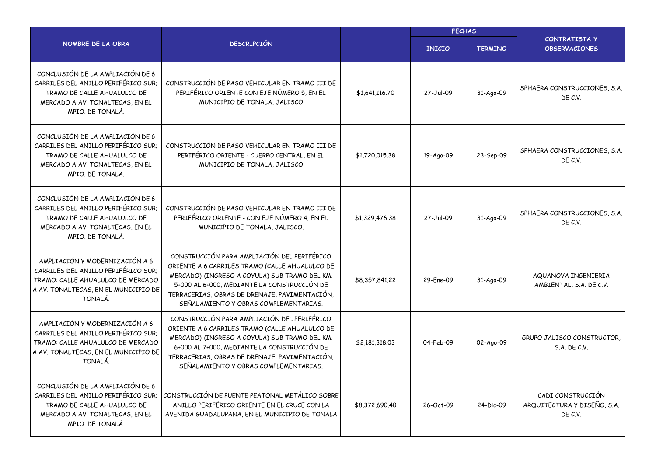|                                                                                                                                                               |                                                                                                                                                                                                                                                                                         | <b>FECHAS</b>  |               |                |                                                             |
|---------------------------------------------------------------------------------------------------------------------------------------------------------------|-----------------------------------------------------------------------------------------------------------------------------------------------------------------------------------------------------------------------------------------------------------------------------------------|----------------|---------------|----------------|-------------------------------------------------------------|
| NOMBRE DE LA OBRA                                                                                                                                             | <b>DESCRIPCIÓN</b>                                                                                                                                                                                                                                                                      |                | <b>INICIO</b> | <b>TERMINO</b> | <b>CONTRATISTA Y</b><br><b>OBSERVACIONES</b>                |
| CONCLUSIÓN DE LA AMPLIACIÓN DE 6<br>CARRILES DEL ANILLO PERIFÉRICO SUR;<br>TRAMO DE CALLE AHUALULCO DE<br>MERCADO A AV. TONALTECAS, EN EL<br>MPIO. DE TONALÁ. | CONSTRUCCIÓN DE PASO VEHICULAR EN TRAMO III DE<br>PERIFÉRICO ORIENTE CON EJE NÚMERO 5, EN EL<br>MUNICIPIO DE TONALA, JALISCO                                                                                                                                                            | \$1,641,116.70 | 27-Jul-09     | 31-Ago-09      | SPHAERA CONSTRUCCIONES, S.A.<br>DE C.V.                     |
| CONCLUSIÓN DE LA AMPLIACIÓN DE 6<br>CARRILES DEL ANILLO PERIFÉRICO SUR;<br>TRAMO DE CALLE AHUALULCO DE<br>MERCADO A AV. TONALTECAS, EN EL<br>MPIO. DE TONALÁ. | CONSTRUCCIÓN DE PASO VEHICULAR EN TRAMO III DE<br>PERIFÉRICO ORIENTE - CUERPO CENTRAL, EN EL<br>MUNICIPIO DE TONALA, JALISCO                                                                                                                                                            | \$1,720,015.38 | 19-Ago-09     | 23-Sep-09      | SPHAERA CONSTRUCCIONES, S.A.<br>DE C.V.                     |
| CONCLUSIÓN DE LA AMPLIACIÓN DE 6<br>CARRILES DEL ANILLO PERIFÉRICO SUR;<br>TRAMO DE CALLE AHUALULCO DE<br>MERCADO A AV. TONALTECAS, EN EL<br>MPIO. DE TONALÁ. | CONSTRUCCIÓN DE PASO VEHICULAR EN TRAMO III DE<br>PERIFÉRICO ORIENTE - CON EJE NÚMERO 4, EN EL<br>MUNICIPIO DE TONALA, JALISCO.                                                                                                                                                         | \$1,329,476.38 | 27-Jul-09     | 31-Ago-09      | SPHAERA CONSTRUCCIONES, S.A.<br>DE C.V.                     |
| AMPLIACIÓN Y MODERNIZACIÓN A 6<br>CARRILES DEL ANILLO PERIFÉRICO SUR;<br>TRAMO: CALLE AHUALULCO DE MERCADO<br>A AV. TONALTECAS, EN EL MUNICIPIO DE<br>TONALÁ. | CONSTRUCCIÓN PARA AMPLIACIÓN DEL PERIFÉRICO<br>ORIENTE A 6 CARRILES TRAMO (CALLE AHUALULCO DE<br>MERCADO)-(INGRESO A COYULA) SUB TRAMO DEL KM.<br>5+000 AL 6+000, MEDIANTE LA CONSTRUCCIÓN DE<br>TERRACERIAS, OBRAS DE DRENAJE, PAVIMENTACIÓN,<br>SEÑALAMIENTO Y OBRAS COMPLEMENTARIAS. | \$8,357,841.22 | 29-Ene-09     | 31-Ago-09      | AQUANOVA INGENIERIA<br>AMBIENTAL, S.A. DE C.V.              |
| AMPLIACIÓN Y MODERNIZACIÓN A 6<br>CARRILES DEL ANILLO PERIFÉRICO SUR;<br>TRAMO: CALLE AHUALULCO DE MERCADO<br>A AV. TONALTECAS, EN EL MUNICIPIO DE<br>TONALÁ. | CONSTRUCCIÓN PARA AMPLIACIÓN DEL PERIFÉRICO<br>ORIENTE A 6 CARRILES TRAMO (CALLE AHUALULCO DE<br>MERCADO)-(INGRESO A COYULA) SUB TRAMO DEL KM.<br>6+000 AL 7+000, MEDIANTE LA CONSTRUCCIÓN DE<br>TERRACERIAS, OBRAS DE DRENAJE, PAVIMENTACIÓN,<br>SEÑALAMIENTO Y OBRAS COMPLEMENTARIAS. | \$2,181,318.03 | 04-Feb-09     | 02-Ago-09      | GRUPO JALISCO CONSTRUCTOR,<br>S.A. DE C.V.                  |
| CONCLUSIÓN DE LA AMPLIACIÓN DE 6<br>CARRILES DEL ANILLO PERIFÉRICO SUR:<br>TRAMO DE CALLE AHUALULCO DE<br>MERCADO A AV. TONALTECAS, EN EL<br>MPIO. DE TONALÁ. | CONSTRUCCIÓN DE PUENTE PEATONAL METÁLICO SOBRE<br>ANILLO PERIFÉRICO ORIENTE EN EL CRUCE CON LA<br>AVENIDA GUADALUPANA, EN EL MUNICIPIO DE TONALA                                                                                                                                        | \$8,372,690.40 | 26-Oct-09     | 24-Dic-09      | CADI CONSTRUCCIÓN<br>ARQUITECTURA Y DISEÑO, S.A.<br>DE C.V. |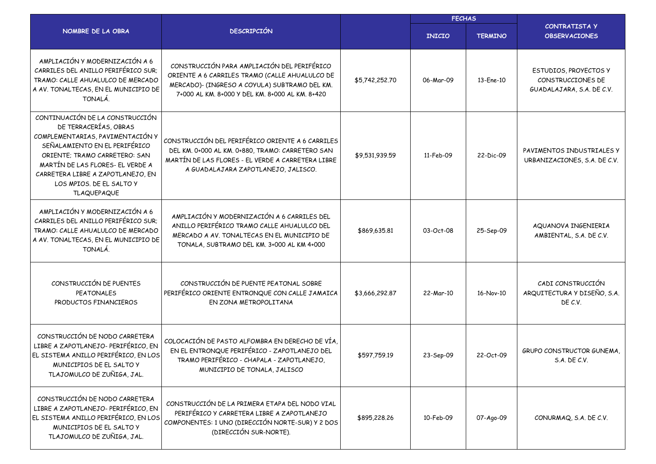|                                                                                                                                                                                                                                                                                           |                                                                                                                                                                                                   | <b>FECHAS</b>  |               |                |                                                                         |
|-------------------------------------------------------------------------------------------------------------------------------------------------------------------------------------------------------------------------------------------------------------------------------------------|---------------------------------------------------------------------------------------------------------------------------------------------------------------------------------------------------|----------------|---------------|----------------|-------------------------------------------------------------------------|
| NOMBRE DE LA OBRA                                                                                                                                                                                                                                                                         | <b>DESCRIPCIÓN</b>                                                                                                                                                                                |                | <b>INICIO</b> | <b>TERMINO</b> | CONTRATISTA Y<br><b>OBSERVACIONES</b>                                   |
| AMPLIACIÓN Y MODERNIZACIÓN A 6<br>CARRILES DEL ANILLO PERIFÉRICO SUR;<br>TRAMO: CALLE AHUALULCO DE MERCADO<br>A AV. TONALTECAS, EN EL MUNICIPIO DE<br>TONALÁ.                                                                                                                             | CONSTRUCCIÓN PARA AMPLIACIÓN DEL PERIFÉRICO<br>ORIENTE A 6 CARRILES TRAMO (CALLE AHUALULCO DE<br>MERCADO)- (INGRESO A COYULA) SUBTRAMO DEL KM.<br>7+000 AL KM, 8+000 Y DEL KM, 8+000 AL KM, 8+420 | \$5,742,252.70 | 06-Mar-09     | 13-Ene-10      | ESTUDIOS, PROYECTOS Y<br>CONSTRUCCIONES DE<br>GUADALAJARA, S.A. DE C.V. |
| CONTINUACIÓN DE LA CONSTRUCCIÓN<br>DE TERRACERÍAS, OBRAS<br>COMPLEMENTARIAS, PAVIMENTACIÓN Y<br>SEÑALAMIENTO EN EL PERIFÉRICO<br>ORIENTE; TRAMO CARRETERO: SAN<br>MARTÍN DE LAS FLORES- EL VERDE A<br>CARRETERA LIBRE A ZAPOTLANEJO, EN<br>LOS MPIOS. DE EL SALTO Y<br><b>TLAQUEPAQUE</b> | CONSTRUCCIÓN DEL PERIFÉRICO ORIENTE A 6 CARRILES<br>DEL KM. 0+000 AL KM. 0+880, TRAMO: CARRETERO SAN<br>MARTÍN DE LAS FLORES - EL VERDE A CARRETERA LIBRE<br>A GUADALAJARA ZAPOTLANEJO, JALISCO.  | \$9,531,939.59 | 11-Feb-09     | 22-Dic-09      | PAVIMENTOS INDUSTRIALES Y<br>URBANIZACIONES, S.A. DE C.V.               |
| AMPLIACIÓN Y MODERNIZACIÓN A 6<br>CARRILES DEL ANILLO PERIFÉRICO SUR;<br>TRAMO: CALLE AHUALULCO DE MERCADO<br>A AV. TONALTECAS, EN EL MUNICIPIO DE<br>TONALÁ.                                                                                                                             | AMPLIACIÓN Y MODERNIZACIÓN A 6 CARRILES DEL<br>ANILLO PERIFÉRICO TRAMO CALLE AHUALULCO DEL<br>MERCADO A AV. TONALTECAS EN EL MUNICIPIO DE<br>TONALA, SUBTRAMO DEL KM. 3+000 AL KM 4+000           | \$869,635.81   | 03-Oct-08     | 25-Sep-09      | AQUANOVA INGENIERIA<br>AMBIENTAL, S.A. DE C.V.                          |
| CONSTRUCCIÓN DE PUENTES<br><b>PEATONALES</b><br>PRODUCTOS FINANCIEROS                                                                                                                                                                                                                     | CONSTRUCCIÓN DE PUENTE PEATONAL SOBRE<br>PERIFÉRICO ORIENTE ENTRONQUE CON CALLE JAMAICA<br>EN ZONA METROPOLITANA                                                                                  | \$3,666,292.87 | 22-Mar-10     | 16-Nov-10      | CADI CONSTRUCCIÓN<br>ARQUITECTURA Y DISEÑO, S.A.<br>DE C.V.             |
| CONSTRUCCIÓN DE NODO CARRETERA<br>LIBRE A ZAPOTLANEJO- PERIFÉRICO, EN<br>EL SISTEMA ANILLO PERIFÉRICO, EN LOS<br>MUNICIPIOS DE EL SALTO Y<br>TLAJOMULCO DE ZUÑIGA, JAL.                                                                                                                   | COLOCACIÓN DE PASTO ALFOMBRA EN DERECHO DE VÍA.<br>EN EL ENTRONQUE PERIFÉRICO - ZAPOTLANEJO DEL<br>TRAMO PERIFÉRICO - CHAPALA - ZAPOTLANEJO,<br>MUNICIPIO DE TONALA, JALISCO                      | \$597,759.19   | 23-Sep-09     | 22-Oct-09      | <b>GRUPO CONSTRUCTOR GUNEMA.</b><br>S.A. DE C.V.                        |
| CONSTRUCCIÓN DE NODO CARRETERA<br>LIBRE A ZAPOTLANEJO- PERIFÉRICO, EN<br>EL SISTEMA ANILLO PERIFÉRICO, EN LOS<br>MUNICIPIOS DE EL SALTO Y<br>TLAJOMULCO DE ZUÑIGA, JAL.                                                                                                                   | CONSTRUCCIÓN DE LA PRIMERA ETAPA DEL NODO VIAL<br>PERIFÉRICO Y CARRETERA LIBRE A ZAPOTLANEJO<br>COMPONENTES: 1 UNO (DIRECCIÓN NORTE-SUR) Y 2 DOS<br>(DIRECCIÓN SUR-NORTE).                        | \$895,228.26   | 10-Feb-09     | 07-Ago-09      | CONURMAQ, S.A. DE C.V.                                                  |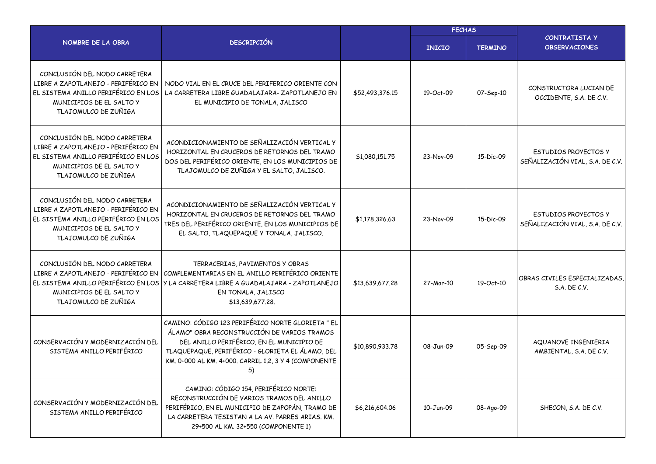|                                                                                                                                                                 |                                                                                                                                                                                                                                                                  |                 | <b>FECHAS</b> |                |                                                                |  |
|-----------------------------------------------------------------------------------------------------------------------------------------------------------------|------------------------------------------------------------------------------------------------------------------------------------------------------------------------------------------------------------------------------------------------------------------|-----------------|---------------|----------------|----------------------------------------------------------------|--|
| NOMBRE DE LA OBRA                                                                                                                                               | <b>DESCRIPCIÓN</b>                                                                                                                                                                                                                                               |                 | <b>INICIO</b> | <b>TERMINO</b> | <b>CONTRATISTA Y</b><br><b>OBSERVACIONES</b>                   |  |
| CONCLUSIÓN DEL NODO CARRETERA<br>LIBRE A ZAPOTLANEJO - PERIFÉRICO EN<br>EL SISTEMA ANILLO PERIFÉRICO EN LOS<br>MUNICIPIOS DE EL SALTO Y<br>TLAJOMULCO DE ZUÑIGA | NODO VIAL EN EL CRUCE DEL PERIFERICO ORIENTE CON<br>LA CARRETERA LIBRE GUADALAJARA-ZAPOTLANEJO EN<br>EL MUNICIPIO DE TONALA, JALISCO                                                                                                                             | \$52,493,376.15 | 19-Oct-09     | 07-Sep-10      | CONSTRUCTORA LUCIAN DE<br>OCCIDENTE, S.A. DE C.V.              |  |
| CONCLUSIÓN DEL NODO CARRETERA<br>LIBRE A ZAPOTLANEJO - PERIFÉRICO EN<br>EL SISTEMA ANILLO PERIFÉRICO EN LOS<br>MUNICIPIOS DE EL SALTO Y<br>TLAJOMULCO DE ZUÑIGA | ACONDICIONAMIENTO DE SEÑALIZACIÓN VERTICAL Y<br>HORIZONTAL EN CRUCEROS DE RETORNOS DEL TRAMO<br>DOS DEL PERIFÉRICO ORIENTE, EN LOS MUNICIPIOS DE<br>TLAJOMULCO DE ZUÑIGA Y EL SALTO, JALISCO.                                                                    | \$1,080,151.75  | 23-Nov-09     | 15-Dic-09      | ESTUDIOS PROYECTOS Y<br>SEÑALIZACIÓN VIAL, S.A. DE C.V.        |  |
| CONCLUSIÓN DEL NODO CARRETERA<br>LIBRE A ZAPOTLANEJO - PERIFÉRICO EN<br>EL SISTEMA ANILLO PERIFÉRICO EN LOS<br>MUNICIPIOS DE EL SALTO Y<br>TLAJOMULCO DE ZUÑIGA | ACONDICIONAMIENTO DE SEÑALIZACIÓN VERTICAL Y<br>HORIZONTAL EN CRUCEROS DE RETORNOS DEL TRAMO<br>TRES DEL PERIFÉRICO ORIENTE, EN LOS MUNICIPIOS DE<br>EL SALTO, TLAQUEPAQUE Y TONALA, JALISCO.                                                                    | \$1,178,326.63  | 23-Nov-09     | 15-Dic-09      | <b>ESTUDIOS PROYECTOS Y</b><br>SEÑALIZACIÓN VIAL, S.A. DE C.V. |  |
| CONCLUSIÓN DEL NODO CARRETERA<br>LIBRE A ZAPOTLANEJO - PERIFÉRICO EN<br>EL SISTEMA ANILLO PERIFÉRICO EN LOS<br>MUNICIPIOS DE EL SALTO Y<br>TLAJOMULCO DE ZUÑIGA | TERRACERIAS, PAVIMENTOS Y OBRAS<br>COMPLEMENTARIAS EN EL ANILLO PERIFÉRICO ORIENTE<br>Y LA CARRETERA LIBRE A GUADALAJARA - ZAPOTLANEJO<br>EN TONALA, JALISCO<br>\$13,639,677.28.                                                                                 | \$13,639,677.28 | 27-Mar-10     | 19-Oct-10      | OBRAS CIVILES ESPECIALIZADAS,<br>S.A. DE C.V.                  |  |
| CONSERVACIÓN Y MODERNIZACIÓN DEL<br>SISTEMA ANILLO PERIFÉRICO                                                                                                   | CAMINO: CÓDIGO 123 PERIFÉRICO NORTE GLORIETA " EL<br>ÁLAMO" OBRA RECONSTRUCCIÓN DE VARIOS TRAMOS<br>DEL ANILLO PERIFÉRICO, EN EL MUNICIPIO DE<br>TLAQUEPAQUE, PERIFÉRICO - GLORIETA EL ÁLAMO, DEL<br>KM. 0+000 AL KM. 4+000. CARRIL 1,2, 3 Y 4 (COMPONENTE<br>5) | \$10,890,933.78 | 08-Jun-09     | 05-Sep-09      | AQUANOVE INGENIERIA<br>AMBIENTAL, S.A. DE C.V.                 |  |
| CONSERVACIÓN Y MODERNIZACIÓN DEL<br>SISTEMA ANILLO PERIFÉRICO                                                                                                   | CAMINO: CÓDIGO 154, PERIFÉRICO NORTE:<br>RECONSTRUCCIÓN DE VARIOS TRAMOS DEL ANILLO<br>PERIFÉRICO, EN EL MUNICIPIO DE ZAPOPÁN, TRAMO DE<br>LA CARRETERA TESISTAN A LA AV. PARRES ARIAS. KM.<br>29+500 AL KM. 32+550 (COMPONENTE 1)                               | \$6,216,604.06  | 10-Jun-09     | 08-Ago-09      | SHECON, S.A. DE C.V.                                           |  |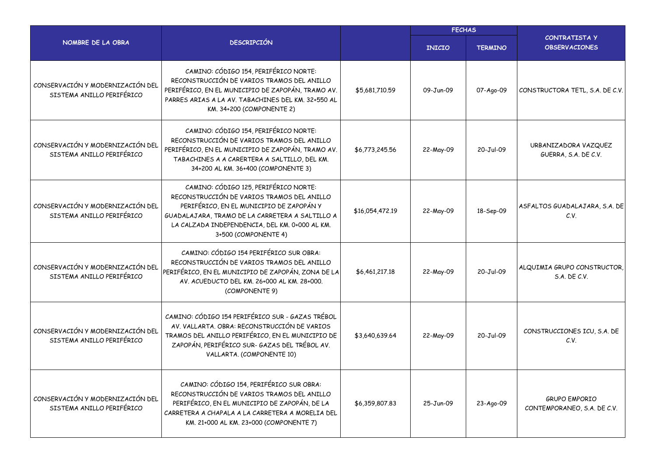|                                                               |                                                                                                                                                                                                                                                              | <b>FECHAS</b>   |               |                |                                                     |
|---------------------------------------------------------------|--------------------------------------------------------------------------------------------------------------------------------------------------------------------------------------------------------------------------------------------------------------|-----------------|---------------|----------------|-----------------------------------------------------|
| NOMBRE DE LA OBRA                                             | <b>DESCRIPCIÓN</b>                                                                                                                                                                                                                                           |                 | <b>INICIO</b> | <b>TERMINO</b> | <b>CONTRATISTAY</b><br><b>OBSERVACIONES</b>         |
| CONSERVACIÓN Y MODERNIZACIÓN DEL<br>SISTEMA ANILLO PERIFÉRICO | CAMINO: CÓDIGO 154, PERIFÉRICO NORTE:<br>RECONSTRUCCIÓN DE VARIOS TRAMOS DEL ANILLO<br>PERIFÉRICO, EN EL MUNICIPIO DE ZAPOPÁN, TRAMO AV.<br>PARRES ARIAS A LA AV. TABACHINES DEL KM. 32+550 AL<br>KM. 34+200 (COMPONENTE 2)                                  | \$5,681,710.59  | 09-Jun-09     | 07-Ago-09      | CONSTRUCTORA TETL, S.A. DE C.V.                     |
| CONSERVACIÓN Y MODERNIZACIÓN DEL<br>SISTEMA ANILLO PERIFÉRICO | CAMINO: CÓDIGO 154, PERIFÉRICO NORTE:<br>RECONSTRUCCIÓN DE VARIOS TRAMOS DEL ANILLO<br>PERIFÉRICO, EN EL MUNICIPIO DE ZAPOPÁN, TRAMO AV.<br>TABACHINES A A CARERTERA A SALTILLO, DEL KM.<br>34+200 AL KM. 36+400 (COMPONENTE 3)                              | \$6,773,245.56  | 22-May-09     | 20-Jul-09      | URBANIZADORA VAZQUEZ<br>GUERRA, S.A. DE C.V.        |
| CONSERVACIÓN Y MODERNIZACIÓN DEL<br>SISTEMA ANILLO PERIFÉRICO | CAMINO: CÓDIGO 125, PERIFÉRICO NORTE:<br>RECONSTRUCCIÓN DE VARIOS TRAMOS DEL ANILLO<br>PERIFÉRICO, EN EL MUNICIPIO DE ZAPOPÁN Y<br>GUADALAJARA, TRAMO DE LA CARRETERA A SALTILLO A<br>LA CALZADA INDEPENDENCIA, DEL KM. 0+000 AL KM.<br>3+500 (COMPONENTE 4) | \$16,054,472.19 | 22-May-09     | 18-Sep-09      | ASFALTOS GUADALAJARA, S.A. DE<br>C.V.               |
| CONSERVACIÓN Y MODERNIZACIÓN DEL<br>SISTEMA ANILLO PERIFÉRICO | CAMINO: CÓDIGO 154 PERIFÉRICO SUR OBRA:<br>RECONSTRUCCIÓN DE VARIOS TRAMOS DEL ANILLO<br>PERIFÉRICO, EN EL MUNICIPIO DE ZAPOPÁN, ZONA DE LA<br>AV. ACUEDUCTO DEL KM. 26+000 AL KM. 28+000.<br>(COMPONENTE 9)                                                 | \$6,461,217.18  | 22-May-09     | 20-Jul-09      | ALQUIMIA GRUPO CONSTRUCTOR,<br>S.A. DE C.V.         |
| CONSERVACIÓN Y MODERNIZACIÓN DEL<br>SISTEMA ANILLO PERIFÉRICO | CAMINO: CÓDIGO 154 PERIFÉRICO SUR - GAZAS TRÉBOL<br>AV. VALLARTA. OBRA: RECONSTRUCCIÓN DE VARIOS<br>TRAMOS DEL ANILLO PERIFÉRICO, EN EL MUNICIPIO DE<br>ZAPOPÁN, PERIFÉRICO SUR- GAZAS DEL TRÉBOL AV.<br>VALLARTA. (COMPONENTE 10)                           | \$3,640,639.64  | 22-May-09     | 20-Jul-09      | CONSTRUCCIONES ICU, S.A. DE<br>C.V.                 |
| CONSERVACIÓN Y MODERNIZACIÓN DEL<br>SISTEMA ANILLO PERIFÉRICO | CAMINO: CÓDIGO 154, PERIFÉRICO SUR OBRA:<br>RECONSTRUCCIÓN DE VARIOS TRAMOS DEL ANILLO<br>PERIFÉRICO, EN EL MUNICIPIO DE ZAPOPÁN, DE LA<br>CARRETERA A CHAPALA A LA CARRETERA A MORELIA DEL<br>KM. 21+000 AL KM. 23+000 (COMPONENTE 7)                       | \$6,359,807.83  | 25-Jun-09     | 23-Ago-09      | <b>GRUPO EMPORIO</b><br>CONTEMPORANEO, S.A. DE C.V. |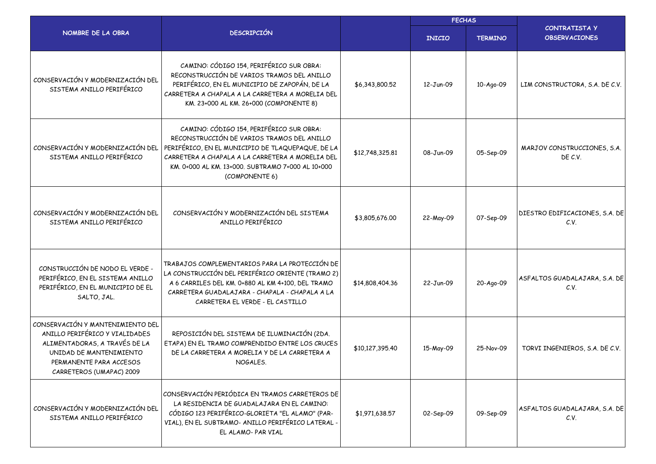|                                                                                                                                                                                       |                                                                                                                                                                                                                                                                        |                 | <b>FECHAS</b> |                |                                              |  |
|---------------------------------------------------------------------------------------------------------------------------------------------------------------------------------------|------------------------------------------------------------------------------------------------------------------------------------------------------------------------------------------------------------------------------------------------------------------------|-----------------|---------------|----------------|----------------------------------------------|--|
| NOMBRE DE LA OBRA                                                                                                                                                                     | <b>DESCRIPCIÓN</b>                                                                                                                                                                                                                                                     |                 | <b>INICIO</b> | <b>TERMINO</b> | <b>CONTRATISTA Y</b><br><b>OBSERVACIONES</b> |  |
| CONSERVACIÓN Y MODERNIZACIÓN DEL<br>SISTEMA ANILLO PERIFÉRICO                                                                                                                         | CAMINO: CÓDIGO 154, PERIFÉRICO SUR OBRA:<br>RECONSTRUCCIÓN DE VARIOS TRAMOS DEL ANILLO<br>PERIFÉRICO, EN EL MUNICIPIO DE ZAPOPÁN, DE LA<br>CARRETERA A CHAPALA A LA CARRETERA A MORELIA DEL<br>KM. 23+000 AL KM. 26+000 (COMPONENTE 8)                                 | \$6,343,800.52  | 12-Jun-09     | 10-Ago-09      | LIM CONSTRUCTORA, S.A. DE C.V.               |  |
| CONSERVACIÓN Y MODERNIZACIÓN DEL<br>SISTEMA ANILLO PERIFÉRICO                                                                                                                         | CAMINO: CÓDIGO 154, PERIFÉRICO SUR OBRA:<br>RECONSTRUCCIÓN DE VARIOS TRAMOS DEL ANILLO<br>PERIFÉRICO, EN EL MUNICIPIO DE TLAQUEPAQUE, DE LA<br>CARRETERA A CHAPALA A LA CARRETERA A MORELIA DEL<br>KM. 0+000 AL KM. 13+000. SUBTRAMO 7+000 AL 10+000<br>(COMPONENTE 6) | \$12,748,325.81 | 08-Jun-09     | 05-Sep-09      | MARJOV CONSTRUCCIONES, S.A.<br>DE C.V.       |  |
| CONSERVACIÓN Y MODERNIZACIÓN DEL<br>SISTEMA ANILLO PERIFÉRICO                                                                                                                         | CONSERVACIÓN Y MODERNIZACIÓN DEL SISTEMA<br>ANILLO PERIFÉRICO                                                                                                                                                                                                          | \$3,805,676.00  | 22-May-09     | 07-Sep-09      | DIESTRO EDIFICACIONES, S.A. DE<br>C.V.       |  |
| CONSTRUCCIÓN DE NODO EL VERDE -<br>PERIFÉRICO, EN EL SISTEMA ANILLO<br>PERIFÉRICO, EN EL MUNICIPIO DE EL<br>SALTO, JAL.                                                               | TRABAJOS COMPLEMENTARIOS PARA LA PROTECCIÓN DE<br>LA CONSTRUCCIÓN DEL PERIFÉRICO ORIENTE (TRAMO 2)<br>A 6 CARRILES DEL KM. 0+880 AL KM 4+100, DEL TRAMO<br>CARRETERA GUADALAJARA - CHAPALA - CHAPALA A LA<br>CARRETERA EL VERDE - EL CASTILLO                          | \$14,808,404.36 | 22-Jun-09     | 20-Ago-09      | ASFALTOS GUADALAJARA, S.A. DE<br>C.V.        |  |
| CONSERVACIÓN Y MANTENIMIENTO DEL<br>ANILLO PERIFÉRICO Y VIALIDADES<br>ALIMENTADORAS, A TRAVÉS DE LA<br>UNIDAD DE MANTENIMIENTO<br>PERMANENTE PARA ACCESOS<br>CARRETEROS (UMAPAC) 2009 | REPOSICIÓN DEL SISTEMA DE ILUMINACIÓN (2DA.<br>ETAPA) EN EL TRAMO COMPRENDIDO ENTRE LOS CRUCES<br>DE LA CARRETERA A MORELIA Y DE LA CARRETERA A<br>NOGALES.                                                                                                            | \$10,127,395.40 | 15-May-09     | 25-Nov-09      | TORVI INGENIEROS, S.A. DE C.V.               |  |
| CONSERVACIÓN Y MODERNIZACIÓN DEL<br>SISTEMA ANILLO PERIFÉRICO                                                                                                                         | CONSERVACIÓN PERIÓDICA EN TRAMOS CARRETEROS DE<br>LA RESIDENCIA DE GUADALAJARA EN EL CAMINO:<br>CÓDIGO 123 PERIFÉRICO-GLORIETA "EL ALAMO" (PAR-<br>VIAL), EN EL SUBTRAMO- ANILLO PERIFÉRICO LATERAL -<br>EL ALAMO-PAR VIAL                                             | \$1,971,638.57  | 02-Sep-09     | 09-Sep-09      | ASFALTOS GUADALAJARA, S.A. DE<br>C.V.        |  |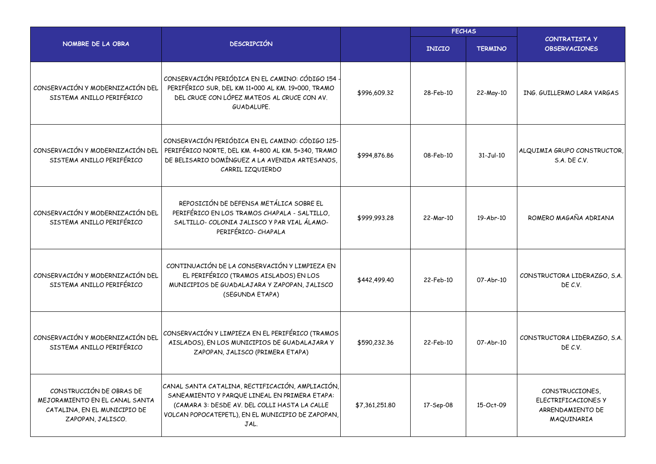|                                                                                                                 |                                                                                                                                                                                                                 |                | <b>FECHAS</b> |                |                                                                          |  |
|-----------------------------------------------------------------------------------------------------------------|-----------------------------------------------------------------------------------------------------------------------------------------------------------------------------------------------------------------|----------------|---------------|----------------|--------------------------------------------------------------------------|--|
| NOMBRE DE LA OBRA                                                                                               | <b>DESCRIPCIÓN</b>                                                                                                                                                                                              |                | <b>INICIO</b> | <b>TERMINO</b> | <b>CONTRATISTA Y</b><br><b>OBSERVACIONES</b>                             |  |
| CONSERVACIÓN Y MODERNIZACIÓN DEL<br>SISTEMA ANILLO PERIFÉRICO                                                   | CONSERVACIÓN PERIÓDICA EN EL CAMINO: CÓDIGO 154<br>PERIFÉRICO SUR, DEL KM 11+000 AL KM. 19+000, TRAMO<br>DEL CRUCE CON LÓPEZ MATEOS AL CRUCE CON AV.<br>GUADALUPE.                                              | \$996,609.32   | 28-Feb-10     | 22-May-10      | ING. GUILLERMO LARA VARGAS                                               |  |
| CONSERVACIÓN Y MODERNIZACIÓN DEL<br>SISTEMA ANILLO PERIFÉRICO                                                   | CONSERVACIÓN PERIÓDICA EN EL CAMINO: CÓDIGO 125-<br>PERIFÉRICO NORTE, DEL KM. 4+800 AL KM. 5+340, TRAMO<br>DE BELISARIO DOMÍNGUEZ A LA AVENIDA ARTESANOS,<br>CARRIL IZQUIERDO                                   | \$994,876.86   | 08-Feb-10     | $31-Jul-10$    | ALQUIMIA GRUPO CONSTRUCTOR,<br>S.A. DE C.V.                              |  |
| CONSERVACIÓN Y MODERNIZACIÓN DEL<br>SISTEMA ANILLO PERIFÉRICO                                                   | REPOSICIÓN DE DEFENSA METÁLICA SOBRE EL<br>PERIFÉRICO EN LOS TRAMOS CHAPALA - SALTILLO,<br>SALTILLO-COLONIA JALISCO Y PAR VIAL ÁLAMO-<br>PERIFÉRICO- CHAPALA                                                    | \$999,993.28   | 22-Mar-10     | 19-Abr-10      | ROMERO MAGAÑA ADRIANA                                                    |  |
| CONSERVACIÓN Y MODERNIZACIÓN DEL<br>SISTEMA ANILLO PERIFÉRICO                                                   | CONTINUACIÓN DE LA CONSERVACIÓN Y LIMPIEZA EN<br>EL PERIFÉRICO (TRAMOS AISLADOS) EN LOS<br>MUNICIPIOS DE GUADALAJARA Y ZAPOPAN, JALISCO<br>(SEGUNDA ETAPA)                                                      | \$442,499.40   | 22-Feb-10     | 07-Abr-10      | CONSTRUCTORA LIDERAZGO, S.A.<br>DE C.V.                                  |  |
| CONSERVACIÓN Y MODERNIZACIÓN DEL<br>SISTEMA ANILLO PERIFÉRICO                                                   | CONSERVACIÓN Y LIMPIEZA EN EL PERIFÉRICO (TRAMOS<br>AISLADOS), EN LOS MUNICIPIOS DE GUADALAJARA Y<br>ZAPOPAN, JALISCO (PRIMERA ETAPA)                                                                           | \$590,232.36   | 22-Feb-10     | 07-Abr-10      | CONSTRUCTORA LIDERAZGO, S.A.<br>DE C.V.                                  |  |
| CONSTRUCCIÓN DE OBRAS DE<br>MEJORAMIENTO EN EL CANAL SANTA<br>CATALINA, EN EL MUNICIPIO DE<br>ZAPOPAN, JALISCO. | CANAL SANTA CATALINA, RECTIFICACIÓN, AMPLIACIÓN,<br>SANEAMIENTO Y PARQUE LINEAL EN PRIMERA ETAPA:<br>(CAMARA 3: DESDE AV. DEL COLLI HASTA LA CALLE<br>VOLCAN POPOCATEPETL), EN EL MUNICIPIO DE ZAPOPAN,<br>JAL. | \$7,361,251.80 | 17-Sep-08     | 15-Oct-09      | CONSTRUCCIONES,<br>ELECTRIFICACIONES Y<br>ARRENDAMIENTO DE<br>MAQUINARIA |  |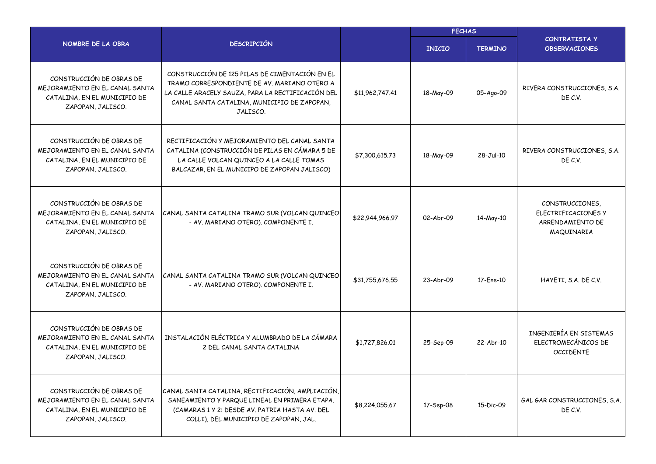|                                                                                                                 |                                                                                                                                                                                                                |                 | <b>FECHAS</b> |                |                                                                          |  |
|-----------------------------------------------------------------------------------------------------------------|----------------------------------------------------------------------------------------------------------------------------------------------------------------------------------------------------------------|-----------------|---------------|----------------|--------------------------------------------------------------------------|--|
| NOMBRE DE LA OBRA                                                                                               | <b>DESCRIPCIÓN</b>                                                                                                                                                                                             |                 | <b>INICIO</b> | <b>TERMINO</b> | <b>CONTRATISTA Y</b><br><b>OBSERVACIONES</b>                             |  |
| CONSTRUCCIÓN DE OBRAS DE<br>MEJORAMIENTO EN EL CANAL SANTA<br>CATALINA, EN EL MUNICIPIO DE<br>ZAPOPAN, JALISCO. | CONSTRUCCIÓN DE 125 PILAS DE CIMENTACIÓN EN EL<br>TRAMO CORRESPONDIENTE DE AV. MARIANO OTERO A<br>LA CALLE ARACELY SAUZA, PARA LA RECTIFICACIÓN DEL<br>CANAL SANTA CATALINA, MUNICIPIO DE ZAPOPAN,<br>JALISCO. | \$11,962,747.41 | 18-May-09     | 05-Ago-09      | RIVERA CONSTRUCCIONES, S.A.<br>DE C.V.                                   |  |
| CONSTRUCCIÓN DE OBRAS DE<br>MEJORAMIENTO EN EL CANAL SANTA<br>CATALINA, EN EL MUNICIPIO DE<br>ZAPOPAN, JALISCO. | RECTIFICACIÓN Y MEJORAMIENTO DEL CANAL SANTA<br>CATALINA (CONSTRUCCIÓN DE PILAS EN CÁMARA 5 DE<br>LA CALLE VOLCAN QUINCEO A LA CALLE TOMAS<br>BALCAZAR, EN EL MUNICIPO DE ZAPOPAN JALISCO)                     | \$7,300,615.73  | 18-May-09     | 28-Jul-10      | RIVERA CONSTRUCCIONES, S.A.<br>DE C.V.                                   |  |
| CONSTRUCCIÓN DE OBRAS DE<br>MEJORAMIENTO EN EL CANAL SANTA<br>CATALINA, EN EL MUNICIPIO DE<br>ZAPOPAN, JALISCO. | CANAL SANTA CATALINA TRAMO SUR (VOLCAN QUINCEO<br>- AV. MARIANO OTERO). COMPONENTE I.                                                                                                                          | \$22,944,966.97 | 02-Abr-09     | 14-May-10      | CONSTRUCCIONES,<br>ELECTRIFICACIONES Y<br>ARRENDAMIENTO DE<br>MAQUINARIA |  |
| CONSTRUCCIÓN DE OBRAS DE<br>MEJORAMIENTO EN EL CANAL SANTA<br>CATALINA, EN EL MUNICIPIO DE<br>ZAPOPAN, JALISCO. | CANAL SANTA CATALINA TRAMO SUR (VOLCAN QUINCEO<br>- AV. MARIANO OTERO). COMPONENTE I.                                                                                                                          | \$31,755,676.55 | 23-Abr-09     | 17-Ene-10      | HAYETI, S.A. DE C.V.                                                     |  |
| CONSTRUCCIÓN DE OBRAS DE<br>MEJORAMIENTO EN EL CANAL SANTA<br>CATALINA, EN EL MUNICIPIO DE<br>ZAPOPAN, JALISCO. | INSTALACIÓN ELÉCTRICA Y ALUMBRADO DE LA CÁMARA<br>2 DEL CANAL SANTA CATALINA                                                                                                                                   | \$1,727,826.01  | 25-Sep-09     | 22-Abr-10      | INGENIERÍA EN SISTEMAS<br>ELECTROMECÁNICOS DE<br><b>OCCIDENTE</b>        |  |
| CONSTRUCCIÓN DE OBRAS DE<br>MEJORAMIENTO EN EL CANAL SANTA<br>CATALINA, EN EL MUNICIPIO DE<br>ZAPOPAN, JALISCO. | CANAL SANTA CATALINA, RECTIFICACIÓN, AMPLIACIÓN,<br>SANEAMIENTO Y PARQUE LINEAL EN PRIMERA ETAPA.<br>(CAMARAS 1 Y 2: DESDE AV. PATRIA HASTA AV. DEL<br>COLLI), DEL MUNICIPIO DE ZAPOPAN, JAL.                  | \$8,224,055.67  | 17-Sep-08     | 15-Dic-09      | GAL GAR CONSTRUCCIONES, S.A.<br>DE C.V.                                  |  |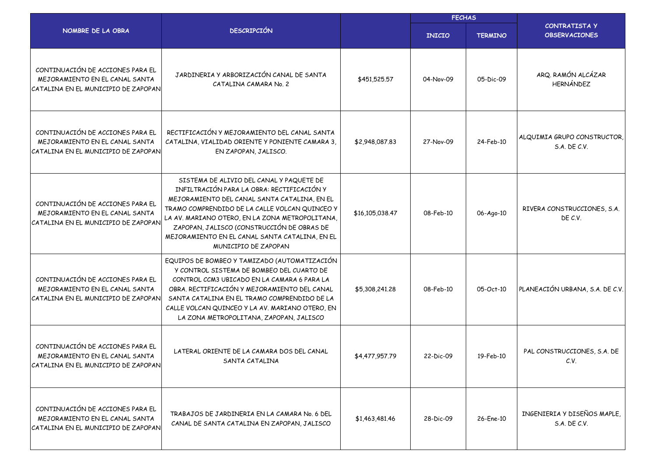|                                                                                                           | <b>DESCRIPCIÓN</b>                                                                                                                                                                                                                                                                                                                                                  |                 | <b>FECHAS</b> |                |                                              |  |
|-----------------------------------------------------------------------------------------------------------|---------------------------------------------------------------------------------------------------------------------------------------------------------------------------------------------------------------------------------------------------------------------------------------------------------------------------------------------------------------------|-----------------|---------------|----------------|----------------------------------------------|--|
| NOMBRE DE LA OBRA                                                                                         |                                                                                                                                                                                                                                                                                                                                                                     |                 | <b>INICIO</b> | <b>TERMINO</b> | <b>CONTRATISTA Y</b><br><b>OBSERVACIONES</b> |  |
| CONTINUACIÓN DE ACCIONES PARA EL<br>MEJORAMIENTO EN EL CANAL SANTA<br>CATALINA EN EL MUNICIPIO DE ZAPOPAN | JARDINERIA Y ARBORIZACIÓN CANAL DE SANTA<br>CATALINA CAMARA No. 2                                                                                                                                                                                                                                                                                                   | \$451,525.57    | 04-Nov-09     | 05-Dic-09      | ARQ. RAMÓN ALCÁZAR<br>HERNÁNDEZ              |  |
| CONTINUACIÓN DE ACCIONES PARA EL<br>MEJORAMIENTO EN EL CANAL SANTA<br>CATALINA EN EL MUNICIPIO DE ZAPOPAN | RECTIFICACIÓN Y MEJORAMIENTO DEL CANAL SANTA<br>CATALINA, VIALIDAD ORIENTE Y PONIENTE CAMARA 3,<br>EN ZAPOPAN, JALISCO.                                                                                                                                                                                                                                             | \$2,948,087.83  | 27-Nov-09     | 24-Feb-10      | ALQUIMIA GRUPO CONSTRUCTOR,<br>S.A. DE C.V.  |  |
| CONTINUACIÓN DE ACCIONES PARA EL<br>MEJORAMIENTO EN EL CANAL SANTA<br>CATALINA EN EL MUNICIPIO DE ZAPOPAN | SISTEMA DE ALIVIO DEL CANAL Y PAQUETE DE<br>INFILTRACIÓN PARA LA OBRA: RECTIFICACIÓN Y<br>MEJORAMIENTO DEL CANAL SANTA CATALINA, EN EL<br>TRAMO COMPRENDIDO DE LA CALLE VOLCAN QUINCEO Y<br>LA AV. MARIANO OTERO, EN LA ZONA METROPOLITANA,<br>ZAPOPAN, JALISCO (CONSTRUCCIÓN DE OBRAS DE<br>MEJORAMIENTO EN EL CANAL SANTA CATALINA, EN EL<br>MUNICIPIO DE ZAPOPAN | \$16,105,038.47 | 08-Feb-10     | 06-Ago-10      | RIVERA CONSTRUCCIONES, S.A.<br>DE C.V.       |  |
| CONTINUACIÓN DE ACCIONES PARA EL<br>MEJORAMIENTO EN EL CANAL SANTA<br>CATALINA EN EL MUNICIPIO DE ZAPOPAN | EQUIPOS DE BOMBEO Y TAMIZADO (AUTOMATIZACIÓN<br>Y CONTROL SISTEMA DE BOMBEO DEL CUARTO DE<br>CONTROL CCM3 UBICADO EN LA CAMARA 6 PARA LA<br>OBRA. RECTIFICACIÓN Y MEJORAMIENTO DEL CANAL<br>SANTA CATALINA EN EL TRAMO COMPRENDIDO DE LA<br>CALLE VOLCAN QUINCEO Y LA AV. MARIANO OTERO, EN<br>LA ZONA METROPOLITANA, ZAPOPAN, JALISCO                              | \$5,308,241.28  | 08-Feb-10     | 05-Oct-10      | PLANEACIÓN URBANA, S.A. DE C.V.              |  |
| CONTINUACIÓN DE ACCIONES PARA EL<br>MEJORAMIENTO EN EL CANAL SANTA<br>CATALINA EN EL MUNICIPIO DE ZAPOPAN | LATERAL ORIENTE DE LA CAMARA DOS DEL CANAL<br>SANTA CATALINA                                                                                                                                                                                                                                                                                                        | \$4,477,957.79  | 22-Dic-09     | 19-Feb-10      | PAL CONSTRUCCIONES, S.A. DE<br>C.V.          |  |
| CONTINUACIÓN DE ACCIONES PARA EL<br>MEJORAMIENTO EN EL CANAL SANTA<br>CATALINA EN EL MUNICIPIO DE ZAPOPAN | TRABAJOS DE JARDINERIA EN LA CAMARA No. 6 DEL<br>CANAL DE SANTA CATALINA EN ZAPOPAN, JALISCO                                                                                                                                                                                                                                                                        | \$1,463,481.46  | 28-Dic-09     | 26-Ene-10      | INGENIERIA Y DISEÑOS MAPLE,<br>S.A. DE C.V.  |  |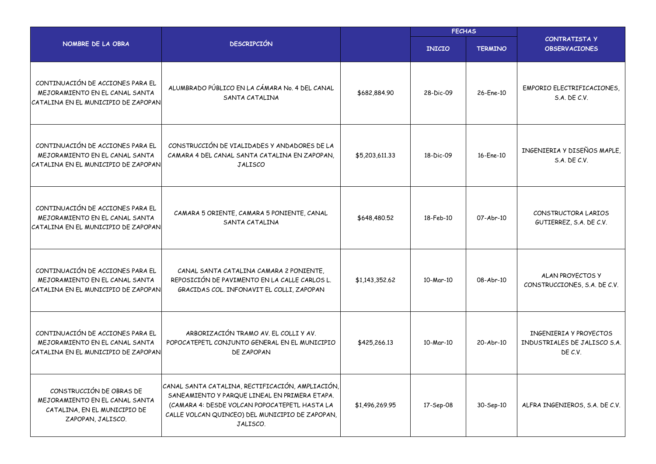|                                                                                                                 |                                                                                                                                                                                                                   |                |               | <b>FECHAS</b>  |                                                                   |
|-----------------------------------------------------------------------------------------------------------------|-------------------------------------------------------------------------------------------------------------------------------------------------------------------------------------------------------------------|----------------|---------------|----------------|-------------------------------------------------------------------|
| NOMBRE DE LA OBRA                                                                                               | <b>DESCRIPCIÓN</b>                                                                                                                                                                                                |                | <b>INICIO</b> | <b>TERMINO</b> | <b>CONTRATISTA Y</b><br><b>OBSERVACIONES</b>                      |
| CONTINUACIÓN DE ACCIONES PARA EL<br>MEJORAMIENTO EN EL CANAL SANTA<br>CATALINA EN EL MUNICIPIO DE ZAPOPAN       | ALUMBRADO PÚBLICO EN LA CÁMARA No. 4 DEL CANAL<br>SANTA CATALINA                                                                                                                                                  | \$682,884.90   | 28-Dic-09     | 26-Ene-10      | EMPORIO ELECTRIFICACIONES,<br>S.A. DE C.V.                        |
| CONTINUACIÓN DE ACCIONES PARA EL<br>MEJORAMIENTO EN EL CANAL SANTA<br>CATALINA EN EL MUNICIPIO DE ZAPOPAN       | CONSTRUCCIÓN DE VIALIDADES Y ANDADORES DE LA<br>CAMARA 4 DEL CANAL SANTA CATALINA EN ZAPOPAN,<br><b>JALISCO</b>                                                                                                   | \$5,203,611.33 | 18-Dic-09     | 16-Ene-10      | INGENIERIA Y DISEÑOS MAPLE,<br><b>S.A. DE C.V.</b>                |
| CONTINUACIÓN DE ACCIONES PARA EL<br>MEJORAMIENTO EN EL CANAL SANTA<br>CATALINA EN EL MUNICIPIO DE ZAPOPAN       | CAMARA 5 ORIENTE, CAMARA 5 PONIENTE, CANAL<br>SANTA CATALINA                                                                                                                                                      | \$648,480.52   | 18-Feb-10     | 07-Abr-10      | CONSTRUCTORA LARIOS<br>GUTIERREZ, S.A. DE C.V.                    |
| CONTINUACIÓN DE ACCIONES PARA EL<br>MEJORAMIENTO EN EL CANAL SANTA<br>CATALINA EN EL MUNICIPIO DE ZAPOPAN       | CANAL SANTA CATALINA CAMARA 2 PONIENTE,<br>REPOSICIÓN DE PAVIMENTO EN LA CALLE CARLOS L.<br>GRACIDAS COL. INFONAVIT EL COLLI, ZAPOPAN                                                                             | \$1,143,352.62 | 10-Mar-10     | 08-Abr-10      | ALAN PROYECTOS Y<br>CONSTRUCCIONES, S.A. DE C.V.                  |
| CONTINUACIÓN DE ACCIONES PARA EL<br>MEJORAMIENTO EN EL CANAL SANTA<br>CATALINA EN EL MUNICIPIO DE ZAPOPAN       | ARBORIZACIÓN TRAMO AV. EL COLLI Y AV.<br>POPOCATEPETL CONJUNTO GENERAL EN EL MUNICIPIO<br>DE ZAPOPAN                                                                                                              | \$425,266.13   | 10-Mar-10     | 20-Abr-10      | INGENIERIA Y PROYECTOS<br>INDUSTRIALES DE JALISCO S.A.<br>DE C.V. |
| CONSTRUCCIÓN DE OBRAS DE<br>MEJORAMIENTO EN EL CANAL SANTA<br>CATALINA, EN EL MUNICIPIO DE<br>ZAPOPAN, JALISCO. | CANAL SANTA CATALINA, RECTIFICACIÓN, AMPLIACIÓN,<br>SANEAMIENTO Y PARQUE LINEAL EN PRIMERA ETAPA.<br>(CAMARA 4: DESDE VOLCAN POPOCATEPETL HASTA LA<br>CALLE VOLCAN QUINCEO) DEL MUNICIPIO DE ZAPOPAN,<br>JALISCO. | \$1,496,269.95 | 17-Sep-08     | 30-Sep-10      | ALFRA INGENIEROS, S.A. DE C.V.                                    |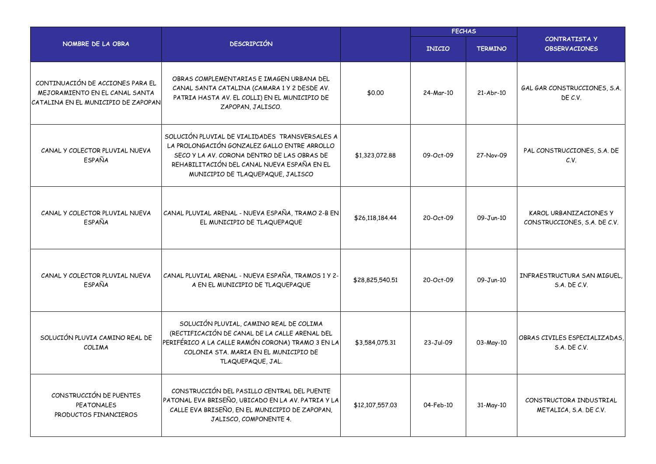|                                                                                                           |                                                                                                                                                                                                                                   |                 | <b>FECHAS</b> |                |                                                        |  |
|-----------------------------------------------------------------------------------------------------------|-----------------------------------------------------------------------------------------------------------------------------------------------------------------------------------------------------------------------------------|-----------------|---------------|----------------|--------------------------------------------------------|--|
| NOMBRE DE LA OBRA                                                                                         | <b>DESCRIPCIÓN</b>                                                                                                                                                                                                                |                 | <b>INICIO</b> | <b>TERMINO</b> | <b>CONTRATISTA Y</b><br><b>OBSERVACIONES</b>           |  |
| CONTINUACIÓN DE ACCIONES PARA EL<br>MEJORAMIENTO EN EL CANAL SANTA<br>CATALINA EN EL MUNICIPIO DE ZAPOPAN | OBRAS COMPLEMENTARIAS E IMAGEN URBANA DEL<br>CANAL SANTA CATALINA (CAMARA 1 Y 2 DESDE AV.<br>PATRIA HASTA AV. EL COLLI) EN EL MUNICIPIO DE<br>ZAPOPAN, JALISCO.                                                                   | \$0.00          | 24-Mar-10     | 21-Abr-10      | GAL GAR CONSTRUCCIONES, S.A.<br>DE C.V.                |  |
| CANAL Y COLECTOR PLUVIAL NUEVA<br><b>ESPAÑA</b>                                                           | SOLUCIÓN PLUVIAL DE VIALIDADES TRANSVERSALES A<br>LA PROLONGACIÓN GONZALEZ GALLO ENTRE ARROLLO<br>SECO Y LA AV. CORONA DENTRO DE LAS OBRAS DE<br>REHABILITACIÓN DEL CANAL NUEVA ESPAÑA EN EL<br>MUNICIPIO DE TLAQUEPAQUE, JALISCO | \$1,323,072.88  | 09-Oct-09     | 27-Nov-09      | PAL CONSTRUCCIONES, S.A. DE<br>C.V.                    |  |
| CANAL Y COLECTOR PLUVIAL NUEVA<br>ESPAÑA                                                                  | CANAL PLUVIAL ARENAL - NUEVA ESPAÑA, TRAMO 2-B EN<br>EL MUNICIPIO DE TLAQUEPAQUE                                                                                                                                                  | \$26,118,184.44 | 20-Oct-09     | 09-Jun-10      | KAROL URBANIZACIONES Y<br>CONSTRUCCIONES, S.A. DE C.V. |  |
| CANAL Y COLECTOR PLUVIAL NUEVA<br><b>ESPAÑA</b>                                                           | CANAL PLUVIAL ARENAL - NUEVA ESPAÑA, TRAMOS 1 Y 2-<br>A EN EL MUNICIPIO DE TLAQUEPAQUE                                                                                                                                            | \$28,825,540.51 | 20-Oct-09     | 09-Jun-10      | INFRAESTRUCTURA SAN MIGUEL,<br>S.A. DE C.V.            |  |
| SOLUCIÓN PLUVIA CAMINO REAL DE<br><b>COLIMA</b>                                                           | SOLUCIÓN PLUVIAL, CAMINO REAL DE COLIMA<br>(RECTIFICACIÓN DE CANAL DE LA CALLE ARENAL DEL<br>PERIFÉRICO A LA CALLE RAMÓN CORONA) TRAMO 3 EN LA<br>COLONIA STA. MARIA EN EL MUNICIPIO DE<br>TLAQUEPAQUE, JAL.                      | \$3,584,075.31  | 23-Jul-09     | 03-May-10      | OBRAS CIVILES ESPECIALIZADAS,<br>S.A. DE C.V.          |  |
| CONSTRUCCIÓN DE PUENTES<br><b>PEATONALES</b><br>PRODUCTOS FINANCIEROS                                     | CONSTRUCCIÓN DEL PASILLO CENTRAL DEL PUENTE<br>PATONAL EVA BRISEÑO, UBICADO EN LA AV. PATRIA Y LA<br>CALLE EVA BRISEÑO, EN EL MUNICIPIO DE ZAPOPAN,<br>JALISCO, COMPONENTE 4.                                                     | \$12,107,557.03 | 04-Feb-10     | 31-May-10      | CONSTRUCTORA INDUSTRIAL<br>METALICA, S.A. DE C.V.      |  |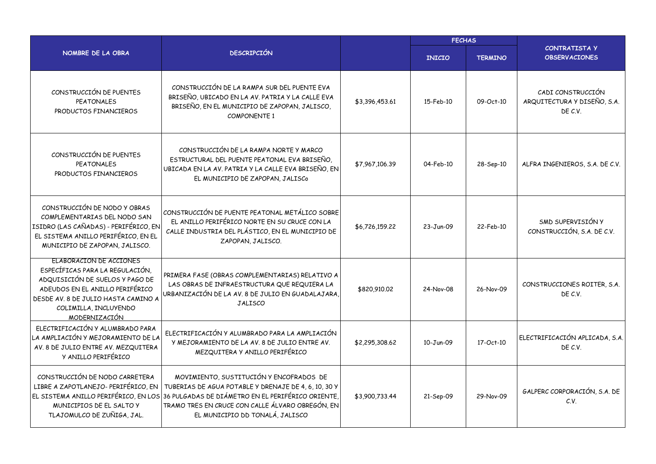|                                                                                                                                                                                                                          |                                                                                                                                                                                                                                                                                  |                | <b>FECHAS</b> |                |                                                             |  |
|--------------------------------------------------------------------------------------------------------------------------------------------------------------------------------------------------------------------------|----------------------------------------------------------------------------------------------------------------------------------------------------------------------------------------------------------------------------------------------------------------------------------|----------------|---------------|----------------|-------------------------------------------------------------|--|
| NOMBRE DE LA OBRA                                                                                                                                                                                                        | <b>DESCRIPCIÓN</b>                                                                                                                                                                                                                                                               |                | <b>INICIO</b> | <b>TERMINO</b> | <b>CONTRATISTA Y</b><br><b>OBSERVACIONES</b>                |  |
| CONSTRUCCIÓN DE PUENTES<br><b>PEATONALES</b><br>PRODUCTOS FINANCIEROS                                                                                                                                                    | CONSTRUCCIÓN DE LA RAMPA SUR DEL PUENTE EVA<br>BRISEÑO, UBICADO EN LA AV. PATRIA Y LA CALLE EVA<br>BRISEÑO, EN EL MUNICIPIO DE ZAPOPAN, JALISCO,<br><b>COMPONENTE 1</b>                                                                                                          | \$3,396,453.61 | 15-Feb-10     | 09-Oct-10      | CADI CONSTRUCCIÓN<br>ARQUITECTURA Y DISEÑO, S.A.<br>DE C.V. |  |
| CONSTRUCCIÓN DE PUENTES<br><b>PEATONALES</b><br>PRODUCTOS FINANCIEROS                                                                                                                                                    | CONSTRUCCIÓN DE LA RAMPA NORTE Y MARCO<br>ESTRUCTURAL DEL PUENTE PEATONAL EVA BRISEÑO,<br>UBICADA EN LA AV. PATRIA Y LA CALLE EVA BRISEÑO, EN<br>EL MUNICIPIO DE ZAPOPAN, JALISCO                                                                                                | \$7,967,106.39 | 04-Feb-10     | 28-Sep-10      | ALFRA INGENIEROS, S.A. DE C.V.                              |  |
| CONSTRUCCIÓN DE NODO Y OBRAS<br>COMPLEMENTARIAS DEL NODO SAN<br>ISIDRO (LAS CAÑADAS) - PERIFÉRICO, EN<br>EL SISTEMA ANILLO PERIFÉRICO, EN EL<br>MUNICIPIO DE ZAPOPAN, JALISCO.                                           | CONSTRUCCIÓN DE PUENTE PEATONAL METÁLICO SOBRE<br>EL ANILLO PERIFÉRICO NORTE EN SU CRUCE CON LA<br>CALLE INDUSTRIA DEL PLÁSTICO, EN EL MUNICIPIO DE<br>ZAPOPAN, JALISCO.                                                                                                         | \$6,726,159.22 | 23-Jun-09     | 22-Feb-10      | SMD SUPERVISIÓN Y<br>CONSTRUCCIÓN, S.A. DE C.V.             |  |
| ELABORACION DE ACCIONES<br>ESPECÍFICAS PARA LA REGULACIÓN,<br>ADQUISICIÓN DE SUELOS Y PAGO DE<br>ADEUDOS EN EL ANILLO PERIFÉRICO<br>DESDE AV. 8 DE JULIO HASTA CAMINO A<br>COLIMILLA, INCLUYENDO<br><u>MODERNIZACIÓN</u> | PRIMERA FASE (OBRAS COMPLEMENTARIAS) RELATIVO A<br>LAS OBRAS DE INFRAESTRUCTURA QUE REQUIERA LA<br>URBANIZACIÓN DE LA AV. 8 DE JULIO EN GUADALAJARA,<br><b>JALISCO</b>                                                                                                           | \$820,910.02   | 24-Nov-08     | 26-Nov-09      | CONSTRUCCIONES ROITER, S.A.<br>DE C.V.                      |  |
| ELECTRIFICACIÓN Y ALUMBRADO PARA<br>LA AMPLIACIÓN Y MEJORAMIENTO DE LA<br>AV. 8 DE JULIO ENTRE AV. MEZQUITERA<br>Y ANILLO PERIFÉRICO                                                                                     | ELECTRIFICACIÓN Y ALUMBRADO PARA LA AMPLIACIÓN<br>Y MEJORAMIENTO DE LA AV. 8 DE JULIO ENTRE AV.<br>MEZQUITERA Y ANILLO PERIFÉRICO                                                                                                                                                | \$2,295,308.62 | 10-Jun-09     | 17-Oct-10      | ELECTRIFICACIÓN APLICADA, S.A.<br>DE C.V.                   |  |
| CONSTRUCCIÓN DE NODO CARRETERA<br>LIBRE A ZAPOTLANEJO- PERIFÉRICO, EN<br>MUNICIPIOS DE EL SALTO Y<br>TLAJOMULCO DE ZUÑIGA, JAL.                                                                                          | MOVIMIENTO, SUSTITUCIÓN Y ENCOFRADOS DE<br>TUBERIAS DE AGUA POTABLE Y DRENAJE DE 4, 6, 10, 30 Y<br>EL SISTEMA ANILLO PERIFÉRICO, EN LOS 36 PULGADAS DE DIÁMETRO EN EL PERIFÉRICO ORIENTE,<br>TRAMO TRES EN CRUCE CON CALLE ÁLVARO OBREGÓN, EN<br>EL MUNICIPIO DD TONALÁ, JALISCO | \$3,900,733.44 | 21-Sep-09     | 29-Nov-09      | GALPERC CORPORACIÓN, S.A. DE<br>C.V.                        |  |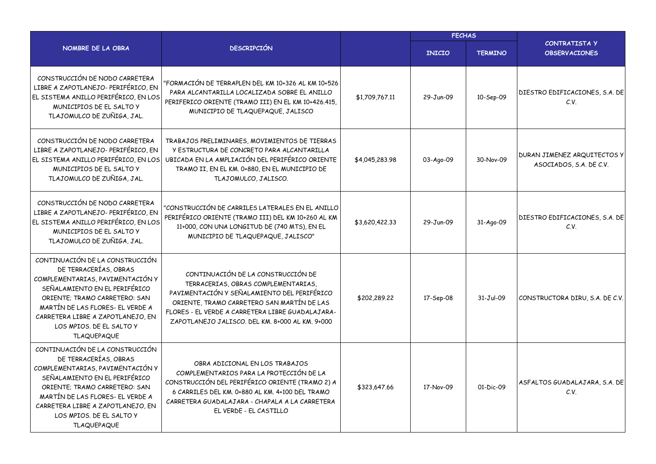|                                                                                                                                                                                                                                                                                           |                                                                                                                                                                                                                                                                               |                | <b>FECHAS</b> |                |                                                        |  |
|-------------------------------------------------------------------------------------------------------------------------------------------------------------------------------------------------------------------------------------------------------------------------------------------|-------------------------------------------------------------------------------------------------------------------------------------------------------------------------------------------------------------------------------------------------------------------------------|----------------|---------------|----------------|--------------------------------------------------------|--|
| NOMBRE DE LA OBRA                                                                                                                                                                                                                                                                         | <b>DESCRIPCIÓN</b>                                                                                                                                                                                                                                                            |                | <b>INICIO</b> | <b>TERMINO</b> | CONTRATISTA Y<br><b>OBSERVACIONES</b>                  |  |
| CONSTRUCCIÓN DE NODO CARRETERA<br>LIBRE A ZAPOTLANEJO- PERIFÉRICO, EN<br>EL SISTEMA ANILLO PERIFÉRICO, EN LOS<br>MUNICIPIOS DE EL SALTO Y<br>TLAJOMULCO DE ZUÑIGA, JAL.                                                                                                                   | "FORMACIÓN DE TERRAPLEN DEL KM 10+326 AL KM 10+526<br>PARA ALCANTARILLA LOCALIZADA SOBRE EL ANILLO<br>PERIFERICO ORIENTE (TRAMO III) EN EL KM 10+426.415,<br>MUNICIPIO DE TLAQUEPAQUE, JALISCO                                                                                | \$1,709,767.11 | 29-Jun-09     | 10-Sep-09      | DIESTRO EDIFICACIONES, S.A. DE<br>C.V.                 |  |
| CONSTRUCCIÓN DE NODO CARRETERA<br>LIBRE A ZAPOTLANEJO- PERIFÉRICO, EN<br>EL SISTEMA ANILLO PERIFÉRICO, EN LOS<br>MUNICIPIOS DE EL SALTO Y<br>TLAJOMULCO DE ZUÑIGA, JAL.                                                                                                                   | TRABAJOS PRELIMINARES, MOVIMIENTOS DE TIERRAS<br>Y ESTRUCTURA DE CONCRETO PARA ALCANTARILLA<br>UBICADA EN LA AMPLIACIÓN DEL PERIFÉRICO ORIENTE<br>TRAMO II, EN EL KM. 0+880, EN EL MUNICIPIO DE<br>TLAJOMULCO, JALISCO.                                                       | \$4,045,283.98 | 03-Ago-09     | 30-Nov-09      | DURAN JIMENEZ ARQUITECTOS Y<br>ASOCIADOS, S.A. DE C.V. |  |
| CONSTRUCCIÓN DE NODO CARRETERA<br>LIBRE A ZAPOTLANEJO- PERIFÉRICO, EN<br>EL SISTEMA ANILLO PERIFÉRICO, EN LOS<br>MUNICIPIOS DE EL SALTO Y<br>TLAJOMULCO DE ZUÑIGA, JAL.                                                                                                                   | "CONSTRUCCIÓN DE CARRILES LATERALES EN EL ANILLO<br>PERIFÉRICO ORIENTE (TRAMO III) DEL KM 10+260 AL KM<br>11+000, CON UNA LONGITUD DE (740 MTS), EN EL<br>MUNICIPIO DE TLAQUEPAQUE, JALISCO"                                                                                  | \$3,620,422.33 | 29-Jun-09     | 31-Ago-09      | DIESTRO EDIFICACIONES, S.A. DE<br>C.V.                 |  |
| CONTINUACIÓN DE LA CONSTRUCCIÓN<br>DE TERRACERÍAS, OBRAS<br>COMPLEMENTARIAS, PAVIMENTACIÓN Y<br>SEÑALAMIENTO EN EL PERIFÉRICO<br>ORIENTE; TRAMO CARRETERO: SAN<br>MARTÍN DE LAS FLORES- EL VERDE A<br>CARRETERA LIBRE A ZAPOTLANEJO, EN<br>LOS MPIOS. DE EL SALTO Y<br><b>TLAQUEPAQUE</b> | CONTINUACIÓN DE LA CONSTRUCCIÓN DE<br>TERRACERIAS, OBRAS COMPLEMENTARIAS,<br>PAVIMENTACIÓN Y SEÑALAMIENTO DEL PERIFÉRICO<br>ORIENTE, TRAMO CARRETERO SAN MARTÍN DE LAS<br>FLORES - EL VERDE A CARRETERA LIBRE GUADALAJARA-<br>ZAPOTLANEJO JALISCO. DEL KM. 8+000 AL KM. 9+000 | \$202,289,22   | 17-Sep-08     | $31-Jul-09$    | CONSTRUCTORA DIRU, S.A. DE C.V.                        |  |
| CONTINUACIÓN DE LA CONSTRUCCIÓN<br>DE TERRACERÍAS, OBRAS<br>COMPLEMENTARIAS, PAVIMENTACIÓN Y<br>SEÑALAMIENTO EN EL PERIFÉRICO<br>ORIENTE; TRAMO CARRETERO: SAN<br>MARTÍN DE LAS FLORES- EL VERDE A<br>CARRETERA LIBRE A ZAPOTLANEJO, EN<br>LOS MPIOS. DE EL SALTO Y<br><b>TLAQUEPAQUE</b> | OBRA ADICIONAL EN LOS TRABAJOS<br>COMPLEMENTARIOS PARA LA PROTECCIÓN DE LA<br>CONSTRUCCIÓN DEL PERIFÉRICO ORIENTE (TRAMO 2) A<br>6 CARRILES DEL KM. 0+880 AL KM. 4+100 DEL TRAMO<br>CARRETERA GUADALAJARA - CHAPALA A LA CARRETERA<br>EL VERDE - EL CASTILLO                  | \$323,647.66   | 17-Nov-09     | 01-Dic-09      | ASFALTOS GUADALAJARA, S.A. DE<br>C.V.                  |  |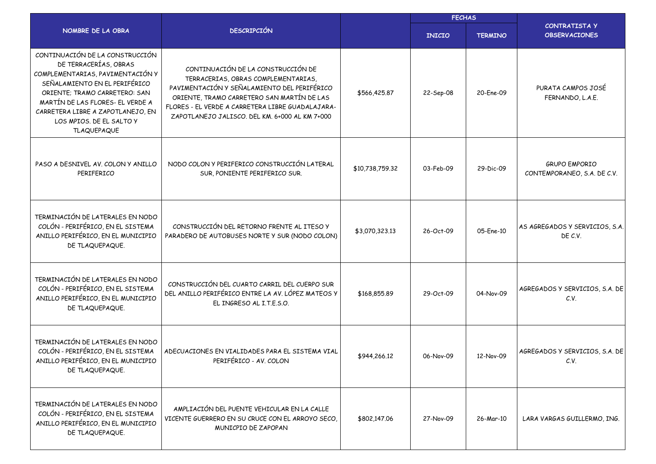|                                                                                                                                                                                                                                                                                           |                                                                                                                                                                                                                                                                              | <b>FECHAS</b>   |               |                |                                                     |
|-------------------------------------------------------------------------------------------------------------------------------------------------------------------------------------------------------------------------------------------------------------------------------------------|------------------------------------------------------------------------------------------------------------------------------------------------------------------------------------------------------------------------------------------------------------------------------|-----------------|---------------|----------------|-----------------------------------------------------|
| NOMBRE DE LA OBRA                                                                                                                                                                                                                                                                         | <b>DESCRIPCIÓN</b>                                                                                                                                                                                                                                                           |                 | <b>INICIO</b> | <b>TERMINO</b> | <b>CONTRATISTA Y</b><br><b>OBSERVACIONES</b>        |
| CONTINUACIÓN DE LA CONSTRUCCIÓN<br>DE TERRACERÍAS, OBRAS<br>COMPLEMENTARIAS, PAVIMENTACIÓN Y<br>SEÑALAMIENTO EN EL PERIFÉRICO<br>ORIENTE; TRAMO CARRETERO: SAN<br>MARTÍN DE LAS FLORES- EL VERDE A<br>CARRETERA LIBRE A ZAPOTLANEJO, EN<br>LOS MPIOS. DE EL SALTO Y<br><b>TLAQUEPAQUE</b> | CONTINUACIÓN DE LA CONSTRUCCIÓN DE<br>TERRACERIAS, OBRAS COMPLEMENTARIAS,<br>PAVIMENTACIÓN Y SEÑALAMIENTO DEL PERIFÉRICO<br>ORIENTE, TRAMO CARRETERO SAN MARTÍN DE LAS<br>FLORES - EL VERDE A CARRETERA LIBRE GUADALAJARA-<br>ZAPOTLANEJO JALISCO, DEL KM, 6+000 AL KM 7+000 | \$566,425.87    | 22-Sep-08     | 20-Ene-09      | PURATA CAMPOS JOSÉ<br>FERNANDO, L.A.E.              |
| PASO A DESNIVEL AV. COLON Y ANILLO<br>PERIFERICO                                                                                                                                                                                                                                          | NODO COLON Y PERIFERICO CONSTRUCCIÓN LATERAL<br>SUR, PONIENTE PERIFERICO SUR.                                                                                                                                                                                                | \$10,738,759.32 | 03-Feb-09     | 29-Dic-09      | <b>GRUPO EMPORIO</b><br>CONTEMPORANEO, S.A. DE C.V. |
| TERMINACIÓN DE LATERALES EN NODO<br>COLÓN - PERIFÉRICO, EN EL SISTEMA<br>ANILLO PERIFÉRICO, EN EL MUNICIPIO<br>DE TLAQUEPAQUE.                                                                                                                                                            | CONSTRUCCIÓN DEL RETORNO FRENTE AL ITESO Y<br>PARADERO DE AUTOBUSES NORTE Y SUR (NODO COLON)                                                                                                                                                                                 | \$3,070,323.13  | 26-Oct-09     | 05-Ene-10      | AS AGREGADOS Y SERVICIOS, S.A.<br>DE C.V.           |
| TERMINACIÓN DE LATERALES EN NODO<br>COLÓN - PERIFÉRICO, EN EL SISTEMA<br>ANILLO PERIFÉRICO, EN EL MUNICIPIO<br>DE TLAQUEPAQUE.                                                                                                                                                            | CONSTRUCCIÓN DEL CUARTO CARRIL DEL CUERPO SUR<br>DEL ANILLO PERIFÉRICO ENTRE LA AV. LÓPEZ MATEOS Y<br>EL INGRESO AL I.T.E.S.O.                                                                                                                                               | \$168,855.89    | 29-Oct-09     | 04-Nov-09      | AGREGADOS Y SERVICIOS, S.A. DE<br>C.V.              |
| TERMINACIÓN DE LATERALES EN NODO<br>COLÓN - PERIFÉRICO, EN EL SISTEMA<br>ANILLO PERIFÉRICO, EN EL MUNICIPIO<br>DE TLAQUEPAQUE.                                                                                                                                                            | ADECUACIONES EN VIALIDADES PARA EL SISTEMA VIAL<br>PERIFÉRICO - AV. COLON                                                                                                                                                                                                    | \$944,266.12    | 06-Nov-09     | 12-Nov-09      | AGREGADOS Y SERVICIOS, S.A. DE<br>C.V.              |
| TERMINACIÓN DE LATERALES EN NODO<br>COLÓN - PERIFÉRICO, EN EL SISTEMA<br>ANILLO PERIFÉRICO, EN EL MUNICIPIO<br>DE TLAQUEPAQUE.                                                                                                                                                            | AMPLIACIÓN DEL PUENTE VEHICULAR EN LA CALLE<br>VICENTE GUERRERO EN SU CRUCE CON EL ARROYO SECO,<br>MUNICPIO DE ZAPOPAN                                                                                                                                                       | \$802,147.06    | 27-Nov-09     | 26-Mar-10      | LARA VARGAS GUILLERMO, ING.                         |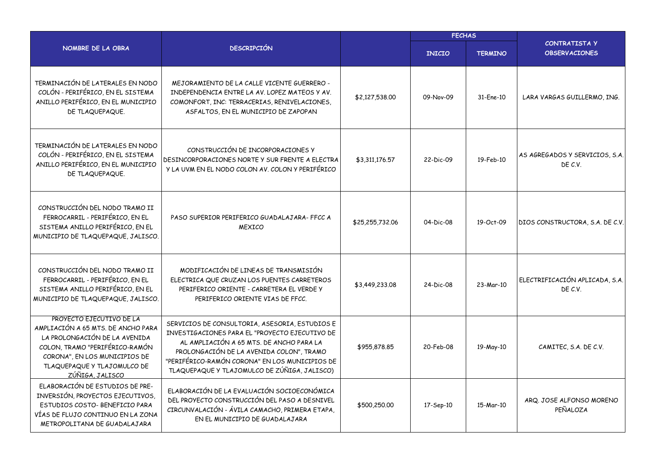|                                                                                                                                                                                                                      |                                                                                                                                                                                                                                                                                            | <b>FECHAS</b>   |               |                |                                           |
|----------------------------------------------------------------------------------------------------------------------------------------------------------------------------------------------------------------------|--------------------------------------------------------------------------------------------------------------------------------------------------------------------------------------------------------------------------------------------------------------------------------------------|-----------------|---------------|----------------|-------------------------------------------|
| NOMBRE DE LA OBRA                                                                                                                                                                                                    | <b>DESCRIPCIÓN</b>                                                                                                                                                                                                                                                                         |                 | <b>INICIO</b> | <b>TERMINO</b> | CONTRATISTA Y<br><b>OBSERVACIONES</b>     |
| TERMINACIÓN DE LATERALES EN NODO<br>COLÓN - PERIFÉRICO, EN EL SISTEMA<br>ANILLO PERIFÉRICO, EN EL MUNICIPIO<br>DE TLAQUEPAQUE.                                                                                       | MEJORAMIENTO DE LA CALLE VICENTE GUERRERO -<br>INDEPENDENCIA ENTRE LA AV. LOPEZ MATEOS Y AV.<br>COMONFORT, INC: TERRACERIAS, RENIVELACIONES,<br>ASFALTOS, EN EL MUNICIPIO DE ZAPOPAN                                                                                                       | \$2,127,538.00  | 09-Nov-09     | 31-Ene-10      | LARA VARGAS GUILLERMO, ING.               |
| TERMINACIÓN DE LATERALES EN NODO<br>COLÓN - PERIFÉRICO, EN EL SISTEMA<br>ANILLO PERIFÉRICO, EN EL MUNICIPIO<br>DE TLAQUEPAQUE.                                                                                       | CONSTRUCCIÓN DE INCORPORACIONES Y<br>DESINCORPORACIONES NORTE Y SUR FRENTE A ELECTRA<br>Y LA UVM EN EL NODO COLON AV. COLON Y PERIFÉRICO                                                                                                                                                   | \$3,311,176.57  | 22-Dic-09     | 19-Feb-10      | AS AGREGADOS Y SERVICIOS, S.A.<br>DE C.V. |
| CONSTRUCCIÓN DEL NODO TRAMO II<br>FERROCARRIL - PERIFÉRICO, EN EL<br>SISTEMA ANILLO PERIFÉRICO, EN EL<br>MUNICIPIO DE TLAQUEPAQUE, JALISCO.                                                                          | PASO SUPERIOR PERIFERICO GUADALAJARA- FFCC A<br><b>MEXICO</b>                                                                                                                                                                                                                              | \$25,255,732.06 | 04-Dic-08     | 19-Oct-09      | DIOS CONSTRUCTORA, S.A. DE C.V.           |
| CONSTRUCCIÓN DEL NODO TRAMO II<br>FERROCARRIL - PERIFÉRICO, EN EL<br>SISTEMA ANILLO PERIFÉRICO, EN EL<br>MUNICIPIO DE TLAQUEPAQUE, JALISCO.                                                                          | MODIFICACIÓN DE LINEAS DE TRANSMISIÓN<br>ELECTRICA QUE CRUZAN LOS PUENTES CARRETEROS<br>PERIFERICO ORIENTE - CARRETERA EL VERDE Y<br>PERIFERICO ORIENTE VIAS DE FFCC.                                                                                                                      | \$3,449,233.08  | 24-Dic-08     | 23-Mar-10      | ELECTRIFICACIÓN APLICADA, S.A.<br>DE C.V. |
| PROYECTO EJECUTIVO DE LA<br>AMPLIACIÓN A 65 MTS. DE ANCHO PARA<br>LA PROLONGACIÓN DE LA AVENIDA<br>COLON, TRAMO "PERIFÉRICO-RAMÓN<br>CORONA", EN LOS MUNICIPIOS DE<br>TLAQUEPAQUE Y TLAJOMULCO DE<br>ZÚÑIGA, JALISCO | SERVICIOS DE CONSULTORIA, ASESORIA, ESTUDIOS E<br>INVESTIGACIONES PARA EL "PROYECTO EJECUTIVO DE<br>AL AMPLIACIÓN A 65 MTS. DE ANCHO PARA LA<br>PROLONGACIÓN DE LA AVENIDA COLON", TRAMO<br>"PERIFÉRICO-RAMÓN CORONA" EN LOS MUNICIPIOS DE<br>TLAQUEPAQUE Y TLAJOMULCO DE ZÚÑIGA, JALISCO) | \$955,878.85    | 20-Feb-08     | 19-May-10      | CAMITEC, S.A. DE C.V.                     |
| ELABORACIÓN DE ESTUDIOS DE PRE-<br>INVERSIÓN, PROYECTOS EJECUTIVOS,<br>ESTUDIOS COSTO- BENEFICIO PARA<br>VÍAS DE FLUJO CONTINUO EN LA ZONA<br>METROPOLITANA DE GUADALAJARA                                           | ELABORACIÓN DE LA EVALUACIÓN SOCIOECONÓMICA<br>DEL PROYECTO CONSTRUCCIÓN DEL PASO A DESNIVEL<br>CIRCUNVALACIÓN - ÁVILA CAMACHO, PRIMERA ETAPA,<br>EN EL MUNICIPIO DE GUADALAJARA                                                                                                           | \$500,250.00    | 17-Sep-10     | 15-Mar-10      | ARQ. JOSE ALFONSO MORENO<br>PEÑALOZA      |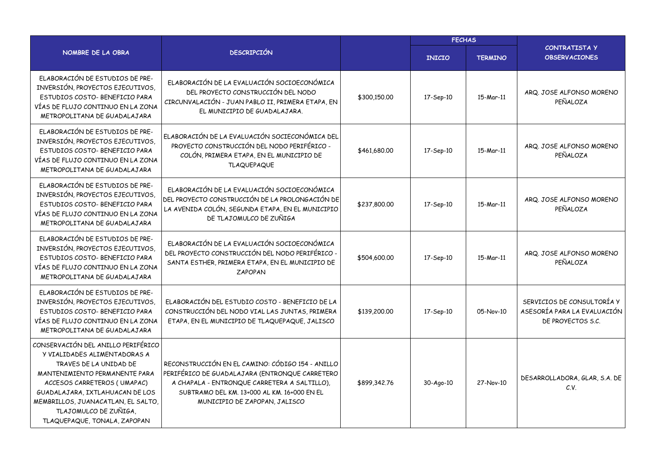|                                                                                                                                                                                                                                                                                                |                                                                                                                                                                                                                                    |              |               | <b>FECHAS</b>  |                                                                                |
|------------------------------------------------------------------------------------------------------------------------------------------------------------------------------------------------------------------------------------------------------------------------------------------------|------------------------------------------------------------------------------------------------------------------------------------------------------------------------------------------------------------------------------------|--------------|---------------|----------------|--------------------------------------------------------------------------------|
| NOMBRE DE LA OBRA                                                                                                                                                                                                                                                                              | <b>DESCRIPCIÓN</b>                                                                                                                                                                                                                 |              | <b>INICIO</b> | <b>TERMINO</b> | <b>CONTRATISTA Y</b><br><b>OBSERVACIONES</b>                                   |
| ELABORACIÓN DE ESTUDIOS DE PRE-<br>INVERSIÓN, PROYECTOS EJECUTIVOS,<br>ESTUDIOS COSTO- BENEFICIO PARA<br>VÍAS DE FLUJO CONTINUO EN LA ZONA<br>METROPOLITANA DE GUADALAJARA                                                                                                                     | ELABORACIÓN DE LA EVALUACIÓN SOCIOECONÓMICA<br>DEL PROYECTO CONSTRUCCIÓN DEL NODO<br>CIRCUNVALACIÓN - JUAN PABLO II, PRIMERA ETAPA, EN<br>EL MUNICIPIO DE GUADALAJARA.                                                             | \$300,150,00 | 17-Sep-10     | 15-Mar-11      | ARQ. JOSE ALFONSO MORENO<br>PEÑALOZA                                           |
| ELABORACIÓN DE ESTUDIOS DE PRE-<br>INVERSIÓN, PROYECTOS EJECUTIVOS,<br>ESTUDIOS COSTO- BENEFICIO PARA<br>VÍAS DE FLUJO CONTINUO EN LA ZONA<br>METROPOLITANA DE GUADALAJARA                                                                                                                     | ELABORACIÓN DE LA EVALUACIÓN SOCIECONÓMICA DEL<br>PROYECTO CONSTRUCCIÓN DEL NODO PERIFÉRICO -<br>COLÓN, PRIMERA ETAPA, EN EL MUNICIPIO DE<br><b>TLAQUEPAQUE</b>                                                                    | \$461,680.00 | 17-Sep-10     | 15-Mar-11      | ARQ. JOSE ALFONSO MORENO<br>PEÑALOZA                                           |
| ELABORACIÓN DE ESTUDIOS DE PRE-<br>INVERSIÓN, PROYECTOS EJECUTIVOS,<br>ESTUDIOS COSTO- BENEFICIO PARA<br>VÍAS DE FLUJO CONTINUO EN LA ZONA<br>METROPOLITANA DE GUADALAJARA                                                                                                                     | ELABORACIÓN DE LA EVALUACIÓN SOCIOECONÓMICA<br>DEL PROYECTO CONSTRUCCIÓN DE LA PROLONGACIÓN DE<br>LA AVENIDA COLÓN, SEGUNDA ETAPA, EN EL MUNICIPIO<br>DE TLAJOMULCO DE ZUÑIGA                                                      | \$237,800.00 | 17-Sep-10     | 15-Mar-11      | ARQ. JOSE ALFONSO MORENO<br>PEÑALOZA                                           |
| ELABORACIÓN DE ESTUDIOS DE PRE-<br>INVERSIÓN, PROYECTOS EJECUTIVOS,<br>ESTUDIOS COSTO- BENEFICIO PARA<br>VÍAS DE FLUJO CONTINUO EN LA ZONA<br>METROPOLITANA DE GUADALAJARA                                                                                                                     | ELABORACIÓN DE LA EVALUACIÓN SOCIOECONÓMICA<br>DEL PROYECTO CONSTRUCCIÓN DEL NODO PERIFÉRICO -<br>SANTA ESTHER, PRIMERA ETAPA, EN EL MUNICIPIO DE<br><b>ZAPOPAN</b>                                                                | \$504,600.00 | 17-Sep-10     | 15-Mar-11      | ARQ. JOSE ALFONSO MORENO<br>PEÑALOZA                                           |
| ELABORACIÓN DE ESTUDIOS DE PRE-<br>INVERSIÓN, PROYECTOS EJECUTIVOS,<br>ESTUDIOS COSTO- BENEFICIO PARA<br>VÍAS DE FLUJO CONTINUO EN LA ZONA<br>METROPOLITANA DE GUADALAJARA                                                                                                                     | ELABORACIÓN DEL ESTUDIO COSTO - BENEFICIO DE LA<br>CONSTRUCCIÓN DEL NODO VIAL LAS JUNTAS, PRIMERA<br>ETAPA, EN EL MUNICIPIO DE TLAQUEPAQUE, JALISCO                                                                                | \$139,200.00 | 17-Sep-10     | 05-Nov-10      | SERVICIOS DE CONSULTORÍA Y<br>ASESORÍA PARA LA EVALUACIÓN<br>DE PROYECTOS S.C. |
| CONSERVACIÓN DEL ANILLO PERIFÉRICO<br>Y VIALIDADES ALIMENTADORAS A<br>TRAVES DE LA UNIDAD DE<br>MANTENIMIENTO PERMANENTE PARA<br>ACCESOS CARRETEROS (UMAPAC)<br>GUADALAJARA, IXTLAHUACAN DE LOS<br>MEMBRILLOS, JUANACATLAN, EL SALTO,<br>TLAJOMULCO DE ZUÑIGA,<br>TLAQUEPAQUE, TONALA, ZAPOPAN | RECONSTRUCCIÓN EN EL CAMINO: CÓDIGO 154 - ANILLO<br>PERIFÉRICO DE GUADALAJARA (ENTRONQUE CARRETERO<br>A CHAPALA - ENTRONQUE CARRETERA A SALTILLO),<br>SUBTRAMO DEL KM. 13+000 AL KM. 16+000 EN EL<br>MUNICIPIO DE ZAPOPAN, JALISCO | \$899,342.76 | 30-Ago-10     | 27-Nov-10      | DESARROLLADORA, GLAR, S.A. DE<br>C.V.                                          |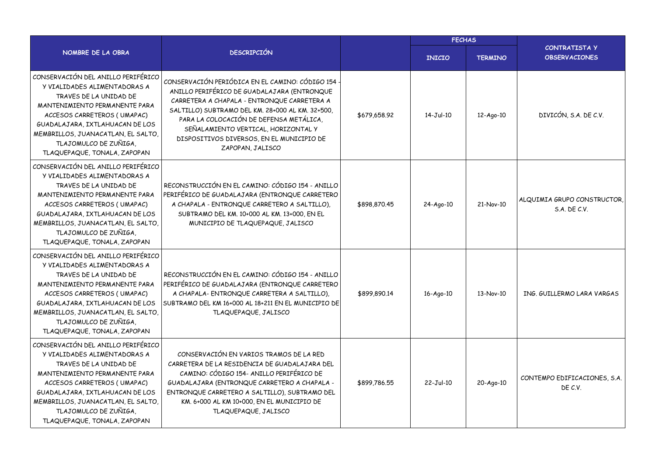|                                                                                                                                                                                                                                                                                                |                                                                                                                                                                                                                                                                                                                                                      | <b>FECHAS</b> |               |                |                                             |
|------------------------------------------------------------------------------------------------------------------------------------------------------------------------------------------------------------------------------------------------------------------------------------------------|------------------------------------------------------------------------------------------------------------------------------------------------------------------------------------------------------------------------------------------------------------------------------------------------------------------------------------------------------|---------------|---------------|----------------|---------------------------------------------|
| NOMBRE DE LA OBRA                                                                                                                                                                                                                                                                              | <b>DESCRIPCIÓN</b>                                                                                                                                                                                                                                                                                                                                   |               | <b>INICIO</b> | <b>TERMINO</b> | CONTRATISTA Y<br><b>OBSERVACIONES</b>       |
| CONSERVACIÓN DEL ANILLO PERIFÉRICO<br>Y VIALIDADES ALIMENTADORAS A<br>TRAVES DE LA UNIDAD DE<br>MANTENIMIENTO PERMANENTE PARA<br>ACCESOS CARRETEROS (UMAPAC)<br>GUADALAJARA, IXTLAHUACAN DE LOS<br>MEMBRILLOS, JUANACATLAN, EL SALTO,<br>TLAJOMULCO DE ZUÑIGA,<br>TLAQUEPAQUE, TONALA, ZAPOPAN | CONSERVACIÓN PERIÓDICA EN EL CAMINO: CÓDIGO 154<br>ANILLO PERIFÉRICO DE GUADALAJARA (ENTRONQUE<br>CARRETERA A CHAPALA - ENTRONQUE CARRETERA A<br>SALTILLO) SUBTRAMO DEL KM. 28+000 AL KM. 32+500,<br>PARA LA COLOCACIÓN DE DEFENSA METÁLICA,<br>SEÑALAMIENTO VERTICAL, HORIZONTAL Y<br>DISPOSITIVOS DIVERSOS, EN EL MUNICIPIO DE<br>ZAPOPAN, JALISCO | \$679,658.92  | $14-Jul-10$   | 12-Ago-10      | DIVICÓN, S.A. DE C.V.                       |
| CONSERVACIÓN DEL ANILLO PERIFÉRICO<br>Y VIALIDADES ALIMENTADORAS A<br>TRAVES DE LA UNIDAD DE<br>MANTENIMIENTO PERMANENTE PARA<br>ACCESOS CARRETEROS (UMAPAC)<br>GUADALAJARA, IXTLAHUACAN DE LOS<br>MEMBRILLOS, JUANACATLAN, EL SALTO,<br>TLAJOMULCO DE ZUÑIGA,<br>TLAQUEPAQUE, TONALA, ZAPOPAN | RECONSTRUCCIÓN EN EL CAMINO: CÓDIGO 154 - ANILLO<br>PERIFÉRICO DE GUADALAJARA (ENTRONQUE CARRETERO<br>A CHAPALA - ENTRONQUE CARRETERO A SALTILLO),<br>SUBTRAMO DEL KM. 10+000 AL KM. 13+000, EN EL<br>MUNICIPIO DE TLAQUEPAQUE, JALISCO                                                                                                              | \$898,870.45  | 24-Ago-10     | 21-Nov-10      | ALQUIMIA GRUPO CONSTRUCTOR,<br>S.A. DE C.V. |
| CONSERVACIÓN DEL ANILLO PERIFÉRICO<br>Y VIALIDADES ALIMENTADORAS A<br>TRAVES DE LA UNIDAD DE<br>MANTENIMIENTO PERMANENTE PARA<br>ACCESOS CARRETEROS (UMAPAC)<br>GUADALAJARA, IXTLAHUACAN DE LOS<br>MEMBRILLOS, JUANACATLAN, EL SALTO,<br>TLAJOMULCO DE ZUÑIGA,<br>TLAQUEPAQUE, TONALA, ZAPOPAN | RECONSTRUCCIÓN EN EL CAMINO: CÓDIGO 154 - ANILLO<br>PERIFÉRICO DE GUADALAJARA (ENTRONQUE CARRETERO<br>A CHAPALA- ENTRONQUE CARRETERA A SALTILLO),<br>SUBTRAMO DEL KM 16+000 AL 18+211 EN EL MUNICIPIO DE<br>TLAQUEPAQUE, JALISCO                                                                                                                     | \$899,890.14  | 16-Ago-10     | 13-Nov-10      | ING. GUILLERMO LARA VARGAS                  |
| CONSERVACIÓN DEL ANILLO PERIFÉRICO<br>Y VIALIDADES ALIMENTADORAS A<br>TRAVES DE LA UNIDAD DE<br>MANTENIMIENTO PERMANENTE PARA<br>ACCESOS CARRETEROS (UMAPAC)<br>GUADALAJARA, IXTLAHUACAN DE LOS<br>MEMBRILLOS, JUANACATLAN, EL SALTO,<br>TLAJOMULCO DE ZUÑIGA,<br>TLAQUEPAQUE, TONALA, ZAPOPAN | CONSERVACIÓN EN VARIOS TRAMOS DE LA RED<br>CARRETERA DE LA RESIDENCIA DE GUADALAJARA DEL<br>CAMINO: CÓDIGO 154- ANILLO PERIFÉRICO DE<br>GUADALAJARA (ENTRONQUE CARRETERO A CHAPALA -<br>ENTRONQUE CARRETERO A SALTILLO), SUBTRAMO DEL<br>KM. 6+000 AL KM 10+000, EN EL MUNICIPIO DE<br>TLAQUEPAQUE, JALISCO                                          | \$899,786.55  | 22-Jul-10     | 20-Ago-10      | CONTEMPO EDIFICACIONES, S.A.<br>DE C.V.     |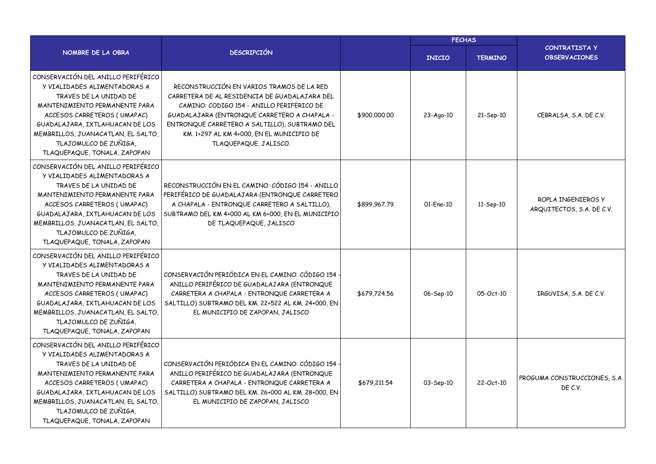|                                                                                                                                                                                                                                                                                                |                                                                                                                                                                                                                                                                                                                |              | <b>FECHAS</b> |                |                                                 |  |
|------------------------------------------------------------------------------------------------------------------------------------------------------------------------------------------------------------------------------------------------------------------------------------------------|----------------------------------------------------------------------------------------------------------------------------------------------------------------------------------------------------------------------------------------------------------------------------------------------------------------|--------------|---------------|----------------|-------------------------------------------------|--|
| NOMBRE DE LA OBRA                                                                                                                                                                                                                                                                              | <b>DESCRIPCIÓN</b>                                                                                                                                                                                                                                                                                             |              | <b>INICIO</b> | <b>TERMINO</b> | CONTRATISTA Y<br><b>OBSERVACIONES</b>           |  |
| CONSERVACIÓN DEL ANILLO PERIFÉRICO<br>Y VIALIDADES ALIMENTADORAS A<br>TRAVES DE LA UNIDAD DE<br>MANTENIMIENTO PERMANENTE PARA<br>ACCESOS CARRETEROS (UMAPAC)<br>GUADALAJARA, IXTLAHUACAN DE LOS<br>MEMBRILLOS, JUANACATLAN, EL SALTO,<br>TLAJOMULCO DE ZUÑIGA,<br>TLAQUEPAQUE, TONALA, ZAPOPAN | RECONSTRUCCIÓN EN VARIOS TRAMOS DE LA RED<br>CARRETERA DE AL RESIDENCIA DE GUADALAJARA DEL<br>CAMINO: CODIGO 154 - ANILLO PERIFERICO DE<br>GUADALAJARA (ENTRONQUE CARRETERO A CHAPALA -<br>ENTRONQUE CARRETERO A SALTILLO), SUBTRAMO DEL<br>KM. 1+297 AL KM 4+000, EN EL MUNICIPIO DE<br>TLAQUEPAQUE, JALISCO. | \$900,000,00 | 23-Ago-10     | 21-Sep-10      | CEBRALSA, S.A. DE C.V.                          |  |
| CONSERVACIÓN DEL ANILLO PERIFÉRICO<br>Y VIALIDADES ALIMENTADORAS A<br>TRAVES DE LA UNIDAD DE<br>MANTENIMIENTO PERMANENTE PARA<br>ACCESOS CARRETEROS (UMAPAC)<br>GUADALAJARA, IXTLAHUACAN DE LOS<br>MEMBRILLOS, JUANACATLAN, EL SALTO,<br>TLAJOMULCO DE ZUÑIGA,<br>TLAQUEPAQUE, TONALA, ZAPOPAN | RECONSTRUCCIÓN EN EL CAMINO: CÓDIGO 154 - ANILLO<br>PERIFÉRICO DE GUADALAJARA (ENTRONQUE CARRETERO<br>A CHAPALA - ENTRONQUE CARRETERO A SALTILLO),<br>SUBTRAMO DEL KM 4+000 AL KM 6+000, EN EL MUNICIPIO<br>DE TLAQUEPAQUE, JALISCO                                                                            | \$899,967.79 | 01-Ene-10     | 11-Sep-10      | ROPLA INGENIEROS Y<br>ARQUITECTOS, S.A. DE C.V. |  |
| CONSERVACIÓN DEL ANILLO PERIFÉRICO<br>Y VIALIDADES ALIMENTADORAS A<br>TRAVES DE LA UNIDAD DE<br>MANTENIMIENTO PERMANENTE PARA<br>ACCESOS CARRETEROS (UMAPAC)<br>GUADALAJARA, IXTLAHUACAN DE LOS<br>MEMBRILLOS, JUANACATLAN, EL SALTO,<br>TLAJOMULCO DE ZUÑIGA,<br>TLAQUEPAQUE, TONALA, ZAPOPAN | CONSERVACIÓN PERIÓDICA EN EL CAMINO: CÓDIGO 154<br>ANILLO PERIFÉRICO DE GUADALAJARA (ENTRONQUE<br>CARRETERA A CHAPALA - ENTRONQUE CARRETERA A<br>SALTILLO) SUBTRAMO DEL KM. 22+522 AL KM. 24+000, EN<br>EL MUNICIPIO DE ZAPOPAN, JALISCO                                                                       | \$679,724.56 | 06-Sep-10     | 05-Oct-10      | IRGUVISA, S.A. DE C.V.                          |  |
| CONSERVACIÓN DEL ANILLO PERIFÉRICO<br>Y VIALIDADES ALIMENTADORAS A<br>TRAVES DE LA UNIDAD DE<br>MANTENIMIENTO PERMANENTE PARA<br>ACCESOS CARRETEROS (UMAPAC)<br>GUADALAJARA, IXTLAHUACAN DE LOS<br>MEMBRILLOS, JUANACATLAN, EL SALTO,<br>TLAJOMULCO DE ZUÑIGA,<br>TLAQUEPAQUE, TONALA, ZAPOPAN | CONSERVACIÓN PERIÓDICA EN EL CAMINO: CÓDIGO 154<br>ANILLO PERIFÉRICO DE GUADALAJARA (ENTRONQUE<br>CARRETERA A CHAPALA - ENTRONQUE CARRETERA A<br>SALTILLO) SUBTRAMO DEL KM. 26+000 AL KM. 28+000, EN<br>EL MUNICIPIO DE ZAPOPAN, JALISCO                                                                       | \$679,211.54 | 03-Sep-10     | 22-Oct-10      | PROGUMA CONSTRUCCIONES, S.A.<br>DE C.V.         |  |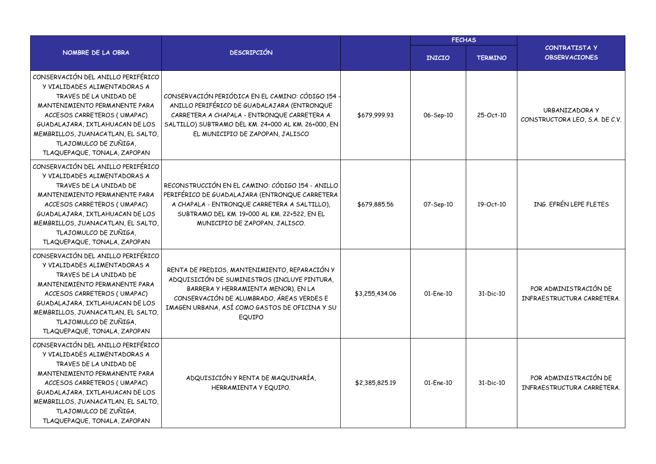|                                                                                                                                                                                                                                                                                                |                                                                                                                                                                                                                                               |                | <b>FECHAS</b> |                |                                                     |  |
|------------------------------------------------------------------------------------------------------------------------------------------------------------------------------------------------------------------------------------------------------------------------------------------------|-----------------------------------------------------------------------------------------------------------------------------------------------------------------------------------------------------------------------------------------------|----------------|---------------|----------------|-----------------------------------------------------|--|
| NOMBRE DE LA OBRA                                                                                                                                                                                                                                                                              | <b>DESCRIPCIÓN</b>                                                                                                                                                                                                                            |                | <b>INICIO</b> | <b>TERMINO</b> | <b>CONTRATISTA Y</b><br><b>OBSERVACIONES</b>        |  |
| CONSERVACIÓN DEL ANILLO PERIFÉRICO<br>Y VIALIDADES ALIMENTADORAS A<br>TRAVES DE LA UNIDAD DE<br>MANTENIMIENTO PERMANENTE PARA<br>ACCESOS CARRETEROS (UMAPAC)<br>GUADALAJARA, IXTLAHUACAN DE LOS<br>MEMBRILLOS, JUANACATLAN, EL SALTO,<br>TLAJOMULCO DE ZUÑIGA,<br>TLAQUEPAQUE, TONALA, ZAPOPAN | CONSERVACIÓN PERIÓDICA EN EL CAMINO: CÓDIGO 154<br>ANILLO PERIFÉRICO DE GUADALAJARA (ENTRONQUE<br>CARRETERA A CHAPALA - ENTRONQUE CARRETERA A<br>SALTILLO) SUBTRAMO DEL KM. 24+000 AL KM. 26+000, EN<br>EL MUNICIPIO DE ZAPOPAN, JALISCO      | \$679,999.93   | 06-Sep-10     | 25-Oct-10      | URBANIZADORA Y<br>CONSTRUCTORA LEO, S.A. DE C.V.    |  |
| CONSERVACIÓN DEL ANILLO PERIFÉRICO<br>Y VIALIDADES ALIMENTADORAS A<br>TRAVES DE LA UNIDAD DE<br>MANTENIMIENTO PERMANENTE PARA<br>ACCESOS CARRETEROS (UMAPAC)<br>GUADALAJARA, IXTLAHUACAN DE LOS<br>MEMBRILLOS, JUANACATLAN, EL SALTO,<br>TLAJOMULCO DE ZUÑIGA,<br>TLAQUEPAQUE, TONALA, ZAPOPAN | RECONSTRUCCIÓN EN EL CAMINO: CÓDIGO 154 - ANILLO<br>PERIFÉRICO DE GUADALAJARA (ENTRONQUE CARRETERA<br>A CHAPALA - ENTRONQUE CARRETERA A SALTILLO),<br>SUBTRAMO DEL KM. 19+000 AL KM. 22+522, EN EL<br>MUNICIPIO DE ZAPOPAN, JALISCO.          | \$679,885.56   | 07-Sep-10     | 19-Oct-10      | ING. EFRÉN LEPE FLETES                              |  |
| CONSERVACIÓN DEL ANILLO PERIFÉRICO<br>Y VIALIDADES ALIMENTADORAS A<br>TRAVES DE LA UNIDAD DE<br>MANTENIMIENTO PERMANENTE PARA<br>ACCESOS CARRETEROS (UMAPAC)<br>GUADALAJARA, IXTLAHUACAN DE LOS<br>MEMBRILLOS, JUANACATLAN, EL SALTO,<br>TLAJOMULCO DE ZUÑIGA,<br>TLAQUEPAQUE, TONALA, ZAPOPAN | RENTA DE PREDIOS, MANTENIMIENTO, REPARACIÓN Y<br>ADQUISICIÓN DE SUMINISTROS (INCLUYE PINTURA,<br>BARRERA Y HERRAMIENTA MENOR), EN LA<br>CONSERVACIÓN DE ALUMBRADO, ÁREAS VERDES E<br>IMAGEN URBANA, ASÍ COMO GASTOS DE OFICINA Y SU<br>EQUIPO | \$3,255,434.06 | 01-Ene-10     | 31-Dic-10      | POR ADMINISTRACIÓN DE<br>INFRAESTRUCTURA CARRETERA. |  |
| CONSERVACIÓN DEL ANILLO PERIFÉRICO<br>Y VIALIDADES ALIMENTADORAS A<br>TRAVES DE LA UNIDAD DE<br>MANTENIMIENTO PERMANENTE PARA<br>ACCESOS CARRETEROS (UMAPAC)<br>GUADALAJARA, IXTLAHUACAN DE LOS<br>MEMBRILLOS, JUANACATLAN, EL SALTO,<br>TLAJOMULCO DE ZUÑIGA,<br>TLAQUEPAQUE, TONALA, ZAPOPAN | ADQUISICIÓN Y RENTA DE MAQUINARÍA,<br>HERRAMIENTA Y EQUIPO.                                                                                                                                                                                   | \$2,385,825.19 | 01-Ene-10     | 31-Dic-10      | POR ADMINISTRACIÓN DE<br>INFRAESTRUCTURA CARRETERA. |  |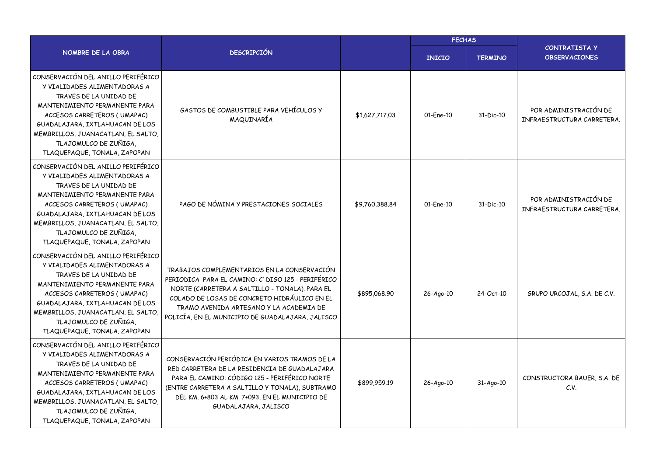|                                                                                                                                                                                                                                                                                                |                                                                                                                                                                                                                                                                                                    |                | <b>FECHAS</b> |                |                                                     |  |
|------------------------------------------------------------------------------------------------------------------------------------------------------------------------------------------------------------------------------------------------------------------------------------------------|----------------------------------------------------------------------------------------------------------------------------------------------------------------------------------------------------------------------------------------------------------------------------------------------------|----------------|---------------|----------------|-----------------------------------------------------|--|
| NOMBRE DE LA OBRA                                                                                                                                                                                                                                                                              | <b>DESCRIPCIÓN</b>                                                                                                                                                                                                                                                                                 |                | <b>INICIO</b> | <b>TERMINO</b> | <b>CONTRATISTA Y</b><br><b>OBSERVACIONES</b>        |  |
| CONSERVACIÓN DEL ANILLO PERIFÉRICO<br>Y VIALIDADES ALIMENTADORAS A<br>TRAVES DE LA UNIDAD DE<br>MANTENIMIENTO PERMANENTE PARA<br>ACCESOS CARRETEROS (UMAPAC)<br>GUADALAJARA, IXTLAHUACAN DE LOS<br>MEMBRILLOS, JUANACATLAN, EL SALTO,<br>TLAJOMULCO DE ZUÑIGA,<br>TLAQUEPAQUE, TONALA, ZAPOPAN | GASTOS DE COMBUSTIBLE PARA VEHÍCULOS Y<br>MAQUINARÍA                                                                                                                                                                                                                                               | \$1,627,717.03 | 01-Ene-10     | 31-Dic-10      | POR ADMINISTRACIÓN DE<br>INFRAESTRUCTURA CARRETERA. |  |
| CONSERVACIÓN DEL ANILLO PERIFÉRICO<br>Y VIALIDADES ALIMENTADORAS A<br>TRAVES DE LA UNIDAD DE<br>MANTENIMIENTO PERMANENTE PARA<br>ACCESOS CARRETEROS (UMAPAC)<br>GUADALAJARA, IXTLAHUACAN DE LOS<br>MEMBRILLOS, JUANACATLAN, EL SALTO,<br>TLAJOMULCO DE ZUÑIGA,<br>TLAQUEPAQUE, TONALA, ZAPOPAN | PAGO DE NÓMINA Y PRESTACIONES SOCIALES                                                                                                                                                                                                                                                             | \$9,760,388.84 | 01-Ene-10     | 31-Dic-10      | POR ADMINISTRACIÓN DE<br>INFRAESTRUCTURA CARRETERA. |  |
| CONSERVACIÓN DEL ANILLO PERIFÉRICO<br>Y VIALIDADES ALIMENTADORAS A<br>TRAVES DE LA UNIDAD DE<br>MANTENIMIENTO PERMANENTE PARA<br>ACCESOS CARRETEROS (UMAPAC)<br>GUADALAJARA, IXTLAHUACAN DE LOS<br>MEMBRILLOS, JUANACATLAN, EL SALTO,<br>TLAJOMULCO DE ZUÑIGA,<br>TLAQUEPAQUE, TONALA, ZAPOPAN | TRABAJOS COMPLEMENTARIOS EN LA CONSERVACIÓN<br>PERIODICA PARA EL CAMINO: C' DIGO 125 - PERIFÉRICO<br>NORTE (CARRETERA A SALTILLO - TONALA). PARA EL<br>COLADO DE LOSAS DE CONCRETO HIDRÁULICO EN EL<br>TRAMO AVENIDA ARTESANO Y LA ACADEMIA DE<br>POLICÍA, EN EL MUNICIPIO DE GUADALAJARA, JALISCO | \$895,068.90   | 26-Ago-10     | 24-Oct-10      | GRUPO URCOJAL, S.A. DE C.V.                         |  |
| CONSERVACIÓN DEL ANILLO PERIFÉRICO<br>Y VIALIDADES ALIMENTADORAS A<br>TRAVES DE LA UNIDAD DE<br>MANTENIMIENTO PERMANENTE PARA<br>ACCESOS CARRETEROS (UMAPAC)<br>GUADALAJARA, IXTLAHUACAN DE LOS<br>MEMBRILLOS, JUANACATLAN, EL SALTO,<br>TLAJOMULCO DE ZUÑIGA,<br>TLAQUEPAQUE, TONALA, ZAPOPAN | CONSERVACIÓN PERIÓDICA EN VARIOS TRAMOS DE LA<br>RED CARRETERA DE LA RESIDENCIA DE GUADALAJARA<br>PARA EL CAMINO: CÓDIGO 125 - PERIFÉRICO NORTE<br>(ENTRE CARRETERA A SALTILLO Y TONALA), SUBTRAMO<br>DEL KM. 6+803 AL KM. 7+093, EN EL MUNICIPIO DE<br>GUADALAJARA, JALISCO                       | \$899.959.19   | 26-Ago-10     | $31 - Ago-10$  | CONSTRUCTORA BAUER, S.A. DE<br>C.V.                 |  |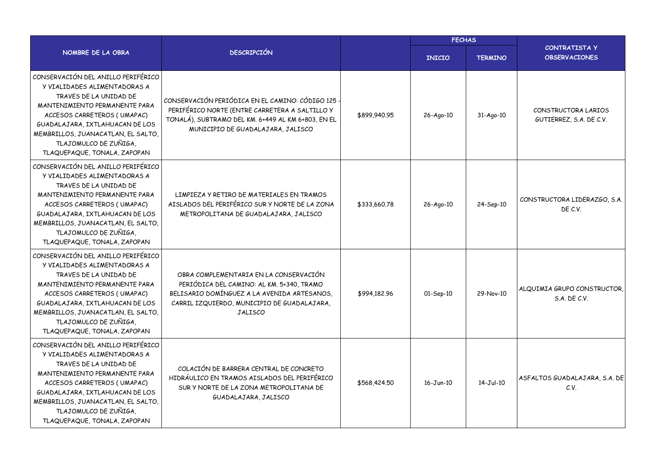|                                                                                                                                                                                                                                                                                                |                                                                                                                                                                                                     |              | <b>FECHAS</b> |                |                                                 |  |
|------------------------------------------------------------------------------------------------------------------------------------------------------------------------------------------------------------------------------------------------------------------------------------------------|-----------------------------------------------------------------------------------------------------------------------------------------------------------------------------------------------------|--------------|---------------|----------------|-------------------------------------------------|--|
| NOMBRE DE LA OBRA                                                                                                                                                                                                                                                                              | <b>DESCRIPCIÓN</b>                                                                                                                                                                                  |              | <b>INICIO</b> | <b>TERMINO</b> | <b>CONTRATISTA Y</b><br><b>OBSERVACIONES</b>    |  |
| CONSERVACIÓN DEL ANILLO PERIFÉRICO<br>Y VIALIDADES ALIMENTADORAS A<br>TRAVES DE LA UNIDAD DE<br>MANTENIMIENTO PERMANENTE PARA<br>ACCESOS CARRETEROS (UMAPAC)<br>GUADALAJARA, IXTLAHUACAN DE LOS<br>MEMBRILLOS, JUANACATLAN, EL SALTO,<br>TLAJOMULCO DE ZUÑIGA,<br>TLAQUEPAQUE, TONALA, ZAPOPAN | CONSERVACIÓN PERIÓDICA EN EL CAMINO: CÓDIGO 125<br>PERIFÉRICO NORTE (ENTRE CARRETERA A SALTILLO Y<br>TONALÁ), SUBTRAMO DEL KM. 6+449 AL KM 6+803, EN EL<br>MUNICIPIO DE GUADALAJARA, JALISCO        | \$899,940.95 | 26-Ago-10     | 31-Ago-10      | CONSTRUCTORA LARIOS<br>GUTIERREZ, S.A. DE C.V.  |  |
| CONSERVACIÓN DEL ANILLO PERIFÉRICO<br>Y VIALIDADES ALIMENTADORAS A<br>TRAVES DE LA UNIDAD DE<br>MANTENIMIENTO PERMANENTE PARA<br>ACCESOS CARRETEROS (UMAPAC)<br>GUADALAJARA, IXTLAHUACAN DE LOS<br>MEMBRILLOS, JUANACATLAN, EL SALTO,<br>TLAJOMULCO DE ZUÑIGA,<br>TLAQUEPAQUE, TONALA, ZAPOPAN | LIMPIEZA Y RETIRO DE MATERIALES EN TRAMOS<br>AISLADOS DEL PERIFÉRICO SUR Y NORTE DE LA ZONA<br>METROPOLITANA DE GUADALAJARA, JALISCO                                                                | \$333,660.78 | 26-Ago-10     | 24-Sep-10      | CONSTRUCTORA LIDERAZGO, S.A.<br>DE C.V.         |  |
| CONSERVACIÓN DEL ANILLO PERIFÉRICO<br>Y VIALIDADES ALIMENTADORAS A<br>TRAVES DE LA UNIDAD DE<br>MANTENIMIENTO PERMANENTE PARA<br>ACCESOS CARRETEROS (UMAPAC)<br>GUADALAJARA, IXTLAHUACAN DE LOS<br>MEMBRILLOS, JUANACATLAN, EL SALTO,<br>TLAJOMULCO DE ZUÑIGA,<br>TLAQUEPAQUE, TONALA, ZAPOPAN | OBRA COMPLEMENTARIA EN LA CONSERVACIÓN<br>PERIÓDICA DEL CAMINO: AL KM. 5+340, TRAMO<br>BELISARIO DOMÍNGUEZ A LA AVENIDA ARTESANOS,<br>CARRIL IZQUIERDO, MUNICIPIO DE GUADALAJARA,<br><b>JALISCO</b> | \$994,182,96 | 01-Sep-10     | 29-Nov-10      | ALQUIMIA GRUPO CONSTRUCTOR,<br>$S.A.$ DE $C.V.$ |  |
| CONSERVACIÓN DEL ANILLO PERIFÉRICO<br>Y VIALIDADES ALIMENTADORAS A<br>TRAVES DE LA UNIDAD DE<br>MANTENIMIENTO PERMANENTE PARA<br>ACCESOS CARRETEROS (UMAPAC)<br>GUADALAJARA, IXTLAHUACAN DE LOS<br>MEMBRILLOS, JUANACATLAN, EL SALTO,<br>TLAJOMULCO DE ZUÑIGA,<br>TLAQUEPAQUE, TONALA, ZAPOPAN | COLACIÓN DE BARRERA CENTRAL DE CONCRETO<br>HIDRÁULICO EN TRAMOS AISLADOS DEL PERIFÉRICO<br>SUR Y NORTE DE LA ZONA METROPOLITANA DE<br>GUADALAJARA, JALISCO                                          | \$568,424.50 | $16 - Jun-10$ | $14-Jul-10$    | ASFALTOS GUADALAJARA, S.A. DE<br>C.V.           |  |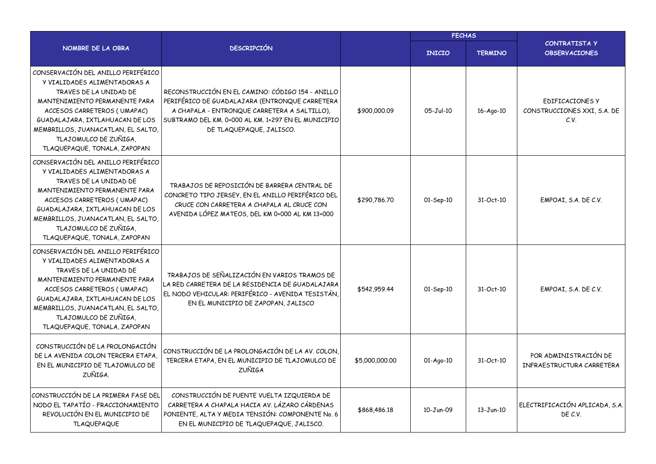|                                                                                                                                                                                                                                                                                                |                                                                                                                                                                                                                                       |                | <b>FECHAS</b>   |                |                                                        |  |
|------------------------------------------------------------------------------------------------------------------------------------------------------------------------------------------------------------------------------------------------------------------------------------------------|---------------------------------------------------------------------------------------------------------------------------------------------------------------------------------------------------------------------------------------|----------------|-----------------|----------------|--------------------------------------------------------|--|
| NOMBRE DE LA OBRA                                                                                                                                                                                                                                                                              | <b>DESCRIPCIÓN</b>                                                                                                                                                                                                                    |                | <b>INICIO</b>   | <b>TERMINO</b> | CONTRATISTA Y<br><b>OBSERVACIONES</b>                  |  |
| CONSERVACIÓN DEL ANILLO PERIFÉRICO<br>Y VIALIDADES ALIMENTADORAS A<br>TRAVES DE LA UNIDAD DE<br>MANTENIMIENTO PERMANENTE PARA<br>ACCESOS CARRETEROS (UMAPAC)<br>GUADALAJARA, IXTLAHUACAN DE LOS<br>MEMBRILLOS, JUANACATLAN, EL SALTO,<br>TLAJOMULCO DE ZUÑIGA,<br>TLAQUEPAQUE, TONALA, ZAPOPAN | RECONSTRUCCIÓN EN EL CAMINO: CÓDIGO 154 - ANILLO<br>PERIFÉRICO DE GUADALAJARA (ENTRONQUE CARRETERA<br>A CHAPALA - ENTRONQUE CARRETERA A SALTILLO).<br>SUBTRAMO DEL KM. 0+000 AL KM. 1+297 EN EL MUNICIPIO<br>DE TLAQUEPAQUE, JALISCO. | \$900,000.09   | $05-Jul-10$     | 16-Ago-10      | EDIFICACIONES Y<br>CONSTRUCCIONES XXI, S.A. DE<br>C.V. |  |
| CONSERVACIÓN DEL ANILLO PERIFÉRICO<br>Y VIALIDADES ALIMENTADORAS A<br>TRAVES DE LA UNIDAD DE<br>MANTENIMIENTO PERMANENTE PARA<br>ACCESOS CARRETEROS (UMAPAC)<br>GUADALAJARA, IXTLAHUACAN DE LOS<br>MEMBRILLOS, JUANACATLAN, EL SALTO,<br>TLAJOMULCO DE ZUÑIGA,<br>TLAQUEPAQUE, TONALA, ZAPOPAN | TRABAJOS DE REPOSICIÓN DE BARRERA CENTRAL DE<br>CONCRETO TIPO JERSEY, EN EL ANILLO PERIFÉRICO DEL<br>CRUCE CON CARRETERA A CHAPALA AL CRUCE CON<br>AVENIDA LÓPEZ MATEOS, DEL KM 0+000 AL KM 13+000                                    | \$290,786.70   | 01-Sep-10       | 31-Oct-10      | EMPOAI, S.A. DE C.V.                                   |  |
| CONSERVACIÓN DEL ANILLO PERIFÉRICO<br>Y VIALIDADES ALIMENTADORAS A<br>TRAVES DE LA UNIDAD DE<br>MANTENIMIENTO PERMANENTE PARA<br>ACCESOS CARRETEROS (UMAPAC)<br>GUADALAJARA, IXTLAHUACAN DE LOS<br>MEMBRILLOS, JUANACATLAN, EL SALTO,<br>TLAJOMULCO DE ZUÑIGA,<br>TLAQUEPAQUE, TONALA, ZAPOPAN | TRABAJOS DE SEÑALIZACIÓN EN VARIOS TRAMOS DE<br>LA RED CARRETERA DE LA RESIDENCIA DE GUADALAJARA<br>EL NODO VEHICULAR: PERIFÉRICO - AVENIDA TESISTÁN,<br>EN EL MUNICIPIO DE ZAPOPAN, JALISCO                                          | \$542,959.44   | $01-$ Sep $-10$ | 31-Oct-10      | EMPOAI, S.A. DE C.V.                                   |  |
| CONSTRUCCIÓN DE LA PROLONGACIÓN<br>DE LA AVENIDA COLON TERCERA ETAPA,<br>EN EL MUNICIPIO DE TLAJOMULCO DE<br>ZUÑIGA.                                                                                                                                                                           | CONSTRUCCIÓN DE LA PROLONGACIÓN DE LA AV. COLON,<br>TERCERA ETAPA, EN EL MUNICIPIO DE TLAJOMULCO DE<br><b>ZUÑIGA</b>                                                                                                                  | \$5,000,000.00 | $01-Ago-10$     | 31-Oct-10      | POR ADMINISTRACIÓN DE<br>INFRAESTRUCTURA CARRETERA     |  |
| CONSTRUCCIÓN DE LA PRIMERA FASE DEL<br>NODO EL TAPATÍO - FRACCIONAMIENTO<br>REVOLUCIÓN EN EL MUNICIPIO DE<br><b>TLAQUEPAQUE</b>                                                                                                                                                                | CONSTRUCCIÓN DE PUENTE VUELTA IZQUIERDA DE<br>CARRETERA A CHAPALA HACIA AV. LÁZARO CÁRDENAS<br>PONIENTE, ALTA Y MEDIA TENSIÓN: COMPONENTE No. 6<br>EN EL MUNICIPIO DE TLAQUEPAQUE, JALISCO.                                           | \$868,486.18   | 10-Jun-09       | $13 - Jun-10$  | ELECTRIFICACIÓN APLICADA, S.A.<br>DE C.V.              |  |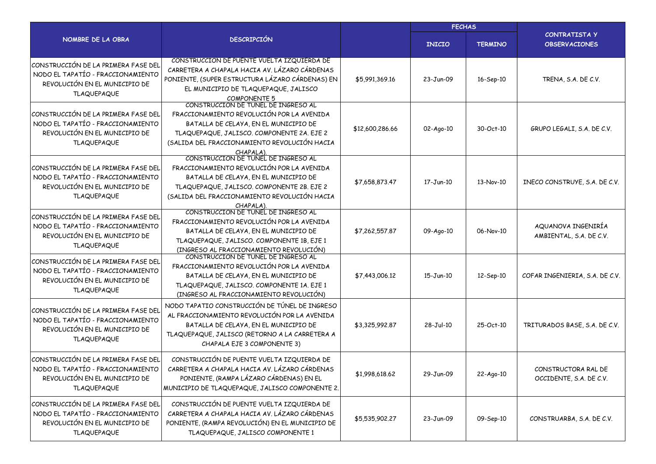|                                                                                                                                 |                                                                                                                                                                                                                                                                                          |                 | <b>FECHAS</b>   |                |                                                |  |
|---------------------------------------------------------------------------------------------------------------------------------|------------------------------------------------------------------------------------------------------------------------------------------------------------------------------------------------------------------------------------------------------------------------------------------|-----------------|-----------------|----------------|------------------------------------------------|--|
| NOMBRE DE LA OBRA                                                                                                               | <b>DESCRIPCIÓN</b>                                                                                                                                                                                                                                                                       |                 | <b>INICIO</b>   | <b>TERMINO</b> | <b>CONTRATISTA Y</b><br><b>OBSERVACIONES</b>   |  |
| CONSTRUCCIÓN DE LA PRIMERA FASE DEL<br>NODO EL TAPATÍO - FRACCIONAMIENTO<br>REVOLUCIÓN EN EL MUNICIPIO DE<br><b>TLAQUEPAQUE</b> | CONSTRUCCIÓN DE PUENTE VUELTA IZQUIERDA DE<br>CARRETERA A CHAPALA HACIA AV. LÁZARO CÁRDENAS<br>PONIENTE, (SUPER ESTRUCTURA LÁZARO CÁRDENAS) EN<br>EL MUNICIPIO DE TLAQUEPAQUE, JALISCO<br><b>COMPONENTE 5</b>                                                                            | \$5,991,369.16  | 23-Jun-09       | 16-Sep-10      | TRENA, S.A. DE C.V.                            |  |
| CONSTRUCCIÓN DE LA PRIMERA FASE DEL<br>NODO EL TAPATÍO - FRACCIONAMIENTO<br>REVOLUCIÓN EN EL MUNICIPIO DE<br><b>TLAQUEPAQUE</b> | CONSTRUCCIÓN DE TUNEL DE INGRESO AL<br>FRACCIONAMIENTO REVOLUCIÓN POR LA AVENIDA<br>BATALLA DE CELAYA, EN EL MUNICIPIO DE<br>TLAQUEPAQUE, JALISCO. COMPONENTE 2A. EJE 2<br>(SALIDA DEL FRACCIONAMIENTO REVOLUCIÓN HACIA                                                                  | \$12,600,286.66 | $02 - Aqo - 10$ | 30-Oct-10      | GRUPO LEGALI, S.A. DE C.V.                     |  |
| CONSTRUCCIÓN DE LA PRIMERA FASE DEL<br>NODO EL TAPATÍO - FRACCIONAMIENTO<br>REVOLUCIÓN EN EL MUNICIPIO DE<br><b>TLAQUEPAQUE</b> | CHAPALA).<br>CONSTRUCCIÓN DE TÚNEL DE INGRESO AL<br>FRACCIONAMIENTO REVOLUCIÓN POR LA AVENIDA<br>BATALLA DE CELAYA, EN EL MUNICIPIO DE<br>TLAQUEPAQUE, JALISCO. COMPONENTE 2B. EJE 2<br>(SALIDA DEL FRACCIONAMIENTO REVOLUCIÓN HACIA<br>CHAPALA).<br>CONSTRUCCIÓN DE TÚNEL DE INGRESO AL | \$7,658,873.47  | 17-Jun-10       | 13-Nov-10      | INECO CONSTRUYE, S.A. DE C.V.                  |  |
| CONSTRUCCIÓN DE LA PRIMERA FASE DEL<br>NODO EL TAPATÍO - FRACCIONAMIENTO<br>REVOLUCIÓN EN EL MUNICIPIO DE<br><b>TLAQUEPAQUE</b> | FRACCIONAMIENTO REVOLUCIÓN POR LA AVENIDA<br>BATALLA DE CELAYA, EN EL MUNICIPIO DE<br>TLAQUEPAQUE, JALISCO. COMPONENTE 1B, EJE 1<br>(INGRESO AL FRACCIONAMIENTO REVOLUCIÓN)<br>CONSTRUCCION DE TUNEL DE INGRESO AL                                                                       | \$7,262,557.87  | 09-Ago-10       | 06-Nov-10      | AQUANOVA INGENIRÍA<br>AMBIENTAL, S.A. DE C.V.  |  |
| CONSTRUCCIÓN DE LA PRIMERA FASE DEL<br>NODO EL TAPATÍO - FRACCIONAMIENTO<br>REVOLUCIÓN EN EL MUNICIPIO DE<br><b>TLAQUEPAQUE</b> | FRACCIONAMIENTO REVOLUCIÓN POR LA AVENIDA<br>BATALLA DE CELAYA, EN EL MUNICIPIO DE<br>TLAQUEPAQUE, JALISCO. COMPONENTE 1A. EJE 1<br>(INGRESO AL FRACCIONAMIENTO REVOLUCIÓN)                                                                                                              | \$7,443,006.12  | 15-Jun-10       | 12-Sep-10      | COFAR INGENIERIA, S.A. DE C.V.                 |  |
| CONSTRUCCIÓN DE LA PRIMERA FASE DEL<br>NODO EL TAPATÍO - FRACCIONAMIENTO<br>REVOLUCIÓN EN EL MUNICIPIO DE<br><b>TLAQUEPAQUE</b> | NODO TAPATIO CONSTRUCCIÓN DE TÚNEL DE INGRESO<br>AL FRACCIONAMIENTO REVOLUCIÓN POR LA AVENIDA<br>BATALLA DE CELAYA, EN EL MUNICIPIO DE<br>TLAQUEPAQUE, JALISCO (RETORNO A LA CARRETERA A<br>CHAPALA EJE 3 COMPONENTE 3)                                                                  | \$3,325,992.87  | 28-Jul-10       | 25-Oct-10      | TRITURADOS BASE, S.A. DE C.V.                  |  |
| CONSTRUCCIÓN DE LA PRIMERA FASE DEL<br>NODO EL TAPATÍO - FRACCIONAMIENTO<br>REVOLUCIÓN EN EL MUNICIPIO DE<br><b>TLAQUEPAQUE</b> | CONSTRUCCIÓN DE PUENTE VUELTA IZQUIERDA DE<br>CARRETERA A CHAPALA HACIA AV. LÁZARO CÁRDENAS<br>PONIENTE, (RAMPA LÁZARO CÁRDENAS) EN EL<br>MUNICIPIO DE TLAQUEPAQUE, JALISCO COMPONENTE 2.                                                                                                | \$1,998,618.62  | 29-Jun-09       | 22-Ago-10      | CONSTRUCTORA RAL DE<br>OCCIDENTE, S.A. DE C.V. |  |
| CONSTRUCCIÓN DE LA PRIMERA FASE DEL<br>NODO EL TAPATÍO - FRACCIONAMIENTO<br>REVOLUCIÓN EN EL MUNICIPIO DE<br><b>TLAQUEPAQUE</b> | CONSTRUCCIÓN DE PUENTE VUELTA IZQUIERDA DE<br>CARRETERA A CHAPALA HACIA AV. LÁZARO CÁRDENAS<br>PONIENTE, (RAMPA REVOLUCIÓN) EN EL MUNICIPIO DE<br>TLAQUEPAQUE, JALISCO COMPONENTE 1                                                                                                      | \$5,535,902.27  | 23-Jun-09       | 09-Sep-10      | CONSTRUARBA, S.A. DE C.V.                      |  |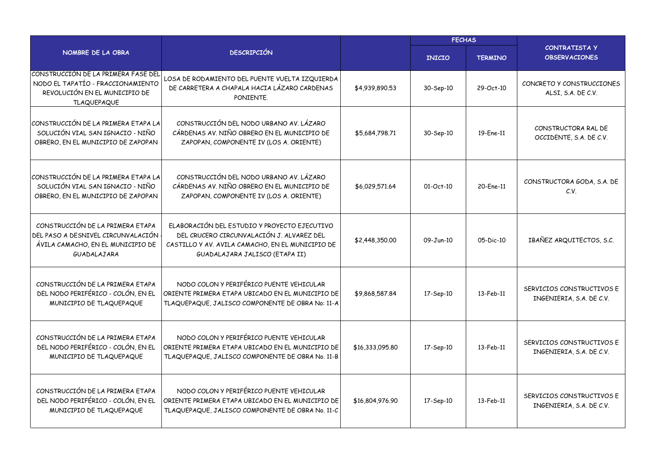|                                                                                                                                 |                                                                                                                                                                                 |                 | <b>FECHAS</b>   |                |                                                       |
|---------------------------------------------------------------------------------------------------------------------------------|---------------------------------------------------------------------------------------------------------------------------------------------------------------------------------|-----------------|-----------------|----------------|-------------------------------------------------------|
| NOMBRE DE LA OBRA                                                                                                               | <b>DESCRIPCIÓN</b>                                                                                                                                                              |                 | <b>INICIO</b>   | <b>TERMINO</b> | <b>CONTRATISTA Y</b><br><b>OBSERVACIONES</b>          |
| CONSTRUCCIÓN DE LA PRIMERA FASE DEL<br>NODO EL TAPATÍO - FRACCIONAMIENTO<br>REVOLUCIÓN EN EL MUNICIPIO DE<br><b>TLAQUEPAQUE</b> | LOSA DE RODAMIENTO DEL PUENTE VUELTA IZQUIERDA<br>DE CARRETERA A CHAPALA HACIA LÁZARO CARDENAS<br>PONIENTE.                                                                     | \$4,939,890.53  | 30-Sep-10       | 29-Oct-10      | CONCRETO Y CONSTRUCCIONES<br>ALSI, S.A. DE C.V.       |
| CONSTRUCCIÓN DE LA PRIMERA ETAPA LA<br>SOLUCIÓN VIAL SAN IGNACIO - NIÑO<br>OBRERO, EN EL MUNICIPIO DE ZAPOPAN                   | CONSTRUCCIÓN DEL NODO URBANO AV. LÁZARO<br>CÁRDENAS AV. NIÑO OBRERO EN EL MUNICIPIO DE<br>ZAPOPAN, COMPONENTE IV (LOS A. ORIENTE)                                               | \$5,684,798,71  | 30-Sep-10       | 19-Ene-11      | CONSTRUCTORA RAL DE<br>OCCIDENTE, S.A. DE C.V.        |
| CONSTRUCCIÓN DE LA PRIMERA ETAPA LA<br>SOLUCIÓN VIAL SAN IGNACIO - NIÑO<br>OBRERO, EN EL MUNICIPIO DE ZAPOPAN                   | CONSTRUCCIÓN DEL NODO URBANO AV. LÁZARO<br>CÁRDENAS AV. NIÑO OBRERO EN EL MUNICIPIO DE<br>ZAPOPAN, COMPONENTE IV (LOS A. ORIENTE)                                               | \$6,029,571.64  | $01 - Oct - 10$ | 20-Ene-11      | CONSTRUCTORA GODA, S.A. DE<br>C.V.                    |
| CONSTRUCCIÓN DE LA PRIMERA ETAPA<br>DEL PASO A DESNIVEL CIRCUNVALACIÓN<br>ÁVILA CAMACHO, EN EL MUNICIPIO DE<br>GUADALAJARA      | ELABORACIÓN DEL ESTUDIO Y PROYECTO EJECUTIVO<br>DEL CRUCERO CIRCUNVALACIÓN J. ALVAREZ DEL<br>CASTILLO Y AV. AVILA CAMACHO, EN EL MUNICIPIO DE<br>GUADALAJARA JALISCO (ETAPA II) | \$2,448,350.00  | 09-Jun-10       | 05-Dic-10      | IBAÑEZ ARQUITECTOS, S.C.                              |
| CONSTRUCCIÓN DE LA PRIMERA ETAPA<br>DEL NODO PERIFÉRICO - COLÓN, EN EL<br>MUNICIPIO DE TLAQUEPAQUE                              | NODO COLON Y PERIFÉRICO PUENTE VEHICULAR<br>ORIENTE PRIMERA ETAPA UBICADO EN EL MUNICIPIO DE<br>TLAQUEPAQUE, JALISCO COMPONENTE DE OBRA No: 11-A                                | \$9,868,587.84  | 17-Sep-10       | 13-Feb-11      | SERVICIOS CONSTRUCTIVOS E<br>INGENIERIA, S.A. DE C.V. |
| CONSTRUCCIÓN DE LA PRIMERA ETAPA<br>DEL NODO PERIFÉRICO - COLÓN, EN EL<br>MUNICIPIO DE TLAQUEPAQUE                              | NODO COLON Y PERIFÉRICO PUENTE VEHICULAR<br>ORIENTE PRIMERA ETAPA UBICADO EN EL MUNICIPIO DE<br>TLAQUEPAQUE, JALISCO COMPONENTE DE OBRA No. 11-B                                | \$16,333,095.80 | 17-Sep-10       | 13-Feb-11      | SERVICIOS CONSTRUCTIVOS E<br>INGENIERIA, S.A. DE C.V. |
| CONSTRUCCIÓN DE LA PRIMERA ETAPA<br>DEL NODO PERIFÉRICO - COLÓN, EN EL<br>MUNICIPIO DE TLAQUEPAQUE                              | NODO COLON Y PERIFÉRICO PUENTE VEHICULAR<br>ORIENTE PRIMERA ETAPA UBICADO EN EL MUNICIPIO DE<br>TLAQUEPAQUE, JALISCO COMPONENTE DE OBRA No. 11-C                                | \$16,804,976.90 | 17-Sep-10       | 13-Feb-11      | SERVICIOS CONSTRUCTIVOS E<br>INGENIERIA, S.A. DE C.V. |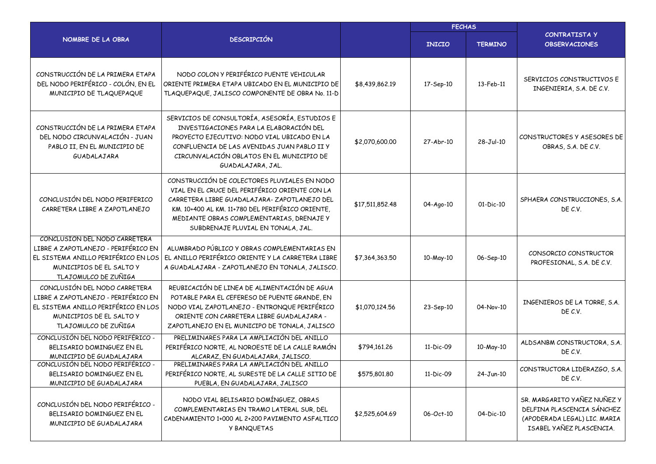|                                                                                                                                                                 |                                                                                                                                                                                                                                                                                      |                 | <b>FECHAS</b> |                |                                                                                                                       |  |
|-----------------------------------------------------------------------------------------------------------------------------------------------------------------|--------------------------------------------------------------------------------------------------------------------------------------------------------------------------------------------------------------------------------------------------------------------------------------|-----------------|---------------|----------------|-----------------------------------------------------------------------------------------------------------------------|--|
| NOMBRE DE LA OBRA                                                                                                                                               | <b>DESCRIPCIÓN</b>                                                                                                                                                                                                                                                                   |                 | <b>INICIO</b> | <b>TERMINO</b> | CONTRATISTA Y<br><b>OBSERVACIONES</b>                                                                                 |  |
| CONSTRUCCIÓN DE LA PRIMERA ETAPA<br>DEL NODO PERIFÉRICO - COLÓN, EN EL<br>MUNICIPIO DE TLAQUEPAQUE                                                              | NODO COLON Y PERIFÉRICO PUENTE VEHICULAR<br>ORIENTE PRIMERA ETAPA UBICADO EN EL MUNICIPIO DE<br>TLAQUEPAQUE, JALISCO COMPONENTE DE OBRA No. 11-D                                                                                                                                     | \$8,439,862.19  | 17-Sep-10     | 13-Feb-11      | SERVICIOS CONSTRUCTIVOS E<br>INGENIERIA, S.A. DE C.V.                                                                 |  |
| CONSTRUCCIÓN DE LA PRIMERA ETAPA<br>DEL NODO CIRCUNVALACIÓN - JUAN<br>PABLO II, EN EL MUNICIPIO DE<br>GUADALAJARA                                               | SERVICIOS DE CONSULTORÍA, ASESORÍA, ESTUDIOS E<br>INVESTIGACIONES PARA LA ELABORACIÓN DEL<br>PROYECTO EJECUTIVO: NODO VIAL UBICADO EN LA<br>CONFLUENCIA DE LAS AVENIDAS JUAN PABLO II Y<br>CIRCUNVALACIÓN OBLATOS EN EL MUNICIPIO DE<br>GUADALAJARA, JAL.                            | \$2,070,600.00  | 27-Abr-10     | 28-Jul-10      | CONSTRUCTORES Y ASESORES DE<br>OBRAS, S.A. DE C.V.                                                                    |  |
| CONCLUSIÓN DEL NODO PERIFERICO<br>CARRETERA LIBRE A ZAPOTLANEJO                                                                                                 | CONSTRUCCIÓN DE COLECTORES PLUVIALES EN NODO<br>VIAL EN EL CRUCE DEL PERIFÉRICO ORIENTE CON LA<br>CARRETERA LIBRE GUADALAJARA-ZAPOTLANEJO DEL<br>KM. 10+400 AL KM. 11+780 DEL PERIFÉRICO ORIENTE,<br>MEDIANTE OBRAS COMPLEMENTARIAS, DRENAJE Y<br>SUBDRENAJE PLUVIAL EN TONALA, JAL. | \$17,511,852,48 | 04-Ago-10     | $01-Dic-10$    | SPHAERA CONSTRUCCIONES, S.A.<br>DE C.V.                                                                               |  |
| CONCLUSIÓN DEL NODO CARRETERA<br>LIBRE A ZAPOTLANEJO - PERIFÉRICO EN<br>EL SISTEMA ANILLO PERIFÉRICO EN LOS<br>MUNICIPIOS DE EL SALTO Y<br>TLAJOMULCO DE ZUÑIGA | ALUMBRADO PÚBLICO Y OBRAS COMPLEMENTARIAS EN<br>EL ANILLO PERIFÉRICO ORIENTE Y LA CARRETERA LIBRE<br>A GUADALAJARA - ZAPOTLANEJO EN TONALA, JALISCO.                                                                                                                                 | \$7,364,363.50  | 10-May-10     | 06-Sep-10      | CONSORCIO CONSTRUCTOR<br>PROFESIONAL, S.A. DE C.V.                                                                    |  |
| CONCLUSIÓN DEL NODO CARRETERA<br>LIBRE A ZAPOTLANEJO - PERIFÉRICO EN<br>EL SISTEMA ANILLO PERIFÉRICO EN LOS<br>MUNICIPIOS DE EL SALTO Y<br>TLAJOMULCO DE ZUÑIGA | REUBICACIÓN DE LINEA DE ALIMENTACIÓN DE AGUA<br>POTABLE PARA EL CEFERESO DE PUENTE GRANDE, EN<br>NODO VIAL ZAPOTLANEJO - ENTRONQUE PERIFÉRICO<br>ORIENTE CON CARRETERA LIBRE GUADALAJARA -<br>ZAPOTLANEJO EN EL MUNICIPO DE TONALA, JALISCO                                          | \$1,070,124.56  | 23-Sep-10     | 04-Nov-10      | INGENIEROS DE LA TORRE, S.A.<br>DE C.V.                                                                               |  |
| CONCLUSIÓN DEL NODO PERIFERICO -<br>BELISARIO DOMINGUEZ EN EL<br>MUNICIPIO DE GUADALAJARA                                                                       | PRELIMINARES PARA LA AMPLIACIÓN DEL ANILLO<br>PERIFÉRICO NORTE, AL NOROESTE DE LA CALLE RAMÓN<br>ALCARAZ, EN GUADALAJARA, JALISCO.                                                                                                                                                   | \$794,161,26    | 11-Dic-09     | 10-May-10      | ALDSANBM CONSTRUCTORA, S.A.<br>DE C.V.                                                                                |  |
| CONCLUSIÓN DEL NODO PERIFÉRICO -<br>BELISARIO DOMINGUEZ EN EL<br>MUNICIPIO DE GUADALAJARA                                                                       | PRELIMINARES PARA LA AMPLIACIÓN DEL ANILLO<br>PERIFERICO NORTE, AL SURESTE DE LA CALLE SITIO DE<br>PUEBLA, EN GUADALAJARA, JALISCO                                                                                                                                                   | \$575,801.80    | 11-Dic-09     | $24 - Jun-10$  | CONSTRUCTORA LIDERAZGO, S.A.<br>DE C.V.                                                                               |  |
| CONCLUSIÓN DEL NODO PERIFÉRICO -<br>BELISARIO DOMINGUEZ EN EL<br>MUNICIPIO DE GUADALAJARA                                                                       | NODO VIAL BELISARIO DOMÍNGUEZ, OBRAS<br>COMPLEMENTARIAS EN TRAMO LATERAL SUR, DEL<br>CADENAMIENTO 1+000 AL 2+200 PAVIMENTO ASFALTICO<br>Y BANQUETAS                                                                                                                                  | \$2,525,604.69  | 06-Oct-10     | 04-Dic-10      | SR. MARGARITO YAÑEZ NUÑEZ Y<br>DELFINA PLASCENCIA SÁNCHEZ<br>(APODERADA LEGAL) LIC. MARIA<br>ISABEL YAÑEZ PLASCENCIA. |  |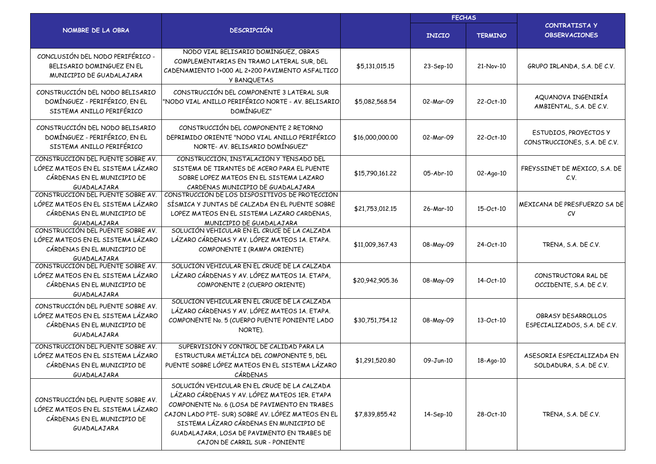|                                                                                                                      |                                                                                                                                                                                                                                                                                                                                 |                 | <b>FECHAS</b>    |                |                                                         |
|----------------------------------------------------------------------------------------------------------------------|---------------------------------------------------------------------------------------------------------------------------------------------------------------------------------------------------------------------------------------------------------------------------------------------------------------------------------|-----------------|------------------|----------------|---------------------------------------------------------|
| NOMBRE DE LA OBRA                                                                                                    | <b>DESCRIPCIÓN</b>                                                                                                                                                                                                                                                                                                              |                 | <b>INICIO</b>    | <b>TERMINO</b> | <b>CONTRATISTA Y</b><br><b>OBSERVACIONES</b>            |
| CONCLUSIÓN DEL NODO PERIFÉRICO -<br>BELISARIO DOMINGUEZ EN EL<br>MUNICIPIO DE GUADALAJARA                            | NODO VIAL BELISARIO DOMÍNGUEZ, OBRAS<br>COMPLEMENTARIAS EN TRAMO LATERAL SUR, DEL<br>CADENAMIENTO 1+000 AL 2+200 PAVIMENTO ASFALTICO<br>Y BANQUETAS                                                                                                                                                                             | \$5,131,015.15  | 23-Sep-10        | 21-Nov-10      | GRUPO IRLANDA, S.A. DE C.V.                             |
| CONSTRUCCIÓN DEL NODO BELISARIO<br>DOMÍNGUEZ - PERIFÉRICO, EN EL<br>SISTEMA ANILLO PERIFÉRICO                        | CONSTRUCCIÓN DEL COMPONENTE 3 LATERAL SUR<br>"NODO VIAL ANILLO PERIFÉRICO NORTE - AV. BELISARIO<br>DOMÍNGUEZ"                                                                                                                                                                                                                   | \$5,082,568.54  | 02-Mar-09        | 22-Oct-10      | AQUANOVA INGENIRÍA<br>AMBIENTAL, S.A. DE C.V.           |
| CONSTRUCCIÓN DEL NODO BELISARIO<br>DOMÍNGUEZ - PERIFÉRICO, EN EL<br>SISTEMA ANILLO PERIFÉRICO                        | CONSTRUCCIÓN DEL COMPONENTE 2 RETORNO<br>DEPRIMIDO ORIENTE "NODO VIAL ANILLO PERIFÉRICO<br>NORTE- AV. BELISARIO DOMÍNGUEZ"                                                                                                                                                                                                      | \$16,000,000.00 | 02-Mar-09        | 22-Oct-10      | ESTUDIOS, PROYECTOS Y<br>CONSTRUCCIONES, S.A. DE C.V.   |
| CONSTRUCCIÓN DEL PUENTE SOBRE AV.<br>LÓPEZ MATEOS EN EL SISTEMA LÁZARO<br>CÁRDENAS EN EL MUNICIPIO DE<br>GUADALAJARA | CONSTRUCCIÓN, INSTALACIÓN Y TENSADO DEL<br>SISTEMA DE TIRANTES DE ACERO PARA EL PUENTE<br>SOBRE LOPEZ MATEOS EN EL SISTEMA LAZARO<br>CARDENAS MUNICIPIO DE GUADALAJARA                                                                                                                                                          | \$15,790,161.22 | 05-Abr-10        | 02-Ago-10      | FREYSSINET DE MEXICO, S.A. DE<br>C.V.                   |
| CONSTRUCCIÓN DEL PUENTE SOBRE AV.<br>LÓPEZ MATEOS EN EL SISTEMA LÁZARO<br>CÁRDENAS EN EL MUNICIPIO DE<br>GUADALAJARA | CONSTRUCCIÓN DE LOS DISPOSITIVOS DE PROTECCIÓN<br>SÍSMICA Y JUNTAS DE CALZADA EN EL PUENTE SOBRE<br>LOPEZ MATEOS EN EL SISTEMA LAZARO CARDENAS,<br>MUNICIPIO DE GUADALAJARA                                                                                                                                                     | \$21,753,012.15 | <b>26-Mar-10</b> | 15-Oct-10      | MEXICANA DE PRESFUERZO SA DE<br>$\mathcal{C}\mathsf{V}$ |
| CONSTRUCCIÓN DEL PUENTE SOBRE AV.<br>LÓPEZ MATEOS EN EL SISTEMA LÁZARO<br>CÁRDENAS EN EL MUNICIPIO DE<br>GUADALAJARA | SOLUCIÓN VEHICULAR EN EL CRUCE DE LA CALZADA<br>LÁZARO CÁRDENAS Y AV. LÓPEZ MATEOS 1A. ETAPA.<br>COMPONENTE I (RAMPA ORIENTE)                                                                                                                                                                                                   | \$11,009,367.43 | 08-May-09        | 24-Oct-10      | TRENA, S.A. DE C.V.                                     |
| CONSTRUCCIÓN DEL PUENTE SOBRE AV.<br>LÓPEZ MATEOS EN EL SISTEMA LÁZARO<br>CÁRDENAS EN EL MUNICIPIO DE<br>GUADALAJARA | SOLUCIÓN VEHICULAR EN EL CRUCE DE LA CALZADA<br>LÁZARO CÁRDENAS Y AV. LÓPEZ MATEOS 1A. ETAPA,<br>COMPONENTE 2 (CUERPO ORIENTE)                                                                                                                                                                                                  | \$20,942,905.36 | 08-May-09        | 14-Oct-10      | CONSTRUCTORA RAL DE<br>OCCIDENTE, S.A. DE C.V.          |
| CONSTRUCCIÓN DEL PUENTE SOBRE AV.<br>LÓPEZ MATEOS EN EL SISTEMA LÁZARO<br>CÁRDENAS EN EL MUNICIPIO DE<br>GUADALAJARA | SOLUCIÓN VEHICULAR EN EL CRUCE DE LA CALZADA<br>LÁZARO CÁRDENAS Y AV. LÓPEZ MATEOS 1A. ETAPA.<br>COMPONENTE No. 5 (CUERPO PUENTE PONIENTE LADO<br>NORTE).                                                                                                                                                                       | \$30,751,754,12 | 08-May-09        | 13-Oct-10      | OBRASY DESARROLLOS<br>ESPECIALIZADOS, S.A. DE C.V.      |
| CONSTRUCCIÓN DEL PUENTE SOBRE AV.<br>LÓPEZ MATEOS EN EL SISTEMA LÁZARO<br>CÁRDENAS EN EL MUNICIPIO DE<br>GUADALAJARA | SUPERVISIÓN Y CONTROL DE CALIDAD PARA LA<br>ESTRUCTURA METÁLICA DEL COMPONENTE 5, DEL<br>PUENTE SOBRE LÓPEZ MATEOS EN EL SISTEMA LÁZARO<br>CÁRDENAS                                                                                                                                                                             | \$1,291,520.80  | 09-Jun-10        | 18-Ago-10      | ASESORIA ESPECIALIZADA EN<br>SOLDADURA, S.A. DE C.V.    |
| CONSTRUCCIÓN DEL PUENTE SOBRE AV.<br>LÓPEZ MATEOS EN EL SISTEMA LÁZARO<br>CÁRDENAS EN EL MUNICIPIO DE<br>GUADALAJARA | SOLUCIÓN VEHICULAR EN EL CRUCE DE LA CALZADA<br>LÁZARO CÁRDENAS Y AV. LÓPEZ MATEOS 1ER. ETAPA<br>COMPONENTE No. 6 (LOSA DE PAVIMENTO EN TRABES<br>CAJON LADO PTE- SUR) SOBRE AV. LÓPEZ MATEOS EN EL<br>SISTEMA LÁZARO CÁRDENAS EN MUNICIPIO DE<br>GUADALAJARA, LOSA DE PAVIMENTO EN TRABES DE<br>CAJON DE CARRIL SUR - PONIENTE | \$7,839,855.42  | 14-Sep-10        | 28-Oct-10      | TRENA, S.A. DE C.V.                                     |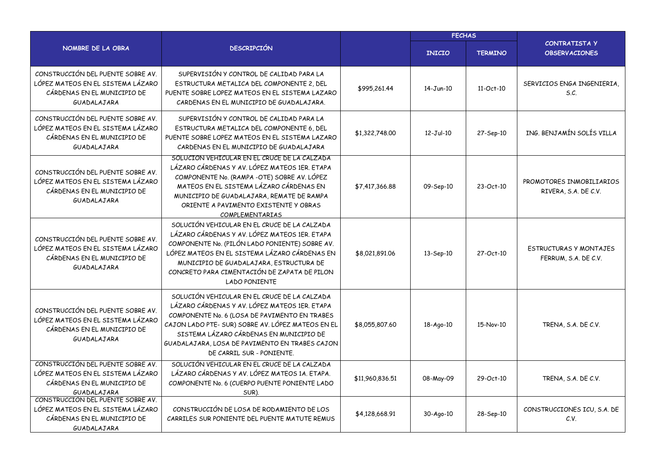|                                                                                                                      |                                                                                                                                                                                                                                                                                                                               |                 | <b>FECHAS</b>   |                |                                                       |  |
|----------------------------------------------------------------------------------------------------------------------|-------------------------------------------------------------------------------------------------------------------------------------------------------------------------------------------------------------------------------------------------------------------------------------------------------------------------------|-----------------|-----------------|----------------|-------------------------------------------------------|--|
| NOMBRE DE LA OBRA                                                                                                    | <b>DESCRIPCIÓN</b>                                                                                                                                                                                                                                                                                                            |                 | <b>INICIO</b>   | <b>TERMINO</b> | CONTRATISTA Y<br><b>OBSERVACIONES</b>                 |  |
| CONSTRUCCIÓN DEL PUENTE SOBRE AV<br>LÓPEZ MATEOS EN EL SISTEMA LÁZARO<br>CÁRDENAS EN EL MUNICIPIO DE<br>GUADALAJARA  | SUPERVISIÓN Y CONTROL DE CALIDAD PARA LA<br>ESTRUCTURA METALICA DEL COMPONENTE 2, DEL<br>PUENTE SOBRE LOPEZ MATEOS EN EL SISTEMA LAZARO<br>CARDENAS EN EL MUNICIPIO DE GUADALAJARA.                                                                                                                                           | \$995,261.44    | 14-Jun-10       | 11-Oct-10      | SERVICIOS ENGA INGENIERIA.<br>S.C.                    |  |
| CONSTRUCCIÓN DEL PUENTE SOBRE AV.<br>LÓPEZ MATEOS EN EL SISTEMA LÁZARO<br>CÁRDENAS EN EL MUNICIPIO DE<br>GUADALAJARA | SUPERVISIÓN Y CONTROL DE CALIDAD PARA LA<br>ESTRUCTURA METALICA DEL COMPONENTE 6, DEL<br>PUENTE SOBRE LOPEZ MATEOS EN EL SISTEMA LAZARO<br>CARDENAS EN EL MUNICIPIO DE GUADALAJARA                                                                                                                                            | \$1,322,748,00  | $12-Jul-10$     | 27-Sep-10      | ING. BENJAMÍN SOLÍS VILLA                             |  |
| CONSTRUCCIÓN DEL PUENTE SOBRE AV.<br>LÓPEZ MATEOS EN EL SISTEMA LÁZARO<br>CÁRDENAS EN EL MUNICIPIO DE<br>GUADALAJARA | SOLUCION VEHICULAR EN EL CRUCE DE LA CALZADA<br>LÁZARO CÁRDENAS Y AV. LÓPEZ MATEOS 1ER. ETAPA<br>COMPONENTE No. (RAMPA-OTE) SOBRE AV. LÓPEZ<br>MATEOS EN EL SISTEMA LÁZARO CÁRDENAS EN<br>MUNICIPIO DE GUADALAJARA, REMATE DE RAMPA<br>ORIENTE A PAVIMENTO EXISTENTE Y OBRAS<br><b>COMPLEMENTARIAS</b>                        | \$7,417,366,88  | 09-Sep-10       | 23-Oct-10      | PROMOTORES INMOBILIARIOS<br>RIVERA, S.A. DE C.V.      |  |
| CONSTRUCCIÓN DEL PUENTE SOBRE AV.<br>LÓPEZ MATEOS EN EL SISTEMA LÁZARO<br>CÁRDENAS EN EL MUNICIPIO DE<br>GUADALAJARA | SOLUCIÓN VEHICULAR EN EL CRUCE DE LA CALZADA<br>LÁZARO CÁRDENAS Y AV. LÓPEZ MATEOS 1ER. ETAPA<br>COMPONENTE No. (PILÓN LADO PONIENTE) SOBRE AV.<br>LÓPEZ MATEOS EN EL SISTEMA LÁZARO CÁRDENAS EN<br>MUNICIPIO DE GUADALAJARA, ESTRUCTURA DE<br>CONCRETO PARA CIMENTACIÓN DE ZAPATA DE PILON<br><b>LADO PONIENTE</b>           | \$8,021,891.06  | $13-Sep-10$     | 27-Oct-10      | <b>ESTRUCTURAS Y MONTAJES</b><br>FERRUM, S.A. DE C.V. |  |
| CONSTRUCCIÓN DEL PUENTE SOBRE AV.<br>LÓPEZ MATEOS EN EL SISTEMA LÁZARO<br>CÁRDENAS EN EL MUNICIPIO DE<br>GUADALAJARA | SOLUCIÓN VEHICULAR EN EL CRUCE DE LA CALZADA<br>LÁZARO CÁRDENAS Y AV. LÓPEZ MATEOS 1ER. ETAPA<br>COMPONENTE No. 6 (LOSA DE PAVIMENTO EN TRABES<br>CAJON LADO PTE- SUR) SOBRE AV. LÓPEZ MATEOS EN EL<br>SISTEMA LÁZARO CÁRDENAS EN MUNICIPIO DE<br>GUADALAJARA, LOSA DE PAVIMENTO EN TRABES CAJON<br>DE CARRIL SUR - PONIENTE. | \$8,055,807.60  | 18-Ago-10       | 15-Nov-10      | TRENA, S.A. DE C.V.                                   |  |
| CONSTRUCCIÓN DEL PUENTE SOBRE AV.<br>LÓPEZ MATEOS EN EL SISTEMA LÁZARO<br>CÁRDENAS EN EL MUNICIPIO DE<br>GUADALAJARA | SOLUCIÓN VEHICULAR EN EL CRUCE DE LA CALZADA<br>LÁZARO CÁRDENAS Y AV. LÓPEZ MATEOS 1A. ETAPA.<br>COMPONENTE No. 6 (CUERPO PUENTE PONIENTE LADO<br>SUR).                                                                                                                                                                       | \$11,960,836.51 | 08-May-09       | 29-Oct-10      | TRENA, S.A. DE C.V.                                   |  |
| CONSTRUCCIÓN DEL PUENTE SOBRE AV.<br>LÓPEZ MATEOS EN EL SISTEMA LÁZARO<br>CÁRDENAS EN EL MUNICIPIO DE<br>GUADALAJARA | CONSTRUCCIÓN DE LOSA DE RODAMIENTO DE LOS<br>CARRILES SUR PONIENTE DEL PUENTE MATUTE REMUS                                                                                                                                                                                                                                    | \$4,128,668.91  | $30 - Aqo - 10$ | 28-Sep-10      | CONSTRUCCIONES ICU, S.A. DE<br>C.V.                   |  |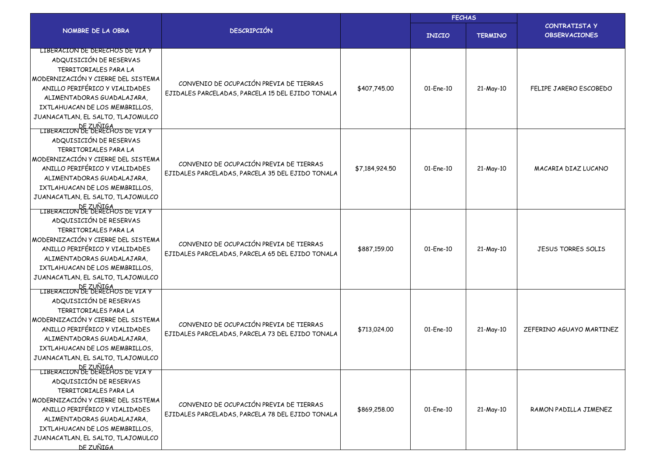|                                                                                                                                                                                                                                                                                                                  |                                                                                             |                | <b>FECHAS</b> |                |                                              |
|------------------------------------------------------------------------------------------------------------------------------------------------------------------------------------------------------------------------------------------------------------------------------------------------------------------|---------------------------------------------------------------------------------------------|----------------|---------------|----------------|----------------------------------------------|
| NOMBRE DE LA OBRA                                                                                                                                                                                                                                                                                                | <b>DESCRIPCIÓN</b>                                                                          |                | <b>INICIO</b> | <b>TERMINO</b> | <b>CONTRATISTA Y</b><br><b>OBSERVACIONES</b> |
| LIBERACION DE DERECHOS DE VIA Y<br>ADQUISICIÓN DE RESERVAS<br>TERRITORIALES PARA LA<br>MODERNIZACIÓN Y CIERRE DEL SISTEMA<br>ANILLO PERIFÉRICO Y VIALIDADES<br>ALIMENTADORAS GUADALAJARA.<br>IXTLAHUACAN DE LOS MEMBRILLOS,<br>JUANACATLAN, EL SALTO, TLAJOMULCO<br>DE ZUÑIGA<br>LIBERACION DE DERECHOS DE VIA Y | CONVENIO DE OCUPACIÓN PREVIA DE TIERRAS<br>EJIDALES PARCELADAS, PARCELA 15 DEL EJIDO TONALA | \$407,745.00   | $01$ -Ene-10  | 21-May-10      | FELIPE JARERO ESCOBEDO                       |
| ADQUISICIÓN DE RESERVAS<br>TERRITORIALES PARA LA<br>MODERNIZACIÓN Y CIERRE DEL SISTEMA<br>ANILLO PERIFÉRICO Y VIALIDADES<br>ALIMENTADORAS GUADALAJARA,<br>IXTLAHUACAN DE LOS MEMBRILLOS.<br>JUANACATLAN, EL SALTO, TLAJOMULCO<br>DE ZUÑIGA<br>LIBERACION DE DERECHOS DE VIA Y                                    | CONVENIO DE OCUPACIÓN PREVIA DE TIERRAS<br>EJIDALES PARCELADAS, PARCELA 35 DEL EJIDO TONALA | \$7,184,924.50 | 01-Ene-10     | 21-May-10      | MACARIA DIAZ LUCANO                          |
| ADQUISICIÓN DE RESERVAS<br>TERRITORIALES PARA LA<br>MODERNIZACIÓN Y CIERRE DEL SISTEMA<br>ANILLO PERIFÉRICO Y VIALIDADES<br>ALIMENTADORAS GUADALAJARA.<br>IXTLAHUACAN DE LOS MEMBRILLOS,<br>JUANACATLAN, EL SALTO, TLAJOMULCO<br>DE ZUÑIGA<br>LIBERACION DE DERECHOS DE VIA Y                                    | CONVENIO DE OCUPACIÓN PREVIA DE TIERRAS<br>EJIDALES PARCELADAS, PARCELA 65 DEL EJIDO TONALA | \$887,159.00   | 01-Ene-10     | 21-May-10      | <b>JESUS TORRES SOLIS</b>                    |
| ADQUISICIÓN DE RESERVAS<br>TERRITORIALES PARA LA<br>MODERNIZACIÓN Y CIERRE DEL SISTEMA<br>ANILLO PERIFÉRICO Y VIALIDADES<br>ALIMENTADORAS GUADALAJARA.<br>IXTLAHUACAN DE LOS MEMBRILLOS.<br>JUANACATLAN, EL SALTO, TLAJOMULCO<br>DE ZUÑIGA<br>LIBERACION DE DERECHOS DE VIA Y                                    | CONVENIO DE OCUPACIÓN PREVIA DE TIERRAS<br>EJIDALES PARCELADAS, PARCELA 73 DEL EJIDO TONALA | \$713,024.00   | 01-Ene-10     | 21-May-10      | ZEFERINO AGUAYO MARTINEZ                     |
| ADQUISICIÓN DE RESERVAS<br>TERRITORIALES PARA LA<br>MODERNIZACIÓN Y CIERRE DEL SISTEMA<br>ANILLO PERIFÉRICO Y VIALIDADES<br>ALIMENTADORAS GUADALAJARA,<br>IXTLAHUACAN DE LOS MEMBRILLOS,<br>JUANACATLAN, EL SALTO, TLAJOMULCO<br>DE ZUÑIGA                                                                       | CONVENIO DE OCUPACIÓN PREVIA DE TIERRAS<br>EJIDALES PARCELADAS, PARCELA 78 DEL EJIDO TONALA | \$869,258.00   | 01-Ene-10     | 21-May-10      | RAMON PADILLA JIMENEZ                        |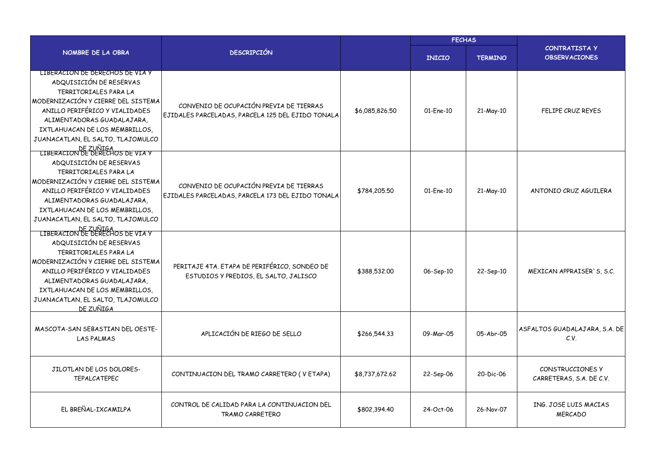|                                                                                                                                                                                                                                                                                                                  |                                                                                              |                | <b>FECHAS</b> |                |                                              |  |
|------------------------------------------------------------------------------------------------------------------------------------------------------------------------------------------------------------------------------------------------------------------------------------------------------------------|----------------------------------------------------------------------------------------------|----------------|---------------|----------------|----------------------------------------------|--|
| NOMBRE DE LA OBRA                                                                                                                                                                                                                                                                                                | <b>DESCRIPCIÓN</b>                                                                           |                | <b>INICIO</b> | <b>TERMINO</b> | <b>CONTRATISTA Y</b><br><b>OBSERVACIONES</b> |  |
| LIBERACION DE DERECHOS DE VIA Y<br>ADQUISICIÓN DE RESERVAS<br>TERRITORIALES PARA LA<br>MODERNIZACIÓN Y CIERRE DEL SISTEMA<br>ANILLO PERIFÉRICO Y VIALIDADES<br>ALIMENTADORAS GUADALAJARA.<br>IXTLAHUACAN DE LOS MEMBRILLOS,<br>JUANACATLAN, EL SALTO, TLAJOMULCO<br>DE ZUÑIGA<br>LIBERACION DE DERECHOS DE VIA Y | CONVENIO DE OCUPACIÓN PREVIA DE TIERRAS<br>EJIDALES PARCELADAS, PARCELA 125 DEL EJIDO TONALA | \$6,085,826,50 | 01-Ene-10     | 21-May-10      | <b>FELIPE CRUZ REYES</b>                     |  |
| ADQUISICIÓN DE RESERVAS<br>TERRITORIALES PARA LA<br>MODERNIZACIÓN Y CIERRE DEL SISTEMA<br>ANILLO PERIFÉRICO Y VIALIDADES<br>ALIMENTADORAS GUADALAJARA.<br>IXTLAHUACAN DE LOS MEMBRILLOS,<br>JUANACATLAN, EL SALTO, TLAJOMULCO<br>DE ZUÑIGA<br>LIBERACION DE DERECHOS DE VIA Y                                    | CONVENIO DE OCUPACIÓN PREVIA DE TIERRAS<br>EJIDALES PARCELADAS, PARCELA 173 DEL EJIDO TONALA | \$784,205.50   | 01-Ene-10     | 21-May-10      | ANTONIO CRUZ AGUILERA                        |  |
| ADQUISICIÓN DE RESERVAS<br>TERRITORIALES PARA LA<br>MODERNIZACIÓN Y CIERRE DEL SISTEMA<br>ANILLO PERIFÉRICO Y VIALIDADES<br>ALIMENTADORAS GUADALAJARA,<br>IXTLAHUACAN DE LOS MEMBRILLOS,<br>JUANACATLAN, EL SALTO, TLAJOMULCO<br>DE ZUÑIGA                                                                       | PERITAJE 4TA. ETAPA DE PERIFÉRICO, SONDEO DE<br>ESTUDIOS Y PREDIOS, EL SALTO, JALISCO        | \$388,532.00   | 06-Sep-10     | 22-Sep-10      | MEXICAN APPRAISER'S, S.C.                    |  |
| MASCOTA-SAN SEBASTIAN DEL OESTE-<br><b>LAS PALMAS</b>                                                                                                                                                                                                                                                            | APLICACIÓN DE RIEGO DE SELLO                                                                 | \$266,544.33   | 09-Mar-05     | 05-Abr-05      | ASFALTOS GUADALAJARA, S.A. DE<br>C.V.        |  |
| JILOTLAN DE LOS DOLORES-<br><b>TEPALCATEPEC</b>                                                                                                                                                                                                                                                                  | CONTINUACION DEL TRAMO CARRETERO (VETAPA)                                                    | \$8,737,672,62 | 22-Sep-06     | 20-Dic-06      | CONSTRUCCIONES Y<br>CARRETERAS, S.A. DE C.V. |  |
| EL BREÑAL-IXCAMILPA                                                                                                                                                                                                                                                                                              | CONTROL DE CALIDAD PARA LA CONTINUACION DEL<br><b>TRAMO CARRETERO</b>                        | \$802,394.40   | 24-Oct-06     | 26-Nov-07      | ING. JOSE LUIS MACIAS<br><b>MERCADO</b>      |  |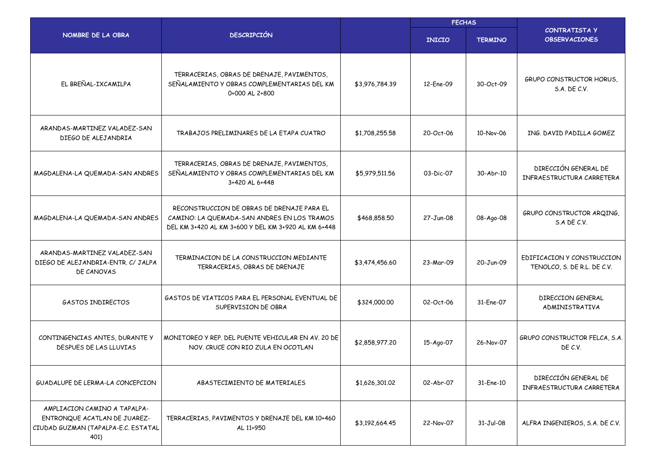|                                                                                                             |                                                                                                                                                  | <b>FECHAS</b>  |               |                |                                                           |
|-------------------------------------------------------------------------------------------------------------|--------------------------------------------------------------------------------------------------------------------------------------------------|----------------|---------------|----------------|-----------------------------------------------------------|
| NOMBRE DE LA OBRA                                                                                           | <b>DESCRIPCIÓN</b>                                                                                                                               |                | <b>INICIO</b> | <b>TERMINO</b> | <b>CONTRATISTA Y</b><br><b>OBSERVACIONES</b>              |
| EL BREÑAL-IXCAMILPA                                                                                         | TERRACERIAS, OBRAS DE DRENAJE, PAVIMENTOS,<br>SEÑALAMIENTO Y OBRAS COMPLEMENTARIAS DEL KM<br>0+000 AL 2+800                                      | \$3,976,784.39 | 12-Ene-09     | 30-Oct-09      | <b>GRUPO CONSTRUCTOR HORUS,</b><br><b>S.A. DE C.V.</b>    |
| ARANDAS-MARTINEZ VALADEZ-SAN<br>DIEGO DE ALEJANDRIA                                                         | TRABAJOS PRELIMINARES DE LA ETAPA CUATRO                                                                                                         | \$1,708,255.58 | 20-Oct-06     | 10-Nov-06      | ING. DAVID PADILLA GOMEZ                                  |
| MAGDALENA-LA QUEMADA-SAN ANDRES                                                                             | TERRACERIAS, OBRAS DE DRENAJE, PAVIMENTOS,<br>SEÑALAMIENTO Y OBRAS COMPLEMENTARIAS DEL KM<br>3+420 AL 6+448                                      | \$5,979,511.56 | 03-Dic-07     | 30-Abr-10      | DIRECCIÓN GENERAL DE<br>INFRAESTRUCTURA CARRETERA         |
| MAGDALENA-LA QUEMADA-SAN ANDRES                                                                             | RECONSTRUCCION DE OBRAS DE DRENAJE PARA EL<br>CAMINO: LA QUEMADA-SAN ANDRES EN LOS TRAMOS<br>DEL KM 3+420 AL KM 3+600 Y DEL KM 3+920 AL KM 6+448 | \$468,858.50   | 27-Jun-08     | 08-Ago-08      | GRUPO CONSTRUCTOR ARQING,<br>$S.A$ DE $C.V.$              |
| ARANDAS-MARTINEZ VALADEZ-SAN<br>DIEGO DE ALEJANDRIA-ENTR. C/ JALPA<br>DE CANOVAS                            | TERMINACION DE LA CONSTRUCCION MEDIANTE<br>TERRACERIAS, OBRAS DE DRENAJE                                                                         | \$3,474,456.60 | 23-Mar-09     | 20-Jun-09      | EDIFICACION Y CONSTRUCCION<br>TENOLCO, S. DE R.L. DE C.V. |
| GASTOS INDIRECTOS                                                                                           | GASTOS DE VIATICOS PARA EL PERSONAL EVENTUAL DE<br>SUPERVISION DE OBRA                                                                           | \$324,000.00   | 02-Oct-06     | 31-Ene-07      | DIRECCION GENERAL<br>ADMINISTRATIVA                       |
| CONTINGENCIAS ANTES, DURANTE Y<br>DESPUES DE LAS LLUVIAS                                                    | MONITOREO Y REP. DEL PUENTE VEHICULAR EN AV. 20 DE<br>NOV. CRUCE CON RIO ZULA EN OCOTLAN                                                         | \$2,858,977.20 | 15-Ago-07     | 26-Nov-07      | GRUPO CONSTRUCTOR FELCA, S.A.<br>DE C.V.                  |
| GUADALUPE DE LERMA-LA CONCEPCION                                                                            | ABASTECIMIENTO DE MATERIALES                                                                                                                     | \$1,626,301.02 | 02-Abr-07     | 31-Ene-10      | DIRECCIÓN GENERAL DE<br>INFRAESTRUCTURA CARRETERA         |
| AMPLIACION CAMINO A TAPALPA-<br>ENTRONQUE ACATLAN DE JUAREZ-<br>CIUDAD GUZMAN (TAPALPA-E.C. ESTATAL<br>401) | TERRACERIAS, PAVIMENTOS Y DRENAJE DEL KM 10+460<br>AL 11+950                                                                                     | \$3,192,664.45 | 22-Nov-07     | $31-Jul-08$    | ALFRA INGENIEROS, S.A. DE C.V.                            |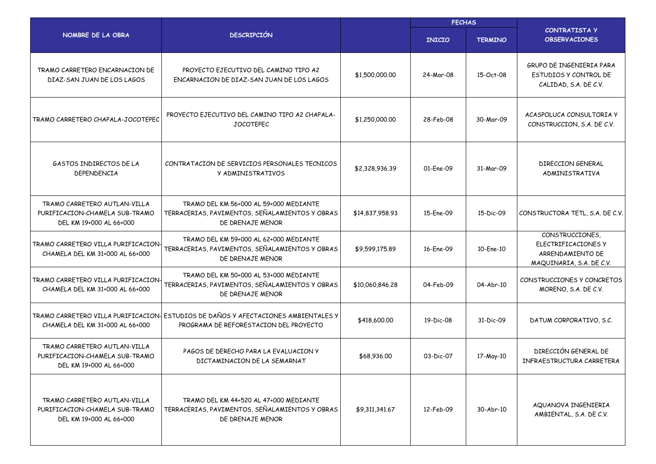|                                                                                           |                                                                                                                              |                 | <b>FECHAS</b> |                |                                                                                        |  |
|-------------------------------------------------------------------------------------------|------------------------------------------------------------------------------------------------------------------------------|-----------------|---------------|----------------|----------------------------------------------------------------------------------------|--|
| NOMBRE DE LA OBRA                                                                         | <b>DESCRIPCIÓN</b>                                                                                                           |                 | <b>INICIO</b> | <b>TERMINO</b> | <b>CONTRATISTA Y</b><br><b>OBSERVACIONES</b>                                           |  |
| TRAMO CARRETERO ENCARNACION DE<br>DIAZ-SAN JUAN DE LOS LAGOS                              | PROYECTO EJECUTIVO DEL CAMINO TIPO A2<br>ENCARNACION DE DIAZ-SAN JUAN DE LOS LAGOS                                           | \$1,500,000.00  | 24-Mar-08     | 15-Oct-08      | GRUPO DE INGENIERIA PARA<br>ESTUDIOS Y CONTROL DE<br>CALIDAD, S.A. DE C.V.             |  |
| TRAMO CARRETERO CHAPALA-JOCOTEPEC                                                         | PROYECTO EJECUTIVO DEL CAMINO TIPO A2 CHAPALA-<br><b>JOCOTFPFC</b>                                                           | \$1,250,000.00  | 28-Feb-08     | 30-Mar-09      | ACASPOLUCA CONSULTORIA Y<br>CONSTRUCCION, S.A. DE C.V.                                 |  |
| GASTOS INDIRECTOS DE LA<br>DEPENDENCIA                                                    | CONTRATACION DE SERVICIOS PERSONALES TECNICOS<br>Y ADMINISTRATIVOS                                                           | \$2,328,936.39  | 01-Ene-09     | 31-Mar-09      | DIRECCION GENERAL<br>ADMINISTRATIVA                                                    |  |
| TRAMO CARRETERO AUTLAN-VILLA<br>PURIFICACION-CHAMELA SUB-TRAMO<br>DEL KM 19+000 AL 66+000 | TRAMO DEL KM 56+000 AL 59+000 MEDIANTE<br>TERRACERIAS, PAVIMENTOS, SEÑALAMIENTOS Y OBRAS<br>DE DRENAJE MENOR                 | \$14,837,958.93 | 15-Ene-09     | 15-Dic-09      | CONSTRUCTORA TETL, S.A. DE C.V.                                                        |  |
| TRAMO CARRETERO VILLA PURIFICACION-<br>CHAMELA DEL KM 31+000 AL 66+000                    | TRAMO DEL KM 59+000 AL 62+000 MEDIANTE<br>TERRACERIAS, PAVIMENTOS, SEÑALAMIENTOS Y OBRAS<br>DE DRENAJE MENOR                 | \$9,599,175.89  | 16-Ene-09     | 10-Ene-10      | CONSTRUCCIONES,<br>ELECTRIFICACIONES Y<br>ARRENDAMIENTO DE<br>MAQUINARIA, S.A. DE C.V. |  |
| TRAMO CARRETERO VILLA PURIFICACION-<br>CHAMELA DEL KM 31+000 AL 66+000                    | TRAMO DEL KM 50+000 AL 53+000 MEDIANTE<br>TERRACERIAS, PAVIMENTOS, SEÑALAMIENTOS Y OBRAS<br>DE DRENAJE MENOR                 | \$10,060,846.28 | 04-Feb-09     | 04-Abr-10      | CONSTRUCCIONES Y CONCRETOS<br>MORENO, S.A. DE C.V.                                     |  |
| CHAMELA DEL KM 31+000 AL 66+000                                                           | TRAMO CARRETERO VILLA PURIFICACION- ESTUDIOS DE DAÑOS Y AFECTACIONES AMBIENTALES Y<br>PROGRAMA DE REFORESTACION DEL PROYECTO | \$418,600.00    | 19-Dic-08     | 31-Dic-09      | DATUM CORPORATIVO, S.C.                                                                |  |
| TRAMO CARRETERO AUTLAN-VILLA<br>PURIFICACION-CHAMELA SUB-TRAMO<br>DEL KM 19+000 AL 66+000 | PAGOS DE DERECHO PARA LA EVALUACION Y<br>DICTAMINACION DE LA SEMARNAT                                                        | \$68,936.00     | 03-Dic-07     | 17-May-10      | DIRECCIÓN GENERAL DE<br>INFRAESTRUCTURA CARRETERA                                      |  |
| TRAMO CARRETERO AUTLAN-VILLA<br>PURIFICACION-CHAMELA SUB-TRAMO<br>DEL KM 19+000 AL 66+000 | TRAMO DEL KM 44+520 AL 47+000 MEDIANTE<br>TERRACERIAS, PAVIMENTOS, SEÑALAMIENTOS Y OBRAS<br>DE DRENAJE MENOR                 | \$9,311,341.67  | 12-Feb-09     | 30-Abr-10      | AQUANOVA INGENIERIA<br>AMBIENTAL, S.A. DE C.V.                                         |  |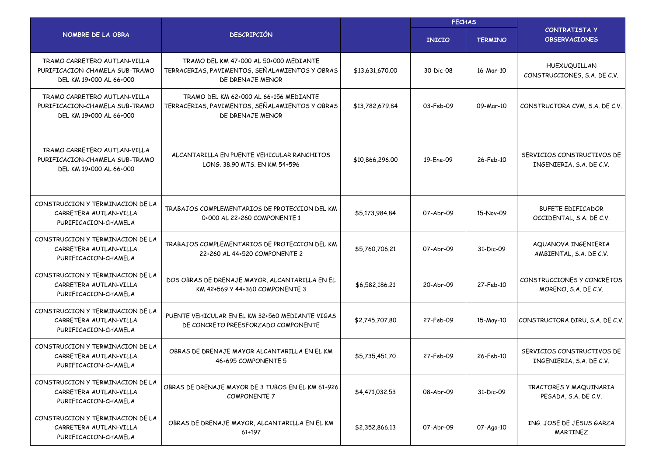|                                                                                           |                                                                                                              |                 | <b>FECHAS</b> |                |                                                        |  |
|-------------------------------------------------------------------------------------------|--------------------------------------------------------------------------------------------------------------|-----------------|---------------|----------------|--------------------------------------------------------|--|
| NOMBRE DE LA OBRA                                                                         | <b>DESCRIPCIÓN</b>                                                                                           |                 | <b>INICIO</b> | <b>TERMINO</b> | <b>CONTRATISTA Y</b><br><b>OBSERVACIONES</b>           |  |
| TRAMO CARRETERO AUTLAN-VILLA<br>PURIFICACION-CHAMELA SUB-TRAMO<br>DEL KM 19+000 AL 66+000 | TRAMO DEL KM 47+000 AL 50+000 MEDIANTE<br>TERRACERIAS, PAVIMENTOS, SEÑALAMIENTOS Y OBRAS<br>DE DRENAJE MENOR | \$13,631,670,00 | 30-Dic-08     | 16-Mar-10      | HUEXUQUILLAN<br>CONSTRUCCIONES, S.A. DE C.V.           |  |
| TRAMO CARRETERO AUTLAN-VILLA<br>PURIFICACION-CHAMELA SUB-TRAMO<br>DEL KM 19+000 AL 66+000 | TRAMO DEL KM 62+000 AL 66+156 MEDIANTE<br>TERRACERIAS, PAVIMENTOS, SEÑALAMIENTOS Y OBRAS<br>DE DRENAJE MENOR | \$13,782,679.84 | 03-Feb-09     | 09-Mar-10      | CONSTRUCTORA CVM, S.A. DE C.V.                         |  |
| TRAMO CARRETERO AUTLAN-VILLA<br>PURIFICACION-CHAMELA SUB-TRAMO<br>DEL KM 19+000 AL 66+000 | ALCANTARILLA EN PUENTE VEHICULAR RANCHITOS<br>LONG, 38.90 MTS, EN KM 54+596                                  | \$10,866,296.00 | 19-Ene-09     | 26-Feb-10      | SERVICIOS CONSTRUCTIVOS DE<br>INGENIERIA, S.A. DE C.V. |  |
| CONSTRUCCION Y TERMINACION DE LA<br>CARRETERA AUTLAN-VILLA<br>PURIFICACION-CHAMELA        | TRABAJOS COMPLEMENTARIOS DE PROTECCION DEL KM<br>0+000 AL 22+260 COMPONENTE 1                                | \$5,173,984.84  | 07-Abr-09     | 15-Nov-09      | <b>BUFETE EDIFICADOR</b><br>OCCIDENTAL, S.A. DE C.V.   |  |
| CONSTRUCCION Y TERMINACION DE LA<br>CARRETERA AUTLAN-VILLA<br>PURIFICACION-CHAMELA        | TRABAJOS COMPLEMENTARIOS DE PROTECCION DEL KM<br>22+260 AL 44+520 COMPONENTE 2                               | \$5,760,706.21  | 07-Abr-09     | 31-Dic-09      | AQUANOVA INGENIERIA<br>AMBIENTAL, S.A. DE C.V.         |  |
| CONSTRUCCION Y TERMINACION DE LA<br>CARRETERA AUTLAN-VILLA<br>PURIFICACION-CHAMELA        | DOS OBRAS DE DRENAJE MAYOR, ALCANTARILLA EN EL<br>KM 42+569 Y 44+360 COMPONENTE 3                            | \$6,582,186.21  | 20-Abr-09     | 27-Feb-10      | CONSTRUCCIONES Y CONCRETOS<br>MORENO, S.A. DE C.V.     |  |
| CONSTRUCCION Y TERMINACION DE LA<br>CARRETERA AUTLAN-VILLA<br>PURIFICACION-CHAMELA        | PUENTE VEHICULAR EN EL KM 32+560 MEDIANTE VIGAS<br>DE CONCRETO PREESFORZADO COMPONENTE                       | \$2,745,707.80  | 27-Feb-09     | 15-May-10      | CONSTRUCTORA DIRU, S.A. DE C.V.                        |  |
| CONSTRUCCION Y TERMINACION DE LA<br>CARRETERA AUTLAN-VILLA<br>PURIFICACION-CHAMELA        | OBRAS DE DRENAJE MAYOR ALCANTARILLA EN EL KM<br>46+695 COMPONENTE 5                                          | \$5,735,451.70  | 27-Feb-09     | 26-Feb-10      | SERVICIOS CONSTRUCTIVOS DE<br>INGENIERIA, S.A. DE C.V. |  |
| CONSTRUCCION Y TERMINACION DE LA<br>CARRETERA AUTLAN-VILLA<br>PURIFICACION-CHAMELA        | OBRAS DE DRENAJE MAYOR DE 3 TUBOS EN EL KM 61+926<br><b>COMPONENTE 7</b>                                     | \$4,471,032.53  | 08-Abr-09     | 31-Dic-09      | TRACTORES Y MAQUINARIA<br>PESADA, S.A. DE C.V.         |  |
| CONSTRUCCION Y TERMINACION DE LA<br>CARRETERA AUTLAN-VILLA<br>PURIFICACION-CHAMELA        | OBRAS DE DRENAJE MAYOR, ALCANTARILLA EN EL KM<br>61+197                                                      | \$2,352,866.13  | 07-Abr-09     | 07-Ago-10      | ING. JOSE DE JESUS GARZA<br>MARTINEZ                   |  |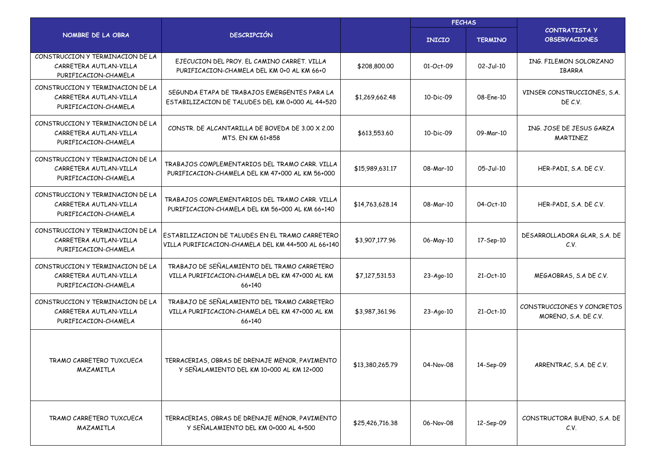|                                                                                    |                                                                                                         |                 | <b>FECHAS</b> |                |                                                    |  |
|------------------------------------------------------------------------------------|---------------------------------------------------------------------------------------------------------|-----------------|---------------|----------------|----------------------------------------------------|--|
| NOMBRE DE LA OBRA                                                                  | <b>DESCRIPCIÓN</b>                                                                                      |                 | <b>INICIO</b> | <b>TERMINO</b> | <b>CONTRATISTA Y</b><br><b>OBSERVACIONES</b>       |  |
| CONSTRUCCION Y TERMINACION DE LA<br>CARRETERA AUTLAN-VILLA<br>PURIFICACION-CHAMELA | EJECUCION DEL PROY, EL CAMINO CARRET, VILLA<br>PURIFICACION-CHAMELA DEL KM 0+0 AL KM 66+0               | \$208,800.00    | 01-Oct-09     | $02-Jul-10$    | ING. FILEMON SOLORZANO<br><b>IBARRA</b>            |  |
| CONSTRUCCION Y TERMINACION DE LA<br>CARRETERA AUTLAN-VILLA<br>PURIFICACION-CHAMELA | SEGUNDA ETAPA DE TRABAJOS EMERGENTES PARA LA<br>ESTABILIZACION DE TALUDES DEL KM 0+000 AL 44+520        | \$1,269,662.48  | 10-Dic-09     | 08-Ene-10      | VINSER CONSTRUCCIONES, S.A.<br>DE C.V.             |  |
| CONSTRUCCION Y TERMINACION DE LA<br>CARRETERA AUTLAN-VILLA<br>PURIFICACION-CHAMELA | CONSTR. DE ALCANTARILLA DE BOVEDA DE 3.00 X 2.00<br>MTS. EN KM 61+858                                   | \$613,553.60    | 10-Dic-09     | 09-Mar-10      | ING. JOSE DE JESUS GARZA<br>MARTINEZ               |  |
| CONSTRUCCION Y TERMINACION DE LA<br>CARRETERA AUTLAN-VILLA<br>PURIFICACION-CHAMELA | TRABAJOS COMPLEMENTARIOS DEL TRAMO CARR. VILLA<br>PURIFICACION-CHAMELA DEL KM 47+000 AL KM 56+000       | \$15,989,631.17 | 08-Mar-10     | 05-Jul-10      | HER-PADI, S.A. DE C.V.                             |  |
| CONSTRUCCION Y TERMINACION DE LA<br>CARRETERA AUTLAN-VILLA<br>PURIFICACION-CHAMELA | TRABAJOS COMPLEMENTARIOS DEL TRAMO CARR. VILLA<br>PURIFICACION-CHAMELA DEL KM 56+000 AL KM 66+140       | \$14,763,628.14 | 08-Mar-10     | 04-Oct-10      | HER-PADI, S.A. DE C.V.                             |  |
| CONSTRUCCION Y TERMINACION DE LA<br>CARRETERA AUTLAN-VILLA<br>PURIFICACION-CHAMELA | ESTABILIZACION DE TALUDES EN EL TRAMO CARRETERO<br>VILLA PURIFICACION-CHAMELA DEL KM 44+500 AL 66+140   | \$3,907,177.96  | 06-May-10     | 17-Sep-10      | DESARROLLADORA GLAR, S.A. DE<br>C.V.               |  |
| CONSTRUCCION Y TERMINACION DE LA<br>CARRETERA AUTLAN-VILLA<br>PURIFICACION-CHAMELA | TRABAJO DE SEÑALAMIENTO DEL TRAMO CARRETERO<br>VILLA PURIFICACION-CHAMELA DEL KM 47+000 AL KM<br>66+140 | \$7,127,531.53  | 23-Ago-10     | 21-Oct-10      | MEGAOBRAS, S.A DE C.V.                             |  |
| CONSTRUCCION Y TERMINACION DE LA<br>CARRETERA AUTLAN-VILLA<br>PURIFICACION-CHAMELA | TRABAJO DE SEÑALAMIENTO DEL TRAMO CARRETERO<br>VILLA PURIFICACION-CHAMELA DEL KM 47+000 AL KM<br>66+140 | \$3,987,361.96  | 23-Ago-10     | 21-Oct-10      | CONSTRUCCIONES Y CONCRETOS<br>MORENO, S.A. DE C.V. |  |
| TRAMO CARRETERO TUXCUECA<br>MAZAMITLA                                              | TERRACERIAS, OBRAS DE DRENAJE MENOR, PAVIMENTO<br>Y SEÑALAMIENTO DEL KM 10+000 AL KM 12+000             | \$13,380,265.79 | 04-Nov-08     | 14-Sep-09      | ARRENTRAC, S.A. DE C.V.                            |  |
| TRAMO CARRETERO TUXCUECA<br>MAZAMITLA                                              | TERRACERIAS, OBRAS DE DRENAJE MENOR, PAVIMENTO<br>Y SEÑALAMIENTO DEL KM 0+000 AL 4+500                  | \$25,426,716.38 | 06-Nov-08     | 12-Sep-09      | CONSTRUCTORA BUENO, S.A. DE<br>C.V.                |  |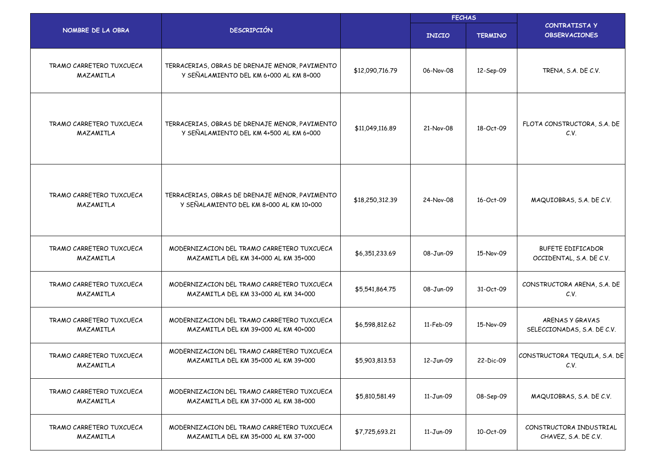|                                       |                                                                                            |                 | <b>FECHAS</b> |                |                                                      |
|---------------------------------------|--------------------------------------------------------------------------------------------|-----------------|---------------|----------------|------------------------------------------------------|
| NOMBRE DE LA OBRA                     | <b>DESCRIPCIÓN</b>                                                                         |                 | <b>INICIO</b> | <b>TERMINO</b> | CONTRATISTA Y<br><b>OBSERVACIONES</b>                |
| TRAMO CARRETERO TUXCUECA<br>MAZAMITLA | TERRACERIAS, OBRAS DE DRENAJE MENOR, PAVIMENTO<br>Y SEÑALAMIENTO DEL KM 6+000 AL KM 8+000  | \$12,090,716.79 | 06-Nov-08     | 12-Sep-09      | TRENA, S.A. DE C.V.                                  |
| TRAMO CARRETERO TUXCUECA<br>MAZAMITLA | TERRACERIAS, OBRAS DE DRENAJE MENOR, PAVIMENTO<br>Y SEÑALAMIENTO DEL KM 4+500 AL KM 6+000  | \$11,049,116.89 | 21-Nov-08     | 18-Oct-09      | FLOTA CONSTRUCTORA, S.A. DE<br>C.V.                  |
| TRAMO CARRETERO TUXCUECA<br>MAZAMITLA | TERRACERIAS, OBRAS DE DRENAJE MENOR, PAVIMENTO<br>Y SEÑALAMIENTO DEL KM 8+000 AL KM 10+000 | \$18,250,312.39 | 24-Nov-08     | 16-Oct-09      | MAQUIOBRAS, S.A. DE C.V.                             |
| TRAMO CARRETERO TUXCUECA<br>MAZAMITLA | MODERNIZACION DEL TRAMO CARRETERO TUXCUECA<br>MAZAMITLA DEL KM 34+000 AL KM 35+000         | \$6,351,233.69  | 08-Jun-09     | 15-Nov-09      | <b>BUFETE EDIFICADOR</b><br>OCCIDENTAL, S.A. DE C.V. |
| TRAMO CARRETERO TUXCUECA<br>MAZAMITLA | MODERNIZACION DEL TRAMO CARRETERO TUXCUECA<br>MAZAMITLA DEL KM 33+000 AL KM 34+000         | \$5,541,864.75  | 08-Jun-09     | 31-Oct-09      | CONSTRUCTORA ARENA, S.A. DE<br>C.V.                  |
| TRAMO CARRETERO TUXCUECA<br>MAZAMITLA | MODERNIZACION DEL TRAMO CARRETERO TUXCUECA<br>MAZAMITLA DEL KM 39+000 AL KM 40+000         | \$6,598,812.62  | 11-Feb-09     | 15-Nov-09      | ARENAS Y GRAVAS<br>SELECCIONADAS, S.A. DE C.V.       |
| TRAMO CARRETERO TUXCUECA<br>MAZAMITLA | MODERNIZACION DEL TRAMO CARRETERO TUXCUECA<br>MAZAMITLA DEL KM 35+000 AL KM 39+000         | \$5,903,813.53  | 12-Jun-09     | 22-Dic-09      | CONSTRUCTORA TEQUILA, S.A. DE<br>C.V.                |
| TRAMO CARRETERO TUXCUECA<br>MAZAMITLA | MODERNIZACION DEL TRAMO CARRETERO TUXCUECA<br>MAZAMITLA DEL KM 37+000 AL KM 38+000         | \$5,810,581.49  | 11-Jun-09     | 08-Sep-09      | MAQUIOBRAS, S.A. DE C.V.                             |
| TRAMO CARRETERO TUXCUECA<br>MAZAMITLA | MODERNIZACION DEL TRAMO CARRETERO TUXCUECA<br>MAZAMITLA DEL KM 35+000 AL KM 37+000         | \$7,725,693.21  | 11-Jun-09     | 10-Oct-09      | CONSTRUCTORA INDUSTRIAL<br>CHAVEZ, S.A. DE C.V.      |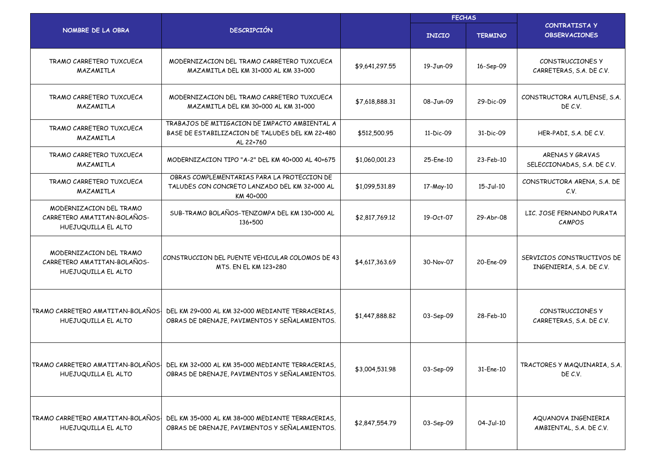|                                                                               |                                                                                                               |                | <b>FECHAS</b> |                |                                                        |  |
|-------------------------------------------------------------------------------|---------------------------------------------------------------------------------------------------------------|----------------|---------------|----------------|--------------------------------------------------------|--|
| NOMBRE DE LA OBRA                                                             | <b>DESCRIPCIÓN</b>                                                                                            |                | <b>INICIO</b> | <b>TERMINO</b> | <b>CONTRATISTA Y</b><br><b>OBSERVACIONES</b>           |  |
| TRAMO CARRETERO TUXCUECA<br>MAZAMITLA                                         | MODERNIZACION DEL TRAMO CARRETERO TUXCUECA<br>MAZAMITLA DEL KM 31+000 AL KM 33+000                            | \$9,641,297.55 | 19-Jun-09     | 16-Sep-09      | CONSTRUCCIONES Y<br>CARRETERAS, S.A. DE C.V.           |  |
| TRAMO CARRETERO TUXCUECA<br>MAZAMITLA                                         | MODERNIZACION DEL TRAMO CARRETERO TUXCUECA<br>MAZAMITLA DEL KM 30+000 AL KM 31+000                            | \$7,618,888,31 | 08-Jun-09     | 29-Dic-09      | CONSTRUCTORA AUTLENSE, S.A.<br>DE C.V.                 |  |
| TRAMO CARRETERO TUXCUECA<br>MAZAMITLA                                         | TRABAJOS DE MITIGACION DE IMPACTO AMBIENTAL A<br>BASE DE ESTABILIZACION DE TALUDES DEL KM 22+480<br>AL 22+760 | \$512,500.95   | 11-Dic-09     | 31-Dic-09      | HER-PADI, S.A. DE C.V.                                 |  |
| TRAMO CARRETERO TUXCUECA<br>MAZAMITLA                                         | MODERNIZACION TIPO "A-2" DEL KM 40+000 AL 40+675                                                              | \$1,060,001.23 | 25-Ene-10     | 23-Feb-10      | <b>ARENAS Y GRAVAS</b><br>SELECCIONADAS, S.A. DE C.V.  |  |
| TRAMO CARRETERO TUXCUECA<br>MAZAMITLA                                         | OBRAS COMPLEMENTARIAS PARA LA PROTECCION DE<br>TALUDES CON CONCRETO LANZADO DEL KM 32+000 AL<br>KM 40+000     | \$1,099,531.89 | 17-May-10     | 15-Jul-10      | CONSTRUCTORA ARENA, S.A. DE<br>C.V.                    |  |
| MODERNIZACION DEL TRAMO<br>CARRETERO AMATITAN-BOLAÑOS-<br>HUEJUQUILLA EL ALTO | SUB-TRAMO BOLAÑOS-TENZOMPA DEL KM 130+000 AL<br>136+500                                                       | \$2,817,769.12 | 19-Oct-07     | 29-Abr-08      | LIC. JOSE FERNANDO PURATA<br>CAMPOS                    |  |
| MODERNIZACION DEL TRAMO<br>CARRETERO AMATITAN-BOLAÑOS-<br>HUEJUQUILLA EL ALTO | CONSTRUCCION DEL PUENTE VEHICULAR COLOMOS DE 43<br>MTS. EN EL KM 123+280                                      | \$4,617,363.69 | 30-Nov-07     | 20-Ene-09      | SERVICIOS CONSTRUCTIVOS DE<br>INGENIERIA, S.A. DE C.V. |  |
| TRAMO CARRETERO AMATITAN-BOLAÑOS!<br>HUEJUQUILLA EL ALTO                      | DEL KM 29+000 AL KM 32+000 MEDIANTE TERRACERIAS.<br>OBRAS DE DRENAJE, PAVIMENTOS Y SEÑALAMIENTOS.             | \$1,447,888.82 | 03-Sep-09     | 28-Feb-10      | CONSTRUCCIONES Y<br>CARRETERAS, S.A. DE C.V.           |  |
| TRAMO CARRETERO AMATITAN-BOLAÑOS!<br>HUEJUQUILLA EL ALTO                      | DEL KM 32+000 AL KM 35+000 MEDIANTE TERRACERIAS,<br>OBRAS DE DRENAJE, PAVIMENTOS Y SEÑALAMIENTOS.             | \$3,004,531.98 | 03-Sep-09     | 31-Ene-10      | TRACTORES Y MAQUINARIA, S.A.<br>DE C.V.                |  |
| TRAMO CARRETERO AMATITAN-BOLAÑOS-<br>HUEJUQUILLA EL ALTO                      | DEL KM 35+000 AL KM 38+000 MEDIANTE TERRACERIAS,<br>OBRAS DE DRENAJE, PAVIMENTOS Y SEÑALAMIENTOS.             | \$2,847,554.79 | 03-Sep-09     | 04-Jul-10      | AQUANOVA INGENIERIA<br>AMBIENTAL, S.A. DE C.V.         |  |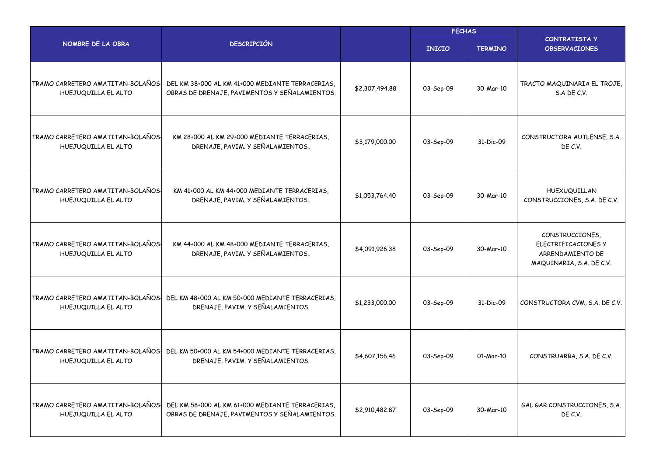|                                                          |                                                                                                   |                | <b>FECHAS</b> |                |                                                                                        |
|----------------------------------------------------------|---------------------------------------------------------------------------------------------------|----------------|---------------|----------------|----------------------------------------------------------------------------------------|
| NOMBRE DE LA OBRA                                        | <b>DESCRIPCIÓN</b>                                                                                |                | <b>INICIO</b> | <b>TERMINO</b> | <b>CONTRATISTA Y</b><br><b>OBSERVACIONES</b>                                           |
| TRAMO CARRETERO AMATITAN-BOLAÑOS<br>HUEJUQUILLA EL ALTO  | DEL KM 38+000 AL KM 41+000 MEDIANTE TERRACERIAS.<br>OBRAS DE DRENAJE, PAVIMENTOS Y SEÑALAMIENTOS. | \$2,307,494.88 | 03-Sep-09     | 30-Mar-10      | TRACTO MAQUINARIA EL TROJE,<br>S.A DE C.V.                                             |
| TRAMO CARRETERO AMATITAN-BOLAÑOS-<br>HUEJUQUILLA EL ALTO | KM 28+000 AL KM 29+000 MEDIANTE TERRACERIAS,<br>DRENAJE, PAVIM. Y SEÑALAMIENTOS.                  | \$3,179,000.00 | 03-Sep-09     | 31-Dic-09      | CONSTRUCTORA AUTLENSE, S.A.<br>DE C.V.                                                 |
| TRAMO CARRETERO AMATITAN-BOLAÑOS-<br>HUEJUQUILLA EL ALTO | KM 41+000 AL KM 44+000 MEDIANTE TERRACERIAS,<br>DRENAJE, PAVIM. Y SEÑALAMIENTOS.                  | \$1,053,764,40 | 03-Sep-09     | 30-Mar-10      | HUEXUQUILLAN<br>CONSTRUCCIONES, S.A. DE C.V.                                           |
| TRAMO CARRETERO AMATITAN-BOLAÑOS-<br>HUEJUQUILLA EL ALTO | KM 44+000 AL KM 48+000 MEDIANTE TERRACERIAS,<br>DRENAJE, PAVIM. Y SEÑALAMIENTOS.                  | \$4,091,926.38 | 03-Sep-09     | 30-Mar-10      | CONSTRUCCIONES,<br>ELECTRIFICACIONES Y<br>ARRENDAMIENTO DE<br>MAQUINARIA, S.A. DE C.V. |
| TRAMO CARRETERO AMATITAN-BOLAÑOS-<br>HUEJUQUILLA EL ALTO | DEL KM 48+000 AL KM 50+000 MEDIANTE TERRACERIAS,<br>DRENAJE, PAVIM. Y SEÑALAMIENTOS.              | \$1,233,000.00 | 03-Sep-09     | 31-Dic-09      | CONSTRUCTORA CVM, S.A. DE C.V.                                                         |
| TRAMO CARRETERO AMATITAN-BOLAÑOS-<br>HUEJUQUILLA EL ALTO | DEL KM 50+000 AL KM 54+000 MEDIANTE TERRACERIAS,<br>DRENAJE, PAVIM. Y SEÑALAMIENTOS.              | \$4,607,156.46 | 03-Sep-09     | 01-Mar-10      | CONSTRUARBA, S.A. DE C.V.                                                              |
| TRAMO CARRETERO AMATITAN-BOLAÑOS-<br>HUEJUQUILLA EL ALTO | DEL KM 58+000 AL KM 61+000 MEDIANTE TERRACERIAS,<br>OBRAS DE DRENAJE, PAVIMENTOS Y SEÑALAMIENTOS. | \$2,910,482.87 | 03-Sep-09     | 30-Mar-10      | GAL GAR CONSTRUCCIONES, S.A.<br>DE C.V.                                                |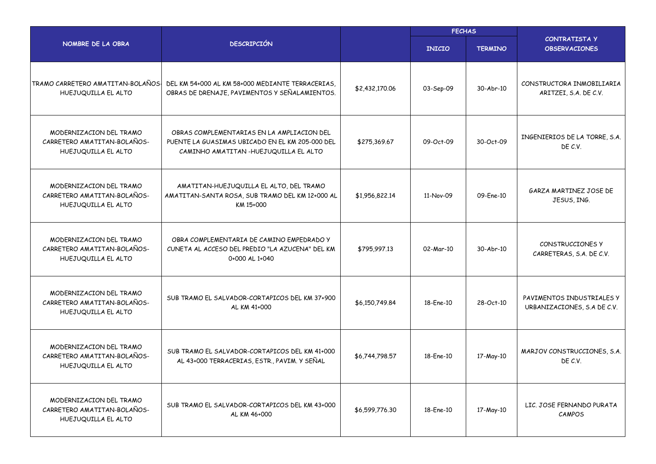|                                                                               |                                                                                                                                        | <b>FECHAS</b>  |               |                |                                                          |
|-------------------------------------------------------------------------------|----------------------------------------------------------------------------------------------------------------------------------------|----------------|---------------|----------------|----------------------------------------------------------|
| NOMBRE DE LA OBRA                                                             | <b>DESCRIPCIÓN</b>                                                                                                                     |                | <b>INICIO</b> | <b>TERMINO</b> | <b>CONTRATISTA Y</b><br><b>OBSERVACIONES</b>             |
| TRAMO CARRETERO AMATITAN-BOLAÑOS-<br>HUEJUQUILLA EL ALTO                      | DEL KM 54+000 AL KM 58+000 MEDIANTE TERRACERIAS.<br>OBRAS DE DRENAJE, PAVIMENTOS Y SEÑALAMIENTOS.                                      | \$2,432,170.06 | 03-Sep-09     | 30-Abr-10      | CONSTRUCTORA INMOBILIARIA<br>ARITZEI, S.A. DE C.V.       |
| MODERNIZACION DEL TRAMO<br>CARRETERO AMATITAN-BOLAÑOS-<br>HUEJUQUILLA EL ALTO | OBRAS COMPLEMENTARIAS EN LA AMPLIACION DEL<br>PUENTE LA GUASIMAS UBICADO EN EL KM 205-000 DEL<br>CAMINHO AMATITAN -HUEJUQUILLA EL ALTO | \$275,369.67   | 09-Oct-09     | 30-Oct-09      | INGENIERIOS DE LA TORRE, S.A.<br>DE C.V.                 |
| MODERNIZACION DEL TRAMO<br>CARRETERO AMATITAN-BOLAÑOS-<br>HUEJUQUILLA EL ALTO | AMATITAN-HUEJUQUILLA EL ALTO, DEL TRAMO<br>AMATITAN-SANTA ROSA, SUB TRAMO DEL KM 12+000 AL<br>KM 15+000                                | \$1,956,822.14 | 11-Nov-09     | 09-Ene-10      | GARZA MARTINEZ JOSE DE<br>JESUS, ING.                    |
| MODERNIZACION DEL TRAMO<br>CARRETERO AMATITAN-BOLAÑOS-<br>HUEJUQUILLA EL ALTO | OBRA COMPLEMENTARIA DE CAMINO EMPEDRADO Y<br>CUNETA AL ACCESO DEL PREDIO "LA AZUCENA" DEL KM<br>0+000 AL 1+040                         | \$795,997.13   | 02-Mar-10     | 30-Abr-10      | CONSTRUCCIONES Y<br>CARRETERAS, S.A. DE C.V.             |
| MODERNIZACION DEL TRAMO<br>CARRETERO AMATITAN-BOLAÑOS-<br>HUEJUQUILLA EL ALTO | SUB TRAMO EL SALVADOR-CORTAPICOS DEL KM 37+900<br>AL KM 41+000                                                                         | \$6,150,749.84 | 18-Fne-10     | 28-Oct-10      | PAVIMENTOS INDUSTRIALES Y<br>URBANIZACIONES, S.A DE C.V. |
| MODERNIZACION DEL TRAMO<br>CARRETERO AMATITAN-BOLAÑOS-<br>HUEJUQUILLA EL ALTO | SUB TRAMO EL SALVADOR-CORTAPICOS DEL KM 41+000<br>AL 43+000 TERRACERIAS, ESTR., PAVIM. Y SEÑAL                                         | \$6,744,798.57 | 18-Ene-10     | 17-May-10      | MARJOV CONSTRUCCIONES, S.A.<br>DE C.V.                   |
| MODERNIZACION DEL TRAMO<br>CARRETERO AMATITAN-BOLAÑOS-<br>HUEJUQUILLA EL ALTO | SUB TRAMO EL SALVADOR-CORTAPICOS DEL KM 43+000<br>AL KM 46+000                                                                         | \$6,599,776.30 | 18-Ene-10     | 17-May-10      | LIC. JOSE FERNANDO PURATA<br>CAMPOS                      |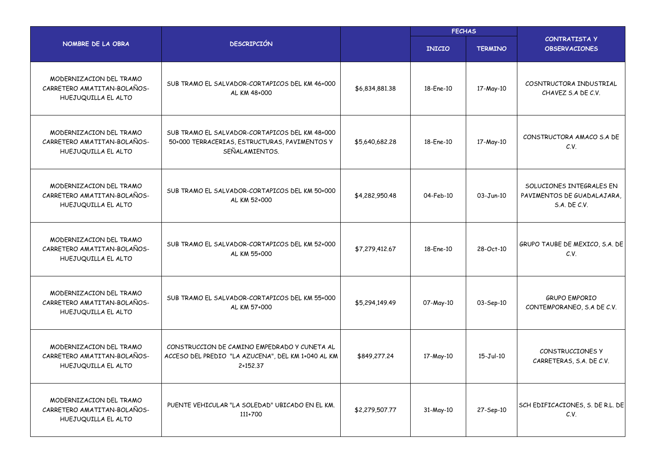|                                                                               |                                                                                                                   |                | <b>FECHAS</b> |                |                                                                        |  |
|-------------------------------------------------------------------------------|-------------------------------------------------------------------------------------------------------------------|----------------|---------------|----------------|------------------------------------------------------------------------|--|
| NOMBRE DE LA OBRA                                                             | <b>DESCRIPCIÓN</b>                                                                                                |                | <b>INICIO</b> | <b>TERMINO</b> | <b>CONTRATISTA Y</b><br><b>OBSERVACIONES</b>                           |  |
| MODERNIZACION DEL TRAMO<br>CARRETERO AMATITAN-BOLAÑOS-<br>HUEJUQUILLA EL ALTO | SUB TRAMO EL SALVADOR-CORTAPICOS DEL KM 46+000<br>AL KM 48+000                                                    | \$6,834,881.38 | 18-Ene-10     | 17-May-10      | COSNTRUCTORA INDUSTRIAL<br>CHAVEZ S.A DE C.V.                          |  |
| MODERNIZACION DEL TRAMO<br>CARRETERO AMATITAN-BOLAÑOS-<br>HUEJUQUILLA EL ALTO | SUB TRAMO EL SALVADOR-CORTAPICOS DEL KM 48+000<br>50+000 TERRACERIAS, ESTRUCTURAS, PAVIMENTOS Y<br>SEÑALAMIENTOS. | \$5,640,682.28 | 18-Ene-10     | 17-May-10      | CONSTRUCTORA AMACO S.A DE<br>C.V.                                      |  |
| MODERNIZACION DEL TRAMO<br>CARRETERO AMATITAN-BOLAÑOS-<br>HUEJUQUILLA EL ALTO | SUB TRAMO EL SALVADOR-CORTAPICOS DEL KM 50+000<br>AL KM 52+000                                                    | \$4,282,950.48 | 04-Feb-10     | 03-Jun-10      | SOLUCIONES INTEGRALES EN<br>PAVIMENTOS DE GUADALAJARA,<br>S.A. DE C.V. |  |
| MODERNIZACION DEL TRAMO<br>CARRETERO AMATITAN-BOLAÑOS-<br>HUEJUQUILLA EL ALTO | SUB TRAMO EL SALVADOR-CORTAPICOS DEL KM 52+000<br>AL KM 55+000                                                    | \$7,279,412.67 | 18-Ene-10     | 28-Oct-10      | GRUPO TAUBE DE MEXICO, S.A. DE<br>C.V.                                 |  |
| MODERNIZACION DEL TRAMO<br>CARRETERO AMATITAN-BOLAÑOS-<br>HUEJUQUILLA EL ALTO | SUB TRAMO EL SALVADOR-CORTAPICOS DEL KM 55+000<br>AL KM 57+000                                                    | \$5,294,149.49 | 07-May-10     | 03-Sep-10      | <b>GRUPO EMPORIO</b><br>CONTEMPORANEO, S.A DE C.V.                     |  |
| MODERNIZACION DEL TRAMO<br>CARRETERO AMATITAN-BOLAÑOS-<br>HUEJUQUILLA EL ALTO | CONSTRUCCION DE CAMINO EMPEDRADO Y CUNETA AL<br>ACCESO DEL PREDIO "LA AZUCENA", DEL KM 1+040 AL KM<br>2+152.37    | \$849,277,24   | 17-May-10     | 15-Jul-10      | CONSTRUCCIONES Y<br>CARRETERAS, S.A. DE C.V.                           |  |
| MODERNIZACION DEL TRAMO<br>CARRETERO AMATITAN-BOLAÑOS-<br>HUEJUQUILLA EL ALTO | PUENTE VEHICULAR "LA SOLEDAD" UBICADO EN EL KM.<br>111+700                                                        | \$2,279,507.77 | 31-May-10     | 27-Sep-10      | SCH EDIFICACIONES, S. DE R.L. DE<br>C.V.                               |  |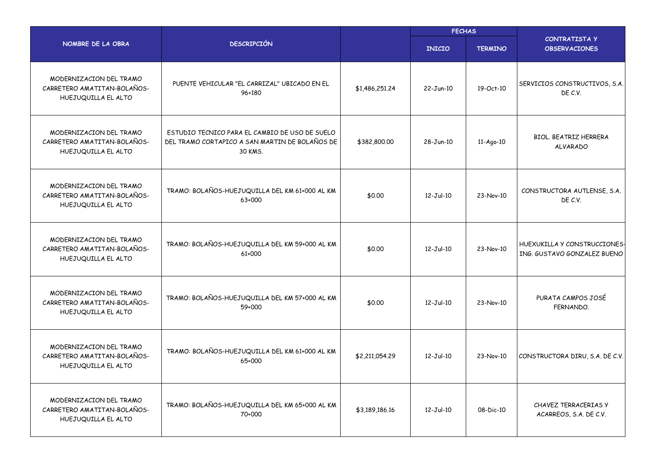|                                                                               |                                                                                                             |                | <b>FECHAS</b>   |                |                                                                    |  |
|-------------------------------------------------------------------------------|-------------------------------------------------------------------------------------------------------------|----------------|-----------------|----------------|--------------------------------------------------------------------|--|
| NOMBRE DE LA OBRA                                                             | <b>DESCRIPCIÓN</b>                                                                                          |                | <b>INICIO</b>   | <b>TERMINO</b> | <b>CONTRATISTA Y</b><br><b>OBSERVACIONES</b>                       |  |
| MODERNIZACION DEL TRAMO<br>CARRETERO AMATITAN-BOLAÑOS-<br>HUEJUQUILLA EL ALTO | PUENTE VEHICULAR "EL CARRIZAL" UBICADO EN EL<br>96+180                                                      | \$1,486,251.24 | $22-Jun-10$     | 19-Oct-10      | SERVICIOS CONSTRUCTIVOS, S.A.<br>DE C.V.                           |  |
| MODERNIZACION DEL TRAMO<br>CARRETERO AMATITAN-BOLAÑOS-<br>HUEJUQUILLA EL ALTO | ESTUDIO TECNICO PARA EL CAMBIO DE USO DE SUELO<br>DEL TRAMO CORTAPICO A SAN MARTIN DE BOLAÑOS DE<br>30 KMS. | \$382,800.00   | 28-Jun-10       | 11-Ago-10      | <b>BIOL. BEATRIZ HERRERA</b><br><b>ALVARADO</b>                    |  |
| MODERNIZACION DEL TRAMO<br>CARRETERO AMATITAN-BOLAÑOS-<br>HUEJUQUILLA EL ALTO | TRAMO: BOLAÑOS-HUEJUQUILLA DEL KM 61+000 AL KM<br>63+000                                                    | \$0.00         | $12 - Jul - 10$ | 23-Nov-10      | CONSTRUCTORA AUTLENSE, S.A.<br>DE C.V.                             |  |
| MODERNIZACION DEL TRAMO<br>CARRETERO AMATITAN-BOLAÑOS-<br>HUEJUQUILLA EL ALTO | TRAMO: BOLAÑOS-HUEJUQUILLA DEL KM 59+000 AL KM<br>61+000                                                    | \$0.00         | $12 - Jul - 10$ | 23-Nov-10      | HUEXUKILLA Y CONSTRUCCIONES-<br><b>ING. GUSTAVO GONZALEZ BUENO</b> |  |
| MODERNIZACION DEL TRAMO<br>CARRETERO AMATITAN-BOLAÑOS-<br>HUEJUQUILLA EL ALTO | TRAMO: BOLAÑOS-HUEJUQUILLA DEL KM 57+000 AL KM<br>59+000                                                    | \$0.00         | $12 - Jul - 10$ | 23-Nov-10      | PURATA CAMPOS JOSÉ<br>FERNANDO.                                    |  |
| MODERNIZACION DEL TRAMO<br>CARRETERO AMATITAN-BOLAÑOS-<br>HUEJUQUILLA EL ALTO | TRAMO: BOLAÑOS-HUEJUQUILLA DEL KM 61+000 AL KM<br>65+000                                                    | \$2,211,054.29 | $12 - Jul - 10$ | 23-Nov-10      | CONSTRUCTORA DIRU, S.A. DE C.V.                                    |  |
| MODERNIZACION DEL TRAMO<br>CARRETERO AMATITAN-BOLAÑOS-<br>HUEJUQUILLA EL ALTO | TRAMO: BOLAÑOS-HUEJUQUILLA DEL KM 65+000 AL KM<br>70+000                                                    | \$3,189,186.16 | $12-Jul-10$     | 08-Dic-10      | CHAVEZ TERRACERIAS Y<br>ACARREOS, S.A. DE C.V.                     |  |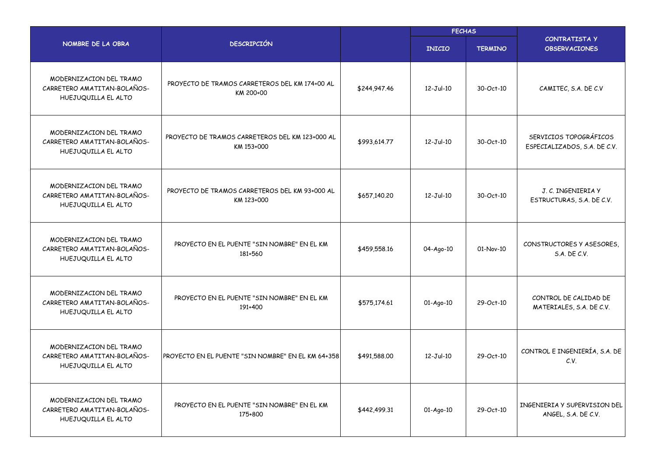|                                                                               |                                                               |              | <b>FECHAS</b>   |                |                                                        |  |
|-------------------------------------------------------------------------------|---------------------------------------------------------------|--------------|-----------------|----------------|--------------------------------------------------------|--|
| NOMBRE DE LA OBRA                                                             | <b>DESCRIPCIÓN</b>                                            |              | <b>INICIO</b>   | <b>TERMINO</b> | <b>CONTRATISTA Y</b><br><b>OBSERVACIONES</b>           |  |
| MODERNIZACION DEL TRAMO<br>CARRETERO AMATITAN-BOLAÑOS-<br>HUEJUQUILLA EL ALTO | PROYECTO DE TRAMOS CARRETEROS DEL KM 174+00 AL<br>KM 200+00   | \$244,947.46 | $12 - Jul - 10$ | 30-Oct-10      | CAMITEC, S.A. DE C.V                                   |  |
| MODERNIZACION DEL TRAMO<br>CARRETERO AMATITAN-BOLAÑOS-<br>HUEJUQUILLA EL ALTO | PROYECTO DE TRAMOS CARRETEROS DEL KM 123+000 AL<br>KM 153+000 | \$993,614.77 | $12 - Jul - 10$ | 30-Oct-10      | SERVICIOS TOPOGRÁFICOS<br>ESPECIALIZADOS, S.A. DE C.V. |  |
| MODERNIZACION DEL TRAMO<br>CARRETERO AMATITAN-BOLAÑOS-<br>HUEJUQUILLA EL ALTO | PROYECTO DE TRAMOS CARRETEROS DEL KM 93+000 AL<br>KM 123+000  | \$657,140.20 | $12-Jul-10$     | 30-Oct-10      | J. C. INGENIERIA Y<br>ESTRUCTURAS, S.A. DE C.V.        |  |
| MODERNIZACION DEL TRAMO<br>CARRETERO AMATITAN-BOLAÑOS-<br>HUEJUQUILLA EL ALTO | PROYECTO EN EL PUENTE "SIN NOMBRE" EN EL KM<br>181+560        | \$459,558.16 | 04-Ago-10       | 01-Nov-10      | CONSTRUCTORES Y ASESORES,<br>S.A. DE C.V.              |  |
| MODERNIZACION DEL TRAMO<br>CARRETERO AMATITAN-BOLAÑOS-<br>HUEJUQUILLA EL ALTO | PROYECTO EN EL PUENTE "SIN NOMBRE" EN EL KM<br>191+400        | \$575,174.61 | 01-Ago-10       | 29-Oct-10      | CONTROL DE CALIDAD DE<br>MATERIALES, S.A. DE C.V.      |  |
| MODERNIZACION DEL TRAMO<br>CARRETERO AMATITAN-BOLAÑOS-<br>HUEJUQUILLA EL ALTO | PROYECTO EN EL PUENTE "SIN NOMBRE" EN EL KM 64+358            | \$491,588.00 | $12 - Jul - 10$ | 29-Oct-10      | CONTROL E INGENIERÍA, S.A. DE<br>C.V.                  |  |
| MODERNIZACION DEL TRAMO<br>CARRETERO AMATITAN-BOLAÑOS-<br>HUEJUQUILLA EL ALTO | PROYECTO EN EL PUENTE "SIN NOMBRE" EN EL KM<br>175+800        | \$442,499.31 | 01-Ago-10       | 29-Oct-10      | INGENIERIA Y SUPERVISION DEL<br>ANGEL, S.A. DE C.V.    |  |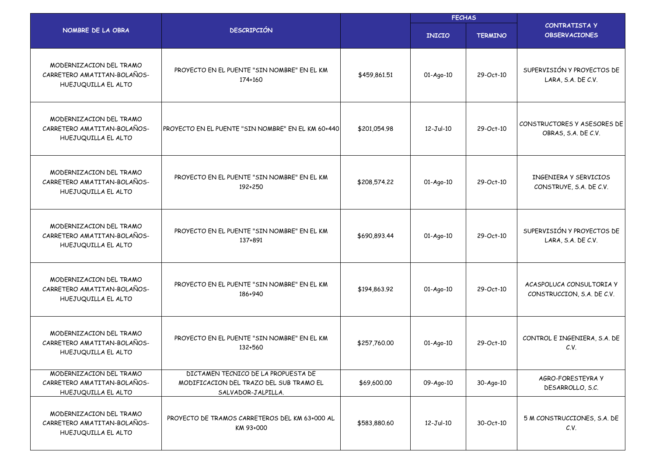|                                                                               |                                                                                                      |              | <b>FECHAS</b>   |                |                                                        |  |
|-------------------------------------------------------------------------------|------------------------------------------------------------------------------------------------------|--------------|-----------------|----------------|--------------------------------------------------------|--|
| NOMBRE DE LA OBRA                                                             | <b>DESCRIPCIÓN</b>                                                                                   |              | <b>INICIO</b>   | <b>TERMINO</b> | <b>CONTRATISTA Y</b><br><b>OBSERVACIONES</b>           |  |
| MODERNIZACION DEL TRAMO<br>CARRETERO AMATITAN-BOLAÑOS-<br>HUEJUQUILLA EL ALTO | PROYECTO EN EL PUENTE "SIN NOMBRE" EN EL KM<br>174+160                                               | \$459,861.51 | 01-Ago-10       | 29-Oct-10      | SUPERVISIÓN Y PROYECTOS DE<br>LARA, S.A. DE C.V.       |  |
| MODERNIZACION DEL TRAMO<br>CARRETERO AMATITAN-BOLAÑOS-<br>HUEJUQUILLA EL ALTO | PROYECTO EN EL PUENTE "SIN NOMBRE" EN EL KM 60+440                                                   | \$201,054.98 | $12 - Jul - 10$ | 29-Oct-10      | CONSTRUCTORES Y ASESORES DE<br>OBRAS, S.A. DE C.V.     |  |
| MODERNIZACION DEL TRAMO<br>CARRETERO AMATITAN-BOLAÑOS-<br>HUEJUQUILLA EL ALTO | PROYECTO EN EL PUENTE "SIN NOMBRE" EN EL KM<br>192+250                                               | \$208,574,22 | 01-Ago-10       | 29-Oct-10      | INGENIERA Y SERVICIOS<br>CONSTRUYE, S.A. DE C.V.       |  |
| MODERNIZACION DEL TRAMO<br>CARRETERO AMATITAN-BOLAÑOS-<br>HUEJUQUILLA EL ALTO | PROYECTO EN EL PUENTE "SIN NOMBRE" EN EL KM<br>137+891                                               | \$690,893.44 | 01-Ago-10       | 29-Oct-10      | SUPERVISIÓN Y PROYECTOS DE<br>LARA, S.A. DE C.V.       |  |
| MODERNIZACION DEL TRAMO<br>CARRETERO AMATITAN-BOLAÑOS-<br>HUEJUQUILLA EL ALTO | PROYECTO EN EL PUENTE "SIN NOMBRE" EN EL KM<br>186+940                                               | \$194,863.92 | 01-Ago-10       | 29-Oct-10      | ACASPOLUCA CONSULTORIA Y<br>CONSTRUCCION, S.A. DE C.V. |  |
| MODERNIZACION DEL TRAMO<br>CARRETERO AMATITAN-BOLAÑOS-<br>HUEJUQUILLA EL ALTO | PROYECTO EN EL PUENTE "SIN NOMBRE" EN EL KM<br>132+560                                               | \$257.760.00 | 01-Ago-10       | 29-Oct-10      | CONTROL E INGENIERA, S.A. DE<br>C.V.                   |  |
| MODERNIZACION DEL TRAMO<br>CARRETERO AMATITAN-BOLAÑOS-<br>HUEJUQUILLA EL ALTO | DICTAMEN TECNICO DE LA PROPUESTA DE<br>MODIFICACION DEL TRAZO DEL SUB TRAMO EL<br>SALVADOR-JALPILLA. | \$69,600.00  | 09-Ago-10       | 30-Ago-10      | AGRO-FORESTEYRA Y<br>DESARROLLO, S.C.                  |  |
| MODERNIZACION DEL TRAMO<br>CARRETERO AMATITAN-BOLAÑOS-<br>HUEJUQUILLA EL ALTO | PROYECTO DE TRAMOS CARRETEROS DEL KM 63+000 AL<br>KM 93+000                                          | \$583,880.60 | $12-Jul-10$     | 30-Oct-10      | 5 M CONSTRUCCIONES, S.A. DE<br>C.V.                    |  |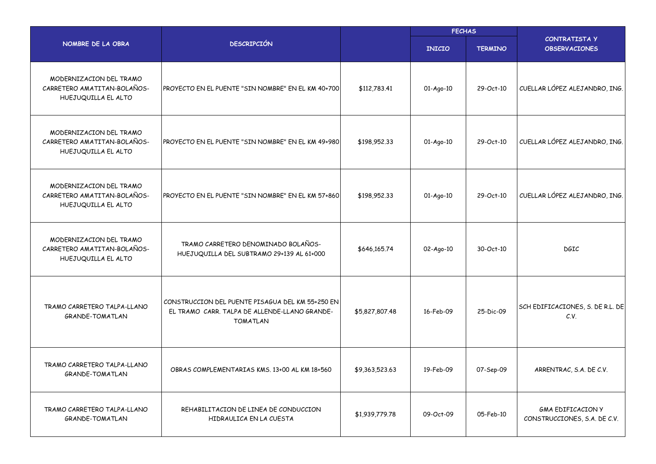|                                                                               |                                                                                                                      |                | <b>FECHAS</b> |                |                                                          |  |
|-------------------------------------------------------------------------------|----------------------------------------------------------------------------------------------------------------------|----------------|---------------|----------------|----------------------------------------------------------|--|
| NOMBRE DE LA OBRA                                                             | <b>DESCRIPCIÓN</b>                                                                                                   |                | <b>INICIO</b> | <b>TERMINO</b> | <b>CONTRATISTA Y</b><br><b>OBSERVACIONES</b>             |  |
| MODERNIZACION DEL TRAMO<br>CARRETERO AMATITAN-BOLAÑOS-<br>HUEJUQUILLA EL ALTO | PROYECTO EN EL PUENTE "SIN NOMBRE" EN EL KM 40+700                                                                   | \$112,783.41   | 01-Ago-10     | 29-Oct-10      | CUELLAR LÓPEZ ALEJANDRO, ING.                            |  |
| MODERNIZACION DEL TRAMO<br>CARRETERO AMATITAN-BOLAÑOS-<br>HUEJUQUILLA EL ALTO | PROYECTO EN EL PUENTE "SIN NOMBRE" EN EL KM 49+980                                                                   | \$198,952.33   | 01-Ago-10     | 29-Oct-10      | CUELLAR LÓPEZ ALEJANDRO, ING.                            |  |
| MODERNIZACION DEL TRAMO<br>CARRETERO AMATITAN-BOLAÑOS-<br>HUEJUQUILLA EL ALTO | PROYECTO EN EL PUENTE "SIN NOMBRE" EN EL KM 57+860                                                                   | \$198,952.33   | 01-Ago-10     | 29-Oct-10      | CUELLAR LÓPEZ ALEJANDRO, ING.                            |  |
| MODERNIZACION DEL TRAMO<br>CARRETERO AMATITAN-BOLAÑOS-<br>HUEJUQUILLA EL ALTO | TRAMO CARRETERO DENOMINADO BOLAÑOS-<br>HUEJUQUILLA DEL SUBTRAMO 29+139 AL 61+000                                     | \$646,165.74   | $02-Aq0-10$   | 30-Oct-10      | <b>DGIC</b>                                              |  |
| TRAMO CARRETERO TALPA-LLANO<br><b>GRANDE-TOMATLAN</b>                         | CONSTRUCCION DEL PUENTE PISAGUA DEL KM 55+250 EN<br>EL TRAMO CARR. TALPA DE ALLENDE-LLANO GRANDE-<br><b>TOMATLAN</b> | \$5,827,807.48 | 16-Feb-09     | 25-Dic-09      | SCH EDIFICACIONES, S. DE R.L. DE<br>C.V.                 |  |
| TRAMO CARRETERO TALPA-LLANO<br><b>GRANDE-TOMATLAN</b>                         | OBRAS COMPLEMENTARIAS KMS, 13+00 AL KM 18+560                                                                        | \$9,363,523.63 | 19-Feb-09     | 07-Sep-09      | ARRENTRAC, S.A. DE C.V.                                  |  |
| TRAMO CARRETERO TALPA-LLANO<br><b>GRANDE-TOMATLAN</b>                         | REHABILITACION DE LINEA DE CONDUCCION<br>HIDRAULICA EN LA CUESTA                                                     | \$1,939,779.78 | 09-Oct-09     | 05-Feb-10      | <b>GMA EDIFICACION Y</b><br>CONSTRUCCIONES, S.A. DE C.V. |  |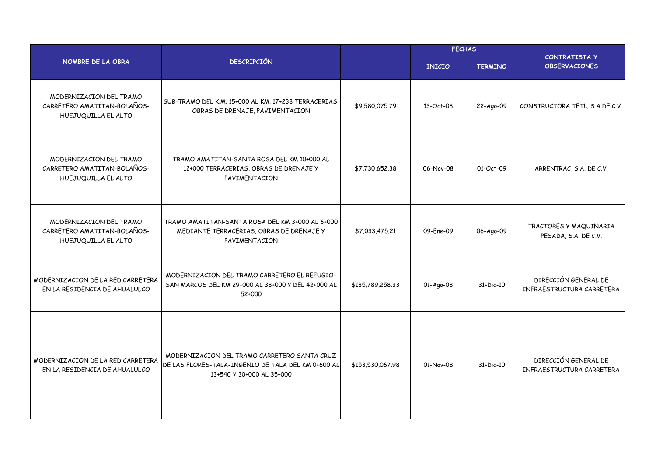|                                                                               |                                                                                                                                 |                  | <b>FECHAS</b> |                |                                                   |
|-------------------------------------------------------------------------------|---------------------------------------------------------------------------------------------------------------------------------|------------------|---------------|----------------|---------------------------------------------------|
| NOMBRE DE LA OBRA                                                             | <b>DESCRIPCIÓN</b>                                                                                                              |                  | <b>INICIO</b> | <b>TERMINO</b> | <b>CONTRATISTA Y</b><br><b>OBSERVACIONES</b>      |
| MODERNIZACION DEL TRAMO<br>CARRETERO AMATITAN-BOLAÑOS-<br>HUEJUQUILLA EL ALTO | SUB-TRAMO DEL K.M. 15+000 AL KM. 17+238 TERRACERIAS,<br>OBRAS DE DRENAJE, PAVIMENTACION                                         | \$9,580,075.79   | 13-Oct-08     | 22-Ago-09      | CONSTRUCTORA TETL, S.A.DE C.V.                    |
| MODERNIZACION DEL TRAMO<br>CARRETERO AMATITAN-BOLAÑOS-<br>HUEJUQUILLA EL ALTO | TRAMO AMATITAN-SANTA ROSA DEL KM 10+000 AL<br>12+000 TERRACERIAS, OBRAS DE DRENAJE Y<br>PAVIMENTACION                           | \$7,730,652.38   | 06-Nov-08     | 01-Oct-09      | ARRENTRAC, S.A. DE C.V.                           |
| MODERNIZACION DEL TRAMO<br>CARRETERO AMATITAN-BOLAÑOS-<br>HUEJUQUILLA EL ALTO | TRAMO AMATITAN-SANTA ROSA DEL KM 3+000 AL 6+000<br>MEDIANTE TERRACERIAS, OBRAS DE DRENAJE Y<br>PAVIMENTACION                    | \$7,033,475.21   | 09-Ene-09     | 06-Ago-09      | TRACTORES Y MAQUINARIA<br>PESADA, S.A. DE C.V.    |
| MODERNIZACION DE LA RED CARRETERA<br>EN LA RESIDENCIA DE AHUALULCO            | MODERNIZACION DEL TRAMO CARRETERO EL REFUGIO-<br>SAN MARCOS DEL KM 29+000 AL 38+000 Y DEL 42+000 AL<br>52+000                   | \$135,789,258.33 | 01-Ago-08     | 31-Dic-10      | DIRECCIÓN GENERAL DE<br>INFRAESTRUCTURA CARRETERA |
| MODERNIZACION DE LA RED CARRETERA<br>EN LA RESIDENCIA DE AHUALULCO            | MODERNIZACION DEL TRAMO CARRETERO SANTA CRUZ<br>DE LAS FLORES-TALA-INGENIO DE TALA DEL KM 0+600 AL<br>13+540 Y 30+000 AL 35+000 | \$153,530,067.98 | 01-Nov-08     | 31-Dic-10      | DIRECCIÓN GENERAL DE<br>INFRAESTRUCTURA CARRETERA |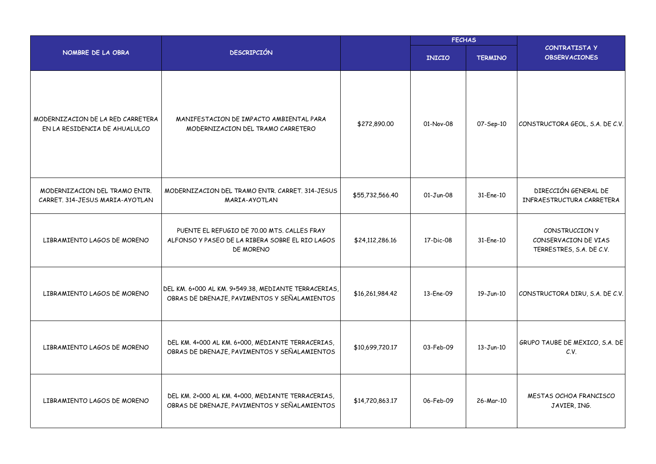|                                                                    |                                                                                                             |                 | <b>FECHAS</b> |                |                                                                    |  |
|--------------------------------------------------------------------|-------------------------------------------------------------------------------------------------------------|-----------------|---------------|----------------|--------------------------------------------------------------------|--|
| NOMBRE DE LA OBRA                                                  | <b>DESCRIPCIÓN</b>                                                                                          |                 | <b>INICIO</b> | <b>TERMINO</b> | <b>CONTRATISTA Y</b><br><b>OBSERVACIONES</b>                       |  |
| MODERNIZACION DE LA RED CARRETERA<br>EN LA RESIDENCIA DE AHUALULCO | MANIFESTACION DE IMPACTO AMBIENTAL PARA<br>MODERNIZACION DEL TRAMO CARRETERO                                | \$272,890.00    | 01-Nov-08     | 07-Sep-10      | CONSTRUCTORA GEOL, S.A. DE C.V.                                    |  |
| MODERNIZACION DEL TRAMO ENTR.<br>CARRET. 314-JESUS MARIA-AYOTLAN   | MODERNIZACION DEL TRAMO ENTR. CARRET. 314-JESUS<br>MARIA-AYOTLAN                                            | \$55,732,566.40 | $01-Jun-08$   | 31-Ene-10      | DIRECCIÓN GENERAL DE<br>INFRAESTRUCTURA CARRETERA                  |  |
| LIBRAMIENTO LAGOS DE MORENO                                        | PUENTE EL REFUGIO DE 70.00 MTS. CALLES FRAY<br>ALFONSO Y PASEO DE LA RIBERA SOBRE EL RIO LAGOS<br>DE MORENO | \$24,112,286.16 | 17-Dic-08     | 31-Ene-10      | CONSTRUCCION Y<br>CONSERVACION DE VIAS<br>TERRESTRES, S.A. DE C.V. |  |
| LIBRAMIENTO LAGOS DE MORENO                                        | DEL KM. 6+000 AL KM. 9+549.38, MEDIANTE TERRACERIAS,<br>OBRAS DE DRENAJE, PAVIMENTOS Y SEÑALAMIENTOS        | \$16,261,984.42 | 13-Ene-09     | 19-Jun-10      | CONSTRUCTORA DIRU, S.A. DE C.V.                                    |  |
| LIBRAMIENTO LAGOS DE MORENO                                        | DEL KM. 4+000 AL KM. 6+000, MEDIANTE TERRACERIAS,<br>OBRAS DE DRENAJE, PAVIMENTOS Y SEÑALAMIENTOS           | \$10,699,720.17 | 03-Feb-09     | $13 - Jun-10$  | GRUPO TAUBE DE MEXICO, S.A. DE<br>C.V.                             |  |
| LIBRAMIENTO LAGOS DE MORENO                                        | DEL KM. 2+000 AL KM. 4+000, MEDIANTE TERRACERIAS,<br>OBRAS DE DRENAJE, PAVIMENTOS Y SEÑALAMIENTOS           | \$14,720,863.17 | 06-Feb-09     | 26-Mar-10      | MESTAS OCHOA FRANCISCO<br>JAVIER, ING.                             |  |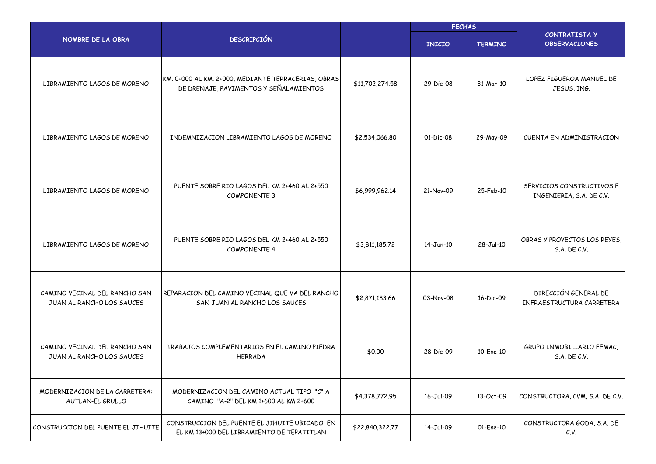|                                                            |                                                                                               |                 | <b>FECHAS</b> |                 |                                                       |  |
|------------------------------------------------------------|-----------------------------------------------------------------------------------------------|-----------------|---------------|-----------------|-------------------------------------------------------|--|
| NOMBRE DE LA OBRA                                          | <b>DESCRIPCIÓN</b>                                                                            |                 | <b>INICIO</b> | <b>TERMINO</b>  | CONTRATISTA Y<br><b>OBSERVACIONES</b>                 |  |
| LIBRAMIENTO LAGOS DE MORENO                                | KM. 0+000 AL KM. 2+000, MEDIANTE TERRACERIAS, OBRAS<br>DE DRENAJE, PAVIMENTOS Y SEÑALAMIENTOS | \$11,702,274.58 | 29-Dic-08     | 31-Mar-10       | LOPEZ FIGUEROA MANUEL DE<br>JESUS, ING.               |  |
| LIBRAMIENTO LAGOS DE MORENO                                | INDEMNIZACION LIBRAMIENTO LAGOS DE MORENO                                                     | \$2,534,066.80  | 01-Dic-08     | 29-May-09       | CUENTA EN ADMINISTRACION                              |  |
| LIBRAMIENTO LAGOS DE MORENO                                | PUENTE SOBRE RIO LAGOS DEL KM 2+460 AL 2+550<br><b>COMPONENTE 3</b>                           | \$6,999,962.14  | 21-Nov-09     | 25-Feb-10       | SERVICIOS CONSTRUCTIVOS E<br>INGENIERIA, S.A. DE C.V. |  |
| LIBRAMIENTO LAGOS DE MORENO                                | PUENTE SOBRE RIO LAGOS DEL KM 2+460 AL 2+550<br><b>COMPONENTE 4</b>                           | \$3,811,185.72  | $14 - Jun-10$ | $28 - Jul - 10$ | OBRAS Y PROYECTOS LOS REYES,<br>S.A. DE C.V.          |  |
| CAMINO VECINAL DEL RANCHO SAN<br>JUAN AL RANCHO LOS SAUCES | REPARACION DEL CAMINO VECINAL QUE VA DEL RANCHO<br>SAN JUAN AL RANCHO LOS SAUCES              | \$2,871,183.66  | 03-Nov-08     | 16-Dic-09       | DIRECCIÓN GENERAL DE<br>INFRAESTRUCTURA CARRETERA     |  |
| CAMINO VECINAL DEL RANCHO SAN<br>JUAN AL RANCHO LOS SAUCES | TRABAJOS COMPLEMENTARIOS EN EL CAMINO PIEDRA<br><b>HERRADA</b>                                | \$0.00          | 28-Dic-09     | 10-Ene-10       | GRUPO INMOBILIARIO FEMAC,<br>S.A. DE C.V.             |  |
| MODERNIZACION DE LA CARRETERA:<br>AUTLAN-EL GRULLO         | MODERNIZACION DEL CAMINO ACTUAL TIPO "C" A<br>CAMINO "A-2" DEL KM 1+600 AL KM 2+600           | \$4,378,772.95  | 16-Jul-09     | 13-Oct-09       | CONSTRUCTORA, CVM, S.A DE C.V.                        |  |
| CONSTRUCCION DEL PUENTE EL JIHUITE                         | CONSTRUCCION DEL PUENTE EL JIHUITE UBICADO EN<br>EL KM 13+000 DEL LIBRAMIENTO DE TEPATITLAN   | \$22,840,322.77 | 14-Jul-09     | 01-Ene-10       | CONSTRUCTORA GODA, S.A. DE<br>C.V.                    |  |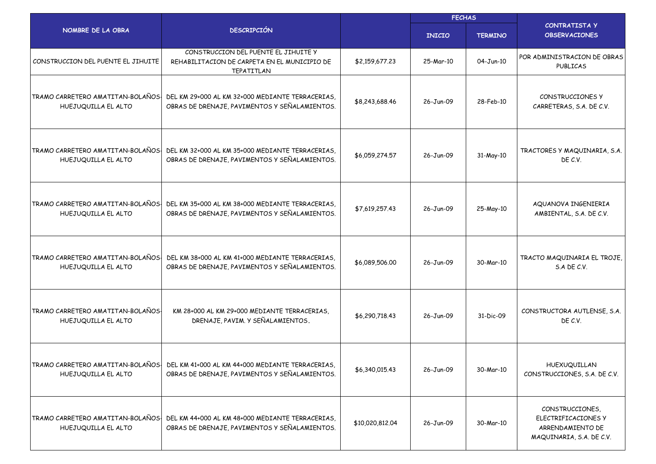|                                                          |                                                                                                    |                 | <b>FECHAS</b> |                |                                                                                        |  |
|----------------------------------------------------------|----------------------------------------------------------------------------------------------------|-----------------|---------------|----------------|----------------------------------------------------------------------------------------|--|
| NOMBRE DE LA OBRA                                        | <b>DESCRIPCIÓN</b>                                                                                 |                 | <b>INICIO</b> | <b>TERMINO</b> | <b>CONTRATISTA Y</b><br><b>OBSERVACIONES</b>                                           |  |
| CONSTRUCCION DEL PUENTE EL JIHUITE                       | CONSTRUCCION DEL PUENTE EL JIHUITE Y<br>REHABILITACION DE CARPETA EN EL MUNICIPIO DE<br>TEPATITLAN | \$2,159,677.23  | 25-Mar-10     | 04-Jun-10      | POR ADMINISTRACION DE OBRAS<br><b>PUBLICAS</b>                                         |  |
| TRAMO CARRETERO AMATITAN-BOLAÑOS-<br>HUEJUQUILLA EL ALTO | DEL KM 29+000 AL KM 32+000 MEDIANTE TERRACERIAS,<br>OBRAS DE DRENAJE, PAVIMENTOS Y SEÑALAMIENTOS.  | \$8,243,688.46  | 26-Jun-09     | 28-Feb-10      | CONSTRUCCIONES Y<br>CARRETERAS, S.A. DE C.V.                                           |  |
| TRAMO CARRETERO AMATITAN-BOLAÑOS-<br>HUEJUQUILLA EL ALTO | DEL KM 32+000 AL KM 35+000 MEDIANTE TERRACERIAS,<br>OBRAS DE DRENAJE, PAVIMENTOS Y SEÑALAMIENTOS.  | \$6,059,274.57  | 26-Jun-09     | 31-May-10      | TRACTORES Y MAQUINARIA, S.A.<br>DE C.V.                                                |  |
| TRAMO CARRETERO AMATITAN-BOLAÑOS-<br>HUEJUQUILLA EL ALTO | DEL KM 35+000 AL KM 38+000 MEDIANTE TERRACERIAS,<br>OBRAS DE DRENAJE, PAVIMENTOS Y SEÑALAMIENTOS.  | \$7,619,257.43  | 26-Jun-09     | 25-May-10      | AQUANOVA INGENIERIA<br>AMBIENTAL, S.A. DE C.V.                                         |  |
| TRAMO CARRETERO AMATITAN-BOLAÑOS<br>HUEJUQUILLA EL ALTO  | DEL KM 38+000 AL KM 41+000 MEDIANTE TERRACERIAS.<br>OBRAS DE DRENAJE, PAVIMENTOS Y SEÑALAMIENTOS.  | \$6,089,506.00  | 26-Jun-09     | 30-Mar-10      | TRACTO MAQUINARIA EL TROJE,<br>S.A DE C.V.                                             |  |
| TRAMO CARRETERO AMATITAN-BOLAÑOS-<br>HUEJUQUILLA EL ALTO | KM 28+000 AL KM 29+000 MEDIANTE TERRACERIAS,<br>DRENAJE, PAVIM. Y SEÑALAMIENTOS.                   | \$6,290,718.43  | 26-Jun-09     | 31-Dic-09      | CONSTRUCTORA AUTLENSE, S.A.<br>DE C.V.                                                 |  |
| TRAMO CARRETERO AMATITAN-BOLAÑOS<br>HUEJUQUILLA EL ALTO  | DEL KM 41+000 AL KM 44+000 MEDIANTE TERRACERIAS,<br>OBRAS DE DRENAJE, PAVIMENTOS Y SEÑALAMIENTOS.  | \$6,340,015.43  | 26-Jun-09     | 30-Mar-10      | HUEXUQUILLAN<br>CONSTRUCCIONES, S.A. DE C.V.                                           |  |
| TRAMO CARRETERO AMATITAN-BOLAÑOS-<br>HUEJUQUILLA EL ALTO | DEL KM 44+000 AL KM 48+000 MEDIANTE TERRACERIAS,<br>OBRAS DE DRENAJE, PAVIMENTOS Y SEÑALAMIENTOS.  | \$10,020,812.04 | 26-Jun-09     | 30-Mar-10      | CONSTRUCCIONES,<br>ELECTRIFICACIONES Y<br>ARRENDAMIENTO DE<br>MAQUINARIA, S.A. DE C.V. |  |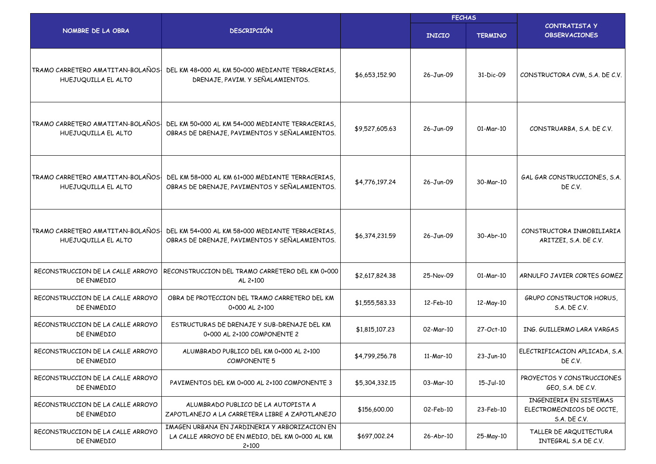|                                                          |                                                                                                             |                | <b>FECHAS</b> |                 |                                                                     |
|----------------------------------------------------------|-------------------------------------------------------------------------------------------------------------|----------------|---------------|-----------------|---------------------------------------------------------------------|
| NOMBRE DE LA OBRA                                        | <b>DESCRIPCIÓN</b>                                                                                          |                | <b>INICIO</b> | <b>TERMINO</b>  | <b>CONTRATISTA Y</b><br><b>OBSERVACIONES</b>                        |
| TRAMO CARRETERO AMATITAN-BOLAÑOS<br>HUEJUQUILLA EL ALTO  | DEL KM 48+000 AL KM 50+000 MEDIANTE TERRACERIAS.<br>DRENAJE, PAVIM. Y SEÑALAMIENTOS.                        | \$6,653,152.90 | 26-Jun-09     | 31-Dic-09       | CONSTRUCTORA CVM, S.A. DE C.V.                                      |
| TRAMO CARRETERO AMATITAN-BOLAÑOS-<br>HUEJUQUILLA EL ALTO | DEL KM 50+000 AL KM 54+000 MEDIANTE TERRACERIAS.<br>OBRAS DE DRENAJE, PAVIMENTOS Y SEÑALAMIENTOS.           | \$9,527,605.63 | 26-Jun-09     | 01-Mar-10       | CONSTRUARBA, S.A. DE C.V.                                           |
| TRAMO CARRETERO AMATITAN-BOLAÑOS-<br>HUEJUQUILLA EL ALTO | DEL KM 58+000 AL KM 61+000 MEDIANTE TERRACERIAS.<br>OBRAS DE DRENAJE, PAVIMENTOS Y SEÑALAMIENTOS.           | \$4,776,197.24 | 26-Jun-09     | 30-Mar-10       | GAL GAR CONSTRUCCIONES, S.A.<br>DE C.V.                             |
| TRAMO CARRETERO AMATITAN-BOLAÑOS-<br>HUEJUQUILLA EL ALTO | DEL KM 54+000 AL KM 58+000 MEDIANTE TERRACERIAS.<br>OBRAS DE DRENAJE, PAVIMENTOS Y SEÑALAMIENTOS.           | \$6,374,231.59 | 26-Jun-09     | 30-Abr-10       | CONSTRUCTORA INMOBILIARIA<br>ARITZEI, S.A. DE C.V.                  |
| RECONSTRUCCION DE LA CALLE ARROYO<br>DE ENMEDIO          | RECONSTRUCCION DEL TRAMO CARRETERO DEL KM 0+000<br>AL 2+100                                                 | \$2,617,824.38 | 25-Nov-09     | 01-Mar-10       | ARNULFO JAVIER CORTES GOMEZ                                         |
| RECONSTRUCCION DE LA CALLE ARROYO<br>DE ENMEDIO          | OBRA DE PROTECCION DEL TRAMO CARRETERO DEL KM<br>0+000 AL 2+100                                             | \$1,555,583.33 | 12-Feb-10     | 12-May-10       | <b>GRUPO CONSTRUCTOR HORUS,</b><br>S.A. DE C.V.                     |
| RECONSTRUCCION DE LA CALLE ARROYO<br>DE ENMEDIO          | ESTRUCTURAS DE DRENAJE Y SUB-DRENAJE DEL KM<br>0+000 AL 2+100 COMPONENTE 2                                  | \$1,815,107.23 | 02-Mar-10     | 27-Oct-10       | ING. GUILLERMO LARA VARGAS                                          |
| RECONSTRUCCION DE LA CALLE ARROYO<br>DE ENMEDIO          | ALUMBRADO PUBLICO DEL KM 0+000 AL 2+100<br><b>COMPONENTE 5</b>                                              | \$4,799,256.78 | 11-Mar-10     | $23-Jun-10$     | ELECTRIFICACION APLICADA, S.A.<br>DE C.V.                           |
| RECONSTRUCCION DE LA CALLE ARROYO<br>DE ENMEDIO          | PAVIMENTOS DEL KM 0+000 AL 2+100 COMPONENTE 3                                                               | \$5,304,332.15 | 03-Mar-10     | $15 - Jul - 10$ | PROYECTOS Y CONSTRUCCIONES<br>GEO, S.A. DE C.V.                     |
| RECONSTRUCCION DE LA CALLE ARROYO<br>DE ENMEDIO          | ALUMBRADO PUBLICO DE LA AUTOPISTA A<br>ZAPOTLANEJO A LA CARRETERA LIBRE A ZAPOTLANEJO                       | \$156,600.00   | 02-Feb-10     | 23-Feb-10       | INGENIERIA EN SISTEMAS<br>ELECTROMECNICOS DE OCCTE.<br>S.A. DE C.V. |
| RECONSTRUCCION DE LA CALLE ARROYO<br>DE ENMEDIO          | IMAGEN URBANA EN JARDINERIA Y ARBORIZACION EN<br>LA CALLE ARROYO DE EN MEDIO, DEL KM 0+000 AL KM<br>$2+100$ | \$697,002.24   | 26-Abr-10     | 25-May-10       | TALLER DE ARQUITECTURA<br>INTEGRAL S.A DE C.V.                      |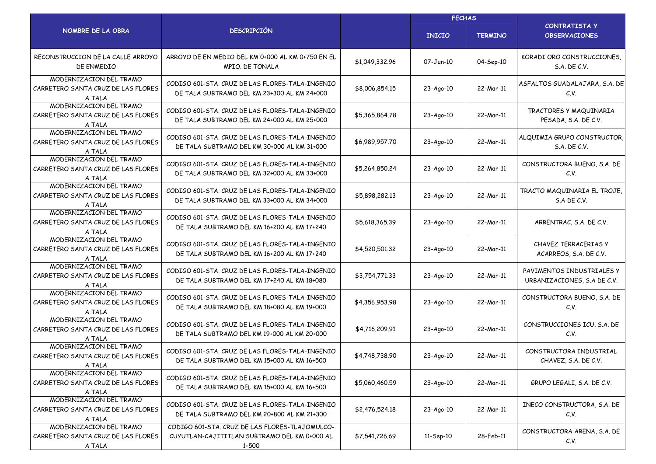|                                                                         | <b>DESCRIPCIÓN</b>                                                                                      |                | <b>FECHAS</b>   |                |                                                          |  |
|-------------------------------------------------------------------------|---------------------------------------------------------------------------------------------------------|----------------|-----------------|----------------|----------------------------------------------------------|--|
| NOMBRE DE LA OBRA                                                       |                                                                                                         |                | <b>INICIO</b>   | <b>TERMINO</b> | <b>CONTRATISTA Y</b><br><b>OBSERVACIONES</b>             |  |
| RECONSTRUCCION DE LA CALLE ARROYO<br>DE ENMEDIO                         | ARROYO DE EN MEDIO DEL KM 0+000 AL KM 0+750 EN EL<br>MPIO. DE TONALA                                    | \$1,049,332.96 | 07-Jun-10       | 04-Sep-10      | KORADI ORO CONSTRUCCIONES.<br>S.A. DE C.V.               |  |
| MODERNIZACION DEL TRAMO<br>CARRETERO SANTA CRUZ DE LAS FLORES<br>A TALA | CODIGO 601-STA, CRUZ DE LAS FLORES-TALA-INGENIO<br>DE TALA SUBTRAMO DEL KM 23+300 AL KM 24+000          | \$8,006,854.15 | 23-Ago-10       | 22-Mar-11      | ASFALTOS GUADALAJARA, S.A. DE<br>C.V.                    |  |
| MODERNIZACION DEL TRAMO<br>CARRETERO SANTA CRUZ DE LAS FLORES<br>A TALA | CODIGO 601-STA, CRUZ DE LAS FLORES-TALA-INGENIO<br>DE TALA SUBTRAMO DEL KM 24+000 AL KM 25+000          | \$5,365,864.78 | 23-Ago-10       | 22-Mar-11      | TRACTORES Y MAQUINARIA<br>PESADA, S.A. DE C.V.           |  |
| MODERNIZACION DEL TRAMO<br>CARRETERO SANTA CRUZ DE LAS FLORES<br>A TALA | CODIGO 601-STA, CRUZ DE LAS FLORES-TALA-INGENIO<br>DE TALA SUBTRAMO DEL KM 30+000 AL KM 31+000          | \$6,989,957.70 | 23-Ago-10       | 22-Mar-11      | ALQUIMIA GRUPO CONSTRUCTOR,<br>S.A. DE C.V.              |  |
| MODERNIZACION DEL TRAMO<br>CARRETERO SANTA CRUZ DE LAS FLORES<br>A TALA | CODIGO 601-STA, CRUZ DE LAS FLORES-TALA-INGENIO<br>DE TALA SUBTRAMO DEL KM 32+000 AL KM 33+000          | \$5,264,850,24 | 23-Ago-10       | 22-Mar-11      | CONSTRUCTORA BUENO, S.A. DE<br>C.V.                      |  |
| MODERNIZACION DEL TRAMO<br>CARRETERO SANTA CRUZ DE LAS FLORES<br>A TALA | CODIGO 601-STA, CRUZ DE LAS FLORES-TALA-INGENIO<br>DE TALA SUBTRAMO DEL KM 33+000 AL KM 34+000          | \$5,898,282.13 | 23-Ago-10       | 22-Mar-11      | TRACTO MAQUINARIA EL TROJE,<br>S.A DE C.V.               |  |
| MODERNIZACION DEL TRAMO<br>CARRETERO SANTA CRUZ DE LAS FLORES<br>A TALA | CODIGO 601-STA, CRUZ DE LAS FLORES-TALA-INGENIO<br>DE TALA SUBTRAMO DEL KM 16+200 AL KM 17+240          | \$5,618,365.39 | 23-Ago-10       | 22-Mar-11      | ARRENTRAC, S.A. DE C.V.                                  |  |
| MODERNIZACION DEL TRAMO<br>CARRETERO SANTA CRUZ DE LAS FLORES<br>A TALA | CODIGO 601-STA, CRUZ DE LAS FLORES-TALA-INGENIO<br>DE TALA SUBTRAMO DEL KM 16+200 AL KM 17+240          | \$4,520,501.32 | 23-Ago-10       | 22-Mar-11      | <b>CHAVEZ TERRACERIAS Y</b><br>ACARREOS, S.A. DE C.V.    |  |
| MODERNIZACION DEL TRAMO<br>CARRETERO SANTA CRUZ DE LAS FLORES<br>A TALA | CODIGO 601-STA, CRUZ DE LAS FLORES-TALA-INGENIO<br>DE TALA SUBTRAMO DEL KM 17+240 AL KM 18+080          | \$3,754,771.33 | 23-Ago-10       | 22-Mar-11      | PAVIMENTOS INDUSTRIALES Y<br>URBANIZACIONES, S.A DE C.V. |  |
| MODERNIZACION DEL TRAMO<br>CARRETERO SANTA CRUZ DE LAS FLORES<br>A TALA | CODIGO 601-STA, CRUZ DE LAS FLORES-TALA-INGENIO<br>DE TALA SUBTRAMO DEL KM 18+080 AL KM 19+000          | \$4,356,953.98 | 23-Ago-10       | 22-Mar-11      | CONSTRUCTORA BUENO, S.A. DE<br>C.V.                      |  |
| MODERNIZACION DEL TRAMO<br>CARRETERO SANTA CRUZ DE LAS FLORES<br>A TALA | CODIGO 601-STA, CRUZ DE LAS FLORES-TALA-INGENIO<br>DE TALA SUBTRAMO DEL KM 19+000 AL KM 20+000          | \$4,716,209.91 | 23-Ago-10       | 22-Mar-11      | CONSTRUCCIONES ICU, S.A. DE<br>C.V.                      |  |
| MODERNIZACION DEL TRAMO<br>CARRETERO SANTA CRUZ DE LAS FLORES<br>A TALA | CODIGO 601-STA, CRUZ DE LAS FLORES-TALA-INGENIO<br>DE TALA SUBTRAMO DEL KM 15+000 AL KM 16+500          | \$4,748,738.90 | $23 - Aqo - 10$ | 22-Mar-11      | CONSTRUCTORA INDUSTRIAL<br>CHAVEZ, S.A. DE C.V.          |  |
| MODERNIZACION DEL TRAMO<br>CARRETERO SANTA CRUZ DE LAS FLORES<br>A TALA | CODIGO 601-STA, CRUZ DE LAS FLORES-TALA-INGENIO<br>DE TALA SUBTRAMO DEL KM 15+000 AL KM 16+500          | \$5,060,460.59 | 23-Ago-10       | 22-Mar-11      | GRUPO LEGALI, S.A. DE C.V.                               |  |
| MODERNIZACION DEL TRAMO<br>CARRETERO SANTA CRUZ DE LAS FLORES<br>A TALA | CODIGO 601-STA, CRUZ DE LAS FLORES-TALA-INGENIO<br>DE TALA SUBTRAMO DEL KM 20+800 AL KM 21+300          | \$2,476,524.18 | 23-Ago-10       | 22-Mar-11      | INECO CONSTRUCTORA, S.A. DE<br>C.V.                      |  |
| MODERNIZACION DEL TRAMO<br>CARRETERO SANTA CRUZ DE LAS FLORES<br>A TALA | CODIGO 601-STA. CRUZ DE LAS FLORES-TLAJOMULCO-<br>CUYUTLAN-CAJITITLAN SUBTRAMO DEL KM 0+000 AL<br>1+500 | \$7,541,726.69 | 11-Sep-10       | 28-Feb-11      | CONSTRUCTORA ARENA, S.A. DE<br>C.V.                      |  |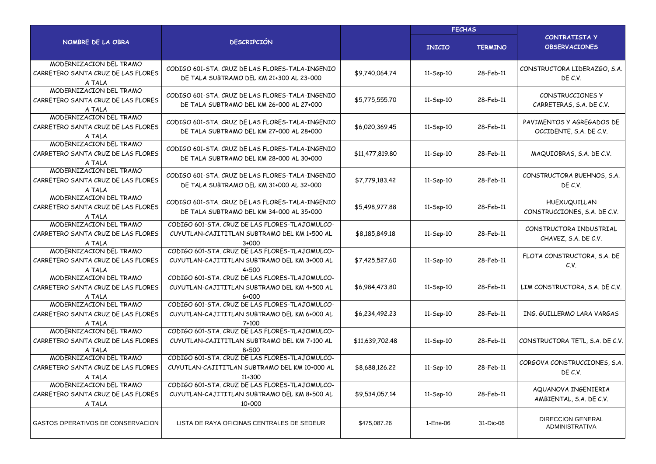|                                                                         |                                                                                                           |                 | <b>FECHAS</b>   |                |                                                      |  |
|-------------------------------------------------------------------------|-----------------------------------------------------------------------------------------------------------|-----------------|-----------------|----------------|------------------------------------------------------|--|
| NOMBRE DE LA OBRA                                                       | <b>DESCRIPCIÓN</b>                                                                                        |                 | <b>INICIO</b>   | <b>TERMINO</b> | CONTRATISTA Y<br><b>OBSERVACIONES</b>                |  |
| MODERNIZACION DEL TRAMO<br>CARRETERO SANTA CRUZ DE LAS FLORES<br>A TALA | CODIGO 601-STA, CRUZ DE LAS FLORES-TALA-INGENIO<br>DE TALA SUBTRAMO DEL KM 21+300 AL 23+000               | \$9,740,064.74  | 11-Sep-10       | 28-Feb-11      | CONSTRUCTORA LIDERAZGO, S.A.<br>DE C.V.              |  |
| MODERNIZACION DEL TRAMO<br>CARRETERO SANTA CRUZ DE LAS FLORES<br>A TALA | CODIGO 601-STA, CRUZ DE LAS FLORES-TALA-INGENIO<br>DE TALA SUBTRAMO DEL KM 26+000 AL 27+000               | \$5,775,555.70  | 11-Sep-10       | 28-Feb-11      | CONSTRUCCIONES Y<br>CARRETERAS, S.A. DE C.V.         |  |
| MODERNIZACION DEL TRAMO<br>CARRETERO SANTA CRUZ DE LAS FLORES<br>A TALA | CODIGO 601-STA, CRUZ DE LAS FLORES-TALA-INGENIO<br>DE TALA SUBTRAMO DEL KM 27+000 AL 28+000               | \$6,020,369.45  | 11-Sep-10       | 28-Feb-11      | PAVIMENTOS Y AGREGADOS DE<br>OCCIDENTE, S.A. DE C.V. |  |
| MODERNIZACION DEL TRAMO<br>CARRETERO SANTA CRUZ DE LAS FLORES<br>A TALA | CODIGO 601-STA, CRUZ DE LAS FLORES-TALA-INGENIO<br>DE TALA SUBTRAMO DEL KM 28+000 AL 30+000               | \$11,477,819.80 | 11-Sep-10       | 28-Feb-11      | MAQUIOBRAS, S.A. DE C.V.                             |  |
| MODERNIZACION DEL TRAMO<br>CARRETERO SANTA CRUZ DE LAS FLORES<br>A TALA | CODIGO 601-STA, CRUZ DE LAS FLORES-TALA-INGENIO<br>DE TALA SUBTRAMO DEL KM 31+000 AL 32+000               | \$7,779,183.42  | 11-Sep-10       | 28-Feb-11      | CONSTRUCTORA BUEHNOS, S.A.<br>DE C.V.                |  |
| MODERNIZACION DEL TRAMO<br>CARRETERO SANTA CRUZ DE LAS FLORES<br>A TALA | CODIGO 601-STA, CRUZ DE LAS FLORES-TALA-INGENIO<br>DE TALA SUBTRAMO DEL KM 34+000 AL 35+000               | \$5,498,977.88  | 11-Sep-10       | 28-Feb-11      | HUEXUQUILLAN<br>CONSTRUCCIONES, S.A. DE C.V.         |  |
| MODERNIZACION DEL TRAMO<br>CARRETERO SANTA CRUZ DE LAS FLORES<br>A TALA | CODIGO 601-STA, CRUZ DE LAS FLORES-TLAJOMULCO-<br>CUYUTLAN-CAJITITLAN SUBTRAMO DEL KM 1+500 AL<br>$3+000$ | \$8,185,849.18  | 11-Sep-10       | 28-Feb-11      | CONSTRUCTORA INDUSTRIAL<br>CHAVEZ, S.A. DE C.V.      |  |
| MODERNIZACION DEL TRAMO<br>CARRETERO SANTA CRUZ DE LAS FLORES<br>A TALA | CODIGO 601-STA, CRUZ DE LAS FLORES-TLAJOMULCO-<br>CUYUTLAN-CAJITITLAN SUBTRAMO DEL KM 3+000 AL<br>4+500   | \$7,425,527.60  | 11-Sep-10       | 28-Feb-11      | FLOTA CONSTRUCTORA, S.A. DE<br>C.V.                  |  |
| MODERNIZACION DEL TRAMO<br>CARRETERO SANTA CRUZ DE LAS FLORES<br>A TALA | CODIGO 601-STA. CRUZ DE LAS FLORES-TLAJOMULCO-<br>CUYUTLAN-CAJITITLAN SUBTRAMO DEL KM 4+500 AL<br>6+000   | \$6,984,473.80  | 11-Sep-10       | 28-Feb-11      | LIM CONSTRUCTORA, S.A. DE C.V.                       |  |
| MODERNIZACION DEL TRAMO<br>CARRETERO SANTA CRUZ DE LAS FLORES<br>A TALA | CODIGO 601-STA. CRUZ DE LAS FLORES-TLAJOMULCO-<br>CUYUTLAN-CAJITITLAN SUBTRAMO DEL KM 6+000 AL<br>7+100   | \$6,234,492.23  | 11-Sep-10       | 28-Feb-11      | ING. GUILLERMO LARA VARGAS                           |  |
| MODERNIZACION DEL TRAMO<br>CARRETERO SANTA CRUZ DE LAS FLORES<br>A TALA | CODIGO 601-STA. CRUZ DE LAS FLORES-TLAJOMULCO-<br>CUYUTLAN-CAJITITLAN SUBTRAMO DEL KM 7+100 AL<br>8+500   | \$11,639,702.48 | 11-Sep-10       | 28-Feb-11      | CONSTRUCTORA TETL, S.A. DE C.V.                      |  |
| MODERNIZACION DEL TRAMO<br>CARRETERO SANTA CRUZ DE LAS FLORES<br>A TALA | CODIGO 601-STA. CRUZ DE LAS FLORES-TLAJOMULCO-<br>CUYUTLAN-CAJITITLAN SUBTRAMO DEL KM 10+000 AL<br>11+300 | \$8,688,126.22  | $11-$ Sep $-10$ | 28-Feb-11      | CORGOVA CONSTRUCCIONES, S.A.<br>DE C.V.              |  |
| MODERNIZACION DEL TRAMO<br>CARRETERO SANTA CRUZ DE LAS FLORES<br>A TALA | CODIGO 601-STA. CRUZ DE LAS FLORES-TLAJOMULCO-<br>CUYUTLAN-CAJITITLAN SUBTRAMO DEL KM 8+500 AL<br>10+000  | \$9,534,057.14  | 11-Sep-10       | 28-Feb-11      | AQUANOVA INGENIERIA<br>AMBIENTAL, S.A. DE C.V.       |  |
| GASTOS OPERATIVOS DE CONSERVACION                                       | LISTA DE RAYA OFICINAS CENTRALES DE SEDEUR                                                                | \$475,087.26    | 1-Ene-06        | 31-Dic-06      | <b>DIRECCION GENERAL</b><br><b>ADMINISTRATIVA</b>    |  |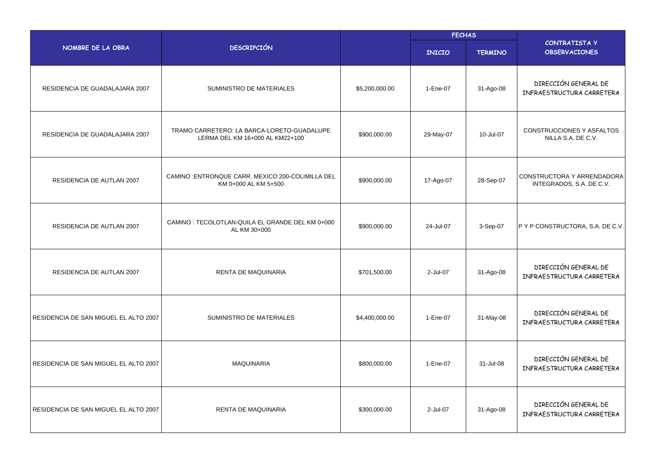|                                       |                                                                               | <b>FECHAS</b>  |               |                |                                                        |
|---------------------------------------|-------------------------------------------------------------------------------|----------------|---------------|----------------|--------------------------------------------------------|
| NOMBRE DE LA OBRA                     | <b>DESCRIPCIÓN</b>                                                            |                | <b>INICIO</b> | <b>TERMINO</b> | <b>CONTRATISTA Y</b><br><b>OBSERVACIONES</b>           |
| RESIDENCIA DE GUADALAJARA 2007        | SUMINISTRO DE MATERIALES                                                      | \$5,200,000.00 | 1-Ene-07      | 31-Ago-08      | DIRECCIÓN GENERAL DE<br>INFRAESTRUCTURA CARRETERA      |
| RESIDENCIA DE GUADALAJARA 2007        | TRAMO CARRETERO: LA BARCA-LORETO-GUADALUPE<br>LERMA DEL KM 16+000 AL KM22+100 | \$900,000.00   | 29-May-07     | 10-Jul-07      | CONSTRUCCIONES Y ASFALTOS<br>NILLA S.A. DE C.V.        |
| RESIDENCIA DE AUTLAN 2007             | CAMINO : ENTRONQUE CARR. MEXICO 200-COLIMILLA DEL<br>KM 0+000 AL KM 5+500     | \$900,000.00   | 17-Ago-07     | 28-Sep-07      | CONSTRUCTORA Y ARRENDADORA<br>INTEGRADOS, S.A. DE C.V. |
| RESIDENCIA DE AUTLAN 2007             | CAMINO : TECOLOTLAN-QUILA EL GRANDE DEL KM 0+000<br>AL KM 30+000              | \$900,000.00   | 24-Jul-07     | 3-Sep-07       | P Y P CONSTRUCTORA, S.A. DE C.V.                       |
| RESIDENCIA DE AUTLAN 2007             | RENTA DE MAQUINARIA                                                           | \$701,500.00   | 2-Jul-07      | 31-Ago-08      | DIRECCIÓN GENERAL DE<br>INFRAESTRUCTURA CARRETERA      |
| RESIDENCIA DE SAN MIGUEL EL ALTO 2007 | SUMINISTRO DE MATERIALES                                                      | \$4,400,000.00 | 1-Ene-07      | 31-May-08      | DIRECCIÓN GENERAL DE<br>INFRAESTRUCTURA CARRETERA      |
| RESIDENCIA DE SAN MIGUEL EL ALTO 2007 | <b>MAQUINARIA</b>                                                             | \$800,000.00   | 1-Ene-07      | 31-Jul-08      | DIRECCIÓN GENERAL DE<br>INFRAESTRUCTURA CARRETERA      |
| RESIDENCIA DE SAN MIGUEL EL ALTO 2007 | <b>RENTA DE MAQUINARIA</b>                                                    | \$300,000.00   | 2-Jul-07      | 31-Ago-08      | DIRECCIÓN GENERAL DE<br>INFRAESTRUCTURA CARRETERA      |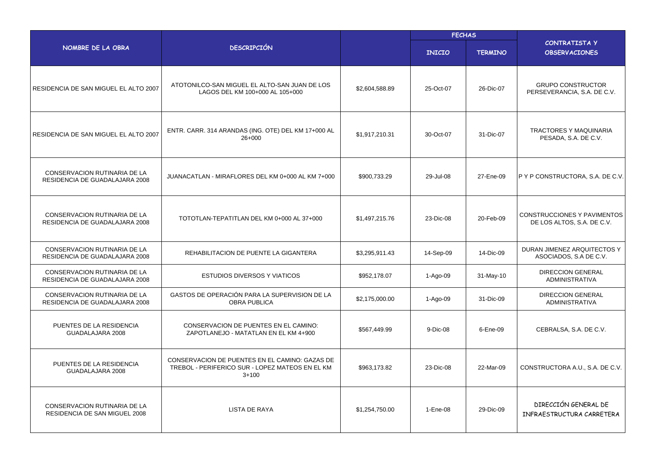|                                                                       |                                                                                                              | <b>FECHAS</b>  |               |                |                                                                  |
|-----------------------------------------------------------------------|--------------------------------------------------------------------------------------------------------------|----------------|---------------|----------------|------------------------------------------------------------------|
| NOMBRE DE LA OBRA                                                     | <b>DESCRIPCIÓN</b>                                                                                           |                | <b>INICIO</b> | <b>TERMINO</b> | <b>CONTRATISTA Y</b><br><b>OBSERVACIONES</b>                     |
| RESIDENCIA DE SAN MIGUEL EL ALTO 2007                                 | ATOTONILCO-SAN MIGUEL EL ALTO-SAN JUAN DE LOS<br>LAGOS DEL KM 100+000 AL 105+000                             | \$2,604,588.89 | 25-Oct-07     | 26-Dic-07      | <b>GRUPO CONSTRUCTOR</b><br>PERSEVERANCIA, S.A. DE C.V.          |
| RESIDENCIA DE SAN MIGUEL EL ALTO 2007                                 | ENTR. CARR. 314 ARANDAS (ING. OTE) DEL KM 17+000 AL<br>$26+000$                                              | \$1,917,210.31 | 30-Oct-07     | 31-Dic-07      | TRACTORES Y MAQUINARIA<br>PESADA, S.A. DE C.V.                   |
| <b>CONSERVACION RUTINARIA DE LA</b><br>RESIDENCIA DE GUADALAJARA 2008 | JUANACATLAN - MIRAFLORES DEL KM 0+000 AL KM 7+000                                                            | \$900,733.29   | 29-Jul-08     | 27-Ene-09      | P Y P CONSTRUCTORA, S.A. DE C.V.                                 |
| <b>CONSERVACION RUTINARIA DE LA</b><br>RESIDENCIA DE GUADALAJARA 2008 | TOTOTLAN-TEPATITLAN DEL KM 0+000 AL 37+000                                                                   | \$1,497,215.76 | 23-Dic-08     | 20-Feb-09      | <b>CONSTRUCCIONES Y PAVIMENTOS</b><br>DE LOS ALTOS, S.A. DE C.V. |
| CONSERVACION RUTINARIA DE LA<br>RESIDENCIA DE GUADALAJARA 2008        | REHABILITACION DE PUENTE LA GIGANTERA                                                                        | \$3,295,911.43 | 14-Sep-09     | 14-Dic-09      | DURAN JIMENEZ ARQUITECTOS Y<br>ASOCIADOS, S.A DE C.V.            |
| CONSERVACION RUTINARIA DE LA<br>RESIDENCIA DE GUADALAJARA 2008        | <b>ESTUDIOS DIVERSOS Y VIATICOS</b>                                                                          | \$952,178.07   | 1-Ago-09      | 31-May-10      | <b>DIRECCION GENERAL</b><br><b>ADMINISTRATIVA</b>                |
| CONSERVACION RUTINARIA DE LA<br>RESIDENCIA DE GUADALAJARA 2008        | GASTOS DE OPERACIÓN PARA LA SUPERVISION DE LA<br><b>OBRA PUBLICA</b>                                         | \$2,175,000.00 | 1-Ago-09      | 31-Dic-09      | <b>DIRECCION GENERAL</b><br><b>ADMINISTRATIVA</b>                |
| PUENTES DE LA RESIDENCIA<br>GUADALAJARA 2008                          | <b>CONSERVACION DE PUENTES EN EL CAMINO:</b><br>ZAPOTLANEJO - MATATLAN EN EL KM 4+900                        | \$567,449.99   | 9-Dic-08      | 6-Ene-09       | CEBRALSA, S.A. DE C.V.                                           |
| PUENTES DE LA RESIDENCIA<br>GUADALAJARA 2008                          | CONSERVACION DE PUENTES EN EL CAMINO: GAZAS DE<br>TREBOL - PERIFERICO SUR - LOPEZ MATEOS EN EL KM<br>$3+100$ | \$963,173.82   | 23-Dic-08     | 22-Mar-09      | CONSTRUCTORA A.U., S.A. DE C.V.                                  |
| <b>CONSERVACION RUTINARIA DE LA</b><br>RESIDENCIA DE SAN MIGUEL 2008  | <b>LISTA DE RAYA</b>                                                                                         | \$1,254,750.00 | 1-Ene-08      | 29-Dic-09      | DIRECCIÓN GENERAL DE<br>INFRAESTRUCTURA CARRETERA                |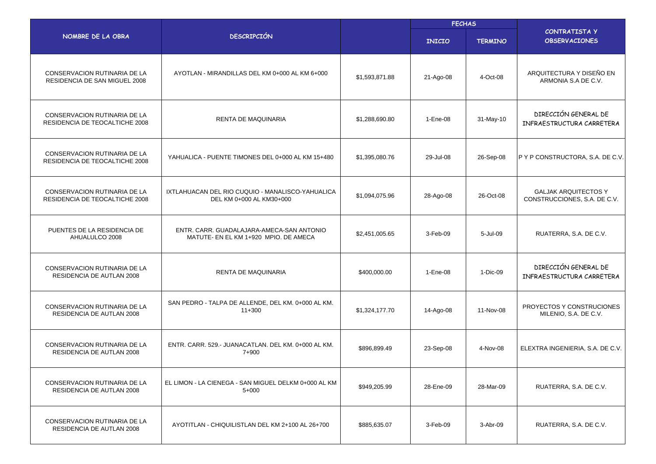|                                                                       |                                                                                    |                | <b>FECHAS</b> |                |                                                             |  |
|-----------------------------------------------------------------------|------------------------------------------------------------------------------------|----------------|---------------|----------------|-------------------------------------------------------------|--|
| NOMBRE DE LA OBRA                                                     | <b>DESCRIPCIÓN</b>                                                                 |                | <b>INICIO</b> | <b>TERMINO</b> | <b>CONTRATISTA Y</b><br><b>OBSERVACIONES</b>                |  |
| CONSERVACION RUTINARIA DE LA<br>RESIDENCIA DE SAN MIGUEL 2008         | AYOTLAN - MIRANDILLAS DEL KM 0+000 AL KM 6+000                                     | \$1,593,871.88 | 21-Ago-08     | 4-Oct-08       | ARQUITECTURA Y DISEÑO EN<br>ARMONIA S.A DE C.V.             |  |
| CONSERVACION RUTINARIA DE LA<br>RESIDENCIA DE TEOCALTICHE 2008        | RENTA DE MAQUINARIA                                                                | \$1.288.690.80 | 1-Ene-08      | 31-May-10      | DIRECCIÓN GENERAL DE<br>INFRAESTRUCTURA CARRETERA           |  |
| CONSERVACION RUTINARIA DE LA<br>RESIDENCIA DE TEOCALTICHE 2008        | YAHUALICA - PUENTE TIMONES DEL 0+000 AL KM 15+480                                  | \$1,395,080.76 | 29-Jul-08     | 26-Sep-08      | IP Y P CONSTRUCTORA, S.A. DE C.V.                           |  |
| <b>CONSERVACION RUTINARIA DE LA</b><br>RESIDENCIA DE TEOCALTICHE 2008 | IXTLAHUACAN DEL RIO CUQUIO - MANALISCO-YAHUALICA<br>DEL KM 0+000 AL KM30+000       | \$1,094,075.96 | 28-Ago-08     | 26-Oct-08      | <b>GALJAK ARQUITECTOS Y</b><br>CONSTRUCCIONES, S.A. DE C.V. |  |
| PUENTES DE LA RESIDENCIA DE<br>AHUALULCO 2008                         | ENTR. CARR. GUADALAJARA-AMECA-SAN ANTONIO<br>MATUTE- EN EL KM 1+920 MPIO. DE AMECA | \$2,451,005.65 | 3-Feb-09      | 5-Jul-09       | RUATERRA, S.A. DE C.V.                                      |  |
| <b>CONSERVACION RUTINARIA DE LA</b><br>RESIDENCIA DE AUTLAN 2008      | RENTA DE MAQUINARIA                                                                | \$400,000.00   | 1-Ene-08      | 1-Dic-09       | DIRECCIÓN GENERAL DE<br>INFRAESTRUCTURA CARRETERA           |  |
| CONSERVACION RUTINARIA DE LA<br>RESIDENCIA DE AUTLAN 2008             | SAN PEDRO - TALPA DE ALLENDE, DEL KM. 0+000 AL KM.<br>$11+300$                     | \$1,324,177.70 | 14-Ago-08     | 11-Nov-08      | PROYECTOS Y CONSTRUCIONES<br>MILENIO, S.A. DE C.V.          |  |
| <b>CONSERVACION RUTINARIA DE LA</b><br>RESIDENCIA DE AUTLAN 2008      | ENTR. CARR. 529.- JUANACATLAN. DEL KM. 0+000 AL KM.<br>7+900                       | \$896,899.49   | 23-Sep-08     | 4-Nov-08       | ELEXTRA INGENIERIA, S.A. DE C.V.                            |  |
| CONSERVACION RUTINARIA DE LA<br>RESIDENCIA DE AUTLAN 2008             | EL LIMON - LA CIENEGA - SAN MIGUEL DELKM 0+000 AL KM<br>$5+000$                    | \$949,205.99   | 28-Ene-09     | 28-Mar-09      | RUATERRA, S.A. DE C.V.                                      |  |
| CONSERVACION RUTINARIA DE LA<br>RESIDENCIA DE AUTLAN 2008             | AYOTITLAN - CHIQUILISTLAN DEL KM 2+100 AL 26+700                                   | \$885,635.07   | 3-Feb-09      | 3-Abr-09       | RUATERRA, S.A. DE C.V.                                      |  |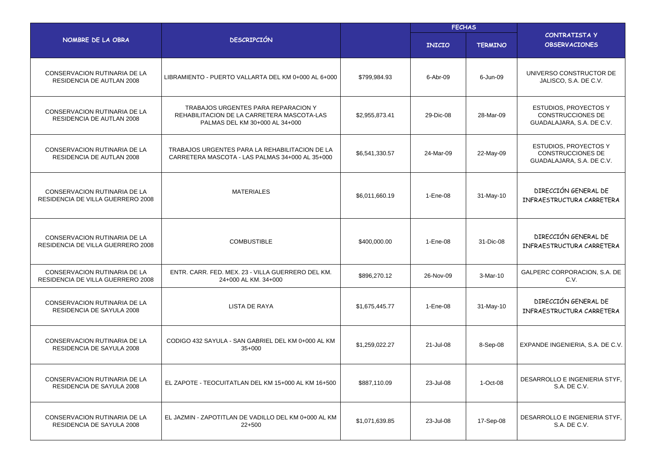|                                                                   |                                                                                                                     |                | <b>FECHAS</b> |                |                                                                                |  |
|-------------------------------------------------------------------|---------------------------------------------------------------------------------------------------------------------|----------------|---------------|----------------|--------------------------------------------------------------------------------|--|
| NOMBRE DE LA OBRA                                                 | <b>DESCRIPCIÓN</b>                                                                                                  |                | <b>INICIO</b> | <b>TERMINO</b> | <b>CONTRATISTA Y</b><br><b>OBSERVACIONES</b>                                   |  |
| CONSERVACION RUTINARIA DE LA<br>RESIDENCIA DE AUTLAN 2008         | LIBRAMIENTO - PUERTO VALLARTA DEL KM 0+000 AL 6+000                                                                 | \$799.984.93   | 6-Abr-09      | 6-Jun-09       | UNIVERSO CONSTRUCTOR DE<br>JALISCO, S.A. DE C.V.                               |  |
| CONSERVACION RUTINARIA DE LA<br>RESIDENCIA DE AUTLAN 2008         | TRABAJOS URGENTES PARA REPARACION Y<br>REHABILITACION DE LA CARRETERA MASCOTA-LAS<br>PALMAS DEL KM 30+000 AL 34+000 | \$2,955,873.41 | 29-Dic-08     | 28-Mar-09      | <b>ESTUDIOS, PROYECTOS Y</b><br>CONSTRUCCIONES DE<br>GUADALAJARA, S.A. DE C.V. |  |
| CONSERVACION RUTINARIA DE LA<br>RESIDENCIA DE AUTLAN 2008         | TRABAJOS URGENTES PARA LA REHABILITACION DE LA<br>CARRETERA MASCOTA - LAS PALMAS 34+000 AL 35+000                   | \$6,541,330.57 | 24-Mar-09     | 22-May-09      | ESTUDIOS, PROYECTOS Y<br>CONSTRUCCIONES DE<br>GUADALAJARA, S.A. DE C.V.        |  |
| CONSERVACION RUTINARIA DE LA<br>RESIDENCIA DE VILLA GUERRERO 2008 | <b>MATERIALES</b>                                                                                                   | \$6,011,660.19 | 1-Ene-08      | 31-May-10      | DIRECCIÓN GENERAL DE<br>INFRAESTRUCTURA CARRETERA                              |  |
| CONSERVACION RUTINARIA DE LA<br>RESIDENCIA DE VILLA GUERRERO 2008 | <b>COMBUSTIBLE</b>                                                                                                  | \$400,000.00   | 1-Ene-08      | 31-Dic-08      | DIRECCIÓN GENERAL DE<br>INFRAESTRUCTURA CARRETERA                              |  |
| CONSERVACION RUTINARIA DE LA<br>RESIDENCIA DE VILLA GUERRERO 2008 | ENTR. CARR. FED. MEX. 23 - VILLA GUERRERO DEL KM.<br>24+000 AL KM. 34+000                                           | \$896,270.12   | 26-Nov-09     | 3-Mar-10       | GALPERC CORPORACION, S.A. DE<br>C.V.                                           |  |
| CONSERVACION RUTINARIA DE LA<br>RESIDENCIA DE SAYULA 2008         | <b>LISTA DE RAYA</b>                                                                                                | \$1,675,445.77 | 1-Ene-08      | 31-May-10      | DIRECCIÓN GENERAL DE<br>INFRAESTRUCTURA CARRETERA                              |  |
| <b>CONSERVACION RUTINARIA DE LA</b><br>RESIDENCIA DE SAYULA 2008  | CODIGO 432 SAYULA - SAN GABRIEL DEL KM 0+000 AL KM<br>35+000                                                        | \$1,259,022.27 | 21-Jul-08     | 8-Sep-08       | EXPANDE INGENIERIA, S.A. DE C.V.                                               |  |
| CONSERVACION RUTINARIA DE LA<br>RESIDENCIA DE SAYULA 2008         | EL ZAPOTE - TEOCUITATLAN DEL KM 15+000 AL KM 16+500                                                                 | \$887,110.09   | 23-Jul-08     | 1-Oct-08       | DESARROLLO E INGENIERIA STYF,<br>S.A. DE C.V.                                  |  |
| CONSERVACION RUTINARIA DE LA<br>RESIDENCIA DE SAYULA 2008         | EL JAZMIN - ZAPOTITLAN DE VADILLO DEL KM 0+000 AL KM<br>$22+500$                                                    | \$1,071,639.85 | 23-Jul-08     | 17-Sep-08      | DESARROLLO E INGENIERIA STYF,<br>S.A. DE C.V.                                  |  |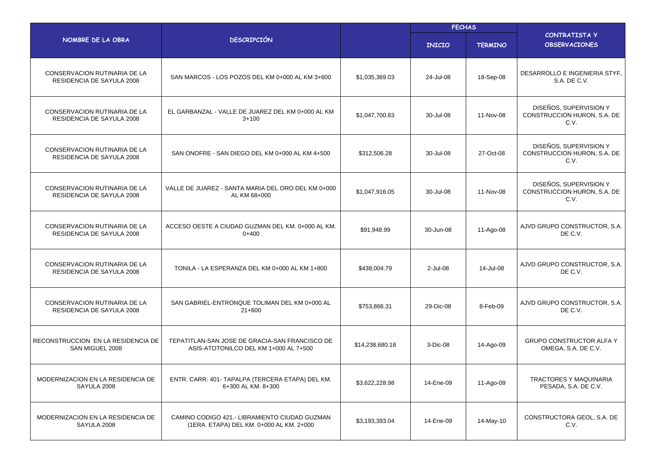|                                                                  |                                                                                           |                 | <b>FECHAS</b> |                |                                                               |  |
|------------------------------------------------------------------|-------------------------------------------------------------------------------------------|-----------------|---------------|----------------|---------------------------------------------------------------|--|
| NOMBRE DE LA OBRA                                                | <b>DESCRIPCIÓN</b>                                                                        |                 | <b>INICIO</b> | <b>TERMINO</b> | CONTRATISTA Y<br><b>OBSERVACIONES</b>                         |  |
| CONSERVACION RUTINARIA DE LA<br>RESIDENCIA DE SAYULA 2008        | SAN MARCOS - LOS POZOS DEL KM 0+000 AL KM 3+600                                           | \$1,035,369.03  | 24-Jul-08     | 18-Sep-08      | DESARROLLO E INGENIERIA STYF,<br>S.A. DE C.V.                 |  |
| <b>CONSERVACION RUTINARIA DE LA</b><br>RESIDENCIA DE SAYULA 2008 | EL GARBANZAL - VALLE DE JUAREZ DEL KM 0+000 AL KM<br>$3 + 100$                            | \$1,047,700.83  | 30-Jul-08     | 11-Nov-08      | DISEÑOS, SUPERVISION Y<br>CONSTRUCCION HURON, S.A. DE<br>C.V. |  |
| CONSERVACION RUTINARIA DE LA<br>RESIDENCIA DE SAYULA 2008        | SAN ONOFRE - SAN DIEGO DEL KM 0+000 AL KM 4+500                                           | \$312,506.28    | 30-Jul-08     | 27-Oct-08      | DISEÑOS, SUPERVISION Y<br>CONSTRUCCION HURON, S.A. DE<br>C.V. |  |
| CONSERVACION RUTINARIA DE LA<br>RESIDENCIA DE SAYULA 2008        | VALLE DE JUAREZ - SANTA MARIA DEL ORO DEL KM 0+000<br>AL KM 68+000                        | \$1,047,916.05  | 30-Jul-08     | 11-Nov-08      | DISEÑOS, SUPERVISION Y<br>CONSTRUCCION HURON, S.A. DE<br>C.V. |  |
| <b>CONSERVACION RUTINARIA DE LA</b><br>RESIDENCIA DE SAYULA 2008 | ACCESO OESTE A CIUDAD GUZMAN DEL KM, 0+000 AL KM.<br>$0+400$                              | \$91,948.99     | 30-Jun-08     | 11-Ago-08      | AJVD GRUPO CONSTRUCTOR, S.A.<br>DE C.V.                       |  |
| CONSERVACION RUTINARIA DE LA<br>RESIDENCIA DE SAYULA 2008        | TONILA - LA ESPERANZA DEL KM 0+000 AL KM 1+800                                            | \$438,004.79    | $2$ -Jul-08   | 14-Jul-08      | AJVD GRUPO CONSTRUCTOR, S.A.<br>DE C.V.                       |  |
| CONSERVACION RUTINARIA DE LA<br>RESIDENCIA DE SAYULA 2008        | SAN GABRIEL-ENTRONQUE TOLIMAN DEL KM 0+000 AL<br>$21+600$                                 | \$753,866.31    | 29-Dic-08     | 8-Feb-09       | AJVD GRUPO CONSTRUCTOR, S.A.<br>DE C.V.                       |  |
| RECONSTRUCCION EN LA RESIDENCIA DE<br>SAN MIGUEL 2008            | TEPATITLAN-SAN JOSE DE GRACIA-SAN FRANCISCO DE<br>ASIS-ATOTONILCO DEL KM 1+000 AL 7+500   | \$14,238,680.18 | 3-Dic-08      | 14-Ago-09      | <b>GRUPO CONSTRUCTOR ALFA Y</b><br>OMEGA, S.A. DE C.V.        |  |
| MODERNIZACION EN LA RESIDENCIA DE<br>SAYULA 2008                 | ENTR. CARR. 401- TAPALPA (TERCERA ETAPA) DEL KM.<br>6+300 AL KM. 8+300                    | \$3,622,228.98  | 14-Ene-09     | 11-Ago-09      | <b>TRACTORES Y MAQUINARIA</b><br>PESADA, S.A. DE C.V.         |  |
| MODERNIZACION EN LA RESIDENCIA DE<br>SAYULA 2008                 | CAMINO CODIGO 421.- LIBRAMIENTO CIUDAD GUZMAN<br>(1ERA. ETAPA) DEL KM. 0+000 AL KM. 2+000 | \$3,193,393.04  | 14-Ene-09     | 14-May-10      | CONSTRUCTORA GEOL, S.A. DE<br>C.V.                            |  |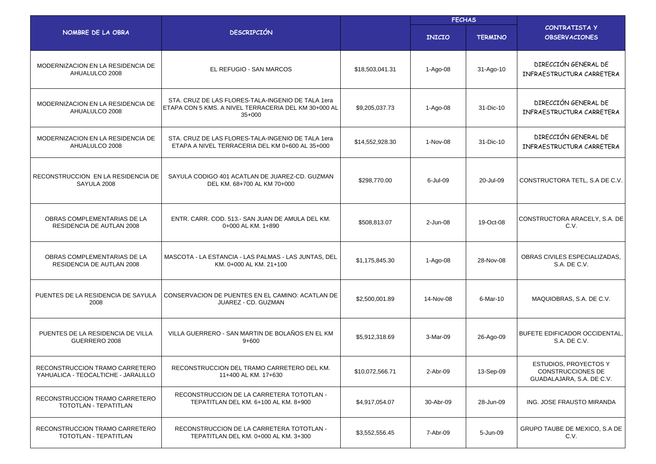|                                                                       |                                                                                                                       |                 | <b>FECHAS</b> |                |                                                                                |
|-----------------------------------------------------------------------|-----------------------------------------------------------------------------------------------------------------------|-----------------|---------------|----------------|--------------------------------------------------------------------------------|
| NOMBRE DE LA OBRA                                                     | <b>DESCRIPCIÓN</b>                                                                                                    |                 | <b>INICIO</b> | <b>TERMINO</b> | CONTRATISTA Y<br><b>OBSERVACIONES</b>                                          |
| MODERNIZACION EN LA RESIDENCIA DE<br>AHUALULCO 2008                   | EL REFUGIO - SAN MARCOS                                                                                               | \$18,503,041.31 | 1-Ago-08      | 31-Ago-10      | DIRECCIÓN GENERAL DE<br>INFRAESTRUCTURA CARRETERA                              |
| MODERNIZACION EN LA RESIDENCIA DE<br>AHUALULCO 2008                   | STA, CRUZ DE LAS FLORES-TALA-INGENIO DE TALA 1era<br>ETAPA CON 5 KMS. A NIVEL TERRACERIA DEL KM 30+000 AL<br>$35+000$ | \$9,205,037.73  | 1-Ago-08      | 31-Dic-10      | DIRECCIÓN GENERAL DE<br>INFRAESTRUCTURA CARRETERA                              |
| MODERNIZACION EN LA RESIDENCIA DE<br>AHUALULCO 2008                   | STA. CRUZ DE LAS FLORES-TALA-INGENIO DE TALA 1era<br>ETAPA A NIVEL TERRACERIA DEL KM 0+600 AL 35+000                  | \$14,552,928.30 | 1-Nov-08      | 31-Dic-10      | DIRECCIÓN GENERAL DE<br>INFRAESTRUCTURA CARRETERA                              |
| RECONSTRUCCION EN LA RESIDENCIA DE<br>SAYULA 2008                     | SAYULA CODIGO 401 ACATLAN DE JUAREZ-CD. GUZMAN<br>DEL KM, 68+700 AL KM 70+000                                         | \$298,770.00    | 6-Jul-09      | 20-Jul-09      | CONSTRUCTORA TETL, S.A DE C.V.                                                 |
| OBRAS COMPLEMENTARIAS DE LA<br><b>RESIDENCIA DE AUTLAN 2008</b>       | ENTR. CARR. COD. 513.- SAN JUAN DE AMULA DEL KM.<br>0+000 AL KM, 1+890                                                | \$508,813.07    | 2-Jun-08      | 19-Oct-08      | CONSTRUCTORA ARACELY, S.A. DE<br>C.V.                                          |
| OBRAS COMPLEMENTARIAS DE LA<br>RESIDENCIA DE AUTLAN 2008              | MASCOTA - LA ESTANCIA - LAS PALMAS - LAS JUNTAS, DEL<br>KM. 0+000 AL KM. 21+100                                       | \$1,175,845.30  | 1-Ago-08      | 28-Nov-08      | OBRAS CIVILES ESPECIALIZADAS,<br>S.A. DE C.V.                                  |
| PUENTES DE LA RESIDENCIA DE SAYULA<br>2008                            | CONSERVACION DE PUENTES EN EL CAMINO: ACATLAN DE<br>JUAREZ - CD. GUZMAN                                               | \$2,500,001.89  | 14-Nov-08     | 6-Mar-10       | MAQUIOBRAS, S.A. DE C.V.                                                       |
| PUENTES DE LA RESIDENCIA DE VILLA<br>GUERRERO 2008                    | VILLA GUERRERO - SAN MARTIN DE BOLAÑOS EN EL KM<br>$9 + 600$                                                          | \$5,912,318.69  | 3-Mar-09      | 26-Ago-09      | BUFETE EDIFICADOR OCCIDENTAL,<br>S.A. DE C.V.                                  |
| RECONSTRUCCION TRAMO CARRETERO<br>YAHUALICA - TEOCALTICHE - JARALILLO | RECONSTRUCCION DEL TRAMO CARRETERO DEL KM.<br>11+400 AL KM. 17+630                                                    | \$10,072,566.71 | 2-Abr-09      | 13-Sep-09      | ESTUDIOS, PROYECTOS Y<br><b>CONSTRUCCIONES DE</b><br>GUADALAJARA, S.A. DE C.V. |
| RECONSTRUCCION TRAMO CARRETERO<br>TOTOTLAN - TEPATITLAN               | RECONSTRUCCION DE LA CARRETERA TOTOTLAN -<br>TEPATITLAN DEL KM. 6+100 AL KM. 8+900                                    | \$4,917,054.07  | 30-Abr-09     | 28-Jun-09      | ING. JOSE FRAUSTO MIRANDA                                                      |
| RECONSTRUCCION TRAMO CARRETERO<br>TOTOTLAN - TEPATITLAN               | RECONSTRUCCION DE LA CARRETERA TOTOTLAN -<br>TEPATITLAN DEL KM. 0+000 AL KM. 3+300                                    | \$3,552,556.45  | 7-Abr-09      | 5-Jun-09       | GRUPO TAUBE DE MEXICO, S.A DE<br>C.V.                                          |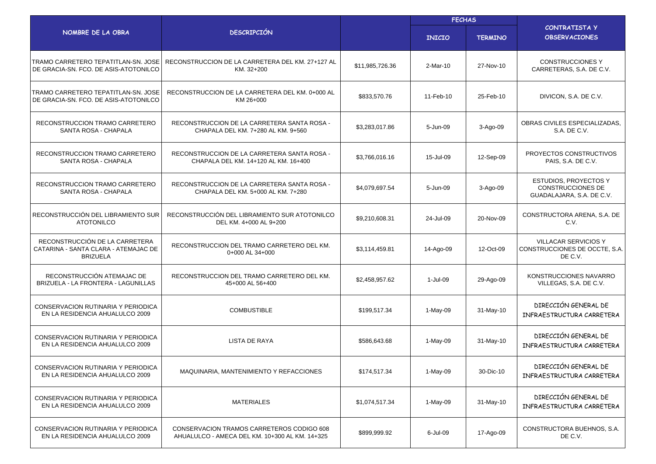|                                                                                           |                                                                                             |                 | <b>FECHAS</b> |                |                                                                                |  |
|-------------------------------------------------------------------------------------------|---------------------------------------------------------------------------------------------|-----------------|---------------|----------------|--------------------------------------------------------------------------------|--|
| NOMBRE DE LA OBRA                                                                         | <b>DESCRIPCIÓN</b>                                                                          |                 | <b>INICIO</b> | <b>TERMINO</b> | <b>CONTRATISTA Y</b><br><b>OBSERVACIONES</b>                                   |  |
| TRAMO CARRETERO TEPATITLAN-SN, JOSE<br>DE GRACIA-SN. FCO. DE ASIS-ATOTONILCO              | RECONSTRUCCION DE LA CARRETERA DEL KM. 27+127 AL<br>KM. 32+200                              | \$11,985,726.36 | 2-Mar-10      | 27-Nov-10      | <b>CONSTRUCCIONES Y</b><br>CARRETERAS, S.A. DE C.V.                            |  |
| TRAMO CARRETERO TEPATITLAN-SN. JOSE<br>DE GRACIA-SN. FCO. DE ASIS-ATOTONILCO              | RECONSTRUCCION DE LA CARRETERA DEL KM. 0+000 AL<br>KM 26+000                                | \$833,570.76    | 11-Feb-10     | 25-Feb-10      | DIVICON, S.A. DE C.V.                                                          |  |
| RECONSTRUCCION TRAMO CARRETERO<br>SANTA ROSA - CHAPALA                                    | RECONSTRUCCION DE LA CARRETERA SANTA ROSA -<br>CHAPALA DEL KM. 7+280 AL KM. 9+560           | \$3,283,017.86  | 5-Jun-09      | 3-Ago-09       | OBRAS CIVILES ESPECIALIZADAS.<br>S.A. DE C.V.                                  |  |
| RECONSTRUCCION TRAMO CARRETERO<br>SANTA ROSA - CHAPALA                                    | RECONSTRUCCION DE LA CARRETERA SANTA ROSA -<br>CHAPALA DEL KM. 14+120 AL KM. 16+400         | \$3,766,016.16  | 15-Jul-09     | 12-Sep-09      | PROYECTOS CONSTRUCTIVOS<br>PAIS, S.A. DE C.V.                                  |  |
| RECONSTRUCCION TRAMO CARRETERO<br>SANTA ROSA - CHAPALA                                    | RECONSTRUCCION DE LA CARRETERA SANTA ROSA -<br>CHAPALA DEL KM, 5+000 AL KM, 7+280           | \$4,079,697.54  | 5-Jun-09      | 3-Ago-09       | ESTUDIOS, PROYECTOS Y<br><b>CONSTRUCCIONES DE</b><br>GUADALAJARA, S.A. DE C.V. |  |
| RECONSTRUCCIÓN DEL LIBRAMIENTO SUR<br><b>ATOTONILCO</b>                                   | RECONSTRUCCIÓN DEL LIBRAMIENTO SUR ATOTONILCO<br>DEL KM. 4+000 AL 9+200                     | \$9,210,608.31  | 24-Jul-09     | 20-Nov-09      | CONSTRUCTORA ARENA, S.A. DE<br>C.V.                                            |  |
| RECONSTRUCCIÓN DE LA CARRETERA<br>CATARINA - SANTA CLARA - ATEMAJAC DE<br><b>BRIZUELA</b> | RECONSTRUCCION DEL TRAMO CARRETERO DEL KM.<br>0+000 AL 34+000                               | \$3,114,459.81  | 14-Ago-09     | 12-Oct-09      | <b>VILLACAR SERVICIOS Y</b><br>CONSTRUCCIONES DE OCCTE, S.A.<br>DE C.V.        |  |
| RECONSTRUCCIÓN ATEMAJAC DE<br>BRIZUELA - LA FRONTERA - LAGUNILLAS                         | RECONSTRUCCION DEL TRAMO CARRETERO DEL KM.<br>45+000 AL 56+400                              | \$2,458,957.62  | 1-Jul-09      | 29-Ago-09      | KONSTRUCCIONES NAVARRO<br>VILLEGAS, S.A. DE C.V.                               |  |
| CONSERVACION RUTINARIA Y PERIODICA<br>EN LA RESIDENCIA AHUALULCO 2009                     | <b>COMBUSTIBLE</b>                                                                          | \$199,517.34    | 1-May-09      | 31-May-10      | DIRECCIÓN GENERAL DE<br>INFRAESTRUCTURA CARRETERA                              |  |
| CONSERVACION RUTINARIA Y PERIODICA<br>EN LA RESIDENCIA AHUALULCO 2009                     | LISTA DE RAYA                                                                               | \$586,643.68    | 1-May-09      | 31-May-10      | DIRECCIÓN GENERAL DE<br>INFRAESTRUCTURA CARRETERA                              |  |
| CONSERVACION RUTINARIA Y PERIODICA<br>EN LA RESIDENCIA AHUALULCO 2009                     | MAQUINARIA, MANTENIMIENTO Y REFACCIONES                                                     | \$174,517.34    | 1-May-09      | 30-Dic-10      | DIRECCIÓN GENERAL DE<br>INFRAESTRUCTURA CARRETERA                              |  |
| CONSERVACION RUTINARIA Y PERIODICA<br>EN LA RESIDENCIA AHUALULCO 2009                     | <b>MATERIALES</b>                                                                           | \$1,074,517.34  | 1-May-09      | 31-May-10      | DIRECCIÓN GENERAL DE<br>INFRAESTRUCTURA CARRETERA                              |  |
| CONSERVACION RUTINARIA Y PERIODICA<br>EN LA RESIDENCIA AHUALULCO 2009                     | CONSERVACION TRAMOS CARRETEROS CODIGO 608<br>AHUALULCO - AMECA DEL KM. 10+300 AL KM. 14+325 | \$899,999.92    | 6-Jul-09      | 17-Ago-09      | CONSTRUCTORA BUEHNOS, S.A.<br>DE C.V.                                          |  |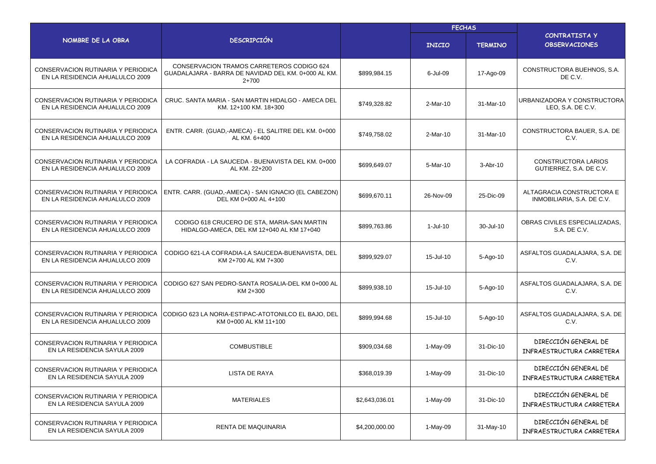|                                                                       |                                                                                                             |                | <b>FECHAS</b> |                |                                                         |
|-----------------------------------------------------------------------|-------------------------------------------------------------------------------------------------------------|----------------|---------------|----------------|---------------------------------------------------------|
| NOMBRE DE LA OBRA                                                     | <b>DESCRIPCIÓN</b>                                                                                          |                | <b>INICIO</b> | <b>TERMINO</b> | <b>CONTRATISTA Y</b><br><b>OBSERVACIONES</b>            |
| CONSERVACION RUTINARIA Y PERIODICA<br>EN LA RESIDENCIA AHUALULCO 2009 | CONSERVACION TRAMOS CARRETEROS CODIGO 624<br>GUADALAJARA - BARRA DE NAVIDAD DEL KM. 0+000 AL KM.<br>$2+700$ | \$899.984.15   | 6-Jul-09      | 17-Ago-09      | CONSTRUCTORA BUEHNOS, S.A.<br>DE C.V.                   |
| CONSERVACION RUTINARIA Y PERIODICA<br>EN LA RESIDENCIA AHUALULCO 2009 | CRUC. SANTA MARIA - SAN MARTIN HIDALGO - AMECA DEL<br>KM. 12+100 KM. 18+300                                 | \$749,328.82   | 2-Mar-10      | 31-Mar-10      | URBANIZADORA Y CONSTRUCTORA<br>LEO, S.A. DE C.V.        |
| CONSERVACION RUTINARIA Y PERIODICA<br>EN LA RESIDENCIA AHUALULCO 2009 | ENTR. CARR. (GUAD,-AMECA) - EL SALITRE DEL KM. 0+000<br>AL KM. 6+400                                        | \$749,758.02   | $2-Mar-10$    | 31-Mar-10      | CONSTRUCTORA BAUER, S.A. DE<br>C.V.                     |
| CONSERVACION RUTINARIA Y PERIODICA<br>EN LA RESIDENCIA AHUALULCO 2009 | LA COFRADIA - LA SAUCEDA - BUENAVISTA DEL KM. 0+000<br>AL KM. 22+200                                        | \$699,649.07   | 5-Mar-10      | $3-Abr-10$     | CONSTRUCTORA LARIOS<br>GUTIERREZ, S.A. DE C.V.          |
| CONSERVACION RUTINARIA Y PERIODICA<br>EN LA RESIDENCIA AHUALULCO 2009 | ENTR. CARR. (GUAD,-AMECA) - SAN IGNACIO (EL CABEZON)<br>DEL KM 0+000 AL 4+100                               | \$699,670.11   | 26-Nov-09     | 25-Dic-09      | ALTAGRACIA CONSTRUCTORA E<br>INMOBILIARIA, S.A. DE C.V. |
| CONSERVACION RUTINARIA Y PERIODICA<br>EN LA RESIDENCIA AHUALULCO 2009 | CODIGO 618 CRUCERO DE STA, MARIA-SAN MARTIN<br>HIDALGO-AMECA, DEL KM 12+040 AL KM 17+040                    | \$899,763.86   | 1-Jul-10      | 30-Jul-10      | OBRAS CIVILES ESPECIALIZADAS.<br>S.A. DE C.V.           |
| CONSERVACION RUTINARIA Y PERIODICA<br>EN LA RESIDENCIA AHUALULCO 2009 | CODIGO 621-LA COFRADIA-LA SAUCEDA-BUENAVISTA, DEL<br>KM 2+700 AL KM 7+300                                   | \$899,929.07   | 15-Jul-10     | 5-Ago-10       | ASFALTOS GUADALAJARA, S.A. DE<br>C.V.                   |
| CONSERVACION RUTINARIA Y PERIODICA<br>EN LA RESIDENCIA AHUALULCO 2009 | CODIGO 627 SAN PEDRO-SANTA ROSALIA-DEL KM 0+000 AL<br>KM 2+300                                              | \$899,938.10   | 15-Jul-10     | 5-Ago-10       | ASFALTOS GUADALAJARA, S.A. DE<br>C.V.                   |
| CONSERVACION RUTINARIA Y PERIODICA<br>EN LA RESIDENCIA AHUALULCO 2009 | CODIGO 623 LA NORIA-ESTIPAC-ATOTONILCO EL BAJO, DEL<br>KM 0+000 AL KM 11+100                                | \$899,994.68   | 15-Jul-10     | 5-Ago-10       | ASFALTOS GUADALAJARA, S.A. DE<br>C.V.                   |
| CONSERVACION RUTINARIA Y PERIODICA<br>EN LA RESIDENCIA SAYULA 2009    | <b>COMBUSTIBLE</b>                                                                                          | \$909,034.68   | 1-May-09      | 31-Dic-10      | DIRECCIÓN GENERAL DE<br>INFRAESTRUCTURA CARRETERA       |
| CONSERVACION RUTINARIA Y PERIODICA<br>EN LA RESIDENCIA SAYULA 2009    | LISTA DE RAYA                                                                                               | \$368,019.39   | 1-May-09      | 31-Dic-10      | DIRECCIÓN GENERAL DE<br>INFRAESTRUCTURA CARRETERA       |
| CONSERVACION RUTINARIA Y PERIODICA<br>EN LA RESIDENCIA SAYULA 2009    | <b>MATERIALES</b>                                                                                           | \$2,643,036.01 | 1-May-09      | 31-Dic-10      | DIRECCIÓN GENERAL DE<br>INFRAESTRUCTURA CARRETERA       |
| CONSERVACION RUTINARIA Y PERIODICA<br>EN LA RESIDENCIA SAYULA 2009    | RENTA DE MAQUINARIA                                                                                         | \$4,200,000.00 | $1-May-09$    | 31-May-10      | DIRECCIÓN GENERAL DE<br>INFRAESTRUCTURA CARRETERA       |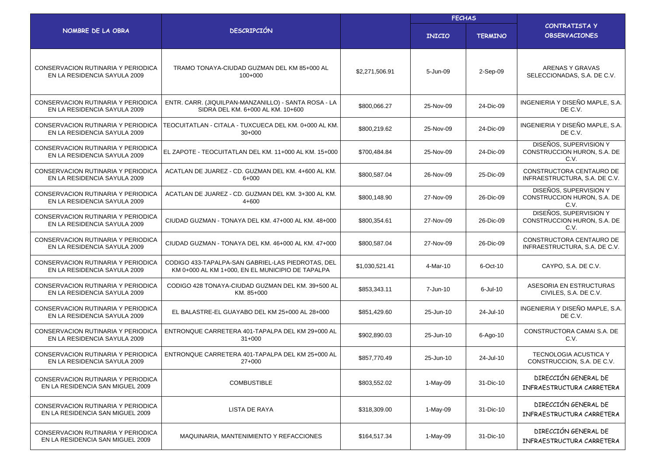|                                                                           |                                                                                                       |                | <b>FECHAS</b> |                |                                                               |  |
|---------------------------------------------------------------------------|-------------------------------------------------------------------------------------------------------|----------------|---------------|----------------|---------------------------------------------------------------|--|
| NOMBRE DE LA OBRA                                                         | <b>DESCRIPCIÓN</b>                                                                                    |                | <b>INICIO</b> | <b>TERMINO</b> | <b>CONTRATISTA Y</b><br><b>OBSERVACIONES</b>                  |  |
| CONSERVACION RUTINARIA Y PERIODICA<br>EN LA RESIDENCIA SAYULA 2009        | TRAMO TONAYA-CIUDAD GUZMAN DEL KM 85+000 AL<br>$100+000$                                              | \$2,271,506.91 | 5-Jun-09      | 2-Sep-09       | ARENAS Y GRAVAS<br>SELECCIONADAS, S.A. DE C.V.                |  |
| CONSERVACION RUTINARIA Y PERIODICA<br>EN LA RESIDENCIA SAYULA 2009        | ENTR. CARR. (JIQUILPAN-MANZANILLO) - SANTA ROSA - LA<br>SIDRA DEL KM. 6+000 AL KM. 10+600             | \$800,066.27   | 25-Nov-09     | 24-Dic-09      | INGENIERIA Y DISEÑO MAPLE, S.A.<br>DE C.V.                    |  |
| CONSERVACION RUTINARIA Y PERIODICA<br>EN LA RESIDENCIA SAYULA 2009        | TEOCUITATLAN - CITALA - TUXCUECA DEL KM. 0+000 AL KM.<br>$30+000$                                     | \$800,219.62   | 25-Nov-09     | 24-Dic-09      | INGENIERIA Y DISEÑO MAPLE, S.A.<br>DE C.V.                    |  |
| CONSERVACION RUTINARIA Y PERIODICA<br>EN LA RESIDENCIA SAYULA 2009        | EL ZAPOTE - TEOCUITATLAN DEL KM. 11+000 AL KM. 15+000                                                 | \$700,484.84   | 25-Nov-09     | 24-Dic-09      | DISEÑOS, SUPERVISION Y<br>CONSTRUCCION HURON, S.A. DE<br>C.V. |  |
| <b>CONSERVACION RUTINARIA Y PERIODICA</b><br>EN LA RESIDENCIA SAYULA 2009 | ACATLAN DE JUAREZ - CD. GUZMAN DEL KM. 4+600 AL KM.<br>6+000                                          | \$800,587.04   | 26-Nov-09     | 25-Dic-09      | CONSTRUCTORA CENTAURO DE<br>INFRAESTRUCTURA, S.A. DE C.V.     |  |
| CONSERVACION RUTINARIA Y PERIODICA<br>EN LA RESIDENCIA SAYULA 2009        | ACATLAN DE JUAREZ - CD. GUZMAN DEL KM. 3+300 AL KM.<br>4+600                                          | \$800,148.90   | 27-Nov-09     | 26-Dic-09      | DISEÑOS, SUPERVISION Y<br>CONSTRUCCION HURON, S.A. DE<br>C.V. |  |
| CONSERVACION RUTINARIA Y PERIODICA<br>EN LA RESIDENCIA SAYULA 2009        | CIUDAD GUZMAN - TONAYA DEL KM. 47+000 AL KM. 48+000                                                   | \$800,354.61   | 27-Nov-09     | 26-Dic-09      | DISEÑOS, SUPERVISION Y<br>CONSTRUCCION HURON, S.A. DE<br>C.V. |  |
| CONSERVACION RUTINARIA Y PERIODICA<br>EN LA RESIDENCIA SAYULA 2009        | CIUDAD GUZMAN - TONAYA DEL KM. 46+000 AL KM. 47+000                                                   | \$800,587.04   | 27-Nov-09     | 26-Dic-09      | CONSTRUCTORA CENTAURO DE<br>INFRAESTRUCTURA, S.A. DE C.V.     |  |
| CONSERVACION RUTINARIA Y PERIODICA<br>EN LA RESIDENCIA SAYULA 2009        | CODIGO 433-TAPALPA-SAN GABRIEL-LAS PIEDROTAS, DEL<br>KM 0+000 AL KM 1+000, EN EL MUNICIPIO DE TAPALPA | \$1,030,521.41 | 4-Mar-10      | 6-Oct-10       | CAYPO, S.A. DE C.V.                                           |  |
| CONSERVACION RUTINARIA Y PERIODICA<br>EN LA RESIDENCIA SAYULA 2009        | CODIGO 428 TONAYA-CIUDAD GUZMAN DEL KM. 39+500 AL<br>KM. 85+000                                       | \$853,343.11   | 7-Jun-10      | $6$ -Jul-10    | ASESORIA EN ESTRUCTURAS<br>CIVILES, S.A. DE C.V.              |  |
| CONSERVACION RUTINARIA Y PERIODICA<br>EN LA RESIDENCIA SAYULA 2009        | EL BALASTRE-EL GUAYABO DEL KM 25+000 AL 28+000                                                        | \$851,429.60   | 25-Jun-10     | 24-Jul-10      | INGENIERIA Y DISEÑO MAPLE, S.A.<br>DE C.V.                    |  |
| <b>CONSERVACION RUTINARIA Y PERIODICA</b><br>EN LA RESIDENCIA SAYULA 2009 | ENTRONQUE CARRETERA 401-TAPALPA DEL KM 29+000 AL<br>$31+000$                                          | \$902,890.03   | 25-Jun-10     | 6-Ago-10       | CONSTRUCTORA CAMAI S.A. DE<br>C.V.                            |  |
| CONSERVACION RUTINARIA Y PERIODICA<br>EN LA RESIDENCIA SAYULA 2009        | ENTRONQUE CARRETERA 401-TAPALPA DEL KM 25+000 AL<br>27+000                                            | \$857,770.49   | 25-Jun-10     | 24-Jul-10      | <b>TECNOLOGIA ACUSTICA Y</b><br>CONSTRUCCION, S.A. DE C.V.    |  |
| CONSERVACION RUTINARIA Y PERIODICA<br>EN LA RESIDENCIA SAN MIGUEL 2009    | <b>COMBUSTIBLE</b>                                                                                    | \$803,552.02   | 1-May-09      | 31-Dic-10      | DIRECCIÓN GENERAL DE<br>INFRAESTRUCTURA CARRETERA             |  |
| CONSERVACION RUTINARIA Y PERIODICA<br>EN LA RESIDENCIA SAN MIGUEL 2009    | LISTA DE RAYA                                                                                         | \$318,309.00   | 1-May-09      | 31-Dic-10      | DIRECCIÓN GENERAL DE<br>INFRAESTRUCTURA CARRETERA             |  |
| CONSERVACION RUTINARIA Y PERIODICA<br>EN LA RESIDENCIA SAN MIGUEL 2009    | MAQUINARIA, MANTENIMIENTO Y REFACCIONES                                                               | \$164,517.34   | 1-May-09      | 31-Dic-10      | DIRECCIÓN GENERAL DE<br>INFRAESTRUCTURA CARRETERA             |  |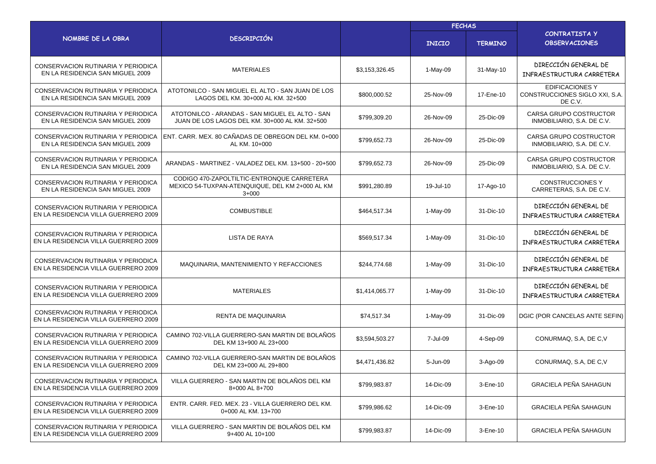|                                                                            |                                                                                                          | <b>FECHAS</b>  |               |                |                                                                     |  |
|----------------------------------------------------------------------------|----------------------------------------------------------------------------------------------------------|----------------|---------------|----------------|---------------------------------------------------------------------|--|
| NOMBRE DE LA OBRA                                                          | <b>DESCRIPCIÓN</b>                                                                                       |                | <b>INICIO</b> | <b>TERMINO</b> | <b>CONTRATISTA Y</b><br><b>OBSERVACIONES</b>                        |  |
| CONSERVACION RUTINARIA Y PERIODICA<br>EN LA RESIDENCIA SAN MIGUEL 2009     | <b>MATERIALES</b>                                                                                        | \$3,153,326.45 | 1-May-09      | 31-May-10      | DIRECCIÓN GENERAL DE<br>INFRAESTRUCTURA CARRETERA                   |  |
| CONSERVACION RUTINARIA Y PERIODICA<br>EN LA RESIDENCIA SAN MIGUEL 2009     | ATOTONILCO - SAN MIGUEL EL ALTO - SAN JUAN DE LOS<br>LAGOS DEL KM. 30+000 AL KM. 32+500                  | \$800,000.52   | 25-Nov-09     | 17-Ene-10      | <b>EDIFICACIONES Y</b><br>CONSTRUCCIONES SIGLO XXI, S.A.<br>DE C.V. |  |
| CONSERVACION RUTINARIA Y PERIODICA<br>EN LA RESIDENCIA SAN MIGUEL 2009     | ATOTONILCO - ARANDAS - SAN MIGUEL EL ALTO - SAN<br>JUAN DE LOS LAGOS DEL KM. 30+000 AL KM. 32+500        | \$799,309.20   | 26-Nov-09     | 25-Dic-09      | CARSA GRUPO COSTRUCTOR<br>INMOBILIARIO, S.A. DE C.V.                |  |
| CONSERVACION RUTINARIA Y PERIODICA<br>EN LA RESIDENCIA SAN MIGUEL 2009     | ENT. CARR. MEX. 80 CAÑADAS DE OBREGON DEL KM. 0+000<br>AL KM. 10+000                                     | \$799,652.73   | 26-Nov-09     | 25-Dic-09      | CARSA GRUPO COSTRUCTOR<br>INMOBILIARIO, S.A. DE C.V.                |  |
| CONSERVACION RUTINARIA Y PERIODICA<br>EN LA RESIDENCIA SAN MIGUEL 2009     | ARANDAS - MARTINEZ - VALADEZ DEL KM. 13+500 - 20+500                                                     | \$799,652.73   | 26-Nov-09     | 25-Dic-09      | CARSA GRUPO COSTRUCTOR<br>INMOBILIARIO, S.A. DE C.V.                |  |
| CONSERVACION RUTINARIA Y PERIODICA<br>EN LA RESIDENCIA SAN MIGUEL 2009     | CODIGO 470-ZAPOLTILTIC-ENTRONQUE CARRETERA<br>MEXICO 54-TUXPAN-ATENQUIQUE, DEL KM 2+000 AL KM<br>$3+000$ | \$991,280.89   | 19-Jul-10     | 17-Ago-10      | <b>CONSTRUCCIONES Y</b><br>CARRETERAS, S.A. DE C.V.                 |  |
| CONSERVACION RUTINARIA Y PERIODICA<br>EN LA RESIDENCIA VILLA GUERRERO 2009 | <b>COMBUSTIBLE</b>                                                                                       | \$464,517.34   | 1-May-09      | 31-Dic-10      | DIRECCIÓN GENERAL DE<br>INFRAESTRUCTURA CARRETERA                   |  |
| CONSERVACION RUTINARIA Y PERIODICA<br>EN LA RESIDENCIA VILLA GUERRERO 2009 | LISTA DE RAYA                                                                                            | \$569,517.34   | 1-May-09      | 31-Dic-10      | DIRECCIÓN GENERAL DE<br>INFRAESTRUCTURA CARRETERA                   |  |
| CONSERVACION RUTINARIA Y PERIODICA<br>EN LA RESIDENCIA VILLA GUERRERO 2009 | MAQUINARIA, MANTENIMIENTO Y REFACCIONES                                                                  | \$244,774.68   | 1-May-09      | 31-Dic-10      | DIRECCIÓN GENERAL DE<br>INFRAESTRUCTURA CARRETERA                   |  |
| CONSERVACION RUTINARIA Y PERIODICA<br>EN LA RESIDENCIA VILLA GUERRERO 2009 | <b>MATERIALES</b>                                                                                        | \$1,414,065.77 | 1-May-09      | 31-Dic-10      | DIRECCIÓN GENERAL DE<br>INFRAESTRUCTURA CARRETERA                   |  |
| CONSERVACION RUTINARIA Y PERIODICA<br>EN LA RESIDENCIA VILLA GUERRERO 2009 | RENTA DE MAQUINARIA                                                                                      | \$74,517.34    | 1-May-09      | 31-Dic-09      | DGIC (POR CANCELAS ANTE SEFIN)                                      |  |
| CONSERVACION RUTINARIA Y PERIODICA<br>EN LA RESIDENCIA VILLA GUERRERO 2009 | CAMINO 702-VILLA GUERRERO-SAN MARTIN DE BOLAÑOS<br>DEL KM 13+900 AL 23+000                               | \$3,594,503.27 | 7-Jul-09      | 4-Sep-09       | CONURMAQ, S.A, DE C, V                                              |  |
| CONSERVACION RUTINARIA Y PERIODICA<br>EN LA RESIDENCIA VILLA GUERRERO 2009 | CAMINO 702-VILLA GUERRERO-SAN MARTIN DE BOLAÑOS<br>DEL KM 23+000 AL 29+800                               | \$4,471,436.82 | 5-Jun-09      | 3-Ago-09       | CONURMAQ, S.A, DE C, V                                              |  |
| CONSERVACION RUTINARIA Y PERIODICA<br>EN LA RESIDENCIA VILLA GUERRERO 2009 | VILLA GUERRERO - SAN MARTIN DE BOLAÑOS DEL KM<br>8+000 AL 8+700                                          | \$799,983.87   | 14-Dic-09     | 3-Ene-10       | <b>GRACIELA PEÑA SAHAGUN</b>                                        |  |
| CONSERVACION RUTINARIA Y PERIODICA<br>EN LA RESIDENCIA VILLA GUERRERO 2009 | ENTR. CARR. FED. MEX. 23 - VILLA GUERRERO DEL KM.<br>0+000 AL KM. 13+700                                 | \$799,986.62   | 14-Dic-09     | 3-Ene-10       | <b>GRACIELA PEÑA SAHAGUN</b>                                        |  |
| CONSERVACION RUTINARIA Y PERIODICA<br>EN LA RESIDENCIA VILLA GUERRERO 2009 | VILLA GUERRERO - SAN MARTIN DE BOLAÑOS DEL KM<br>9+400 AL 10+100                                         | \$799,983.87   | 14-Dic-09     | 3-Ene-10       | GRACIELA PEÑA SAHAGUN                                               |  |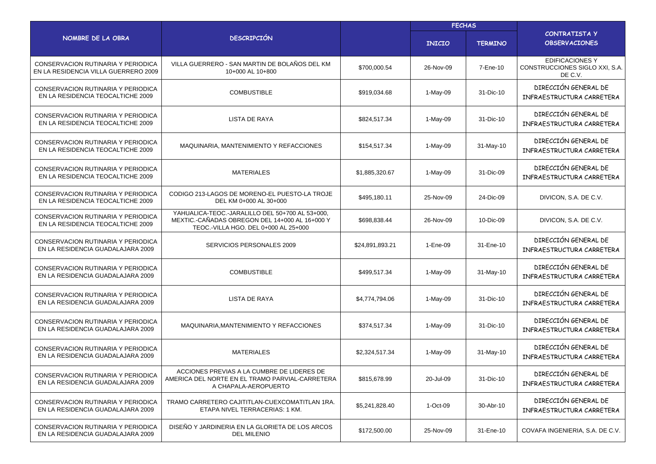|                                                                            |                                                                                                                                             |                 | <b>FECHAS</b> |                |                                                                     |
|----------------------------------------------------------------------------|---------------------------------------------------------------------------------------------------------------------------------------------|-----------------|---------------|----------------|---------------------------------------------------------------------|
| NOMBRE DE LA OBRA                                                          | <b>DESCRIPCIÓN</b>                                                                                                                          |                 | <b>INICIO</b> | <b>TERMINO</b> | CONTRATISTA Y<br><b>OBSERVACIONES</b>                               |
| CONSERVACION RUTINARIA Y PERIODICA<br>EN LA RESIDENCIA VILLA GUERRERO 2009 | VILLA GUERRERO - SAN MARTIN DE BOLAÑOS DEL KM<br>10+000 AL 10+800                                                                           | \$700,000.54    | 26-Nov-09     | 7-Ene-10       | <b>EDIFICACIONES Y</b><br>CONSTRUCCIONES SIGLO XXI, S.A.<br>DE C.V. |
| CONSERVACION RUTINARIA Y PERIODICA<br>EN LA RESIDENCIA TEOCALTICHE 2009    | <b>COMBUSTIBLE</b>                                                                                                                          | \$919,034.68    | 1-May-09      | 31-Dic-10      | DIRECCIÓN GENERAL DE<br>INFRAESTRUCTURA CARRETERA                   |
| CONSERVACION RUTINARIA Y PERIODICA<br>EN LA RESIDENCIA TEOCALTICHE 2009    | LISTA DE RAYA                                                                                                                               | \$824,517.34    | 1-May-09      | 31-Dic-10      | DIRECCIÓN GENERAL DE<br>INFRAESTRUCTURA CARRETERA                   |
| CONSERVACION RUTINARIA Y PERIODICA<br>EN LA RESIDENCIA TEOCALTICHE 2009    | MAQUINARIA, MANTENIMIENTO Y REFACCIONES                                                                                                     | \$154,517.34    | 1-May-09      | 31-May-10      | DIRECCIÓN GENERAL DE<br>INFRAESTRUCTURA CARRETERA                   |
| CONSERVACION RUTINARIA Y PERIODICA<br>EN LA RESIDENCIA TEOCALTICHE 2009    | <b>MATERIALES</b>                                                                                                                           | \$1,885,320.67  | 1-May-09      | 31-Dic-09      | DIRECCIÓN GENERAL DE<br>INFRAESTRUCTURA CARRETERA                   |
| CONSERVACION RUTINARIA Y PERIODICA<br>EN LA RESIDENCIA TEOCALTICHE 2009    | CODIGO 213-LAGOS DE MORENO-EL PUESTO-LA TROJE<br>DEL KM 0+000 AL 30+000                                                                     | \$495,180.11    | 25-Nov-09     | 24-Dic-09      | DIVICON, S.A. DE C.V.                                               |
| CONSERVACION RUTINARIA Y PERIODICA<br>EN LA RESIDENCIA TEOCALTICHE 2009    | YAHUALICA-TEOC.-JARALILLO DEL 50+700 AL 53+000,<br>MEXTIC.-CAÑADAS OBREGON DEL 14+000 AL 16+000 Y<br>TEOC .- VILLA HGO. DEL 0+000 AL 25+000 | \$698,838.44    | 26-Nov-09     | 10-Dic-09      | DIVICON, S.A. DE C.V.                                               |
| CONSERVACION RUTINARIA Y PERIODICA<br>EN LA RESIDENCIA GUADALAJARA 2009    | SERVICIOS PERSONALES 2009                                                                                                                   | \$24,891,893.21 | 1-Ene-09      | 31-Ene-10      | DIRECCIÓN GENERAL DE<br>INFRAESTRUCTURA CARRETERA                   |
| CONSERVACION RUTINARIA Y PERIODICA<br>EN LA RESIDENCIA GUADALAJARA 2009    | <b>COMBUSTIBLE</b>                                                                                                                          | \$499,517.34    | 1-May-09      | 31-May-10      | DIRECCIÓN GENERAL DE<br>INFRAESTRUCTURA CARRETERA                   |
| CONSERVACION RUTINARIA Y PERIODICA<br>EN LA RESIDENCIA GUADALAJARA 2009    | LISTA DE RAYA                                                                                                                               | \$4,774,794.06  | $1-May-09$    | 31-Dic-10      | DIRECCIÓN GENERAL DE<br>INFRAESTRUCTURA CARRETERA                   |
| CONSERVACION RUTINARIA Y PERIODICA<br>EN LA RESIDENCIA GUADALAJARA 2009    | MAQUINARIA, MANTENIMIENTO Y REFACCIONES                                                                                                     | \$374,517.34    | 1-May-09      | 31-Dic-10      | DIRECCIÓN GENERAL DE<br>INFRAESTRUCTURA CARRETERA                   |
| CONSERVACION RUTINARIA Y PERIODICA<br>EN LA RESIDENCIA GUADALAJARA 2009    | <b>MATERIALES</b>                                                                                                                           | \$2,324,517.34  | 1-May-09      | 31-May-10      | DIRECCIÓN GENERAL DE<br>INFRAESTRUCTURA CARRETERA                   |
| CONSERVACION RUTINARIA Y PERIODICA<br>EN LA RESIDENCIA GUADALAJARA 2009    | ACCIONES PREVIAS A LA CUMBRE DE LIDERES DE<br>AMERICA DEL NORTE EN EL TRAMO PARVIAL-CARRETERA<br>A CHAPALA-AEROPUERTO                       | \$815,678.99    | 20-Jul-09     | 31-Dic-10      | DIRECCIÓN GENERAL DE<br>INFRAESTRUCTURA CARRETERA                   |
| CONSERVACION RUTINARIA Y PERIODICA<br>EN LA RESIDENCIA GUADALAJARA 2009    | TRAMO CARRETERO CAJITITLAN-CUEXCOMATITLAN 1RA.<br>ETAPA NIVEL TERRACERIAS: 1 KM.                                                            | \$5,241,828.40  | $1-Oct-09$    | 30-Abr-10      | DIRECCIÓN GENERAL DE<br>INFRAESTRUCTURA CARRETERA                   |
| CONSERVACION RUTINARIA Y PERIODICA<br>EN LA RESIDENCIA GUADALAJARA 2009    | DISEÑO Y JARDINERIA EN LA GLORIETA DE LOS ARCOS<br><b>DEL MILENIO</b>                                                                       | \$172,500.00    | 25-Nov-09     | 31-Ene-10      | COVAFA INGENIERIA, S.A. DE C.V.                                     |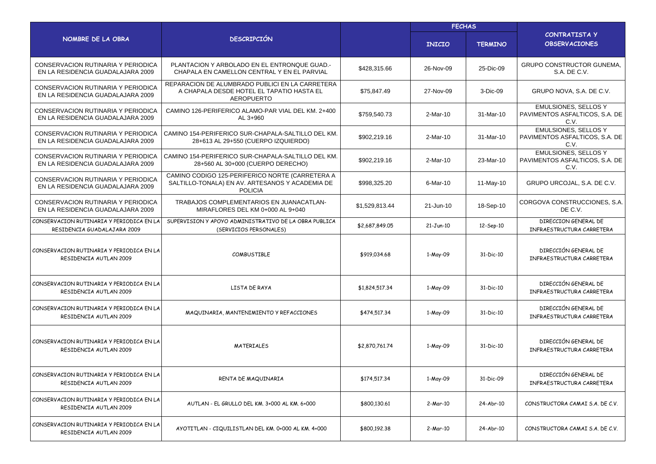|                                                                         |                                                                                                                      | <b>FECHAS</b>  |                 |                |                                                                       |
|-------------------------------------------------------------------------|----------------------------------------------------------------------------------------------------------------------|----------------|-----------------|----------------|-----------------------------------------------------------------------|
| NOMBRE DE LA OBRA                                                       | <b>DESCRIPCIÓN</b>                                                                                                   |                | <b>INICIO</b>   | <b>TERMINO</b> | CONTRATISTA Y<br><b>OBSERVACIONES</b>                                 |
| CONSERVACION RUTINARIA Y PERIODICA<br>EN LA RESIDENCIA GUADALAJARA 2009 | PLANTACION Y ARBOLADO EN EL ENTRONQUE GUAD.<br>CHAPALA EN CAMELLON CENTRAL Y EN EL PARVIAL                           | \$428,315.66   | 26-Nov-09       | 25-Dic-09      | <b>GRUPO CONSTRUCTOR GUNEMA,</b><br>S.A. DE C.V.                      |
| CONSERVACION RUTINARIA Y PERIODICA<br>EN LA RESIDENCIA GUADALAJARA 2009 | REPARACION DE ALUMBRADO PUBLICI EN LA CARRETERA<br>A CHAPALA DESDE HOTEL EL TAPATIO HASTA EL<br><b>AEROPUERTO</b>    | \$75,847.49    | 27-Nov-09       | 3-Dic-09       | GRUPO NOVA, S.A. DE C.V.                                              |
| CONSERVACION RUTINARIA Y PERIODICA<br>EN LA RESIDENCIA GUADALAJARA 2009 | CAMINO 126-PERIFERICO ALAMO-PAR VIAL DEL KM. 2+400<br>AL 3+960                                                       | \$759,540.73   | 2-Mar-10        | 31-Mar-10      | <b>EMULSIONES, SELLOS Y</b><br>PAVIMENTOS ASFALTICOS, S.A. DE<br>C.V. |
| CONSERVACION RUTINARIA Y PERIODICA<br>EN LA RESIDENCIA GUADALAJARA 2009 | CAMINO 154-PERIFERICO SUR-CHAPALA-SALTILLO DEL KM.<br>28+613 AL 29+550 (CUERPO IZQUIERDO)                            | \$902,219.16   | 2-Mar-10        | 31-Mar-10      | <b>EMULSIONES, SELLOS Y</b><br>PAVIMENTOS ASFALTICOS, S.A. DE<br>C.V. |
| CONSERVACION RUTINARIA Y PERIODICA<br>EN LA RESIDENCIA GUADALAJARA 2009 | CAMINO 154-PERIFERICO SUR-CHAPALA-SALTILLO DEL KM.<br>28+560 AL 30+000 (CUERPO DERECHO)                              | \$902,219.16   | 2-Mar-10        | 23-Mar-10      | <b>EMULSIONES, SELLOS Y</b><br>PAVIMENTOS ASFALTICOS, S.A. DE<br>C.V. |
| CONSERVACION RUTINARIA Y PERIODICA<br>EN LA RESIDENCIA GUADALAJARA 2009 | CAMINO CODIGO 125-PERIFERICO NORTE (CARRETERA A<br>SALTILLO-TONALA) EN AV. ARTESANOS Y ACADEMIA DE<br><b>POLICIA</b> | \$998,325.20   | 6-Mar-10        | 11-May-10      | GRUPO URCOJAL, S.A. DE C.V.                                           |
| CONSERVACION RUTINARIA Y PERIODICA<br>EN LA RESIDENCIA GUADALAJARA 2009 | TRABAJOS COMPLEMENTARIOS EN JUANACATLAN-<br>MIRAFLORES DEL KM 0+000 AL 9+040                                         | \$1,529,813.44 | 21-Jun-10       | 18-Sep-10      | CORGOVA CONSTRUCCIONES, S.A.<br>DE C.V.                               |
| CONSERVACION RUTINARIA Y PERIODICA EN LA<br>RESIDENCIA GUADALAJARA 2009 | SUPERVISION Y APOYO ADMINISTRATIVO DE LA OBRA PUBLICA<br>(SERVICIOS PERSONALES)                                      | \$2,687,849.05 | $21-Jun-10$     | 12-Sep-10      | DIRECCION GENERAL DE<br>INFRAESTRUCTURA CARRETERA                     |
| CONSERVACION RUTINARIA Y PERIODICA EN LA<br>RESIDENCIA AUTLAN 2009      | COMBUSTIBLE                                                                                                          | \$919,034.68   | 1-May-09        | 31-Dic-10      | DIRECCIÓN GENERAL DE<br>INFRAESTRUCTURA CARRETERA                     |
| CONSERVACION RUTINARIA Y PERIODICA EN LA<br>RESIDENCIA AUTLAN 2009      | LISTA DE RAYA                                                                                                        | \$1,824,517.34 | 1-May-09        | 31-Dic-10      | DIRECCIÓN GENERAL DE<br>INFRAESTRUCTURA CARRETERA                     |
| CONSERVACION RUTINARIA Y PERIODICA EN LA<br>RESIDENCIA AUTLAN 2009      | MAQUINARIA, MANTENIMIENTO Y REFACCIONES                                                                              | \$474,517.34   | 1-May-09        | 31-Dic-10      | DIRECCIÓN GENERAL DE<br>INFRAESTRUCTURA CARRETERA                     |
| CONSERVACION RUTINARIA Y PERIODICA EN LA<br>RESIDENCIA AUTLAN 2009      | <b>MATERIALES</b>                                                                                                    | \$2,870,761.74 | 1-May-09        | 31-Dic-10      | DIRECCIÓN GENERAL DE<br>INFRAESTRUCTURA CARRETERA                     |
| CONSERVACION RUTINARIA Y PERIODICA EN LA<br>RESIDENCIA AUTLAN 2009      | RENTA DE MAQUINARIA                                                                                                  | \$174,517.34   | 1-May-09        | 31-Dic-09      | DIRECCIÓN GENERAL DE<br>INFRAESTRUCTURA CARRETERA                     |
| CONSERVACION RUTINARIA Y PERIODICA EN LA<br>RESIDENCIA AUTLAN 2009      | AUTLAN - EL GRULLO DEL KM. 3+000 AL KM. 6+000                                                                        | \$800,130.61   | 2-Mar-10        | 24-Abr-10      | CONSTRUCTORA CAMAI S.A. DE C.V.                                       |
| CONSERVACION RUTINARIA Y PERIODICA EN LA<br>RESIDENCIA AUTLAN 2009      | AYOTITLAN - CIQUILISTLAN DEL KM. 0+000 AL KM. 4+000                                                                  | \$800,192.38   | <b>2-Mar-10</b> | 24-Abr-10      | CONSTRUCTORA CAMAI S.A. DE C.V.                                       |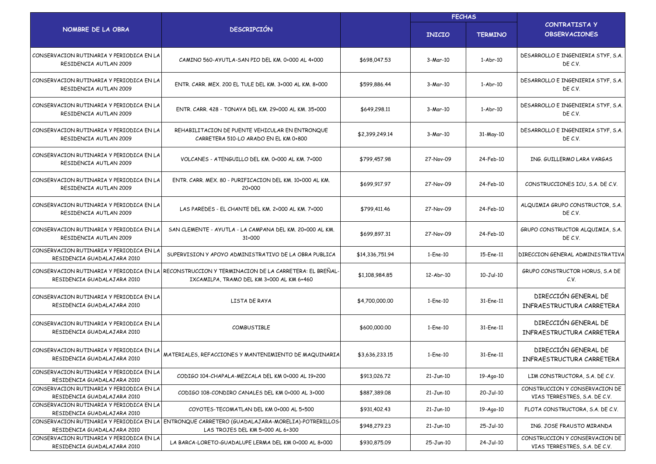|                                                                         |                                                                                                                                                |                 | <b>FECHAS</b> |                |                                                                 |  |
|-------------------------------------------------------------------------|------------------------------------------------------------------------------------------------------------------------------------------------|-----------------|---------------|----------------|-----------------------------------------------------------------|--|
| NOMBRE DE LA OBRA                                                       | <b>DESCRIPCIÓN</b>                                                                                                                             |                 | <b>INICIO</b> | <b>TERMINO</b> | <b>CONTRATISTA Y</b><br><b>OBSERVACIONES</b>                    |  |
| CONSERVACION RUTINARIA Y PERIODICA EN LA<br>RESIDENCIA AUTLAN 2009      | CAMINO 560-AYUTLA-SAN PIO DEL KM. 0+000 AL 4+000                                                                                               | \$698,047.53    | 3-Mar-10      | $1-Abr-10$     | DESARROLLO E INGENIERIA STYF, S.A.<br>DE C.V.                   |  |
| CONSERVACION RUTINARIA Y PERIODICA EN LA<br>RESIDENCIA AUTLAN 2009      | ENTR, CARR, MEX, 200 EL TULE DEL KM, 3+000 AL KM, 8+000                                                                                        | \$599,886.44    | 3-Mar-10      | $1-Abr-10$     | DESARROLLO E INGENIERIA STYF, S.A.<br>DE C.V.                   |  |
| CONSERVACION RUTINARIA Y PERIODICA EN LA<br>RESIDENCIA AUTLAN 2009      | ENTR, CARR, 428 - TONAYA DEL KM, 29+000 AL KM, 35+000                                                                                          | \$649,298.11    | 3-Mar-10      | 1-Abr-10       | DESARROLLO E INGENIERIA STYF, S.A.<br>DE C.V.                   |  |
| CONSERVACION RUTINARIA Y PERIODICA EN LA<br>RESIDENCIA AUTLAN 2009      | REHABILITACION DE PUENTE VEHICULAR EN ENTRONQUE<br>CARRETERA 510-LO ARADO EN EL KM 0+800                                                       | \$2,399,249.14  | 3-Mar-10      | 31-May-10      | DESARROLLO E INGENIERIA STYF, S.A.<br>DE C.V.                   |  |
| CONSERVACION RUTINARIA Y PERIODICA EN LA<br>RESIDENCIA AUTLAN 2009      | VOLCANES - ATENGUILLO DEL KM. 0+000 AL KM. 7+000                                                                                               | \$799,457.98    | 27-Nov-09     | 24-Feb-10      | ING. GUILLERMO LARA VARGAS                                      |  |
| CONSERVACION RUTINARIA Y PERIODICA EN LA<br>RESIDENCIA AUTLAN 2009      | ENTR. CARR. MEX. 80 - PURIFICACION DEL KM. 10+000 AL KM.<br>20+000                                                                             | \$699,917.97    | 27-Nov-09     | 24-Feb-10      | CONSTRUCCIONES ICU, S.A. DE C.V.                                |  |
| CONSERVACION RUTINARIA Y PERIODICA EN LA<br>RESIDENCIA AUTLAN 2009      | LAS PAREDES - EL CHANTE DEL KM. 2+000 AL KM. 7+000                                                                                             | \$799,411.46    | 27-Nov-09     | 24-Feb-10      | ALQUIMIA GRUPO CONSTRUCTOR, S.A.<br>DE C.V.                     |  |
| CONSERVACION RUTINARIA Y PERIODICA EN LA<br>RESIDENCIA AUTLAN 2009      | SAN CLEMENTE - AYUTLA - LA CAMPANA DEL KM. 20+000 AL KM.<br>31+000                                                                             | \$699,897.31    | 27-Nov-09     | 24-Feb-10      | GRUPO CONSTRUCTOR ALQUIMIA, S.A.<br>DE C.V.                     |  |
| CONSERVACION RUTINARIA Y PERIODICA EN LA<br>RESIDENCIA GUADALAJARA 2010 | SUPERVISION Y APOYO ADMINISTRATIVO DE LA OBRA PUBLICA                                                                                          | \$14,336,751.94 | 1-Ene-10      | 15-Ene-11      | DIRECCION GENERAL ADMINISTRATIVA                                |  |
| RESIDENCIA GUADALAJARA 2010                                             | CONSERVACION RUTINARIA Y PERIODICA EN LA RECONSTRUCCION Y TERMINACION DE LA CARRETERA: EL BREÑAL·<br>IXCAMILPA, TRAMO DEL KM 3+000 AL KM 6+460 | \$1,108,984.85  | 12-Abr-10     | 10-Jul-10      | GRUPO CONSTRUCTOR HORUS, S.A DE<br>C.V.                         |  |
| CONSERVACION RUTINARIA Y PERIODICA EN LA<br>RESIDENCIA GUADALAJARA 2010 | LISTA DE RAYA                                                                                                                                  | \$4,700,000.00  | 1-Ene-10      | 31-Ene-11      | DIRECCIÓN GENERAL DE<br>INFRAESTRUCTURA CARRETERA               |  |
| CONSERVACION RUTINARIA Y PERIODICA EN LA<br>RESIDENCIA GUADALAJARA 2010 | COMBUSTIBLE                                                                                                                                    | \$600,000,00    | 1-Ene-10      | 31-Ene-11      | DIRECCIÓN GENERAL DE<br>INFRAESTRUCTURA CARRETERA               |  |
| CONSERVACION RUTINARIA Y PERIODICA EN LA<br>RESIDENCIA GUADALAJARA 2010 | MATERIALES, REFACCIONES Y MANTENIMIENTO DE MAQUINARIA                                                                                          | \$3,636,233.15  | 1-Ene-10      | 31-Ene-11      | DIRECCIÓN GENERAL DE<br>INFRAESTRUCTURA CARRETERA               |  |
| CONSERVACION RUTINARIA Y PERIODICA EN LA<br>RESIDENCIA GUADALAJARA 2010 | CODIGO 104-CHAPALA-MEZCALA DEL KM 0+000 AL 19+200                                                                                              | \$913,026.72    | $21-Jun-10$   | 19-Ago-10      | LIM CONSTRUCTORA, S.A. DE C.V.                                  |  |
| CONSERVACION RUTINARIA Y PERIODICA EN LA<br>RESIDENCIA GUADALAJARA 2010 | CODIGO 108-CONDIRO CANALES DEL KM 0+000 AL 3+000                                                                                               | \$887,389.08    | $21-Jun-10$   | 20-Jul-10      | CONSTRUCCION Y CONSERVACION DE<br>VIAS TERRESTRES, S.A. DE C.V. |  |
| CONSERVACION RUTINARIA Y PERIODICA EN LA<br>RESIDENCIA GUADALAJARA 2010 | COYOTES-TECOMATLAN DEL KM 0+000 AL 5+500                                                                                                       | \$931,402.43    | 21-Jun-10     | 19-Ago-10      | FLOTA CONSTRUCTORA, S.A. DE C.V.                                |  |
| RESIDENCIA GUADALAJARA 2010                                             | CONSERVACION RUTINARIA Y PERIODICA EN LA  ENTRONQUE CARRETERO (GUADALAJARA-MORELIA)-POTRERILLOS-<br>LAS TROJES DEL KM 5+000 AL 6+300           | \$948,279.23    | $21-Jun-10$   | 25-Jul-10      | ING. JOSE FRAUSTO MIRANDA                                       |  |
| CONSERVACION RUTINARIA Y PERIODICA EN LA<br>RESIDENCIA GUADALAJARA 2010 | LA BARCA-LORETO-GUADALUPE LERMA DEL KM 0+000 AL 8+000                                                                                          | \$930,875.09    | 25-Jun-10     | 24-Jul-10      | CONSTRUCCION Y CONSERVACION DE<br>VIAS TERRESTRES, S.A. DE C.V. |  |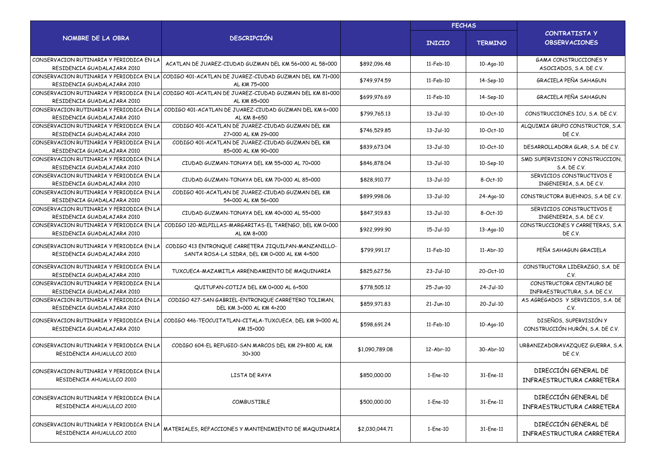|                                                                         |                                                                                                                   | <b>FECHAS</b>  |               |                 |                                                            |
|-------------------------------------------------------------------------|-------------------------------------------------------------------------------------------------------------------|----------------|---------------|-----------------|------------------------------------------------------------|
| NOMBRE DE LA OBRA                                                       | <b>DESCRIPCIÓN</b>                                                                                                |                | <b>INICIO</b> | <b>TERMINO</b>  | CONTRATISTA Y<br><b>OBSERVACIONES</b>                      |
| CONSERVACION RUTINARIA Y PERIODICA EN LA<br>RESIDENCIA GUADALAJARA 2010 | ACATLAN DE JUAREZ-CIUDAD GUZMAN DEL KM 56+000 AL 58+000                                                           | \$892,096.48   | 11-Feb-10     | 10-Ago-10       | <b>GAMA CONSTRUCCIONES Y</b><br>ASOCIADOS, S.A. DE C.V.    |
| RESIDENCIA GUADALAJARA 2010                                             | CONSERVACION RUTINARIA Y PERIODICA EN LA CODIGO 401-ACATLAN DE JUAREZ-CIUDAD GUZMAN DEL KM 71+000<br>AL KM 75+000 | \$749,974.59   | 11-Feb-10     | 14-Sep-10       | GRACIELA PEÑA SAHAGUN                                      |
| RESIDENCIA GUADALAJARA 2010                                             | CONSERVACION RUTINARIA Y PERIODICA EN LA CODIGO 401-ACATLAN DE JUAREZ-CIUDAD GUZMAN DEL KM 81+000<br>AL KM 85+000 | \$699,976.69   | 11-Feb-10     | 14-Sep-10       | GRACIELA PEÑA SAHAGUN                                      |
| CONSERVACION RUTINARIA Y PERIODICA EN LA<br>RESIDENCIA GUADALAJARA 2010 | CODIGO 401-ACATLAN DE JUAREZ-CIUDAD GUZMAN DEL KM 6+000<br>AL KM 8+650                                            | \$799,765.13   | 13-Jul-10     | 10-Oct-10       | CONSTRUCCIONES ICU, S.A. DE C.V.                           |
| CONSERVACION RUTINARIA Y PERIODICA EN LA<br>RESIDENCIA GUADALAJARA 2010 | CODIGO 401-ACATLAN DE JUAREZ-CIUDAD GUZMAN DEL KM<br>27+000 AL KM 29+000                                          | \$746,529.85   | 13-Jul-10     | 10-Oct-10       | ALQUIMIA GRUPO CONSTRUCTOR, S.A.<br>DE C.V.                |
| CONSERVACION RUTINARIA Y PERIODICA EN LA<br>RESIDENCIA GUADALAJARA 2010 | CODIGO 401-ACATLAN DE JUAREZ-CIUDAD GUZMAN DEL KM<br>85+000 AL KM 90+000                                          | \$839,673.04   | 13-Jul-10     | 10-Oct-10       | DESARROLLADORA GLAR, S.A. DE C.V.                          |
| CONSERVACION RUTINARIA Y PERIODICA EN LA<br>RESIDENCIA GUADALAJARA 2010 | CIUDAD GUZMAN-TONAYA DEL KM 55+000 AL 70+000                                                                      | \$846,878.04   | 13-Jul-10     | 10-Sep-10       | SMD SUPERVISION Y CONSTRUCCION,<br>S.A. DE C.V.            |
| CONSERVACION RUTINARIA Y PERIODICA EN LA<br>RESIDENCIA GUADALAJARA 2010 | CIUDAD GUZMAN-TONAYA DEL KM 70+000 AL 85+000                                                                      | \$828,910.77   | 13-Jul-10     | 8-Oct-10        | SERVICIOS CONSTRUCTIVOS E<br>INGENIERIA, S.A. DE C.V.      |
| CONSERVACION RUTINARIA Y PERIODICA EN LA<br>RESIDENCIA GUADALAJARA 2010 | CODIGO 401-ACATLAN DE JUAREZ-CIUDAD GUZMAN DEL KM<br>54+000 AL KM 56+000                                          | \$899,998.06   | $13-Jul-10$   | 24-Ago-10       | CONSTRUCTORA BUEHNOS, S.A DE C.V.                          |
| CONSERVACION RUTINARIA Y PERIODICA EN LA<br>RESIDENCIA GUADALAJARA 2010 | CIUDAD GUZMAN-TONAYA DEL KM 40+000 AL 55+000                                                                      | \$847,919.83   | 13-Jul-10     | 8-Oct-10        | SERVICIOS CONSTRUCTIVOS E<br>INGENIERIA, S.A. DE C.V.      |
| CONSERVACION RUTINARIA Y PERIODICA EN LA<br>RESIDENCIA GUADALAJARA 2010 | CODIGO 120-MILPILLAS-MARGARITAS-EL TARENGO, DEL KM 0+000<br>AL KM 8+000                                           | \$922,999.90   | 15-Jul-10     | $13 - Aqo - 10$ | CONSTRUCCIONES Y CARRETERAS, S.A.<br>DE C.V.               |
| CONSERVACION RUTINARIA Y PERIODICA EN LI<br>RESIDENCIA GUADALAJARA 2010 | CODIGO 413 ENTRONQUE CARRETERA JIQUILPAN-MANZANILLO-<br>SANTA ROSA-LA SIDRA, DEL KM 0+000 AL KM 4+500             | \$799,991.17   | 11-Feb-10     | $11-Abr-10$     | PEÑA SAHAGUN GRACIELA                                      |
| CONSERVACION RUTINARIA Y PERIODICA EN LA<br>RESIDENCIA GUADALAJARA 2010 | TUXCUECA-MAZAMITLA ARRENDAMIENTO DE MAQUINARIA                                                                    | \$825,627.56   | 23-Jul-10     | 20-Oct-10       | CONSTRUCTORA LIDERAZGO, S.A. DE<br>C.V.                    |
| CONSERVACION RUTINARIA Y PERIODICA EN LA<br>RESIDENCIA GUADALAJARA 2010 | QUITUPAN-COTIJA DEL KM 0+000 AL 6+500                                                                             | \$778,505.12   | 25-Jun-10     | 24-Jul-10       | CONSTRUCTORA CENTAURO DE<br>INFRAESTRUCTURA, S.A. DE C.V.  |
| CONSERVACION RUTINARIA Y PERIODICA EN LA<br>RESIDENCIA GUADALAJARA 2010 | CODIGO 427-SAN GABRIEL-ENTRONQUE CARRETERO TOLIMAN,<br>DEL KM 3+000 AL KM 4+200                                   | \$859,971.83   | $21-Jun-10$   | 20-Jul-10       | AS AGREGADOS Y SERVICIOS, S.A. DE<br>C.V.                  |
| CONSERVACION RUTINARIA Y PERIODICA EN LA<br>RESIDENCIA GUADALAJARA 2010 | CODIGO 446-TEOCUITATLAN-CITALA-TUXCUECA, DEL KM 9+000 AL<br>KM 15+000                                             | \$598,691.24   | 11-Feb-10     | 10-Ago-10       | DISEÑOS, SUPERVISIÓN Y<br>CONSTRUCCIÓN HURÓN, S.A. DE C.V. |
| CONSERVACION RUTINARIA Y PERIODICA EN LA<br>RESIDENCIA AHUALULCO 2010   | CODIGO 604-EL REFUGIO-SAN MARCOS DEL KM 29+800 AL KM<br>30+300                                                    | \$1,090,789.08 | 12-Abr-10     | 30-Abr-10       | URBANIZADORAVAZQUEZ GUERRA, S.A.<br>DE C.V.                |
| CONSERVACION RUTINARIA Y PERIODICA EN LA<br>RESIDENCIA AHUALULCO 2010   | LISTA DE RAYA                                                                                                     | \$850,000.00   | 1-Ene-10      | 31-Ene-11       | DIRECCIÓN GENERAL DE<br>INFRAESTRUCTURA CARRETERA          |
| CONSERVACION RUTINARIA Y PERIODICA EN LA<br>RESIDENCIA AHUALULCO 2010   | COMBUSTIBLE                                                                                                       | \$500,000.00   | 1-Ene-10      | 31-Ene-11       | DIRECCIÓN GENERAL DE<br>INFRAESTRUCTURA CARRETERA          |
| CONSERVACION RUTINARIA Y PERIODICA EN LA<br>RESIDENCIA AHUALULCO 2010   | MATERIALES, REFACCIONES Y MANTENIMIENTO DE MAQUINARIA                                                             | \$2,030,044.71 | 1-Ene-10      | 31-Ene-11       | DIRECCIÓN GENERAL DE<br>INFRAESTRUCTURA CARRETERA          |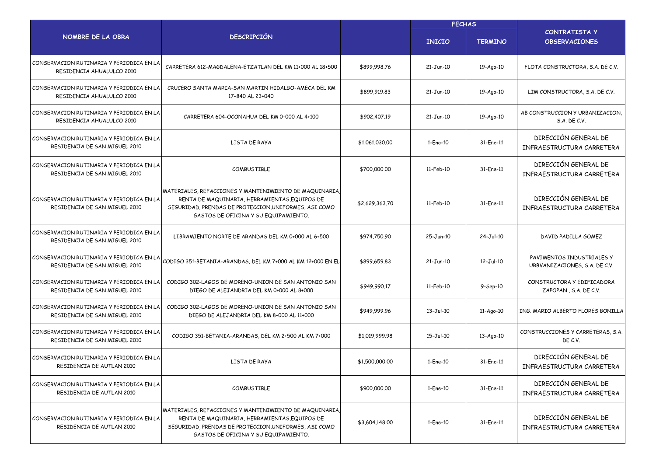|                                                                           |                                                                                                                                                                                                          |                | <b>FECHAS</b>  |                 |                                                            |
|---------------------------------------------------------------------------|----------------------------------------------------------------------------------------------------------------------------------------------------------------------------------------------------------|----------------|----------------|-----------------|------------------------------------------------------------|
| NOMBRE DE LA OBRA                                                         | <b>DESCRIPCIÓN</b>                                                                                                                                                                                       |                | <b>INICIO</b>  | <b>TERMINO</b>  | CONTRATISTA Y<br><b>OBSERVACIONES</b>                      |
| CONSERVACION RUTINARIA Y PERIODICA EN LA<br>RESIDENCIA AHUALULCO 2010     | CARRETERA 612-MAGDALENA-ETZATLAN DEL KM 11+000 AL 18+500                                                                                                                                                 | \$899,998.76   | 21-Jun-10      | 19-Ago-10       | FLOTA CONSTRUCTORA, S.A. DE C.V.                           |
| CONSERVACION RUTINARIA Y PERIODICA EN LA<br>RESIDENCIA AHUALULCO 2010     | CRUCERO SANTA MARIA-SAN MARTIN HIDALGO-AMECA DEL KM<br>17+840 AL 23+040                                                                                                                                  | \$899,919.83   | 21-Jun-10      | 19-Ago-10       | LIM CONSTRUCTORA, S.A. DE C.V.                             |
| CONSERVACION RUTINARIA Y PERIODICA EN LA<br>RESIDENCIA AHUALULCO 2010     | CARRETERA 604-OCONAHUA DEL KM 0+000 AL 4+100                                                                                                                                                             | \$902,407.19   | 21-Jun-10      | 19-Ago-10       | AB CONSTRUCCION Y URBANIZACION.<br>S.A. DE C.V.            |
| CONSERVACION RUTINARIA Y PERIODICA EN LA<br>RESIDENCIA DE SAN MIGUEL 2010 | LISTA DE RAYA                                                                                                                                                                                            | \$1,061,030.00 | $1$ -Ene- $10$ | 31-Ene-11       | DIRECCIÓN GENERAL DE<br>INFRAESTRUCTURA CARRETERA          |
| CONSERVACION RUTINARIA Y PERIODICA EN LA<br>RESIDENCIA DE SAN MIGUEL 2010 | COMBUSTIBLE                                                                                                                                                                                              | \$700,000.00   | 11-Feb-10      | 31-Ene-11       | DIRECCIÓN GENERAL DE<br>INFRAESTRUCTURA CARRETERA          |
| CONSERVACION RUTINARIA Y PERIODICA EN LA<br>RESIDENCIA DE SAN MIGUEL 2010 | MATERIALES, REFACCIONES Y MANTENIMIENTO DE MAQUINARIA<br>RENTA DE MAQUINARIA, HERRAMIENTAS, EQUIPOS DE<br>SEGURIDAD, PRENDAS DE PROTECCION, UNIFORMES, ASI COMO<br>GASTOS DE OFICINA Y SU EQUIPAMIENTO.  | \$2,629,363.70 | 11-Feb-10      | 31-Ene-11       | DIRECCIÓN GENERAL DE<br>INFRAESTRUCTURA CARRETERA          |
| CONSERVACION RUTINARIA Y PERIODICA EN LA<br>RESIDENCIA DE SAN MIGUEL 2010 | LIBRAMIENTO NORTE DE ARANDAS DEL KM 0+000 AL 6+500                                                                                                                                                       | \$974,750.90   | 25-Jun-10      | 24-Jul-10       | DAVID PADILLA GOMEZ                                        |
| CONSERVACION RUTINARIA Y PERIODICA EN LA<br>RESIDENCIA DE SAN MIGUEL 2010 | CODIGO 351-BETANIA-ARANDAS, DEL KM 7+000 AL KM 12+000 EN EL                                                                                                                                              | \$899,659.83   | 21-Jun-10      | $12-Jul-10$     | PAVIMENTOS INDUSTRIALES Y<br>URBVANIZACIONES, S.A. DE C.V. |
| CONSERVACION RUTINARIA Y PERIODICA EN LA<br>RESIDENCIA DE SAN MIGUEL 2010 | CODIGO 302-LAGOS DE MORENO-UNION DE SAN ANTONIO SAN<br>DIEGO DE ALEJANDRIA DEL KM 0+000 AL 8+000                                                                                                         | \$949,990.17   | 11-Feb-10      | 9-Sep-10        | CONSTRUCTORA Y EDIFICADORA<br>ZAPOPAN, S.A. DE C.V.        |
| CONSERVACION RUTINARIA Y PERIODICA EN LA<br>RESIDENCIA DE SAN MIGUEL 2010 | CODIGO 302-LAGOS DE MORENO-UNION DE SAN ANTONIO SAN<br>DIEGO DE ALEJANDRIA DEL KM 8+000 AL 11+000                                                                                                        | \$949,999.96   | 13-Jul-10      | $11-Aqo-10$     | ING. MARIO ALBERTO FLORES BONILLA                          |
| CONSERVACION RUTINARIA Y PERIODICA EN LA<br>RESIDENCIA DE SAN MIGUEL 2010 | CODIGO 351-BETANIA-ARANDAS, DEL KM 2+500 AL KM 7+000                                                                                                                                                     | \$1,019,999.98 | 15-Jul-10      | $13 - Aqo - 10$ | CONSTRUCCIONES Y CARRETERAS, S.A.<br>DE C.V.               |
| CONSERVACION RUTINARIA Y PERIODICA EN LA<br>RESIDENCIA DE AUTLAN 2010     | LISTA DE RAYA                                                                                                                                                                                            | \$1,500,000.00 | 1-Ene-10       | 31-Ene-11       | DIRECCIÓN GENERAL DE<br>INFRAESTRUCTURA CARRETERA          |
| CONSERVACION RUTINARIA Y PERIODICA EN LA<br>RESIDENCIA DE AUTLAN 2010     | <b>COMBUSTIBLE</b>                                                                                                                                                                                       | \$900,000.00   | 1-Ene-10       | 31-Ene-11       | DIRECCIÓN GENERAL DE<br>INFRAESTRUCTURA CARRETERA          |
| CONSERVACION RUTINARIA Y PERIODICA EN LA<br>RESIDENCIA DE AUTLAN 2010     | MATERIALES, REFACCIONES Y MANTENIMIENTO DE MAQUINARIA,<br>RENTA DE MAQUINARIA, HERRAMIENTAS, EQUIPOS DE<br>SEGURIDAD, PRENDAS DE PROTECCION, UNIFORMES, ASI COMO<br>GASTOS DE OFICINA Y SU EQUIPAMIENTO. | \$3,604,148.00 | 1-Ene-10       | 31-Ene-11       | DIRECCIÓN GENERAL DE<br>INFRAESTRUCTURA CARRETERA          |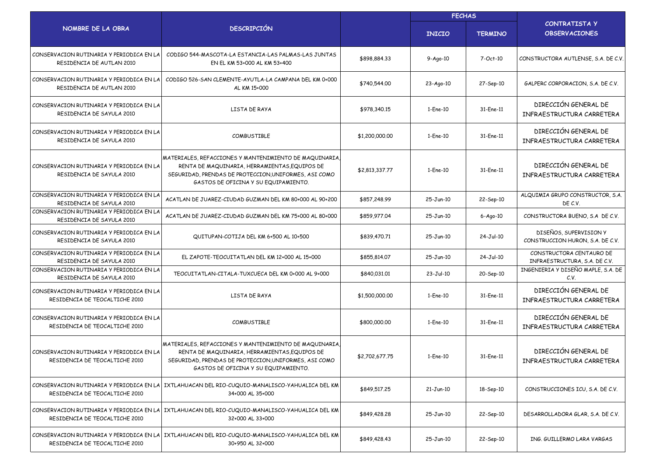|                                                                            |                                                                                                                                                                                                         |                | <b>FECHAS</b>  |                |                                                            |  |
|----------------------------------------------------------------------------|---------------------------------------------------------------------------------------------------------------------------------------------------------------------------------------------------------|----------------|----------------|----------------|------------------------------------------------------------|--|
| NOMBRE DE LA OBRA                                                          | <b>DESCRIPCIÓN</b>                                                                                                                                                                                      |                | <b>INICIO</b>  | <b>TERMINO</b> | <b>CONTRATISTA Y</b><br><b>OBSERVACIONES</b>               |  |
| CONSERVACION RUTINARIA Y PERIODICA EN LA<br>RESIDENCIA DE AUTLAN 2010      | CODIGO 544-MASCOTA-LA ESTANCIA-LAS PALMAS-LAS JUNTAS<br>EN EL KM 53+000 AL KM 53+400                                                                                                                    | \$898,884.33   | $9 - Aq0 - 10$ | 7-Oct-10       | CONSTRUCTORA AUTLENSE, S.A. DE C.V.                        |  |
| CONSERVACION RUTINARIA Y PERIODICA EN L<br>RESIDENCIA DE AUTLAN 2010       | CODIGO 526-SAN CLEMENTE-AYUTLA-LA CAMPANA DEL KM 0+000<br>AL KM 15+000                                                                                                                                  | \$740,544.00   | 23-Ago-10      | 27-Sep-10      | GALPERC CORPORACION, S.A. DE C.V.                          |  |
| CONSERVACION RUTINARIA Y PERIODICA EN LA<br>RESIDENCIA DE SAYULA 2010      | LISTA DE RAYA                                                                                                                                                                                           | \$978,340.15   | 1-Ene-10       | 31-Ene-11      | DIRECCIÓN GENERAL DE<br>INFRAESTRUCTURA CARRETERA          |  |
| CONSERVACION RUTINARIA Y PERIODICA EN LA<br>RESIDENCIA DE SAYULA 2010      | <b>COMBUSTIBLE</b>                                                                                                                                                                                      | \$1,200,000.00 | 1-Ene-10       | 31-Ene-11      | DIRECCIÓN GENERAL DE<br>INFRAESTRUCTURA CARRETERA          |  |
| CONSERVACION RUTINARIA Y PERIODICA EN LA<br>RESIDENCIA DE SAYULA 2010      | MATERIALES, REFACCIONES Y MANTENIMIENTO DE MAQUINARIA<br>RENTA DE MAQUINARIA, HERRAMIENTAS, EQUIPOS DE<br>SEGURIDAD, PRENDAS DE PROTECCION, UNIFORMES, ASI COMO<br>GASTOS DE OFICINA Y SU EQUIPAMIENTO. | \$2,813,337.77 | 1-Ene-10       | 31-Ene-11      | DIRECCIÓN GENERAL DE<br>INFRAESTRUCTURA CARRETERA          |  |
| CONSERVACION RUTINARIA Y PERIODICA EN LA<br>RESIDENCIA DE SAYULA 2010      | ACATLAN DE JUAREZ-CIUDAD GUZMAN DEL KM 80+000 AL 90+200                                                                                                                                                 | \$857,248.99   | 25-Jun-10      | 22-Sep-10      | ALQUIMIA GRUPO CONSTRUCTOR, S.A.<br>DE C.V.                |  |
| CONSERVACION RUTINARIA Y PERIODICA EN LA<br>RESIDENCIA DE SAYULA 2010      | ACATLAN DE JUAREZ-CIUDAD GUZMAN DEL KM 75+000 AL 80+000                                                                                                                                                 | \$859,977.04   | 25-Jun-10      | $6 - Aqo-10$   | CONSTRUCTORA BUENO, S.A DE C.V.                            |  |
| CONSERVACION RUTINARIA Y PERIODICA EN LA<br>RESIDENCIA DE SAYULA 2010      | QUITUPAN-COTIJA DEL KM 6+500 AL 10+500                                                                                                                                                                  | \$839,470.71   | 25-Jun-10      | 24-Jul-10      | DISEÑOS, SUPERVISION Y<br>CONSTRUCCION HURON, S.A. DE C.V. |  |
| CONSERVACION RUTINARIA Y PERIODICA EN LA<br>RESIDENCIA DE SAYULA 2010      | EL ZAPOTE-TEOCUITATLAN DEL KM 12+000 AL 15+000                                                                                                                                                          | \$855,814.07   | 25-Jun-10      | 24-Jul-10      | CONSTRUCTORA CENTAURO DE<br>INFRAESTRUCTURA, S.A. DE C.V.  |  |
| CONSERVACION RUTINARIA Y PERIODICA EN LA<br>RESIDENCIA DE SAYULA 2010      | TEOCUITATLAN-CITALA-TUXCUECA DEL KM 0+000 AL 9+000                                                                                                                                                      | \$840,031.01   | 23-Jul-10      | 20-Sep-10      | INGENIERIA Y DISEÑO MAPLE, S.A. DE<br>C.V.                 |  |
| CONSERVACION RUTINARIA Y PERIODICA EN LA<br>RESIDENCIA DE TEOCALTICHE 2010 | LISTA DE RAYA                                                                                                                                                                                           | \$1,500,000.00 | 1-Ene-10       | 31-Ene-11      | DIRECCIÓN GENERAL DE<br>INFRAESTRUCTURA CARRETERA          |  |
| CONSERVACION RUTINARIA Y PERIODICA EN LA<br>RESIDENCIA DE TEOCALTICHE 2010 | <b>COMBUSTIBLE</b>                                                                                                                                                                                      | \$800,000.00   | 1-Ene-10       | 31-Ene-11      | DIRECCIÓN GENERAL DE<br>INFRAFSTRUCTURA CARRETERA          |  |
| CONSERVACION RUTINARIA Y PERIODICA EN LA<br>RESIDENCIA DE TEOCALTICHE 2010 | MATERIALES, REFACCIONES Y MANTENIMIENTO DE MAQUINARIA<br>RENTA DE MAQUINARIA, HERRAMIENTAS, EQUIPOS DE<br>SEGURIDAD, PRENDAS DE PROTECCION, UNIFORMES, ASI COMO<br>GASTOS DE OFICINA Y SU EQUIPAMIENTO. | \$2,702,677.75 | 1-Ene-10       | 31-Ene-11      | DIRECCIÓN GENERAL DE<br>INFRAESTRUCTURA CARRETERA          |  |
| CONSERVACION RUTINARIA Y PERIODICA EN LA<br>RESIDENCIA DE TEOCALTICHE 2010 | IXTLAHUACAN DEL RIO-CUQUIO-MANALISCO-YAHUALICA DEL KM<br>34+000 AL 35+000                                                                                                                               | \$849,517.25   | $21-Jun-10$    | 18-Sep-10      | CONSTRUCCIONES ICU, S.A. DE C.V.                           |  |
| CONSERVACION RUTINARIA Y PERIODICA EN LA<br>RESIDENCIA DE TEOCALTICHE 2010 | IXTLAHUACAN DEL RIO-CUQUIO-MANALISCO-YAHUALICA DEL KM<br>32+000 AL 33+000                                                                                                                               | \$849,428.28   | 25-Jun-10      | 22-Sep-10      | DESARROLLADORA GLAR, S.A. DE C.V.                          |  |
| CONSERVACION RUTINARIA Y PERIODICA EN LA<br>RESIDENCIA DE TEOCALTICHE 2010 | IXTLAHUACAN DEL RIO-CUQUIO-MANALISCO-YAHUALICA DEL KM<br>30+950 AL 32+000                                                                                                                               | \$849,428.43   | 25-Jun-10      | 22-Sep-10      | ING. GUILLERMO LARA VARGAS                                 |  |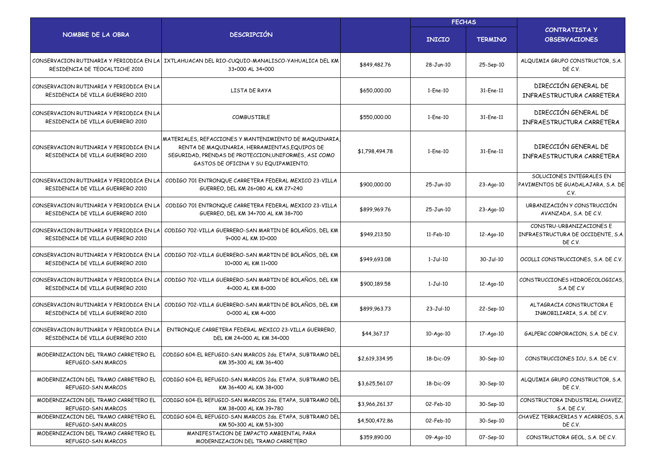|                                                                               |                                                                                                                                                                                                         |                | <b>FECHAS</b> |                 |                                                                           |
|-------------------------------------------------------------------------------|---------------------------------------------------------------------------------------------------------------------------------------------------------------------------------------------------------|----------------|---------------|-----------------|---------------------------------------------------------------------------|
| NOMBRE DE LA OBRA                                                             | <b>DESCRIPCIÓN</b>                                                                                                                                                                                      |                | <b>INICIO</b> | <b>TERMINO</b>  | <b>CONTRATISTA Y</b><br><b>OBSERVACIONES</b>                              |
| CONSERVACION RUTINARIA Y PERIODICA EN LA<br>RESIDENCIA DE TEOCALTICHE 2010    | IXTLAHUACAN DEL RIO-CUQUIO-MANALISCO-YAHUALICA DEL KM<br>33+000 AL 34+000                                                                                                                               | \$849,482.76   | 28-Jun-10     | 25-Sep-10       | ALQUIMIA GRUPO CONSTRUCTOR, S.A.<br>DE C.V.                               |
| CONSERVACION RUTINARIA Y PERIODICA EN LA<br>RESIDENCIA DE VILLA GUERRERO 2010 | LISTA DE RAYA                                                                                                                                                                                           | \$650,000.00   | 1-Ene-10      | 31-Ene-11       | DIRECCIÓN GENERAL DE<br>INFRAESTRUCTURA CARRETERA                         |
| CONSERVACION RUTINARIA Y PERIODICA EN LA<br>RESIDENCIA DE VILLA GUERRERO 2010 | <b>COMBUSTIBLF</b>                                                                                                                                                                                      | \$550,000.00   | 1-Ene-10      | 31-Ene-11       | DIRECCIÓN GENERAL DE<br>INFRAESTRUCTURA CARRETERA                         |
| CONSERVACION RUTINARIA Y PERIODICA EN LA<br>RESIDENCIA DE VILLA GUERRERO 2010 | MATERIALES, REFACCIONES Y MANTENIMIENTO DE MAQUINARIA<br>RENTA DE MAQUINARIA, HERRAMIENTAS, EQUIPOS DE<br>SEGURIDAD, PRENDAS DE PROTECCION, UNIFORMES, ASI COMO<br>GASTOS DE OFICINA Y SU EQUIPAMIENTO. | \$1,798,494.78 | 1-Ene-10      | 31-Ene-11       | DIRECCIÓN GENERAL DE<br>INFRAESTRUCTURA CARRETERA                         |
| CONSERVACION RUTINARIA Y PERIODICA EN LA<br>RESIDENCIA DE VILLA GUERRERO 2010 | CODIGO 701 ENTRONQUE CARRETERA FEDERAL MEXICO 23-VILLA<br>GUERREO, DEL KM 26+080 AL KM 27+240                                                                                                           | \$900,000.00   | 25-Jun-10     | $23 - Aqo - 10$ | SOLUCIONES INTEGRALES EN<br>PAVIMENTOS DE GUADALAJARA, S.A. DE<br>C.V.    |
| CONSERVACION RUTINARIA Y PERIODICA EN LA<br>RESIDENCIA DE VILLA GUERRERO 2010 | CODIGO 701 ENTRONQUE CARRETERA FEDERAL MEXICO 23-VILLA<br>GUERREO, DEL KM 34+700 AL KM 38+700                                                                                                           | \$899,969.76   | 25-Jun-10     | $23 - Aqo - 10$ | URBANIZACIÓN Y CONSTRUCCIÓN<br>AVANZADA, S.A. DE C.V.                     |
| CONSERVACION RUTINARIA Y PERIODICA EN LA<br>RESIDENCIA DE VILLA GUERRERO 2010 | CODIGO 702-VILLA GUERRERO-SAN MARTIN DE BOLAÑOS, DEL KM<br>9+000 AL KM 10+000                                                                                                                           | \$949,213.50   | 11-Feb-10     | 12-Ago-10       | CONSTRU-URBANIZACIONES E<br>INFRAESTRUCTURA DE OCCIDENTE, S.A.<br>DE C.V. |
| CONSERVACION RUTINARIA Y PERIODICA EN LA<br>RESIDENCIA DE VILLA GUERRERO 2010 | CODIGO 702-VILLA GUERRERO-SAN MARTIN DE BOLAÑOS, DEL KM<br>10+000 AL KM 11+000                                                                                                                          | \$949,693.08   | $1-Jul-10$    | 30-Jul-10       | OCOLLI CONSTRUCCIONES, S.A. DE C.V.                                       |
| CONSERVACION RUTINARIA Y PERIODICA EN LA<br>RESIDENCIA DE VILLA GUERRERO 2010 | CODIGO 702-VILLA GUERRERO-SAN MARTIN DE BOLAÑOS, DEL KM<br>4+000 AL KM 8+000                                                                                                                            | \$900,189.58   | $1-Jul-10$    | 12-Ago-10       | CONSTRUCCIONES HIDROECOLOGICAS.<br>S.A DE C.V                             |
| CONSERVACION RUTINARIA Y PERIODICA EN LA<br>RESIDENCIA DE VILLA GUERRERO 2010 | CODIGO 702-VILLA GUERRERO-SAN MARTIN DE BOLAÑOS, DEL KM<br>0+000 AL KM 4+000                                                                                                                            | \$899,963.73   | 23-Jul-10     | 22-Sep-10       | ALTAGRACIA CONSTRUCTORA E<br>INMOBILIARIA, S.A. DE C.V.                   |
| CONSERVACION RUTINARIA Y PERIODICA EN LA<br>RESIDENCIA DE VILLA GUERRERO 2010 | ENTRONQUE CARRETERA FEDERAL MEXICO 23-VILLA GUERRERO,<br>DEL KM 24+000 AL KM 34+000                                                                                                                     | \$44,367.17    | $10-Aqo-10$   | 17-Ago-10       | GALPERC CORPORACION, S.A. DE C.V.                                         |
| MODERNIZACION DEL TRAMO CARRETERO EL<br>REFUGIO-SAN MARCOS                    | CODIGO 604-EL REFUGIO-SAN MARCOS 2da. ETAPA, SUBTRAMO DEL<br>KM 35+300 AL KM 36+400                                                                                                                     | \$2,619,334.95 | 18-Dic-09     | 30-Sep-10       | CONSTRUCCIONES ICU, S.A. DE C.V.                                          |
| MODERNIZACION DEL TRAMO CARRETERO EL<br>REFUGIO-SAN MARCOS                    | CODIGO 604-EL REFUGIO-SAN MARCOS 2da, ETAPA, SUBTRAMO DEL<br>KM 36+400 AL KM 38+000                                                                                                                     | \$3,625,561.07 | 18-Dic-09     | 30-Sep-10       | ALQUIMIA GRUPO CONSTRUCTOR, S.A.<br>DE C.V.                               |
| MODERNIZACION DEL TRAMO CARRETERO EL<br>REFUGIO-SAN MARCOS                    | CODIGO 604-EL REFUGIO-SAN MARCOS 2da, ETAPA, SUBTRAMO DEL<br>KM 38+000 AL KM 39+780                                                                                                                     | \$3,966,261.37 | 02-Feb-10     | 30-Sep-10       | CONSTRUCTORA INDUSTRIAL CHAVEZ,<br>S.A. DE C.V.                           |
| MODERNIZACION DEL TRAMO CARRETERO EL<br>REFUGIO-SAN MARCOS                    | CODIGO 604-EL REFUGIO-SAN MARCOS 2da. ETAPA, SUBTRAMO DEL<br>KM 50+300 AL KM 53+300                                                                                                                     | \$4,500,472.86 | 02-Feb-10     | 30-Sep-10       | CHAVEZ TERRACERIAS Y ACARREOS, S.A.<br>DE C.V.                            |
| MODERNIZACION DEL TRAMO CARRETERO EL<br>REFUGIO-SAN MARCOS                    | MANIFESTACION DE IMPACTO AMBIENTAL PARA<br>MODERNIZACION DEL TRAMO CARRETERO                                                                                                                            | \$359,890.00   | 09-Ago-10     | 07-Sep-10       | CONSTRUCTORA GEOL, S.A. DE C.V.                                           |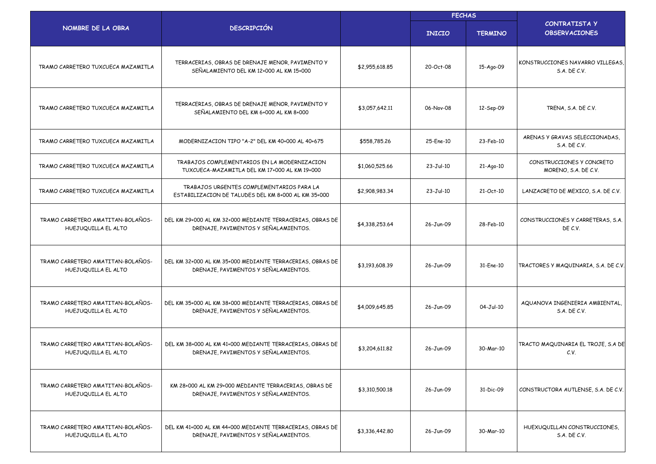|                                                          |                                                                                                   |                | <b>FECHAS</b> |                |                                                   |
|----------------------------------------------------------|---------------------------------------------------------------------------------------------------|----------------|---------------|----------------|---------------------------------------------------|
| NOMBRE DE LA OBRA                                        | <b>DESCRIPCIÓN</b>                                                                                |                | <b>INICIO</b> | <b>TERMINO</b> | <b>CONTRATISTA Y</b><br><b>OBSERVACIONES</b>      |
| TRAMO CARRETERO TUXCUECA MAZAMITLA                       | TERRACERIAS, OBRAS DE DRENAJE MENOR, PAVIMENTO Y<br>SEÑALAMIENTO DEL KM 12+000 AL KM 15+000       | \$2,955,618.85 | 20-Oct-08     | 15-Ago-09      | KONSTRUCCIONES NAVARRO VILLEGAS,<br>S.A. DE C.V.  |
| TRAMO CARRETERO TUXCUECA MAZAMITLA                       | TERRACERIAS, OBRAS DE DRENAJE MENOR, PAVIMENTO Y<br>SEÑALAMIENTO DEL KM 6+000 AL KM 8+000         | \$3,057,642.11 | 06-Nov-08     | 12-Sep-09      | TRENA, S.A. DE C.V.                               |
| TRAMO CARRETERO TUXCUECA MAZAMITLA                       | MODERNIZACION TIPO "A-2" DEL KM 40+000 AL 40+675                                                  | \$558,785.26   | 25-Ene-10     | 23-Feb-10      | ARENAS Y GRAVAS SELECCIONADAS,<br>S.A. DE C.V.    |
| TRAMO CARRETERO TUXCUECA MAZAMITLA                       | TRABAJOS COMPLEMENTARIOS EN LA MODERNIZACION<br>TUXCUECA-MAZAMITLA DEL KM 17+000 AL KM 19+000     | \$1,060,525.66 | $23-Jul-10$   | $21-Aqo-10$    | CONSTRUCCIONES Y CONCRETO<br>MORENO, S.A. DE C.V. |
| TRAMO CARRETERO TUXCUECA MAZAMITLA                       | TRABAJOS URGENTES COMPLEMENTARIOS PARA LA<br>ESTABILIZACION DE TALUDES DEL KM 8+000 AL KM 35+000  | \$2,908,983.34 | 23-Jul-10     | 21-Oct-10      | LANZACRETO DE MEXICO, S.A. DE C.V.                |
| TRAMO CARRETERO AMATITAN-BOLAÑOS-<br>HUEJUQUILLA EL ALTO | DEL KM 29+000 AL KM 32+000 MEDIANTE TERRACERIAS, OBRAS DE<br>DRENAJE, PAVIMENTOS Y SEÑALAMIENTOS. | \$4,338,253.64 | 26-Jun-09     | 28-Feb-10      | CONSTRUCCIONES Y CARRETERAS, S.A.<br>DE C.V.      |
| TRAMO CARRETERO AMATITAN-BOLAÑOS-<br>HUEJUQUILLA EL ALTO | DEL KM 32+000 AL KM 35+000 MEDIANTE TERRACERIAS, OBRAS DE<br>DRENAJE, PAVIMENTOS Y SEÑALAMIENTOS. | \$3,193,608.39 | 26-Jun-09     | 31-Ene-10      | TRACTORES Y MAQUINARIA, S.A. DE C.V.              |
| TRAMO CARRETERO AMATITAN-BOLAÑOS-<br>HUEJUQUILLA EL ALTO | DEL KM 35+000 AL KM 38+000 MEDIANTE TERRACERIAS, OBRAS DE<br>DRENAJE, PAVIMENTOS Y SEÑALAMIENTOS. | \$4,009,645.85 | 26-Jun-09     | 04-Jul-10      | AQUANOVA INGENIERIA AMBIENTAL,<br>S.A. DE C.V.    |
| TRAMO CARRETERO AMATITAN-BOLAÑOS-<br>HUEJUQUILLA EL ALTO | DEL KM 38+000 AL KM 41+000 MEDIANTE TERRACERIAS, OBRAS DE<br>DRENAJE, PAVIMENTOS Y SEÑALAMIENTOS. | \$3,204,611.82 | 26-Jun-09     | 30-Mar-10      | TRACTO MAQUINARIA EL TROJE, S.A DE<br>C.V.        |
| TRAMO CARRETERO AMATITAN-BOLAÑOS-<br>HUEJUQUILLA EL ALTO | KM 28+000 AL KM 29+000 MEDIANTE TERRACERIAS, OBRAS DE<br>DRENAJE, PAVIMENTOS Y SEÑALAMIENTOS.     | \$3,310,500.18 | 26-Jun-09     | 31-Dic-09      | CONSTRUCTORA AUTLENSE, S.A. DE C.V.               |
| TRAMO CARRETERO AMATITAN-BOLAÑOS-<br>HUEJUQUILLA EL ALTO | DEL KM 41+000 AL KM 44+000 MEDIANTE TERRACERIAS, OBRAS DE<br>DRENAJE, PAVIMENTOS Y SEÑALAMIENTOS. | \$3,336,442.80 | 26-Jun-09     | 30-Mar-10      | HUEXUQUILLAN CONSTRUCCIONES,<br>S.A. DE C.V.      |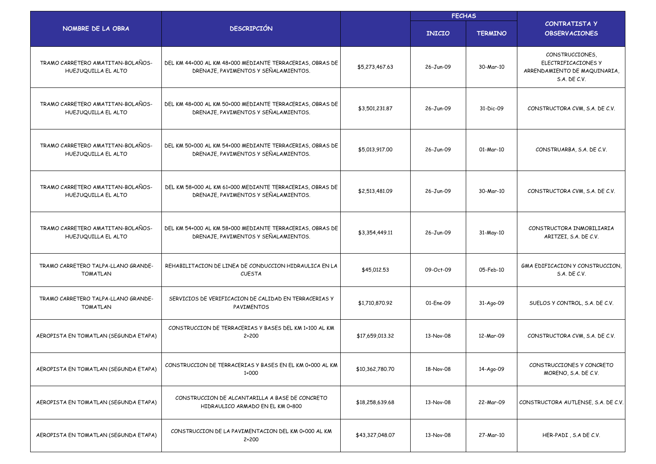|                                                          |                                                                                                   |                 | <b>FECHAS</b> |                |                                                                                        |  |  |
|----------------------------------------------------------|---------------------------------------------------------------------------------------------------|-----------------|---------------|----------------|----------------------------------------------------------------------------------------|--|--|
| NOMBRE DE LA OBRA                                        | <b>DESCRIPCIÓN</b>                                                                                |                 | <b>INICIO</b> | <b>TERMINO</b> | <b>CONTRATISTA Y</b><br><b>OBSERVACIONES</b>                                           |  |  |
| TRAMO CARRETERO AMATITAN-BOLAÑOS-<br>HUEJUQUILLA EL ALTO | DEL KM 44+000 AL KM 48+000 MEDIANTE TERRACERIAS, OBRAS DE<br>DRENAJE, PAVIMENTOS Y SEÑALAMIENTOS. | \$5,273,467.63  | 26-Jun-09     | 30-Mar-10      | CONSTRUCCIONES,<br>ELECTRIFICACIONES Y<br>ARRENDAMIENTO DE MAQUINARIA,<br>S.A. DE C.V. |  |  |
| TRAMO CARRETERO AMATITAN-BOLAÑOS-<br>HUEJUQUILLA EL ALTO | DEL KM 48+000 AL KM 50+000 MEDIANTE TERRACERIAS, OBRAS DE<br>DRENAJE, PAVIMENTOS Y SEÑALAMIENTOS. | \$3,501,231.87  | 26-Jun-09     | 31-Dic-09      | CONSTRUCTORA CVM, S.A. DE C.V.                                                         |  |  |
| TRAMO CARRETERO AMATITAN-BOLAÑOS-<br>HUEJUQUILLA EL ALTO | DEL KM 50+000 AL KM 54+000 MEDIANTE TERRACERIAS, OBRAS DE<br>DRENAJE, PAVIMENTOS Y SEÑALAMIENTOS. | \$5,013,917.00  | 26-Jun-09     | 01-Mar-10      | CONSTRUARBA, S.A. DE C.V.                                                              |  |  |
| TRAMO CARRETERO AMATITAN-BOLAÑOS-<br>HUEJUQUILLA EL ALTO | DEL KM 58+000 AL KM 61+000 MEDIANTE TERRACERIAS, OBRAS DE<br>DRENAJE, PAVIMENTOS Y SEÑALAMIENTOS. | \$2,513,481.09  | 26-Jun-09     | 30-Mar-10      | CONSTRUCTORA CVM, S.A. DE C.V.                                                         |  |  |
| TRAMO CARRETERO AMATITAN-BOLAÑOS-<br>HUEJUQUILLA EL ALTO | DEL KM 54+000 AL KM 58+000 MEDIANTE TERRACERIAS, OBRAS DE<br>DRENAJE, PAVIMENTOS Y SEÑALAMIENTOS. | \$3,354,449.11  | 26-Jun-09     | 31-May-10      | CONSTRUCTORA INMOBILIARIA<br>ARITZEI, S.A. DE C.V.                                     |  |  |
| TRAMO CARRETERO TALPA-LLANO GRANDE-<br>TOMATLAN          | REHABILITACION DE LINEA DE CONDUCCION HIDRAULICA EN LA<br><b>CUESTA</b>                           | \$45,012.53     | 09-Oct-09     | 05-Feb-10      | GMA EDIFICACION Y CONSTRUCCION,<br>S.A. DE C.V.                                        |  |  |
| TRAMO CARRETERO TALPA-LLANO GRANDE-<br>TOMATLAN          | SERVICIOS DE VERIFICACION DE CALIDAD EN TERRACERIAS Y<br>PAVIMENTOS                               | \$1,710,870.92  | 01-Ene-09     | 31-Ago-09      | SUELOS Y CONTROL, S.A. DE C.V.                                                         |  |  |
| AEROPISTA EN TOMATLAN (SEGUNDA ETAPA)                    | CONSTRUCCION DE TERRACERIAS Y BASES DEL KM 1+100 AL KM<br>$2 + 200$                               | \$17,659,013.32 | 13-Nov-08     | 12-Mar-09      | CONSTRUCTORA CVM, S.A. DE C.V.                                                         |  |  |
| AEROPISTA EN TOMATLAN (SEGUNDA ETAPA)                    | CONSTRUCCION DE TERRACERIAS Y BASES EN EL KM 0+000 AL KM<br>1+000                                 | \$10,362,780.70 | 18-Nov-08     | 14-Ago-09      | CONSTRUCCIONES Y CONCRETO<br>MORENO, S.A. DE C.V.                                      |  |  |
| AEROPISTA EN TOMATLAN (SEGUNDA ETAPA)                    | CONSTRUCCION DE ALCANTARILLA A BASE DE CONCRETO<br>HIDRAULICO ARMADO EN EL KM 0+800               | \$18,258,639.68 | 13-Nov-08     | 22-Mar-09      | CONSTRUCTORA AUTLENSE, S.A. DE C.V.                                                    |  |  |
| AEROPISTA EN TOMATLAN (SEGUNDA ETAPA)                    | CONSTRUCCION DE LA PAVIMENTACION DEL KM 0+000 AL KM<br>$2 + 200$                                  | \$43,327,048.07 | 13-Nov-08     | 27-Mar-10      | HER-PADI, S.A DE C.V.                                                                  |  |  |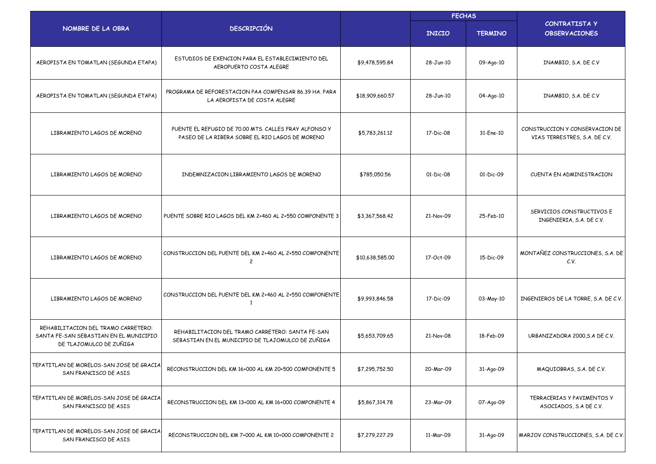|                                                                                                          |                                                                                                          |                 | <b>FECHAS</b> |                |                                                                 |  |
|----------------------------------------------------------------------------------------------------------|----------------------------------------------------------------------------------------------------------|-----------------|---------------|----------------|-----------------------------------------------------------------|--|
| NOMBRE DE LA OBRA                                                                                        | <b>DESCRIPCIÓN</b>                                                                                       |                 | <b>INICIO</b> | <b>TERMINO</b> | <b>CONTRATISTA Y</b><br><b>OBSERVACIONES</b>                    |  |
| AEROPISTA EN TOMATLAN (SEGUNDA ETAPA)                                                                    | ESTUDIOS DE EXENCION PARA EL ESTABLECIMIENTO DEL<br>AEROPUERTO COSTA ALEGRE                              | \$9,478,595.84  | 28-Jun-10     | 09-Ago-10      | INAMBIO, S.A. DE C.V                                            |  |
| AEROPISTA EN TOMATLAN (SEGUNDA ETAPA)                                                                    | PROGRAMA DE REFORESTACION PAA COMPENSAR 86.39 HA, PARA<br>LA AEROPISTA DE COSTA ALEGRE                   | \$18,909,660.57 | 28-Jun-10     | 04-Ago-10      | INAMBIO, S.A. DE C.V                                            |  |
| LIBRAMIENTO LAGOS DE MORENO                                                                              | PUENTE EL REFUGIO DE 70.00 MTS. CALLES FRAY ALFONSO Y<br>PASEO DE LA RIBERA SOBRE EL RIO LAGOS DE MORENO | \$5,783,261.12  | 17-Dic-08     | 31-Ene-10      | CONSTRUCCION Y CONSERVACION DE<br>VIAS TERRESTRES, S.A. DE C.V. |  |
| LIBRAMIENTO LAGOS DE MORENO                                                                              | INDEMNIZACION LIBRAMIENTO LAGOS DE MORENO                                                                | \$785,050.56    | 01-Dic-08     | 01-Dic-09      | CUENTA EN ADMINISTRACION                                        |  |
| LIBRAMIENTO LAGOS DE MORENO                                                                              | PUENTE SOBRE RIO LAGOS DEL KM 2+460 AL 2+550 COMPONENTE 3                                                | \$3,367,568.42  | 21-Nov-09     | 25-Feb-10      | SERVICIOS CONSTRUCTIVOS E<br>INGENIERIA, S.A. DE C.V.           |  |
| LIBRAMIENTO LAGOS DE MORENO                                                                              | CONSTRUCCION DEL PUENTE DEL KM 2+460 AL 2+550 COMPONENTE<br>$\overline{c}$                               | \$10,638,585.00 | 17-Oct-09     | 15-Dic-09      | MONTAÑEZ CONSTRUCCIONES, S.A. DE<br>C.V.                        |  |
| LIBRAMIENTO LAGOS DE MORENO                                                                              | CONSTRUCCION DEL PUENTE DEL KM 2+460 AL 2+550 COMPONENTE<br>$\mathbf{1}$                                 | \$9,993,846.58  | 17-Dic-09     | 03-May-10      | INGENIEROS DE LA TORRE, S.A. DE C.V.                            |  |
| REHABILITACION DEL TRAMO CARRETERO:<br>SANTA FE-SAN SEBASTIAN EN EL MUNICIPIO<br>DE TLAJOMULCO DE ZUÑIGA | REHABILITACION DEL TRAMO CARRETERO: SANTA FE-SAN<br>SEBASTIAN EN EL MUNICIPIO DE TLAJOMULCO DE ZUÑIGA    | \$5,653,709.65  | 21-Nov-08     | 18-Feb-09      | URBANIZADORA 2000, S.A DE C.V.                                  |  |
| TEPATITLAN DE MORELOS-SAN JOSE DE GRACIA<br>SAN FRANCISCO DE ASIS                                        | RECONSTRUCCION DEL KM 16+000 AL KM 20+500 COMPONENTE 5                                                   | \$7,295,752.50  | 20-Mar-09     | 31-Ago-09      | MAQUIOBRAS, S.A. DE C.V.                                        |  |
| TEPATITLAN DE MORELOS-SAN JOSE DE GRACIA<br>SAN FRANCISCO DE ASIS                                        | RECONSTRUCCION DEL KM 13+000 AL KM 16+000 COMPONENTE 4                                                   | \$5,867,314.78  | 23-Mar-09     | 07-Ago-09      | TERRACERIAS Y PAVIMENTOS Y<br>ASOCIADOS, S.A DE C.V.            |  |
| TEPATITLAN DE MORELOS-SAN JOSE DE GRACIA<br>SAN FRANCISCO DE ASIS                                        | RECONSTRUCCION DEL KM 7+000 AL KM 10+000 COMPONENTE 2                                                    | \$7,279,227.29  | 11-Mar-09     | 31-Ago-09      | MARJOV CONSTRUCCIONES, S.A. DE C.V.                             |  |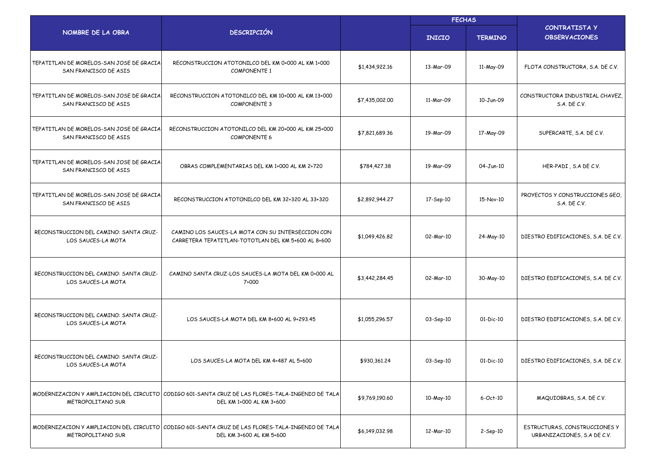|                                                                   |                                                                                                                              |                | <b>FECHAS</b> |                |                                                              |
|-------------------------------------------------------------------|------------------------------------------------------------------------------------------------------------------------------|----------------|---------------|----------------|--------------------------------------------------------------|
| NOMBRE DE LA OBRA                                                 | <b>DESCRIPCIÓN</b>                                                                                                           |                | <b>INICIO</b> | <b>TERMINO</b> | <b>CONTRATISTA Y</b><br><b>OBSERVACIONES</b>                 |
| TEPATITLAN DE MORELOS-SAN JOSE DE GRACIA<br>SAN FRANCISCO DE ASIS | RECONSTRUCCION ATOTONILCO DEL KM 0+000 AL KM 1+000<br><b>COMPONENTE 1</b>                                                    | \$1,434,922,16 | 13-Mar-09     | 11-May-09      | FLOTA CONSTRUCTORA, S.A. DE C.V.                             |
| TEPATITLAN DE MORELOS-SAN JOSE DE GRACIA<br>SAN FRANCISCO DE ASIS | RECONSTRUCCION ATOTONILCO DEL KM 10+000 AL KM 13+000<br><b>COMPONENTE 3</b>                                                  | \$7,435,002.00 | 11-Mar-09     | 10-Jun-09      | CONSTRUCTORA INDUSTRIAL CHAVEZ,<br>S.A. DE C.V.              |
| TEPATITLAN DE MORELOS-SAN JOSE DE GRACIA<br>SAN FRANCISCO DE ASIS | RECONSTRUCCION ATOTONILCO DEL KM 20+000 AL KM 25+000<br><b>COMPONENTE 6</b>                                                  | \$7,821,689.36 | 19-Mar-09     | 17-May-09      | SUPERCARTE, S.A. DE C.V.                                     |
| TEPATITLAN DE MORELOS-SAN JOSE DE GRACIA<br>SAN FRANCISCO DE ASIS | OBRAS COMPLEMENTARIAS DEL KM 1+000 AL KM 2+720                                                                               | \$784,427.38   | 19-Mar-09     | 04-Jun-10      | HER-PADI, S.A DE C.V.                                        |
| TEPATITLAN DE MORELOS-SAN JOSE DE GRACIA<br>SAN FRANCISCO DE ASIS | RECONSTRUCCION ATOTONILCO DEL KM 32+320 AL 33+320                                                                            | \$2,892,944.27 | 17-Sep-10     | 15-Nov-10      | PROYECTOS Y CONSTRUCCIONES GEO,<br>S.A. DE C.V.              |
| RECONSTRUCCION DEL CAMINO: SANTA CRUZ-<br>LOS SAUCES-LA MOTA      | CAMINO LOS SAUCES-LA MOTA CON SU INTERSECCION CON<br>CARRETERA TEPATITLAN-TOTOTLAN DEL KM 5+600 AL 8+600                     | \$1,049,426.82 | 02-Mar-10     | 24-May-10      | DIESTRO EDIFICACIONES, S.A. DE C.V.                          |
| RECONSTRUCCION DEL CAMINO: SANTA CRUZ-<br>LOS SAUCES-LA MOTA      | CAMINO SANTA CRUZ-LOS SAUCES-LA MOTA DEL KM 0+000 AL<br>7+000                                                                | \$3,442,284.45 | 02-Mar-10     | 30-May-10      | DIESTRO EDIFICACIONES, S.A. DE C.V.                          |
| RECONSTRUCCION DEL CAMINO: SANTA CRUZ-<br>LOS SAUCES-LA MOTA      | LOS SAUCES-LA MOTA DEL KM 8+600 AL 9+293.45                                                                                  | \$1,055,296.57 | 03-Sep-10     | $01-Dic-10$    | DIESTRO EDIFICACIONES, S.A. DE C.V.                          |
| RECONSTRUCCION DEL CAMINO: SANTA CRUZ-<br>LOS SAUCES-LA MOTA      | LOS SAUCES-LA MOTA DEL KM 4+487 AL 5+600                                                                                     | \$930,361,24   | 03-Sep-10     | $01-Dic-10$    | DIESTRO EDIFICACIONES, S.A. DE C.V.                          |
| METROPOLITANO SUR                                                 | MODERNIZACION Y AMPLIACION DEL CIRCUITO CODIGO 601-SANTA CRUZ DE LAS FLORES-TALA-INGENIO DE TALA<br>DEL KM 1+000 AL KM 3+600 | \$9,769,190.60 | 10-May-10     | 6-Oct-10       | MAQUIOBRAS, S.A. DE C.V.                                     |
| METROPOLITANO SUR                                                 | MODERNIZACION Y AMPLIACION DEL CIRCUITO CODIGO 601-SANTA CRUZ DE LAS FLORES-TALA-INGENIO DE TALA<br>DEL KM 3+600 AL KM 5+600 | \$6,149,032.98 | 12-Mar-10     | 2-Sep-10       | ESTRUCTURAS, CONSTRUCCIONES Y<br>URBANIZACIONES, S.A DE C.V. |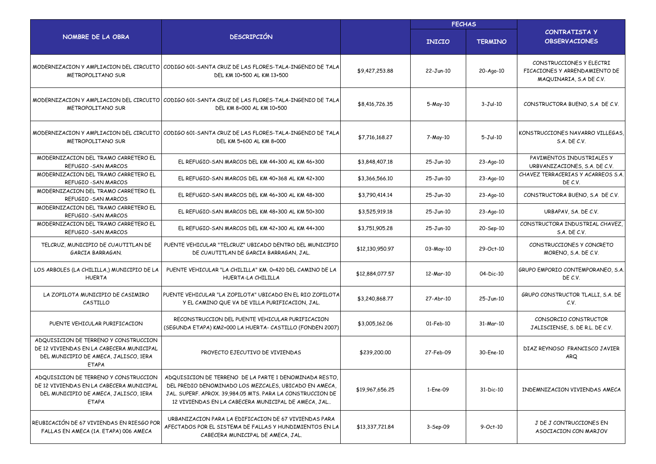|                                                                                                                                            |                                                                                                                                                                                                                                      | <b>FECHAS</b>   |               |                 |                                                                                      |
|--------------------------------------------------------------------------------------------------------------------------------------------|--------------------------------------------------------------------------------------------------------------------------------------------------------------------------------------------------------------------------------------|-----------------|---------------|-----------------|--------------------------------------------------------------------------------------|
| NOMBRE DE LA OBRA                                                                                                                          | <b>DESCRIPCIÓN</b>                                                                                                                                                                                                                   |                 | <b>INICIO</b> | <b>TERMINO</b>  | <b>CONTRATISTA Y</b><br><b>OBSERVACIONES</b>                                         |
| METROPOLITANO SUR                                                                                                                          | MODERNIZACION Y AMPLIACION DEL CIRCUITO   CODIGO 601-SANTA CRUZ DE LAS FLORES-TALA-INGENIO DE TALA<br>DEL KM 10+500 AL KM 13+500                                                                                                     | \$9.427.253.88  | 22-Jun-10     | 20-Ago-10       | CONSTRUCCIONES Y FLECTRI<br>FICACIONES Y ARRENDAMIENTO DE<br>MAQUINARIA, S.A DE C.V. |
| <b>METROPOLITANO SUR</b>                                                                                                                   | MODERNIZACION Y AMPLIACION DEL CIRCUITO   CODIGO 601-SANTA CRUZ DE LAS FLORES-TALA-INGENIO DE TALA<br>DEL KM 8+000 AL KM 10+500                                                                                                      | \$8,416,726.35  | 5-May-10      | $3-Jul-10$      | CONSTRUCTORA BUENO, S.A DE C.V.                                                      |
| METROPOLITANO SUR                                                                                                                          | MODERNIZACION Y AMPLIACION DEL CIRCUITO   CODIGO 601-SANTA CRUZ DE LAS FLORES-TALA-INGENIO DE TALA<br>DEL KM 5+600 AL KM 8+000                                                                                                       | \$7,716,168.27  | 7-May-10      | $5-Jul-10$      | KONSTRUCCIONES NAVARRO VILLEGAS.<br>S.A. DE C.V.                                     |
| MODERNIZACION DEL TRAMO CARRETERO EL<br>REFUGIO - SAN MARCOS                                                                               | EL REFUGIO-SAN MARCOS DEL KM 44+300 AL KM 46+300                                                                                                                                                                                     | \$3,848,407.18  | 25-Jun-10     | $23 - Aqo - 10$ | PAVIMENTOS INDUSTRIALES Y<br>URBVANIZACIONES, S.A. DE C.V.                           |
| MODERNIZACION DEL TRAMO CARRETERO EL<br>REFUGIO - SAN MARCOS                                                                               | EL REFUGIO-SAN MARCOS DEL KM 40+368 AL KM 42+300                                                                                                                                                                                     | \$3,366,566.10  | 25-Jun-10     | 23-Ago-10       | CHAVEZ TERRACERIAS Y ACARREOS S.A.<br>DE C.V.                                        |
| MODERNIZACION DEL TRAMO CARRETERO EL<br>REFUGIO - SAN MARCOS                                                                               | EL REFUGIO-SAN MARCOS DEL KM 46+300 AL KM 48+300                                                                                                                                                                                     | \$3,790,414.14  | 25-Jun-10     | $23 - Aqo - 10$ | CONSTRUCTORA BUENO, S.A DE C.V.                                                      |
| MODERNIZACION DEL TRAMO CARRETERO EL<br>REFUGIO - SAN MARCOS                                                                               | EL REFUGIO-SAN MARCOS DEL KM 48+300 AL KM 50+300                                                                                                                                                                                     | \$3,525,919.18  | 25-Jun-10     | $23 - Aqo - 10$ | URBAPAV, SA. DE C.V.                                                                 |
| MODERNIZACION DEL TRAMO CARRETERO EL<br>REFUGIO - SAN MARCOS                                                                               | EL REFUGIO-SAN MARCOS DEL KM 42+300 AL KM 44+300                                                                                                                                                                                     | \$3,751,905.28  | 25-Jun-10     | 20-Sep-10       | CONSTRUCTORA INDUSTRIAL CHAVEZ.<br>S.A. DE C.V.                                      |
| TELCRUZ, MUNICIPIO DE CUAUTITLAN DE<br>GARCIA BARRAGAN.                                                                                    | PUENTE VEHICULAR "TELCRUZ" UBICADO DENTRO DEL MUNICIPIO<br>DE CUAUTITLAN DE GARCIA BARRAGAN, JAL.                                                                                                                                    | \$12,130,950.97 | 03-May-10     | 29-Oct-10       | CONSTRUCCIONES Y CONCRETO<br>MORENO, S.A. DE C.V.                                    |
| LOS ARBOLES (LA CHILILLA,) MUNICIPIO DE LA<br><b>HUERTA</b>                                                                                | PUENTE VEHICULAR "LA CHILILLA" KM. 0+420 DEL CAMINO DE LA<br>HUERTA-LA CHILILLA                                                                                                                                                      | \$12,884,077.57 | 12-Mar-10     | 04-Dic-10       | GRUPO EMPORIO CONTEMPORANEO, S.A.<br>DE C.V.                                         |
| LA ZOPILOTA MUNICIPIO DE CASIMIRO<br>CASTILLO                                                                                              | PUENTE VEHICULAR "LA ZOPILOTA" UBICADO EN EL RIO ZOPILOTA<br>Y EL CAMINO QUE VA DE VILLA PURIFICACION, JAL.                                                                                                                          | \$3,240,868.77  | 27-Abr-10     | 25-Jun-10       | GRUPO CONSTRUCTOR TLALLI, S.A. DE<br>C.V.                                            |
| PUENTE VEHICULAR PURIFICACION                                                                                                              | RECONSTRUCCION DEL PUENTE VEHICULAR PURIFICACION<br>(SEGUNDA ETAPA) KM2+000 LA HUERTA- CASTILLO (FONDEN 2007)                                                                                                                        | \$3,005,162,06  | 01-Feb-10     | 31-Mar-10       | CONSORCIO CONSTRUCTOR<br>JALISCIENSE, S. DE R.L. DE C.V.                             |
| ADQUISICION DE TERRENO Y CONSTRUCCION<br>DE 12 VIVIENDAS EN LA CABECERA MUNICIPAL<br>DEL MUNICIPIO DE AMECA, JALISCO, 1ERA<br><b>ETAPA</b> | PROYECTO EJECUTIVO DE VIVIENDAS                                                                                                                                                                                                      | \$239,200.00    | 27-Feb-09     | 30-Ene-10       | DIAZ REYNOSO FRANCISCO JAVIER<br><b>ARQ</b>                                          |
| ADQUISICION DE TERRENO Y CONSTRUCCION<br>DE 12 VIVIENDAS EN LA CABECERA MUNICIPAL<br>DEL MUNICIPIO DE AMECA, JALISCO, 1ERA<br><b>ETAPA</b> | ADQUISICION DE TERRENO DE LA PARTE 1 DENOMINADA RESTO.<br>DEL PREDIO DENOMINADO LOS MEZCALES, UBICADO EN AMECA,<br>JAL. SUPERF. APROX. 39,984.05 MTS. PARA LA CONSTRUCCION DE<br>12 VIVIENDAS EN LA CABECERA MUNICIPAL DE AMECA, JAL | \$19,967,656.25 | 1-Ene-09      | 31-Dic-10       | INDEMNIZACION VIVIENDAS AMECA                                                        |
| REUBICACIÓN DE 67 VIVIENDAS EN RIESGO POR<br>FALLAS EN AMECA (1A. ETAPA) 006 AMECA                                                         | URBANIZACION PARA LA EDIFICACION DE 67 VIVIENDAS PARA<br>AFECTADOS POR EL SISTEMA DE FALLAS Y HUNDIMIENTOS EN LA<br>CABECERA MUNICIPAL DE AMECA, JAL.                                                                                | \$13,337,721.84 | 3-Sep-09      | $9-Oct-10$      | J DE J CONTRUCCIONES EN<br>ASOCIACION CON MARJOV                                     |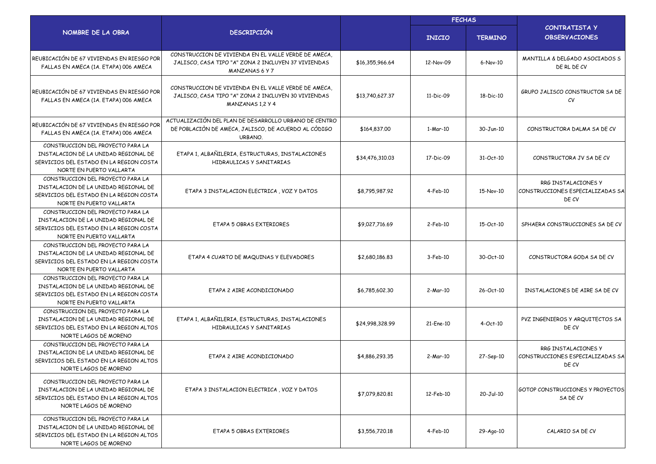|                                                                                                                                                  |                                                                                                                                      |                 | <b>FECHAS</b> |                |                                                                  |  |  |
|--------------------------------------------------------------------------------------------------------------------------------------------------|--------------------------------------------------------------------------------------------------------------------------------------|-----------------|---------------|----------------|------------------------------------------------------------------|--|--|
| NOMBRE DE LA OBRA                                                                                                                                | <b>DESCRIPCIÓN</b>                                                                                                                   |                 | <b>INICIO</b> | <b>TERMINO</b> | CONTRATISTA Y<br><b>OBSERVACIONES</b>                            |  |  |
| REUBICACIÓN DE 67 VIVIENDAS EN RIESGO POR<br>FALLAS EN AMECA (1A. ETAPA) 006 AMECA                                                               | CONSTRUCCION DE VIVIENDA EN EL VALLE VERDE DE AMECA,<br>JALISCO, CASA TIPO "A" ZONA 2 INCLUYEN 37 VIVIENDAS<br><b>MANZANAS 6 Y 7</b> | \$16,355,966.64 | 12-Nov-09     | 6-Nov-10       | MANTILLA & DELGADO ASOCIADOS S<br>DE RL DE CV                    |  |  |
| REUBICACIÓN DE 67 VIVIENDAS EN RIESGO POR<br>FALLAS EN AMECA (1A. ETAPA) 006 AMECA                                                               | CONSTRUCCION DE VIVIENDA EN EL VALLE VERDE DE AMECA.<br>JALISCO, CASA TIPO "A" ZONA 2 INCLUYEN 30 VIVIENDAS<br>MANZANAS 1.2 Y 4      | \$13,740,627,37 | 11-Dic-09     | 18-Dic-10      | GRUPO JALISCO CONSTRUCTOR SA DE<br>CV                            |  |  |
| REUBICACIÓN DE 67 VIVIENDAS EN RIESGO POR<br>FALLAS EN AMECA (1A. ETAPA) 006 AMECA                                                               | ACTUALIZACIÓN DEL PLAN DE DESARROLLO URBANO DE CENTRO<br>DE POBLACIÓN DE AMECA, JALISCO, DE ACUERDO AL CÓDIGO<br>URBANO.             | \$164,837.00    | 1-Mar-10      | 30-Jun-10      | CONSTRUCTORA DALMA SA DE CV                                      |  |  |
| CONSTRUCCION DEL PROYECTO PARA LA<br>INSTALACION DE LA UNIDAD REGIONAL DE<br>SERVICIOS DEL ESTADO EN LA REGION COSTA<br>NORTE EN PUERTO VALLARTA | ETAPA 1, ALBAÑILERIA, ESTRUCTURAS, INSTALACIONES<br>HIDRAULICAS Y SANITARIAS                                                         | \$34,476,310.03 | 17-Dic-09     | 31-Oct-10      | CONSTRUCTORA JV SA DE CV                                         |  |  |
| CONSTRUCCION DEL PROYECTO PARA LA<br>INSTALACION DE LA UNIDAD REGIONAL DE<br>SERVICIOS DEL ESTADO EN LA REGION COSTA<br>NORTE EN PUERTO VALLARTA | ETAPA 3 INSTALACION ELECTRICA, VOZ Y DATOS                                                                                           | \$8,795,987.92  | $4-Feb-10$    | 15-Nov-10      | RRG INSTALACIONES Y<br>CONSTRUCCIONES ESPECIALIZADAS SA<br>DE CV |  |  |
| CONSTRUCCION DEL PROYECTO PARA LA<br>INSTALACION DE LA UNIDAD REGIONAL DE<br>SERVICIOS DEL ESTADO EN LA REGION COSTA<br>NORTE EN PUERTO VALLARTA | ETAPA 5 OBRAS EXTERIORES                                                                                                             | \$9,027,716.69  | $2$ -Feb-10   | 15-Oct-10      | SPHAERA CONSTRUCCIONES SA DE CV                                  |  |  |
| CONSTRUCCION DEL PROYECTO PARA LA<br>INSTALACION DE LA UNIDAD REGIONAL DE<br>SERVICIOS DEL ESTADO EN LA REGION COSTA<br>NORTE EN PUERTO VALLARTA | ETAPA 4 CUARTO DE MAQUINAS Y ELEVADORES                                                                                              | \$2,680,186.83  | $3-Feb-10$    | 30-Oct-10      | CONSTRUCTORA GODA SA DE CV                                       |  |  |
| CONSTRUCCION DEL PROYECTO PARA LA<br>INSTALACION DE LA UNIDAD REGIONAL DE<br>SERVICIOS DEL ESTADO EN LA REGION COSTA<br>NORTE EN PUERTO VALLARTA | ETAPA 2 AIRE ACONDICIONADO                                                                                                           | \$6,785,602.30  | 2-Mar-10      | 26-Oct-10      | INSTALACIONES DE AIRE SA DE CV                                   |  |  |
| CONSTRUCCION DEL PROYECTO PARA LA<br>INSTALACION DE LA UNIDAD REGIONAL DE<br>SERVICIOS DEL ESTADO EN LA REGION ALTOS<br>NORTE LAGOS DE MORENO    | ETAPA 1, ALBAÑILERIA, ESTRUCTURAS, INSTALACIONES<br>HIDRAULICAS Y SANITARIAS                                                         | \$24,998,328.99 | 21-Ene-10     | $4-Oct-10$     | PVZ INGENIEROS Y ARQUITECTOS SA<br>DE CV                         |  |  |
| CONSTRUCCION DEL PROYECTO PARA LA<br>INSTALACION DE LA UNIDAD REGIONAL DE<br>SERVICIOS DEL ESTADO EN LA REGION ALTOS<br>NORTE LAGOS DE MORENO    | ETAPA 2 AIRE ACONDICIONADO                                                                                                           | \$4,886,293.35  | 2-Mar-10      | 27-Sep-10      | RRG INSTALACIONES Y<br>CONSTRUCCIONES ESPECIALIZADAS SA<br>DE CV |  |  |
| CONSTRUCCION DEL PROYECTO PARA LA<br>INSTALACION DE LA UNIDAD REGIONAL DE<br>SERVICIOS DEL ESTADO EN LA REGION ALTOS<br>NORTE LAGOS DE MORENO    | ETAPA 3 INSTALACION ELECTRICA, VOZ Y DATOS                                                                                           | \$7,079,820.81  | 12-Feb-10     | 20-Jul-10      | GOTOP CONSTRUCCIONES Y PROYECTOS<br>SA DE CV                     |  |  |
| CONSTRUCCION DEL PROYECTO PARA LA<br>INSTALACION DE LA UNIDAD REGIONAL DE<br>SERVICIOS DEL ESTADO EN LA REGION ALTOS<br>NORTE LAGOS DE MORENO    | ETAPA 5 OBRAS EXTERIORES                                                                                                             | \$3,556,720.18  | $4-Feb-10$    | 29-Ago-10      | CALARIO SA DE CV                                                 |  |  |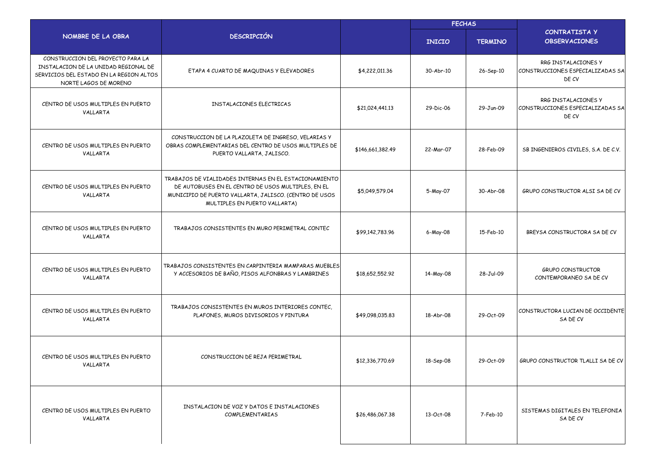|                                                                                                                                               |                                                                                                                                                                                                        |                  | <b>FECHAS</b> |                |                                                                  |
|-----------------------------------------------------------------------------------------------------------------------------------------------|--------------------------------------------------------------------------------------------------------------------------------------------------------------------------------------------------------|------------------|---------------|----------------|------------------------------------------------------------------|
| NOMBRE DE LA OBRA                                                                                                                             | <b>DESCRIPCIÓN</b>                                                                                                                                                                                     |                  | <b>INICIO</b> | <b>TERMINO</b> | <b>CONTRATISTA Y</b><br><b>OBSERVACIONES</b>                     |
| CONSTRUCCION DEL PROYECTO PARA LA<br>INSTALACION DE LA UNIDAD REGIONAL DE<br>SERVICIOS DEL ESTADO EN LA REGION ALTOS<br>NORTE LAGOS DE MORENO | ETAPA 4 CUARTO DE MAQUINAS Y ELEVADORES                                                                                                                                                                | \$4,222,011.36   | $30-Abr-10$   | 26-Sep-10      | RRG INSTALACIONES Y<br>CONSTRUCCIONES ESPECIALIZADAS SA<br>DE CV |
| CENTRO DE USOS MULTIPLES EN PUERTO<br>VALLARTA                                                                                                | INSTALACIONES ELECTRICAS                                                                                                                                                                               | \$21,024,441.13  | 29-Dic-06     | 29-Jun-09      | RRG INSTALACIONES Y<br>CONSTRUCCIONES ESPECIALIZADAS SA<br>DE CV |
| CENTRO DE USOS MULTIPLES EN PUERTO<br>VALLARTA                                                                                                | CONSTRUCCION DE LA PLAZOLETA DE INGRESO, VELARIAS Y<br>OBRAS COMPLEMENTARIAS DEL CENTRO DE USOS MULTIPLES DE<br>PUERTO VALLARTA, JALISCO.                                                              | \$146,661,382.49 | 22-Mar-07     | 28-Feb-09      | SB INGENIEROS CIVILES, S.A. DE C.V.                              |
| CENTRO DE USOS MULTIPLES EN PUERTO<br>VALLARTA                                                                                                | TRABAJOS DE VIALIDADES INTERNAS EN EL ESTACIONAMIENTO<br>DE AUTOBUSES EN EL CENTRO DE USOS MULTIPLES, EN EL<br>MUNICIPIO DE PUERTO VALLARTA, JALISCO. (CENTRO DE USOS<br>MULTIPLES EN PUERTO VALLARTA) | \$5,049,579.04   | 5-May-07      | 30-Abr-08      | GRUPO CONSTRUCTOR ALSI SA DE CV                                  |
| CENTRO DE USOS MULTIPLES EN PUERTO<br>VALLARTA                                                                                                | TRABAJOS CONSISTENTES EN MURO PERIMETRAL CONTEC                                                                                                                                                        | \$99,142,783.96  | 6-May-08      | 15-Feb-10      | BREYSA CONSTRUCTORA SA DE CV                                     |
| CENTRO DE USOS MULTIPLES EN PUERTO<br>VALLARTA                                                                                                | TRABAJOS CONSISTENTES EN CARPINTERIA MAMPARAS MUEBLES<br>Y ACCESORIOS DE BAÑO, PISOS ALFONBRAS Y LAMBRINES                                                                                             | \$18,652,552.92  | 14-May-08     | 28-Jul-09      | <b>GRUPO CONSTRUCTOR</b><br>CONTEMPORANEO SA DE CV               |
| CENTRO DE USOS MULTIPLES EN PUERTO<br>VALLARTA                                                                                                | TRABAJOS CONSISTENTES EN MUROS INTERIORES CONTEC,<br>PLAFONES, MUROS DIVISORIOS Y PINTURA                                                                                                              | \$49,098,035.83  | 18-Abr-08     | 29-Oct-09      | CONSTRUCTORA LUCIAN DE OCCIDENTE<br>SA DE CV                     |
| CENTRO DE USOS MULTIPLES EN PUERTO<br>VALLARTA                                                                                                | CONSTRUCCION DE REJA PERIMETRAL                                                                                                                                                                        | \$12,336,770.69  | 18-Sep-08     | 29-Oct-09      | GRUPO CONSTRUCTOR TLALLI SA DE CV                                |
| CENTRO DE USOS MULTIPLES EN PUERTO<br>VALLARTA                                                                                                | INSTALACION DE VOZ Y DATOS E INSTALACIONES<br>COMPLEMENTARIAS                                                                                                                                          | \$26,486,067.38  | 13-Oct-08     | 7-Feb-10       | SISTEMAS DIGITALES EN TELEFONIA<br>SA DE CV                      |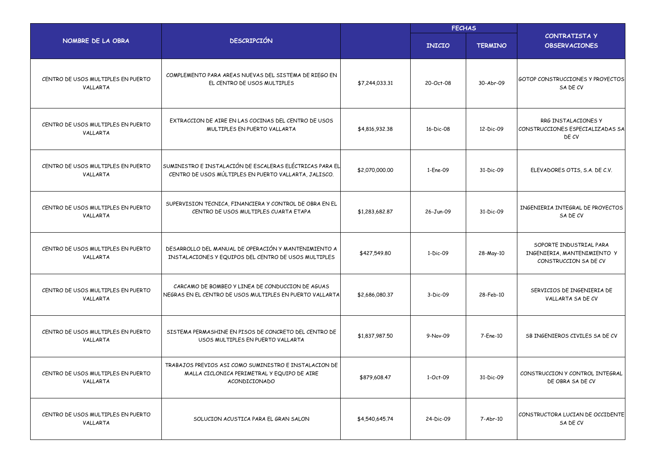|                                                |                                                                                                                       |                | <b>FECHAS</b> |                |                                                                                 |  |
|------------------------------------------------|-----------------------------------------------------------------------------------------------------------------------|----------------|---------------|----------------|---------------------------------------------------------------------------------|--|
| NOMBRE DE LA OBRA                              | <b>DESCRIPCIÓN</b>                                                                                                    |                | <b>INICIO</b> | <b>TERMINO</b> | <b>CONTRATISTA Y</b><br><b>OBSERVACIONES</b>                                    |  |
| CENTRO DE USOS MULTIPLES EN PUERTO<br>VALLARTA | COMPLEMENTO PARA AREAS NUEVAS DEL SISTEMA DE RIEGO EN<br>EL CENTRO DE USOS MULTIPLES                                  | \$7,244,033.31 | 20-Oct-08     | 30-Abr-09      | <b>GOTOP CONSTRUCCIONES Y PROYECTOS</b><br>SA DE CV                             |  |
| CENTRO DE USOS MULTIPLES EN PUERTO<br>VALLARTA | EXTRACCION DE AIRE EN LAS COCINAS DEL CENTRO DE USOS<br>MULTIPLES EN PUERTO VALLARTA                                  | \$4,816,932.38 | 16-Dic-08     | 12-Dic-09      | RRG INSTALACIONES Y<br>CONSTRUCCIONES ESPECIALIZADAS SA<br>DE CV                |  |
| CENTRO DE USOS MULTIPLES EN PUERTO<br>VALLARTA | SUMINISTRO E INSTALACIÓN DE ESCALERAS ELÉCTRICAS PARA EL<br>CENTRO DE USOS MÚLTIPLES EN PUERTO VALLARTA, JALISCO.     | \$2,070,000.00 | 1-Ene-09      | 31-Dic-09      | ELEVADORES OTIS, S.A. DE C.V.                                                   |  |
| CENTRO DE USOS MULTIPLES EN PUERTO<br>VALLARTA | SUPERVISION TECNICA, FINANCIERA Y CONTROL DE OBRA EN EL<br>CENTRO DE USOS MULTIPLES CUARTA ETAPA                      | \$1,283,682.87 | 26-Jun-09     | 31-Dic-09      | INGENIERIA INTEGRAL DE PROYECTOS<br>SA DE CV                                    |  |
| CENTRO DE USOS MULTIPLES EN PUERTO<br>VALLARTA | DESARROLLO DEL MANUAL DE OPERACIÓN Y MANTENIMIENTO A<br>INSTALACIONES Y EQUIPOS DEL CENTRO DE USOS MULTIPLES          | \$427,549.80   | 1-Dic-09      | 28-May-10      | SOPORTE INDUSTRIAL PARA<br>INGENIERIA, MANTENIMIENTO Y<br>CONSTRUCCION SA DE CV |  |
| CENTRO DE USOS MULTIPLES EN PUERTO<br>VALLARTA | CARCAMO DE BOMBEO Y LINEA DE CONDUCCION DE AGUAS<br>NEGRAS EN EL CENTRO DE USOS MULTIPLES EN PUERTO VALLARTA          | \$2,686,080.37 | 3-Dic-09      | 28-Feb-10      | SERVICIOS DE INGENIERIA DE<br>VALLARTA SA DE CV                                 |  |
| CENTRO DE USOS MULTIPLES EN PUERTO<br>VALLARTA | SISTEMA PERMASHINE EN PISOS DE CONCRETO DEL CENTRO DE<br>USOS MULTIPLES EN PUERTO VALLARTA                            | \$1,837,987.50 | 9-Nov-09      | 7-Ene-10       | SB INGENIEROS CIVILES SA DE CV                                                  |  |
| CENTRO DE USOS MULTIPLES EN PUERTO<br>VALLARTA | TRABAJOS PREVIOS ASI COMO SUMINISTRO E INSTALACION DE<br>MALLA CICLONICA PERIMETRAL Y EQUIPO DE AIRE<br>ACONDICIONADO | \$879,608.47   | 1-Oct-09      | 31-Dic-09      | CONSTRUCCION Y CONTROL INTEGRAL<br>DE OBRA SA DE CV                             |  |
| CENTRO DE USOS MULTIPLES EN PUERTO<br>VALLARTA | SOLUCION ACUSTICA PARA EL GRAN SALON                                                                                  | \$4,540,645.74 | 24-Dic-09     | 7-Abr-10       | CONSTRUCTORA LUCIAN DE OCCIDENTE<br>SA DE CV                                    |  |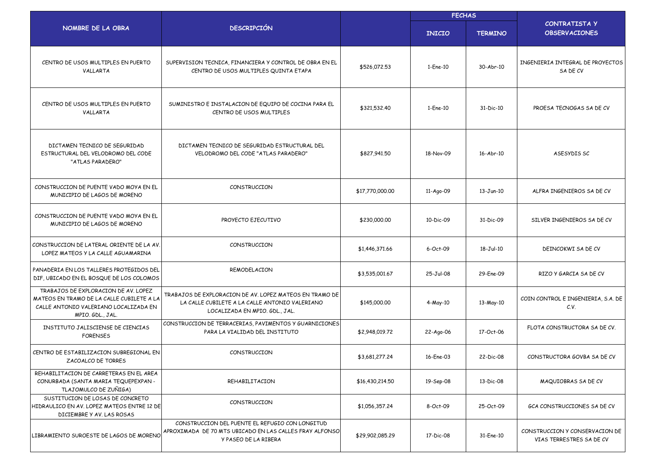|                                                                                                                                                |                                                                                                                                             |                 | <b>FECHAS</b> |                        |                                                            |  |
|------------------------------------------------------------------------------------------------------------------------------------------------|---------------------------------------------------------------------------------------------------------------------------------------------|-----------------|---------------|------------------------|------------------------------------------------------------|--|
| NOMBRE DE LA OBRA                                                                                                                              | <b>DESCRIPCIÓN</b>                                                                                                                          |                 | <b>INICIO</b> | <b>TERMINO</b>         | <b>CONTRATISTA Y</b><br><b>OBSERVACIONES</b>               |  |
| CENTRO DE USOS MULTIPLES EN PUERTO<br>VALLARTA                                                                                                 | SUPERVISION TECNICA, FINANCIERA Y CONTROL DE OBRA EN EL<br>CENTRO DE USOS MULTIPLES QUINTA ETAPA                                            | \$526,072.53    | 1-Ene-10      | 30-Abr-10              | INGENIERIA INTEGRAL DE PROYECTOS<br>SA DE CV               |  |
| CENTRO DE USOS MULTIPLES EN PUERTO<br>VALLARTA                                                                                                 | SUMINISTRO E INSTALACION DE EQUIPO DE COCINA PARA EL<br>CENTRO DE USOS MULTIPLES                                                            | \$321,532.40    | 1-Ene-10      | 31-Dic-10              | PROESA TECNOGAS SA DE CV                                   |  |
| DICTAMEN TECNICO DE SEGURIDAD<br>ESTRUCTURAL DEL VELODROMO DEL CODE<br>"ATLAS PARADERO"                                                        | DICTAMEN TECNICO DE SEGURIDAD ESTRUCTURAL DEL<br>VELODROMO DEL CODE "ATLAS PARADERO"                                                        | \$827,941.50    | 18-Nov-09     | 16-Abr-10              | ASESYDIS SC                                                |  |
| CONSTRUCCION DE PUENTE VADO MOYA EN EL<br>MUNICIPIO DE LAGOS DE MORENO                                                                         | CONSTRUCCION                                                                                                                                | \$17,770,000.00 | 11-Ago-09     | 13-Jun-10              | ALFRA INGENIEROS SA DE CV                                  |  |
| CONSTRUCCION DE PUENTE VADO MOYA EN EL<br>MUNICIPIO DE LAGOS DE MORENO                                                                         | PROYECTO EJECUTIVO                                                                                                                          | \$230,000.00    | 10-Dic-09     | $31 - \text{Dic} - 09$ | SILVER INGENIEROS SA DE CV                                 |  |
| CONSTRUCCION DE LATERAL ORIENTE DE LA AV.<br>LOPEZ MATEOS Y LA CALLE AGUAMARINA                                                                | CONSTRUCCION                                                                                                                                | \$1,446,371,66  | 6-Oct-09      | 18-Jul-10              | DEINCOKWI SA DE CV                                         |  |
| PANADERIA EN LOS TALLERES PROTEGIDOS DEL<br>DIF, UBICADO EN EL BOSQUE DE LOS COLOMOS                                                           | REMODELACION                                                                                                                                | \$3,535,001.67  | 25-Jul-08     | 29-Ene-09              | RIZO Y GARCIA SA DE CV                                     |  |
| TRABAJOS DE EXPLORACION DE AV. LOPEZ<br>MATEOS EN TRAMO DE LA CALLE CUBILETE A LA<br>CALLE ANTONIO VALERIANO LOCALIZADA EN<br>MPIO. GDL., JAL. | TRABAJOS DE EXPLORACION DE AV. LOPEZ MATEOS EN TRAMO DE<br>LA CALLE CUBILETE A LA CALLE ANTONIO VALERIANO<br>LOCALIZADA EN MPIO. GDL., JAL. | \$145,000.00    | 4-May-10      | 13-May-10              | COIN CONTROL E INGENIERIA, S.A. DE<br>C.V.                 |  |
| INSTITUTO JALISCIENSE DE CIENCIAS<br><b>FORENSES</b>                                                                                           | CONSTRUCCION DE TERRACERIAS, PAVIMENTOS Y GUARNICIONES<br>PARA LA VIALIDAD DEL INSTITUTO                                                    | \$2,948,019.72  | 22-Ago-06     | 17-Oct-06              | FLOTA CONSTRUCTORA SA DE CV.                               |  |
| CENTRO DE ESTABILIZACION SUBREGIONAL EN<br>ZACOALCO DE TORRES                                                                                  | CONSTRUCCION                                                                                                                                | \$3,681,277.24  | 16-Ene-03     | 22-Dic-08              | CONSTRUCTORA GOVBA SA DE CV                                |  |
| REHABILITACION DE CARRETERAS EN EL AREA<br>CONURBADA (SANTA MARIA TEQUEPEXPAN -<br>TLAJOMULCO DE ZUÑIGA)                                       | REHABILITACION                                                                                                                              | \$16,430,214.50 | 19-Sep-08     | 13-Dic-08              | MAQUIOBRAS SA DE CV                                        |  |
| SUSTITUCION DE LOSAS DE CONCRETO<br>HIDRAULICO EN AV. LOPEZ MATEOS ENTRE 12 DE<br>DICIEMBRE Y AV. LAS ROSAS                                    | CONSTRUCCION                                                                                                                                | \$1,056,357.24  | 8-Oct-09      | 25-Oct-09              | GCA CONSTRUCCIONES SA DE CV                                |  |
| LIBRAMIENTO SUROESTE DE LAGOS DE MORENO                                                                                                        | CONSTRUCCION DEL PUENTE EL REFUGIO CON LONGITUD<br>APROXIMADA DE 70 MTS UBICADO EN LAS CALLES FRAY ALFONSO<br>Y PASEO DE LA RIBERA          | \$29,902,085.29 | 17-Dic-08     | 31-Ene-10              | CONSTRUCCION Y CONSERVACION DE<br>VIAS TERRESTRES SA DE CV |  |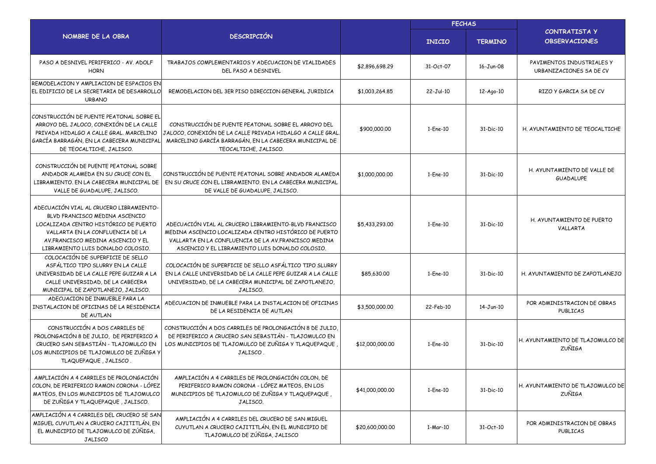|                                                                                                                                                                                                                                   |                                                                                                                                                                                                                            |                 | <b>FECHAS</b> |                |                                                      |  |
|-----------------------------------------------------------------------------------------------------------------------------------------------------------------------------------------------------------------------------------|----------------------------------------------------------------------------------------------------------------------------------------------------------------------------------------------------------------------------|-----------------|---------------|----------------|------------------------------------------------------|--|
| NOMBRE DE LA OBRA                                                                                                                                                                                                                 | <b>DESCRIPCIÓN</b>                                                                                                                                                                                                         |                 | <b>INICIO</b> | <b>TERMINO</b> | CONTRATISTA Y<br><b>OBSERVACIONES</b>                |  |
| PASO A DESNIVEL PERIFERICO - AV. ADOLF<br><b>HORN</b>                                                                                                                                                                             | TRABAJOS COMPLEMENTARIOS Y ADECUACION DE VIALIDADES<br>DEL PASO A DESNIVEL                                                                                                                                                 | \$2,896,698.29  | 31-Oct-07     | 16-Jun-08      | PAVIMENTOS INDUSTRIALES Y<br>URBANIZACIONES SA DE CV |  |
| REMODELACION Y AMPLIACION DE ESPACIOS EN<br>EL EDIFICIO DE LA SECRETARIA DE DESARROLLO<br><b>URBANO</b>                                                                                                                           | REMODELACION DEL 3ER PISO DIRECCION GENERAL JURIDICA                                                                                                                                                                       | \$1,003,264.85  | 22-Jul-10     | 12-Ago-10      | RIZO Y GARCIA SA DE CV                               |  |
| CONSTRUCCIÓN DE PUENTE PEATONAL SOBRE EL<br>ARROYO DEL JALOCO, CONEXIÓN DE LA CALLE<br>PRIVADA HIDALGO A CALLE GRAL. MARCELINO<br>GARCÍA BARRAGÁN, EN LA CABECERA MUNICIPAL<br>DE TEOCALTICHE, JALISCO.                           | CONSTRUCCIÓN DE PUENTE PEATONAL SOBRE EL ARROYO DEL<br>JALOCO, CONEXIÓN DE LA CALLE PRIVADA HIDALGO A CALLE GRAL<br>MARCELINO GARCÍA BARRAGÁN, EN LA CABECERA MUNICIPAL DE<br>TEOCALTICHE, JALISCO.                        | \$900,000,00    | 1-Ene-10      | 31-Dic-10      | H. AYUNTAMIENTO DE TEOCALTICHE                       |  |
| CONSTRUCCIÓN DE PUENTE PEATONAL SOBRE<br>ANDADOR ALAMEDA EN SU CRUCE CON EL<br>LIBRAMIENTO, EN LA CABECERA MUNICIPAL DE<br>VALLE DE GUADALUPE, JALISCO.                                                                           | CONSTRUCCIÓN DE PUENTE PEATONAL SOBRE ANDADOR ALAMEDA<br>EN SU CRUCE CON EL LIBRAMIENTO. EN LA CABECERA MUNICIPAL<br>DE VALLE DE GUADALUPE, JALISCO.                                                                       | \$1,000,000.00  | 1-Ene-10      | 31-Dic-10      | H. AYUNTAMIENTO DE VALLE DE<br><b>GUADALUPE</b>      |  |
| ADECUACIÓN VIAL AL CRUCERO LIBRAMIENTO-<br>BLVD FRANCISCO MEDINA ASCENCIO<br>LOCALIZADA CENTRO HISTÓRICO DE PUERTO<br>VALLARTA EN LA CONFLUENCIA DE LA<br>AV. FRANCISCO MEDINA ASCENCIO Y EL<br>LIBRAMIENTO LUIS DONALDO COLOSIO. | ADECUACIÓN VIAL AL CRUCERO LIBRAMIENTO-BLVD FRANCISCO<br>MEDINA ASCENCIO LOCALIZADA CENTRO HISTÓRICO DE PUERTO<br>VALLARTA EN LA CONFLUENCIA DE LA AV. FRANCISCO MEDINA<br>ASCENCIO Y EL LIBRAMIENTO LUIS DONALDO COLOSIO. | \$5,433,293.00  | 1-Ene-10      | 31-Dic-10      | H. AYUNTAMIENTO DE PUERTO<br>VALLARTA                |  |
| COLOCACIÓN DE SUPERFICIE DE SELLO<br>ASFÁLTICO TIPO SLURRY EN LA CALLE<br>UNIVERSIDAD DE LA CALLE PEPE GUIZAR A LA<br>CALLE UNIVERSIDAD, DE LA CABECERA<br>MUNICIPAL DE ZAPOTLANEJO, JALISCO.                                     | COLOCACIÓN DE SUPERFICIE DE SELLO ASFÁLTICO TIPO SLURRY<br>EN LA CALLE UNIVERSIDAD DE LA CALLE PEPE GUIZAR A LA CALLE<br>UNIVERSIDAD, DE LA CABECERA MUNICIPAL DE ZAPOTLANEJO,<br>JALISCO.                                 | \$85,630.00     | 1-Ene-10      | 31-Dic-10      | H. AYUNTAMIENTO DE ZAPOTLANEJO                       |  |
| ADECUACION DE INMUEBLE PARA LA<br>INSTALACION DE OFICINAS DE LA RESIDENCIA<br>DE AUTLAN                                                                                                                                           | ADECUACION DE INMUEBLE PARA LA INSTALACION DE OFICINAS<br>DE LA RESIDENCIA DE AUTLAN                                                                                                                                       | \$3,500,000.00  | 22-Feb-10     | 14-Jun-10      | POR ADMINISTRACION DE OBRAS<br>PUBLICAS              |  |
| CONSTRUCCIÓN A DOS CARRILES DE<br>PROLONGACIÓN 8 DE JULIO, DE PERIFERICO A<br>CRUCERO SAN SEBASTIÁN - TLAJOMULCO EN<br>OS MUNICIPIOS DE TLAJOMULCO DE ZUÑIGA Y<br>TLAQUEPAQUE, JALISCO.                                           | CONSTRUCCIÓN A DOS CARRILES DE PROLONGACIÓN 8 DE JULIO.<br>DE PERIFERICO A CRUCERO SAN SEBASTIÁN - TLAJOMULCO EN<br>LOS MUNICIPIOS DE TLAJOMULCO DE ZUÑIGA Y TLAQUEPAQUE<br>JALISCO.                                       | \$12,000,000.00 | 1-Ene-10      | 31-Dic-10      | H. AYUNTAMIENTO DE TLAJOMULCO DE<br><b>ZUÑIGA</b>    |  |
| AMPLIACIÓN A 4 CARRILES DE PROLONGACIÓN<br>COLON, DE PERIFERICO RAMON CORONA - LÓPEZ<br>MATEOS, EN LOS MUNICIPIOS DE TLAJOMULCO<br>DE ZUÑIGA Y TLAQUEPAQUE, JALISCO.                                                              | AMPLIACIÓN A 4 CARRILES DE PROLONGACIÓN COLON, DE<br>PERIFERICO RAMON CORONA - LÓPEZ MATEOS, EN LOS<br>MUNICIPIOS DE TLAJOMULCO DE ZUÑIGA Y TLAQUEPAQUE,<br>JALISCO.                                                       | \$41,000,000.00 | 1-Ene-10      | 31-Dic-10      | H. AYUNTAMIENTO DE TLAJOMULCO DE<br><b>ZUÑIGA</b>    |  |
| AMPLIACIÓN A 4 CARRILES DEL CRUCERO SE SAN<br>MIGUEL CUYUTLAN A CRUCERO CAJITITLÁN, EN<br>EL MUNICIPIO DE TLAJOMULCO DE ZÚÑIGA,<br><b>JALISCO</b>                                                                                 | AMPLIACIÓN A 4 CARRILES DEL CRUCERO DE SAN MIGUEL<br>CUYUTLAN A CRUCERO CAJITITLÁN, EN EL MUNICIPIO DE<br>TLAJOMULCO DE ZÚÑIGA, JALISCO                                                                                    | \$20,600,000.00 | 1-Mar-10      | 31-Oct-10      | POR ADMINISTRACION DE OBRAS<br>PUBLICAS              |  |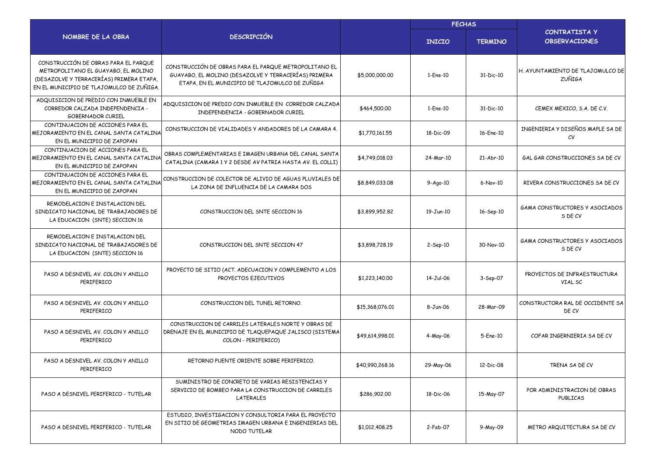|                                                                                                                                                                     |                                                                                                                                                                 |                 | <b>FECHAS</b>  |                |                                                   |  |
|---------------------------------------------------------------------------------------------------------------------------------------------------------------------|-----------------------------------------------------------------------------------------------------------------------------------------------------------------|-----------------|----------------|----------------|---------------------------------------------------|--|
| NOMBRE DE LA OBRA                                                                                                                                                   | <b>DESCRIPCIÓN</b>                                                                                                                                              |                 | <b>INICIO</b>  | <b>TERMINO</b> | <b>CONTRATISTA Y</b><br><b>OBSERVACIONES</b>      |  |
| CONSTRUCCIÓN DE OBRAS PARA EL PARQUE<br>METROPOLITANO EL GUAYABO, EL MOLINO<br>(DESAZOLVE Y TERRACERÍAS) PRIMERA ETAPA,<br>EN EL MUNICIPIO DE TLAJOMULCO DE ZUÑIGA. | CONSTRUCCIÓN DE OBRAS PARA EL PARQUE METROPOLITANO EL<br>GUAYABO, EL MOLINO (DESAZOLVE Y TERRACERÍAS) PRIMERA<br>ETAPA, EN EL MUNICIPIO DE TLAJOMULCO DE ZUÑIGA | \$5,000,000.00  | 1-Ene-10       | 31-Dic-10      | H. AYUNTAMIENTO DE TLAJOMULCO DE<br><b>ZUÑIGA</b> |  |
| ADQUISICION DE PREDIO CON INMUEBLE EN<br>CORREDOR CALZADA INDEPENDENCIA -<br><b>GOBERNADOR CURIEL</b>                                                               | ADQUISICION DE PREDIO CON INMUEBLE EN CORREDOR CALZADA<br>INDEPENDENCIA - GOBERNADOR CURIEL                                                                     | \$464,500.00    | 1-Ene-10       | 31-Dic-10      | CEMEX MEXICO, S.A. DE C.V.                        |  |
| CONTINUACION DE ACCIONES PARA EL<br>MEJORAMIENTO EN EL CANAL SANTA CATALINA<br>EN EL MUNICIPIO DE ZAPOPAN                                                           | CONSTRUCCION DE VIALIDADES Y ANDADORES DE LA CAMARA 4.                                                                                                          | \$1,770,161,55  | 18-Dic-09      | 16-Ene-10      | INGENIERIA Y DISEÑOS MAPLE SA DE<br>CV            |  |
| CONTINUACION DE ACCIONES PARA EL<br>MEJORAMIENTO EN EL CANAL SANTA CATALINA<br>EN EL MUNICIPIO DE ZAPOPAN                                                           | OBRAS COMPLEMENTARIAS E IMAGEN URBANA DEL CANAL SANTA<br>CATALINA (CAMARA 1 Y 2 DESDE AV PATRIA HASTA AV. EL COLLI)                                             | \$4,749,018.03  | 24-Mar-10      | 21-Abr-10      | GAL GAR CONSTRUCCIONES SA DE CV                   |  |
| CONTINUACION DE ACCIONES PARA EL<br>MEJORAMIENTO EN EL CANAL SANTA CATALINA<br>EN EL MUNICIPIO DE ZAPOPAN                                                           | CONSTRUCCION DE COLECTOR DE ALIVIO DE AGUAS PLUVIALES DE<br>LA ZONA DE INFLUENCIA DE LA CAMARA DOS                                                              | \$8,849,033.08  | $9 - Aq0 - 10$ | $6-Nov-10$     | RIVERA CONSTRUCCIONES SA DE CV                    |  |
| REMODELACION E INSTALACION DEL<br>SINDICATO NACIONAL DE TRABAJADORES DE<br>LA EDUCACION (SNTE) SECCION 16                                                           | CONSTRUCCION DEL SNTE SECCION 16                                                                                                                                | \$3,899,952.82  | 19-Jun-10      | 16-Sep-10      | <b>GAMA CONSTRUCTORES Y ASOCIADOS</b><br>S DE CV  |  |
| REMODELACION E INSTALACION DEL<br>SINDICATO NACIONAL DE TRABAJADORES DE<br>LA EDUCACION (SNTE) SECCION 16                                                           | CONSTRUCCION DEL SNTE SECCION 47                                                                                                                                | \$3,898,728.19  | $2-Sep-10$     | 30-Nov-10      | <b>GAMA CONSTRUCTORES Y ASOCIADOS</b><br>S DE CV  |  |
| PASO A DESNIVEL AV. COLON Y ANILLO<br>PERIFERICO                                                                                                                    | PROYECTO DE SITIO (ACT. ADECUACION Y COMPLEMENTO A LOS<br>PROYECTOS EJECUTIVOS                                                                                  | \$1,223,140.00  | 14-Jul-06      | 3-Sep-07       | PROYECTOS DE INFRAESTRUCTURA<br>VIAL SC           |  |
| PASO A DESNIVEL AV. COLON Y ANILLO<br>PERIFERICO                                                                                                                    | CONSTRUCCION DEL TUNEL RETORNO.                                                                                                                                 | \$15,368,076.01 | 8-Jun-06       | 28-Mar-09      | CONSTRUCTORA RAL DE OCCIDENTE SA<br>DE CV         |  |
| PASO A DESNIVEL AV. COLON Y ANILLO<br>PERIFERICO                                                                                                                    | CONSTRUCCION DE CARRILES LATERALES NORTE Y OBRAS DE<br>DRENAJE EN EL MUNICIPIO DE TLAQUEPAQUE JALISCO (SISTEMA<br>COLON - PERIFERICO)                           | \$49,614,998.01 | 4-May-06       | 5-Ene-10       | COFAR INGERNIERIA SA DE CV                        |  |
| PASO A DESNIVEL AV. COLON Y ANILLO<br>PERIFERICO                                                                                                                    | RETORNO PUENTE ORIENTE SOBRE PERIFERICO.                                                                                                                        | \$40,990,268.16 | 29-May-06      | 12-Dic-08      | TRENA SA DE CV                                    |  |
| PASO A DESNIVEL PERIFERICO - TUTELAR                                                                                                                                | SUMINISTRO DE CONCRETO DE VARIAS RESISTENCIAS Y<br>SERVICIO DE BOMBEO PARA LA CONSTRUCCION DE CARRILES<br>LATERALES                                             | \$286,902,00    | 18-Dic-06      | 15-May-07      | POR ADMINISTRACION DE OBRAS<br>PUBLICAS           |  |
| PASO A DESNIVEL PERIFERICO - TUTELAR                                                                                                                                | ESTUDIO, INVESTIGACION Y CONSULTORIA PARA EL PROYECTO<br>EN SITIO DE GEOMETRIAS IMAGEN URBANA E INGENIERIAS DEL<br>NODO TUTELAR                                 | \$1,012,408.25  | 2-Feb-07       | 9-May-09       | METRO ARQUITECTURA SA DE CV                       |  |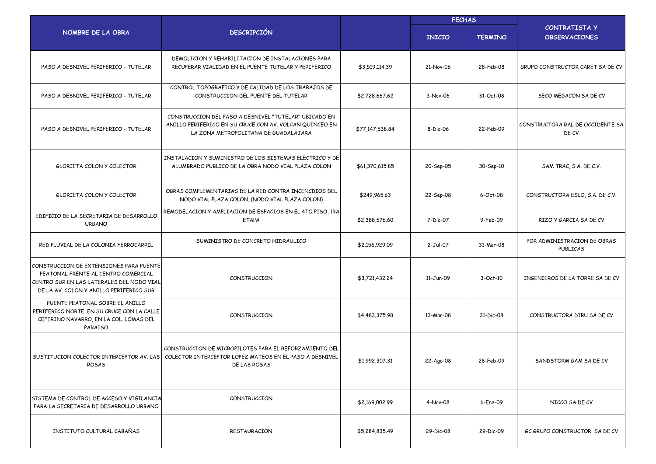|                                                                                                                                                                        |                                                                                                                                                                            |                 | <b>FECHAS</b> |                |                                              |
|------------------------------------------------------------------------------------------------------------------------------------------------------------------------|----------------------------------------------------------------------------------------------------------------------------------------------------------------------------|-----------------|---------------|----------------|----------------------------------------------|
| NOMBRE DE LA OBRA                                                                                                                                                      | <b>DESCRIPCIÓN</b>                                                                                                                                                         |                 | <b>INICIO</b> | <b>TERMINO</b> | <b>CONTRATISTA Y</b><br><b>OBSERVACIONES</b> |
| PASO A DESNIVEL PERIFERICO - TUTELAR                                                                                                                                   | DEMOLICION Y REHABILITACION DE INSTALACIONES PARA<br>RECUPERAR VIALIDAD EN EL PUENTE TUTELAR Y PERIFERICO                                                                  | \$3,519,114.39  | 21-Nov-06     | 28-Feb-08      | GRUPO CONSTRUCTOR CARET SA DE CV             |
| PASO A DESNIVEL PERIFERICO - TUTELAR                                                                                                                                   | CONTROL TOPOGRAFICO Y DE CALIDAD DE LOS TRABAJOS DE<br>CONSTRUCCION DEL PUENTE DEL TUTELAR                                                                                 | \$2,728,667.62  | 3-Nov-06      | 31-Oct-08      | SECO MEGACON SA DE CV                        |
| PASO A DESNIVEL PERIFERICO - TUTELAR                                                                                                                                   | CONSTRUCCION DEL PASO A DESNIVEL "TUTELAR" UBICADO EN<br>ANILLO PERIFERICO EN SU CRUCE CON AV. VOLCAN QUINCEO EN<br>LA ZONA METROPOLITANA DE GUADALAJARA                   | \$77,147,538.84 | 8-Dic-06      | 22-Feb-09      | CONSTRUCTORA RAL DE OCCIDENTE SA<br>DE CV    |
| GLORIETA COLON Y COLECTOR                                                                                                                                              | INSTALACION Y SUMINISTRO DE LOS SISTEMAS ELECTRICO Y DE<br>ALUMBRADO PUBLICO DE LA OBRA NODO VIAL PLAZA COLON                                                              | \$61,370,615.85 | 20-Sep-05     | 30-Sep-10      | SAM TRAC, S.A. DE C.V.                       |
| <b>GLORIETA COLON Y COLECTOR</b>                                                                                                                                       | OBRAS COMPLEMENTARIAS DE LA RED CONTRA INCENCDIOS DEL<br>NODO VIAL PLAZA COLON. (NODO VIAL PLAZA COLON)                                                                    | \$249,965.63    | 22-Sep-08     | 6-Oct-08       | CONSTRUCTORA ESLO, S.A. DE C.V.              |
| EDIFICIO DE LA SECRETARIA DE DESARROLLO<br><b>URBANO</b>                                                                                                               | REMODELACION Y AMPLIACION DE ESPACIOS EN EL 4TO PISO, 1RA<br><b>ETAPA</b>                                                                                                  | \$2,388,576.60  | 7-Dic-07      | 9-Feb-09       | RIZO Y GARCIA SA DE CV                       |
| RED PLUVIAL DE LA COLONIA FERROCARRIL                                                                                                                                  | SUMINISTRO DE CONCRETO HIDRAULICO                                                                                                                                          | \$2,156,929.09  | 2-Jul-07      | 31-Mar-08      | POR ADMINISTRACION DE OBRAS<br>PUBLICAS      |
| CONSTRUCCION DE EXTENSIONES PARA PUENTE<br>PEATONAL FRENTE AL CENTRO COMERCIAL<br>CENTRO SUR EN LAS LATERALES DEL NODO VIAL<br>DE LA AV. COLON Y ANILLO PERIFERICO SUR | CONSTRUCCION                                                                                                                                                               | \$3,721,432.24  | 11-Jun-09     | $3-Oct-10$     | INGENIEROS DE LA TORRE SA DE CV              |
| PUENTE PEATONAL SOBRE EL ANILLO<br>PERIFERICO NORTE, EN SU CRUCE CON LA CALLE<br>CEFERINO NAVARRO, EN LA COL. LOMAS DEL<br>PARAISO                                     | CONSTRUCCION                                                                                                                                                               | \$4,483,375.98  | 13-Mar-08     | 31-Dic-08      | CONSTRUCTORA DIRU SA DE CV                   |
| ROSAS                                                                                                                                                                  | CONSTRUCCION DE MICROPILOTES PARA EL REFORZAMIENTO DEL<br>SUSTITUCION COLECTOR INTERCEPTOR AV. LAS COLECTOR INTERCEPTOR LOPEZ MATEOS EN EL PASO A DESNIVEL<br>DE LAS ROSAS | \$1,992,307.31  | 22-Ago-08     | 28-Feb-09      | SANDSTORM GAM SA DE CV                       |
| SISTEMA DE CONTROL DE ACCESO Y VIGILANCIA<br>PARA LA SECRETARIA DE DESARROLLO URBANO                                                                                   | CONSTRUCCION                                                                                                                                                               | \$2,169,002.99  | 4-Nov-08      | 6-Ene-09       | NICCO SA DE CV                               |
| INSTITUTO CULTURAL CABAÑAS                                                                                                                                             | RESTAURACION                                                                                                                                                               | \$5,284,835.49  | 29-Dic-08     | 29-Dic-09      | GC GRUPO CONSTRUCTOR SA DE CV                |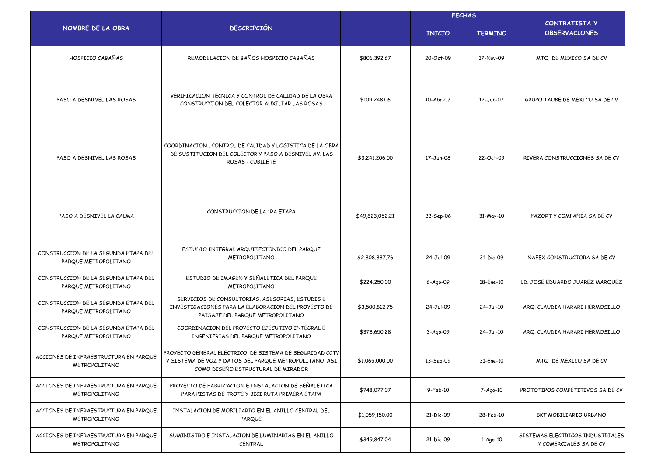|                                                              |                                                                                                                                                          | <b>FECHAS</b>   |                |                |                                                            |
|--------------------------------------------------------------|----------------------------------------------------------------------------------------------------------------------------------------------------------|-----------------|----------------|----------------|------------------------------------------------------------|
| NOMBRE DE LA OBRA                                            | <b>DESCRIPCIÓN</b>                                                                                                                                       |                 | <b>INICIO</b>  | <b>TERMINO</b> | <b>CONTRATISTA Y</b><br><b>OBSERVACIONES</b>               |
| HOSPICIO CABAÑAS                                             | REMODELACION DE BAÑOS HOSPICIO CABAÑAS                                                                                                                   | \$806,392.67    | 20-Oct-09      | 17-Nov-09      | MTQ DE MEXICO SA DE CV                                     |
| PASO A DESNIVEL LAS ROSAS                                    | VERIFICACION TECNICA Y CONTROL DE CALIDAD DE LA OBRA<br>CONSTRUCCION DEL COLECTOR AUXILIAR LAS ROSAS                                                     | \$109,248.06    | 10-Abr-07      | 12-Jun-07      | GRUPO TAUBE DE MEXICO SA DE CV                             |
| PASO A DESNIVEL LAS ROSAS                                    | COORDINACION, CONTROL DE CALIDAD Y LOGISTICA DE LA OBRA<br>DE SUSTITUCION DEL COLECTOR Y PASO A DESNIVEL AV. LAS<br>ROSAS - CUBILETE                     | \$3,241,206.00  | 17-Jun-08      | 22-Oct-09      | RIVERA CONSTRUCCIONES SA DE CV                             |
| PASO A DESNIVEL LA CALMA                                     | CONSTRUCCION DE LA 1RA ETAPA                                                                                                                             | \$49,823,052.21 | 22-Sep-06      | 31-May-10      | FAZORT Y COMPAÑÍA SA DE CV                                 |
| CONSTRUCCION DE LA SEGUNDA ETAPA DEL<br>PARQUE METROPOLITANO | ESTUDIO INTEGRAL ARQUITECTONICO DEL PARQUE<br>METROPOLITANO                                                                                              | \$2,808,887.76  | 24-Jul-09      | 31-Dic-09      | NAFEX CONSTRUCTORA SA DE CV                                |
| CONSTRUCCION DE LA SEGUNDA ETAPA DEL<br>PARQUE METROPOLITANO | ESTUDIO DE IMAGEN Y SEÑALETICA DEL PARQUE<br>METROPOLITANO                                                                                               | \$224,250.00    | $6 - Ago - O9$ | 18-Ene-10      | LD. JOSE EDUARDO JUAREZ MARQUEZ                            |
| CONSTRUCCION DE LA SEGUNDA ETAPA DEL<br>PARQUE METROPOLITANO | SERVICIOS DE CONSULTORIAS, ASESORIAS, ESTUDIS E<br>INVESTIGACIONES PARA LA ELABORACION DEL PROYECTO DE<br>PAISAJE DEL PARQUE METROPOLITANO               | \$3,500,812.75  | 24-Jul-09      | 24-Jul-10      | ARQ. CLAUDIA HARARI HERMOSILLO                             |
| CONSTRUCCION DE LA SEGUNDA ETAPA DEL<br>PARQUE METROPOLITANO | COORDINACION DEL PROYECTO EJECUTIVO INTEGRAL E<br>INGENIERIAS DEL PARQUE METROPOLITANO                                                                   | \$378,650.28    | $3 - Ago - O9$ | 24-Jul-10      | ARQ. CLAUDIA HARARI HERMOSILLO                             |
| ACCIONES DE INFRAESTRUCTURA EN PARQUE<br>METROPOLITANO       | PROYECTO GENERAL ELECTRICO, DE SISTEMA DE SEGURIDAD CCTV<br>Y SISTEMA DE VOZ Y DATOS DEL PARQUE METROPOLITANO, ASI<br>COMO DISEÑO ESTRUCTURAL DE MIRADOR | \$1,065,000.00  | 13-Sep-09      | 31-Ene-10      | MTQ DE MEXICO SA DE CV                                     |
| ACCIONES DE INFRAESTRUCTURA EN PARQUE<br>METROPOLITANO       | PROYECTO DE FABRICACION E INSTALACION DE SEÑALETICA<br>PARA PISTAS DE TROTE Y BICI RUTA PRIMERA ETAPA                                                    | \$748,077.07    | 9-Feb-10       | 7-Ago-10       | PROTOTIPOS COMPETITIVOS SA DE CV                           |
| ACCIONES DE INFRAESTRUCTURA EN PARQUE<br>METROPOLITANO       | INSTALACION DE MOBILIARIO EN EL ANILLO CENTRAL DEL<br>PARQUE                                                                                             | \$1,059,150.00  | 21-Dic-09      | 28-Feb-10      | BKT MOBILIARIO URBANO                                      |
| ACCIONES DE INFRAESTRUCTURA EN PARQUE<br>METROPOLITANO       | SUMINISTRO E INSTALACION DE LUMINARIAS EN EL ANILLO<br>CENTRAL                                                                                           | \$349,847.04    | 21-Dic-09      | 1-Ago-10       | SISTEMAS ELECTRICOS INDUSTRIALES<br>Y COMERCIALES SA DE CV |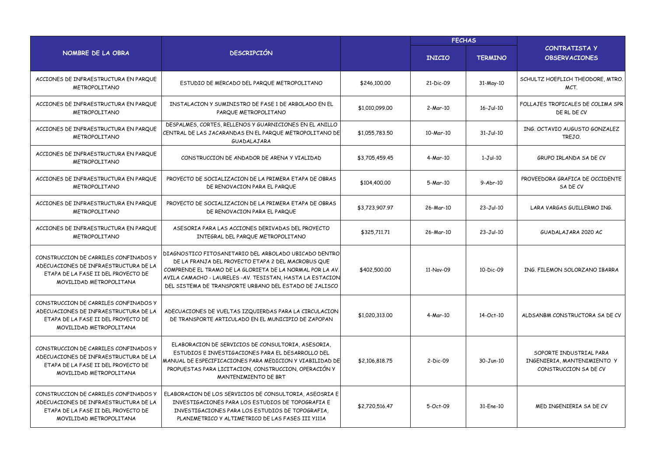|                                                                                                                                                  |                                                                                                                                                                                                                                                                                                  |                | <b>FECHAS</b> |                 |                                                                                |  |
|--------------------------------------------------------------------------------------------------------------------------------------------------|--------------------------------------------------------------------------------------------------------------------------------------------------------------------------------------------------------------------------------------------------------------------------------------------------|----------------|---------------|-----------------|--------------------------------------------------------------------------------|--|
| NOMBRE DE LA OBRA                                                                                                                                | <b>DESCRIPCIÓN</b>                                                                                                                                                                                                                                                                               |                | <b>INICIO</b> | <b>TERMINO</b>  | CONTRATISTA Y<br><b>OBSERVACIONES</b>                                          |  |
| ACCIONES DE INFRAESTRUCTURA EN PARQUE<br>METROPOLITANO                                                                                           | ESTUDIO DE MERCADO DEL PARQUE METROPOLITANO                                                                                                                                                                                                                                                      | \$246,100,00   | 21-Dic-09     | 31-May-10       | SCHULTZ HOEFLICH THEODORE, MTRO,<br>MCT.                                       |  |
| ACCIONES DE INFRAESTRUCTURA EN PARQUE<br><b>METROPOLITANO</b>                                                                                    | INSTALACION Y SUMINISTRO DE FASE 1 DE ARBOLADO EN EL<br>PARQUE METROPOLITANO                                                                                                                                                                                                                     | \$1,010,099.00 | 2-Mar-10      | $16 - Jul - 10$ | FOLLAJES TROPICALES DE COLIMA SPR<br>DE RL DE CV                               |  |
| ACCIONES DE INFRAESTRUCTURA EN PARQUE<br>METROPOLITANO                                                                                           | DESPALMES, CORTES, RELLENOS Y GUARNICIONES EN EL ANILLO<br>CENTRAL DE LAS JACARANDAS EN EL PARQUE METROPOLITANO DE<br>GUADALAJARA                                                                                                                                                                | \$1,055,783,50 | 10-Mar-10     | $31 - Jul - 10$ | ING. OCTAVIO AUGUSTO GONZALEZ<br>TREJO.                                        |  |
| ACCIONES DE INFRAESTRUCTURA EN PARQUE<br>METROPOLITANO                                                                                           | CONSTRUCCION DE ANDADOR DE ARENA Y VIALIDAD                                                                                                                                                                                                                                                      | \$3,705,459.45 | $4-Mar-10$    | $1-Jul-10$      | GRUPO IRLANDA SA DE CV                                                         |  |
| ACCIONES DE INFRAESTRUCTURA EN PARQUE<br>METROPOLITANO                                                                                           | PROYECTO DE SOCIALIZACION DE LA PRIMERA ETAPA DE OBRAS<br>DE RENOVACION PARA EL PARQUE                                                                                                                                                                                                           | \$104,400.00   | 5-Mar-10      | $9-Abr-10$      | PROVEEDORA GRAFICA DE OCCIDENTE<br>SA DE CV                                    |  |
| ACCIONES DE INFRAESTRUCTURA EN PARQUE<br>METROPOLITANO                                                                                           | PROYECTO DE SOCIALIZACION DE LA PRIMERA ETAPA DE OBRAS<br>DE RENOVACION PARA EL PARQUE                                                                                                                                                                                                           | \$3,723,907.97 | 26-Mar-10     | $23-Jul-10$     | LARA VARGAS GUILLERMO ING.                                                     |  |
| ACCIONES DE INFRAESTRUCTURA EN PARQUE<br>METROPOLITANO                                                                                           | ASESORIA PARA LAS ACCIONES DERIVADAS DEL PROYECTO<br>INTEGRAL DEL PARQUE METROPOLITANO                                                                                                                                                                                                           | \$325,711.71   | 26-Mar-10     | $23-Jul-10$     | GUADALAJARA 2020 AC                                                            |  |
| CONSTRUCCION DE CARRILES CONFINADOS Y<br>ADECUACIONES DE INFRAESTRUCTURA DE LA<br>ETAPA DE LA FASE II DEL PROYECTO DE<br>MOVILIDAD METROPOLITANA | DIAGNOSTICO FITOSANITARIO DEL ARBOLADO UBICADO DENTRO<br>DE LA FRANJA DEL PROYECTO ETAPA 2 DEL MACROBUS QUE<br>COMPRENDE EL TRAMO DE LA GLORIETA DE LA NORMAL POR LA AV.<br>AVILA CAMACHO - LAURELES - AV. TESISTAN, HASTA LA ESTACION<br>DEL SISTEMA DE TRANSPORTE URBANO DEL ESTADO DE JALISCO | \$402,500.00   | 11-Nov-09     | 10-Dic-09       | ING. FILEMON SOLORZANO IBARRA                                                  |  |
| CONSTRUCCION DE CARRILES CONFINADOS Y<br>ADECUACIONES DE INFRAESTRUCTURA DE LA<br>ETAPA DE LA FASE II DEL PROYECTO DE<br>MOVILIDAD METROPOLITANA | ADECUACIONES DE VUELTAS IZQUIERDAS PARA LA CIRCULACION<br>DE TRANSPORTE ARTICULADO EN EL MUNICIPIO DE ZAPOPAN                                                                                                                                                                                    | \$1,020,313,00 | 4-Mar-10      | 14-Oct-10       | ALDSANBM CONSTRUCTORA SA DE CV                                                 |  |
| CONSTRUCCION DE CARRILES CONFINADOS Y<br>ADECUACIONES DE INFRAESTRUCTURA DE LA<br>ETAPA DE LA FASE II DEL PROYECTO DE<br>MOVILIDAD METROPOLITANA | ELABORACION DE SERVICIOS DE CONSULTORIA, ASESORIA,<br>ESTUDIOS E INVESTIGACIONES PARA EL DESARROLLO DEL<br>MANUAL DE ESPECIFICACIONES PARA MEDICION Y VIABILIDAD DE<br>PROPUESTAS PARA LICITACION, CONSTRUCCION, OPERACIÓN Y<br>MANTENIMIENTO DE BRT                                             | \$2,106,818.75 | 2-Dic-09      | 30-Jun-10       | SOPORTE INDUSTRIAL PARA<br>INGENIERIA MANTENIMIENTO Y<br>CONSTRUCCION SA DE CV |  |
| CONSTRUCCION DE CARRILES CONFINADOS Y<br>ADECUACIONES DE INFRAESTRUCTURA DE LA<br>ETAPA DE LA FASE II DEL PROYECTO DE<br>MOVILIDAD METROPOLITANA | ELABORACION DE LOS SERVICIOS DE CONSULTORIA, ASEOSRIA E<br>INVESTIGACIONES PARA LOS ESTUDIOS DE TOPOGRAFIA E<br>INVESTIGACIONES PARA LOS ESTUDIOS DE TOPOGRAFIA.<br>PLANIMETRICO Y ALTIMETRICO DE LAS FASES III Y111A                                                                            | \$2,720,516.47 | 5-Oct-09      | 31-Ene-10       | MED INGENIERIA SA DE CV                                                        |  |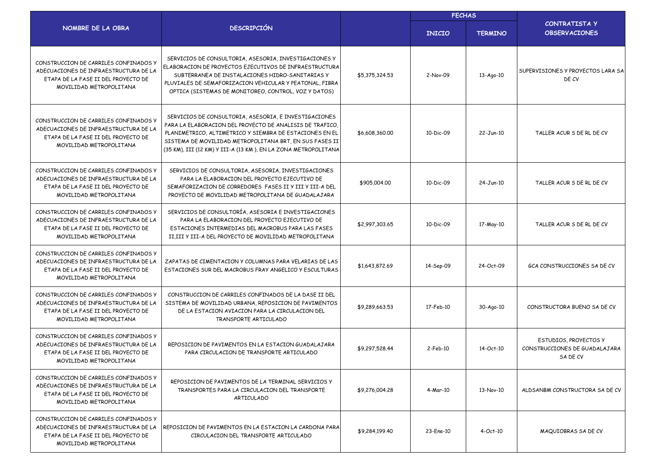|                                                                                                                                                  |                                                                                                                                                                                                                                                                                                           |                | <b>FECHAS</b>          |                 |                                                                    |
|--------------------------------------------------------------------------------------------------------------------------------------------------|-----------------------------------------------------------------------------------------------------------------------------------------------------------------------------------------------------------------------------------------------------------------------------------------------------------|----------------|------------------------|-----------------|--------------------------------------------------------------------|
| NOMBRE DE LA OBRA                                                                                                                                | <b>DESCRIPCIÓN</b>                                                                                                                                                                                                                                                                                        |                | <b>INICIO</b>          | <b>TERMINO</b>  | CONTRATISTA Y<br><b>OBSERVACIONES</b>                              |
| CONSTRUCCION DE CARRILES CONFINADOS Y<br>ADECUACIONES DE INFRAESTRUCTURA DE LA<br>ETAPA DE LA FASE II DEL PROYECTO DE<br>MOVILIDAD METROPOLITANA | SERVICIOS DE CONSULTORIA, ASESORIA, INVESTIGACIONES Y<br>ELABORACION DE PROYECTOS EJECUTIVOS DE INFRAESTRUCTURA<br>SUBTERRANEA DE INSTALACIONES HIDRO-SANITARIAS Y<br>PLUVIALES DE SEMAFORIZACION VEHICULAR Y PEATONAL, FIBRA<br>OPTICA (SISTEMAS DE MONITOREO, CONTROL, VOZ Y DATOS)                     | \$5,375,324.53 | 2-Nov-09               | $13 - Aqo - 10$ | SUPERVISIONES Y PROYECTOS LARA SA<br>DE CV                         |
| CONSTRUCCION DE CARRILES CONFINADOS Y<br>ADECUACIONES DE INFRAESTRUCTURA DE LA<br>ETAPA DE LA FASE II DEL PROYECTO DE<br>MOVILIDAD METROPOLITANA | SERVICIOS DE CONSULTORIA, ASESORIA, E INVESTIGACIONES<br>PARA LA ELABORACION DEL PROYECTO DE ANALISIS DE TRAFICO,<br>PLANIMETRICO, ALTIMETRICO Y SIEMBRA DE ESTACIONES EN EL<br>SISTEMA DE MOVILIDAD METROPOLITANA BRT, EN SUS FASES II<br>(35 KM), III (12 KM) Y III-A (13 KM), EN LA ZONA METROPOLITANA | \$6,608,360.00 | 10-Dic-09              | 22-Jun-10       | TALLER ACUR S DE RL DE CV                                          |
| CONSTRUCCION DE CARRILES CONFINADOS Y<br>ADECUACIONES DE INFRAESTRUCTURA DE LA<br>ETAPA DE LA FASE II DEL PROYECTO DE<br>MOVILIDAD METROPOLITANA | SERVICIOS DE CONSULTORIA, ASESORIA, INVESTIGACIONES<br>PARA LA ELABORACION DEL PROYECTO EJECUTIVO DE<br>SEMAFORIZACION DE CORREDORES FASES II Y III Y III-A DEL<br>PROYECTO DE MOVILIDAD METROPOLITANA DE GUADALAJARA                                                                                     | \$905,004.00   | $10 - \text{Dic} - 09$ | 24-Jun-10       | TALLER ACUR S DE RL DE CV                                          |
| CONSTRUCCION DE CARRILES CONFINADOS Y<br>ADECUACIONES DE INFRAESTRUCTURA DE LA<br>ETAPA DE LA FASE II DEL PROYECTO DE<br>MOVILIDAD METROPOLITANA | SERVICIOS DE CONSULTORÍA, ASESORIA E INVESTIGACIONES<br>PARA LA ELABORACION DEL PROYECTO EJECUTIVO DE<br>ESTACIONES INTERMEDIAS DEL MACROBUS PARA LAS FASES<br>II III Y III-A DEL PROYECTO DE MOVILIDAD METROPOLITANA                                                                                     | \$2,997,303.65 | 10-Dic-09              | 17-May-10       | TALLER ACUR S DE RL DE CV                                          |
| CONSTRUCCION DE CARRILES CONFINADOS Y<br>ADECUACIONES DE INFRAESTRUCTURA DE LA<br>ETAPA DE LA FASE II DEL PROYECTO DE<br>MOVILIDAD METROPOLITANA | ZAPATAS DE CIMENTACION Y COLUMNAS PARA VELARIAS DE LAS<br>ESTACIONES SUR DEL MACROBUS FRAY ANGELICO Y ESCULTURAS                                                                                                                                                                                          | \$1,643,872.69 | 14-Sep-09              | 24-Oct-09       | GCA CONSTRUCCIONES SA DE CV                                        |
| CONSTRUCCION DE CARRILES CONFINADOS Y<br>ADECUACIONES DE INFRAESTRUCTURA DE LA<br>ETAPA DE LA FASE II DEL PROYECTO DE<br>MOVILIDAD METROPOLITANA | CONSTRUCCION DE CARRILES CONFINADOS DE LA DASE II DEL<br>SISTEMA DE MOVILIDAD URBANA, REPOSICION DE PAVIMENTOS<br>DE LA ESTACION AVIACION PARA LA CIRCULACION DEL<br>TRANSPORTE ARTICULADO                                                                                                                | \$9,289,663.53 | 17-Feb-10              | 30-Ago-10       | CONSTRUCTORA BUENO SA DE CV                                        |
| CONSTRUCCION DE CARRILES CONFINADOS Y<br>ADECUACIONES DE INFRAESTRUCTURA DE LA<br>ETAPA DE LA FASE II DEL PROYECTO DE<br>MOVILIDAD METROPOLITANA | REPOSICION DE PAVIMENTOS EN LA ESTACION GUADALAJARA<br>PARA CIRCULACION DE TRANSPORTE ARTICULADO                                                                                                                                                                                                          | \$9,297,528.44 | $2-Feb-10$             | 14-Oct-10       | ESTUDIOS, PROYECTOS Y<br>CONSTRUCCIONES DE GUADALAJARA<br>SA DE CV |
| CONSTRUCCION DE CARRILES CONFINADOS Y<br>ADECUACIONES DE INFRAESTRUCTURA DE LA<br>ETAPA DE LA FASE II DEL PROYECTO DE<br>MOVILIDAD METROPOLITANA | REPOSICION DE PAVIMENTOS DE LA TERMINAL SERVICIOS Y<br>TRANSPORTES PARA LA CIRCULACION DEL TRANSPORTE<br>ARTICULADO                                                                                                                                                                                       | \$9,276,004.28 | 4-Mar-10               | 13-Nov-10       | ALDSANBM CONSTRUCTORA SA DE CV                                     |
| CONSTRUCCION DE CARRILES CONFINADOS Y<br>ADECUACIONES DE INFRAESTRUCTURA DE LA<br>ETAPA DE LA FASE II DEL PROYECTO DE<br>MOVILIDAD METROPOLITANA | REPOSICION DE PAVIMENTOS EN LA ESTACION LA CARDONA PARA<br>CIRCULACION DEL TRANSPORTE ARTICULADO                                                                                                                                                                                                          | \$9,284,199.40 | 23-Ene-10              | $4-Oct-10$      | MAQUIOBRAS SA DE CV                                                |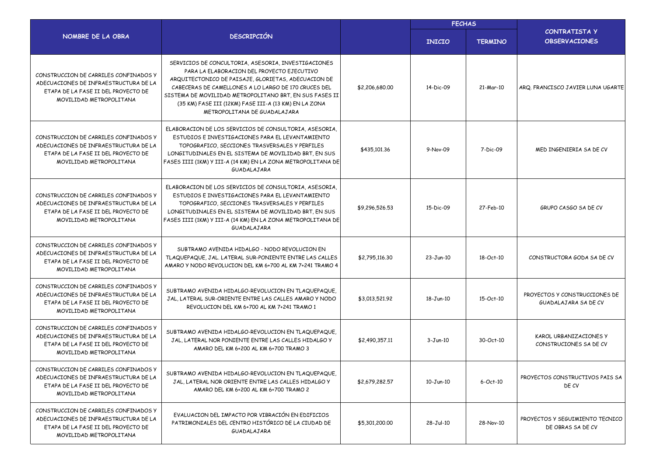|                                                                                                                                                  |                                                                                                                                                                                                                                                                                                                                                                      |                |               | <b>FECHAS</b>  |                                                       |  |
|--------------------------------------------------------------------------------------------------------------------------------------------------|----------------------------------------------------------------------------------------------------------------------------------------------------------------------------------------------------------------------------------------------------------------------------------------------------------------------------------------------------------------------|----------------|---------------|----------------|-------------------------------------------------------|--|
| NOMBRE DE LA OBRA                                                                                                                                | <b>DESCRIPCIÓN</b>                                                                                                                                                                                                                                                                                                                                                   |                | <b>INICIO</b> | <b>TERMINO</b> | <b>CONTRATISTA Y</b><br><b>OBSERVACIONES</b>          |  |
| CONSTRUCCION DE CARRILES CONFINADOS Y<br>ADECUACIONES DE INFRAESTRUCTURA DE LA<br>ETAPA DE LA FASE II DEL PROYECTO DE<br>MOVILIDAD METROPOLITANA | SERVICIOS DE CONCULTORIA, ASESORIA, INVESTIGACIONES<br>PARA LA ELABORACION DEL PROYECTO EJECUTIVO<br>ARQUITECTONICO DE PAISAJE, GLORIETAS, ADECUACION DE<br>CABECERAS DE CAMELLONES A LO LARGO DE 170 CRUCES DEL<br>SISTEMA DE MOVILIDAD METROPOLITANO BRT, EN SUS FASES II<br>(35 KM) FASE III (12KM) FASE III-A (13 KM) EN LA ZONA<br>METROPOLITANA DE GUADALAJARA | \$2,206,680.00 | 14-Dic-09     | 21-Mar-10      | ARQ. FRANCISCO JAVIER LUNA UGARTE                     |  |
| CONSTRUCCION DE CARRILES CONFINADOS Y<br>ADECUACIONES DE INFRAESTRUCTURA DE LA<br>ETAPA DE LA FASE II DEL PROYECTO DE<br>MOVILIDAD METROPOLITANA | ELABORACION DE LOS SERVICIOS DE CONSULTORIA, ASESORIA,<br>ESTUDIOS E INVESTIGACIONES PARA EL LEVANTAMIENTO<br>TOPOGRAFICO, SECCIONES TRASVERSALES Y PERFILES<br>LONGITUDINALES EN EL SISTEMA DE MOVILIDAD BRT, EN SUS<br>FASES IIII (1KM) Y III-A (14 KM) EN LA ZONA METROPOLITANA DE<br>GUADALAJARA                                                                 | \$435,101.36   | 9-Nov-09      | 7-Dic-09       | MED INGENIERIA SA DE CV                               |  |
| CONSTRUCCION DE CARRILES CONFINADOS Y<br>ADECUACIONES DE INFRAESTRUCTURA DE LA<br>ETAPA DE LA FASE II DEL PROYECTO DE<br>MOVILIDAD METROPOLITANA | ELABORACION DE LOS SERVICIOS DE CONSULTORIA, ASESORIA,<br>ESTUDIOS E INVESTIGACIONES PARA EL LEVANTAMIENTO<br>TOPOGRAFICO, SECCIONES TRASVERSALES Y PERFILES<br>LONGITUDINALES EN EL SISTEMA DE MOVILIDAD BRT, EN SUS<br>FASES IIII (1KM) Y III-A (14 KM) EN LA ZONA METROPOLITANA DE<br>GUADALAJARA                                                                 | \$9,296,526.53 | 15-Dic-09     | 27-Feb-10      | GRUPO CASGO SA DE CV                                  |  |
| CONSTRUCCION DE CARRILES CONFINADOS Y<br>ADECUACIONES DE INFRAESTRUCTURA DE LA<br>ETAPA DE LA FASE II DEL PROYECTO DE<br>MOVILIDAD METROPOLITANA | SUBTRAMO AVENIDA HIDALGO - NODO REVOLUCION EN<br>TLAQUEPAQUE, JAL. LATERAL SUR-PONIENTE ENTRE LAS CALLES<br>AMARO Y NODO REVOLUCION DEL KM 6+700 AL KM 7+241 TRAMO 4                                                                                                                                                                                                 | \$2,795,116.30 | 23-Jun-10     | 18-Oct-10      | CONSTRUCTORA GODA SA DE CV                            |  |
| CONSTRUCCION DE CARRILES CONFINADOS Y<br>ADECUACIONES DE INFRAESTRUCTURA DE LA<br>ETAPA DE LA FASE II DEL PROYECTO DE<br>MOVILIDAD METROPOLITANA | SUBTRAMO AVENIDA HIDALGO-REVOLUCION EN TLAQUEPAQUE,<br>JAL, LATERAL SUR-ORIENTE ENTRE LAS CALLES AMARO Y NODO<br>REVOLUCION DEL KM 6+700 AL KM 7+241 TRAMO 1                                                                                                                                                                                                         | \$3,013,521.92 | 18-Jun-10     | 15-Oct-10      | PROYECTOS Y CONSTRUCCIONES DE<br>GUADALAJARA SA DE CV |  |
| CONSTRUCCION DE CARRILES CONFINADOS Y<br>ADECUACIONES DE INFRAESTRUCTURA DE LA<br>ETAPA DE LA FASE II DEL PROYECTO DE<br>MOVILIDAD METROPOLITANA | SUBTRAMO AVENIDA HIDALGO-REVOLUCION EN TLAQUEPAQUE,<br>JAL, LATERAL NOR PONIENTE ENTRE LAS CALLES HIDALGO Y<br>AMARO DEL KM 6+200 AL KM 6+700 TRAMO 3                                                                                                                                                                                                                | \$2,490,357.11 | $3 - Jun-10$  | 30-Oct-10      | KAROL URBANIZACIONES Y<br>CONSTRUCIONES SA DE CV      |  |
| CONSTRUCCION DE CARRILES CONFINADOS Y<br>ADECUACIONES DE INFRAESTRUCTURA DE LA<br>ETAPA DE LA FASE II DEL PROYECTO DE<br>MOVILIDAD METROPOLITANA | SUBTRAMO AVENIDA HIDALGO-REVOLUCION EN TLAQUEPAQUE,<br>JAL, LATERAL NOR ORIENTE ENTRE LAS CALLES HIDALGO Y<br>AMARO DEL KM 6+200 AL KM 6+700 TRAMO 2                                                                                                                                                                                                                 | \$2,679,282.57 | 10-Jun-10     | $6$ -Oct- $10$ | PROYECTOS CONSTRUCTIVOS PAIS SA<br>DE CV              |  |
| CONSTRUCCION DE CARRILES CONFINADOS Y<br>ADECUACIONES DE INFRAESTRUCTURA DE LA<br>ETAPA DE LA FASE II DEL PROYECTO DE<br>MOVILIDAD METROPOLITANA | EVALUACION DEL IMPACTO POR VIBRACIÓN EN EDIFICIOS<br>PATRIMONIALES DEL CENTRO HISTÓRICO DE LA CIUDAD DE<br>GUADALAJARA                                                                                                                                                                                                                                               | \$5,301,200.00 | 28-Jul-10     | 28-Nov-10      | PROYECTOS Y SEGUIMIENTO TECNICO<br>DE OBRAS SA DE CV  |  |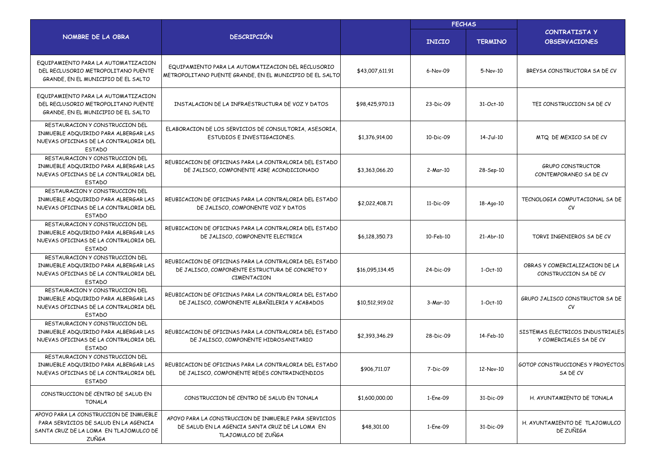|                                                                                                                                           |                                                                                                                                 |                 | <b>FECHAS</b> |                |                                                            |
|-------------------------------------------------------------------------------------------------------------------------------------------|---------------------------------------------------------------------------------------------------------------------------------|-----------------|---------------|----------------|------------------------------------------------------------|
| NOMBRE DE LA OBRA                                                                                                                         | <b>DESCRIPCIÓN</b>                                                                                                              |                 | <b>INICIO</b> | <b>TERMINO</b> | <b>CONTRATISTA Y</b><br><b>OBSERVACIONES</b>               |
| EQUIPAMIENTO PARA LA AUTOMATIZACION<br>DEL RECLUSORIO METROPOLITANO PUENTE<br>GRANDE, EN EL MUNICIPIO DE EL SALTO                         | EQUIPAMIENTO PARA LA AUTOMATIZACION DEL RECLUSORIO<br>METROPOLITANO PUENTE GRANDE, EN EL MUNICIPIO DE EL SALTO                  | \$43,007,611,91 | 6-Nov-09      | 5-Nov-10       | BREYSA CONSTRUCTORA SA DE CV                               |
| EQUIPAMIENTO PARA LA AUTOMATIZACION<br>DEL RECLUSORIO METROPOLITANO PUENTE<br>GRANDE, EN EL MUNICIPIO DE EL SALTO                         | INSTALACION DE LA INFRAESTRUCTURA DE VOZ Y DATOS                                                                                | \$98,425,970.13 | 23-Dic-09     | 31-Oct-10      | TEI CONSTRUCCION SA DE CV                                  |
| RESTAURACION Y CONSTRUCCION DEL<br>INMUEBLE ADQUIRIDO PARA ALBERGAR LAS<br>NUEVAS OFICINAS DE LA CONTRALORIA DEL<br><b>ESTADO</b>         | ELABORACION DE LOS SERVICIOS DE CONSULTORIA, ASESORIA,<br>ESTUDIOS E INVESTIGACIONES.                                           | \$1,376,914.00  | 10-Dic-09     | 14-Jul-10      | MTQ DE MEXICO SA DE CV                                     |
| RESTAURACION Y CONSTRUCCION DEL<br>INMUEBLE ADQUIRIDO PARA ALBERGAR LAS<br>NUEVAS OFICINAS DE LA CONTRALORIA DEL<br><b>ESTADO</b>         | REUBICACION DE OFICINAS PARA LA CONTRALORIA DEL ESTADO<br>DE JALISCO, COMPONENTE AIRE ACONDICIONADO                             | \$3,363,066.20  | 2-Mar-10      | 28-Sep-10      | <b>GRUPO CONSTRUCTOR</b><br>CONTEMPORANEO SA DE CV         |
| RESTAURACION Y CONSTRUCCION DEL<br>INMUEBLE ADQUIRIDO PARA ALBERGAR LAS<br>NUEVAS OFICINAS DE LA CONTRALORIA DEL<br><b>ESTADO</b>         | REUBICACION DE OFICINAS PARA LA CONTRALORIA DEL ESTADO<br>DE JALISCO, COMPONENTE VOZ Y DATOS                                    | \$2,022,408.71  | 11-Dic-09     | 18-Ago-10      | TECNOLOGIA COMPUTACIONAL SA DE<br>CV                       |
| RESTAURACION Y CONSTRUCCION DEL<br>INMUEBLE ADQUIRIDO PARA ALBERGAR LAS<br>NUEVAS OFICINAS DE LA CONTRALORIA DEL<br><b>ESTADO</b>         | REUBICACION DE OFICINAS PARA LA CONTRALORIA DEL ESTADO<br>DE JALISCO, COMPONENTE ELECTRICA                                      | \$6,128,350,73  | 10-Feb-10     | 21-Abr-10      | TORVI INGENIEROS SA DE CV                                  |
| RESTAURACION Y CONSTRUCCION DEL<br>INMUEBLE ADQUIRIDO PARA ALBERGAR LAS<br>NUEVAS OFICINAS DE LA CONTRALORIA DEL<br><b>ESTADO</b>         | REUBICACION DE OFICINAS PARA LA CONTRALORIA DEL ESTADO<br>DE JALISCO, COMPONENTE ESTRUCTURA DE CONCRETO Y<br>CIMENTACION        | \$16,095,134.45 | 24-Dic-09     | $1-Oct-10$     | OBRAS Y COMERCIALIZACION DE LA<br>CONSTRUCCION SA DE CV    |
| RESTAURACION Y CONSTRUCCION DEL<br>INMUEBLE ADQUIRIDO PARA ALBERGAR LAS<br>NUEVAS OFICINAS DE LA CONTRALORIA DEL<br><b>ESTADO</b>         | REUBICACION DE OFICINAS PARA LA CONTRALORIA DEL ESTADO<br>DE JALISCO, COMPONENTE ALBAÑILERIA Y ACABADOS                         | \$10,512,919.02 | 3-Mar-10      | $1-Oct-10$     | GRUPO JALISCO CONSTRUCTOR SA DE<br>СV                      |
| RESTAURACION Y CONSTRUCCION DEL<br>INMUEBLE ADQUIRIDO PARA ALBERGAR LAS<br>NUEVAS OFICINAS DE LA CONTRALORIA DEL<br><b>ESTADO</b>         | REUBICACION DE OFICINAS PARA LA CONTRALORIA DEL ESTADO<br>DE JALISCO, COMPONENTE HIDROSANITARIO                                 | \$2,393,346.29  | 28-Dic-09     | 14-Feb-10      | SISTEMAS ELECTRICOS INDUSTRIALES<br>Y COMERCIALES SA DE CV |
| RESTAURACION Y CONSTRUCCION DEL<br>INMUEBLE ADQUIRIDO PARA ALBERGAR LAS<br>NUEVAS OFICINAS DE LA CONTRALORIA DEL<br><b>ESTADO</b>         | REUBICACION DE OFICINAS PARA LA CONTRALORIA DEL ESTADO<br>DE JALISCO, COMPONENTE REDES CONTRAINCENDIOS                          | \$906,711.07    | 7-Dic-09      | 12-Nov-10      | <b>GOTOP CONSTRUCCIONES Y PROYECTOS</b><br>SA DE CV        |
| CONSTRUCCION DE CENTRO DE SALUD EN<br><b>TONALA</b>                                                                                       | CONSTRUCCION DE CENTRO DE SALUD EN TONALA                                                                                       | \$1,600,000.00  | 1-Ene-09      | 31-Dic-09      | H. AYUNTAMIENTO DE TONALA                                  |
| APOYO PARA LA CONSTRUCCION DE INMUEBLE<br>PARA SERVICIOS DE SALUD EN LA AGENCIA<br>SANTA CRUZ DE LA LOMA EN TLAJOMULCO DE<br><b>ZUÑGA</b> | APOYO PARA LA CONSTRUCCION DE INMUEBLE PARA SERVICIOS<br>DE SALUD EN LA AGENCIA SANTA CRUZ DE LA LOMA EN<br>TLAJOMULCO DE ZUÑGA | \$48,301.00     | 1-Ene-09      | 31-Dic-09      | H. AYUNTAMIENTO DE TLAJOMULCO<br>DE ZUÑIGA                 |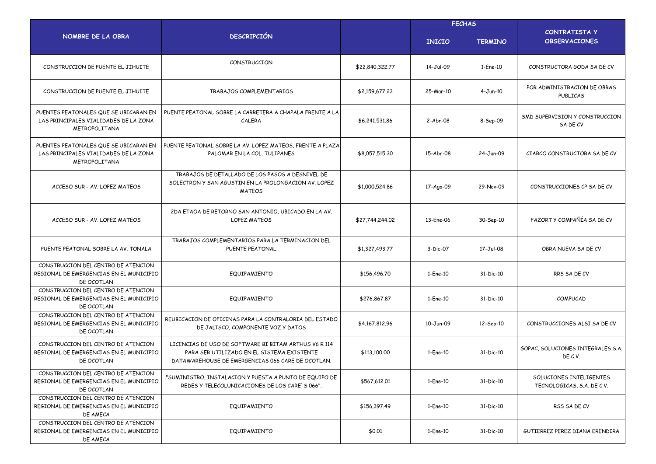|                                                                                                 |                                                                                                                                                          |                 | <b>FECHAS</b> |                |                                                       |
|-------------------------------------------------------------------------------------------------|----------------------------------------------------------------------------------------------------------------------------------------------------------|-----------------|---------------|----------------|-------------------------------------------------------|
| NOMBRE DE LA OBRA                                                                               | <b>DESCRIPCIÓN</b>                                                                                                                                       |                 | <b>INICIO</b> | <b>TERMINO</b> | <b>CONTRATISTA Y</b><br><b>OBSERVACIONES</b>          |
| CONSTRUCCION DE PUENTE EL JIHUITE                                                               | CONSTRUCCION                                                                                                                                             | \$22,840,322,77 | 14-Jul-09     | 1-Ene-10       | CONSTRUCTORA GODA SA DE CV                            |
| CONSTRUCCION DE PUENTE EL JIHUITE                                                               | TRABAJOS COMPLEMENTARIOS                                                                                                                                 | \$2,159,677.23  | 25-Mar-10     | $4 - Jun-10$   | POR ADMINISTRACION DE OBRAS<br>PUBLICAS               |
| PUENTES PEATONALES QUE SE UBICARAN EN<br>LAS PRINCIPALES VIALIDADES DE LA ZONA<br>METROPOLITANA | PUENTE PEATONAL SOBRE LA CARRETERA A CHAPALA FRENTE A LA<br>CALERA                                                                                       | \$6,241,531.86  | $2-Abr-08$    | 8-Sep-09       | SMD SUPERVISION Y CONSTRUCCION<br>SA DE CV            |
| PUENTES PEATONALES QUE SE UBICARAN EN<br>LAS PRINCIPALES VIALIDADES DE LA ZONA<br>METROPOLITANA | PUENTE PEATONAL SOBRE LA AV. LOPEZ MATEOS, FRENTE A PLAZA<br>PALOMAR EN LA COL. TULIPANES                                                                | \$8,057,515.30  | 15-Abr-08     | 24-Jun-09      | CIARCO CONSTRUCTORA SA DE CV                          |
| ACCESO SUR - AV. LOPEZ MATEOS                                                                   | TRABAJOS DE DETALLADO DE LOS PASOS A DESNIVEL DE<br>SOLECTRON Y SAN AGUSTIN EN LA PROLONGACION AV. LOPEZ<br><b>MATEOS</b>                                | \$1,000,524.86  | 17-Ago-09     | 29-Nov-09      | CONSTRUCCIONES CP SA DE CV                            |
| ACCESO SUR - AV. LOPEZ MATEOS                                                                   | 2DA ETADA DE RETORNO SAN ANTONIO, UBICADO EN LA AV.<br><b>LOPEZ MATEOS</b>                                                                               | \$27,744,244.02 | 13-Ene-06     | 30-Sep-10      | FAZORT Y COMPAÑÍA SA DE CV                            |
| PUENTE PEATONAL SOBRE LA AV. TONALA                                                             | TRABAJOS COMPLEMENTARIOS PARA LA TERMINACION DEL<br>PUENTE PEATONAL                                                                                      | \$1,327,493.77  | 3-Dic-07      | 17-Jul-08      | OBRA NUEVA SA DE CV                                   |
| CONSTRUCCION DEL CENTRO DE ATENCION<br>REGIONAL DE EMERGENCIAS EN EL MUNICIPIO<br>DE OCOTLAN    | EQUIPAMIENTO                                                                                                                                             | \$156,496.70    | 1-Ene-10      | 31-Dic-10      | RRS SA DE CV                                          |
| CONSTRUCCION DEL CENTRO DE ATENCION<br>REGIONAL DE EMERGENCIAS EN EL MUNICIPIO<br>DE OCOTLAN    | EQUIPAMIENTO                                                                                                                                             | \$276,867.87    | 1-Ene-10      | 31-Dic-10      | COMPUCAD                                              |
| CONSTRUCCION DEL CENTRO DE ATENCION<br>REGIONAL DE EMERGENCIAS EN EL MUNICIPIO<br>DE OCOTLAN    | REUBICACION DE OFICINAS PARA LA CONTRALORIA DEL ESTADO<br>DE JALISCO, COMPONENTE VOZ Y DATOS                                                             | \$4,167,812.96  | 10-Jun-09     | 12-Sep-10      | CONSTRUCCIONES ALSI SA DE CV                          |
| CONSTRUCCION DEL CENTRO DE ATENCION<br>REGIONAL DE EMERGENCIAS EN EL MUNICIPIO<br>DE OCOTLAN    | LICENCIAS DE USO DE SOFTWARE BI BITAM ARTHUS V6 R 114<br>PARA SER UTILIZADO EN EL SISTEMA EXISTENTE<br>DATAWAREHOUSE DE EMERGENCIAS 066 CARE DE OCOTLAN. | \$113,100.00    | 1-Ene-10      | 31-Dic-10      | GOPAC, SOLUCIONES INTEGRALES S.A.<br>DE C.V.          |
| CONSTRUCCION DEL CENTRO DE ATENCION<br>REGIONAL DE EMERGENCIAS EN EL MUNICIPIO<br>DE OCOTLAN    | "SUMINISTRO, INSTALACION Y PUESTA A PUNTO DE EQUIPO DE<br>REDES Y TELECOLUNICACIONES DE LOS CARE'S 066".                                                 | \$567,612.01    | 1-Ene-10      | 31-Dic-10      | SOLUCIONES INTELIGENTES<br>TECNOLOGICAS, S.A. DE C.V. |
| CONSTRUCCION DEL CENTRO DE ATENCION<br>REGIONAL DE EMERGENCIAS EN EL MUNICIPIO<br>DE AMECA      | EQUIPAMIENTO                                                                                                                                             | \$156,397.49    | 1-Ene-10      | 31-Dic-10      | RSS SA DE CV                                          |
| CONSTRUCCION DEL CENTRO DE ATENCION<br>REGIONAL DE EMERGENCIAS EN EL MUNICIPIO<br>DE AMECA      | EQUIPAMIENTO                                                                                                                                             | \$0.01          | 1-Ene-10      | 31-Dic-10      | GUTIERREZ PEREZ DIANA ERENDIRA                        |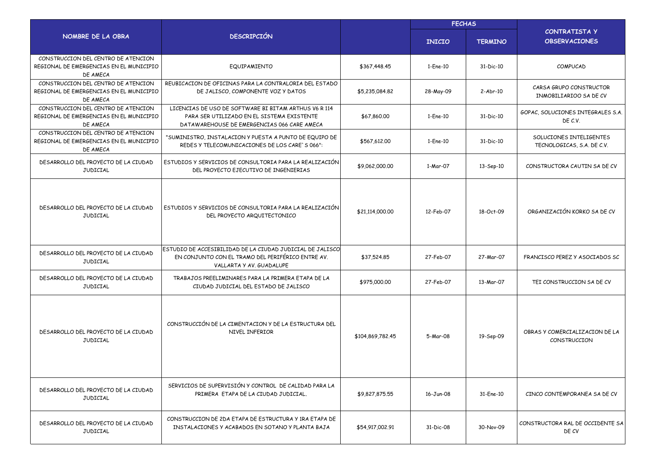|                                                                                            |                                                                                                                                                    |                  | <b>FECHAS</b> |                |                                                       |
|--------------------------------------------------------------------------------------------|----------------------------------------------------------------------------------------------------------------------------------------------------|------------------|---------------|----------------|-------------------------------------------------------|
| NOMBRE DE LA OBRA                                                                          | <b>DESCRIPCIÓN</b>                                                                                                                                 |                  | <b>INICIO</b> | <b>TERMINO</b> | <b>CONTRATISTA Y</b><br><b>OBSERVACIONES</b>          |
| CONSTRUCCION DEL CENTRO DE ATENCION<br>REGIONAL DE EMERGENCIAS EN EL MUNICIPIO<br>DE AMECA | EQUIPAMIENTO                                                                                                                                       | \$367,448.45     | 1-Ene-10      | 31-Dic-10      | COMPUCAD                                              |
| CONSTRUCCION DEL CENTRO DE ATENCION<br>REGIONAL DE EMERGENCIAS EN EL MUNICIPIO<br>DF AMFCA | REUBICACION DE OFICINAS PARA LA CONTRALORIA DEL ESTADO<br>DE JALISCO, COMPONENTE VOZ Y DATOS                                                       | \$5,235,084.82   | 28-May-09     | $2-Abr-10$     | CARSA GRUPO CONSTRUCTOR<br>INMOBILIARIOO SA DE CV     |
| CONSTRUCCION DEL CENTRO DE ATENCION<br>REGIONAL DE EMERGENCIAS EN EL MUNICIPIO<br>DE AMECA | LICENCIAS DE USO DE SOFTWARE BI BITAM ARTHUS V6 R 114<br>PARA SER UTILIZADO EN EL SISTEMA EXISTENTE<br>DATAWAREHOUSE DE EMERGENCIAS 066 CARE AMECA | \$67,860.00      | 1-Ene-10      | 31-Dic-10      | GOPAC, SOLUCIONES INTEGRALES S.A.<br>DE C.V.          |
| CONSTRUCCION DEL CENTRO DE ATENCION<br>REGIONAL DE EMERGENCIAS EN EL MUNICIPIO<br>DE AMECA | "SUMINISTRO, INSTALACION Y PUESTA A PUNTO DE EQUIPO DE<br>REDES Y TELECOMUNICACIONES DE LOS CARE'S 066":                                           | \$567,612.00     | 1-Ene-10      | 31-Dic-10      | SOLUCIONES INTELIGENTES<br>TECNOLOGICAS, S.A. DE C.V. |
| DESARROLLO DEL PROYECTO DE LA CIUDAD<br><b>JUDICIAL</b>                                    | ESTUDIOS Y SERVICIOS DE CONSULTORIA PARA LA REALIZACIÓN<br>DEL PROYECTO EJECUTIVO DE INGENIERIAS                                                   | \$9,062,000.00   | 1-Mar-07      | 13-Sep-10      | CONSTRUCTORA CAUTIN SA DE CV                          |
| DESARROLLO DEL PROYECTO DE LA CIUDAD<br><b>JUDICIAL</b>                                    | ESTUDIOS Y SERVICIOS DE CONSULTORIA PARA LA REALIZACIÓN<br>DEL PROYECTO ARQUITECTONICO                                                             | \$21,114,000.00  | 12-Feb-07     | 18-Oct-09      | ORGANIZACIÓN KORKO SA DE CV                           |
| DESARROLLO DEL PROYECTO DE LA CIUDAD<br><b>JUDICIAL</b>                                    | ESTUDIO DE ACCESIBILIDAD DE LA CIUDAD JUDICIAL DE JALISCO<br>EN CONJUNTO CON EL TRAMO DEL PERIFÉRICO ENTRE AV.<br>VALLARTA Y AV. GUADALUPE         | \$37,524.85      | 27-Feb-07     | 27-Mar-07      | FRANCISCO PEREZ Y ASOCIADOS SC                        |
| DESARROLLO DEL PROYECTO DE LA CIUDAD<br><b>JUDICIAL</b>                                    | TRABAJOS PREELIMINARES PARA LA PRIMERA ETAPA DE LA<br>CIUDAD JUDICIAL DEL ESTADO DE JALISCO                                                        | \$975,000.00     | 27-Feb-07     | 13-Mar-07      | TEI CONSTRUCCION SA DE CV                             |
| DESARROLLO DEL PROYECTO DE LA CIUDAD<br><b>JUDICIAL</b>                                    | CONSTRUCCIÓN DE LA CIMENTACION Y DE LA ESTRUCTURA DEL<br>NIVEL INFERIOR                                                                            | \$104,869,782.45 | 5-Mar-08      | 19-Sep-09      | OBRAS Y COMERCIALIZACION DE LA<br>CONSTRUCCION        |
| DESARROLLO DEL PROYECTO DE LA CIUDAD<br><b>JUDICIAL</b>                                    | SERVICIOS DE SUPERVISIÓN Y CONTROL DE CALIDAD PARA LA<br>PRIMERA ETAPA DE LA CIUDAD JUDICIAL.                                                      | \$9,827,875.55   | 16-Jun-08     | 31-Ene-10      | CINCO CONTEMPORANEA SA DE CV                          |
| DESARROLLO DEL PROYECTO DE LA CIUDAD<br>JUDICIAL                                           | CONSTRUCCION DE 2DA ETAPA DE ESTRUCTURA Y 1RA ETAPA DE<br>INSTALACIONES Y ACABADOS EN SOTANO Y PLANTA BAJA                                         | \$54,917,002.91  | 31-Dic-08     | 30-Nov-09      | CONSTRUCTORA RAL DE OCCIDENTE SA<br>DE CV             |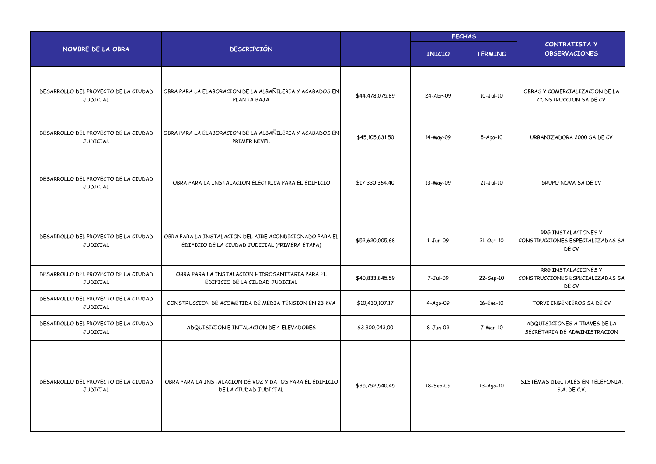|                                                         |                                                                                                           |                 | <b>FECHAS</b> |                 |                                                                  |
|---------------------------------------------------------|-----------------------------------------------------------------------------------------------------------|-----------------|---------------|-----------------|------------------------------------------------------------------|
| NOMBRE DE LA OBRA                                       | <b>DESCRIPCIÓN</b>                                                                                        |                 | <b>INICIO</b> | <b>TERMINO</b>  | CONTRATISTA Y<br><b>OBSERVACIONES</b>                            |
| DESARROLLO DEL PROYECTO DE LA CIUDAD<br><b>JUDICIAL</b> | OBRA PARA LA ELABORACION DE LA ALBAÑILERIA Y ACABADOS EN<br>PLANTA BAJA                                   | \$44,478,075.89 | 24-Abr-09     | $10 - Jul - 10$ | OBRAS Y COMERCIALIZACION DE LA<br>CONSTRUCCION SA DE CV          |
| DESARROLLO DEL PROYECTO DE LA CIUDAD<br>JUDICIAL        | OBRA PARA LA ELABORACION DE LA ALBAÑILERIA Y ACABADOS EN<br>PRIMER NIVEL                                  | \$45,105,831.50 | 14-May-09     | $5-Aqo-10$      | URBANIZADORA 2000 SA DE CV                                       |
| DESARROLLO DEL PROYECTO DE LA CIUDAD<br><b>JUDICIAL</b> | OBRA PARA LA INSTALACION ELECTRICA PARA EL EDIFICIO                                                       | \$17,330,364.40 | 13-May-09     | $21-Jul-10$     | GRUPO NOVA SA DE CV                                              |
| DESARROLLO DEL PROYECTO DE LA CIUDAD<br><b>JUDICIAL</b> | OBRA PARA LA INSTALACION DEL AIRE ACONDICIONADO PARA EL<br>EDIFICIO DE LA CIUDAD JUDICIAL (PRIMERA ETAPA) | \$52,620,005.68 | 1-Jun-09      | 21-Oct-10       | RRG INSTALACIONES Y<br>CONSTRUCCIONES ESPECIALIZADAS SA<br>DE CV |
| DESARROLLO DEL PROYECTO DE LA CIUDAD<br>JUDICIAL        | OBRA PARA LA INSTALACION HIDROSANITARIA PARA EL<br>EDIFICIO DE LA CIUDAD JUDICIAL                         | \$40,833,845.59 | 7-Jul-09      | 22-Sep-10       | RRG INSTALACIONES Y<br>CONSTRUCCIONES ESPECIALIZADAS SA<br>DE CV |
| DESARROLLO DEL PROYECTO DE LA CIUDAD<br>JUDICIAL        | CONSTRUCCION DE ACOMETIDA DE MEDIA TENSION EN 23 KVA                                                      | \$10,430,107.17 | 4-Ago-09      | 16-Ene-10       | TORVI INGENIEROS SA DE CV                                        |
| DESARROLLO DEL PROYECTO DE LA CIUDAD<br><b>JUDICIAL</b> | ADQUISICION E INTALACION DE 4 ELEVADORES                                                                  | \$3,300,043.00  | 8-Jun-09      | 7-Mar-10        | ADQUISICIONES A TRAVES DE LA<br>SECRETARIA DE ADMINISTRACION     |
| DESARROLLO DEL PROYECTO DE LA CIUDAD<br>JUDICIAL        | OBRA PARA LA INSTALACION DE VOZ Y DATOS PARA EL EDIFICIO<br>DE LA CIUDAD JUDICIAL                         | \$35,792,540.45 | 18-Sep-09     | 13-Ago-10       | SISTEMAS DIGITALES EN TELEFONIA,<br>S.A. DE C.V.                 |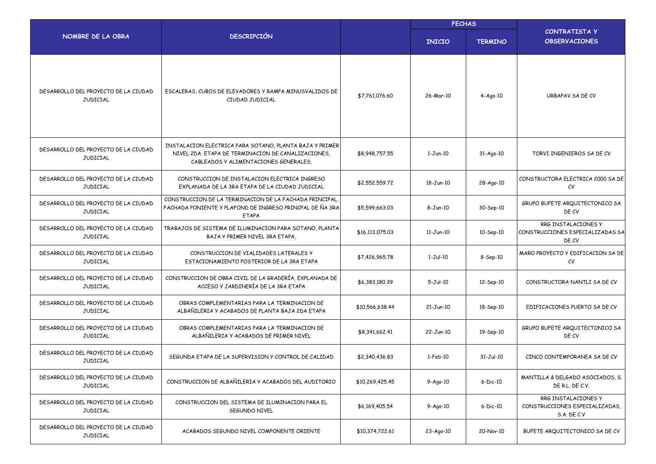|                                                         |                                                                                                                                                        |                 | <b>FECHAS</b>  |                |                                                                      |
|---------------------------------------------------------|--------------------------------------------------------------------------------------------------------------------------------------------------------|-----------------|----------------|----------------|----------------------------------------------------------------------|
| NOMBRE DE LA OBRA                                       | <b>DESCRIPCIÓN</b>                                                                                                                                     |                 | <b>INICIO</b>  | <b>TERMINO</b> | <b>CONTRATISTA Y</b><br><b>OBSERVACIONES</b>                         |
| DESARROLLO DEL PROYECTO DE LA CIUDAD<br>JUDICIAL        | ESCALERAS, CUBOS DE ELEVADORES Y RAMPA MINUSVALIDOS DE<br>CIUDAD JUDICIAL                                                                              | \$7,761,076.60  | 26-Mar-10      | $4-Ago-10$     | URBAPAV SA DE CV                                                     |
| DESARROLLO DEL PROYECTO DE LA CIUDAD<br><b>JUDICIAL</b> | INSTALACION ELECTRICA PARA SOTANO, PLANTA BAJA Y PRIMER<br>NIVEL 2DA. ETAPA DE TERMINACION DE CANALIZACIONES,<br>CABLEADOS Y ALIMENTACIONES GENERALES, | \$8,948,757.55  | $1-Jun-10$     | $31-Aqo-10$    | TORVI INGENIEROS SA DE CV                                            |
| DESARROLLO DEL PROYECTO DE LA CIUDAD<br>JUDICIAL        | CONSTRUCCION DE INSTALACION ELECTRICA INGRESO<br>EXPLANADA DE LA 3RA ETAPA DE LA CIUDAD JUDICIAL                                                       | \$2,552,559.72  | 18-Jun-10      | 28-Ago-10      | CONSTRUCTORA ELECTRICA 2000 SA DE<br>CV                              |
| DESARROLLO DEL PROYECTO DE LA CIUDAD<br><b>JUDICIAL</b> | CONSTRUCCION DE LA TERMINACION DE LA FACHADA PRINCIPAL.<br>FACHADA PONIENTE Y PLAFOND DE INGRESO PRINCPAL DE ÑA 3RA<br><b>ETAPA</b>                    | \$5,599,663,03  | $8 - Jun-10$   | 30-Sep-10      | GRUPO BUFETE ARQUITECTONICO SA<br>DE CV                              |
| DESARROLLO DEL PROYECTO DE LA CIUDAD<br><b>JUDICIAL</b> | TRABAJOS DE SISTEMA DE ILUMINACION PARA SOTANO, PLANTA<br>BAJA Y PRIMER NIVEL 3RA ETAPA,                                                               | \$16,113,075.03 | $11-Jun-10$    | 10-Sep-10      | RRG INSTALACIONES Y<br>CONSTRUCCIONES ESPECIALIZADAS SA<br>DE CV     |
| DESARROLLO DEL PROYECTO DE LA CIUDAD<br>JUDICIAL        | CONSTRUCCION DE VIALIDADES LATERALES Y<br>ESTACIONAMIENTO POSTERIOR DE LA 3RA ETAPA                                                                    | \$7,426,965.78  | $1-Jul-10$     | 8-Sep-10       | MARO PROYECTO Y EDIFICACION SA DE<br>CV                              |
| DESARROLLO DEL PROYECTO DE LA CIUDAD<br><b>JUDICIAL</b> | CONSTRUCCION DE OBRA CIVIL DE LA GRADERÍA, EXPLANADA DE<br>ACCESO Y JARDINERÍA DE LA 3RA ETAPA                                                         | \$6,383,180.39  | $5 - Jul - 10$ | 12-Sep-10      | CONSTRUCTORA NANTLI SA DE CV                                         |
| DESARROLLO DEL PROYECTO DE LA CIUDAD<br><b>JUDICIAL</b> | OBRAS COMPLEMENTARIAS PARA LA TERMINACION DE<br>ALBAÑILERIA Y ACABADOS DE PLANTA BAJA 2DA ETAPA                                                        | \$10,566,638.44 | $21-Jun-10$    | 18-Sep-10      | EDIFICACIONES PUERTO SA DE CV                                        |
| DESARROLLO DEL PROYECTO DE LA CIUDAD<br>JUDICIAL        | OBRAS COMPLEMENTARIAS PARA LA TERMINACION DE<br>ALBAÑILERIA Y ACABADOS DE PRIMER NIVEL                                                                 | \$8,341,662.41  | 22-Jun-10      | 19-Sep-10      | GRUPO BUFETE ARQUITECTONICO SA<br>DE CV                              |
| DESARROLLO DEL PROYECTO DE LA CIUDAD<br>JUDICIAL        | SEGUNDA ETAPA DE LA SUPERVISION Y CONTROL DE CALIDAD                                                                                                   | \$2,340,436.83  | $1-Feb-10$     | $31-Jul-10$    | CINCO CONTEMPORANEA SA DE CV                                         |
| DESARROLLO DEL PROYECTO DE LA CIUDAD<br>JUDICIAL        | CONSTRUCCION DE ALBAÑILERIA Y ACABADOS DEL AUDITORIO                                                                                                   | \$10,269,425.45 | $9-Aqo-10$     | 6-Dic-10       | MANTILLA & DELGADO ASOCIADOS, S.<br>DE R.L. DE C.V.                  |
| DESARROLLO DEL PROYECTO DE LA CIUDAD<br>JUDICIAL        | CONSTRUCCION DEL SISTEMA DE ILUMINACION PARA EL<br>SEGUNDO NIVEL                                                                                       | \$6,169,405.54  | 9-Ago-10       | $6-Dic-10$     | RRG INSTALACIONES Y<br>CONSTRUCCIONES ESPECIALIZADAS,<br>S.A. DE C.V |
| DESARROLLO DEL PROYECTO DE LA CIUDAD<br>JUDICIAL        | ACABADOS SEGUNDO NIVEL COMPONENTE ORIENTE                                                                                                              | \$10,374,722.61 | 23-Ago-10      | 20-Nov-10      | BUFETE ARQUITECTONICO SA DE CV                                       |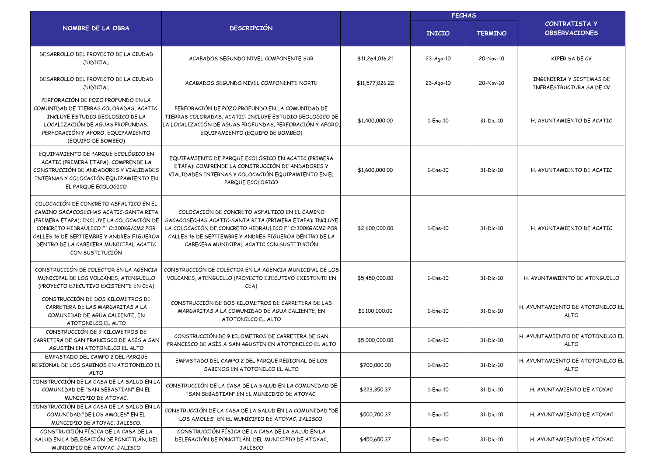|                                                                                                                                                                                                                                                                                  |                                                                                                                                                                                                                                                                            |                 | <b>FECHAS</b>   |                |                                                      |
|----------------------------------------------------------------------------------------------------------------------------------------------------------------------------------------------------------------------------------------------------------------------------------|----------------------------------------------------------------------------------------------------------------------------------------------------------------------------------------------------------------------------------------------------------------------------|-----------------|-----------------|----------------|------------------------------------------------------|
| NOMBRE DE LA OBRA                                                                                                                                                                                                                                                                | <b>DESCRIPCIÓN</b>                                                                                                                                                                                                                                                         |                 | <b>INICIO</b>   | <b>TERMINO</b> | <b>CONTRATISTA Y</b><br><b>OBSERVACIONES</b>         |
| DESARROLLO DEL PROYECTO DE LA CIUDAD<br><b>JUDICIAL</b>                                                                                                                                                                                                                          | ACABADOS SEGUNDO NIVEL COMPONENTE SUR                                                                                                                                                                                                                                      | \$11,264,016.21 | $23 - Ago - 10$ | 20-Nov-10      | KIPER SA DE CV                                       |
| DESARROLLO DEL PROYECTO DE LA CIUDAD<br><b>JUDICIAL</b>                                                                                                                                                                                                                          | ACABADOS SEGUNDO NIVEL COMPONENTE NORTE                                                                                                                                                                                                                                    | \$11,577,026.22 | $23 - Ago - 10$ | 20-Nov-10      | INGENIERIA Y SISTEMAS DE<br>INFRAESTRUCTURA SA DE CV |
| PERFORACIÓN DE POZO PROFUNDO EN LA<br>COMUNIDAD DE TIERRAS COLORADAS, ACATIC:<br>INCLUYE ESTUDIO GEOLOGICO DE LA<br>LOCALIZACIÓN DE AGUAS PROFUNDAS.<br>PERFORACIÓN Y AFORO, EQUIPAMIENTO<br>(EQUIPO DE BOMBEO)                                                                  | PERFORACIÓN DE POZO PROFUNDO EN LA COMUNIDAD DE<br>TIERRAS COLORADAS, ACATIC: INCLUYE ESTUDIO GEOLOGICO DE<br>LA LOCALIZACIÓN DE AGUAS PROFUNDAS, PERFORACIÓN Y AFORO,<br>EQUIPAMIENTO (EQUIPO DE BOMBEO)                                                                  | \$1,400,000.00  | 1-Ene-10        | 31-Dic-10      | H. AYUNTAMIENTO DE ACATIC                            |
| EQUIPAMIENTO DE PARQUE ECOLÓGICO EN<br>ACATIC (PRIMERA ETAPA): COMPRENDE LA<br>CONSTRUCCIÓN DE ANDADORES Y VIALIDADES<br>INTERNAS Y COLOCACIÓN EQUIPAMIENTO EN<br>EL PARQUE ECOLOGICO                                                                                            | EQUIPAMIENTO DE PARQUE ECOLÓGICO EN ACATIC (PRIMERA<br>ETAPA): COMPRENDE LA CONSTRUCCIÓN DE ANDADORES Y<br>VIALIDADES INTERNAS Y COLOCACIÓN EQUIPAMIENTO EN EL<br>PARQUE ECOLOGICO                                                                                         | \$1,600,000.00  | 1-Ene-10        | 31-Dic-10      | H. AYUNTAMIENTO DE ACATIC                            |
| COLOCACIÓN DE CONCRETO ASFALTICO EN EL<br>CAMINO SACACOSECHAS ACATIC-SANTA RITA<br>(PRIMERA ETAPA): INCLUYE LA COLOCACIÓN DE<br>CONCRETO HIDRAULICO F' C=300KG/CM2 POR<br>CALLES 16 DE SEPTIEMBRE Y ANDRES FIGUEROA<br>DENTRO DE LA CABECERA MUNICIPAL ACATIC<br>CON SUSTITUCIÓN | COLOCACIÓN DE CONCRETO ASFALTICO EN EL CAMINO<br>SACACOSECHAS ACATIC-SANTA RITA (PRIMERA ETAPA): INCLUYE<br>LA COLOCACIÓN DE CONCRETO HIDRAULICO F' C=300KG/CM2 POR<br>CALLES 16 DE SEPTIEMBRE Y ANDRES FIGUEROA DENTRO DE LA<br>CABECERA MUNICIPAL ACATIC CON SUSTITUCIÓN | \$2,600,000.00  | 1-Ene-10        | 31-Dic-10      | H. AYUNTAMIENTO DE ACATIC                            |
| CONSTRUCCIÓN DE COLECTOR EN LA AGENCIA<br>MUNICIPAL DE LOS VOLCANES, ATENGUILLO<br>(PROYECTO EJECUTIVO EXISTENTE EN CEA)                                                                                                                                                         | CONSTRUCCIÓN DE COLECTOR EN LA AGENCIA MUNICIPAL DE LOS<br>VOLCANES, ATENGUILLO (PROYECTO EJECUTIVO EXISTENTE EN<br>CEA)                                                                                                                                                   | \$5,450,000.00  | 1-Ene-10        | 31-Dic-10      | H. AYUNTAMIENTO DE ATENGUILLO                        |
| CONSTRUCCIÓN DE DOS KILOMETROS DE<br>CARRETERA DE LAS MARGARITAS A LA<br>COMUNIDAD DE AGUA CALIENTE, EN<br>ATOTONILCO EL ALTO                                                                                                                                                    | CONSTRUCCIÓN DE DOS KILOMETROS DE CARRETERA DE LAS<br>MARGARITAS A LA COMUNIDAD DE AGUA CALIENTE, EN<br>ATOTONILCO EL ALTO                                                                                                                                                 | \$1,100,000.00  | 1-Ene-10        | 31-Dic-10      | H. AYUNTAMIENTO DE ATOTONILCO EL<br><b>ALTO</b>      |
| CONSTRUCCIÓN DE 9 KILOMETROS DE<br>CARRETERA DE SAN FRANCISCO DE ASÍS A SAN<br>AGUSTÍN EN ATOTONILCO EL ALTO                                                                                                                                                                     | CONSTRUCCIÓN DE 9 KILOMETROS DE CARRETERA DE SAN<br>FRANCISCO DE ASÍS A SAN AGUSTÍN EN ATOTONILCO EL ALTO                                                                                                                                                                  | \$5,000,000.00  | 1-Ene-10        | 31-Dic-10      | H. AYUNTAMIENTO DE ATOTONILCO EL<br><b>ALTO</b>      |
| EMPASTADO DEL CAMPO 2 DEL PARQUE<br>REGIONAL DE LOS SABINOS EN ATOTONILCO EL<br><b>ALTO</b>                                                                                                                                                                                      | EMPASTADO DEL CAMPO 2 DEL PARQUE REGIONAL DE LOS<br>SABINOS EN ATOTONILCO EL ALTO                                                                                                                                                                                          | \$700,000.00    | 1-Ene-10        | 31-Dic-10      | H. AYUNTAMIENTO DE ATOTONILCO EL<br><b>ALTO</b>      |
| CONSTRUCCIÓN DE LA CASA DE LA SALUD EN LA<br>COMUNIDAD DE "SAN SEBASTIAN" EN EL<br>MUNICIPIO DE ATOYAC.                                                                                                                                                                          | CONSTRUCCIÓN DE LA CASA DE LA SALUD EN LA COMUNIDAD DE<br>"SAN SEBASTIAN" EN EL MUNICIPIO DE ATOYAC.                                                                                                                                                                       | \$223,350.37    | 1-Ene-10        | 31-Dic-10      | H. AYUNTAMIENTO DE ATOYAC                            |
| CONSTRUCCIÓN DE LA CASA DE LA SALUD EN LA<br>COMUNIDAD "DE LOS AMOLES" EN EL<br>MUNICIPIO DE ATOYAC, JALISCO.                                                                                                                                                                    | CONSTRUCCIÓN DE LA CASA DE LA SALUD EN LA COMUNIDAD "DE<br>LOS AMOLES" EN EL MUNICIPIO DE ATOYAC, JALISCO.                                                                                                                                                                 | \$500,700.37    | 1-Ene-10        | 31-Dic-10      | H. AYUNTAMIENTO DE ATOYAC                            |
| CONSTRUCCIÓN FÍSICA DE LA CASA DE LA<br>SALUD EN LA DELEGACIÓN DE PONCITLÁN, DEL<br>MUNICIPIO DE ATOYAC, JALISCO                                                                                                                                                                 | CONSTRUCCIÓN FÍSICA DE LA CASA DE LA SALUD EN LA<br>DELEGACIÓN DE PONCITLÁN, DEL MUNICIPIO DE ATOYAC,<br><b>JALISCO</b>                                                                                                                                                    | \$450,650.37    | 1-Ene-10        | 31-Dic-10      | H. AYUNTAMIENTO DE ATOYAC                            |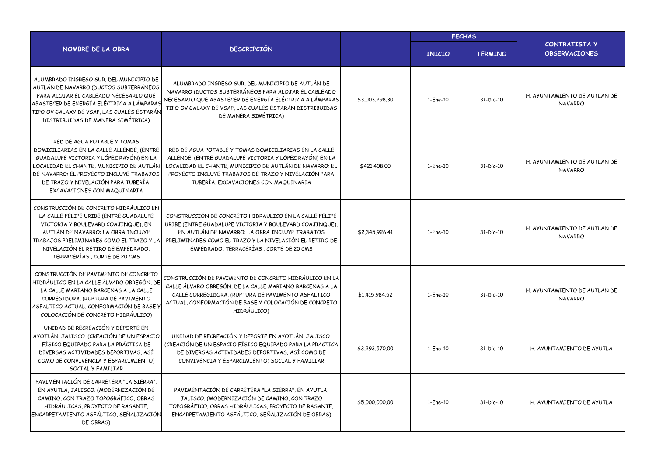|                                                                                                                                                                                                                                                                                   |                                                                                                                                                                                                                                                                             |                | <b>FECHAS</b> |                |                                                |
|-----------------------------------------------------------------------------------------------------------------------------------------------------------------------------------------------------------------------------------------------------------------------------------|-----------------------------------------------------------------------------------------------------------------------------------------------------------------------------------------------------------------------------------------------------------------------------|----------------|---------------|----------------|------------------------------------------------|
| NOMBRE DE LA OBRA                                                                                                                                                                                                                                                                 | <b>DESCRIPCIÓN</b>                                                                                                                                                                                                                                                          |                | <b>INICIO</b> | <b>TERMINO</b> | CONTRATISTA Y<br><b>OBSERVACIONES</b>          |
| ALUMBRADO INGRESO SUR, DEL MUNICIPIO DE<br>AUTLÁN DE NAVARRO (DUCTOS SUBTERRÁNEOS<br>PARA ALOJAR EL CABLEADO NECESARIO QUE<br>ABASTECER DE ENERGÍA ELÉCTRICA A LÁMPARAS<br>TIPO OV GALAXY DE VSAP, LAS CUALES ESTARÁN<br>DISTRIBUIDAS DE MANERA SIMÉTRICA)                        | ALUMBRADO INGRESO SUR, DEL MUNICIPIO DE AUTLÁN DE<br>NAVARRO (DUCTOS SUBTERRÁNEOS PARA ALOJAR EL CABLEADO<br>NECESARIO QUE ABASTECER DE ENERGÍA ELÉCTRICA A LÁMPARAS<br>TIPO OV GALAXY DE VSAP, LAS CUALES ESTARÁN DISTRIBUIDAS<br>DE MANERA SIMÉTRICA)                     | \$3,003,298.30 | 1-Ene-10      | 31-Dic-10      | H. AYUNTAMIENTO DE AUTLAN DE<br><b>NAVARRO</b> |
| RED DE AGUA POTABLE Y TOMAS<br>DOMICILIARIAS EN LA CALLE ALLENDE, (ENTRE<br>GUADALUPE VICTORIA Y LÓPEZ RAYÓN) EN LA<br>LOCALIDAD EL CHANTE, MUNICIPIO DE AUTLÁN<br>DE NAVARRO: EL PROYECTO INCLUYE TRABAJOS<br>DE TRAZO Y NIVELACIÓN PARA TUBERÍA.<br>EXCAVACIONES CON MAQUINARIA | RED DE AGUA POTABLE Y TOMAS DOMICILIARIAS EN LA CALLE<br>ALLENDE, (ENTRE GUADALUPE VICTORIA Y LÓPEZ RAYÓN) EN LA<br>LOCALIDAD EL CHANTE, MUNICIPIO DE AUTLÁN DE NAVARRO: EL<br>PROYECTO INCLUYE TRABAJOS DE TRAZO Y NIVELACIÓN PARA<br>TUBERÍA, EXCAVACIONES CON MAQUINARIA | \$421,408,00   | 1-Ene-10      | 31-Dic-10      | H. AYUNTAMIENTO DE AUTLAN DE<br><b>NAVARRO</b> |
| CONSTRUCCIÓN DE CONCRETO HIDRÁULICO EN<br>LA CALLE FELIPE URIBE (ENTRE GUADALUPE<br>VICTORIA Y BOULEVARD COAJINQUE), EN<br>AUTLÁN DE NAVARRO: LA OBRA INCLUYE<br>TRABAJOS PRELIMINARES COMO EL TRAZO Y LA<br>NIVELACIÓN EL RETIRO DE EMPEDRADO.<br>TERRACERÍAS, CORTE DE 20 CMS   | CONSTRUCCIÓN DE CONCRETO HIDRÁULICO EN LA CALLE FELIPE<br>URIBE (ENTRE GUADALUPE VICTORIA Y BOULEVARD COAJINQUE),<br>EN AUTLÁN DE NAVARRO: LA OBRA INCLUYE TRABAJOS<br>PRELIMINARES COMO EL TRAZO Y LA NIVELACIÓN EL RETIRO DE<br>EMPEDRADO, TERRACERÍAS, CORTE DE 20 CMS   | \$2,345,926.41 | 1-Ene-10      | 31-Dic-10      | H. AYUNTAMIENTO DE AUTLAN DE<br><b>NAVARRO</b> |
| CONSTRUCCIÓN DE PAVIMENTO DE CONCRETO<br>HIDRÁULICO EN LA CALLE ÁLVARO OBREGÓN, DE<br>LA CALLE MARIANO BARCENAS A LA CALLE<br>CORREGIDORA, (RUPTURA DE PAVIMENTO<br>ASFALTICO ACTUAL, CONFORMACIÓN DE BASE)<br>COLOCACIÓN DE CONCRETO HIDRÁULICO)                                 | CONSTRUCCIÓN DE PAVIMENTO DE CONCRETO HIDRÁULICO EN LA<br>CALLE ÁLVARO OBREGÓN, DE LA CALLE MARIANO BARCENAS A LA<br>CALLE CORREGIDORA. (RUPTURA DE PAVIMENTO ASFALTICO<br>ACTUAL, CONFORMACIÓN DE BASE Y COLOCACIÓN DE CONCRETO<br>HIDRÁULICO)                             | \$1,415,984.52 | 1-Ene-10      | 31-Dic-10      | H. AYUNTAMIENTO DE AUTLAN DE<br><b>NAVARRO</b> |
| UNIDAD DE RECREACIÓN Y DEPORTE EN<br>AYOTLÁN, JALISCO. (CREACIÓN DE UN ESPACIO<br>FÍSICO EQUIPADO PARA LA PRÁCTICA DE<br>DIVERSAS ACTIVIDADES DEPORTIVAS, ASÍ<br>COMO DE CONVIVENCIA Y ESPARCIMIENTO)<br>SOCIAL Y FAMILIAR                                                        | UNIDAD DE RECREACIÓN Y DEPORTE EN AYOTLÁN, JALISCO.<br>(CREACIÓN DE UN ESPACIO FÍSICO EQUIPADO PARA LA PRÁCTICA<br>DE DIVERSAS ACTIVIDADES DEPORTIVAS, ASÍ COMO DE<br>CONVIVENCIA Y ESPARCIMIENTO) SOCIAL Y FAMILIAR                                                        | \$3,293,570.00 | 1-Ene-10      | 31-Dic-10      | H. AYUNTAMIENTO DE AYUTLA                      |
| PAVIMENTACIÓN DE CARRETERA "LA SIERRA",<br>EN AYUTLA, JALISCO. (MODERNIZACIÓN DE<br>CAMINO, CON TRAZO TOPOGRÁFICO, OBRAS<br>HIDRÁULICAS, PROYECTO DE RASANTE,<br>ENCARPETAMIENTO ASFÁLTICO, SEÑALIZACIÓN<br>DE OBRAS)                                                             | PAVIMENTACIÓN DE CARRETERA "LA SIERRA", EN AYUTLA,<br>JALISCO. (MODERNIZACIÓN DE CAMINO, CON TRAZO<br>TOPOGRÁFICO, OBRAS HIDRÁULICAS, PROYECTO DE RASANTE,<br>ENCARPETAMIENTO ASFÁLTICO, SEÑALIZACIÓN DE OBRAS)                                                             | \$5,000,000.00 | 1-Ene-10      | 31-Dic-10      | H. AYUNTAMIENTO DE AYUTLA                      |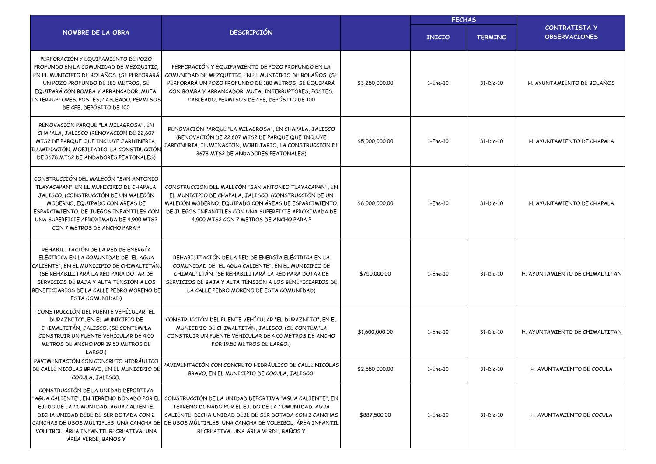|                                                                                                                                                                                                                                                                                   |                                                                                                                                                                                                                                                                                                                                                               |                | <b>FECHAS</b> |                |                                              |
|-----------------------------------------------------------------------------------------------------------------------------------------------------------------------------------------------------------------------------------------------------------------------------------|---------------------------------------------------------------------------------------------------------------------------------------------------------------------------------------------------------------------------------------------------------------------------------------------------------------------------------------------------------------|----------------|---------------|----------------|----------------------------------------------|
| NOMBRE DE LA OBRA                                                                                                                                                                                                                                                                 | <b>DESCRIPCIÓN</b>                                                                                                                                                                                                                                                                                                                                            |                | <b>INICIO</b> | <b>TERMINO</b> | <b>CONTRATISTA Y</b><br><b>OBSERVACIONES</b> |
| PERFORACIÓN Y EQUIPAMIENTO DE POZO<br>PROFUNDO EN LA COMUNIDAD DE MEZQUITIC,<br>EN EL MUNICIPIO DE BOLAÑOS. (SE PERFORARÁ<br>UN POZO PROFUNDO DE 180 METROS, SE<br>EQUIPARÁ CON BOMBA Y ARRANCADOR, MUFA,<br>INTERRUPTORES, POSTES, CABLEADO, PERMISOS<br>DE CFE, DEPÓSITO DE 100 | PERFORACIÓN Y EQUIPAMIENTO DE POZO PROFUNDO EN LA<br>COMUNIDAD DE MEZQUITIC, EN EL MUNICIPIO DE BOLAÑOS. (SE<br>PERFORARÁ UN POZO PROFUNDO DE 180 METROS, SE EQUIPARÁ<br>CON BOMBA Y ARRANCADOR, MUFA, INTERRUPTORES, POSTES,<br>CABLEADO, PERMISOS DE CFE, DEPÓSITO DE 100                                                                                   | \$3,250,000.00 | 1-Ene-10      | 31-Dic-10      | H. AYUNTAMIENTO DE BOLAÑOS                   |
| RENOVACIÓN PARQUE "LA MILAGROSA", EN<br>CHAPALA, JALISCO (RENOVACIÓN DE 22,607<br>MTS2 DE PARQUE QUE INCLUYE JARDINERIA,<br>ILUMINACIÓN, MOBILIARIO, LA CONSTRUCCIÓN<br>DE 3678 MTS2 DE ANDADORES PEATONALES)                                                                     | RENOVACIÓN PARQUE "LA MILAGROSA", EN CHAPALA, JALISCO<br>(RENOVACIÓN DE 22,607 MTS2 DE PARQUE QUE INCLUYE<br>JARDINERIA, ILUMINACIÓN, MOBILIARIO, LA CONSTRUCCIÓN DE<br>3678 MTS2 DE ANDADORES PEATONALES)                                                                                                                                                    | \$5,000,000.00 | 1-Ene-10      | 31-Dic-10      | H. AYUNTAMIENTO DE CHAPALA                   |
| CONSTRUCCIÓN DEL MALECÓN "SAN ANTONIO<br>TLAYACAPAN", EN EL MUNICIPIO DE CHAPALA<br>JALISCO. (CONSTRUCCIÓN DE UN MALECÓN<br>MODERNO, EQUIPADO CON ÁREAS DE<br>ESPARCIMIENTO, DE JUEGOS INFANTILES CON<br>UNA SUPERFICIE APROXIMADA DE 4.900 MTS2<br>CON 7 METROS DE ANCHO PARA P  | CONSTRUCCIÓN DEL MALECÓN "SAN ANTONIO TLAYACAPAN", EN<br>EL MUNICIPIO DE CHAPALA, JALISCO, (CONSTRUCCIÓN DE UN<br>MALECÓN MODERNO, EQUIPADO CON ÁREAS DE ESPARCIMIENTO<br>DE JUEGOS INFANTILES CON UNA SUPERFICIE APROXIMADA DE<br>4,900 MTS2 CON 7 METROS DE ANCHO PARA P                                                                                    | \$8,000,000.00 | 1-Ene-10      | 31-Dic-10      | H. AYUNTAMIENTO DE CHAPALA                   |
| REHABILITACIÓN DE LA RED DE ENERGÍA<br>ELÉCTRICA EN LA COMUNIDAD DE "EL AGUA<br>CALIENTE", EN EL MUNICIPIO DE CHIMALTITÁN.<br>(SE REHABILITARÁ LA RED PARA DOTAR DE<br>SERVICIOS DE BAJA Y ALTA TENSIÓN A LOS<br>BENEFICIARIOS DE LA CALLE PEDRO MORENO DE<br>ESTA COMUNIDAD)     | REHABILITACIÓN DE LA RED DE ENERGÍA ELÉCTRICA EN LA<br>COMUNIDAD DE "EL AGUA CALIENTE", EN EL MUNICIPIO DE<br>CHIMALTITÁN. (SE REHABILITARÁ LA RED PARA DOTAR DE<br>SERVICIOS DE BAJA Y ALTA TENSIÓN A LOS BENEFICIARIOS DE<br>LA CALLE PEDRO MORENO DE ESTA COMUNIDAD)                                                                                       | \$750,000.00   | 1-Ene-10      | 31-Dic-10      | H. AYUNTAMIENTO DE CHIMALTITAN               |
| CONSTRUCCIÓN DEL PUENTE VEHÍCULAR "EL<br>DURAZNITO", EN EL MUNICIPIO DE<br>CHIMALTITÁN, JALISCO. (SE CONTEMPLA<br>CONSTRUIR UN PUENTE VEHÍCULAR DE 4.00<br>METROS DE ANCHO POR 19.50 METROS DE<br>LARGO.)                                                                         | CONSTRUCCIÓN DEL PUENTE VEHÍCULAR "EL DURAZNITO", EN EL<br>MUNICIPIO DE CHIMALTITÁN, JALISCO. (SE CONTEMPLA<br>CONSTRUIR UN PUENTE VEHÍCULAR DE 4.00 METROS DE ANCHO<br>POR 19.50 METROS DE LARGO.)                                                                                                                                                           | \$1,600,000.00 | 1-Ene-10      | 31-Dic-10      | H. AYUNTAMIENTO DE CHIMALTITAN               |
| PAVIMENTACIÓN CON CONCRETO HIDRÁULICO<br>DE CALLE NICÓLAS BRAVO, EN EL MUNICIPIO DE<br>COCULA, JALISCO.                                                                                                                                                                           | PAVIMENTACIÓN CON CONCRETO HIDRÁULICO DE CALLE NICÓLAS<br>BRAVO, EN EL MUNICIPIO DE COCULA, JALISCO.                                                                                                                                                                                                                                                          | \$2,550,000.00 | 1-Ene-10      | 31-Dic-10      | H. AYUNTAMIENTO DE COCULA                    |
| CONSTRUCCIÓN DE LA UNIDAD DEPORTIVA<br>EJIDO DE LA COMUNIDAD. AGUA CALIENTE,<br>DICHA UNIDAD DEBE DE SER DOTADA CON 2<br>VOLEIBOL, ÁREA INFANTIL RECREATIVA, UNA<br>ÁREA VERDE, BAÑOS Y                                                                                           | "AGUA CALIENTE", EN TERRENO DONADO POR EL CONSTRUCCIÓN DE LA UNIDAD DEPORTIVA "AGUA CALIENTE", EN<br>TERRENO DONADO POR EL EJIDO DE LA COMUNIDAD. AGUA<br>CALIENTE, DICHA UNIDAD DEBE DE SER DOTADA CON 2 CANCHAS<br>CANCHAS DE USOS MÚLTIPLES, UNA CANCHA DE DE USOS MÚLTIPLES, UNA CANCHA DE VOLEIBOL, ÁREA INFANTIL<br>RECREATIVA, UNA ÁREA VERDE, BAÑOS Y | \$887,500.00   | 1-Ene-10      | 31-Dic-10      | H. AYUNTAMIENTO DE COCULA                    |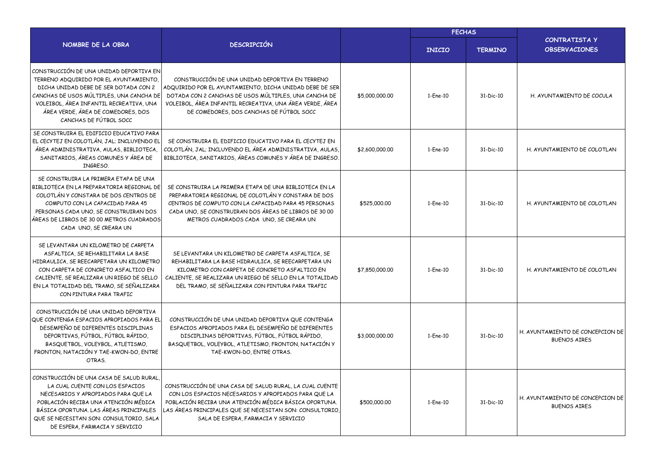|                                                                                                                                                                                                                                                                                   |                                                                                                                                                                                                                                                                             |                | <b>FECHAS</b> |                |                                                         |
|-----------------------------------------------------------------------------------------------------------------------------------------------------------------------------------------------------------------------------------------------------------------------------------|-----------------------------------------------------------------------------------------------------------------------------------------------------------------------------------------------------------------------------------------------------------------------------|----------------|---------------|----------------|---------------------------------------------------------|
| NOMBRE DE LA OBRA                                                                                                                                                                                                                                                                 | <b>DESCRIPCIÓN</b>                                                                                                                                                                                                                                                          |                | <b>INICIO</b> | <b>TERMINO</b> | <b>CONTRATISTA Y</b><br><b>OBSERVACIONES</b>            |
| CONSTRUCCIÓN DE UNA UNIDAD DEPORTIVA EN<br>TERRENO ADQUIRIDO POR EL AYUNTAMIENTO,<br>DICHA UNIDAD DEBE DE SER DOTADA CON 2<br>CANCHAS DE USOS MÚLTIPLES. UNA CANCHA DE<br>VOLEIBOL, ÁREA INFANTIL RECREATIVA, UNA<br>ÁREA VERDE, ÁREA DE COMEDORES, DOS<br>CANCHAS DE FÚTBOL SOCC | CONSTRUCCIÓN DE UNA UNIDAD DEPORTIVA EN TERRENO<br>ADQUIRIDO POR EL AYUNTAMIENTO, DICHA UNIDAD DEBE DE SER<br>DOTADA CON 2 CANCHAS DE USOS MÚLTIPLES, UNA CANCHA DE<br>VOLEIBOL, ÁREA INFANTIL RECREATIVA, UNA ÁREA VERDE, ÁREA<br>DE COMEDORES, DOS CANCHAS DE FÚTBOL SOCC | \$5,000,000.00 | $1-Fne-10$    | 31-Dic-10      | H. AYUNTAMIENTO DE COCULA                               |
| SE CONSTRUIRA EL EDIFICIO EDUCATIVO PARA<br>EL CECYTEJ EN COLOTLÁN, JAL; INCLUYENDO EL<br>ÁREA ADMINISTRATIVA, AULAS, BIBLIOTECA,<br>SANITARIOS, ÁREAS COMUNES Y ÁREA DE<br>INGRESO.                                                                                              | SE CONSTRUIRA EL EDIFICIO EDUCATIVO PARA EL CECYTEJ EN<br>COLOTLÁN, JAL; INCLUYENDO EL ÁREA ADMINISTRATIVA, AULAS,<br>BIBLIOTECA, SANITARIOS, ÁREAS COMUNES Y ÁREA DE INGRESO.                                                                                              | \$2,600,000.00 | 1-Ene-10      | 31-Dic-10      | H. AYUNTAMIENTO DE COLOTLAN                             |
| SE CONSTRUIRA LA PRIMERA ETAPA DE UNA<br>BIBLIOTECA EN LA PREPARATORIA REGIONAL DE<br>COLOTLÁN Y CONSTARA DE DOS CENTROS DE<br>COMPUTO CON LA CAPACIDAD PARA 45<br>PERSONAS CADA UNO, SE CONSTRUIRAN DOS<br>ÁREAS DE LIBROS DE 30 00 METROS CUADRADOS<br>CADA UNO, SE CREARA UN   | SE CONSTRUIRA LA PRIMERA ETAPA DE UNA BIBLIOTECA EN LA<br>PREPARATORIA REGIONAL DE COLOTLÁN Y CONSTARA DE DOS<br>CENTROS DE COMPUTO CON LA CAPACIDAD PARA 45 PERSONAS<br>CADA UNO, SE CONSTRUIRAN DOS ÁREAS DE LIBROS DE 30 00<br>METROS CUADRADOS CADA UNO, SE CREARA UN   | \$525,000.00   | 1-Ene-10      | 31-Dic-10      | H. AYUNTAMIENTO DE COLOTLAN                             |
| SE LEVANTARA UN KILOMETRO DE CARPETA<br>ASFALTICA, SE REHABILITARA LA BASE<br>HIDRAULICA, SE REECARPETARA UN KILOMETRO<br>CON CARPETA DE CONCRETO ASFALTICO EN<br>CALIENTE, SE REALIZARA UN RIEGO DE SELLO<br>EN LA TOTALIDAD DEL TRAMO, SE SEÑALIZARA<br>CON PINTURA PARA TRAFIC | SE LEVANTARA UN KILOMETRO DE CARPETA ASFALTICA, SE<br>REHABILITARA LA BASE HIDRAULICA, SE REECARPETARA UN<br>KILOMETRO CON CARPETA DE CONCRETO ASFALTICO EN<br>CALIENTE, SE REALIZARA UN RIEGO DE SELLO EN LA TOTALIDAD<br>DEL TRAMO, SE SEÑALIZARA CON PINTURA PARA TRAFIC | \$7,850,000,00 | 1-Ene-10      | 31-Dic-10      | H. AYUNTAMIENTO DE COLOTLAN                             |
| CONSTRUCCIÓN DE UNA UNIDAD DEPORTIVA<br>QUE CONTENGA ESPACIOS APROPIADOS PARA EL<br>DESEMPEÑO DE DIFERENTES DISCIPLINAS<br>DEPORTIVAS, FÚTBOL, FÚTBOL RÁPIDO,<br>BASQUETBOL, VOLEYBOL, ATLETISMO,<br>FRONTON, NATACIÓN Y TAE-KWON-DO, ENTRE<br>OTRAS.                             | CONSTRUCCIÓN DE UNA UNIDAD DEPORTIVA QUE CONTENGA<br>ESPACIOS APROPIADOS PARA EL DESEMPEÑO DE DIFERENTES<br>DISCIPLINAS DEPORTIVAS, FÚTBOL, FÚTBOL RÁPIDO,<br>BASQUETBOL, VOLEYBOL, ATLETISMO, FRONTON, NATACIÓN Y<br>TAE-KWON-DO, ENTRE OTRAS.                             | \$3,000,000.00 | 1-Ene-10      | 31-Dic-10      | H. AYUNTAMIENTO DE CONCEPCION DE<br><b>BUENOS AIRES</b> |
| CONSTRUCCIÓN DE UNA CASA DE SALUD RURAL<br>LA CUAL CUENTE CON LOS ESPACIOS<br>NECESARIOS Y APROPIADOS PARA QUE LA<br>POBLACIÓN RECIBA UNA ATENCIÓN MÉDICA<br>BÁSICA OPORTUNA, LAS ÁREAS PRINCIPALES<br>QUE SE NECESITAN SON: CONSULTORIO, SALA<br>DE ESPERA, FARMACIA Y SERVICIO  | CONSTRUCCIÓN DE UNA CASA DE SALUD RURAL, LA CUAL CUENTE<br>CON LOS ESPACIOS NECESARIOS Y APROPIADOS PARA QUE LA<br>POBLACIÓN RECIBA UNA ATENCIÓN MÉDICA BÁSICA OPORTUNA.<br>LAS ÁREAS PRINCIPALES QUE SE NECESITAN SON: CONSULTORIO<br>SALA DE ESPERA, FARMACIA Y SERVICIO  | \$500,000.00   | 1-Ene-10      | 31-Dic-10      | H. AYUNTAMIENTO DE CONCEPCION DE<br><b>BUENOS AIRES</b> |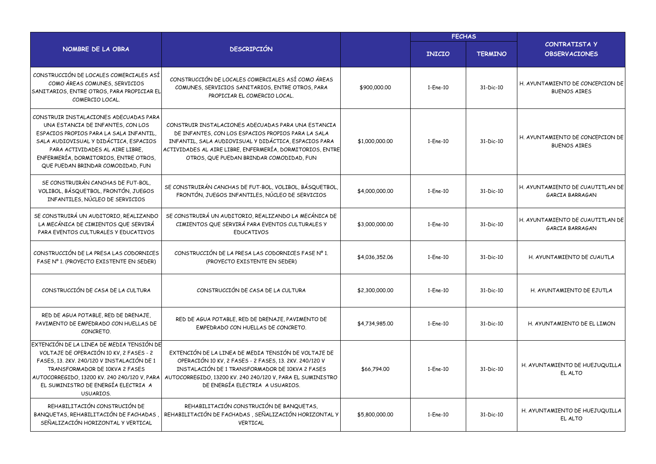|                                                                                                                                                                                                                                                                                   | <b>DESCRIPCIÓN</b>                                                                                                                                                                                                                                                          |                | <b>FECHAS</b> |                |                                                         |
|-----------------------------------------------------------------------------------------------------------------------------------------------------------------------------------------------------------------------------------------------------------------------------------|-----------------------------------------------------------------------------------------------------------------------------------------------------------------------------------------------------------------------------------------------------------------------------|----------------|---------------|----------------|---------------------------------------------------------|
| NOMBRE DE LA OBRA                                                                                                                                                                                                                                                                 |                                                                                                                                                                                                                                                                             |                | <b>INICIO</b> | <b>TERMINO</b> | CONTRATISTA Y<br><b>OBSERVACIONES</b>                   |
| CONSTRUCCIÓN DE LOCALES COMERCIALES ASÍ<br>COMO ÁREAS COMUNES, SERVICIOS<br>SANITARIOS, ENTRE OTROS, PARA PROPICIAR EL<br>COMERCIO LOCAL.                                                                                                                                         | CONSTRUCCIÓN DE LOCALES COMERCIALES ASÍ COMO ÁREAS<br>COMUNES, SERVICIOS SANITARIOS, ENTRE OTROS, PARA<br>PROPICIAR EL COMERCIO LOCAL.                                                                                                                                      | \$900,000.00   | 1-Ene-10      | 31-Dic-10      | H. AYUNTAMIENTO DE CONCEPCION DE<br><b>BUENOS AIRES</b> |
| CONSTRUIR INSTALACIONES ADECUADAS PARA<br>UNA ESTANCIA DE INFANTES, CON LOS<br>ESPACIOS PROPIOS PARA LA SALA INFANTIL,<br>SALA AUDIOVISUAL Y DIDÁCTICA, ESPACIOS<br>PARA ACTIVIDADES AL AIRE LIBRE.<br>ENFERMERÍA, DORMITORIOS, ENTRE OTROS,<br>QUE PUEDAN BRINDAR COMODIDAD, FUN | CONSTRUIR INSTALACIONES ADECUADAS PARA UNA ESTANCIA<br>DE INFANTES, CON LOS ESPACIOS PROPIOS PARA LA SALA<br>INFANTIL, SALA AUDIOVISUAL Y DIDÁCTICA, ESPACIOS PARA<br>ACTIVIDADES AL AIRE LIBRE, ENFERMERÍA, DORMITORIOS, ENTRE<br>OTROS, QUE PUEDAN BRINDAR COMODIDAD, FUN | \$1,000,000.00 | 1-Ene-10      | 31-Dic-10      | H. AYUNTAMIENTO DE CONCEPCION DE<br><b>BUENOS AIRES</b> |
| SE CONSTRUIRÁN CANCHAS DE FUT-BOL.<br>VOLIBOL, BÁSQUETBOL, FRONTÓN, JUEGOS<br>INFANTILES, NÚCLEO DE SERVICIOS                                                                                                                                                                     | SE CONSTRUIRÁN CANCHAS DE FUT-BOL, VOLIBOL, BÁSQUETBOL,<br>FRONTÓN, JUEGOS INFANTILES, NÚCLEO DE SERVICIOS                                                                                                                                                                  | \$4,000,000.00 | 1-Ene-10      | 31-Dic-10      | H. AYUNTAMIENTO DE CUAUTITLAN DE<br>GARCIA BARRAGAN     |
| SE CONSTRUIRÁ UN AUDITORIO, REALIZANDO<br>LA MECÁNICA DE CIMIENTOS QUE SERVIRÁ<br>PARA EVENTOS CULTURALES Y EDUCATIVOS                                                                                                                                                            | SE CONSTRUIRÁ UN AUDITORIO, REALIZANDO LA MECÁNICA DE<br>CIMIENTOS QUE SERVIRÁ PARA EVENTOS CULTURALES Y<br><b>EDUCATIVOS</b>                                                                                                                                               | \$3,000,000.00 | 1-Ene-10      | 31-Dic-10      | H. AYUNTAMIENTO DE CUAUTITLAN DE<br>GARCIA BARRAGAN     |
| CONSTRUCCIÓN DE LA PRESA LAS CODORNICES<br>FASE Nº 1. (PROYECTO EXISTENTE EN SEDER)                                                                                                                                                                                               | CONSTRUCCIÓN DE LA PRESA LAS CODORNICES FASE Nº 1.<br>(PROYECTO EXISTENTE EN SEDER)                                                                                                                                                                                         | \$4,036,352.06 | 1-Ene-10      | 31-Dic-10      | H. AYUNTAMIENTO DE CUAUTLA                              |
| CONSTRUCCIÓN DE CASA DE LA CULTURA                                                                                                                                                                                                                                                | CONSTRUCCIÓN DE CASA DE LA CULTURA                                                                                                                                                                                                                                          | \$2,300,000.00 | 1-Ene-10      | 31-Dic-10      | H. AYUNTAMIENTO DE EJUTLA                               |
| RED DE AGUA POTABLE, RED DE DRENAJE,<br>PAVIMENTO DE EMPEDRADO CON HUELLAS DE<br>CONCRETO.                                                                                                                                                                                        | RED DE AGUA POTABLE, RED DE DRENAJE, PAVIMENTO DE<br>EMPEDRADO CON HUELLAS DE CONCRETO.                                                                                                                                                                                     | \$4,734,985.00 | 1-Ene-10      | 31-Dic-10      | H. AYUNTAMIENTO DE EL LIMON                             |
| EXTENCIÓN DE LA LINEA DE MEDIA TENSIÓN DE<br>VOLTAJE DE OPERACIÓN 10 KV, 2 FASES - 2<br>FASES, 13, 2KV, 240/120 V INSTALACIÓN DE 1<br>TRANSFORMADOR DE 10KVA 2 FASES<br>AUTOCORREGIDO, 13200 KV. 240 240/120 V, PARA<br>EL SUMINISTRO DE ENERGÍA ELECTRIA A<br>USUARIOS.          | EXTENCIÓN DE LA LINEA DE MEDIA TENSIÓN DE VOLTAJE DE<br>OPERACIÓN 10 KV, 2 FASES - 2 FASES, 13, 2KV, 240/120 V<br>INSTALACIÓN DE 1 TRANSFORMADOR DE 10KVA 2 FASES<br>AUTOCORREGIDO, 13200 KV, 240 240/120 V, PARA EL SUMINISTRO<br>DE ENERGÍA ELECTRIA A USUARIOS.          | \$66,794.00    | 1-Ene-10      | 31-Dic-10      | H. AYUNTAMIENTO DE HUEJUQUILLA<br>EL ALTO               |
| REHABILITACIÓN CONSTRUCIÓN DE<br>BANQUETAS, REHABILITACIÓN DE FACHADAS<br>SEÑALIZACIÓN HORIZONTAL Y VERTICAL                                                                                                                                                                      | REHABILITACIÓN CONSTRUCIÓN DE BANQUETAS,<br>REHABILITACIÓN DE FACHADAS, SEÑALIZACIÓN HORIZONTAL Y<br>VERTICAL                                                                                                                                                               | \$5,800,000.00 | 1-Ene-10      | 31-Dic-10      | H. AYUNTAMIENTO DE HUEJUQUILLA<br>EL ALTO               |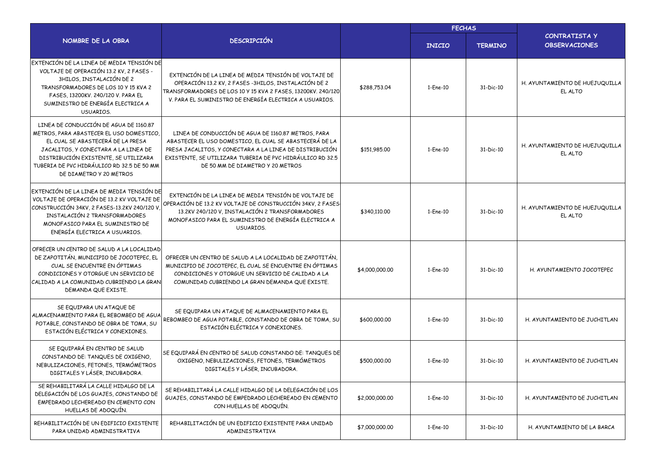|                                                                                                                                                                                                                                                                                  | <b>DESCRIPCIÓN</b>                                                                                                                                                                                                                                                         |                | <b>FECHAS</b> |                |                                           |
|----------------------------------------------------------------------------------------------------------------------------------------------------------------------------------------------------------------------------------------------------------------------------------|----------------------------------------------------------------------------------------------------------------------------------------------------------------------------------------------------------------------------------------------------------------------------|----------------|---------------|----------------|-------------------------------------------|
| NOMBRE DE LA OBRA                                                                                                                                                                                                                                                                |                                                                                                                                                                                                                                                                            |                | <b>INICIO</b> | <b>TERMINO</b> | CONTRATISTA Y<br><b>OBSERVACIONES</b>     |
| EXTENCIÓN DE LA LINEA DE MEDIA TENSIÓN DE<br>VOLTAJE DE OPERACIÓN 13.2 KV, 2 FASES -<br>3HILOS, INSTALACIÓN DE 2<br>TRANSFORMADORES DE LOS 10 Y 15 KVA 2<br>FASES, 13200KV. 240/120 V. PARA EL<br>SUMINISTRO DE ENERGÍA ELECTRICA A<br>USUARIOS.                                 | EXTENCIÓN DE LA LINEA DE MEDIA TENSIÓN DE VOLTAJE DE<br>OPERACIÓN 13.2 KV, 2 FASES -3HILOS, INSTALACIÓN DE 2<br>TRANSFORMADORES DE LOS 10 Y 15 KVA 2 FASES, 13200KV. 240/120<br>V. PARA EL SUMINISTRO DE ENERGÍA ELECTRICA A USUARIOS.                                     | \$288,753.04   | 1-Ene-10      | 31-Dic-10      | H. AYUNTAMIENTO DE HUEJUQUILLA<br>EL ALTO |
| LINEA DE CONDUCCIÓN DE AGUA DE 1160.87<br>METROS, PARA ABASTECER EL USO DOMESTICO,<br>EL CUAL SE ABASTECERÁ DE LA PRESA<br>JACALITOS, Y CONECTARA A LA LINEA DE<br>DISTRIBUCIÓN EXISTENTE, SE UTILIZARA<br>TUBERIA DE PVC HIDRÁULICO RD 32.5 DE 50 MM<br>DE DIAMETRO Y 20 METROS | LINEA DE CONDUCCIÓN DE AGUA DE 1160.87 METROS, PARA<br>ABASTECER EL USO DOMESTICO, EL CUAL SE ABASTECERÁ DE LA<br>PRESA JACALITOS, Y CONECTARA A LA LINEA DE DISTRIBUCIÓN<br>EXISTENTE, SE UTILIZARA TUBERIA DE PVC HIDRÁULICO RD 32.5<br>DE 50 MM DE DIAMETRO Y 20 METROS | \$151,985.00   | 1-Ene-10      | 31-Dic-10      | H. AYUNTAMIENTO DE HUEJUQUILLA<br>EL ALTO |
| EXTENCIÓN DE LA LINEA DE MEDIA TENSIÓN DE<br>VOLTAJE DE OPERACIÓN DE 13.2 KV VOLTAJE DE<br>CONSTRUCCIÓN 34KV, 2 FASES-13,2KV 240/120 V<br>INSTALACIÓN 2 TRANSFORMADORES<br>MONOFASICO PARA EL SUMINISTRO DE<br>ENERGÍA ELECTRICA A USUARIOS.                                     | EXTENCIÓN DE LA LINEA DE MEDIA TENSIÓN DE VOLTAJE DE<br>OPERACIÓN DE 13.2 KV VOLTAJE DE CONSTRUCCIÓN 34KV, 2 FASES<br>13.2KV 240/120 V, INSTALACIÓN 2 TRANSFORMADORES<br>MONOFASICO PARA EL SUMINISTRO DE ENERGÍA ELECTRICA A<br>USUARIOS.                                 | \$340,110.00   | 1-Ene-10      | 31-Dic-10      | H. AYUNTAMIENTO DE HUEJUQUILLA<br>EL ALTO |
| OFRECER UN CENTRO DE SALUD A LA LOCALIDAD<br>DE ZAPOTITÁN, MUNICIPIO DE JOCOTEPEC, EL<br>CUAL SE ENCUENTRE EN ÓPTIMAS<br>CONDICIONES Y OTORGUE UN SERVICIO DE<br>CALIDAD A LA COMUNIDAD CUBRIENDO LA GRAN<br>DEMANDA QUE EXISTE.                                                 | OFRECER UN CENTRO DE SALUD A LA LOCALIDAD DE ZAPOTITÁN,<br>MUNICIPIO DE JOCOTEPEC, EL CUAL SE ENCUENTRE EN ÓPTIMAS<br>CONDICIONES Y OTORGUE UN SERVICIO DE CALIDAD A LA<br>COMUNIDAD CUBRIENDO LA GRAN DEMANDA QUE EXISTE.                                                 | \$4,000,000.00 | 1-Ene-10      | 31-Dic-10      | H. AYUNTAMIENTO JOCOTEPEC                 |
| SE EQUIPARA UN ATAQUE DE<br>ALMACENAMIENTO PARA EL REBOMBEO DE AGUA<br>POTABLE, CONSTANDO DE OBRA DE TOMA, SU<br>ESTACIÓN ELÉCTRICA Y CONEXIONES.                                                                                                                                | SE EQUIPARA UN ATAQUE DE ALMACENAMIENTO PARA EL<br>REBOMBEO DE AGUA POTABLE, CONSTANDO DE OBRA DE TOMA, SU<br>ESTACIÓN ELÉCTRICA Y CONEXIONES.                                                                                                                             | \$600,000.00   | 1-Ene-10      | 31-Dic-10      | H. AYUNTAMIENTO DE JUCHITLAN              |
| SE EQUIPARÁ EN CENTRO DE SALUD<br>CONSTANDO DE: TANQUES DE OXIGENO,<br>NEBULIZACIONES, FETONES, TERMÓMETROS<br>DIGITALES Y LÁSER, INCUBADORA.                                                                                                                                    | SE EQUIPARÁ EN CENTRO DE SALUD CONSTANDO DE: TANQUES DE<br>OXIGENO, NEBULIZACIONES, FETONES, TERMÓMETROS<br>DIGITALES Y LÁSER, INCUBADORA.                                                                                                                                 | \$500,000.00   | 1-Ene-10      | 31-Dic-10      | H. AYUNTAMIENTO DE JUCHITLAN              |
| SE REHABILITARÁ LA CALLE HIDALGO DE LA<br>DELEGACIÓN DE LOS GUAJES, CONSTANDO DE<br>EMPEDRADO LECHEREADO EN CEMENTO CON<br>HUELLAS DE ADOQUÍN.                                                                                                                                   | SE REHABILITARÁ LA CALLE HIDALGO DE LA DELEGACIÓN DE LOS<br>GUAJES, CONSTANDO DE EMPEDRADO LECHEREADO EN CEMENTO<br>CON HUELLAS DE ADOQUÍN.                                                                                                                                | \$2,000,000.00 | 1-Ene-10      | 31-Dic-10      | H. AYUNTAMIENTO DE JUCHITLAN              |
| REHABILITACIÓN DE UN EDIFICIO EXISTENTE<br>PARA UNIDAD ADMINISTRATIVA                                                                                                                                                                                                            | REHABILITACIÓN DE UN EDIFICIO EXISTENTE PARA UNIDAD<br>ADMINISTRATIVA                                                                                                                                                                                                      | \$7,000,000.00 | 1-Ene-10      | 31-Dic-10      | H. AYUNTAMIENTO DE LA BARCA               |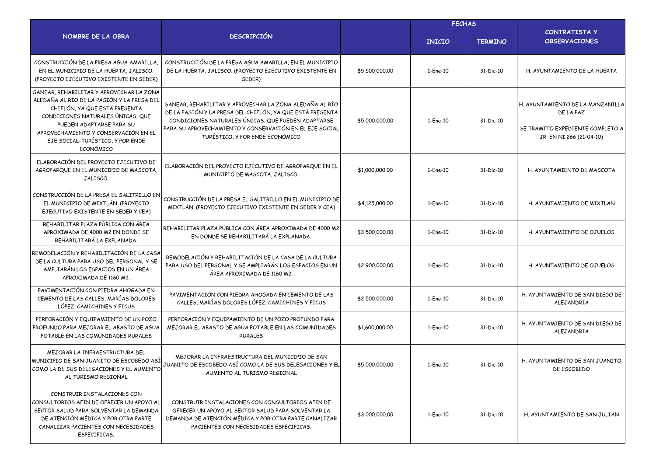|                                                                                                                                                                                                                                                                                   |                                                                                                                                                                                                                                                                          |                | <b>FECHAS</b> |                |                                                                                                              |
|-----------------------------------------------------------------------------------------------------------------------------------------------------------------------------------------------------------------------------------------------------------------------------------|--------------------------------------------------------------------------------------------------------------------------------------------------------------------------------------------------------------------------------------------------------------------------|----------------|---------------|----------------|--------------------------------------------------------------------------------------------------------------|
| NOMBRE DE LA OBRA                                                                                                                                                                                                                                                                 | <b>DESCRIPCIÓN</b>                                                                                                                                                                                                                                                       |                | <b>INICIO</b> | <b>TERMINO</b> | CONTRATISTA Y<br><b>OBSERVACIONES</b>                                                                        |
| CONSTRUCCIÓN DE LA PRESA AGUA AMARILLA<br>EN EL MUNICIPIO DE LA HUERTA, JALISCO.<br>(PROYECTO EJECUTIVO EXISTENTE EN SEDER)                                                                                                                                                       | CONSTRUCCIÓN DE LA PRESA AGUA AMARILLA, EN EL MUNICIPIO<br>DE LA HUERTA, JALISCO. (PROYECTO EJECUTIVO EXISTENTE EN<br>SEDER)                                                                                                                                             | \$5,500,000.00 | 1-Ene-10      | 31-Dic-10      | H. AYUNTAMIENTO DE LA HUERTA                                                                                 |
| SANEAR, REHABILITAR Y APROVECHAR LA ZONA<br>ALEDAÑA AL RÍO DE LA PASIÓN Y LA PRESA DEL<br>CHIFLÓN, YA QUE ESTÁ PRESENTA<br>CONDICIONES NATURALES ÚNICAS, QUE<br>PUEDEN ADAPTARSE PARA SU<br>APROVECHAMIENTO Y CONSERVACIÓN EN EL<br>EJE SOCIAL-TURÍSTICO, Y POR ENDE<br>ECONÓMICO | SANEAR, REHABILITAR Y APROVECHAR LA ZONA ALEDAÑA AL RÍO<br>DE LA PASIÓN Y LA PRESA DEL CHIFLÓN, YA QUE ESTÁ PRESENTA<br>CONDICIONES NATURALES ÚNICAS, QUE PUEDEN ADAPTARSE<br>PARA SU APROVECHAMIENTO Y CONSERVACIÓN EN EL EJE SOCIAL<br>TURÍSTICO, Y POR ENDE ECONÓMICO | \$5,000,000.00 | 1-Ene-10      | 31-Dic-10      | H. AYUNTAMIENTO DE LA MANZANILLA<br>DE LA PAZ<br>SE TRAMITO EXPEDIENTE COMPLETO A<br>JR EN NI 266 (21-04-10) |
| ELABORACIÓN DEL PROYECTO EJECUTIVO DE<br>AGROPARQUE EN EL MUNICIPIO DE MASCOTA<br>JALISCO.                                                                                                                                                                                        | ELABORACIÓN DEL PROYECTO EJECUTIVO DE AGROPARQUE EN EL<br>MUNICIPIO DE MASCOTA, JALISCO.                                                                                                                                                                                 | \$1,000,000.00 | 1-Ene-10      | 31-Dic-10      | H. AYUNTAMIENTO DE MASCOTA                                                                                   |
| CONSTRUCCIÓN DE LA PRESA EL SALITRILLO EN<br>EL MUNICIPIO DE MIXTLÁN. (PROYECTO<br>EJECUTIVO EXISTENTE EN SEDER Y CEA)                                                                                                                                                            | CONSTRUCCIÓN DE LA PRESA EL SALITRILLO EN EL MUNICIPIO DE<br>MIXTLÁN. (PROYECTO EJECUTIVO EXISTENTE EN SEDER Y CEA)                                                                                                                                                      | \$4,125,000.00 | 1-Ene-10      | 31-Dic-10      | H. AYUNTAMIENTO DE MIXTLAN                                                                                   |
| REHABILITAR PLAZA PÚBLICA CON ÁREA<br>APROXIMADA DE 4000 M2 EN DONDE SE<br>REHABILITARÁ LA EXPLANADA.                                                                                                                                                                             | REHABILITAR PLAZA PÚBLICA CON ÁREA APROXIMADA DE 4000 M2<br>EN DONDE SE REHABILITARÁ LA EXPLANADA.                                                                                                                                                                       | \$3,500,000,00 | 1-Ene-10      | 31-Dic-10      | H. AYUNTAMIENTO DE OJUELOS                                                                                   |
| REMODELACIÓN Y REHABILITACIÓN DE LA CASA<br>DE LA CULTURA PARA USO DEL PERSONAL Y SE<br>AMPLIARÁN LOS ESPACIOS EN UN ÁREA<br>APROXIMADA DE 1160 M2.                                                                                                                               | REMODELACIÓN Y REHABILITACIÓN DE LA CASA DE LA CULTURA<br>PARA USO DEL PERSONAL Y SE AMPLIARÁN LOS ESPACIOS EN UN<br>ÁREA APROXIMADA DE 1160 M2.                                                                                                                         | \$2,900,000.00 | 1-Ene-10      | 31-Dic-10      | H. AYUNTAMIENTO DE OJUELOS                                                                                   |
| PAVIMENTACIÓN CON PIEDRA AHOGADA EN<br>CEMENTO DE LAS CALLES, MARÍAS DOLORES<br>LÓPEZ, CAMICHINES Y FICUS                                                                                                                                                                         | PAVIMENTACIÓN CON PIEDRA AHOGADA EN CEMENTO DE LAS<br>CALLES, MARÍAS DOLORES LÓPEZ, CAMICHINES Y FICUS                                                                                                                                                                   | \$2,500,000.00 | 1-Ene-10      | 31-Dic-10      | H. AYUNTAMIENTO DE SAN DIEGO DE<br>ALEJANDRIA                                                                |
| PERFORACIÓN Y EQUIPAMIENTO DE UN POZO<br>PROFUNDO PARA MEJORAR EL ABASTO DE AGUA<br>POTABLE EN LAS COMUNIDADES RURALES                                                                                                                                                            | PERFORACIÓN Y EQUIPAMIENTO DE UN POZO PROFUNDO PARA<br>MEJORAR EL ABASTO DE AGUA POTABLE EN LAS COMUNIDADES<br><b>RURALES</b>                                                                                                                                            | \$1,600,000.00 | 1-Ene-10      | 31-Dic-10      | H. AYUNTAMIENTO DE SAN DIEGO DE<br>ALEJANDRIA                                                                |
| MEJORAR LA INFRAESTRUCTURA DEL<br>MUNICIPIO DE SAN JUANITO DE ESCOBEDO ASÍ<br>COMO LA DE SUS DELEGACIONES Y EL AUMENTO<br>AL TURISMO REGIONAL                                                                                                                                     | MEJORAR LA INFRAESTRUCTURA DEL MUNICIPIO DE SAN<br>JUANITO DE ESCOBEDO ASÍ COMO LA DE SUS DELEGACIONES Y EL<br>AUMENTO AL TURISMO REGIONAL                                                                                                                               | \$5,000,000.00 | 1-Ene-10      | 31-Dic-10      | H. AYUNTAMIENTO DE SAN JUANITO<br>DE ESCOBEDO                                                                |
| CONSTRUIR INSTALACIONES CON<br>CONSULTORIOS AFIN DE OFRECER UN APOYO AL<br>SECTOR SALUD PARA SOLVENTAR LA DEMANDA<br>DE ATENCIÓN MÉDICA Y POR OTRA PARTE<br>CANALIZAR PACIENTES CON NECESIDADES<br>ESPECIFICAS.                                                                   | CONSTRUIR INSTALACIONES CON CONSULTORIOS AFIN DE<br>OFRECER UN APOYO AL SECTOR SALUD PARA SOLVENTAR LA<br>DEMANDA DE ATENCIÓN MÉDICA Y POR OTRA PARTE CANALIZAR<br>PACIENTES CON NECESIDADES ESPECIFICAS.                                                                | \$3,000,000.00 | 1-Ene-10      | 31-Dic-10      | H. AYUNTAMIENTO DE SAN JULIAN                                                                                |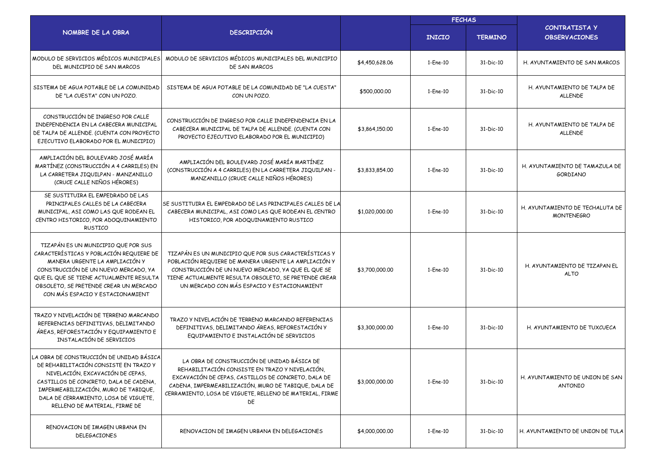|                                                                                                                                                                                                                                                                                   | <b>DESCRIPCIÓN</b>                                                                                                                                                                                                                                                             |                | <b>FECHAS</b>  |                |                                                      |
|-----------------------------------------------------------------------------------------------------------------------------------------------------------------------------------------------------------------------------------------------------------------------------------|--------------------------------------------------------------------------------------------------------------------------------------------------------------------------------------------------------------------------------------------------------------------------------|----------------|----------------|----------------|------------------------------------------------------|
| NOMBRE DE LA OBRA                                                                                                                                                                                                                                                                 |                                                                                                                                                                                                                                                                                |                | <b>INICIO</b>  | <b>TERMINO</b> | <b>CONTRATISTA Y</b><br><b>OBSERVACIONES</b>         |
| MODULO DE SERVICIOS MÉDICOS MUNICIPALES<br>DEL MUNICIPIO DE SAN MARCOS                                                                                                                                                                                                            | MODULO DE SERVICIOS MÉDICOS MUNICIPALES DEL MUNICIPIO<br>DE SAN MARCOS                                                                                                                                                                                                         | \$4,450,628.06 | 1-Ene-10       | 31-Dic-10      | H. AYUNTAMIENTO DE SAN MARCOS                        |
| SISTEMA DE AGUA POTABLE DE LA COMUNIDAD<br>DE "LA CUESTA" CON UN POZO.                                                                                                                                                                                                            | SISTEMA DE AGUA POTABLE DE LA COMUNIDAD DE "LA CUESTA"<br>CON UN POZO.                                                                                                                                                                                                         | \$500,000.00   | 1-Ene-10       | 31-Dic-10      | H. AYUNTAMIENTO DE TALPA DE<br><b>ALLENDE</b>        |
| CONSTRUCCIÓN DE INGRESO POR CALLE<br>INDEPENDENCIA EN LA CABECERA MUNICIPAL<br>DE TALPA DE ALLENDE. (CUENTA CON PROYECTO<br>EJECUTIVO ELABORADO POR EL MUNICIPIO)                                                                                                                 | CONSTRUCCIÓN DE INGRESO POR CALLE INDEPENDENCIA EN LA<br>CABECERA MUNICIPAL DE TALPA DE ALLENDE. (CUENTA CON<br>PROYECTO EJECUTIVO ELABORADO POR EL MUNICIPIO)                                                                                                                 | \$3,864,150.00 | 1-Ene-10       | 31-Dic-10      | H. AYUNTAMIENTO DE TALPA DE<br><b>ALLENDE</b>        |
| AMPLIACIÓN DEL BOULEVARD JOSÉ MARÍA<br>MARTÍNEZ (CONSTRUCCIÓN A 4 CARRILES) EN<br>LA CARRETERA JIQUILPAN - MANZANILLO<br>(CRUCE CALLE NIÑOS HÉRORES)                                                                                                                              | AMPLIACIÓN DEL BOULEVARD JOSÉ MARÍA MARTÍNEZ<br>(CONSTRUCCIÓN A 4 CARRILES) EN LA CARRETERA JIQUILPAN -<br>MANZANILLO (CRUCE CALLE NIÑOS HÉRORES)                                                                                                                              | \$3,833,854.00 | 1-Ene-10       | 31-Dic-10      | H. AYUNTAMIENTO DE TAMAZULA DE<br><b>GORDIANO</b>    |
| SE SUSTITUIRA EL EMPEDRADO DE LAS<br>PRINCIPALES CALLES DE LA CABECERA<br>MUNICIPAL, ASI COMO LAS QUE RODEAN EL<br>CENTRO HISTORICO, POR ADOQUINAMIENTO<br><b>RUSTICO</b>                                                                                                         | SE SUSTITUIRA EL EMPEDRADO DE LAS PRINCIPALES CALLES DE LA<br>CABECERA MUNICIPAL, ASI COMO LAS QUE RODEAN EL CENTRO<br>HISTORICO, POR ADOQUINAMIENTO RUSTICO                                                                                                                   | \$1,020,000.00 | 1-Ene-10       | 31-Dic-10      | H. AYUNTAMIENTO DE TECHALUTA DE<br><b>MONTENEGRO</b> |
| TIZAPÁN ES UN MUNICIPIO QUE POR SUS<br>CARACTERÍSTICAS Y POBLACIÓN REQUIERE DE<br>MANERA URGENTE LA AMPLIACIÓN Y<br>CONSTRUCCIÓN DE UN NUEVO MERCADO, YA<br>QUE EL QUE SE TIENE ACTUALMENTE RESULTA<br>OBSOLETO, SE PRETENDE CREAR UN MERCADO<br>CON MÁS ESPACIO Y ESTACIONAMIENT | TIZAPÁN ES UN MUNICIPIO QUE POR SUS CARACTERÍSTICAS Y<br>POBLACIÓN REQUIERE DE MANERA URGENTE LA AMPLIACIÓN Y<br>CONSTRUCCIÓN DE UN NUEVO MERCADO, YA QUE EL QUE SE<br>TIENE ACTUALMENTE RESULTA OBSOLETO, SE PRETENDE CREAR<br>UN MERCADO CON MÁS ESPACIO Y ESTACIONAMIENT    | \$3,700,000.00 | 1-Ene-10       | 31-Dic-10      | H. AYUNTAMIENTO DE TIZAPAN EL<br><b>ALTO</b>         |
| TRAZO Y NIVELACIÓN DE TERRENO MARCANDO<br>REFERENCIAS DEFINITIVAS, DELIMITANDO<br>ÁREAS, REFORESTACIÓN Y EQUIPAMIENTO E<br>INSTALACIÓN DE SERVICIOS                                                                                                                               | TRAZO Y NIVELACIÓN DE TERRENO MARCANDO REFERENCIAS<br>DEFINITIVAS, DELIMITANDO ÁREAS, REFORESTACIÓN Y<br>EQUIPAMIENTO E INSTALACIÓN DE SERVICIOS                                                                                                                               | \$3,300,000.00 | 1-Ene-10       | 31-Dic-10      | H. AYUNTAMIENTO DE TUXCUECA                          |
| LA OBRA DE CONSTRUCCIÓN DE UNIDAD BÁSICA<br>DE REHABILITACIÓN CONSISTE EN TRAZO Y<br>NIVELACIÓN, EXCAVACIÓN DE CEPAS,<br>CASTILLOS DE CONCRETO, DALA DE CADENA,<br>IMPERMEABILIZACIÓN, MURO DE TABIQUE,<br>DALA DE CERRAMIENTO, LOSA DE VIGUETE,<br>RELLENO DE MATERIAL, FIRME DE | LA OBRA DE CONSTRUCCIÓN DE UNIDAD BÁSICA DE<br>REHABILITACIÓN CONSISTE EN TRAZO Y NIVELACIÓN,<br>EXCAVACIÓN DE CEPAS, CASTILLOS DE CONCRETO, DALA DE<br>CADENA, IMPERMEABILIZACIÓN, MURO DE TABIQUE, DALA DE<br>CERRAMIENTO, LOSA DE VIGUETE, RELLENO DE MATERIAL, FIRME<br>DE | \$3,000,000.00 | $1$ -Ene- $10$ | 31-Dic-10      | H. AYUNTAMIENTO DE UNION DE SAN<br><b>ANTONIO</b>    |
| RENOVACION DE IMAGEN URBANA EN<br>DELEGACIONES                                                                                                                                                                                                                                    | RENOVACION DE IMAGEN URBANA EN DELEGACIONES                                                                                                                                                                                                                                    | \$4,000,000.00 | 1-Ene-10       | 31-Dic-10      | H. AYUNTAMIENTO DE UNION DE TULA                     |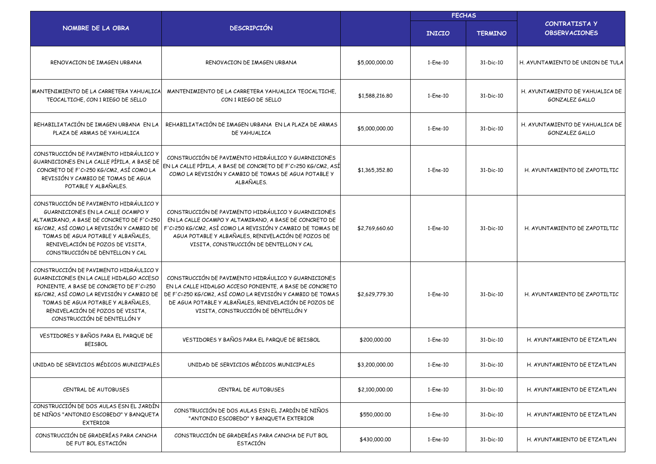|                                                                                                                                                                                                                                                                                   | <b>DESCRIPCIÓN</b>                                                                                                                                                                                                                                                          |                | <b>FECHAS</b> |                |                                                   |
|-----------------------------------------------------------------------------------------------------------------------------------------------------------------------------------------------------------------------------------------------------------------------------------|-----------------------------------------------------------------------------------------------------------------------------------------------------------------------------------------------------------------------------------------------------------------------------|----------------|---------------|----------------|---------------------------------------------------|
| NOMBRE DE LA OBRA                                                                                                                                                                                                                                                                 |                                                                                                                                                                                                                                                                             |                | <b>INICIO</b> | <b>TERMINO</b> | <b>CONTRATISTA Y</b><br><b>OBSERVACIONES</b>      |
| RENOVACION DE IMAGEN URBANA                                                                                                                                                                                                                                                       | RENOVACION DE IMAGEN URBANA                                                                                                                                                                                                                                                 | \$5,000,000.00 | 1-Ene-10      | 31-Dic-10      | H. AYUNTAMIENTO DE UNION DE TULA                  |
| MANTENIMIENTO DE LA CARRETERA YAHUALICA<br>TEOCALTICHE, CON 1 RIEGO DE SELLO                                                                                                                                                                                                      | MANTENIMIENTO DE LA CARRETERA YAHUALICA TEOCALTICHE.<br>CON 1 RIEGO DE SELLO                                                                                                                                                                                                | \$1,588,216.80 | 1-Ene-10      | 31-Dic-10      | H. AYUNTAMIENTO DE YAHUALICA DE<br>GONZALEZ GALLO |
| REHABILIATACIÓN DE IMAGEN URBANA EN LA<br>PLAZA DE ARMAS DE YAHUALICA                                                                                                                                                                                                             | REHABILIATACIÓN DE IMAGEN URBANA EN LA PLAZA DE ARMAS<br>DE YAHUALICA                                                                                                                                                                                                       | \$5,000,000.00 | 1-Ene-10      | 31-Dic-10      | H. AYUNTAMIENTO DE YAHUALICA DE<br>GONZALEZ GALLO |
| CONSTRUCCIÓN DE PAVIMENTO HIDRÁULICO Y<br>GUARNICIONES EN LA CALLE PÍPILA, A BASE DE<br>CONCRETO DE F'C=250 KG/CM2, ASÍ COMO LA<br>REVISIÓN Y CAMBIO DE TOMAS DE AGUA<br>POTABLE Y ALBAÑALES.                                                                                     | CONSTRUCCIÓN DE PAVIMENTO HIDRÁULICO Y GUARNICIONES<br>EN LA CALLE PÍPILA, A BASE DE CONCRETO DE F'C=250 KG/CM2, ASÍ<br>COMO LA REVISIÓN Y CAMBIO DE TOMAS DE AGUA POTABLE Y<br>ALBAÑALES.                                                                                  | \$1,365,352.80 | 1-Ene-10      | 31-Dic-10      | H. AYUNTAMIENTO DE ZAPOTILTIC                     |
| CONSTRUCCIÓN DE PAVIMENTO HIDRÁULICO Y<br>GUARNICIONES EN LA CALLE OCAMPO Y<br>ALTAMIRANO, A BASE DE CONCRETO DE F'C=250<br>KG/CM2, ASÍ COMO LA REVISIÓN Y CAMBIO DE<br>TOMAS DE AGUA POTABLE Y ALBAÑALES,<br>RENIVELACIÓN DE POZOS DE VISITA,<br>CONSTRUCCIÓN DE DENTELLON Y CAL | CONSTRUCCIÓN DE PAVIMENTO HIDRÁULICO Y GUARNICIONES<br>EN LA CALLE OCAMPO Y ALTAMIRANO, A BASE DE CONCRETO DE<br>F'C=250 KG/CM2, ASÍ COMO LA REVISIÓN Y CAMBIO DE TOMAS DE<br>AGUA POTABLE Y ALBAÑALES, RENIVELACIÓN DE POZOS DE<br>VISITA, CONSTRUCCIÓN DE DENTELLON Y CAL | \$2,769,660.60 | 1-Ene-10      | 31-Dic-10      | H. AYUNTAMIENTO DE ZAPOTILTIC                     |
| CONSTRUCCIÓN DE PAVIMENTO HIDRÁULICO Y<br>GUARNICIONES EN LA CALLE HIDALGO ACCESO<br>PONIENTE, A BASE DE CONCRETO DE F'C=250<br>KG/CM2, ASÍ COMO LA REVISIÓN Y CAMBIO DE<br>TOMAS DE AGUA POTABLE Y ALBAÑALES,<br>RENIVELACIÓN DE POZOS DE VISITA,<br>CONSTRUCCIÓN DE DENTELLÓN Y | CONSTRUCCIÓN DE PAVIMENTO HIDRÁULICO Y GUARNICIONES<br>EN LA CALLE HIDALGO ACCESO PONIENTE, A BASE DE CONCRETO<br>DE F'C=250 KG/CM2, ASÍ COMO LA REVISIÓN Y CAMBIO DE TOMAS<br>DE AGUA POTABLE Y ALBAÑALES, RENIVELACIÓN DE POZOS DE<br>VISITA, CONSTRUCCIÓN DE DENTELLÓN Y | \$2,629,779.30 | 1-Ene-10      | 31-Dic-10      | H. AYUNTAMIENTO DE ZAPOTILTIC                     |
| VESTIDORES Y BAÑOS PARA EL PARQUE DE<br><b>BEISBOL</b>                                                                                                                                                                                                                            | VESTIDORES Y BAÑOS PARA EL PARQUE DE BEISBOL                                                                                                                                                                                                                                | \$200,000.00   | 1-Ene-10      | 31-Dic-10      | H. AYUNTAMIENTO DE ETZATLAN                       |
| UNIDAD DE SERVICIOS MÉDICOS MUNICIPALES                                                                                                                                                                                                                                           | UNIDAD DE SERVICIOS MEDICOS MUNICIPALES                                                                                                                                                                                                                                     | \$3,200,000.00 | 1-Ene-10      | 31-Dic-10      | H. AYUNTAMIENTO DE ETZATLAN                       |
| CENTRAL DE AUTOBUSES                                                                                                                                                                                                                                                              | CENTRAL DE AUTOBUSES                                                                                                                                                                                                                                                        | \$2,100,000.00 | 1-Ene-10      | 31-Dic-10      | H. AYUNTAMIENTO DE ETZATLAN                       |
| CONSTRUCCIÓN DE DOS AULAS ESN EL JARDÍN<br>DE NIÑOS "ANTONIO ESCOBEDO" Y BANQUETA<br><b>EXTERIOR</b>                                                                                                                                                                              | CONSTRUCCIÓN DE DOS AULAS ESN EL JARDÍN DE NIÑOS<br>"ANTONIO ESCOBEDO" Y BANQUETA EXTERIOR                                                                                                                                                                                  | \$550,000.00   | 1-Ene-10      | 31-Dic-10      | H. AYUNTAMIENTO DE ETZATLAN                       |
| CONSTRUCCIÓN DE GRADERÍAS PARA CANCHA<br>DE FUT BOL ESTACIÓN                                                                                                                                                                                                                      | CONSTRUCCIÓN DE GRADERÍAS PARA CANCHA DE FUT BOL<br><b>ESTACIÓN</b>                                                                                                                                                                                                         | \$430,000.00   | 1-Ene-10      | 31-Dic-10      | H. AYUNTAMIENTO DE ETZATLAN                       |